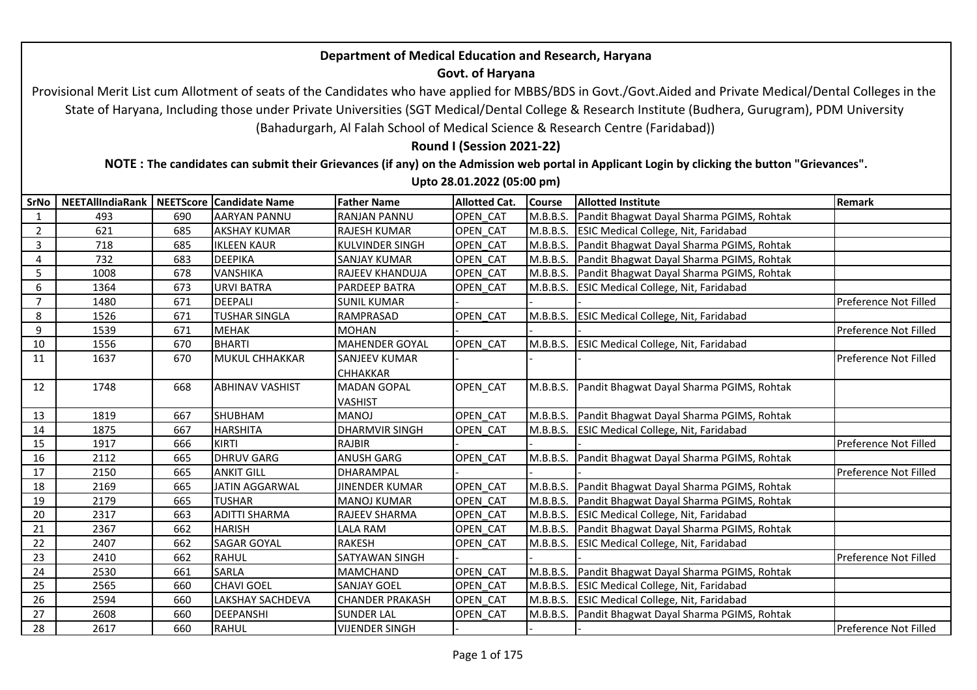## **Department of Medical Education and Research, Haryana**

## **Govt. of Haryana**

 Provisional Merit List cum Allotment of seats of the Candidates who have applied for MBBS/BDS in Govt./Govt.Aided and Private Medical/Dental Colleges in the State of Haryana, Including those under Private Universities (SGT Medical/Dental College & Research Institute (Budhera, Gurugram), PDM University (Bahadurgarh, Al Falah School of Medical Science & Research Centre (Faridabad))

**Round I (Session 2021-22)**

**NOTE : The candidates can submit their Grievances (if any) on the Admission web portal in Applicant Login by clicking the button "Grievances".** 

**Upto 28.01.2022 (05:00 pm)**

| SrNo             | NEETAllIndiaRank   NEETScore   Candidate Name |     |                        | <b>Father Name</b>     | <b>Allotted Cat.</b> | <b>Course</b> | <b>Allotted Institute</b>                          | <b>Remark</b>         |
|------------------|-----------------------------------------------|-----|------------------------|------------------------|----------------------|---------------|----------------------------------------------------|-----------------------|
| 1                | 493                                           | 690 | <b>AARYAN PANNU</b>    | <b>RANJAN PANNU</b>    | OPEN CAT             | M.B.B.S.      | Pandit Bhagwat Dayal Sharma PGIMS, Rohtak          |                       |
| $\overline{2}$   | 621                                           | 685 | <b>AKSHAY KUMAR</b>    | <b>RAJESH KUMAR</b>    | OPEN CAT             |               | M.B.B.S. ESIC Medical College, Nit, Faridabad      |                       |
| 3                | 718                                           | 685 | <b>IKLEEN KAUR</b>     | <b>KULVINDER SINGH</b> | <b>OPEN CAT</b>      | M.B.B.S.      | Pandit Bhagwat Dayal Sharma PGIMS, Rohtak          |                       |
| 4                | 732                                           | 683 | <b>DEEPIKA</b>         | <b>SANJAY KUMAR</b>    | OPEN CAT             | M.B.B.S.      | Pandit Bhagwat Dayal Sharma PGIMS, Rohtak          |                       |
| 5                | 1008                                          | 678 | VANSHIKA               | <b>RAJEEV KHANDUJA</b> | OPEN CAT             | M.B.B.S.      | Pandit Bhagwat Dayal Sharma PGIMS, Rohtak          |                       |
| $\boldsymbol{6}$ | 1364                                          | 673 | <b>URVI BATRA</b>      | <b>PARDEEP BATRA</b>   | OPEN CAT             | M.B.B.S.      | <b>ESIC Medical College, Nit, Faridabad</b>        |                       |
| $\overline{7}$   | 1480                                          | 671 | <b>DEEPALI</b>         | <b>SUNIL KUMAR</b>     |                      |               |                                                    | Preference Not Filled |
| 8                | 1526                                          | 671 | <b>TUSHAR SINGLA</b>   | RAMPRASAD              | <b>OPEN CAT</b>      | M.B.B.S.      | <b>ESIC Medical College, Nit, Faridabad</b>        |                       |
| 9                | 1539                                          | 671 | <b>MEHAK</b>           | <b>MOHAN</b>           |                      |               |                                                    | Preference Not Filled |
| 10               | 1556                                          | 670 | <b>BHARTI</b>          | <b>MAHENDER GOYAL</b>  | OPEN CAT             |               | M.B.B.S. ESIC Medical College, Nit, Faridabad      |                       |
| 11               | 1637                                          | 670 | MUKUL CHHAKKAR         | <b>SANJEEV KUMAR</b>   |                      |               |                                                    | Preference Not Filled |
|                  |                                               |     |                        | <b>CHHAKKAR</b>        |                      |               |                                                    |                       |
| 12               | 1748                                          | 668 | <b>ABHINAV VASHIST</b> | <b>MADAN GOPAL</b>     | OPEN_CAT             | M.B.B.S.      | Pandit Bhagwat Dayal Sharma PGIMS, Rohtak          |                       |
|                  |                                               |     |                        | <b>VASHIST</b>         |                      |               |                                                    |                       |
| 13               | 1819                                          | 667 | SHUBHAM                | <b>MANOJ</b>           | OPEN CAT             |               | M.B.B.S. Pandit Bhagwat Dayal Sharma PGIMS, Rohtak |                       |
| 14               | 1875                                          | 667 | <b>HARSHITA</b>        | <b>DHARMVIR SINGH</b>  | OPEN CAT             |               | M.B.B.S. ESIC Medical College, Nit, Faridabad      |                       |
| 15               | 1917                                          | 666 | <b>KIRTI</b>           | <b>RAJBIR</b>          |                      |               |                                                    | Preference Not Filled |
| 16               | 2112                                          | 665 | <b>DHRUV GARG</b>      | <b>ANUSH GARG</b>      | OPEN CAT             | M.B.B.S.      | Pandit Bhagwat Dayal Sharma PGIMS, Rohtak          |                       |
| 17               | 2150                                          | 665 | <b>ANKIT GILL</b>      | <b>DHARAMPAL</b>       |                      |               |                                                    | Preference Not Filled |
| 18               | 2169                                          | 665 | <b>JATIN AGGARWAL</b>  | <b>JINENDER KUMAR</b>  | OPEN CAT             |               | M.B.B.S. Pandit Bhagwat Dayal Sharma PGIMS, Rohtak |                       |
| 19               | 2179                                          | 665 | <b>TUSHAR</b>          | <b>MANOJ KUMAR</b>     | OPEN CAT             | M.B.B.S.      | Pandit Bhagwat Dayal Sharma PGIMS, Rohtak          |                       |
| 20               | 2317                                          | 663 | <b>ADITTI SHARMA</b>   | <b>RAJEEV SHARMA</b>   | <b>OPEN CAT</b>      | M.B.B.S.      | <b>ESIC Medical College, Nit, Faridabad</b>        |                       |
| 21               | 2367                                          | 662 | <b>HARISH</b>          | <b>LALA RAM</b>        | <b>OPEN CAT</b>      | M.B.B.S.      | Pandit Bhagwat Dayal Sharma PGIMS, Rohtak          |                       |
| 22               | 2407                                          | 662 | <b>SAGAR GOYAL</b>     | <b>RAKESH</b>          | OPEN CAT             |               | M.B.B.S. ESIC Medical College, Nit, Faridabad      |                       |
| 23               | 2410                                          | 662 | <b>RAHUL</b>           | <b>SATYAWAN SINGH</b>  |                      |               |                                                    | Preference Not Filled |
| 24               | 2530                                          | 661 | <b>SARLA</b>           | <b>MAMCHAND</b>        | OPEN CAT             | M.B.B.S.      | Pandit Bhagwat Dayal Sharma PGIMS, Rohtak          |                       |
| 25               | 2565                                          | 660 | <b>CHAVI GOEL</b>      | <b>SANJAY GOEL</b>     | OPEN CAT             | M.B.B.S.      | <b>ESIC Medical College, Nit, Faridabad</b>        |                       |
| 26               | 2594                                          | 660 | LAKSHAY SACHDEVA       | <b>CHANDER PRAKASH</b> | OPEN CAT             | M.B.B.S.      | <b>ESIC Medical College, Nit, Faridabad</b>        |                       |
| 27               | 2608                                          | 660 | <b>DEEPANSHI</b>       | <b>SUNDER LAL</b>      | <b>OPEN CAT</b>      | M.B.B.S.      | Pandit Bhagwat Dayal Sharma PGIMS, Rohtak          |                       |
| 28               | 2617                                          | 660 | <b>RAHUL</b>           | <b>VIJENDER SINGH</b>  |                      |               |                                                    | Preference Not Filled |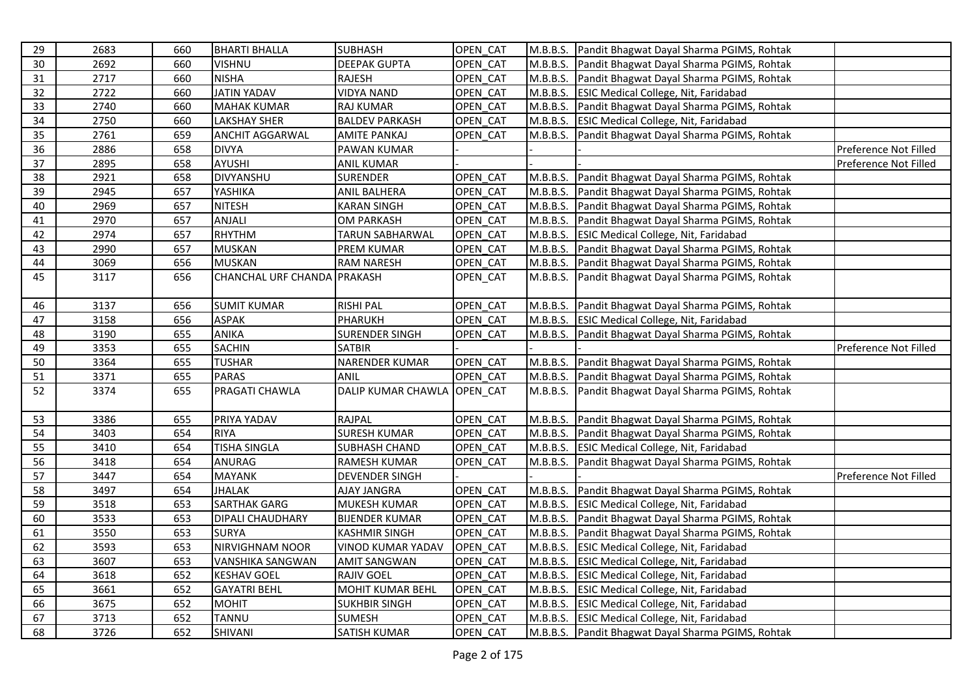| 29 | 2683 | 660 | <b>BHARTI BHALLA</b>        | <b>SUBHASH</b>            | OPEN CAT |          | M.B.B.S. Pandit Bhagwat Dayal Sharma PGIMS, Rohtak |                       |
|----|------|-----|-----------------------------|---------------------------|----------|----------|----------------------------------------------------|-----------------------|
| 30 | 2692 | 660 | <b>VISHNU</b>               | <b>DEEPAK GUPTA</b>       | OPEN CAT |          | M.B.B.S. Pandit Bhagwat Dayal Sharma PGIMS, Rohtak |                       |
| 31 | 2717 | 660 | <b>NISHA</b>                | <b>RAJESH</b>             | OPEN CAT |          | M.B.B.S. Pandit Bhagwat Dayal Sharma PGIMS, Rohtak |                       |
| 32 | 2722 | 660 | <b>JATIN YADAV</b>          | <b>VIDYA NAND</b>         | OPEN CAT |          | M.B.B.S. ESIC Medical College, Nit, Faridabad      |                       |
| 33 | 2740 | 660 | <b>MAHAK KUMAR</b>          | <b>RAJ KUMAR</b>          | OPEN_CAT | M.B.B.S. | Pandit Bhagwat Dayal Sharma PGIMS, Rohtak          |                       |
| 34 | 2750 | 660 | <b>LAKSHAY SHER</b>         | <b>BALDEV PARKASH</b>     | OPEN CAT |          | M.B.B.S. ESIC Medical College, Nit, Faridabad      |                       |
| 35 | 2761 | 659 | ANCHIT AGGARWAL             | <b>AMITE PANKAJ</b>       | OPEN CAT |          | M.B.B.S. Pandit Bhagwat Dayal Sharma PGIMS, Rohtak |                       |
| 36 | 2886 | 658 | <b>DIVYA</b>                | PAWAN KUMAR               |          |          |                                                    | Preference Not Filled |
| 37 | 2895 | 658 | <b>AYUSHI</b>               | <b>ANIL KUMAR</b>         |          |          |                                                    | Preference Not Filled |
| 38 | 2921 | 658 | DIVYANSHU                   | SURENDER                  | OPEN CAT |          | M.B.B.S. Pandit Bhagwat Dayal Sharma PGIMS, Rohtak |                       |
| 39 | 2945 | 657 | YASHIKA                     | ANIL BALHERA              | OPEN CAT |          | M.B.B.S. Pandit Bhagwat Dayal Sharma PGIMS, Rohtak |                       |
| 40 | 2969 | 657 | <b>NITESH</b>               | <b>KARAN SINGH</b>        | OPEN_CAT |          | M.B.B.S. Pandit Bhagwat Dayal Sharma PGIMS, Rohtak |                       |
| 41 | 2970 | 657 | ANJALI                      | <b>OM PARKASH</b>         | OPEN CAT | M.B.B.S. | Pandit Bhagwat Dayal Sharma PGIMS, Rohtak          |                       |
| 42 | 2974 | 657 | <b>RHYTHM</b>               | TARUN SABHARWAL           | OPEN_CAT |          | M.B.B.S. ESIC Medical College, Nit, Faridabad      |                       |
| 43 | 2990 | 657 | <b>MUSKAN</b>               | <b>PREM KUMAR</b>         | OPEN_CAT |          | M.B.B.S. Pandit Bhagwat Dayal Sharma PGIMS, Rohtak |                       |
| 44 | 3069 | 656 | <b>MUSKAN</b>               | <b>RAM NARESH</b>         | OPEN CAT |          | M.B.B.S. Pandit Bhagwat Dayal Sharma PGIMS, Rohtak |                       |
| 45 | 3117 | 656 | CHANCHAL URF CHANDA PRAKASH |                           | OPEN CAT | M.B.B.S. | Pandit Bhagwat Dayal Sharma PGIMS, Rohtak          |                       |
|    |      |     |                             |                           |          |          |                                                    |                       |
| 46 | 3137 | 656 | <b>SUMIT KUMAR</b>          | <b>RISHI PAL</b>          | OPEN CAT |          | M.B.B.S. Pandit Bhagwat Dayal Sharma PGIMS, Rohtak |                       |
| 47 | 3158 | 656 | <b>ASPAK</b>                | PHARUKH                   | OPEN_CAT |          | M.B.B.S. ESIC Medical College, Nit, Faridabad      |                       |
| 48 | 3190 | 655 | <b>ANIKA</b>                | <b>SURENDER SINGH</b>     | OPEN CAT | M.B.B.S. | Pandit Bhagwat Dayal Sharma PGIMS, Rohtak          |                       |
| 49 | 3353 | 655 | <b>SACHIN</b>               | <b>SATBIR</b>             |          |          |                                                    | Preference Not Filled |
| 50 | 3364 | 655 | <b>TUSHAR</b>               | <b>NARENDER KUMAR</b>     | OPEN_CAT |          | M.B.B.S. Pandit Bhagwat Dayal Sharma PGIMS, Rohtak |                       |
| 51 | 3371 | 655 | <b>PARAS</b>                | <b>ANIL</b>               | OPEN CAT |          | M.B.B.S. Pandit Bhagwat Dayal Sharma PGIMS, Rohtak |                       |
| 52 | 3374 | 655 | PRAGATI CHAWLA              | <b>DALIP KUMAR CHAWLA</b> | OPEN_CAT |          | M.B.B.S. Pandit Bhagwat Dayal Sharma PGIMS, Rohtak |                       |
|    |      |     |                             |                           |          |          |                                                    |                       |
| 53 | 3386 | 655 | PRIYA YADAV                 | RAJPAL                    | OPEN_CAT |          | M.B.B.S. Pandit Bhagwat Dayal Sharma PGIMS, Rohtak |                       |
| 54 | 3403 | 654 | <b>RIYA</b>                 | <b>SURESH KUMAR</b>       | OPEN_CAT |          | M.B.B.S. Pandit Bhagwat Dayal Sharma PGIMS, Rohtak |                       |
| 55 | 3410 | 654 | <b>TISHA SINGLA</b>         | <b>SUBHASH CHAND</b>      | OPEN CAT |          | M.B.B.S. ESIC Medical College, Nit, Faridabad      |                       |
| 56 | 3418 | 654 | <b>ANURAG</b>               | <b>RAMESH KUMAR</b>       | OPEN CAT | M.B.B.S. | Pandit Bhagwat Dayal Sharma PGIMS, Rohtak          |                       |
| 57 | 3447 | 654 | <b>MAYANK</b>               | <b>DEVENDER SINGH</b>     |          |          |                                                    | Preference Not Filled |
| 58 | 3497 | 654 | <b>JHALAK</b>               | <b>AJAY JANGRA</b>        | OPEN CAT |          | M.B.B.S. Pandit Bhagwat Dayal Sharma PGIMS, Rohtak |                       |
| 59 | 3518 | 653 | <b>SARTHAK GARG</b>         | <b>MUKESH KUMAR</b>       | OPEN_CAT |          | M.B.B.S. ESIC Medical College, Nit, Faridabad      |                       |
| 60 | 3533 | 653 | DIPALI CHAUDHARY            | <b>BIJENDER KUMAR</b>     | OPEN CAT |          | M.B.B.S. Pandit Bhagwat Dayal Sharma PGIMS, Rohtak |                       |
| 61 | 3550 | 653 | <b>SURYA</b>                | <b>KASHMIR SINGH</b>      | OPEN CAT | M.B.B.S. | Pandit Bhagwat Dayal Sharma PGIMS, Rohtak          |                       |
| 62 | 3593 | 653 | NIRVIGHNAM NOOR             | <b>VINOD KUMAR YADAV</b>  | OPEN_CAT |          | M.B.B.S. ESIC Medical College, Nit, Faridabad      |                       |
| 63 | 3607 | 653 | <b>VANSHIKA SANGWAN</b>     | <b>AMIT SANGWAN</b>       | OPEN CAT |          | M.B.B.S. ESIC Medical College, Nit, Faridabad      |                       |
| 64 | 3618 | 652 | <b>KESHAV GOEL</b>          | <b>RAJIV GOEL</b>         | OPEN CAT |          | M.B.B.S. ESIC Medical College, Nit, Faridabad      |                       |
| 65 | 3661 | 652 | <b>GAYATRI BEHL</b>         | <b>MOHIT KUMAR BEHL</b>   | OPEN CAT |          | M.B.B.S. ESIC Medical College, Nit, Faridabad      |                       |
| 66 | 3675 | 652 | <b>MOHIT</b>                | <b>SUKHBIR SINGH</b>      | OPEN CAT |          | M.B.B.S. ESIC Medical College, Nit, Faridabad      |                       |
| 67 | 3713 | 652 | <b>TANNU</b>                | <b>SUMESH</b>             | OPEN_CAT |          | M.B.B.S. ESIC Medical College, Nit, Faridabad      |                       |
| 68 | 3726 | 652 | SHIVANI                     | <b>SATISH KUMAR</b>       | OPEN CAT |          | M.B.B.S. Pandit Bhagwat Dayal Sharma PGIMS, Rohtak |                       |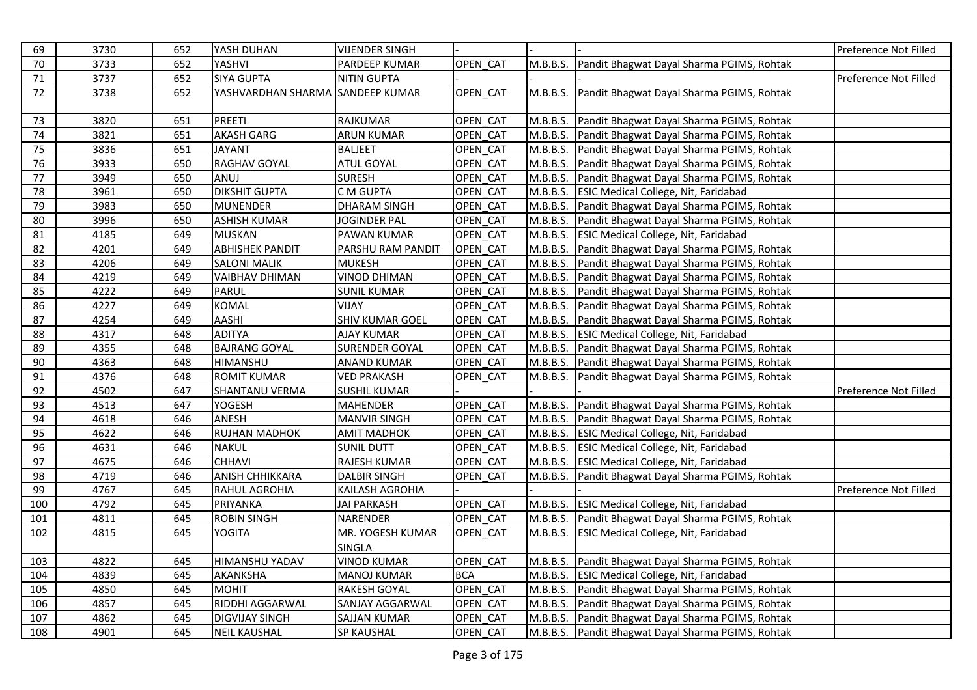| 69  | 3730 | 652 | YASH DUHAN             | <b>VIJENDER SINGH</b>  |            |          |                                                    | Preference Not Filled |
|-----|------|-----|------------------------|------------------------|------------|----------|----------------------------------------------------|-----------------------|
| 70  | 3733 | 652 | YASHVI                 | PARDEEP KUMAR          | OPEN CAT   |          | M.B.B.S. Pandit Bhagwat Dayal Sharma PGIMS, Rohtak |                       |
| 71  | 3737 | 652 | <b>SIYA GUPTA</b>      | <b>NITIN GUPTA</b>     |            |          |                                                    | Preference Not Filled |
| 72  | 3738 | 652 | YASHVARDHAN SHARMA     | <b>SANDEEP KUMAR</b>   | OPEN CAT   | M.B.B.S. | Pandit Bhagwat Dayal Sharma PGIMS, Rohtak          |                       |
| 73  | 3820 | 651 | <b>PREETI</b>          | <b>RAJKUMAR</b>        | OPEN CAT   |          | M.B.B.S. Pandit Bhagwat Dayal Sharma PGIMS, Rohtak |                       |
| 74  | 3821 | 651 | <b>AKASH GARG</b>      | <b>ARUN KUMAR</b>      | OPEN CAT   |          | M.B.B.S. Pandit Bhagwat Dayal Sharma PGIMS, Rohtak |                       |
| 75  | 3836 | 651 | <b>JAYANT</b>          | <b>BALJEET</b>         | OPEN CAT   |          | M.B.B.S. Pandit Bhagwat Dayal Sharma PGIMS, Rohtak |                       |
| 76  | 3933 | 650 | <b>RAGHAV GOYAL</b>    | <b>ATUL GOYAL</b>      | OPEN CAT   |          | M.B.B.S. Pandit Bhagwat Dayal Sharma PGIMS, Rohtak |                       |
| 77  | 3949 | 650 | ANUJ                   | <b>SURESH</b>          | OPEN_CAT   |          | M.B.B.S. Pandit Bhagwat Dayal Sharma PGIMS, Rohtak |                       |
| 78  | 3961 | 650 | <b>DIKSHIT GUPTA</b>   | C M GUPTA              | OPEN CAT   |          | M.B.B.S. ESIC Medical College, Nit, Faridabad      |                       |
| 79  | 3983 | 650 | <b>MUNENDER</b>        | <b>DHARAM SINGH</b>    | OPEN CAT   |          | M.B.B.S. Pandit Bhagwat Dayal Sharma PGIMS, Rohtak |                       |
| 80  | 3996 | 650 | <b>ASHISH KUMAR</b>    | <b>JOGINDER PAL</b>    | OPEN_CAT   |          | M.B.B.S. Pandit Bhagwat Dayal Sharma PGIMS, Rohtak |                       |
| 81  | 4185 | 649 | <b>MUSKAN</b>          | PAWAN KUMAR            | OPEN CAT   |          | M.B.B.S. ESIC Medical College, Nit, Faridabad      |                       |
| 82  | 4201 | 649 | <b>ABHISHEK PANDIT</b> | PARSHU RAM PANDIT      | OPEN CAT   |          | M.B.B.S. Pandit Bhagwat Dayal Sharma PGIMS, Rohtak |                       |
| 83  | 4206 | 649 | <b>SALONI MALIK</b>    | <b>MUKESH</b>          | OPEN CAT   |          | M.B.B.S. Pandit Bhagwat Dayal Sharma PGIMS, Rohtak |                       |
| 84  | 4219 | 649 | <b>VAIBHAV DHIMAN</b>  | <b>VINOD DHIMAN</b>    | OPEN CAT   |          | M.B.B.S. Pandit Bhagwat Dayal Sharma PGIMS, Rohtak |                       |
| 85  | 4222 | 649 | PARUL                  | <b>SUNIL KUMAR</b>     | OPEN CAT   |          | M.B.B.S. Pandit Bhagwat Dayal Sharma PGIMS, Rohtak |                       |
| 86  | 4227 | 649 | <b>KOMAL</b>           | VIJAY                  | OPEN_CAT   |          | M.B.B.S. Pandit Bhagwat Dayal Sharma PGIMS, Rohtak |                       |
| 87  | 4254 | 649 | <b>AASHI</b>           | <b>SHIV KUMAR GOEL</b> | OPEN CAT   |          | M.B.B.S. Pandit Bhagwat Dayal Sharma PGIMS, Rohtak |                       |
| 88  | 4317 | 648 | <b>ADITYA</b>          | <b>AJAY KUMAR</b>      | OPEN CAT   |          | M.B.B.S. ESIC Medical College, Nit, Faridabad      |                       |
| 89  | 4355 | 648 | <b>BAJRANG GOYAL</b>   | <b>SURENDER GOYAL</b>  | OPEN CAT   |          | M.B.B.S. Pandit Bhagwat Dayal Sharma PGIMS, Rohtak |                       |
| 90  | 4363 | 648 | <b>HIMANSHU</b>        | <b>ANAND KUMAR</b>     | OPEN CAT   |          | M.B.B.S. Pandit Bhagwat Dayal Sharma PGIMS, Rohtak |                       |
| 91  | 4376 | 648 | <b>ROMIT KUMAR</b>     | <b>VED PRAKASH</b>     | OPEN_CAT   |          | M.B.B.S. Pandit Bhagwat Dayal Sharma PGIMS, Rohtak |                       |
| 92  | 4502 | 647 | <b>SHANTANU VERMA</b>  | <b>SUSHIL KUMAR</b>    |            |          |                                                    | Preference Not Filled |
| 93  | 4513 | 647 | <b>YOGESH</b>          | <b>MAHENDER</b>        | OPEN CAT   |          | M.B.B.S. Pandit Bhagwat Dayal Sharma PGIMS, Rohtak |                       |
| 94  | 4618 | 646 | ANESH                  | <b>MANVIR SINGH</b>    | OPEN_CAT   |          | M.B.B.S. Pandit Bhagwat Dayal Sharma PGIMS, Rohtak |                       |
| 95  | 4622 | 646 | <b>RUJHAN MADHOK</b>   | <b>AMIT MADHOK</b>     | OPEN CAT   |          | M.B.B.S. ESIC Medical College, Nit, Faridabad      |                       |
| 96  | 4631 | 646 | <b>NAKUL</b>           | <b>SUNIL DUTT</b>      | OPEN CAT   |          | M.B.B.S. ESIC Medical College, Nit, Faridabad      |                       |
| 97  | 4675 | 646 | <b>CHHAVI</b>          | RAJESH KUMAR           | OPEN CAT   | M.B.B.S. | <b>ESIC Medical College, Nit, Faridabad</b>        |                       |
| 98  | 4719 | 646 | <b>ANISH CHHIKKARA</b> | <b>DALBIR SINGH</b>    | OPEN CAT   | M.B.B.S. | Pandit Bhagwat Dayal Sharma PGIMS, Rohtak          |                       |
| 99  | 4767 | 645 | RAHUL AGROHIA          | KAILASH AGROHIA        |            |          |                                                    | Preference Not Filled |
| 100 | 4792 | 645 | PRIYANKA               | <b>JAI PARKASH</b>     | OPEN CAT   |          | M.B.B.S. ESIC Medical College, Nit, Faridabad      |                       |
| 101 | 4811 | 645 | <b>ROBIN SINGH</b>     | <b>NARENDER</b>        | OPEN CAT   |          | M.B.B.S. Pandit Bhagwat Dayal Sharma PGIMS, Rohtak |                       |
| 102 | 4815 | 645 | <b>YOGITA</b>          | MR. YOGESH KUMAR       | OPEN_CAT   |          | M.B.B.S. ESIC Medical College, Nit, Faridabad      |                       |
|     |      |     |                        | SINGLA                 |            |          |                                                    |                       |
| 103 | 4822 | 645 | <b>HIMANSHU YADAV</b>  | <b>VINOD KUMAR</b>     | OPEN CAT   |          | M.B.B.S. Pandit Bhagwat Dayal Sharma PGIMS, Rohtak |                       |
| 104 | 4839 | 645 | AKANKSHA               | <b>MANOJ KUMAR</b>     | <b>BCA</b> |          | M.B.B.S. ESIC Medical College, Nit, Faridabad      |                       |
| 105 | 4850 | 645 | <b>MOHIT</b>           | RAKESH GOYAL           | OPEN CAT   |          | M.B.B.S. Pandit Bhagwat Dayal Sharma PGIMS, Rohtak |                       |
| 106 | 4857 | 645 | RIDDHI AGGARWAL        | SANJAY AGGARWAL        | OPEN CAT   |          | M.B.B.S. Pandit Bhagwat Dayal Sharma PGIMS, Rohtak |                       |
| 107 | 4862 | 645 | <b>DIGVIJAY SINGH</b>  | <b>SAJJAN KUMAR</b>    | OPEN_CAT   |          | M.B.B.S. Pandit Bhagwat Dayal Sharma PGIMS, Rohtak |                       |
| 108 | 4901 | 645 | <b>NEIL KAUSHAL</b>    | <b>SP KAUSHAL</b>      | OPEN CAT   |          | M.B.B.S. Pandit Bhagwat Dayal Sharma PGIMS, Rohtak |                       |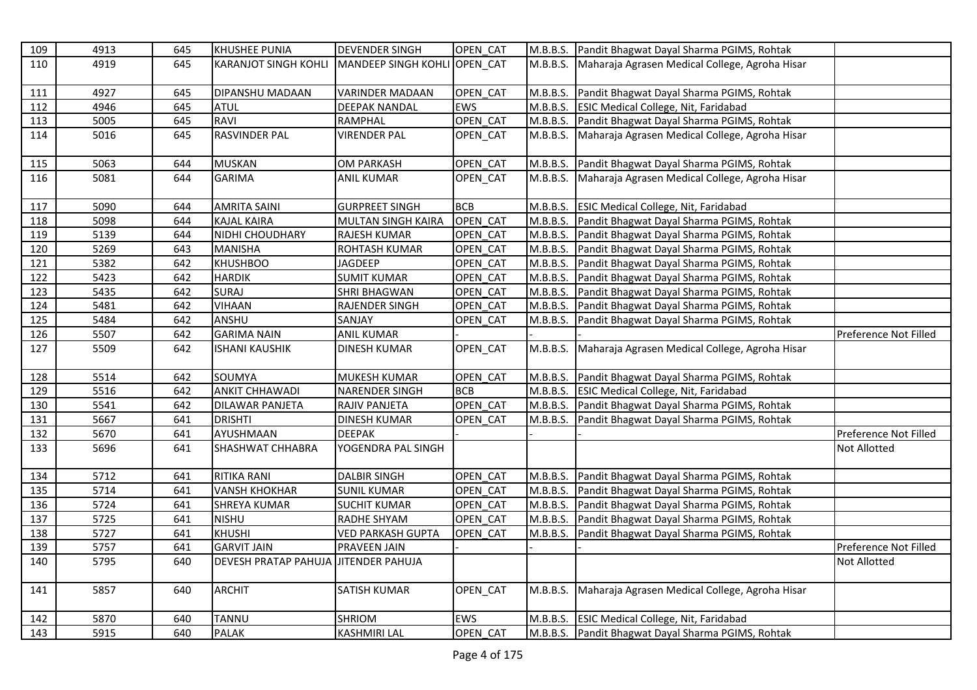| 109 | 4913 | 645 | <b>KHUSHEE PUNIA</b>                 | <b>DEVENDER SINGH</b>        | OPEN CAT   |          | M.B.B.S. Pandit Bhagwat Dayal Sharma PGIMS, Rohtak      |                       |
|-----|------|-----|--------------------------------------|------------------------------|------------|----------|---------------------------------------------------------|-----------------------|
| 110 | 4919 | 645 | <b>KARANJOT SINGH KOHLI</b>          | MANDEEP SINGH KOHLI OPEN CAT |            |          | M.B.B.S. Maharaja Agrasen Medical College, Agroha Hisar |                       |
|     |      |     |                                      |                              |            |          |                                                         |                       |
| 111 | 4927 | 645 | DIPANSHU MADAAN                      | <b>VARINDER MADAAN</b>       | OPEN CAT   |          | M.B.B.S. Pandit Bhagwat Dayal Sharma PGIMS, Rohtak      |                       |
| 112 | 4946 | 645 | <b>ATUL</b>                          | <b>DEEPAK NANDAL</b>         | <b>EWS</b> |          | M.B.B.S. ESIC Medical College, Nit, Faridabad           |                       |
| 113 | 5005 | 645 | <b>RAVI</b>                          | <b>RAMPHAL</b>               | OPEN_CAT   |          | M.B.B.S. Pandit Bhagwat Dayal Sharma PGIMS, Rohtak      |                       |
| 114 | 5016 | 645 | <b>RASVINDER PAL</b>                 | <b>VIRENDER PAL</b>          | OPEN_CAT   |          | M.B.B.S. Maharaja Agrasen Medical College, Agroha Hisar |                       |
|     |      |     |                                      |                              |            |          |                                                         |                       |
| 115 | 5063 | 644 | <b>MUSKAN</b>                        | <b>OM PARKASH</b>            | OPEN CAT   |          | M.B.B.S. Pandit Bhagwat Dayal Sharma PGIMS, Rohtak      |                       |
| 116 | 5081 | 644 | <b>GARIMA</b>                        | <b>ANIL KUMAR</b>            | OPEN_CAT   |          | M.B.B.S. Maharaja Agrasen Medical College, Agroha Hisar |                       |
|     |      |     |                                      |                              |            |          |                                                         |                       |
| 117 | 5090 | 644 | <b>AMRITA SAINI</b>                  | <b>GURPREET SINGH</b>        | <b>BCB</b> |          | M.B.B.S. ESIC Medical College, Nit, Faridabad           |                       |
| 118 | 5098 | 644 | <b>KAJAL KAIRA</b>                   | <b>MULTAN SINGH KAIRA</b>    | OPEN CAT   |          | M.B.B.S. Pandit Bhagwat Dayal Sharma PGIMS, Rohtak      |                       |
| 119 | 5139 | 644 | NIDHI CHOUDHARY                      | RAJESH KUMAR                 | OPEN CAT   |          | M.B.B.S. Pandit Bhagwat Dayal Sharma PGIMS, Rohtak      |                       |
| 120 | 5269 | 643 | <b>MANISHA</b>                       | ROHTASH KUMAR                | OPEN CAT   |          | M.B.B.S. Pandit Bhagwat Dayal Sharma PGIMS, Rohtak      |                       |
| 121 | 5382 | 642 | <b>KHUSHBOO</b>                      | <b>JAGDEEP</b>               | OPEN CAT   |          | M.B.B.S. Pandit Bhagwat Dayal Sharma PGIMS, Rohtak      |                       |
| 122 | 5423 | 642 | <b>HARDIK</b>                        | <b>SUMIT KUMAR</b>           | OPEN_CAT   | M.B.B.S. | Pandit Bhagwat Dayal Sharma PGIMS, Rohtak               |                       |
| 123 | 5435 | 642 | SURAJ                                | <b>SHRI BHAGWAN</b>          | OPEN_CAT   | M.B.B.S. | Pandit Bhagwat Dayal Sharma PGIMS, Rohtak               |                       |
| 124 | 5481 | 642 | VIHAAN                               | <b>RAJENDER SINGH</b>        | OPEN CAT   |          | M.B.B.S. Pandit Bhagwat Dayal Sharma PGIMS, Rohtak      |                       |
| 125 | 5484 | 642 | ANSHU                                | SANJAY                       | OPEN CAT   | M.B.B.S. | Pandit Bhagwat Dayal Sharma PGIMS, Rohtak               |                       |
| 126 | 5507 | 642 | <b>GARIMA NAIN</b>                   | <b>ANIL KUMAR</b>            |            |          |                                                         | Preference Not Filled |
| 127 | 5509 | 642 | <b>ISHANI KAUSHIK</b>                | <b>DINESH KUMAR</b>          | OPEN_CAT   | M.B.B.S. | Maharaja Agrasen Medical College, Agroha Hisar          |                       |
|     |      |     |                                      |                              |            |          |                                                         |                       |
| 128 | 5514 | 642 | SOUMYA                               | <b>MUKESH KUMAR</b>          | OPEN CAT   |          | M.B.B.S. Pandit Bhagwat Dayal Sharma PGIMS, Rohtak      |                       |
| 129 | 5516 | 642 | <b>ANKIT CHHAWADI</b>                | <b>NARENDER SINGH</b>        | <b>BCB</b> |          | M.B.B.S. ESIC Medical College, Nit, Faridabad           |                       |
| 130 | 5541 | 642 | DILAWAR PANJETA                      | <b>RAJIV PANJETA</b>         | OPEN_CAT   |          | M.B.B.S. Pandit Bhagwat Dayal Sharma PGIMS, Rohtak      |                       |
| 131 | 5667 | 641 | <b>DRISHTI</b>                       | <b>DINESH KUMAR</b>          | OPEN CAT   | M.B.B.S. | Pandit Bhagwat Dayal Sharma PGIMS, Rohtak               |                       |
| 132 | 5670 | 641 | AYUSHMAAN                            | <b>DEEPAK</b>                |            |          |                                                         | Preference Not Filled |
| 133 | 5696 | 641 | SHASHWAT CHHABRA                     | YOGENDRA PAL SINGH           |            |          |                                                         | Not Allotted          |
|     |      |     |                                      |                              |            |          |                                                         |                       |
| 134 | 5712 | 641 | RITIKA RANI                          | <b>DALBIR SINGH</b>          | OPEN CAT   |          | M.B.B.S. Pandit Bhagwat Dayal Sharma PGIMS, Rohtak      |                       |
| 135 | 5714 | 641 | <b>VANSH KHOKHAR</b>                 | <b>SUNIL KUMAR</b>           | OPEN CAT   |          | M.B.B.S. Pandit Bhagwat Dayal Sharma PGIMS, Rohtak      |                       |
| 136 | 5724 | 641 | <b>SHREYA KUMAR</b>                  | <b>SUCHIT KUMAR</b>          | OPEN CAT   |          | M.B.B.S. Pandit Bhagwat Dayal Sharma PGIMS, Rohtak      |                       |
| 137 | 5725 | 641 | <b>NISHU</b>                         | <b>RADHE SHYAM</b>           | OPEN_CAT   | M.B.B.S. | Pandit Bhagwat Dayal Sharma PGIMS, Rohtak               |                       |
| 138 | 5727 | 641 | <b>KHUSHI</b>                        | <b>VED PARKASH GUPTA</b>     | OPEN_CAT   | M.B.B.S. | Pandit Bhagwat Dayal Sharma PGIMS, Rohtak               |                       |
| 139 | 5757 | 641 | <b>GARVIT JAIN</b>                   | <b>PRAVEEN JAIN</b>          |            |          |                                                         | Preference Not Filled |
| 140 | 5795 | 640 | DEVESH PRATAP PAHUJA JITENDER PAHUJA |                              |            |          |                                                         | Not Allotted          |
|     |      |     |                                      |                              |            |          |                                                         |                       |
| 141 | 5857 | 640 | <b>ARCHIT</b>                        | <b>SATISH KUMAR</b>          | OPEN_CAT   | M.B.B.S. | Maharaja Agrasen Medical College, Agroha Hisar          |                       |
|     |      |     |                                      |                              |            |          |                                                         |                       |
| 142 | 5870 | 640 | <b>TANNU</b>                         | <b>SHRIOM</b>                | <b>EWS</b> |          | M.B.B.S. ESIC Medical College, Nit, Faridabad           |                       |
| 143 | 5915 | 640 | <b>PALAK</b>                         | <b>KASHMIRI LAL</b>          | OPEN CAT   |          | M.B.B.S. Pandit Bhagwat Dayal Sharma PGIMS, Rohtak      |                       |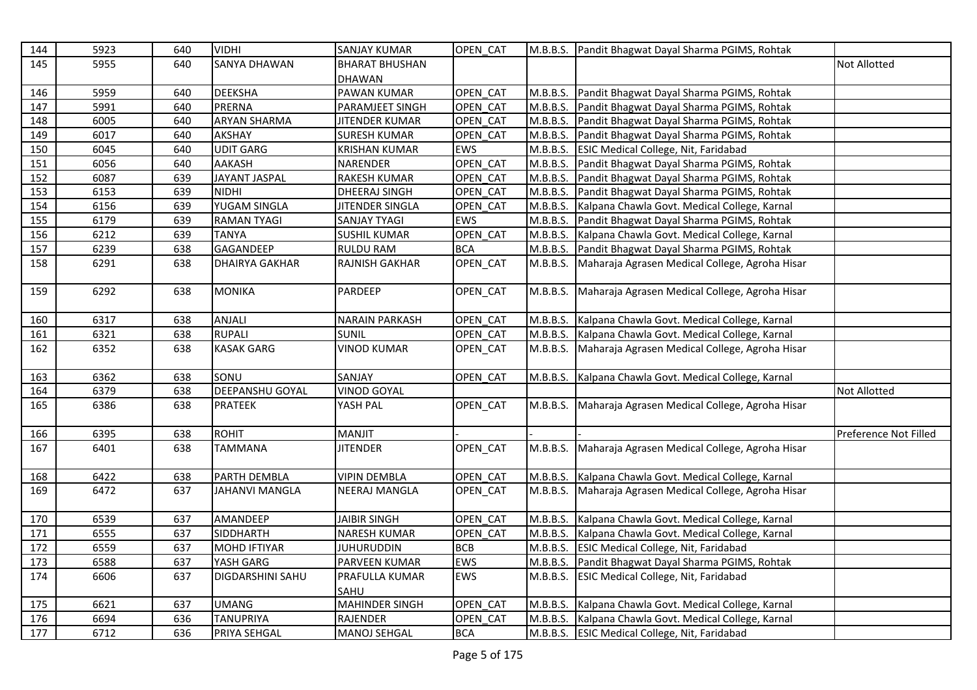| 144 | 5923 | 640 | <b>VIDHI</b>            | <b>SANJAY KUMAR</b>    | OPEN CAT   |          | M.B.B.S. Pandit Bhagwat Dayal Sharma PGIMS, Rohtak      |                       |
|-----|------|-----|-------------------------|------------------------|------------|----------|---------------------------------------------------------|-----------------------|
| 145 | 5955 | 640 | <b>SANYA DHAWAN</b>     | <b>BHARAT BHUSHAN</b>  |            |          |                                                         | Not Allotted          |
|     |      |     |                         | <b>DHAWAN</b>          |            |          |                                                         |                       |
| 146 | 5959 | 640 | <b>DEEKSHA</b>          | <b>PAWAN KUMAR</b>     | OPEN_CAT   | M.B.B.S. | Pandit Bhagwat Dayal Sharma PGIMS, Rohtak               |                       |
| 147 | 5991 | 640 | <b>PRERNA</b>           | PARAMJEET SINGH        | OPEN CAT   | M.B.B.S. | Pandit Bhagwat Dayal Sharma PGIMS, Rohtak               |                       |
| 148 | 6005 | 640 | <b>ARYAN SHARMA</b>     | <b>JITENDER KUMAR</b>  | OPEN CAT   |          | M.B.B.S. Pandit Bhagwat Dayal Sharma PGIMS, Rohtak      |                       |
| 149 | 6017 | 640 | <b>AKSHAY</b>           | <b>SURESH KUMAR</b>    | OPEN_CAT   | M.B.B.S. | Pandit Bhagwat Dayal Sharma PGIMS, Rohtak               |                       |
| 150 | 6045 | 640 | <b>UDIT GARG</b>        | <b>KRISHAN KUMAR</b>   | <b>EWS</b> | M.B.B.S. | <b>ESIC Medical College, Nit, Faridabad</b>             |                       |
| 151 | 6056 | 640 | <b>AAKASH</b>           | <b>NARENDER</b>        | OPEN_CAT   | M.B.B.S. | Pandit Bhagwat Dayal Sharma PGIMS, Rohtak               |                       |
| 152 | 6087 | 639 | JAYANT JASPAL           | RAKESH KUMAR           | OPEN CAT   | M.B.B.S. | Pandit Bhagwat Dayal Sharma PGIMS, Rohtak               |                       |
| 153 | 6153 | 639 | <b>NIDHI</b>            | <b>DHEERAJ SINGH</b>   | OPEN CAT   |          | M.B.B.S. Pandit Bhagwat Dayal Sharma PGIMS, Rohtak      |                       |
| 154 | 6156 | 639 | YUGAM SINGLA            | <b>JITENDER SINGLA</b> | OPEN CAT   | M.B.B.S. | Kalpana Chawla Govt. Medical College, Karnal            |                       |
| 155 | 6179 | 639 | <b>RAMAN TYAGI</b>      | <b>SANJAY TYAGI</b>    | EWS        | M.B.B.S. | Pandit Bhagwat Dayal Sharma PGIMS, Rohtak               |                       |
| 156 | 6212 | 639 | <b>TANYA</b>            | <b>SUSHIL KUMAR</b>    | OPEN_CAT   |          | M.B.B.S. Kalpana Chawla Govt. Medical College, Karnal   |                       |
| 157 | 6239 | 638 | GAGANDEEP               | <b>RULDU RAM</b>       | <b>BCA</b> |          | M.B.B.S. Pandit Bhagwat Dayal Sharma PGIMS, Rohtak      |                       |
| 158 | 6291 | 638 | <b>DHAIRYA GAKHAR</b>   | <b>RAJNISH GAKHAR</b>  | OPEN_CAT   | M.B.B.S. | Maharaja Agrasen Medical College, Agroha Hisar          |                       |
|     |      |     |                         |                        |            |          |                                                         |                       |
| 159 | 6292 | 638 | <b>MONIKA</b>           | PARDEEP                | OPEN_CAT   | M.B.B.S. | Maharaja Agrasen Medical College, Agroha Hisar          |                       |
|     |      |     |                         |                        |            |          |                                                         |                       |
| 160 | 6317 | 638 | ANJALI                  | <b>NARAIN PARKASH</b>  | OPEN CAT   | M.B.B.S. | Kalpana Chawla Govt. Medical College, Karnal            |                       |
| 161 | 6321 | 638 | <b>RUPALI</b>           | <b>SUNIL</b>           | OPEN CAT   | M.B.B.S. | Kalpana Chawla Govt. Medical College, Karnal            |                       |
| 162 | 6352 | 638 | <b>KASAK GARG</b>       | VINOD KUMAR            | OPEN_CAT   | M.B.B.S. | Maharaja Agrasen Medical College, Agroha Hisar          |                       |
|     |      |     |                         |                        |            |          |                                                         |                       |
| 163 | 6362 | 638 | SONU                    | SANJAY                 | OPEN CAT   | M.B.B.S. | Kalpana Chawla Govt. Medical College, Karnal            |                       |
| 164 | 6379 | 638 | <b>DEEPANSHU GOYAL</b>  | <b>VINOD GOYAL</b>     |            |          |                                                         | Not Allotted          |
| 165 | 6386 | 638 | <b>PRATEEK</b>          | YASH PAL               | OPEN_CAT   | M.B.B.S. | Maharaja Agrasen Medical College, Agroha Hisar          |                       |
|     |      |     |                         |                        |            |          |                                                         |                       |
| 166 | 6395 | 638 | <b>ROHIT</b>            | MANJIT                 |            |          |                                                         | Preference Not Filled |
| 167 | 6401 | 638 | <b>TAMMANA</b>          | <b>JITENDER</b>        | OPEN CAT   | M.B.B.S. | Maharaja Agrasen Medical College, Agroha Hisar          |                       |
|     |      |     |                         |                        |            |          |                                                         |                       |
| 168 | 6422 | 638 | PARTH DEMBLA            | <b>VIPIN DEMBLA</b>    | OPEN_CAT   | M.B.B.S. | Kalpana Chawla Govt. Medical College, Karnal            |                       |
| 169 | 6472 | 637 | <b>JAHANVI MANGLA</b>   | NEERAJ MANGLA          | OPEN_CAT   |          | M.B.B.S. Maharaja Agrasen Medical College, Agroha Hisar |                       |
|     |      |     |                         |                        |            |          |                                                         |                       |
| 170 | 6539 | 637 | AMANDEEP                | <b>JAIBIR SINGH</b>    | OPEN CAT   |          | M.B.B.S. Kalpana Chawla Govt. Medical College, Karnal   |                       |
| 171 | 6555 | 637 | <b>SIDDHARTH</b>        | <b>NARESH KUMAR</b>    | OPEN CAT   |          | M.B.B.S. Kalpana Chawla Govt. Medical College, Karnal   |                       |
| 172 | 6559 | 637 | <b>MOHD IFTIYAR</b>     | <b>JUHURUDDIN</b>      | <b>BCB</b> | M.B.B.S. | <b>ESIC Medical College, Nit, Faridabad</b>             |                       |
| 173 | 6588 | 637 | YASH GARG               | PARVEEN KUMAR          | <b>EWS</b> | M.B.B.S. | Pandit Bhagwat Dayal Sharma PGIMS, Rohtak               |                       |
| 174 | 6606 | 637 | <b>DIGDARSHINI SAHU</b> | PRAFULLA KUMAR         | <b>EWS</b> | M.B.B.S. | <b>ESIC Medical College, Nit, Faridabad</b>             |                       |
|     |      |     |                         | SAHU                   |            |          |                                                         |                       |
| 175 | 6621 | 637 | <b>UMANG</b>            | <b>MAHINDER SINGH</b>  | OPEN CAT   | M.B.B.S. | Kalpana Chawla Govt. Medical College, Karnal            |                       |
| 176 | 6694 | 636 | <b>TANUPRIYA</b>        | <b>RAJENDER</b>        | OPEN CAT   | M.B.B.S. | Kalpana Chawla Govt. Medical College, Karnal            |                       |
| 177 | 6712 | 636 | PRIYA SEHGAL            | <b>MANOJ SEHGAL</b>    | <b>BCA</b> |          | M.B.B.S. ESIC Medical College, Nit, Faridabad           |                       |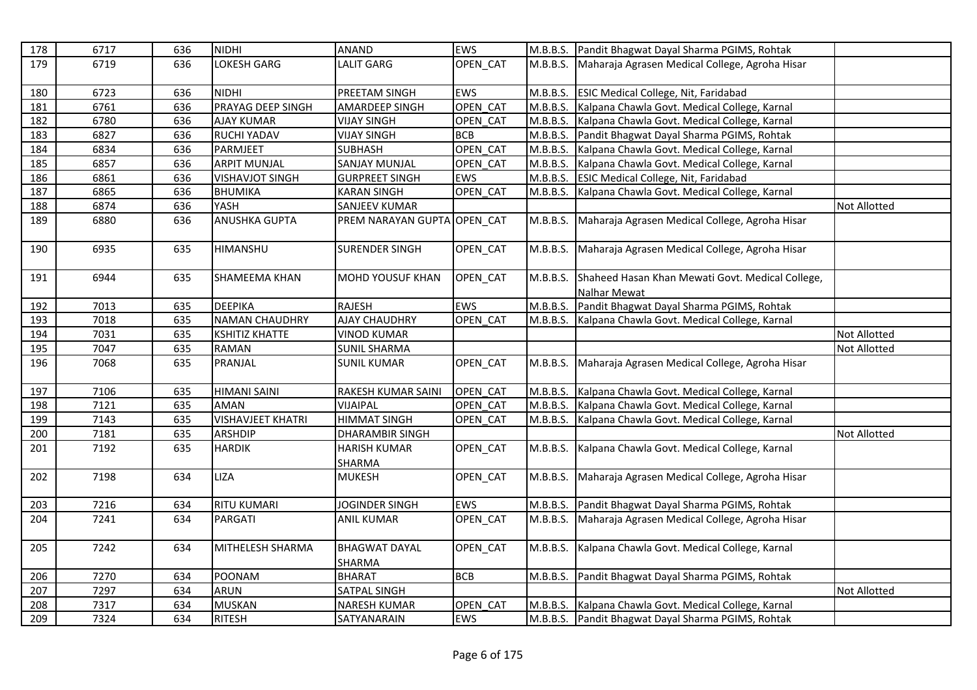| 178 | 6717 | 636 | <b>NIDHI</b>             | <b>ANAND</b>                   | <b>EWS</b> |          | M.B.B.S. Pandit Bhagwat Dayal Sharma PGIMS, Rohtak               |              |
|-----|------|-----|--------------------------|--------------------------------|------------|----------|------------------------------------------------------------------|--------------|
| 179 | 6719 | 636 | LOKESH GARG              | <b>LALIT GARG</b>              | OPEN_CAT   | M.B.B.S. | Maharaja Agrasen Medical College, Agroha Hisar                   |              |
| 180 | 6723 | 636 | <b>NIDHI</b>             | PREETAM SINGH                  | EWS        |          | M.B.B.S. ESIC Medical College, Nit, Faridabad                    |              |
| 181 | 6761 | 636 | PRAYAG DEEP SINGH        | <b>AMARDEEP SINGH</b>          | OPEN CAT   |          | M.B.B.S. Kalpana Chawla Govt. Medical College, Karnal            |              |
| 182 | 6780 | 636 | <b>AJAY KUMAR</b>        | <b>VIJAY SINGH</b>             | OPEN CAT   | M.B.B.S. | Kalpana Chawla Govt. Medical College, Karnal                     |              |
| 183 | 6827 | 636 | RUCHI YADAV              | <b>VIJAY SINGH</b>             | <b>BCB</b> |          | M.B.B.S. Pandit Bhagwat Dayal Sharma PGIMS, Rohtak               |              |
| 184 | 6834 | 636 | PARMJEET                 | <b>SUBHASH</b>                 | OPEN CAT   |          | M.B.B.S. Kalpana Chawla Govt. Medical College, Karnal            |              |
| 185 | 6857 | 636 | <b>ARPIT MUNJAL</b>      | <b>SANJAY MUNJAL</b>           | OPEN CAT   |          | M.B.B.S. Kalpana Chawla Govt. Medical College, Karnal            |              |
| 186 | 6861 | 636 | <b>VISHAVJOT SINGH</b>   | <b>GURPREET SINGH</b>          | <b>EWS</b> | M.B.B.S. | <b>ESIC Medical College, Nit, Faridabad</b>                      |              |
| 187 | 6865 | 636 | BHUMIKA                  | <b>KARAN SINGH</b>             | OPEN CAT   | M.B.B.S. | Kalpana Chawla Govt. Medical College, Karnal                     |              |
| 188 | 6874 | 636 | YASH                     | <b>SANJEEV KUMAR</b>           |            |          |                                                                  | Not Allotted |
| 189 | 6880 | 636 | <b>ANUSHKA GUPTA</b>     | PREM NARAYAN GUPTA OPEN_CAT    |            | M.B.B.S. | Maharaja Agrasen Medical College, Agroha Hisar                   |              |
| 190 | 6935 | 635 | HIMANSHU                 | <b>SURENDER SINGH</b>          | OPEN CAT   | M.B.B.S. | Maharaja Agrasen Medical College, Agroha Hisar                   |              |
| 191 | 6944 | 635 | SHAMEEMA KHAN            | <b>MOHD YOUSUF KHAN</b>        | OPEN_CAT   | M.B.B.S. | Shaheed Hasan Khan Mewati Govt. Medical College,<br>Nalhar Mewat |              |
| 192 | 7013 | 635 | DEEPIKA                  | <b>RAJESH</b>                  | <b>EWS</b> | M.B.B.S. | Pandit Bhagwat Dayal Sharma PGIMS, Rohtak                        |              |
| 193 | 7018 | 635 | <b>NAMAN CHAUDHRY</b>    | <b>AJAY CHAUDHRY</b>           | OPEN CAT   | M.B.B.S. | Kalpana Chawla Govt. Medical College, Karnal                     |              |
| 194 | 7031 | 635 | <b>KSHITIZ KHATTE</b>    | <b>VINOD KUMAR</b>             |            |          |                                                                  | Not Allotted |
| 195 | 7047 | 635 | RAMAN                    | <b>SUNIL SHARMA</b>            |            |          |                                                                  | Not Allotted |
| 196 | 7068 | 635 | PRANJAL                  | <b>SUNIL KUMAR</b>             | OPEN_CAT   | M.B.B.S. | Maharaja Agrasen Medical College, Agroha Hisar                   |              |
| 197 | 7106 | 635 | <b>HIMANI SAINI</b>      | RAKESH KUMAR SAINI             | OPEN CAT   | M.B.B.S. | Kalpana Chawla Govt. Medical College, Karnal                     |              |
| 198 | 7121 | 635 | <b>AMAN</b>              | VIJAIPAL                       | OPEN CAT   |          | M.B.B.S. Kalpana Chawla Govt. Medical College, Karnal            |              |
| 199 | 7143 | 635 | <b>VISHAVJEET KHATRI</b> | <b>HIMMAT SINGH</b>            | OPEN_CAT   | M.B.B.S. | Kalpana Chawla Govt. Medical College, Karnal                     |              |
| 200 | 7181 | 635 | <b>ARSHDIP</b>           | <b>DHARAMBIR SINGH</b>         |            |          |                                                                  | Not Allotted |
| 201 | 7192 | 635 | <b>HARDIK</b>            | <b>HARISH KUMAR</b><br>SHARMA  | OPEN_CAT   |          | M.B.B.S. Kalpana Chawla Govt. Medical College, Karnal            |              |
| 202 | 7198 | 634 | LIZA                     | <b>MUKESH</b>                  | OPEN CAT   | M.B.B.S. | Maharaja Agrasen Medical College, Agroha Hisar                   |              |
| 203 | 7216 | 634 | <b>RITU KUMARI</b>       | JOGINDER SINGH                 | <b>EWS</b> | M.B.B.S. | Pandit Bhagwat Dayal Sharma PGIMS, Rohtak                        |              |
| 204 | 7241 | 634 | <b>PARGATI</b>           | <b>ANIL KUMAR</b>              | OPEN_CAT   |          | M.B.B.S. Maharaja Agrasen Medical College, Agroha Hisar          |              |
| 205 | 7242 | 634 | MITHELESH SHARMA         | <b>BHAGWAT DAYAL</b><br>SHARMA | OPEN_CAT   |          | M.B.B.S. Kalpana Chawla Govt. Medical College, Karnal            |              |
| 206 | 7270 | 634 | POONAM                   | <b>BHARAT</b>                  | <b>BCB</b> | M.B.B.S. | Pandit Bhagwat Dayal Sharma PGIMS, Rohtak                        |              |
| 207 | 7297 | 634 | <b>ARUN</b>              | <b>SATPAL SINGH</b>            |            |          |                                                                  | Not Allotted |
| 208 | 7317 | 634 | <b>MUSKAN</b>            | <b>NARESH KUMAR</b>            | OPEN_CAT   |          | M.B.B.S. Kalpana Chawla Govt. Medical College, Karnal            |              |
| 209 | 7324 | 634 | <b>RITESH</b>            | SATYANARAIN                    | <b>EWS</b> |          | M.B.B.S. Pandit Bhagwat Dayal Sharma PGIMS, Rohtak               |              |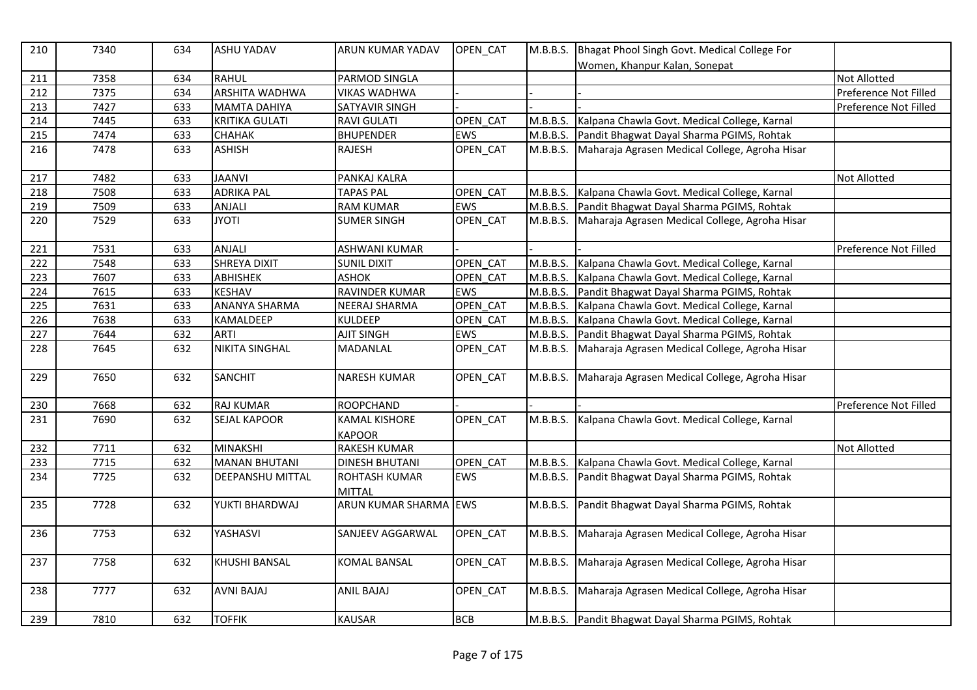| 210 | 7340 | 634 | <b>ASHU YADAV</b>       | ARUN KUMAR YADAV               | OPEN_CAT   | M.B.B.S. | Bhagat Phool Singh Govt. Medical College For       |                       |
|-----|------|-----|-------------------------|--------------------------------|------------|----------|----------------------------------------------------|-----------------------|
|     |      |     |                         |                                |            |          | Women, Khanpur Kalan, Sonepat                      |                       |
| 211 | 7358 | 634 | <b>RAHUL</b>            | PARMOD SINGLA                  |            |          |                                                    | <b>Not Allotted</b>   |
| 212 | 7375 | 634 | <b>ARSHITA WADHWA</b>   | <b>VIKAS WADHWA</b>            |            |          |                                                    | Preference Not Filled |
| 213 | 7427 | 633 | <b>MAMTA DAHIYA</b>     | SATYAVIR SINGH                 |            |          |                                                    | Preference Not Filled |
| 214 | 7445 | 633 | <b>KRITIKA GULATI</b>   | <b>RAVI GULATI</b>             | OPEN CAT   | M.B.B.S. | Kalpana Chawla Govt. Medical College, Karnal       |                       |
| 215 | 7474 | 633 | СНАНАК                  | <b>BHUPENDER</b>               | <b>EWS</b> | M.B.B.S. | Pandit Bhagwat Dayal Sharma PGIMS, Rohtak          |                       |
| 216 | 7478 | 633 | <b>ASHISH</b>           | <b>RAJESH</b>                  | OPEN CAT   | M.B.B.S. | Maharaja Agrasen Medical College, Agroha Hisar     |                       |
| 217 | 7482 | 633 | <b>JAANVI</b>           | PANKAJ KALRA                   |            |          |                                                    | Not Allotted          |
| 218 | 7508 | 633 | <b>ADRIKA PAL</b>       | <b>TAPAS PAL</b>               | OPEN CAT   | M.B.B.S. | Kalpana Chawla Govt. Medical College, Karnal       |                       |
| 219 | 7509 | 633 | ANJALI                  | <b>RAM KUMAR</b>               | EWS        | M.B.B.S. | Pandit Bhagwat Dayal Sharma PGIMS, Rohtak          |                       |
| 220 | 7529 | 633 | <b>JYOTI</b>            | <b>SUMER SINGH</b>             | OPEN_CAT   | M.B.B.S. | Maharaja Agrasen Medical College, Agroha Hisar     |                       |
| 221 | 7531 | 633 | ANJALI                  | <b>ASHWANI KUMAR</b>           |            |          |                                                    | Preference Not Filled |
| 222 | 7548 | 633 | <b>SHREYA DIXIT</b>     | <b>SUNIL DIXIT</b>             | OPEN CAT   | M.B.B.S. | Kalpana Chawla Govt. Medical College, Karnal       |                       |
| 223 | 7607 | 633 | <b>ABHISHEK</b>         | <b>ASHOK</b>                   | OPEN_CAT   | M.B.B.S. | Kalpana Chawla Govt. Medical College, Karnal       |                       |
| 224 | 7615 | 633 | <b>KESHAV</b>           | RAVINDER KUMAR                 | <b>EWS</b> | M.B.B.S. | Pandit Bhagwat Dayal Sharma PGIMS, Rohtak          |                       |
| 225 | 7631 | 633 | <b>ANANYA SHARMA</b>    | <b>NEERAJ SHARMA</b>           | OPEN CAT   | M.B.B.S. | Kalpana Chawla Govt. Medical College, Karnal       |                       |
| 226 | 7638 | 633 | KAMALDEEP               | <b>KULDEEP</b>                 | OPEN_CAT   | M.B.B.S. | Kalpana Chawla Govt. Medical College, Karnal       |                       |
| 227 | 7644 | 632 | <b>ARTI</b>             | AJIT SINGH                     | <b>EWS</b> | M.B.B.S. | Pandit Bhagwat Dayal Sharma PGIMS, Rohtak          |                       |
| 228 | 7645 | 632 | <b>NIKITA SINGHAL</b>   | MADANLAL                       | OPEN_CAT   | M.B.B.S. | Maharaja Agrasen Medical College, Agroha Hisar     |                       |
| 229 | 7650 | 632 | SANCHIT                 | <b>NARESH KUMAR</b>            | OPEN_CAT   | M.B.B.S. | Maharaja Agrasen Medical College, Agroha Hisar     |                       |
| 230 | 7668 | 632 | <b>RAJ KUMAR</b>        | <b>ROOPCHAND</b>               |            |          |                                                    | Preference Not Filled |
| 231 | 7690 | 632 | <b>SEJAL KAPOOR</b>     | KAMAL KISHORE<br><b>KAPOOR</b> | OPEN CAT   | M.B.B.S. | Kalpana Chawla Govt. Medical College, Karnal       |                       |
| 232 | 7711 | 632 | <b>MINAKSHI</b>         | <b>RAKESH KUMAR</b>            |            |          |                                                    | <b>Not Allotted</b>   |
| 233 | 7715 | 632 | <b>MANAN BHUTANI</b>    | <b>DINESH BHUTANI</b>          | OPEN CAT   | M.B.B.S. | Kalpana Chawla Govt. Medical College, Karnal       |                       |
| 234 | 7725 | 632 | <b>DEEPANSHU MITTAL</b> | ROHTASH KUMAR<br>MITTAL        | EWS        | M.B.B.S. | Pandit Bhagwat Dayal Sharma PGIMS, Rohtak          |                       |
| 235 | 7728 | 632 | YUKTI BHARDWAJ          | ARUN KUMAR SHARMA EWS          |            | M.B.B.S. | Pandit Bhagwat Dayal Sharma PGIMS, Rohtak          |                       |
| 236 | 7753 | 632 | YASHASVI                | SANJEEV AGGARWAL               | OPEN_CAT   | M.B.B.S. | Maharaja Agrasen Medical College, Agroha Hisar     |                       |
| 237 | 7758 | 632 | <b>KHUSHI BANSAL</b>    | KOMAL BANSAL                   | OPEN_CAT   | M.B.B.S. | Maharaja Agrasen Medical College, Agroha Hisar     |                       |
| 238 | 7777 | 632 | <b>AVNI BAJAJ</b>       | <b>ANIL BAJAJ</b>              | OPEN_CAT   | M.B.B.S. | Maharaja Agrasen Medical College, Agroha Hisar     |                       |
| 239 | 7810 | 632 | <b>TOFFIK</b>           | <b>KAUSAR</b>                  | <b>BCB</b> |          | M.B.B.S. Pandit Bhagwat Dayal Sharma PGIMS, Rohtak |                       |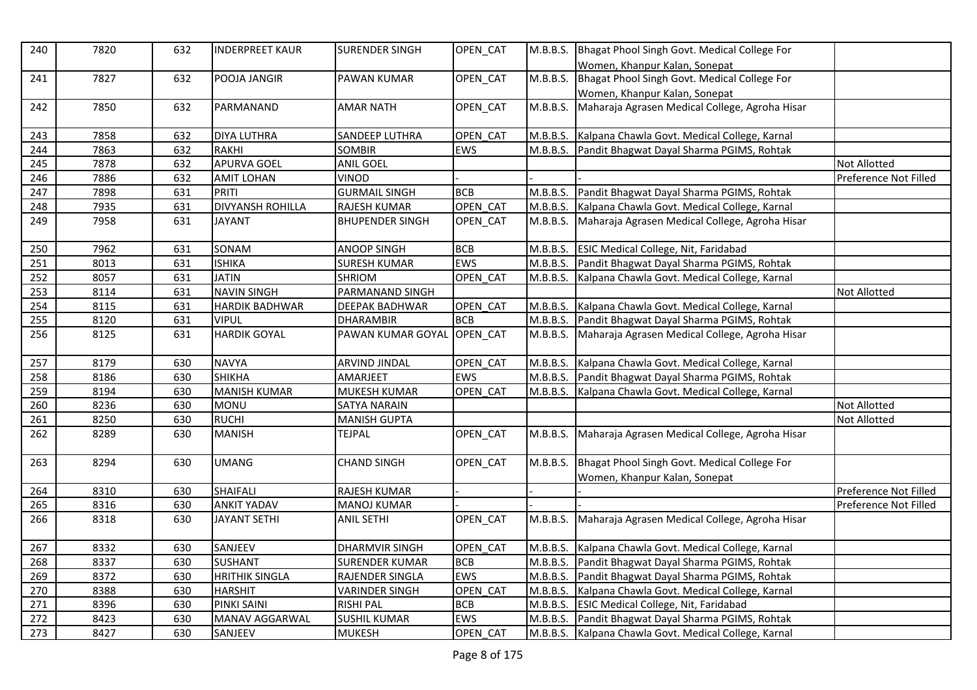| 240 | 7820 | 632 | <b>INDERPREET KAUR</b>  | <b>SURENDER SINGH</b>  | OPEN CAT   | M.B.B.S. | Bhagat Phool Singh Govt. Medical College For<br>Women, Khanpur Kalan, Sonepat |                       |
|-----|------|-----|-------------------------|------------------------|------------|----------|-------------------------------------------------------------------------------|-----------------------|
| 241 | 7827 | 632 | POOJA JANGIR            | PAWAN KUMAR            | OPEN CAT   | M.B.B.S. | Bhagat Phool Singh Govt. Medical College For<br>Women, Khanpur Kalan, Sonepat |                       |
| 242 | 7850 | 632 | PARMANAND               | <b>AMAR NATH</b>       | OPEN_CAT   | M.B.B.S. | Maharaja Agrasen Medical College, Agroha Hisar                                |                       |
| 243 | 7858 | 632 | <b>DIYA LUTHRA</b>      | <b>SANDEEP LUTHRA</b>  | OPEN CAT   | M.B.B.S. | Kalpana Chawla Govt. Medical College, Karnal                                  |                       |
| 244 | 7863 | 632 | <b>RAKHI</b>            | <b>SOMBIR</b>          | <b>EWS</b> | M.B.B.S. | Pandit Bhagwat Dayal Sharma PGIMS, Rohtak                                     |                       |
| 245 | 7878 | 632 | APURVA GOEL             | <b>ANIL GOEL</b>       |            |          |                                                                               | <b>Not Allotted</b>   |
| 246 | 7886 | 632 | <b>AMIT LOHAN</b>       | <b>VINOD</b>           |            |          |                                                                               | Preference Not Filled |
| 247 | 7898 | 631 | PRITI                   | <b>GURMAIL SINGH</b>   | <b>BCB</b> | M.B.B.S. | Pandit Bhagwat Dayal Sharma PGIMS, Rohtak                                     |                       |
| 248 | 7935 | 631 | <b>DIVYANSH ROHILLA</b> | RAJESH KUMAR           | OPEN CAT   | M.B.B.S. | Kalpana Chawla Govt. Medical College, Karnal                                  |                       |
| 249 | 7958 | 631 | <b>JAYANT</b>           | <b>BHUPENDER SINGH</b> | OPEN_CAT   | M.B.B.S. | Maharaja Agrasen Medical College, Agroha Hisar                                |                       |
| 250 | 7962 | 631 | SONAM                   | <b>ANOOP SINGH</b>     | <b>BCB</b> | M.B.B.S. | <b>ESIC Medical College, Nit, Faridabad</b>                                   |                       |
| 251 | 8013 | 631 | <b>ISHIKA</b>           | <b>SURESH KUMAR</b>    | EWS        | M.B.B.S. | Pandit Bhagwat Dayal Sharma PGIMS, Rohtak                                     |                       |
| 252 | 8057 | 631 | <b>JATIN</b>            | SHRIOM                 | OPEN CAT   | M.B.B.S. | Kalpana Chawla Govt. Medical College, Karnal                                  |                       |
| 253 | 8114 | 631 | <b>NAVIN SINGH</b>      | PARMANAND SINGH        |            |          |                                                                               | Not Allotted          |
| 254 | 8115 | 631 | <b>HARDIK BADHWAR</b>   | <b>DEEPAK BADHWAR</b>  | OPEN_CAT   |          | M.B.B.S. Kalpana Chawla Govt. Medical College, Karnal                         |                       |
| 255 | 8120 | 631 | <b>VIPUL</b>            | <b>DHARAMBIR</b>       | <b>BCB</b> |          | M.B.B.S. Pandit Bhagwat Dayal Sharma PGIMS, Rohtak                            |                       |
| 256 | 8125 | 631 | <b>HARDIK GOYAL</b>     | PAWAN KUMAR GOYAL      | OPEN_CAT   | M.B.B.S. | Maharaja Agrasen Medical College, Agroha Hisar                                |                       |
| 257 | 8179 | 630 | <b>NAVYA</b>            | <b>ARVIND JINDAL</b>   | OPEN CAT   | M.B.B.S. | Kalpana Chawla Govt. Medical College, Karnal                                  |                       |
| 258 | 8186 | 630 | <b>SHIKHA</b>           | AMARJEET               | <b>EWS</b> | M.B.B.S. | Pandit Bhagwat Dayal Sharma PGIMS, Rohtak                                     |                       |
| 259 | 8194 | 630 | <b>MANISH KUMAR</b>     | MUKESH KUMAR           | OPEN CAT   | M.B.B.S. | Kalpana Chawla Govt. Medical College, Karnal                                  |                       |
| 260 | 8236 | 630 | <b>MONU</b>             | <b>SATYA NARAIN</b>    |            |          |                                                                               | <b>Not Allotted</b>   |
| 261 | 8250 | 630 | <b>RUCHI</b>            | <b>MANISH GUPTA</b>    |            |          |                                                                               | Not Allotted          |
| 262 | 8289 | 630 | <b>MANISH</b>           | <b>TEJPAL</b>          | OPEN_CAT   | M.B.B.S. | Maharaja Agrasen Medical College, Agroha Hisar                                |                       |
| 263 | 8294 | 630 | <b>UMANG</b>            | <b>CHAND SINGH</b>     | OPEN CAT   | M.B.B.S. | Bhagat Phool Singh Govt. Medical College For<br>Women, Khanpur Kalan, Sonepat |                       |
| 264 | 8310 | 630 | <b>SHAIFALI</b>         | RAJESH KUMAR           |            |          |                                                                               | Preference Not Filled |
| 265 | 8316 | 630 | <b>ANKIT YADAV</b>      | <b>MANOJ KUMAR</b>     |            |          |                                                                               | Preference Not Filled |
| 266 | 8318 | 630 | <b>JAYANT SETHI</b>     | <b>ANIL SETHI</b>      | OPEN_CAT   | M.B.B.S. | Maharaja Agrasen Medical College, Agroha Hisar                                |                       |
| 267 | 8332 | 630 | SANJEEV                 | <b>DHARMVIR SINGH</b>  | OPEN CAT   | M.B.B.S. | Kalpana Chawla Govt. Medical College, Karnal                                  |                       |
| 268 | 8337 | 630 | <b>SUSHANT</b>          | <b>SURENDER KUMAR</b>  | <b>BCB</b> | M.B.B.S. | Pandit Bhagwat Dayal Sharma PGIMS, Rohtak                                     |                       |
| 269 | 8372 | 630 | <b>HRITHIK SINGLA</b>   | RAJENDER SINGLA        | EWS        | M.B.B.S. | Pandit Bhagwat Dayal Sharma PGIMS, Rohtak                                     |                       |
| 270 | 8388 | 630 | <b>HARSHIT</b>          | <b>VARINDER SINGH</b>  | OPEN CAT   | M.B.B.S. | Kalpana Chawla Govt. Medical College, Karnal                                  |                       |
| 271 | 8396 | 630 | PINKI SAINI             | <b>RISHI PAL</b>       | <b>BCB</b> | M.B.B.S. | <b>ESIC Medical College, Nit, Faridabad</b>                                   |                       |
| 272 | 8423 | 630 | MANAV AGGARWAL          | <b>SUSHIL KUMAR</b>    | EWS        | M.B.B.S. | Pandit Bhagwat Dayal Sharma PGIMS, Rohtak                                     |                       |
| 273 | 8427 | 630 | SANJEEV                 | <b>MUKESH</b>          | OPEN CAT   |          | M.B.B.S. Kalpana Chawla Govt. Medical College, Karnal                         |                       |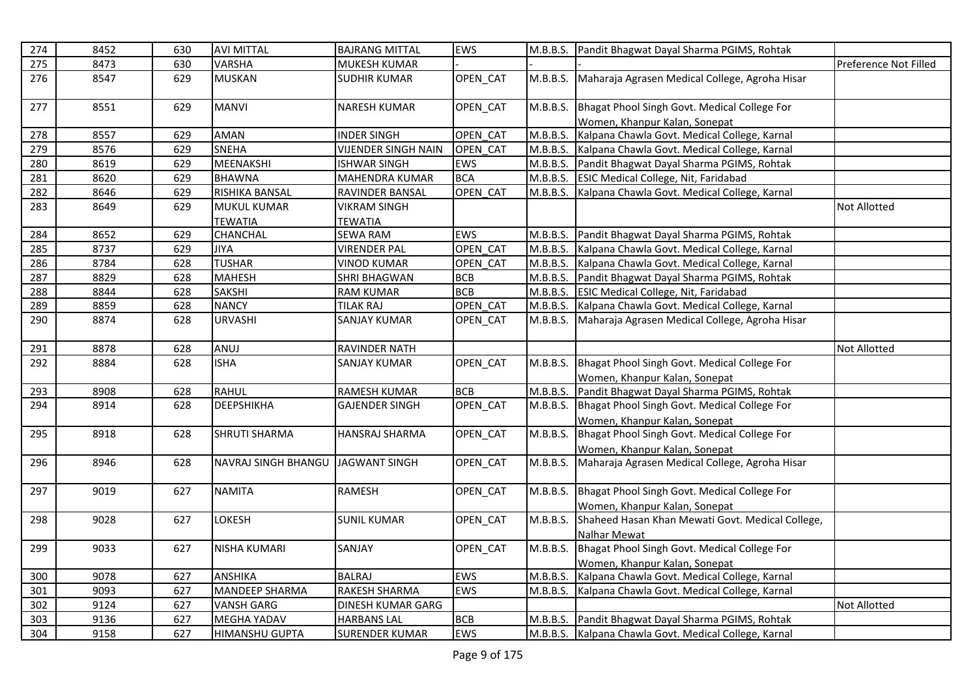| 274        | 8452         | 630        | <b>AVI MITTAL</b>                           | <b>BAJRANG MITTAL</b>                       | EWS                      | M.B.B.S. | Pandit Bhagwat Dayal Sharma PGIMS, Rohtak                                                                   |                       |
|------------|--------------|------------|---------------------------------------------|---------------------------------------------|--------------------------|----------|-------------------------------------------------------------------------------------------------------------|-----------------------|
| 275        | 8473         | 630        | VARSHA                                      | MUKESH KUMAR                                |                          |          |                                                                                                             | Preference Not Filled |
| 276        | 8547         | 629        | <b>MUSKAN</b>                               | <b>SUDHIR KUMAR</b>                         | OPEN CAT                 | M.B.B.S. | Maharaja Agrasen Medical College, Agroha Hisar                                                              |                       |
| 277        | 8551         | 629        | <b>MANVI</b>                                | NARESH KUMAR                                | OPEN_CAT                 | M.B.B.S. | Bhagat Phool Singh Govt. Medical College For<br>Women, Khanpur Kalan, Sonepat                               |                       |
| 278        | 8557         | 629        | <b>AMAN</b>                                 | <b>INDER SINGH</b>                          | OPEN CAT                 | M.B.B.S. | Kalpana Chawla Govt. Medical College, Karnal                                                                |                       |
| 279        | 8576         | 629        | <b>SNEHA</b>                                | <b>VIJENDER SINGH NAIN</b>                  | OPEN CAT                 | M.B.B.S. | Kalpana Chawla Govt. Medical College, Karnal                                                                |                       |
| 280        | 8619         | 629        | MEENAKSHI                                   | <b>ISHWAR SINGH</b>                         | <b>EWS</b>               | M.B.B.S. | Pandit Bhagwat Dayal Sharma PGIMS, Rohtak                                                                   |                       |
| 281        | 8620         | 629        | <b>BHAWNA</b>                               | <b>MAHENDRA KUMAR</b>                       | <b>BCA</b>               | M.B.B.S. | <b>ESIC Medical College, Nit, Faridabad</b>                                                                 |                       |
| 282        | 8646         | 629        | RISHIKA BANSAL                              | RAVINDER BANSAL                             | OPEN CAT                 |          | M.B.B.S. Kalpana Chawla Govt. Medical College, Karnal                                                       |                       |
| 283        | 8649         | 629        | <b>MUKUL KUMAR</b>                          | <b>VIKRAM SINGH</b>                         |                          |          |                                                                                                             | Not Allotted          |
|            |              |            | <b>TEWATIA</b>                              | <b>TEWATIA</b>                              |                          |          |                                                                                                             |                       |
| 284        | 8652         | 629        | CHANCHAL                                    | <b>SEWA RAM</b>                             | EWS                      | M.B.B.S. | Pandit Bhagwat Dayal Sharma PGIMS, Rohtak                                                                   |                       |
| 285        | 8737         | 629        | JIYA                                        | <b>VIRENDER PAL</b>                         | OPEN CAT                 |          | M.B.B.S. Kalpana Chawla Govt. Medical College, Karnal                                                       |                       |
| 286        | 8784         | 628        | <b>TUSHAR</b>                               | <b>VINOD KUMAR</b>                          | OPEN CAT                 |          | M.B.B.S. Kalpana Chawla Govt. Medical College, Karnal                                                       |                       |
| 287        | 8829         | 628        | <b>MAHESH</b>                               | <b>SHRI BHAGWAN</b>                         | <b>BCB</b>               |          | M.B.B.S. Pandit Bhagwat Dayal Sharma PGIMS, Rohtak                                                          |                       |
| 288        | 8844         | 628        | <b>SAKSHI</b>                               | <b>RAM KUMAR</b>                            | <b>BCB</b>               |          | M.B.B.S. ESIC Medical College, Nit, Faridabad                                                               |                       |
| 289        | 8859         | 628        | <b>NANCY</b>                                | <b>TILAK RAJ</b>                            | OPEN CAT                 |          | M.B.B.S. Kalpana Chawla Govt. Medical College, Karnal                                                       |                       |
| 290        | 8874         | 628        | <b>URVASHI</b>                              | <b>SANJAY KUMAR</b>                         | OPEN_CAT                 |          | M.B.B.S. Maharaja Agrasen Medical College, Agroha Hisar                                                     |                       |
| 291        | 8878         | 628        | ANUJ                                        | RAVINDER NATH                               |                          |          |                                                                                                             | Not Allotted          |
| 292        | 8884         | 628        | <b>ISHA</b>                                 | SANJAY KUMAR                                | OPEN CAT                 | M.B.B.S. | Bhagat Phool Singh Govt. Medical College For                                                                |                       |
|            |              |            |                                             |                                             |                          |          | Women, Khanpur Kalan, Sonepat                                                                               |                       |
| 293        | 8908         | 628        | <b>RAHUL</b>                                | <b>RAMESH KUMAR</b>                         | <b>BCB</b>               | M.B.B.S. | Pandit Bhagwat Dayal Sharma PGIMS, Rohtak                                                                   |                       |
| 294        | 8914         | 628        | <b>DEEPSHIKHA</b>                           | <b>GAJENDER SINGH</b>                       | OPEN_CAT                 | M.B.B.S. | Bhagat Phool Singh Govt. Medical College For                                                                |                       |
|            |              |            |                                             |                                             |                          |          | Women, Khanpur Kalan, Sonepat                                                                               |                       |
| 295        | 8918         | 628        | <b>SHRUTI SHARMA</b>                        | <b>HANSRAJ SHARMA</b>                       | OPEN_CAT                 | M.B.B.S. | Bhagat Phool Singh Govt. Medical College For                                                                |                       |
|            |              |            |                                             |                                             |                          |          | Women, Khanpur Kalan, Sonepat                                                                               |                       |
| 296        |              |            |                                             |                                             |                          |          |                                                                                                             |                       |
|            | 8946         | 628        | NAVRAJ SINGH BHANGU                         | <b>JAGWANT SINGH</b>                        | OPEN CAT                 | M.B.B.S. | Maharaja Agrasen Medical College, Agroha Hisar                                                              |                       |
| 297        | 9019         | 627        | <b>NAMITA</b>                               | RAMESH                                      | OPEN CAT                 | M.B.B.S. | Bhagat Phool Singh Govt. Medical College For                                                                |                       |
|            |              |            |                                             |                                             |                          |          | Women, Khanpur Kalan, Sonepat                                                                               |                       |
| 298        | 9028         | 627        | LOKESH                                      | <b>SUNIL KUMAR</b>                          | OPEN CAT                 | M.B.B.S. | Shaheed Hasan Khan Mewati Govt. Medical College,                                                            |                       |
|            |              |            |                                             |                                             |                          |          | Nalhar Mewat                                                                                                |                       |
| 299        | 9033         | 627        | <b>NISHA KUMARI</b>                         | SANJAY                                      | OPEN_CAT                 | M.B.B.S. | Bhagat Phool Singh Govt. Medical College For                                                                |                       |
|            |              |            |                                             |                                             |                          |          | Women, Khanpur Kalan, Sonepat                                                                               |                       |
| 300        | 9078         | 627        | <b>ANSHIKA</b>                              | <b>BALRAJ</b>                               | EWS                      | M.B.B.S. | Kalpana Chawla Govt. Medical College, Karnal                                                                |                       |
| 301        | 9093         | 627        | <b>MANDEEP SHARMA</b>                       | RAKESH SHARMA                               | EWS                      | M.B.B.S. | Kalpana Chawla Govt. Medical College, Karnal                                                                |                       |
| 302        | 9124         | 627        | <b>VANSH GARG</b>                           | DINESH KUMAR GARG                           |                          |          |                                                                                                             | Not Allotted          |
| 303<br>304 | 9136<br>9158 | 627<br>627 | <b>MEGHA YADAV</b><br><b>HIMANSHU GUPTA</b> | <b>HARBANS LAL</b><br><b>SURENDER KUMAR</b> | <b>BCB</b><br><b>EWS</b> |          | M.B.B.S. Pandit Bhagwat Dayal Sharma PGIMS, Rohtak<br>M.B.B.S. Kalpana Chawla Govt. Medical College, Karnal |                       |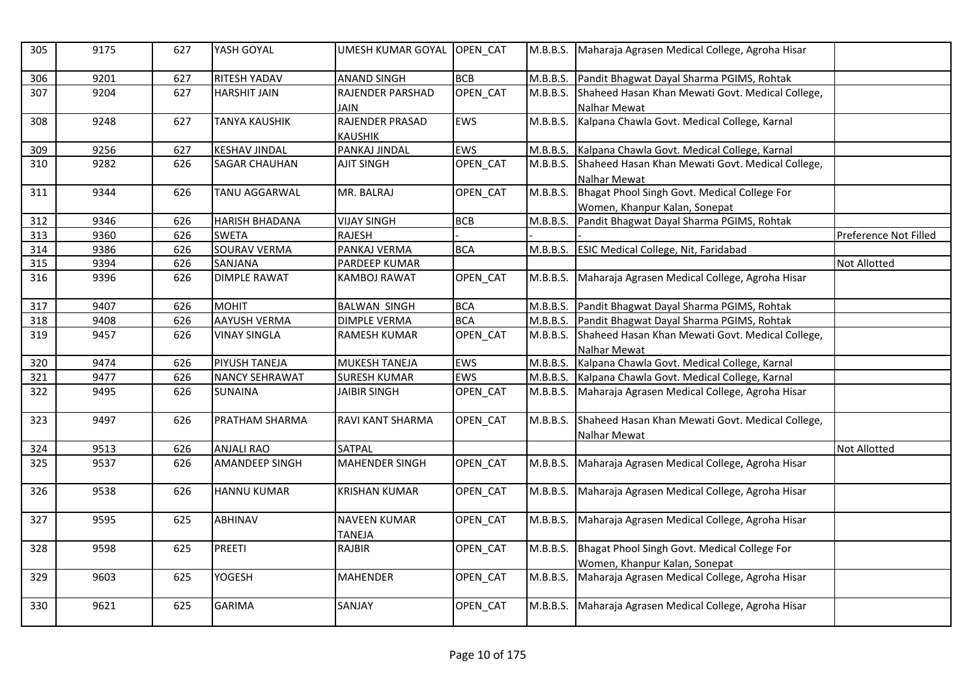| 305 | 9175 | 627 | YASH GOYAL            | UMESH KUMAR GOYAL                    | OPEN_CAT   | M.B.B.S. | Maharaja Agrasen Medical College, Agroha Hisar   |                       |
|-----|------|-----|-----------------------|--------------------------------------|------------|----------|--------------------------------------------------|-----------------------|
| 306 | 9201 | 627 | <b>RITESH YADAV</b>   | <b>ANAND SINGH</b>                   | <b>BCB</b> | M.B.B.S. | Pandit Bhagwat Dayal Sharma PGIMS, Rohtak        |                       |
| 307 | 9204 | 627 | <b>HARSHIT JAIN</b>   | RAJENDER PARSHAD                     | OPEN_CAT   | M.B.B.S. | Shaheed Hasan Khan Mewati Govt. Medical College, |                       |
|     |      |     |                       | <b>JAIN</b>                          |            |          | <b>Nalhar Mewat</b>                              |                       |
| 308 | 9248 | 627 | <b>TANYA KAUSHIK</b>  | RAJENDER PRASAD                      | <b>EWS</b> | M.B.B.S. | Kalpana Chawla Govt. Medical College, Karnal     |                       |
|     |      |     |                       | <b>KAUSHIK</b>                       |            |          |                                                  |                       |
| 309 | 9256 | 627 | <b>KESHAV JINDAL</b>  | PANKAJ JINDAL                        | EWS        | M.B.B.S. | Kalpana Chawla Govt. Medical College, Karnal     |                       |
| 310 | 9282 | 626 | <b>SAGAR CHAUHAN</b>  | <b>AJIT SINGH</b>                    | OPEN_CAT   | M.B.B.S. | Shaheed Hasan Khan Mewati Govt. Medical College, |                       |
|     |      |     |                       |                                      |            |          | Nalhar Mewat                                     |                       |
| 311 | 9344 | 626 | <b>TANU AGGARWAL</b>  | MR. BALRAJ                           | OPEN CAT   | M.B.B.S. | Bhagat Phool Singh Govt. Medical College For     |                       |
|     |      |     |                       |                                      |            |          | Women, Khanpur Kalan, Sonepat                    |                       |
| 312 | 9346 | 626 | <b>HARISH BHADANA</b> | <b>VIJAY SINGH</b>                   | <b>BCB</b> | M.B.B.S. | Pandit Bhagwat Dayal Sharma PGIMS, Rohtak        |                       |
| 313 | 9360 | 626 | <b>SWETA</b>          | <b>RAJESH</b>                        |            |          |                                                  | Preference Not Filled |
| 314 | 9386 | 626 | <b>SOURAV VERMA</b>   | PANKAJ VERMA                         | <b>BCA</b> | M.B.B.S. | <b>ESIC Medical College, Nit, Faridabad</b>      |                       |
| 315 | 9394 | 626 | SANJANA               | PARDEEP KUMAR                        |            |          |                                                  | Not Allotted          |
| 316 | 9396 | 626 | <b>DIMPLE RAWAT</b>   | KAMBOJ RAWAT                         | OPEN_CAT   | M.B.B.S. | Maharaja Agrasen Medical College, Agroha Hisar   |                       |
| 317 | 9407 | 626 | <b>MOHIT</b>          | <b>BALWAN SINGH</b>                  | <b>BCA</b> | M.B.B.S. | Pandit Bhagwat Dayal Sharma PGIMS, Rohtak        |                       |
| 318 | 9408 | 626 | <b>AAYUSH VERMA</b>   | <b>DIMPLE VERMA</b>                  | <b>BCA</b> | M.B.B.S. | Pandit Bhagwat Dayal Sharma PGIMS, Rohtak        |                       |
| 319 | 9457 | 626 | <b>VINAY SINGLA</b>   | <b>RAMESH KUMAR</b>                  | OPEN_CAT   | M.B.B.S. | Shaheed Hasan Khan Mewati Govt. Medical College, |                       |
|     |      |     |                       |                                      |            |          | Nalhar Mewat                                     |                       |
| 320 | 9474 | 626 | <b>PIYUSH TANEJA</b>  | <b>MUKESH TANEJA</b>                 | <b>EWS</b> | M.B.B.S. | Kalpana Chawla Govt. Medical College, Karnal     |                       |
| 321 | 9477 | 626 | <b>NANCY SEHRAWAT</b> | <b>SURESH KUMAR</b>                  | EWS        | M.B.B.S. | Kalpana Chawla Govt. Medical College, Karnal     |                       |
| 322 | 9495 | 626 | <b>SUNAINA</b>        | <b>JAIBIR SINGH</b>                  | OPEN_CAT   | M.B.B.S. | Maharaja Agrasen Medical College, Agroha Hisar   |                       |
| 323 | 9497 | 626 | <b>PRATHAM SHARMA</b> | RAVI KANT SHARMA                     | OPEN_CAT   | M.B.B.S. | Shaheed Hasan Khan Mewati Govt. Medical College, |                       |
|     |      |     |                       |                                      |            |          | <b>Nalhar Mewat</b>                              |                       |
| 324 | 9513 | 626 | <b>ANJALI RAO</b>     | <b>SATPAL</b>                        |            |          |                                                  | <b>Not Allotted</b>   |
| 325 | 9537 | 626 | <b>AMANDEEP SINGH</b> | <b>MAHENDER SINGH</b>                | OPEN_CAT   | M.B.B.S. | Maharaja Agrasen Medical College, Agroha Hisar   |                       |
| 326 | 9538 | 626 | <b>HANNU KUMAR</b>    | <b>KRISHAN KUMAR</b>                 | OPEN CAT   | M.B.B.S. | Maharaja Agrasen Medical College, Agroha Hisar   |                       |
| 327 | 9595 | 625 | <b>ABHINAV</b>        | <b>NAVEEN KUMAR</b><br><b>TANEJA</b> | OPEN_CAT   | M.B.B.S. | Maharaja Agrasen Medical College, Agroha Hisar   |                       |
| 328 | 9598 | 625 | <b>PREETI</b>         | <b>RAJBIR</b>                        | OPEN CAT   | M.B.B.S. | Bhagat Phool Singh Govt. Medical College For     |                       |
|     |      |     |                       |                                      |            |          | Women, Khanpur Kalan, Sonepat                    |                       |
| 329 | 9603 | 625 | <b>YOGESH</b>         | <b>MAHENDER</b>                      | OPEN_CAT   | M.B.B.S. | Maharaja Agrasen Medical College, Agroha Hisar   |                       |
|     |      |     |                       |                                      |            |          |                                                  |                       |
| 330 | 9621 | 625 | <b>GARIMA</b>         | SANJAY                               | OPEN_CAT   | M.B.B.S. | Maharaja Agrasen Medical College, Agroha Hisar   |                       |
|     |      |     |                       |                                      |            |          |                                                  |                       |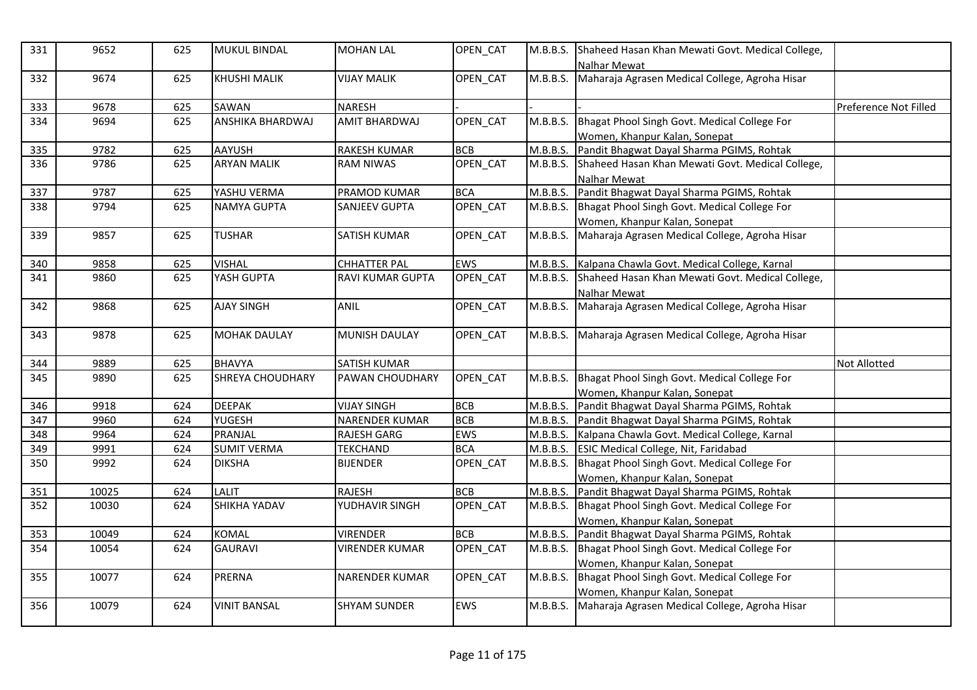| 331 | 9652  | 625 | <b>MUKUL BINDAL</b>     | <b>MOHAN LAL</b>        | OPEN_CAT        | M.B.B.S. | Shaheed Hasan Khan Mewati Govt. Medical College,<br>Nalhar Mewat |                       |
|-----|-------|-----|-------------------------|-------------------------|-----------------|----------|------------------------------------------------------------------|-----------------------|
| 332 | 9674  | 625 | <b>KHUSHI MALIK</b>     | <b>VIJAY MALIK</b>      | OPEN_CAT        | M.B.B.S. | Maharaja Agrasen Medical College, Agroha Hisar                   |                       |
| 333 | 9678  | 625 | SAWAN                   | <b>NARESH</b>           |                 |          |                                                                  | Preference Not Filled |
| 334 | 9694  | 625 | ANSHIKA BHARDWAJ        | <b>AMIT BHARDWAJ</b>    | <b>OPEN CAT</b> | M.B.B.S. | Bhagat Phool Singh Govt. Medical College For                     |                       |
|     |       |     |                         |                         |                 |          | Women, Khanpur Kalan, Sonepat                                    |                       |
| 335 | 9782  | 625 | <b>AAYUSH</b>           | <b>RAKESH KUMAR</b>     | <b>BCB</b>      | M.B.B.S. | Pandit Bhagwat Dayal Sharma PGIMS, Rohtak                        |                       |
| 336 | 9786  | 625 | <b>ARYAN MALIK</b>      | <b>RAM NIWAS</b>        | OPEN CAT        |          | M.B.B.S. Shaheed Hasan Khan Mewati Govt. Medical College,        |                       |
|     |       |     |                         |                         |                 |          | Nalhar Mewat                                                     |                       |
| 337 | 9787  | 625 | YASHU VERMA             | PRAMOD KUMAR            | <b>BCA</b>      | M.B.B.S. | Pandit Bhagwat Dayal Sharma PGIMS, Rohtak                        |                       |
| 338 | 9794  | 625 | <b>NAMYA GUPTA</b>      | <b>SANJEEV GUPTA</b>    | OPEN CAT        | M.B.B.S. | Bhagat Phool Singh Govt. Medical College For                     |                       |
|     |       |     |                         |                         |                 |          | Women, Khanpur Kalan, Sonepat                                    |                       |
| 339 | 9857  | 625 | <b>TUSHAR</b>           | <b>SATISH KUMAR</b>     | OPEN_CAT        | M.B.B.S. | Maharaja Agrasen Medical College, Agroha Hisar                   |                       |
| 340 | 9858  | 625 | <b>VISHAL</b>           | <b>CHHATTER PAL</b>     | <b>EWS</b>      | M.B.B.S. | Kalpana Chawla Govt. Medical College, Karnal                     |                       |
| 341 | 9860  | 625 | YASH GUPTA              | <b>RAVI KUMAR GUPTA</b> | OPEN_CAT        | M.B.B.S. | Shaheed Hasan Khan Mewati Govt. Medical College,                 |                       |
|     |       |     |                         |                         |                 |          | Nalhar Mewat                                                     |                       |
| 342 | 9868  | 625 | <b>AJAY SINGH</b>       | ANIL                    | OPEN CAT        | M.B.B.S. | Maharaja Agrasen Medical College, Agroha Hisar                   |                       |
| 343 | 9878  | 625 | <b>MOHAK DAULAY</b>     | <b>MUNISH DAULAY</b>    | OPEN_CAT        | M.B.B.S. | Maharaja Agrasen Medical College, Agroha Hisar                   |                       |
| 344 | 9889  | 625 | <b>BHAVYA</b>           | <b>SATISH KUMAR</b>     |                 |          |                                                                  | Not Allotted          |
| 345 | 9890  | 625 | <b>SHREYA CHOUDHARY</b> | PAWAN CHOUDHARY         | OPEN_CAT        |          | M.B.B.S. Bhagat Phool Singh Govt. Medical College For            |                       |
|     |       |     |                         |                         |                 |          | Women, Khanpur Kalan, Sonepat                                    |                       |
| 346 | 9918  | 624 | <b>DEEPAK</b>           | <b>VIJAY SINGH</b>      | <b>BCB</b>      | M.B.B.S. | Pandit Bhagwat Dayal Sharma PGIMS, Rohtak                        |                       |
| 347 | 9960  | 624 | YUGESH                  | <b>NARENDER KUMAR</b>   | <b>BCB</b>      |          | M.B.B.S. Pandit Bhagwat Dayal Sharma PGIMS, Rohtak               |                       |
| 348 | 9964  | 624 | PRANJAL                 | <b>RAJESH GARG</b>      | EWS             | M.B.B.S. | Kalpana Chawla Govt. Medical College, Karnal                     |                       |
| 349 | 9991  | 624 | <b>SUMIT VERMA</b>      | TEKCHAND                | <b>BCA</b>      |          | M.B.B.S. ESIC Medical College, Nit, Faridabad                    |                       |
| 350 | 9992  | 624 | <b>DIKSHA</b>           | <b>BIJENDER</b>         | OPEN CAT        |          | M.B.B.S. Bhagat Phool Singh Govt. Medical College For            |                       |
|     |       |     |                         |                         |                 |          | Women, Khanpur Kalan, Sonepat                                    |                       |
| 351 | 10025 | 624 | LALIT                   | RAJESH                  | <b>BCB</b>      | M.B.B.S. | Pandit Bhagwat Dayal Sharma PGIMS, Rohtak                        |                       |
| 352 | 10030 | 624 | <b>SHIKHA YADAV</b>     | YUDHAVIR SINGH          | OPEN_CAT        | M.B.B.S. | Bhagat Phool Singh Govt. Medical College For                     |                       |
|     |       |     |                         |                         |                 |          | Women, Khanpur Kalan, Sonepat                                    |                       |
| 353 | 10049 | 624 | <b>KOMAL</b>            | <b>VIRENDER</b>         | <b>BCB</b>      | M.B.B.S. | Pandit Bhagwat Dayal Sharma PGIMS, Rohtak                        |                       |
| 354 | 10054 | 624 | <b>GAURAVI</b>          | <b>VIRENDER KUMAR</b>   | OPEN_CAT        |          | M.B.B.S. Bhagat Phool Singh Govt. Medical College For            |                       |
|     |       |     |                         |                         |                 |          | Women, Khanpur Kalan, Sonepat                                    |                       |
| 355 | 10077 | 624 | <b>PRERNA</b>           | <b>NARENDER KUMAR</b>   | OPEN_CAT        | M.B.B.S. | Bhagat Phool Singh Govt. Medical College For                     |                       |
|     |       |     |                         |                         |                 |          | Women, Khanpur Kalan, Sonepat                                    |                       |
| 356 | 10079 | 624 | <b>VINIT BANSAL</b>     | <b>SHYAM SUNDER</b>     | <b>EWS</b>      | M.B.B.S. | Maharaja Agrasen Medical College, Agroha Hisar                   |                       |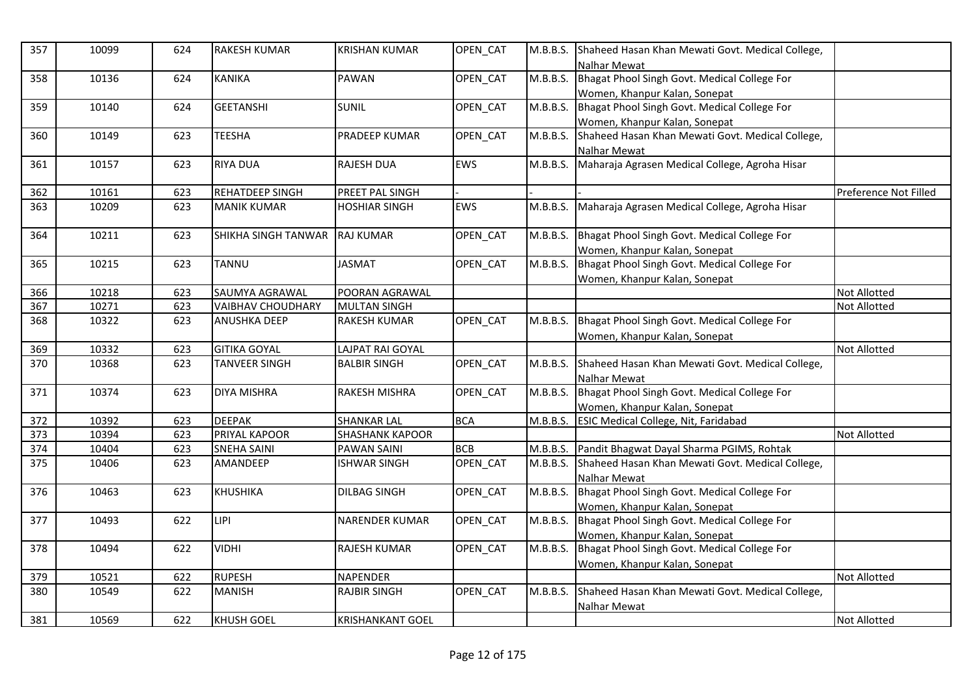| 357 | 10099 | 624 | <b>RAKESH KUMAR</b>      | <b>KRISHAN KUMAR</b>    | OPEN_CAT   | M.B.B.S. | Shaheed Hasan Khan Mewati Govt. Medical College,<br>Nalhar Mewat |                       |
|-----|-------|-----|--------------------------|-------------------------|------------|----------|------------------------------------------------------------------|-----------------------|
| 358 | 10136 | 624 | <b>KANIKA</b>            | <b>PAWAN</b>            | OPEN_CAT   | M.B.B.S. | Bhagat Phool Singh Govt. Medical College For                     |                       |
|     |       |     |                          |                         |            |          | Women, Khanpur Kalan, Sonepat                                    |                       |
| 359 | 10140 | 624 | <b>GEETANSHI</b>         | <b>SUNIL</b>            | OPEN CAT   | M.B.B.S. | Bhagat Phool Singh Govt. Medical College For                     |                       |
|     |       |     |                          |                         |            |          | Women, Khanpur Kalan, Sonepat                                    |                       |
| 360 | 10149 | 623 | <b>TEESHA</b>            | PRADEEP KUMAR           | OPEN CAT   | M.B.B.S. | Shaheed Hasan Khan Mewati Govt. Medical College,                 |                       |
|     |       |     |                          |                         |            |          | Nalhar Mewat                                                     |                       |
| 361 | 10157 | 623 | <b>RIYA DUA</b>          | RAJESH DUA              | EWS        | M.B.B.S. | Maharaja Agrasen Medical College, Agroha Hisar                   |                       |
|     |       |     |                          |                         |            |          |                                                                  |                       |
| 362 | 10161 | 623 | <b>REHATDEEP SINGH</b>   | PREET PAL SINGH         |            |          |                                                                  | Preference Not Filled |
| 363 | 10209 | 623 | <b>MANIK KUMAR</b>       | <b>HOSHIAR SINGH</b>    | EWS        | M.B.B.S. | Maharaja Agrasen Medical College, Agroha Hisar                   |                       |
|     |       |     |                          |                         |            |          |                                                                  |                       |
| 364 | 10211 | 623 | ISHIKHA SINGH TANWAR     | <b>RAJ KUMAR</b>        | OPEN_CAT   | M.B.B.S. | Bhagat Phool Singh Govt. Medical College For                     |                       |
|     |       |     |                          |                         |            |          | Women, Khanpur Kalan, Sonepat                                    |                       |
| 365 | 10215 | 623 | <b>TANNU</b>             | <b>JASMAT</b>           | OPEN CAT   | M.B.B.S. | Bhagat Phool Singh Govt. Medical College For                     |                       |
|     |       |     |                          |                         |            |          | Women, Khanpur Kalan, Sonepat                                    |                       |
| 366 | 10218 | 623 | SAUMYA AGRAWAL           | POORAN AGRAWAL          |            |          |                                                                  | Not Allotted          |
| 367 | 10271 | 623 | <b>VAIBHAV CHOUDHARY</b> | <b>MULTAN SINGH</b>     |            |          |                                                                  | <b>Not Allotted</b>   |
| 368 | 10322 | 623 | <b>ANUSHKA DEEP</b>      | <b>RAKESH KUMAR</b>     | OPEN CAT   | M.B.B.S. | Bhagat Phool Singh Govt. Medical College For                     |                       |
|     |       |     |                          |                         |            |          | Women, Khanpur Kalan, Sonepat                                    |                       |
| 369 | 10332 | 623 | <b>GITIKA GOYAL</b>      | LAJPAT RAI GOYAL        |            |          |                                                                  | <b>Not Allotted</b>   |
| 370 | 10368 | 623 | <b>TANVEER SINGH</b>     | <b>BALBIR SINGH</b>     | OPEN CAT   | M.B.B.S. | Shaheed Hasan Khan Mewati Govt. Medical College,                 |                       |
|     |       |     |                          |                         |            |          | <b>Nalhar Mewat</b>                                              |                       |
| 371 | 10374 | 623 | <b>DIYA MISHRA</b>       | <b>RAKESH MISHRA</b>    | OPEN CAT   | M.B.B.S. | Bhagat Phool Singh Govt. Medical College For                     |                       |
|     |       |     |                          |                         |            |          | Women, Khanpur Kalan, Sonepat                                    |                       |
| 372 | 10392 | 623 | <b>DEEPAK</b>            | <b>SHANKAR LAL</b>      | <b>BCA</b> | M.B.B.S. | <b>ESIC Medical College, Nit, Faridabad</b>                      |                       |
| 373 | 10394 | 623 | PRIYAL KAPOOR            | <b>SHASHANK KAPOOR</b>  |            |          |                                                                  | <b>Not Allotted</b>   |
| 374 | 10404 | 623 | <b>SNEHA SAINI</b>       | PAWAN SAINI             | <b>BCB</b> | M.B.B.S. | Pandit Bhagwat Dayal Sharma PGIMS, Rohtak                        |                       |
| 375 | 10406 | 623 | AMANDEEP                 | <b>ISHWAR SINGH</b>     | OPEN_CAT   | M.B.B.S. | Shaheed Hasan Khan Mewati Govt. Medical College,                 |                       |
|     |       |     |                          |                         |            |          | Nalhar Mewat                                                     |                       |
| 376 | 10463 | 623 | <b>KHUSHIKA</b>          | <b>DILBAG SINGH</b>     | OPEN CAT   | M.B.B.S. | Bhagat Phool Singh Govt. Medical College For                     |                       |
|     |       |     |                          |                         |            |          | Women, Khanpur Kalan, Sonepat                                    |                       |
| 377 | 10493 | 622 | LIPI                     | NARENDER KUMAR          | OPEN_CAT   | M.B.B.S. | Bhagat Phool Singh Govt. Medical College For                     |                       |
|     |       |     |                          |                         |            |          | Women, Khanpur Kalan, Sonepat                                    |                       |
| 378 | 10494 | 622 | <b>VIDHI</b>             | <b>RAJESH KUMAR</b>     | OPEN CAT   | M.B.B.S. | Bhagat Phool Singh Govt. Medical College For                     |                       |
|     |       |     |                          |                         |            |          | Women, Khanpur Kalan, Sonepat                                    |                       |
| 379 | 10521 | 622 | <b>RUPESH</b>            | NAPENDER                |            |          |                                                                  | <b>Not Allotted</b>   |
| 380 | 10549 | 622 | <b>MANISH</b>            | <b>RAJBIR SINGH</b>     | OPEN_CAT   | M.B.B.S. | Shaheed Hasan Khan Mewati Govt. Medical College,                 |                       |
|     |       |     |                          |                         |            |          | Nalhar Mewat                                                     |                       |
| 381 | 10569 | 622 | <b>KHUSH GOEL</b>        | <b>KRISHANKANT GOEL</b> |            |          |                                                                  | <b>Not Allotted</b>   |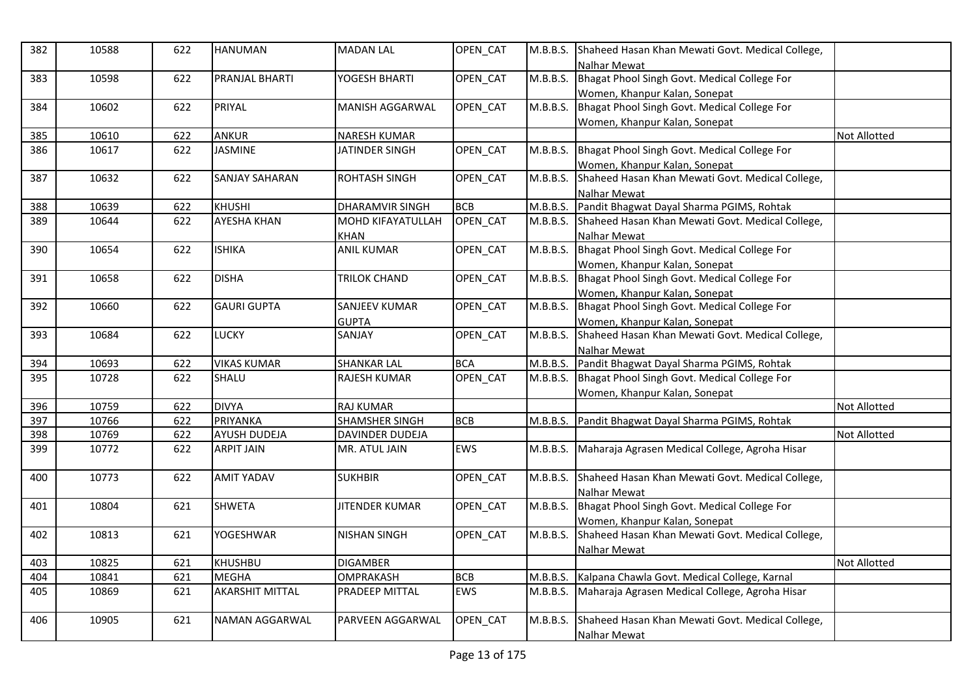| 382 | 10588 | 622 | <b>HANUMAN</b>         | <b>MADAN LAL</b>       | OPEN_CAT   | M.B.B.S. | Shaheed Hasan Khan Mewati Govt. Medical College,<br>Nalhar Mewat |                     |
|-----|-------|-----|------------------------|------------------------|------------|----------|------------------------------------------------------------------|---------------------|
| 383 | 10598 | 622 | PRANJAL BHARTI         | YOGESH BHARTI          | OPEN CAT   | M.B.B.S. | Bhagat Phool Singh Govt. Medical College For                     |                     |
|     |       |     |                        |                        |            |          | Women, Khanpur Kalan, Sonepat                                    |                     |
| 384 | 10602 | 622 | PRIYAL                 | MANISH AGGARWAL        | OPEN CAT   | M.B.B.S. | Bhagat Phool Singh Govt. Medical College For                     |                     |
|     |       |     |                        |                        |            |          | Women, Khanpur Kalan, Sonepat                                    |                     |
| 385 | 10610 | 622 | <b>ANKUR</b>           | <b>NARESH KUMAR</b>    |            |          |                                                                  | <b>Not Allotted</b> |
| 386 | 10617 | 622 | JASMINE                | JATINDER SINGH         | OPEN CAT   | M.B.B.S. | Bhagat Phool Singh Govt. Medical College For                     |                     |
|     |       |     |                        |                        |            |          | Women, Khanpur Kalan, Sonepat                                    |                     |
| 387 | 10632 | 622 | <b>SANJAY SAHARAN</b>  | <b>ROHTASH SINGH</b>   | OPEN_CAT   | M.B.B.S. | Shaheed Hasan Khan Mewati Govt. Medical College,                 |                     |
|     |       |     |                        |                        |            |          | Nalhar Mewat                                                     |                     |
| 388 | 10639 | 622 | <b>KHUSHI</b>          | <b>DHARAMVIR SINGH</b> | <b>BCB</b> | M.B.B.S. | Pandit Bhagwat Dayal Sharma PGIMS, Rohtak                        |                     |
| 389 | 10644 | 622 | <b>AYESHA KHAN</b>     | MOHD KIFAYATULLAH      | OPEN CAT   | M.B.B.S. | Shaheed Hasan Khan Mewati Govt. Medical College,                 |                     |
|     |       |     |                        | <b>KHAN</b>            |            |          | Nalhar Mewat                                                     |                     |
| 390 | 10654 | 622 | <b>ISHIKA</b>          | <b>ANIL KUMAR</b>      | OPEN CAT   | M.B.B.S. | Bhagat Phool Singh Govt. Medical College For                     |                     |
|     |       |     |                        |                        |            |          | Women, Khanpur Kalan, Sonepat                                    |                     |
| 391 | 10658 | 622 | <b>DISHA</b>           | <b>TRILOK CHAND</b>    | OPEN CAT   | M.B.B.S. | Bhagat Phool Singh Govt. Medical College For                     |                     |
|     |       |     |                        |                        |            |          | Women, Khanpur Kalan, Sonepat                                    |                     |
| 392 | 10660 | 622 | <b>GAURI GUPTA</b>     | <b>SANJEEV KUMAR</b>   | OPEN_CAT   | M.B.B.S. | Bhagat Phool Singh Govt. Medical College For                     |                     |
|     |       |     |                        | <b>GUPTA</b>           |            |          | Women, Khanpur Kalan, Sonepat                                    |                     |
| 393 | 10684 | 622 | LUCKY                  | SANJAY                 | OPEN_CAT   | M.B.B.S. | Shaheed Hasan Khan Mewati Govt. Medical College,                 |                     |
|     |       |     |                        |                        |            |          | <b>Nalhar Mewat</b>                                              |                     |
| 394 | 10693 | 622 | <b>VIKAS KUMAR</b>     | <b>SHANKAR LAL</b>     | <b>BCA</b> | M.B.B.S. | Pandit Bhagwat Dayal Sharma PGIMS, Rohtak                        |                     |
| 395 | 10728 | 622 | SHALU                  | <b>RAJESH KUMAR</b>    | OPEN CAT   |          | M.B.B.S. Bhagat Phool Singh Govt. Medical College For            |                     |
|     |       |     |                        |                        |            |          | Women. Khanpur Kalan. Sonepat                                    |                     |
| 396 | 10759 | 622 | <b>DIVYA</b>           | <b>RAJ KUMAR</b>       |            |          |                                                                  | Not Allotted        |
| 397 | 10766 | 622 | PRIYANKA               | <b>SHAMSHER SINGH</b>  | <b>BCB</b> | M.B.B.S. | Pandit Bhagwat Dayal Sharma PGIMS, Rohtak                        |                     |
| 398 | 10769 | 622 | AYUSH DUDEJA           | DAVINDER DUDEJA        |            |          |                                                                  | Not Allotted        |
| 399 | 10772 | 622 | <b>ARPIT JAIN</b>      | MR. ATUL JAIN          | <b>EWS</b> | M.B.B.S. | Maharaja Agrasen Medical College, Agroha Hisar                   |                     |
| 400 | 10773 | 622 | <b>AMIT YADAV</b>      | <b>SUKHBIR</b>         | OPEN_CAT   | M.B.B.S. | Shaheed Hasan Khan Mewati Govt. Medical College,                 |                     |
|     |       |     |                        |                        |            |          | Nalhar Mewat                                                     |                     |
| 401 | 10804 | 621 | <b>SHWETA</b>          | <b>JITENDER KUMAR</b>  | OPEN_CAT   |          | M.B.B.S. Bhagat Phool Singh Govt. Medical College For            |                     |
|     |       |     |                        |                        |            |          | Women, Khanpur Kalan, Sonepat                                    |                     |
| 402 | 10813 | 621 | <b>YOGESHWAR</b>       | <b>NISHAN SINGH</b>    | OPEN CAT   | M.B.B.S. | Shaheed Hasan Khan Mewati Govt. Medical College,                 |                     |
|     |       |     |                        |                        |            |          | Nalhar Mewat                                                     |                     |
| 403 | 10825 | 621 | <b>KHUSHBU</b>         | <b>DIGAMBER</b>        |            |          |                                                                  | <b>Not Allotted</b> |
| 404 | 10841 | 621 | <b>MEGHA</b>           | <b>OMPRAKASH</b>       | <b>BCB</b> | M.B.B.S. | Kalpana Chawla Govt. Medical College, Karnal                     |                     |
| 405 | 10869 | 621 | <b>AKARSHIT MITTAL</b> | PRADEEP MITTAL         | <b>EWS</b> | M.B.B.S. | Maharaja Agrasen Medical College, Agroha Hisar                   |                     |
|     |       |     |                        |                        |            |          |                                                                  |                     |
| 406 | 10905 | 621 | NAMAN AGGARWAL         | PARVEEN AGGARWAL       | OPEN_CAT   | M.B.B.S. | Shaheed Hasan Khan Mewati Govt. Medical College,                 |                     |
|     |       |     |                        |                        |            |          | <b>Nalhar Mewat</b>                                              |                     |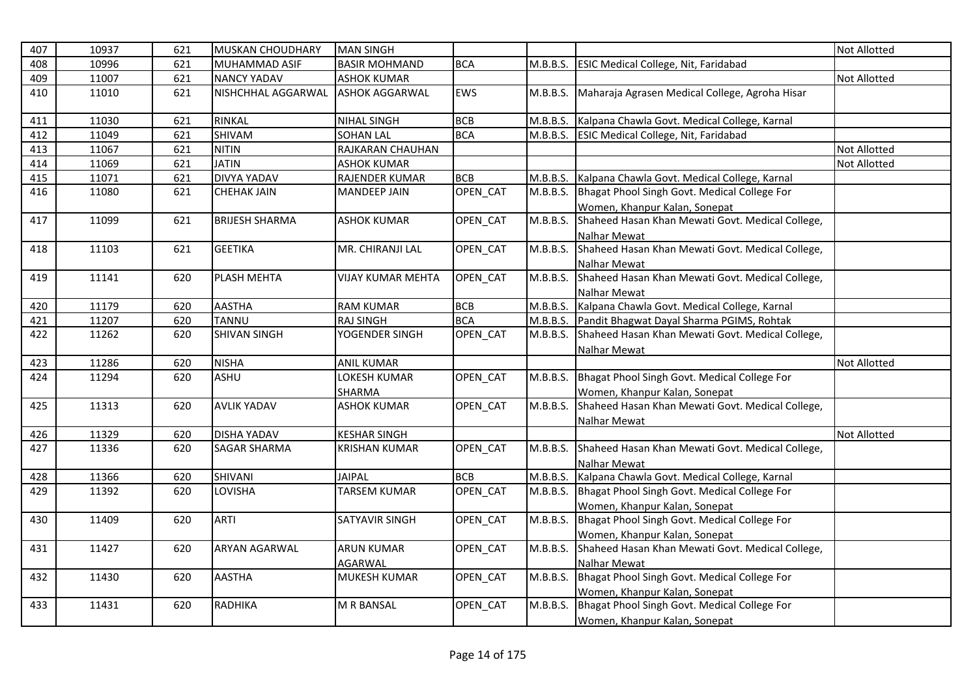| 407 | 10937 | 621 | <b>MUSKAN CHOUDHARY</b> | <b>MAN SINGH</b>      |            |          |                                                  | Not Allotted        |
|-----|-------|-----|-------------------------|-----------------------|------------|----------|--------------------------------------------------|---------------------|
| 408 | 10996 | 621 | MUHAMMAD ASIF           | <b>BASIR MOHMAND</b>  | <b>BCA</b> | M.B.B.S. | ESIC Medical College, Nit, Faridabad             |                     |
| 409 | 11007 | 621 | <b>NANCY YADAV</b>      | <b>ASHOK KUMAR</b>    |            |          |                                                  | <b>Not Allotted</b> |
| 410 | 11010 | 621 | NISHCHHAL AGGARWAL      | <b>ASHOK AGGARWAL</b> | EWS        | M.B.B.S. | Maharaja Agrasen Medical College, Agroha Hisar   |                     |
| 411 | 11030 | 621 | RINKAL                  | <b>NIHAL SINGH</b>    | <b>BCB</b> | M.B.B.S. | Kalpana Chawla Govt. Medical College, Karnal     |                     |
| 412 | 11049 | 621 | SHIVAM                  | <b>SOHAN LAL</b>      | <b>BCA</b> | M.B.B.S. | ESIC Medical College, Nit, Faridabad             |                     |
| 413 | 11067 | 621 | <b>NITIN</b>            | RAJKARAN CHAUHAN      |            |          |                                                  | Not Allotted        |
| 414 | 11069 | 621 | <b>JATIN</b>            | <b>ASHOK KUMAR</b>    |            |          |                                                  | Not Allotted        |
| 415 | 11071 | 621 | <b>DIVYA YADAV</b>      | RAJENDER KUMAR        | <b>BCB</b> | M.B.B.S. | Kalpana Chawla Govt. Medical College, Karnal     |                     |
| 416 | 11080 | 621 | <b>CHEHAK JAIN</b>      | <b>MANDEEP JAIN</b>   | OPEN_CAT   | M.B.B.S. | Bhagat Phool Singh Govt. Medical College For     |                     |
|     |       |     |                         |                       |            |          | Women, Khanpur Kalan, Sonepat                    |                     |
| 417 | 11099 | 621 | <b>BRIJESH SHARMA</b>   | <b>ASHOK KUMAR</b>    | OPEN_CAT   | M.B.B.S. | Shaheed Hasan Khan Mewati Govt. Medical College, |                     |
|     |       |     |                         |                       |            |          | <b>Nalhar Mewat</b>                              |                     |
| 418 | 11103 | 621 | <b>GEETIKA</b>          | MR. CHIRANJI LAL      | OPEN_CAT   | M.B.B.S. | Shaheed Hasan Khan Mewati Govt. Medical College, |                     |
|     |       |     |                         |                       |            |          | <b>Nalhar Mewat</b>                              |                     |
| 419 | 11141 | 620 | <b>PLASH MEHTA</b>      | VIJAY KUMAR MEHTA     | OPEN_CAT   | M.B.B.S. | Shaheed Hasan Khan Mewati Govt. Medical College, |                     |
|     |       |     |                         |                       |            |          | <b>Nalhar Mewat</b>                              |                     |
| 420 | 11179 | 620 | <b>AASTHA</b>           | <b>RAM KUMAR</b>      | <b>BCB</b> | M.B.B.S. | Kalpana Chawla Govt. Medical College, Karnal     |                     |
| 421 | 11207 | 620 | TANNU                   | <b>RAJ SINGH</b>      | <b>BCA</b> | M.B.B.S. | Pandit Bhagwat Dayal Sharma PGIMS, Rohtak        |                     |
| 422 | 11262 | 620 | <b>SHIVAN SINGH</b>     | YOGENDER SINGH        | OPEN_CAT   | M.B.B.S. | Shaheed Hasan Khan Mewati Govt. Medical College, |                     |
|     |       |     |                         |                       |            |          | Nalhar Mewat                                     |                     |
| 423 | 11286 | 620 | <b>NISHA</b>            | <b>ANIL KUMAR</b>     |            |          |                                                  | Not Allotted        |
| 424 | 11294 | 620 | <b>ASHU</b>             | <b>OKESH KUMAR</b>    | OPEN_CAT   | M.B.B.S. | Bhagat Phool Singh Govt. Medical College For     |                     |
|     |       |     |                         | <b>SHARMA</b>         |            |          | Women, Khanpur Kalan, Sonepat                    |                     |
| 425 | 11313 | 620 | <b>AVLIK YADAV</b>      | <b>ASHOK KUMAR</b>    | OPEN CAT   | M.B.B.S. | Shaheed Hasan Khan Mewati Govt. Medical College, |                     |
|     |       |     |                         |                       |            |          | Nalhar Mewat                                     |                     |
| 426 | 11329 | 620 | <b>DISHA YADAV</b>      | <b>KESHAR SINGH</b>   |            |          |                                                  | Not Allotted        |
| 427 | 11336 | 620 | <b>SAGAR SHARMA</b>     | KRISHAN KUMAR         | OPEN_CAT   | M.B.B.S. | Shaheed Hasan Khan Mewati Govt. Medical College, |                     |
|     |       |     |                         |                       |            |          | <b>Nalhar Mewat</b>                              |                     |
| 428 | 11366 | 620 | SHIVANI                 | <b>JAIPAL</b>         | <b>BCB</b> | M.B.B.S. | Kalpana Chawla Govt. Medical College, Karnal     |                     |
| 429 | 11392 | 620 | LOVISHA                 | <b>TARSEM KUMAR</b>   | OPEN_CAT   | M.B.B.S. | Bhagat Phool Singh Govt. Medical College For     |                     |
|     |       |     |                         |                       |            |          | Women, Khanpur Kalan, Sonepat                    |                     |
| 430 | 11409 | 620 | <b>ARTI</b>             | SATYAVIR SINGH        | OPEN CAT   | M.B.B.S. | Bhagat Phool Singh Govt. Medical College For     |                     |
|     |       |     |                         |                       |            |          | Women, Khanpur Kalan, Sonepat                    |                     |
| 431 | 11427 | 620 | ARYAN AGARWAL           | <b>ARUN KUMAR</b>     | OPEN_CAT   | M.B.B.S. | Shaheed Hasan Khan Mewati Govt. Medical College, |                     |
|     |       |     |                         | <b>AGARWAL</b>        |            |          | Nalhar Mewat                                     |                     |
| 432 | 11430 | 620 | <b>AASTHA</b>           | <b>MUKESH KUMAR</b>   | OPEN_CAT   | M.B.B.S. | Bhagat Phool Singh Govt. Medical College For     |                     |
|     |       |     |                         |                       |            |          | Women, Khanpur Kalan, Sonepat                    |                     |
| 433 | 11431 | 620 | <b>RADHIKA</b>          | M R BANSAL            | OPEN_CAT   | M.B.B.S. | Bhagat Phool Singh Govt. Medical College For     |                     |
|     |       |     |                         |                       |            |          | Women, Khanpur Kalan, Sonepat                    |                     |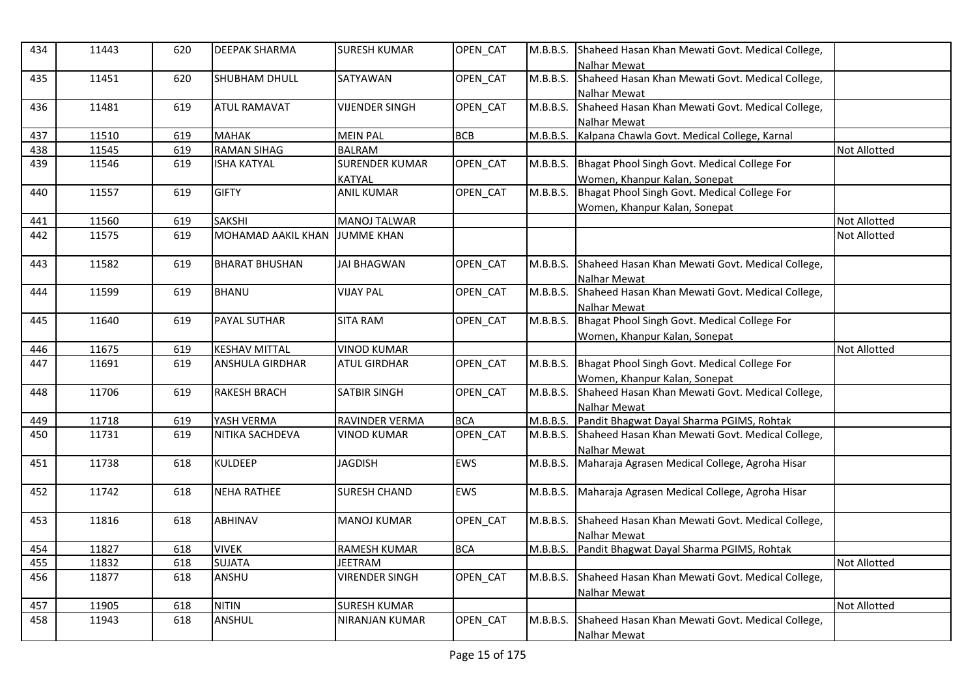| 434 | 11443 | 620 | <b>DEEPAK SHARMA</b>  | <b>SURESH KUMAR</b>   | OPEN CAT   | M.B.B.S. | Shaheed Hasan Khan Mewati Govt. Medical College,<br>Nalhar Mewat        |                     |
|-----|-------|-----|-----------------------|-----------------------|------------|----------|-------------------------------------------------------------------------|---------------------|
| 435 | 11451 | 620 | <b>SHUBHAM DHULL</b>  | SATYAWAN              | OPEN CAT   | M.B.B.S. | Shaheed Hasan Khan Mewati Govt. Medical College,<br>Nalhar Mewat        |                     |
| 436 | 11481 | 619 | <b>ATUL RAMAVAT</b>   | VIJENDER SINGH        | OPEN_CAT   | M.B.B.S. | Shaheed Hasan Khan Mewati Govt. Medical College,<br><b>Nalhar Mewat</b> |                     |
| 437 | 11510 | 619 | <b>MAHAK</b>          | <b>MEIN PAL</b>       | <b>BCB</b> | M.B.B.S. | Kalpana Chawla Govt. Medical College, Karnal                            |                     |
| 438 | 11545 | 619 | <b>RAMAN SIHAG</b>    | <b>BALRAM</b>         |            |          |                                                                         | Not Allotted        |
| 439 | 11546 | 619 | <b>ISHA KATYAL</b>    | <b>SURENDER KUMAR</b> | OPEN_CAT   | M.B.B.S. | Bhagat Phool Singh Govt. Medical College For                            |                     |
|     |       |     |                       | <b>KATYAL</b>         |            |          | Women, Khanpur Kalan, Sonepat                                           |                     |
| 440 | 11557 | 619 | <b>GIFTY</b>          | <b>ANIL KUMAR</b>     | OPEN_CAT   | M.B.B.S. | Bhagat Phool Singh Govt. Medical College For                            |                     |
|     |       |     |                       |                       |            |          | Women, Khanpur Kalan, Sonepat                                           |                     |
| 441 | 11560 | 619 | <b>SAKSHI</b>         | <b>MANOJ TALWAR</b>   |            |          |                                                                         | <b>Not Allotted</b> |
| 442 | 11575 | 619 | MOHAMAD AAKIL KHAN    | <b>JUMME KHAN</b>     |            |          |                                                                         | Not Allotted        |
| 443 | 11582 | 619 | <b>BHARAT BHUSHAN</b> | <b>JAI BHAGWAN</b>    | OPEN_CAT   | M.B.B.S. | Shaheed Hasan Khan Mewati Govt. Medical College,                        |                     |
|     |       |     |                       |                       |            |          | <b>Nalhar Mewat</b>                                                     |                     |
| 444 | 11599 | 619 | <b>BHANU</b>          | <b>VIJAY PAL</b>      | OPEN_CAT   | M.B.B.S. | Shaheed Hasan Khan Mewati Govt. Medical College,                        |                     |
|     |       |     |                       |                       |            |          | Nalhar Mewat                                                            |                     |
| 445 | 11640 | 619 | <b>PAYAL SUTHAR</b>   | <b>SITA RAM</b>       | OPEN_CAT   | M.B.B.S. | Bhagat Phool Singh Govt. Medical College For                            |                     |
|     |       |     |                       |                       |            |          | Women, Khanpur Kalan, Sonepat                                           |                     |
| 446 | 11675 | 619 | <b>KESHAV MITTAL</b>  | <b>VINOD KUMAR</b>    |            |          |                                                                         | <b>Not Allotted</b> |
| 447 | 11691 | 619 | ANSHULA GIRDHAR       | <b>ATUL GIRDHAR</b>   | OPEN_CAT   | M.B.B.S. | Bhagat Phool Singh Govt. Medical College For                            |                     |
|     |       |     |                       |                       |            |          | Women, Khanpur Kalan, Sonepat                                           |                     |
| 448 | 11706 | 619 | <b>RAKESH BRACH</b>   | SATBIR SINGH          | OPEN_CAT   | M.B.B.S. | Shaheed Hasan Khan Mewati Govt. Medical College,                        |                     |
|     |       |     |                       |                       |            |          | <b>Nalhar Mewat</b>                                                     |                     |
| 449 | 11718 | 619 | YASH VERMA            | RAVINDER VERMA        | <b>BCA</b> | M.B.B.S. | Pandit Bhagwat Dayal Sharma PGIMS, Rohtak                               |                     |
| 450 | 11731 | 619 | NITIKA SACHDEVA       | <b>VINOD KUMAR</b>    | OPEN_CAT   | M.B.B.S. | Shaheed Hasan Khan Mewati Govt. Medical College,                        |                     |
|     |       |     |                       |                       |            |          | <b>Nalhar Mewat</b>                                                     |                     |
| 451 | 11738 | 618 | <b>KULDEEP</b>        | <b>JAGDISH</b>        | <b>EWS</b> | M.B.B.S. | Maharaja Agrasen Medical College, Agroha Hisar                          |                     |
| 452 | 11742 | 618 | <b>NEHA RATHEE</b>    | <b>SURESH CHAND</b>   | <b>EWS</b> | M.B.B.S. | Maharaja Agrasen Medical College, Agroha Hisar                          |                     |
|     |       |     |                       |                       |            |          |                                                                         |                     |
| 453 | 11816 | 618 | ABHINAV               | <b>MANOJ KUMAR</b>    | OPEN_CAT   | M.B.B.S. | Shaheed Hasan Khan Mewati Govt. Medical College,                        |                     |
|     |       |     |                       |                       |            |          | Nalhar Mewat                                                            |                     |
| 454 | 11827 | 618 | <b>VIVEK</b>          | RAMESH KUMAR          | <b>BCA</b> | M.B.B.S. | Pandit Bhagwat Dayal Sharma PGIMS, Rohtak                               |                     |
| 455 | 11832 | 618 | <b>SUJATA</b>         | <b>JEETRAM</b>        |            |          |                                                                         | <b>Not Allotted</b> |
| 456 | 11877 | 618 | ANSHU                 | <b>VIRENDER SINGH</b> | OPEN_CAT   | M.B.B.S. | Shaheed Hasan Khan Mewati Govt. Medical College,<br>Nalhar Mewat        |                     |
| 457 | 11905 | 618 | <b>NITIN</b>          | <b>SURESH KUMAR</b>   |            |          |                                                                         | <b>Not Allotted</b> |
| 458 | 11943 | 618 | ANSHUL                | NIRANJAN KUMAR        | OPEN_CAT   | M.B.B.S. | Shaheed Hasan Khan Mewati Govt. Medical College,                        |                     |
|     |       |     |                       |                       |            |          | Nalhar Mewat                                                            |                     |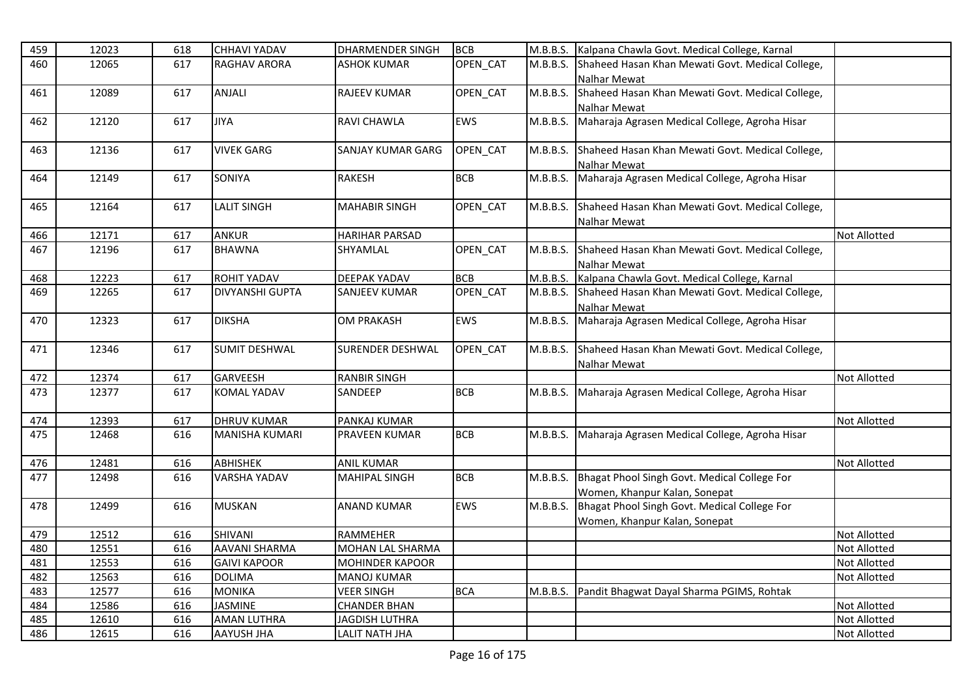| 459        | 12023 | 618 | <b>CHHAVI YADAV</b>    | <b>DHARMENDER SINGH</b>  | <b>BCB</b>      | M.B.B.S. | Kalpana Chawla Govt. Medical College, Karnal                   |                     |
|------------|-------|-----|------------------------|--------------------------|-----------------|----------|----------------------------------------------------------------|---------------------|
| 460        | 12065 | 617 | <b>RAGHAV ARORA</b>    | <b>ASHOK KUMAR</b>       | OPEN_CAT        | M.B.B.S. | Shaheed Hasan Khan Mewati Govt. Medical College,               |                     |
|            |       |     |                        |                          |                 |          | Nalhar Mewat                                                   |                     |
| 461        | 12089 | 617 | ANJALI                 | <b>RAJEEV KUMAR</b>      | OPEN CAT        | M.B.B.S. | Shaheed Hasan Khan Mewati Govt. Medical College,               |                     |
|            |       |     |                        |                          |                 |          | Nalhar Mewat                                                   |                     |
| 462        | 12120 | 617 | <b>JIYA</b>            | <b>RAVI CHAWLA</b>       | EWS             | M.B.B.S. | Maharaja Agrasen Medical College, Agroha Hisar                 |                     |
| 463        | 12136 | 617 | <b>VIVEK GARG</b>      | <b>SANJAY KUMAR GARG</b> | <b>OPEN CAT</b> | M.B.B.S. | Shaheed Hasan Khan Mewati Govt. Medical College,               |                     |
|            |       |     |                        |                          |                 |          | <b>Nalhar Mewat</b>                                            |                     |
| 464        | 12149 | 617 | <b>SONIYA</b>          | <b>RAKESH</b>            | <b>BCB</b>      | M.B.B.S. | Maharaja Agrasen Medical College, Agroha Hisar                 |                     |
| 465        | 12164 | 617 | <b>LALIT SINGH</b>     | <b>MAHABIR SINGH</b>     | OPEN CAT        | M.B.B.S. | Shaheed Hasan Khan Mewati Govt. Medical College,               |                     |
|            |       |     |                        |                          |                 |          | <b>Nalhar Mewat</b>                                            |                     |
| 466        | 12171 | 617 | <b>ANKUR</b>           | <b>HARIHAR PARSAD</b>    |                 |          |                                                                | <b>Not Allotted</b> |
| 467        | 12196 | 617 | <b>BHAWNA</b>          | SHYAMLAL                 | OPEN_CAT        | M.B.B.S. | Shaheed Hasan Khan Mewati Govt. Medical College,               |                     |
|            | 12223 | 617 | <b>ROHIT YADAV</b>     | <b>DEEPAK YADAV</b>      | <b>BCB</b>      | M.B.B.S. | Nalhar Mewat<br>Kalpana Chawla Govt. Medical College, Karnal   |                     |
| 468<br>469 |       |     | <b>DIVYANSHI GUPTA</b> |                          | OPEN_CAT        |          | Shaheed Hasan Khan Mewati Govt. Medical College,               |                     |
|            | 12265 | 617 |                        | <b>SANJEEV KUMAR</b>     |                 | M.B.B.S. |                                                                |                     |
| 470        | 12323 | 617 | <b>DIKSHA</b>          | <b>OM PRAKASH</b>        | EWS             | M.B.B.S. | Nalhar Mewat<br>Maharaja Agrasen Medical College, Agroha Hisar |                     |
|            |       |     |                        |                          |                 |          |                                                                |                     |
| 471        | 12346 | 617 | <b>SUMIT DESHWAL</b>   | <b>SURENDER DESHWAL</b>  | OPEN_CAT        | M.B.B.S. | Shaheed Hasan Khan Mewati Govt. Medical College,               |                     |
|            |       |     |                        |                          |                 |          | Nalhar Mewat                                                   |                     |
| 472        | 12374 | 617 | <b>GARVEESH</b>        | <b>RANBIR SINGH</b>      |                 |          |                                                                | <b>Not Allotted</b> |
| 473        | 12377 | 617 | <b>KOMAL YADAV</b>     | SANDEEP                  | <b>BCB</b>      | M.B.B.S. | Maharaja Agrasen Medical College, Agroha Hisar                 |                     |
|            |       |     |                        |                          |                 |          |                                                                |                     |
| 474        | 12393 | 617 | <b>DHRUV KUMAR</b>     | PANKAJ KUMAR             |                 |          |                                                                | <b>Not Allotted</b> |
| 475        | 12468 | 616 | MANISHA KUMARI         | <b>PRAVEEN KUMAR</b>     | <b>BCB</b>      | M.B.B.S. | Maharaja Agrasen Medical College, Agroha Hisar                 |                     |
| 476        | 12481 | 616 | <b>ABHISHEK</b>        | <b>ANIL KUMAR</b>        |                 |          |                                                                | <b>Not Allotted</b> |
| 477        | 12498 | 616 | VARSHA YADAV           | MAHIPAL SINGH            | <b>BCB</b>      | M.B.B.S. | Bhagat Phool Singh Govt. Medical College For                   |                     |
|            |       |     |                        |                          |                 |          | Women, Khanpur Kalan, Sonepat                                  |                     |
| 478        | 12499 | 616 | <b>MUSKAN</b>          | <b>ANAND KUMAR</b>       | <b>EWS</b>      | M.B.B.S. | Bhagat Phool Singh Govt. Medical College For                   |                     |
|            |       |     |                        |                          |                 |          | Women, Khanpur Kalan, Sonepat                                  |                     |
| 479        | 12512 | 616 | SHIVANI                | RAMMEHER                 |                 |          |                                                                | <b>Not Allotted</b> |
| 480        | 12551 | 616 | <b>AAVANI SHARMA</b>   | MOHAN LAL SHARMA         |                 |          |                                                                | Not Allotted        |
| 481        | 12553 | 616 | <b>GAIVI KAPOOR</b>    | <b>MOHINDER KAPOOR</b>   |                 |          |                                                                | <b>Not Allotted</b> |
| 482        | 12563 | 616 | <b>DOLIMA</b>          | <b>MANOJ KUMAR</b>       |                 |          |                                                                | <b>Not Allotted</b> |
| 483        | 12577 | 616 | <b>MONIKA</b>          | <b>VEER SINGH</b>        | <b>BCA</b>      | M.B.B.S. | Pandit Bhagwat Dayal Sharma PGIMS, Rohtak                      |                     |
| 484        | 12586 | 616 | <b>JASMINE</b>         | <b>CHANDER BHAN</b>      |                 |          |                                                                | <b>Not Allotted</b> |
| 485        | 12610 | 616 | <b>AMAN LUTHRA</b>     | <b>JAGDISH LUTHRA</b>    |                 |          |                                                                | <b>Not Allotted</b> |
| 486        | 12615 | 616 | <b>AAYUSH JHA</b>      | <b>LALIT NATH JHA</b>    |                 |          |                                                                | <b>Not Allotted</b> |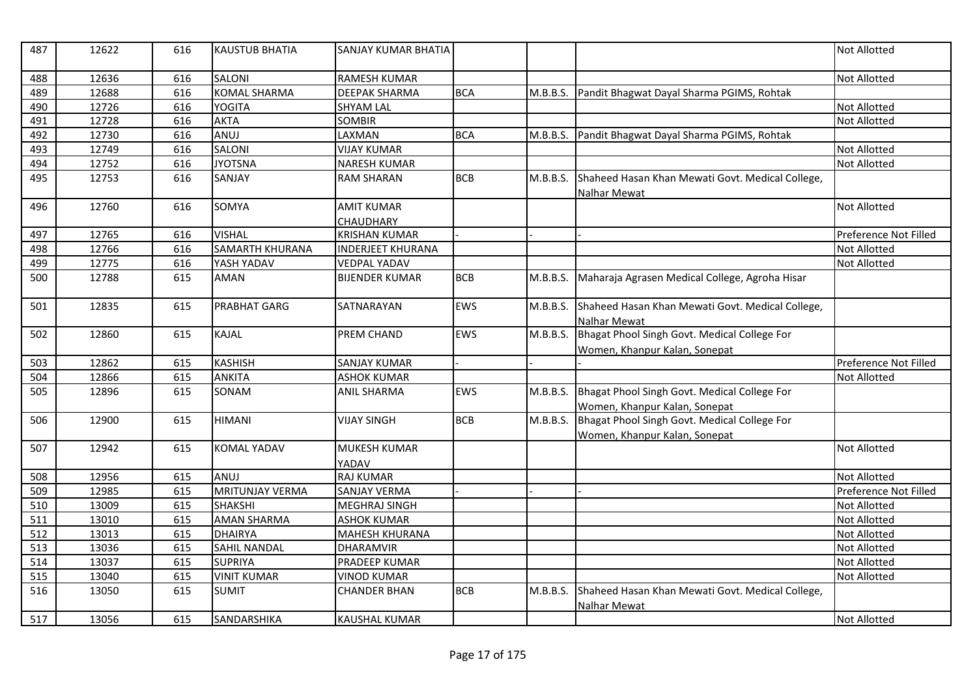| 487 | 12622 | 616 | <b>KAUSTUB BHATIA</b>  | SANJAY KUMAR BHATIA      |            |          |                                                                               | <b>Not Allotted</b>   |
|-----|-------|-----|------------------------|--------------------------|------------|----------|-------------------------------------------------------------------------------|-----------------------|
| 488 | 12636 | 616 | <b>SALONI</b>          | <b>RAMESH KUMAR</b>      |            |          |                                                                               | Not Allotted          |
| 489 | 12688 | 616 | <b>KOMAL SHARMA</b>    | <b>DEEPAK SHARMA</b>     | <b>BCA</b> | M.B.B.S. | Pandit Bhagwat Dayal Sharma PGIMS, Rohtak                                     |                       |
| 490 | 12726 | 616 | <b>YOGITA</b>          | <b>SHYAM LAL</b>         |            |          |                                                                               | <b>Not Allotted</b>   |
| 491 | 12728 | 616 | <b>AKTA</b>            | <b>SOMBIR</b>            |            |          |                                                                               | <b>Not Allotted</b>   |
| 492 | 12730 | 616 | ANUJ                   | LAXMAN                   | <b>BCA</b> | M.B.B.S. | Pandit Bhagwat Dayal Sharma PGIMS, Rohtak                                     |                       |
| 493 | 12749 | 616 | <b>SALONI</b>          | <b>VIJAY KUMAR</b>       |            |          |                                                                               | <b>Not Allotted</b>   |
| 494 | 12752 | 616 | <b>JYOTSNA</b>         | <b>NARESH KUMAR</b>      |            |          |                                                                               | <b>Not Allotted</b>   |
| 495 | 12753 | 616 | SANJAY                 | <b>RAM SHARAN</b>        | <b>BCB</b> | M.B.B.S. | Shaheed Hasan Khan Mewati Govt. Medical College,<br>Nalhar Mewat              |                       |
| 496 | 12760 | 616 | SOMYA                  | <b>AMIT KUMAR</b>        |            |          |                                                                               | <b>Not Allotted</b>   |
|     |       |     |                        | <b>CHAUDHARY</b>         |            |          |                                                                               |                       |
| 497 | 12765 | 616 | <b>VISHAL</b>          | <b>KRISHAN KUMAR</b>     |            |          |                                                                               | Preference Not Filled |
| 498 | 12766 | 616 | <b>SAMARTH KHURANA</b> | <b>INDERJEET KHURANA</b> |            |          |                                                                               | <b>Not Allotted</b>   |
| 499 | 12775 | 616 | YASH YADAV             | <b>VEDPAL YADAV</b>      |            |          |                                                                               | <b>Not Allotted</b>   |
| 500 | 12788 | 615 | <b>AMAN</b>            | <b>BIJENDER KUMAR</b>    | <b>BCB</b> | M.B.B.S. | Maharaja Agrasen Medical College, Agroha Hisar                                |                       |
| 501 | 12835 | 615 | <b>PRABHAT GARG</b>    | SATNARAYAN               | <b>EWS</b> | M.B.B.S. | Shaheed Hasan Khan Mewati Govt. Medical College,<br>Nalhar Mewat              |                       |
| 502 | 12860 | 615 | <b>KAJAL</b>           | <b>PREM CHAND</b>        | <b>EWS</b> | M.B.B.S. | Bhagat Phool Singh Govt. Medical College For                                  |                       |
|     |       |     |                        |                          |            |          | Women, Khanpur Kalan, Sonepat                                                 |                       |
| 503 | 12862 | 615 | <b>KASHISH</b>         | <b>SANJAY KUMAR</b>      |            |          |                                                                               | Preference Not Filled |
| 504 | 12866 | 615 | <b>ANKITA</b>          | <b>ASHOK KUMAR</b>       |            |          |                                                                               | <b>Not Allotted</b>   |
| 505 | 12896 | 615 | SONAM                  | <b>ANIL SHARMA</b>       | EWS        | M.B.B.S. | Bhagat Phool Singh Govt. Medical College For<br>Women, Khanpur Kalan, Sonepat |                       |
| 506 | 12900 | 615 | <b>HIMANI</b>          | <b>VIJAY SINGH</b>       | <b>BCB</b> | M.B.B.S. | Bhagat Phool Singh Govt. Medical College For                                  |                       |
|     |       |     |                        |                          |            |          | Women, Khanpur Kalan, Sonepat                                                 |                       |
| 507 | 12942 | 615 | <b>KOMAL YADAV</b>     | <b>MUKESH KUMAR</b>      |            |          |                                                                               | <b>Not Allotted</b>   |
|     |       |     |                        | YADAV                    |            |          |                                                                               |                       |
| 508 | 12956 | 615 | ANUJ                   | <b>RAJ KUMAR</b>         |            |          |                                                                               | <b>Not Allotted</b>   |
| 509 | 12985 | 615 | <b>MRITUNJAY VERMA</b> | <b>SANJAY VERMA</b>      |            |          |                                                                               | Preference Not Filled |
| 510 | 13009 | 615 | <b>SHAKSHI</b>         | MEGHRAJ SINGH            |            |          |                                                                               | Not Allotted          |
| 511 | 13010 | 615 | <b>AMAN SHARMA</b>     | <b>ASHOK KUMAR</b>       |            |          |                                                                               | <b>Not Allotted</b>   |
| 512 | 13013 | 615 | <b>DHAIRYA</b>         | <b>MAHESH KHURANA</b>    |            |          |                                                                               | <b>Not Allotted</b>   |
| 513 | 13036 | 615 | <b>SAHIL NANDAL</b>    | <b>DHARAMVIR</b>         |            |          |                                                                               | <b>Not Allotted</b>   |
| 514 | 13037 | 615 | <b>SUPRIYA</b>         | PRADEEP KUMAR            |            |          |                                                                               | <b>Not Allotted</b>   |
| 515 | 13040 | 615 | <b>VINIT KUMAR</b>     | <b>VINOD KUMAR</b>       |            |          |                                                                               | <b>Not Allotted</b>   |
| 516 | 13050 | 615 | <b>SUMIT</b>           | <b>CHANDER BHAN</b>      | <b>BCB</b> | M.B.B.S. | Shaheed Hasan Khan Mewati Govt. Medical College,<br>Nalhar Mewat              |                       |
| 517 | 13056 | 615 | SANDARSHIKA            | <b>KAUSHAL KUMAR</b>     |            |          |                                                                               | <b>Not Allotted</b>   |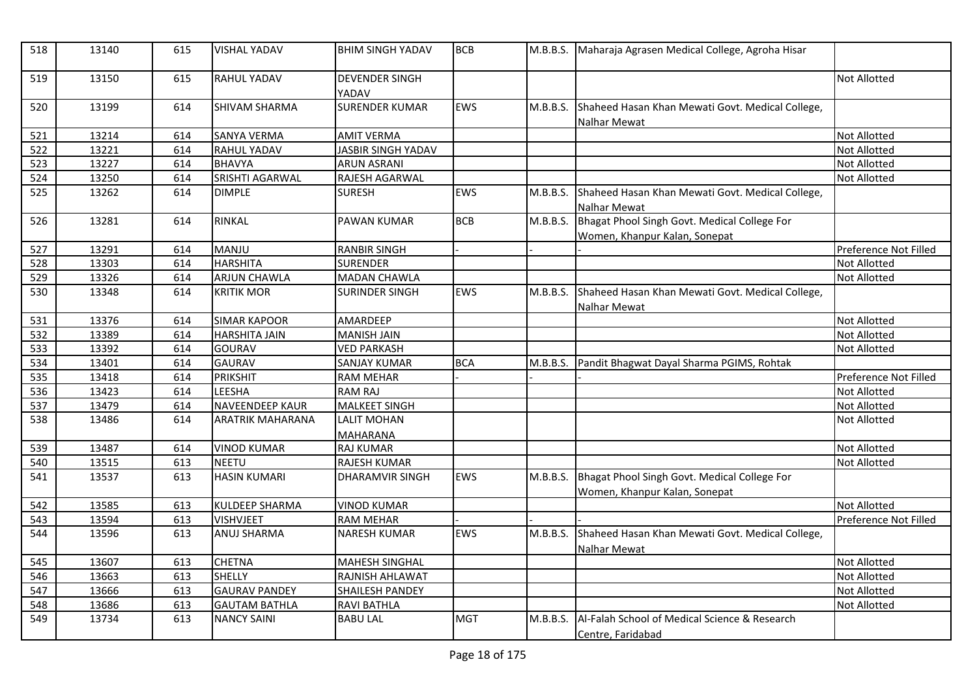| 518 | 13140 | 615 | <b>VISHAL YADAV</b>     | <b>BHIM SINGH YADAV</b>               | <b>BCB</b> | M.B.B.S. | Maharaja Agrasen Medical College, Agroha Hisar                                |                       |
|-----|-------|-----|-------------------------|---------------------------------------|------------|----------|-------------------------------------------------------------------------------|-----------------------|
| 519 | 13150 | 615 | <b>RAHUL YADAV</b>      | <b>DEVENDER SINGH</b><br>YADAV        |            |          |                                                                               | <b>Not Allotted</b>   |
| 520 | 13199 | 614 | SHIVAM SHARMA           | <b>SURENDER KUMAR</b>                 | <b>EWS</b> | M.B.B.S. | Shaheed Hasan Khan Mewati Govt. Medical College,<br>Nalhar Mewat              |                       |
| 521 | 13214 | 614 | <b>SANYA VERMA</b>      | <b>AMIT VERMA</b>                     |            |          |                                                                               | <b>Not Allotted</b>   |
| 522 | 13221 | 614 | RAHUL YADAV             | <b>JASBIR SINGH YADAV</b>             |            |          |                                                                               | <b>Not Allotted</b>   |
| 523 | 13227 | 614 | <b>BHAVYA</b>           | <b>ARUN ASRANI</b>                    |            |          |                                                                               | <b>Not Allotted</b>   |
| 524 | 13250 | 614 | SRISHTI AGARWAL         | RAJESH AGARWAL                        |            |          |                                                                               | <b>Not Allotted</b>   |
| 525 | 13262 | 614 | <b>DIMPLE</b>           | <b>SURESH</b>                         | <b>EWS</b> | M.B.B.S. | Shaheed Hasan Khan Mewati Govt. Medical College,<br>Nalhar Mewat              |                       |
| 526 | 13281 | 614 | <b>RINKAL</b>           | <b>PAWAN KUMAR</b>                    | <b>BCB</b> | M.B.B.S. | Bhagat Phool Singh Govt. Medical College For                                  |                       |
|     |       |     |                         |                                       |            |          | Women, Khanpur Kalan, Sonepat                                                 |                       |
| 527 | 13291 | 614 | MANJU                   | <b>RANBIR SINGH</b>                   |            |          |                                                                               | Preference Not Filled |
| 528 | 13303 | 614 | <b>HARSHITA</b>         | <b>SURENDER</b>                       |            |          |                                                                               | <b>Not Allotted</b>   |
| 529 | 13326 | 614 | <b>ARJUN CHAWLA</b>     | <b>MADAN CHAWLA</b>                   |            |          |                                                                               | <b>Not Allotted</b>   |
| 530 | 13348 | 614 | <b>KRITIK MOR</b>       | <b>SURINDER SINGH</b>                 | <b>EWS</b> | M.B.B.S. | Shaheed Hasan Khan Mewati Govt. Medical College,<br>Nalhar Mewat              |                       |
| 531 | 13376 | 614 | <b>SIMAR KAPOOR</b>     | AMARDEEP                              |            |          |                                                                               | <b>Not Allotted</b>   |
| 532 | 13389 | 614 | <b>HARSHITA JAIN</b>    | <b>MANISH JAIN</b>                    |            |          |                                                                               | <b>Not Allotted</b>   |
| 533 | 13392 | 614 | <b>GOURAV</b>           | <b>VED PARKASH</b>                    |            |          |                                                                               | Not Allotted          |
| 534 | 13401 | 614 | <b>GAURAV</b>           | <b>SANJAY KUMAR</b>                   | <b>BCA</b> | M.B.B.S. | Pandit Bhagwat Dayal Sharma PGIMS, Rohtak                                     |                       |
| 535 | 13418 | 614 | <b>PRIKSHIT</b>         | <b>RAM MEHAR</b>                      |            |          |                                                                               | Preference Not Filled |
| 536 | 13423 | 614 | LEESHA                  | <b>RAM RAJ</b>                        |            |          |                                                                               | <b>Not Allotted</b>   |
| 537 | 13479 | 614 | <b>NAVEENDEEP KAUR</b>  | <b>MALKEET SINGH</b>                  |            |          |                                                                               | <b>Not Allotted</b>   |
| 538 | 13486 | 614 | <b>ARATRIK MAHARANA</b> | <b>LALIT MOHAN</b><br><b>MAHARANA</b> |            |          |                                                                               | <b>Not Allotted</b>   |
| 539 | 13487 | 614 | <b>VINOD KUMAR</b>      | <b>RAJ KUMAR</b>                      |            |          |                                                                               | <b>Not Allotted</b>   |
| 540 | 13515 | 613 | <b>NEETU</b>            | RAJESH KUMAR                          |            |          |                                                                               | <b>Not Allotted</b>   |
| 541 | 13537 | 613 | <b>HASIN KUMARI</b>     | DHARAMVIR SINGH                       | EWS        | M.B.B.S. | Bhagat Phool Singh Govt. Medical College For<br>Women, Khanpur Kalan, Sonepat |                       |
| 542 | 13585 | 613 | <b>KULDEEP SHARMA</b>   | <b>VINOD KUMAR</b>                    |            |          |                                                                               | <b>Not Allotted</b>   |
| 543 | 13594 | 613 | <b>VISHVJEET</b>        | <b>RAM MEHAR</b>                      |            |          |                                                                               | Preference Not Filled |
| 544 | 13596 | 613 | <b>ANUJ SHARMA</b>      | <b>NARESH KUMAR</b>                   | <b>EWS</b> | M.B.B.S. | Shaheed Hasan Khan Mewati Govt. Medical College,<br>Nalhar Mewat              |                       |
| 545 | 13607 | 613 | <b>CHETNA</b>           | <b>MAHESH SINGHAL</b>                 |            |          |                                                                               | Not Allotted          |
| 546 | 13663 | 613 | <b>SHELLY</b>           | RAJNISH AHLAWAT                       |            |          |                                                                               | <b>Not Allotted</b>   |
| 547 | 13666 | 613 | <b>GAURAV PANDEY</b>    | <b>SHAILESH PANDEY</b>                |            |          |                                                                               | <b>Not Allotted</b>   |
| 548 | 13686 | 613 | <b>GAUTAM BATHLA</b>    | <b>RAVI BATHLA</b>                    |            |          |                                                                               | <b>Not Allotted</b>   |
| 549 | 13734 | 613 | <b>NANCY SAINI</b>      | <b>BABU LAL</b>                       | <b>MGT</b> | M.B.B.S. | Al-Falah School of Medical Science & Research<br>Centre, Faridabad            |                       |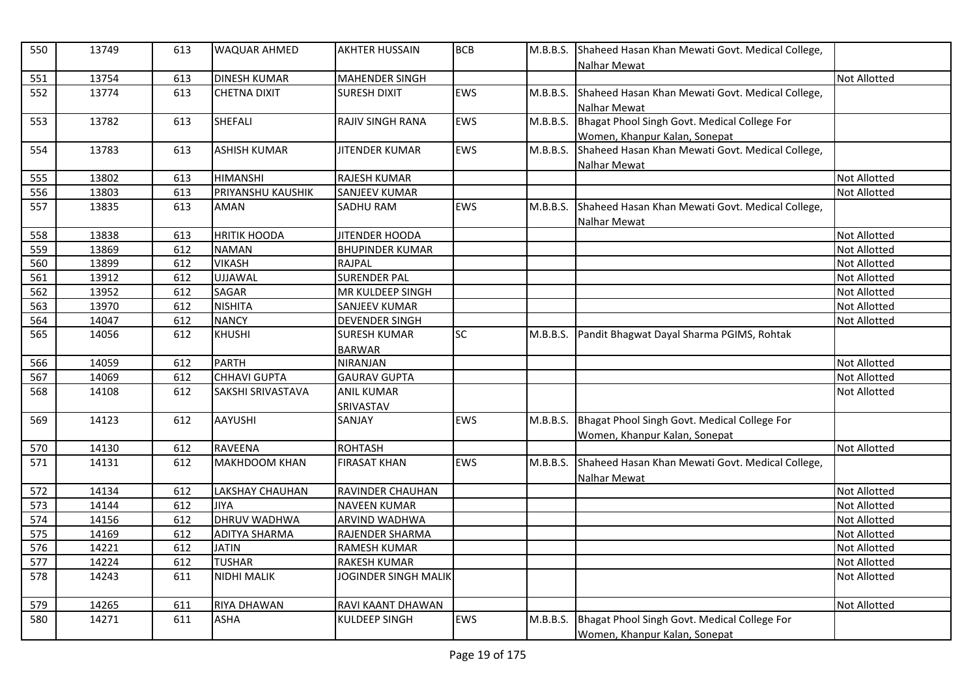| 550 | 13749 | 613 | <b>WAQUAR AHMED</b>  | <b>AKHTER HUSSAIN</b>   | <b>BCB</b> | M.B.B.S. | Shaheed Hasan Khan Mewati Govt. Medical College,<br><b>Nalhar Mewat</b> |                     |
|-----|-------|-----|----------------------|-------------------------|------------|----------|-------------------------------------------------------------------------|---------------------|
| 551 | 13754 | 613 | <b>DINESH KUMAR</b>  | <b>MAHENDER SINGH</b>   |            |          |                                                                         | <b>Not Allotted</b> |
| 552 | 13774 | 613 | <b>CHETNA DIXIT</b>  | <b>SURESH DIXIT</b>     | <b>EWS</b> | M.B.B.S. | Shaheed Hasan Khan Mewati Govt. Medical College,                        |                     |
|     |       |     |                      |                         |            |          | Nalhar Mewat                                                            |                     |
| 553 | 13782 | 613 | SHEFALI              | <b>RAJIV SINGH RANA</b> | <b>EWS</b> | M.B.B.S. | Bhagat Phool Singh Govt. Medical College For                            |                     |
|     |       |     |                      |                         |            |          | Women, Khanpur Kalan, Sonepat                                           |                     |
| 554 | 13783 | 613 | <b>ASHISH KUMAR</b>  | <b>JITENDER KUMAR</b>   | <b>EWS</b> | M.B.B.S. | Shaheed Hasan Khan Mewati Govt. Medical College,                        |                     |
|     |       |     |                      |                         |            |          | Nalhar Mewat                                                            |                     |
| 555 | 13802 | 613 | <b>HIMANSHI</b>      | RAJESH KUMAR            |            |          |                                                                         | Not Allotted        |
| 556 | 13803 | 613 | PRIYANSHU KAUSHIK    | <b>SANJEEV KUMAR</b>    |            |          |                                                                         | Not Allotted        |
| 557 | 13835 | 613 | <b>AMAN</b>          | <b>SADHU RAM</b>        | EWS        | M.B.B.S. | Shaheed Hasan Khan Mewati Govt. Medical College,                        |                     |
|     |       |     |                      |                         |            |          | Nalhar Mewat                                                            |                     |
| 558 | 13838 | 613 | <b>HRITIK HOODA</b>  | JITENDER HOODA          |            |          |                                                                         | <b>Not Allotted</b> |
| 559 | 13869 | 612 | <b>NAMAN</b>         | <b>BHUPINDER KUMAR</b>  |            |          |                                                                         | Not Allotted        |
| 560 | 13899 | 612 | <b>VIKASH</b>        | <b>RAJPAL</b>           |            |          |                                                                         | <b>Not Allotted</b> |
| 561 | 13912 | 612 | UJJAWAL              | <b>SURENDER PAL</b>     |            |          |                                                                         | <b>Not Allotted</b> |
| 562 | 13952 | 612 | <b>SAGAR</b>         | MR KULDEEP SINGH        |            |          |                                                                         | <b>Not Allotted</b> |
| 563 | 13970 | 612 | <b>NISHITA</b>       | SANJEEV KUMAR           |            |          |                                                                         | <b>Not Allotted</b> |
| 564 | 14047 | 612 | <b>NANCY</b>         | <b>DEVENDER SINGH</b>   |            |          |                                                                         | Not Allotted        |
| 565 | 14056 | 612 | <b>KHUSHI</b>        | <b>SURESH KUMAR</b>     | SC         | M.B.B.S. | Pandit Bhagwat Dayal Sharma PGIMS, Rohtak                               |                     |
|     |       |     |                      | <b>BARWAR</b>           |            |          |                                                                         |                     |
| 566 | 14059 | 612 | <b>PARTH</b>         | <b>NIRANJAN</b>         |            |          |                                                                         | <b>Not Allotted</b> |
| 567 | 14069 | 612 | <b>CHHAVI GUPTA</b>  | <b>GAURAV GUPTA</b>     |            |          |                                                                         | Not Allotted        |
| 568 | 14108 | 612 | SAKSHI SRIVASTAVA    | <b>ANIL KUMAR</b>       |            |          |                                                                         | <b>Not Allotted</b> |
|     |       |     |                      | SRIVASTAV               |            |          |                                                                         |                     |
| 569 | 14123 | 612 | <b>AAYUSHI</b>       | SANJAY                  | <b>EWS</b> | M.B.B.S. | Bhagat Phool Singh Govt. Medical College For                            |                     |
|     |       |     |                      |                         |            |          | Women, Khanpur Kalan, Sonepat                                           |                     |
| 570 | 14130 | 612 | <b>RAVEENA</b>       | <b>ROHTASH</b>          |            |          |                                                                         | <b>Not Allotted</b> |
| 571 | 14131 | 612 | <b>MAKHDOOM KHAN</b> | <b>FIRASAT KHAN</b>     | <b>EWS</b> | M.B.B.S. | Shaheed Hasan Khan Mewati Govt. Medical College,                        |                     |
|     |       |     |                      |                         |            |          | Nalhar Mewat                                                            |                     |
| 572 | 14134 | 612 | LAKSHAY CHAUHAN      | RAVINDER CHAUHAN        |            |          |                                                                         | <b>Not Allotted</b> |
| 573 | 14144 | 612 | <b>JIYA</b>          | <b>NAVEEN KUMAR</b>     |            |          |                                                                         | <b>Not Allotted</b> |
| 574 | 14156 | 612 | <b>DHRUV WADHWA</b>  | <b>ARVIND WADHWA</b>    |            |          |                                                                         | <b>Not Allotted</b> |
| 575 | 14169 | 612 | <b>ADITYA SHARMA</b> | RAJENDER SHARMA         |            |          |                                                                         | <b>Not Allotted</b> |
| 576 | 14221 | 612 | <b>JATIN</b>         | <b>RAMESH KUMAR</b>     |            |          |                                                                         | <b>Not Allotted</b> |
| 577 | 14224 | 612 | <b>TUSHAR</b>        | <b>RAKESH KUMAR</b>     |            |          |                                                                         | Not Allotted        |
| 578 | 14243 | 611 | <b>NIDHI MALIK</b>   | JOGINDER SINGH MALIK    |            |          |                                                                         | Not Allotted        |
|     |       |     |                      |                         |            |          |                                                                         |                     |
| 579 | 14265 | 611 | <b>RIYA DHAWAN</b>   | RAVI KAANT DHAWAN       |            |          |                                                                         | <b>Not Allotted</b> |
| 580 | 14271 | 611 | <b>ASHA</b>          | KULDEEP SINGH           | <b>EWS</b> | M.B.B.S. | Bhagat Phool Singh Govt. Medical College For                            |                     |
|     |       |     |                      |                         |            |          | Women, Khanpur Kalan, Sonepat                                           |                     |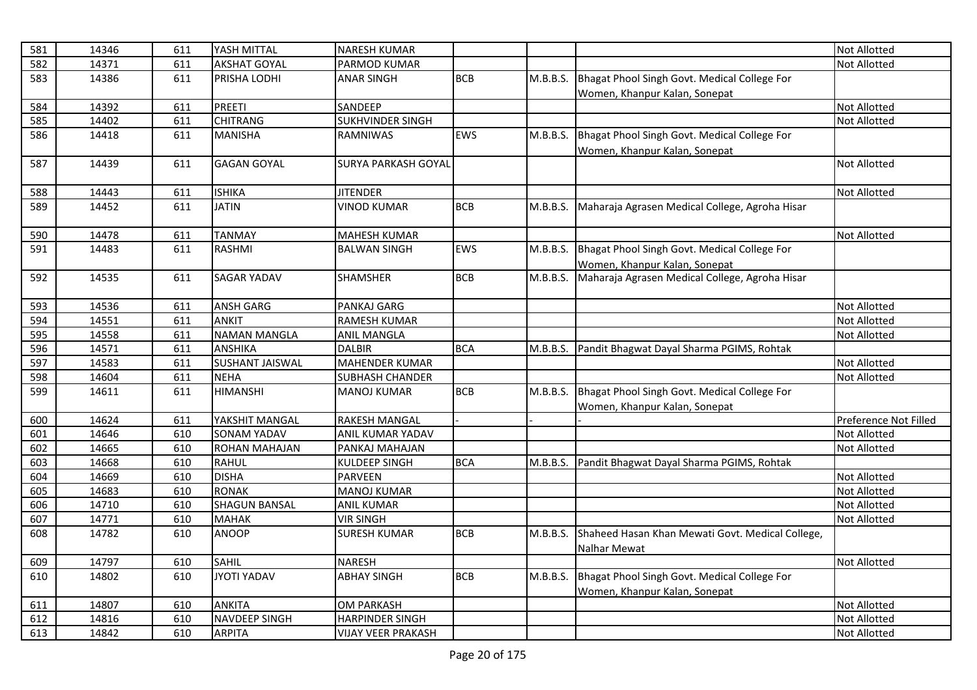| 581 | 14346 | 611 | YASH MITTAL            | <b>NARESH KUMAR</b>        |            |          |                                                  | <b>Not Allotted</b>   |
|-----|-------|-----|------------------------|----------------------------|------------|----------|--------------------------------------------------|-----------------------|
| 582 | 14371 | 611 | <b>AKSHAT GOYAL</b>    | PARMOD KUMAR               |            |          |                                                  | <b>Not Allotted</b>   |
| 583 | 14386 | 611 | PRISHA LODHI           | <b>ANAR SINGH</b>          | <b>BCB</b> | M.B.B.S. | Bhagat Phool Singh Govt. Medical College For     |                       |
|     |       |     |                        |                            |            |          | Women, Khanpur Kalan, Sonepat                    |                       |
| 584 | 14392 | 611 | <b>PREETI</b>          | SANDEEP                    |            |          |                                                  | <b>Not Allotted</b>   |
| 585 | 14402 | 611 | <b>CHITRANG</b>        | SUKHVINDER SINGH           |            |          |                                                  | Not Allotted          |
| 586 | 14418 | 611 | <b>MANISHA</b>         | <b>RAMNIWAS</b>            | <b>EWS</b> | M.B.B.S. | Bhagat Phool Singh Govt. Medical College For     |                       |
|     |       |     |                        |                            |            |          | Women, Khanpur Kalan, Sonepat                    |                       |
| 587 | 14439 | 611 | <b>GAGAN GOYAL</b>     | <b>SURYA PARKASH GOYAL</b> |            |          |                                                  | <b>Not Allotted</b>   |
|     |       |     |                        |                            |            |          |                                                  |                       |
| 588 | 14443 | 611 | <b>ISHIKA</b>          | <b>JITENDER</b>            |            |          |                                                  | Not Allotted          |
| 589 | 14452 | 611 | <b>JATIN</b>           | <b>VINOD KUMAR</b>         | <b>BCB</b> | M.B.B.S. | Maharaja Agrasen Medical College, Agroha Hisar   |                       |
|     |       |     |                        |                            |            |          |                                                  |                       |
| 590 | 14478 | 611 | <b>TANMAY</b>          | MAHESH KUMAR               |            |          |                                                  | <b>Not Allotted</b>   |
| 591 | 14483 | 611 | RASHMI                 | <b>BALWAN SINGH</b>        | EWS        | M.B.B.S. | Bhagat Phool Singh Govt. Medical College For     |                       |
|     |       |     |                        |                            |            |          | Women, Khanpur Kalan, Sonepat                    |                       |
| 592 | 14535 | 611 | <b>SAGAR YADAV</b>     | <b>SHAMSHER</b>            | <b>BCB</b> | M.B.B.S. | Maharaja Agrasen Medical College, Agroha Hisar   |                       |
|     |       |     |                        |                            |            |          |                                                  |                       |
| 593 | 14536 | 611 | <b>ANSH GARG</b>       | PANKAJ GARG                |            |          |                                                  | Not Allotted          |
| 594 | 14551 | 611 | <b>ANKIT</b>           | <b>RAMESH KUMAR</b>        |            |          |                                                  | Not Allotted          |
| 595 | 14558 | 611 | <b>NAMAN MANGLA</b>    | <b>ANIL MANGLA</b>         |            |          |                                                  | Not Allotted          |
| 596 | 14571 | 611 | <b>ANSHIKA</b>         | <b>DALBIR</b>              | <b>BCA</b> | M.B.B.S. | Pandit Bhagwat Dayal Sharma PGIMS, Rohtak        |                       |
| 597 | 14583 | 611 | <b>SUSHANT JAISWAL</b> | MAHENDER KUMAR             |            |          |                                                  | <b>Not Allotted</b>   |
| 598 | 14604 | 611 | <b>NEHA</b>            | <b>SUBHASH CHANDER</b>     |            |          |                                                  | <b>Not Allotted</b>   |
| 599 | 14611 | 611 | <b>HIMANSHI</b>        | <b>MANOJ KUMAR</b>         | <b>BCB</b> | M.B.B.S. | Bhagat Phool Singh Govt. Medical College For     |                       |
|     |       |     |                        |                            |            |          | Women, Khanpur Kalan, Sonepat                    |                       |
| 600 | 14624 | 611 | YAKSHIT MANGAL         | <b>RAKESH MANGAL</b>       |            |          |                                                  | Preference Not Filled |
| 601 | 14646 | 610 | <b>SONAM YADAV</b>     | <b>ANIL KUMAR YADAV</b>    |            |          |                                                  | Not Allotted          |
| 602 | 14665 | 610 | <b>ROHAN MAHAJAN</b>   | PANKAJ MAHAJAN             |            |          |                                                  | Not Allotted          |
| 603 | 14668 | 610 | <b>RAHUL</b>           | KULDEEP SINGH              | <b>BCA</b> | M.B.B.S. | Pandit Bhagwat Dayal Sharma PGIMS, Rohtak        |                       |
| 604 | 14669 | 610 | <b>DISHA</b>           | <b>PARVEEN</b>             |            |          |                                                  | Not Allotted          |
| 605 | 14683 | 610 | <b>RONAK</b>           | <b>MANOJ KUMAR</b>         |            |          |                                                  | <b>Not Allotted</b>   |
| 606 | 14710 | 610 | <b>SHAGUN BANSAL</b>   | <b>ANIL KUMAR</b>          |            |          |                                                  | <b>Not Allotted</b>   |
| 607 | 14771 | 610 | <b>MAHAK</b>           | <b>VIR SINGH</b>           |            |          |                                                  | Not Allotted          |
| 608 | 14782 | 610 | <b>ANOOP</b>           | <b>SURESH KUMAR</b>        | <b>BCB</b> | M.B.B.S. | Shaheed Hasan Khan Mewati Govt. Medical College, |                       |
|     |       |     |                        |                            |            |          | Nalhar Mewat                                     |                       |
| 609 | 14797 | 610 | <b>SAHIL</b>           | <b>NARESH</b>              |            |          |                                                  | <b>Not Allotted</b>   |
| 610 | 14802 | 610 | <b>JYOTI YADAV</b>     | <b>ABHAY SINGH</b>         | <b>BCB</b> | M.B.B.S. | Bhagat Phool Singh Govt. Medical College For     |                       |
|     |       |     |                        |                            |            |          | Women, Khanpur Kalan, Sonepat                    |                       |
| 611 | 14807 | 610 | <b>ANKITA</b>          | <b>OM PARKASH</b>          |            |          |                                                  | Not Allotted          |
| 612 | 14816 | 610 | <b>NAVDEEP SINGH</b>   | <b>HARPINDER SINGH</b>     |            |          |                                                  | <b>Not Allotted</b>   |
| 613 | 14842 | 610 | <b>ARPITA</b>          | <b>VIJAY VEER PRAKASH</b>  |            |          |                                                  | <b>Not Allotted</b>   |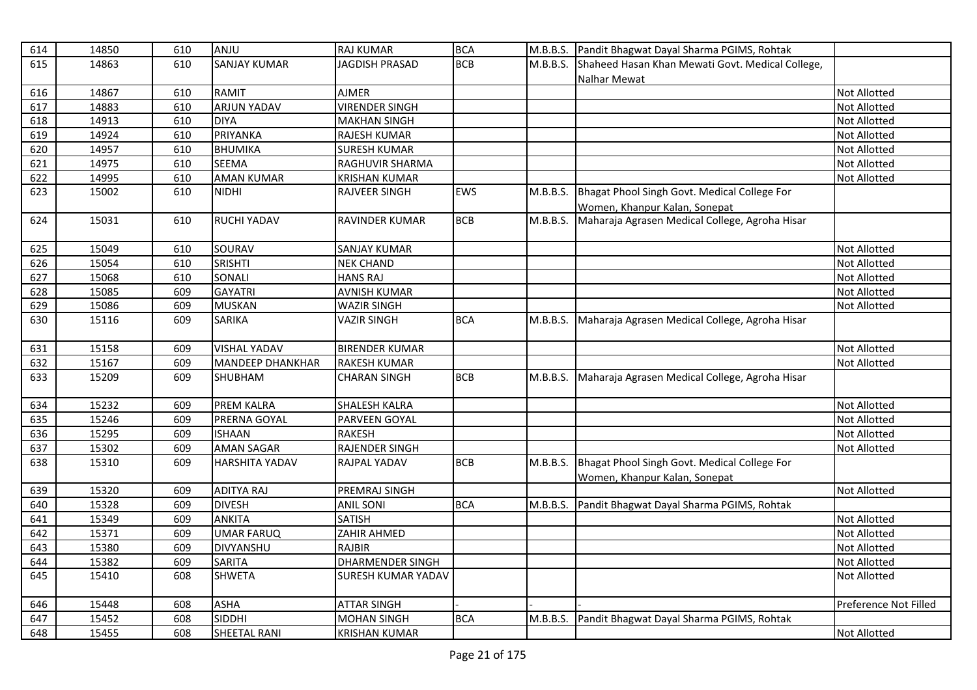| <b>BCB</b><br><b>SANJAY KUMAR</b><br><b>JAGDISH PRASAD</b><br>M.B.B.S.<br>615<br>14863<br>610<br>Shaheed Hasan Khan Mewati Govt. Medical College,<br>Nalhar Mewat<br><b>RAMIT</b><br>616<br>14867<br>610<br><b>AJMER</b><br>617<br>610<br><b>ARJUN YADAV</b><br><b>VIRENDER SINGH</b><br>14883<br><b>DIYA</b><br>618<br>14913<br>610<br><b>MAKHAN SINGH</b><br>PRIYANKA<br>14924<br>610<br>619<br><b>RAJESH KUMAR</b> | Not Allotted<br>Not Allotted<br>Not Allotted<br>Not Allotted<br>Not Allotted<br>Not Allotted |
|-----------------------------------------------------------------------------------------------------------------------------------------------------------------------------------------------------------------------------------------------------------------------------------------------------------------------------------------------------------------------------------------------------------------------|----------------------------------------------------------------------------------------------|
|                                                                                                                                                                                                                                                                                                                                                                                                                       |                                                                                              |
|                                                                                                                                                                                                                                                                                                                                                                                                                       |                                                                                              |
|                                                                                                                                                                                                                                                                                                                                                                                                                       |                                                                                              |
|                                                                                                                                                                                                                                                                                                                                                                                                                       |                                                                                              |
|                                                                                                                                                                                                                                                                                                                                                                                                                       |                                                                                              |
|                                                                                                                                                                                                                                                                                                                                                                                                                       |                                                                                              |
| <b>BHUMIKA</b><br>620<br>610<br><b>SURESH KUMAR</b><br>14957                                                                                                                                                                                                                                                                                                                                                          |                                                                                              |
| 621<br>14975<br>610<br><b>SEEMA</b><br>RAGHUVIR SHARMA                                                                                                                                                                                                                                                                                                                                                                |                                                                                              |
| 622<br>610<br><b>AMAN KUMAR</b><br>14995<br><b>KRISHAN KUMAR</b>                                                                                                                                                                                                                                                                                                                                                      | Not Allotted                                                                                 |
| 15002<br>610<br><b>NIDHI</b><br><b>RAJVEER SINGH</b><br>EWS<br>Bhagat Phool Singh Govt. Medical College For<br>623<br>M.B.B.S.                                                                                                                                                                                                                                                                                        |                                                                                              |
| Women, Khanpur Kalan, Sonepat                                                                                                                                                                                                                                                                                                                                                                                         |                                                                                              |
| <b>BCB</b><br>Maharaja Agrasen Medical College, Agroha Hisar<br>624<br>15031<br>610<br><b>RUCHI YADAV</b><br><b>RAVINDER KUMAR</b><br>M.B.B.S.                                                                                                                                                                                                                                                                        |                                                                                              |
| 15049<br>SOURAV<br>625<br>610<br><b>SANJAY KUMAR</b>                                                                                                                                                                                                                                                                                                                                                                  | Not Allotted                                                                                 |
| <b>SRISHTI</b><br>15054<br>610<br><b>NEK CHAND</b><br>626                                                                                                                                                                                                                                                                                                                                                             | Not Allotted                                                                                 |
| SONALI<br>627<br>15068<br>610<br><b>HANS RAJ</b>                                                                                                                                                                                                                                                                                                                                                                      | Not Allotted                                                                                 |
| 15085<br>609<br><b>GAYATRI</b><br>628<br>AVNISH KUMAR                                                                                                                                                                                                                                                                                                                                                                 | Not Allotted                                                                                 |
| <b>MUSKAN</b><br>629<br>15086<br>609<br><b>WAZIR SINGH</b>                                                                                                                                                                                                                                                                                                                                                            | Not Allotted                                                                                 |
| 609<br><b>SARIKA</b><br><b>BCA</b><br>630<br>15116<br><b>VAZIR SINGH</b><br>Maharaja Agrasen Medical College, Agroha Hisar<br>M.B.B.S.                                                                                                                                                                                                                                                                                |                                                                                              |
| 15158<br>609<br><b>VISHAL YADAV</b><br><b>BIRENDER KUMAR</b><br>631                                                                                                                                                                                                                                                                                                                                                   | Not Allotted                                                                                 |
| 15167<br>609<br>MANDEEP DHANKHAR<br>632<br>RAKESH KUMAR                                                                                                                                                                                                                                                                                                                                                               | Not Allotted                                                                                 |
| 15209<br>609<br><b>BCB</b><br>Maharaja Agrasen Medical College, Agroha Hisar<br>633<br>SHUBHAM<br><b>CHARAN SINGH</b><br>M.B.B.S.                                                                                                                                                                                                                                                                                     |                                                                                              |
| 15232<br>PREM KALRA<br>SHALESH KALRA<br>634<br>609                                                                                                                                                                                                                                                                                                                                                                    | Not Allotted                                                                                 |
| 635<br>15246<br>609<br>PRERNA GOYAL<br>PARVEEN GOYAL                                                                                                                                                                                                                                                                                                                                                                  | Not Allotted                                                                                 |
| 15295<br>609<br><b>ISHAAN</b><br><b>RAKESH</b><br>636                                                                                                                                                                                                                                                                                                                                                                 | Not Allotted                                                                                 |
| 15302<br>609<br><b>AMAN SAGAR</b><br><b>RAJENDER SINGH</b><br>637                                                                                                                                                                                                                                                                                                                                                     | Not Allotted                                                                                 |
| Bhagat Phool Singh Govt. Medical College For<br>638<br>15310<br>609<br><b>HARSHITA YADAV</b><br><b>RAJPAL YADAV</b><br><b>BCB</b><br>M.B.B.S.                                                                                                                                                                                                                                                                         |                                                                                              |
| Women, Khanpur Kalan, Sonepat                                                                                                                                                                                                                                                                                                                                                                                         |                                                                                              |
| 15320<br>609<br><b>ADITYA RAJ</b><br>PREMRAJ SINGH<br>639                                                                                                                                                                                                                                                                                                                                                             | Not Allotted                                                                                 |
| <b>DIVESH</b><br>15328<br>609<br><b>ANIL SONI</b><br><b>BCA</b><br>640<br>Pandit Bhagwat Dayal Sharma PGIMS, Rohtak<br>M.B.B.S.                                                                                                                                                                                                                                                                                       |                                                                                              |
| 641<br><b>ANKITA</b><br><b>SATISH</b><br>15349<br>609                                                                                                                                                                                                                                                                                                                                                                 | Not Allotted                                                                                 |
| 642<br>15371<br>609<br><b>UMAR FARUQ</b><br>ZAHIR AHMED                                                                                                                                                                                                                                                                                                                                                               | Not Allotted                                                                                 |
| 609<br>DIVYANSHU<br><b>RAJBIR</b><br>643<br>15380                                                                                                                                                                                                                                                                                                                                                                     | Not Allotted                                                                                 |
| 609<br><b>SARITA</b><br><b>DHARMENDER SINGH</b><br>15382<br>644                                                                                                                                                                                                                                                                                                                                                       | Not Allotted                                                                                 |
| <b>SHWETA</b><br>645<br>15410<br>608<br>SURESH KUMAR YADAV                                                                                                                                                                                                                                                                                                                                                            | Not Allotted                                                                                 |
| <b>ASHA</b><br>15448<br>608<br><b>ATTAR SINGH</b><br>646                                                                                                                                                                                                                                                                                                                                                              | Preference Not Filled                                                                        |
| <b>SIDDHI</b><br>15452<br>MOHAN SINGH<br><b>BCA</b><br>647<br>608<br>M.B.B.S.<br>Pandit Bhagwat Dayal Sharma PGIMS, Rohtak                                                                                                                                                                                                                                                                                            |                                                                                              |
| 648<br>15455<br>608<br>SHEETAL RANI<br><b>KRISHAN KUMAR</b>                                                                                                                                                                                                                                                                                                                                                           | Not Allotted                                                                                 |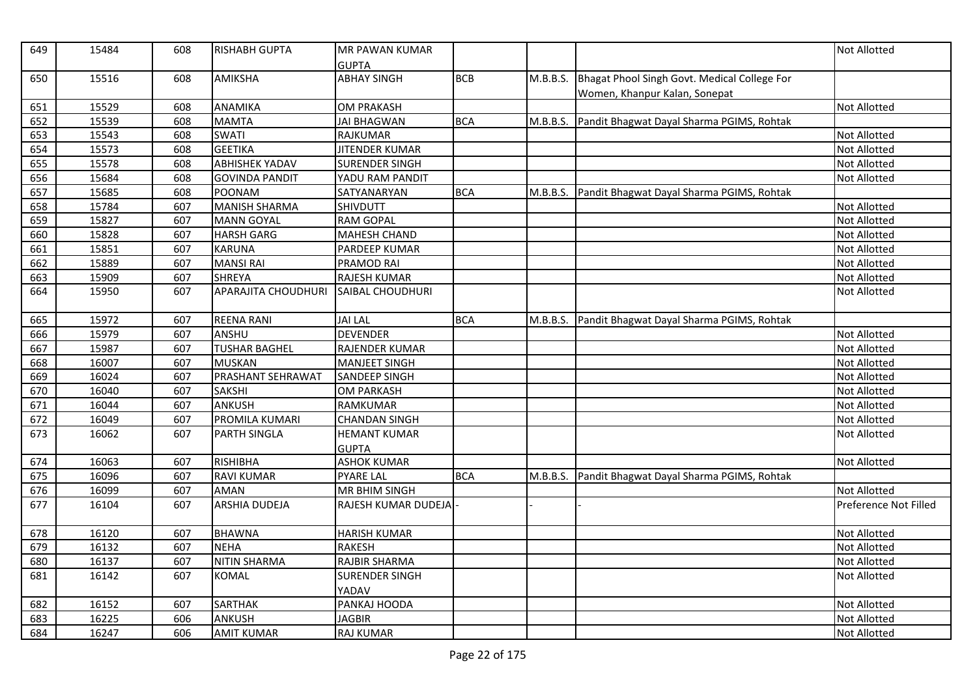| 649 | 15484 | 608 | <b>RISHABH GUPTA</b>     | <b>MR PAWAN KUMAR</b><br><b>GUPTA</b> |            |          |                                                                               | Not Allotted          |
|-----|-------|-----|--------------------------|---------------------------------------|------------|----------|-------------------------------------------------------------------------------|-----------------------|
| 650 | 15516 | 608 | <b>AMIKSHA</b>           | <b>ABHAY SINGH</b>                    | <b>BCB</b> | M.B.B.S. | Bhagat Phool Singh Govt. Medical College For<br>Women, Khanpur Kalan, Sonepat |                       |
| 651 | 15529 | 608 | <b>ANAMIKA</b>           | <b>OM PRAKASH</b>                     |            |          |                                                                               | Not Allotted          |
| 652 | 15539 | 608 | <b>MAMTA</b>             | <b>JAI BHAGWAN</b>                    | <b>BCA</b> | M.B.B.S. | Pandit Bhagwat Dayal Sharma PGIMS, Rohtak                                     |                       |
| 653 | 15543 | 608 | <b>SWATI</b>             | <b>RAJKUMAR</b>                       |            |          |                                                                               | Not Allotted          |
| 654 | 15573 | 608 | <b>GEETIKA</b>           | <b>JITENDER KUMAR</b>                 |            |          |                                                                               | Not Allotted          |
| 655 | 15578 | 608 | <b>ABHISHEK YADAV</b>    | <b>SURENDER SINGH</b>                 |            |          |                                                                               | Not Allotted          |
| 656 | 15684 | 608 | <b>GOVINDA PANDIT</b>    | YADU RAM PANDIT                       |            |          |                                                                               | Not Allotted          |
| 657 | 15685 | 608 | <b>POONAM</b>            | SATYANARYAN                           | <b>BCA</b> |          | M.B.B.S. Pandit Bhagwat Dayal Sharma PGIMS, Rohtak                            |                       |
| 658 | 15784 | 607 | <b>MANISH SHARMA</b>     | <b>SHIVDUTT</b>                       |            |          |                                                                               | <b>Not Allotted</b>   |
| 659 | 15827 | 607 | <b>MANN GOYAL</b>        | <b>RAM GOPAL</b>                      |            |          |                                                                               | Not Allotted          |
| 660 | 15828 | 607 | <b>HARSH GARG</b>        | <b>MAHESH CHAND</b>                   |            |          |                                                                               | Not Allotted          |
| 661 | 15851 | 607 | <b>KARUNA</b>            | PARDEEP KUMAR                         |            |          |                                                                               | Not Allotted          |
| 662 | 15889 | 607 | <b>MANSI RAI</b>         | PRAMOD RAI                            |            |          |                                                                               | Not Allotted          |
| 663 | 15909 | 607 | <b>SHREYA</b>            | RAJESH KUMAR                          |            |          |                                                                               | Not Allotted          |
| 664 | 15950 | 607 | APARAJITA CHOUDHURI      | <b>SAIBAL CHOUDHURI</b>               |            |          |                                                                               | Not Allotted          |
| 665 | 15972 | 607 | <b>REENA RANI</b>        | <b>JAI LAL</b>                        | <b>BCA</b> | M.B.B.S. | Pandit Bhagwat Dayal Sharma PGIMS, Rohtak                                     |                       |
| 666 | 15979 | 607 | ANSHU                    | <b>DEVENDER</b>                       |            |          |                                                                               | Not Allotted          |
| 667 | 15987 | 607 | <b>TUSHAR BAGHEL</b>     | <b>RAJENDER KUMAR</b>                 |            |          |                                                                               | Not Allotted          |
| 668 | 16007 | 607 | <b>MUSKAN</b>            | <b>MANJEET SINGH</b>                  |            |          |                                                                               | Not Allotted          |
| 669 | 16024 | 607 | <b>PRASHANT SEHRAWAT</b> | <b>SANDEEP SINGH</b>                  |            |          |                                                                               | Not Allotted          |
| 670 | 16040 | 607 | <b>SAKSHI</b>            | <b>OM PARKASH</b>                     |            |          |                                                                               | Not Allotted          |
| 671 | 16044 | 607 | ANKUSH                   | <b>RAMKUMAR</b>                       |            |          |                                                                               | Not Allotted          |
| 672 | 16049 | 607 | PROMILA KUMARI           | <b>CHANDAN SINGH</b>                  |            |          |                                                                               | Not Allotted          |
| 673 | 16062 | 607 | <b>PARTH SINGLA</b>      | <b>HEMANT KUMAR</b>                   |            |          |                                                                               | Not Allotted          |
|     |       |     |                          | <b>GUPTA</b>                          |            |          |                                                                               |                       |
| 674 | 16063 | 607 | RISHIBHA                 | <b>ASHOK KUMAR</b>                    |            |          |                                                                               | Not Allotted          |
| 675 | 16096 | 607 | <b>RAVI KUMAR</b>        | <b>PYARE LAL</b>                      | <b>BCA</b> | M.B.B.S. | Pandit Bhagwat Dayal Sharma PGIMS, Rohtak                                     |                       |
| 676 | 16099 | 607 | <b>AMAN</b>              | MR BHIM SINGH                         |            |          |                                                                               | Not Allotted          |
| 677 | 16104 | 607 | <b>ARSHIA DUDEJA</b>     | RAJESH KUMAR DUDEJA                   |            |          |                                                                               | Preference Not Filled |
| 678 | 16120 | 607 | <b>BHAWNA</b>            | <b>HARISH KUMAR</b>                   |            |          |                                                                               | Not Allotted          |
| 679 | 16132 | 607 | <b>NEHA</b>              | <b>RAKESH</b>                         |            |          |                                                                               | Not Allotted          |
| 680 | 16137 | 607 | <b>NITIN SHARMA</b>      | RAJBIR SHARMA                         |            |          |                                                                               | Not Allotted          |
| 681 | 16142 | 607 | <b>KOMAL</b>             | <b>SURENDER SINGH</b><br>YADAV        |            |          |                                                                               | Not Allotted          |
| 682 | 16152 | 607 | <b>SARTHAK</b>           | PANKAJ HOODA                          |            |          |                                                                               | Not Allotted          |
| 683 | 16225 | 606 | ANKUSH                   | <b>JAGBIR</b>                         |            |          |                                                                               | Not Allotted          |
| 684 | 16247 | 606 | <b>AMIT KUMAR</b>        | <b>RAJ KUMAR</b>                      |            |          |                                                                               | Not Allotted          |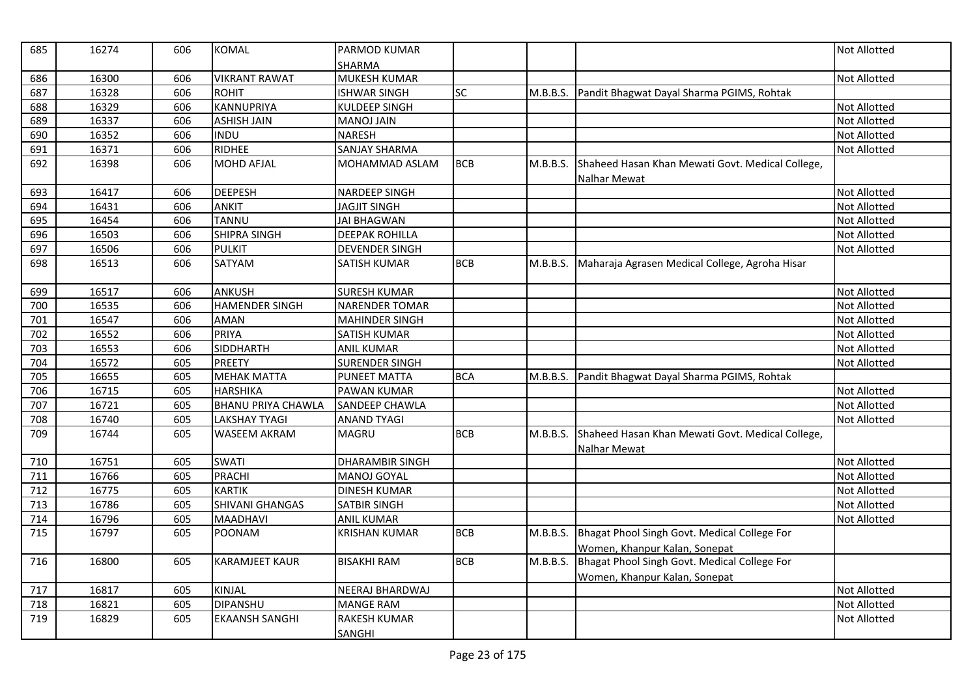| 685 | 16274 | 606 | <b>KOMAL</b>              | PARMOD KUMAR           |            |          |                                                  | <b>Not Allotted</b> |
|-----|-------|-----|---------------------------|------------------------|------------|----------|--------------------------------------------------|---------------------|
|     |       |     |                           | SHARMA                 |            |          |                                                  |                     |
| 686 | 16300 | 606 | <b>VIKRANT RAWAT</b>      | MUKESH KUMAR           |            |          |                                                  | <b>Not Allotted</b> |
| 687 | 16328 | 606 | <b>ROHIT</b>              | <b>ISHWAR SINGH</b>    | <b>SC</b>  | M.B.B.S. | Pandit Bhagwat Dayal Sharma PGIMS, Rohtak        |                     |
| 688 | 16329 | 606 | <b>KANNUPRIYA</b>         | KULDEEP SINGH          |            |          |                                                  | <b>Not Allotted</b> |
| 689 | 16337 | 606 | <b>ASHISH JAIN</b>        | <b>MANOJ JAIN</b>      |            |          |                                                  | Not Allotted        |
| 690 | 16352 | 606 | <b>INDU</b>               | <b>NARESH</b>          |            |          |                                                  | <b>Not Allotted</b> |
| 691 | 16371 | 606 | <b>RIDHEE</b>             | <b>SANJAY SHARMA</b>   |            |          |                                                  | <b>Not Allotted</b> |
| 692 | 16398 | 606 | <b>MOHD AFJAL</b>         | MOHAMMAD ASLAM         | <b>BCB</b> | M.B.B.S. | Shaheed Hasan Khan Mewati Govt. Medical College, |                     |
|     |       |     |                           |                        |            |          | Nalhar Mewat                                     |                     |
| 693 | 16417 | 606 | <b>DEEPESH</b>            | <b>NARDEEP SINGH</b>   |            |          |                                                  | Not Allotted        |
| 694 | 16431 | 606 | <b>ANKIT</b>              | <b>JAGJIT SINGH</b>    |            |          |                                                  | <b>Not Allotted</b> |
| 695 | 16454 | 606 | TANNU                     | <b>JAI BHAGWAN</b>     |            |          |                                                  | <b>Not Allotted</b> |
| 696 | 16503 | 606 | <b>SHIPRA SINGH</b>       | <b>DEEPAK ROHILLA</b>  |            |          |                                                  | <b>Not Allotted</b> |
| 697 | 16506 | 606 | <b>PULKIT</b>             | <b>DEVENDER SINGH</b>  |            |          |                                                  | Not Allotted        |
| 698 | 16513 | 606 | SATYAM                    | <b>SATISH KUMAR</b>    | <b>BCB</b> | M.B.B.S. | Maharaja Agrasen Medical College, Agroha Hisar   |                     |
|     |       |     |                           |                        |            |          |                                                  |                     |
| 699 | 16517 | 606 | <b>ANKUSH</b>             | <b>SURESH KUMAR</b>    |            |          |                                                  | <b>Not Allotted</b> |
| 700 | 16535 | 606 | <b>HAMENDER SINGH</b>     | <b>NARENDER TOMAR</b>  |            |          |                                                  | <b>Not Allotted</b> |
| 701 | 16547 | 606 | AMAN                      | <b>MAHINDER SINGH</b>  |            |          |                                                  | <b>Not Allotted</b> |
| 702 | 16552 | 606 | <b>PRIYA</b>              | <b>SATISH KUMAR</b>    |            |          |                                                  | <b>Not Allotted</b> |
| 703 | 16553 | 606 | <b>SIDDHARTH</b>          | <b>ANIL KUMAR</b>      |            |          |                                                  | <b>Not Allotted</b> |
| 704 | 16572 | 605 | <b>PREETY</b>             | <b>SURENDER SINGH</b>  |            |          |                                                  | <b>Not Allotted</b> |
| 705 | 16655 | 605 | <b>MEHAK MATTA</b>        | <b>PUNEET MATTA</b>    | <b>BCA</b> | M.B.B.S. | Pandit Bhagwat Dayal Sharma PGIMS, Rohtak        |                     |
| 706 | 16715 | 605 | <b>HARSHIKA</b>           | PAWAN KUMAR            |            |          |                                                  | <b>Not Allotted</b> |
| 707 | 16721 | 605 | <b>BHANU PRIYA CHAWLA</b> | SANDEEP CHAWLA         |            |          |                                                  | Not Allotted        |
| 708 | 16740 | 605 | <b>LAKSHAY TYAGI</b>      | <b>ANAND TYAGI</b>     |            |          |                                                  | <b>Not Allotted</b> |
| 709 | 16744 | 605 | <b>WASEEM AKRAM</b>       | <b>MAGRU</b>           | <b>BCB</b> | M.B.B.S. | Shaheed Hasan Khan Mewati Govt. Medical College, |                     |
|     |       |     |                           |                        |            |          | <b>Nalhar Mewat</b>                              |                     |
| 710 | 16751 | 605 | <b>SWATI</b>              | <b>DHARAMBIR SINGH</b> |            |          |                                                  | <b>Not Allotted</b> |
| 711 | 16766 | 605 | <b>PRACHI</b>             | <b>MANOJ GOYAL</b>     |            |          |                                                  | <b>Not Allotted</b> |
| 712 | 16775 | 605 | <b>KARTIK</b>             | <b>DINESH KUMAR</b>    |            |          |                                                  | <b>Not Allotted</b> |
| 713 | 16786 | 605 | SHIVANI GHANGAS           | <b>SATBIR SINGH</b>    |            |          |                                                  | Not Allotted        |
| 714 | 16796 | 605 | <b>MAADHAVI</b>           | <b>ANIL KUMAR</b>      |            |          |                                                  | <b>Not Allotted</b> |
| 715 | 16797 | 605 | <b>POONAM</b>             | <b>KRISHAN KUMAR</b>   | <b>BCB</b> | M.B.B.S. | Bhagat Phool Singh Govt. Medical College For     |                     |
|     |       |     |                           |                        |            |          | Women, Khanpur Kalan, Sonepat                    |                     |
| 716 | 16800 | 605 | <b>KARAMJEET KAUR</b>     | <b>BISAKHI RAM</b>     | <b>BCB</b> | M.B.B.S. | Bhagat Phool Singh Govt. Medical College For     |                     |
|     |       |     |                           |                        |            |          | Women, Khanpur Kalan, Sonepat                    |                     |
| 717 | 16817 | 605 | KINJAL                    | <b>NEERAJ BHARDWAJ</b> |            |          |                                                  | <b>Not Allotted</b> |
| 718 | 16821 | 605 | <b>DIPANSHU</b>           | <b>MANGE RAM</b>       |            |          |                                                  | <b>Not Allotted</b> |
| 719 | 16829 | 605 | <b>EKAANSH SANGHI</b>     | <b>RAKESH KUMAR</b>    |            |          |                                                  | <b>Not Allotted</b> |
|     |       |     |                           | <b>SANGHI</b>          |            |          |                                                  |                     |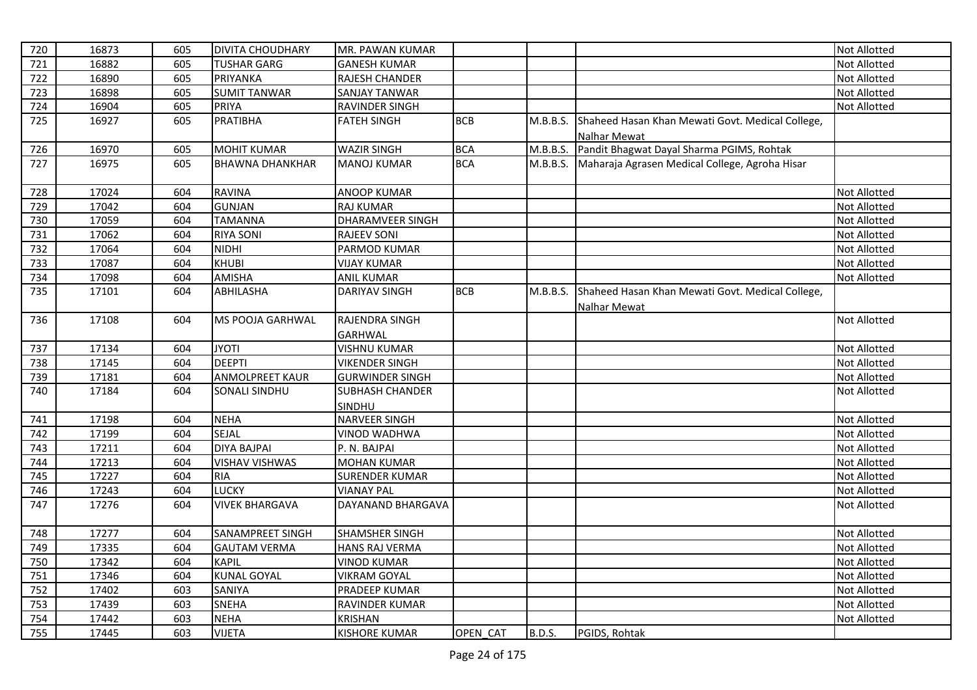| 720 | 16873 | 605 | <b>DIVITA CHOUDHARY</b> | MR. PAWAN KUMAR         |            |               |                                                  | Not Allotted        |
|-----|-------|-----|-------------------------|-------------------------|------------|---------------|--------------------------------------------------|---------------------|
| 721 | 16882 | 605 | <b>TUSHAR GARG</b>      | <b>GANESH KUMAR</b>     |            |               |                                                  | Not Allotted        |
| 722 | 16890 | 605 | <b>PRIYANKA</b>         | <b>RAJESH CHANDER</b>   |            |               |                                                  | <b>Not Allotted</b> |
| 723 | 16898 | 605 | <b>SUMIT TANWAR</b>     | <b>SANJAY TANWAR</b>    |            |               |                                                  | Not Allotted        |
| 724 | 16904 | 605 | <b>PRIYA</b>            | <b>RAVINDER SINGH</b>   |            |               |                                                  | Not Allotted        |
| 725 | 16927 | 605 | <b>PRATIBHA</b>         | <b>FATEH SINGH</b>      | <b>BCB</b> | M.B.B.S.      | Shaheed Hasan Khan Mewati Govt. Medical College, |                     |
|     |       |     |                         |                         |            |               | Nalhar Mewat                                     |                     |
| 726 | 16970 | 605 | <b>MOHIT KUMAR</b>      | <b>WAZIR SINGH</b>      | <b>BCA</b> | M.B.B.S.      | Pandit Bhagwat Dayal Sharma PGIMS, Rohtak        |                     |
| 727 | 16975 | 605 | <b>BHAWNA DHANKHAR</b>  | <b>MANOJ KUMAR</b>      | <b>BCA</b> | M.B.B.S.      | Maharaja Agrasen Medical College, Agroha Hisar   |                     |
|     |       |     |                         |                         |            |               |                                                  |                     |
| 728 | 17024 | 604 | <b>RAVINA</b>           | <b>ANOOP KUMAR</b>      |            |               |                                                  | <b>Not Allotted</b> |
| 729 | 17042 | 604 | <b>GUNJAN</b>           | <b>RAJ KUMAR</b>        |            |               |                                                  | Not Allotted        |
| 730 | 17059 | 604 | <b>TAMANNA</b>          | <b>DHARAMVEER SINGH</b> |            |               |                                                  | Not Allotted        |
| 731 | 17062 | 604 | <b>RIYA SONI</b>        | <b>RAJEEV SONI</b>      |            |               |                                                  | Not Allotted        |
| 732 | 17064 | 604 | <b>NIDHI</b>            | PARMOD KUMAR            |            |               |                                                  | Not Allotted        |
| 733 | 17087 | 604 | <b>KHUBI</b>            | <b>VIJAY KUMAR</b>      |            |               |                                                  | Not Allotted        |
| 734 | 17098 | 604 | <b>AMISHA</b>           | <b>ANIL KUMAR</b>       |            |               |                                                  | Not Allotted        |
| 735 | 17101 | 604 | <b>ABHILASHA</b>        | DARIYAV SINGH           | <b>BCB</b> | M.B.B.S.      | Shaheed Hasan Khan Mewati Govt. Medical College, |                     |
|     |       |     |                         |                         |            |               | Nalhar Mewat                                     |                     |
| 736 | 17108 | 604 | <b>MS POOJA GARHWAL</b> | RAJENDRA SINGH          |            |               |                                                  | <b>Not Allotted</b> |
|     |       |     |                         | <b>GARHWAL</b>          |            |               |                                                  |                     |
| 737 | 17134 | 604 | <b>JYOTI</b>            | <b>VISHNU KUMAR</b>     |            |               |                                                  | Not Allotted        |
| 738 | 17145 | 604 | <b>DEEPTI</b>           | <b>VIKENDER SINGH</b>   |            |               |                                                  | Not Allotted        |
| 739 | 17181 | 604 | <b>ANMOLPREET KAUR</b>  | <b>GURWINDER SINGH</b>  |            |               |                                                  | <b>Not Allotted</b> |
| 740 | 17184 | 604 | <b>SONALI SINDHU</b>    | <b>SUBHASH CHANDER</b>  |            |               |                                                  | <b>Not Allotted</b> |
|     |       |     |                         | SINDHU                  |            |               |                                                  |                     |
| 741 | 17198 | 604 | <b>NEHA</b>             | <b>NARVEER SINGH</b>    |            |               |                                                  | Not Allotted        |
| 742 | 17199 | 604 | SEJAL                   | <b>VINOD WADHWA</b>     |            |               |                                                  | Not Allotted        |
| 743 | 17211 | 604 | <b>DIYA BAJPAI</b>      | P. N. BAJPAI            |            |               |                                                  | <b>Not Allotted</b> |
| 744 | 17213 | 604 | <b>VISHAV VISHWAS</b>   | <b>MOHAN KUMAR</b>      |            |               |                                                  | Not Allotted        |
| 745 | 17227 | 604 | <b>RIA</b>              | <b>SURENDER KUMAR</b>   |            |               |                                                  | Not Allotted        |
| 746 | 17243 | 604 | <b>LUCKY</b>            | <b>VIANAY PAL</b>       |            |               |                                                  | Not Allotted        |
| 747 | 17276 | 604 | <b>VIVEK BHARGAVA</b>   | DAYANAND BHARGAVA       |            |               |                                                  | Not Allotted        |
|     |       |     |                         |                         |            |               |                                                  |                     |
| 748 | 17277 | 604 | <b>SANAMPREET SINGH</b> | <b>SHAMSHER SINGH</b>   |            |               |                                                  | Not Allotted        |
| 749 | 17335 | 604 | <b>GAUTAM VERMA</b>     | <b>HANS RAJ VERMA</b>   |            |               |                                                  | Not Allotted        |
| 750 | 17342 | 604 | <b>KAPIL</b>            | <b>VINOD KUMAR</b>      |            |               |                                                  | Not Allotted        |
| 751 | 17346 | 604 | <b>KUNAL GOYAL</b>      | <b>VIKRAM GOYAL</b>     |            |               |                                                  | Not Allotted        |
| 752 | 17402 | 603 | <b>SANIYA</b>           | <b>PRADEEP KUMAR</b>    |            |               |                                                  | Not Allotted        |
| 753 | 17439 | 603 | <b>SNEHA</b>            | RAVINDER KUMAR          |            |               |                                                  | Not Allotted        |
| 754 | 17442 | 603 | <b>NEHA</b>             | <b>KRISHAN</b>          |            |               |                                                  | Not Allotted        |
| 755 | 17445 | 603 | <b>VIJETA</b>           | <b>KISHORE KUMAR</b>    | OPEN CAT   | <b>B.D.S.</b> | PGIDS, Rohtak                                    |                     |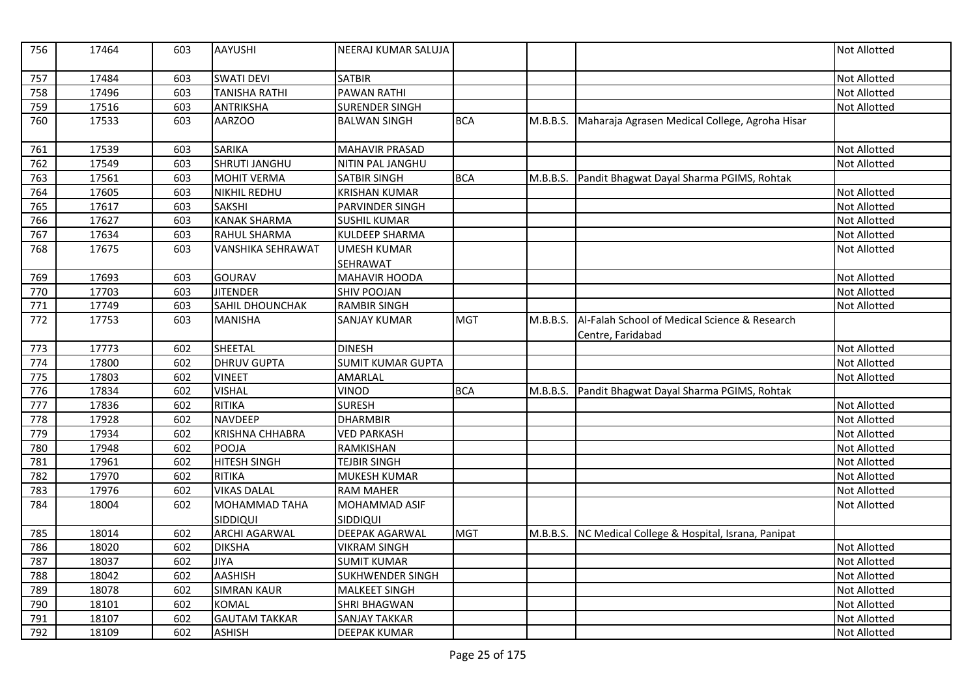| 756 | 17464 | 603 | <b>AAYUSHI</b>           | NEERAJ KUMAR SALUJA      |            |          |                                                                    | <b>Not Allotted</b> |
|-----|-------|-----|--------------------------|--------------------------|------------|----------|--------------------------------------------------------------------|---------------------|
| 757 | 17484 | 603 | <b>SWATI DEVI</b>        | <b>SATBIR</b>            |            |          |                                                                    | <b>Not Allotted</b> |
| 758 | 17496 | 603 | <b>TANISHA RATHI</b>     | <b>PAWAN RATHI</b>       |            |          |                                                                    | Not Allotted        |
| 759 | 17516 | 603 | <b>ANTRIKSHA</b>         | <b>SURENDER SINGH</b>    |            |          |                                                                    | <b>Not Allotted</b> |
| 760 | 17533 | 603 | <b>AARZOO</b>            | <b>BALWAN SINGH</b>      | <b>BCA</b> | M.B.B.S. | Maharaja Agrasen Medical College, Agroha Hisar                     |                     |
| 761 | 17539 | 603 | <b>SARIKA</b>            | <b>MAHAVIR PRASAD</b>    |            |          |                                                                    | Not Allotted        |
| 762 | 17549 | 603 | <b>SHRUTI JANGHU</b>     | NITIN PAL JANGHU         |            |          |                                                                    | Not Allotted        |
| 763 | 17561 | 603 | <b>MOHIT VERMA</b>       | <b>SATBIR SINGH</b>      | <b>BCA</b> | M.B.B.S. | Pandit Bhagwat Dayal Sharma PGIMS, Rohtak                          |                     |
| 764 | 17605 | 603 | <b>NIKHIL REDHU</b>      | <b>KRISHAN KUMAR</b>     |            |          |                                                                    | Not Allotted        |
| 765 | 17617 | 603 | <b>SAKSHI</b>            | <b>PARVINDER SINGH</b>   |            |          |                                                                    | <b>Not Allotted</b> |
| 766 | 17627 | 603 | <b>KANAK SHARMA</b>      | <b>SUSHIL KUMAR</b>      |            |          |                                                                    | Not Allotted        |
| 767 | 17634 | 603 | RAHUL SHARMA             | KULDEEP SHARMA           |            |          |                                                                    | Not Allotted        |
| 768 | 17675 | 603 | <b>VANSHIKA SEHRAWAT</b> | <b>UMESH KUMAR</b>       |            |          |                                                                    | Not Allotted        |
|     |       |     |                          | SEHRAWAT                 |            |          |                                                                    |                     |
| 769 | 17693 | 603 | <b>GOURAV</b>            | <b>MAHAVIR HOODA</b>     |            |          |                                                                    | Not Allotted        |
| 770 | 17703 | 603 | <b>JITENDER</b>          | <b>SHIV POOJAN</b>       |            |          |                                                                    | Not Allotted        |
| 771 | 17749 | 603 | SAHIL DHOUNCHAK          | <b>RAMBIR SINGH</b>      |            |          |                                                                    | Not Allotted        |
| 772 | 17753 | 603 | <b>MANISHA</b>           | <b>SANJAY KUMAR</b>      | <b>MGT</b> | M.B.B.S. | Al-Falah School of Medical Science & Research<br>Centre, Faridabad |                     |
| 773 | 17773 | 602 | SHEETAL                  | <b>DINESH</b>            |            |          |                                                                    | Not Allotted        |
| 774 | 17800 | 602 | <b>DHRUV GUPTA</b>       | <b>SUMIT KUMAR GUPTA</b> |            |          |                                                                    | Not Allotted        |
| 775 | 17803 | 602 | <b>VINEET</b>            | AMARLAL                  |            |          |                                                                    | <b>Not Allotted</b> |
| 776 | 17834 | 602 | <b>VISHAL</b>            | <b>VINOD</b>             | <b>BCA</b> | M.B.B.S. | Pandit Bhagwat Dayal Sharma PGIMS, Rohtak                          |                     |
| 777 | 17836 | 602 | <b>RITIKA</b>            | <b>SURESH</b>            |            |          |                                                                    | <b>Not Allotted</b> |
| 778 | 17928 | 602 | <b>NAVDEEP</b>           | <b>DHARMBIR</b>          |            |          |                                                                    | Not Allotted        |
| 779 | 17934 | 602 | <b>KRISHNA CHHABRA</b>   | <b>VED PARKASH</b>       |            |          |                                                                    | Not Allotted        |
| 780 | 17948 | 602 | <b>POOJA</b>             | <b>RAMKISHAN</b>         |            |          |                                                                    | <b>Not Allotted</b> |
| 781 | 17961 | 602 | <b>HITESH SINGH</b>      | <b>TEJBIR SINGH</b>      |            |          |                                                                    | Not Allotted        |
| 782 | 17970 | 602 | <b>RITIKA</b>            | MUKESH KUMAR             |            |          |                                                                    | Not Allotted        |
| 783 | 17976 | 602 | <b>VIKAS DALAL</b>       | <b>RAM MAHER</b>         |            |          |                                                                    | Not Allotted        |
| 784 | 18004 | 602 | <b>MOHAMMAD TAHA</b>     | MOHAMMAD ASIF            |            |          |                                                                    | <b>Not Allotted</b> |
|     |       |     | SIDDIQUI                 | SIDDIQUI                 |            |          |                                                                    |                     |
| 785 | 18014 | 602 | <b>ARCHI AGARWAL</b>     | <b>DEEPAK AGARWAL</b>    | <b>MGT</b> | M.B.B.S. | NC Medical College & Hospital, Israna, Panipat                     |                     |
| 786 | 18020 | 602 | <b>DIKSHA</b>            | <b>VIKRAM SINGH</b>      |            |          |                                                                    | Not Allotted        |
| 787 | 18037 | 602 | <b>JIYA</b>              | <b>SUMIT KUMAR</b>       |            |          |                                                                    | <b>Not Allotted</b> |
| 788 | 18042 | 602 | <b>AASHISH</b>           | SUKHWENDER SINGH         |            |          |                                                                    | Not Allotted        |
| 789 | 18078 | 602 | <b>SIMRAN KAUR</b>       | <b>MALKEET SINGH</b>     |            |          |                                                                    | Not Allotted        |
| 790 | 18101 | 602 | <b>KOMAL</b>             | SHRI BHAGWAN             |            |          |                                                                    | Not Allotted        |
| 791 | 18107 | 602 | <b>GAUTAM TAKKAR</b>     | <b>SANJAY TAKKAR</b>     |            |          |                                                                    | <b>Not Allotted</b> |
| 792 | 18109 | 602 | <b>ASHISH</b>            | <b>DEEPAK KUMAR</b>      |            |          |                                                                    | Not Allotted        |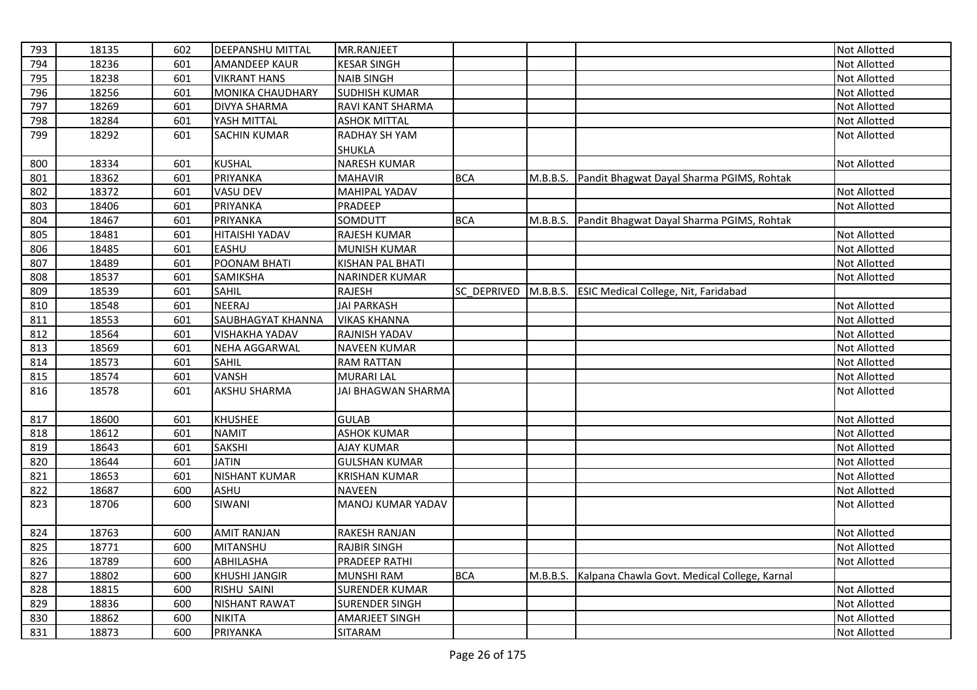| 793 | 18135 | 602 | <b>DEEPANSHU MITTAL</b> | MR.RANJEET                |             |          |                                              | Not Allotted        |
|-----|-------|-----|-------------------------|---------------------------|-------------|----------|----------------------------------------------|---------------------|
| 794 | 18236 | 601 | <b>AMANDEEP KAUR</b>    | <b>KESAR SINGH</b>        |             |          |                                              | Not Allotted        |
| 795 | 18238 | 601 | <b>VIKRANT HANS</b>     | <b>NAIB SINGH</b>         |             |          |                                              | Not Allotted        |
| 796 | 18256 | 601 | <b>MONIKA CHAUDHARY</b> | <b>SUDHISH KUMAR</b>      |             |          |                                              | Not Allotted        |
| 797 | 18269 | 601 | <b>DIVYA SHARMA</b>     | RAVI KANT SHARMA          |             |          |                                              | Not Allotted        |
| 798 | 18284 | 601 | YASH MITTAL             | <b>ASHOK MITTAL</b>       |             |          |                                              | Not Allotted        |
| 799 | 18292 | 601 | <b>SACHIN KUMAR</b>     | <b>RADHAY SH YAM</b>      |             |          |                                              | Not Allotted        |
|     |       |     |                         | SHUKLA                    |             |          |                                              |                     |
| 800 | 18334 | 601 | <b>KUSHAL</b>           | <b>NARESH KUMAR</b>       |             |          |                                              | Not Allotted        |
| 801 | 18362 | 601 | <b>PRIYANKA</b>         | <b>MAHAVIR</b>            | <b>BCA</b>  | M.B.B.S. | Pandit Bhagwat Dayal Sharma PGIMS, Rohtak    |                     |
| 802 | 18372 | 601 | <b>VASU DEV</b>         | <b>MAHIPAL YADAV</b>      |             |          |                                              | Not Allotted        |
| 803 | 18406 | 601 | PRIYANKA                | PRADEEP                   |             |          |                                              | Not Allotted        |
| 804 | 18467 | 601 | PRIYANKA                | SOMDUTT                   | <b>BCA</b>  | M.B.B.S. | Pandit Bhagwat Dayal Sharma PGIMS, Rohtak    |                     |
| 805 | 18481 | 601 | <b>HITAISHI YADAV</b>   | RAJESH KUMAR              |             |          |                                              | Not Allotted        |
| 806 | 18485 | 601 | <b>EASHU</b>            | <b>MUNISH KUMAR</b>       |             |          |                                              | Not Allotted        |
| 807 | 18489 | 601 | POONAM BHATI            | KISHAN PAL BHATI          |             |          |                                              | Not Allotted        |
| 808 | 18537 | 601 | SAMIKSHA                | <b>NARINDER KUMAR</b>     |             |          |                                              | Not Allotted        |
| 809 | 18539 | 601 | <b>SAHIL</b>            | RAJESH                    | SC_DEPRIVED | M.B.B.S. | <b>ESIC Medical College, Nit, Faridabad</b>  |                     |
| 810 | 18548 | 601 | <b>NEERAJ</b>           | <b>JAI PARKASH</b>        |             |          |                                              | <b>Not Allotted</b> |
| 811 | 18553 | 601 | SAUBHAGYAT KHANNA       | <b>VIKAS KHANNA</b>       |             |          |                                              | Not Allotted        |
| 812 | 18564 | 601 | <b>VISHAKHA YADAV</b>   | RAJNISH YADAV             |             |          |                                              | Not Allotted        |
| 813 | 18569 | 601 | <b>NEHA AGGARWAL</b>    | <b>NAVEEN KUMAR</b>       |             |          |                                              | Not Allotted        |
| 814 | 18573 | 601 | <b>SAHIL</b>            | <b>RAM RATTAN</b>         |             |          |                                              | Not Allotted        |
| 815 | 18574 | 601 | <b>VANSH</b>            | <b>MURARI LAL</b>         |             |          |                                              | Not Allotted        |
| 816 | 18578 | 601 | <b>AKSHU SHARMA</b>     | <b>JAI BHAGWAN SHARMA</b> |             |          |                                              | Not Allotted        |
|     |       |     |                         |                           |             |          |                                              |                     |
| 817 | 18600 | 601 | <b>KHUSHEE</b>          | <b>GULAB</b>              |             |          |                                              | Not Allotted        |
| 818 | 18612 | 601 | <b>NAMIT</b>            | <b>ASHOK KUMAR</b>        |             |          |                                              | Not Allotted        |
| 819 | 18643 | 601 | <b>SAKSHI</b>           | <b>AJAY KUMAR</b>         |             |          |                                              | Not Allotted        |
| 820 | 18644 | 601 | <b>JATIN</b>            | <b>GULSHAN KUMAR</b>      |             |          |                                              | Not Allotted        |
| 821 | 18653 | 601 | <b>NISHANT KUMAR</b>    | <b>KRISHAN KUMAR</b>      |             |          |                                              | Not Allotted        |
| 822 | 18687 | 600 | <b>ASHU</b>             | <b>NAVEEN</b>             |             |          |                                              | Not Allotted        |
| 823 | 18706 | 600 | SIWANI                  | MANOJ KUMAR YADAV         |             |          |                                              | Not Allotted        |
| 824 | 18763 | 600 | <b>AMIT RANJAN</b>      | <b>RAKESH RANJAN</b>      |             |          |                                              | Not Allotted        |
| 825 | 18771 | 600 | <b>MITANSHU</b>         | <b>RAJBIR SINGH</b>       |             |          |                                              | Not Allotted        |
| 826 | 18789 | 600 | ABHILASHA               | <b>PRADEEP RATHI</b>      |             |          |                                              | Not Allotted        |
| 827 | 18802 | 600 | <b>KHUSHI JANGIR</b>    | <b>MUNSHI RAM</b>         | <b>BCA</b>  | M.B.B.S. | Kalpana Chawla Govt. Medical College, Karnal |                     |
| 828 | 18815 | 600 | RISHU SAINI             | <b>SURENDER KUMAR</b>     |             |          |                                              | Not Allotted        |
| 829 | 18836 | 600 | <b>NISHANT RAWAT</b>    | <b>SURENDER SINGH</b>     |             |          |                                              | Not Allotted        |
| 830 | 18862 | 600 | <b>NIKITA</b>           | <b>AMARJEET SINGH</b>     |             |          |                                              | Not Allotted        |
| 831 | 18873 | 600 | PRIYANKA                | <b>SITARAM</b>            |             |          |                                              | Not Allotted        |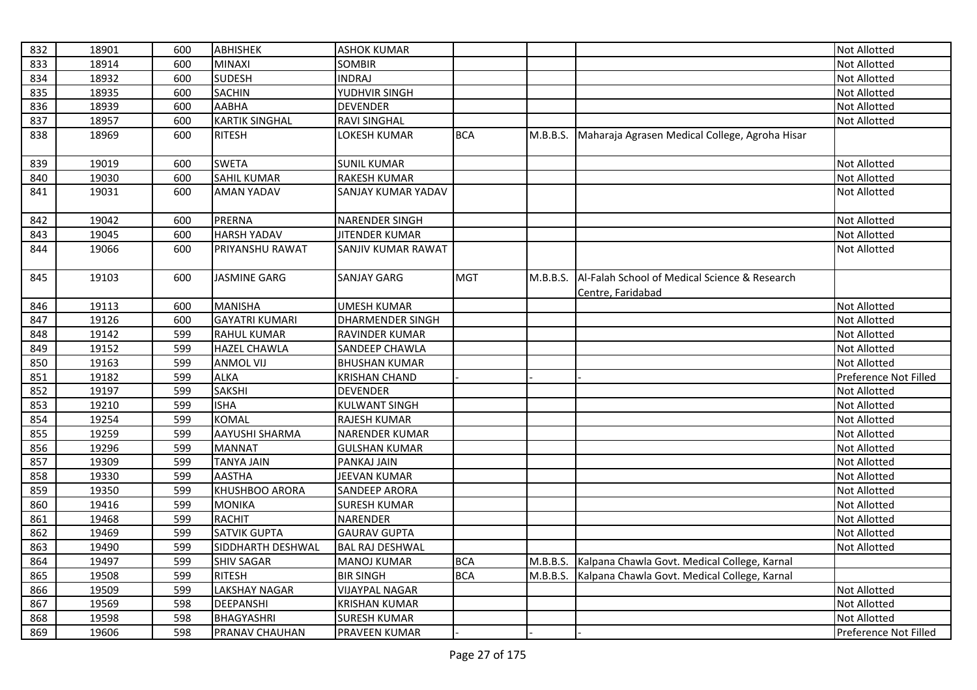| 832 | 18901 | 600 | <b>ABHISHEK</b>       | <b>ASHOK KUMAR</b>      |            |          |                                                                    | Not Allotted          |
|-----|-------|-----|-----------------------|-------------------------|------------|----------|--------------------------------------------------------------------|-----------------------|
| 833 | 18914 | 600 | <b>MINAXI</b>         | <b>SOMBIR</b>           |            |          |                                                                    | <b>Not Allotted</b>   |
| 834 | 18932 | 600 | <b>SUDESH</b>         | <b>INDRAJ</b>           |            |          |                                                                    | Not Allotted          |
| 835 | 18935 | 600 | <b>SACHIN</b>         | YUDHVIR SINGH           |            |          |                                                                    | Not Allotted          |
| 836 | 18939 | 600 | <b>AABHA</b>          | DEVENDER                |            |          |                                                                    | Not Allotted          |
| 837 | 18957 | 600 | <b>KARTIK SINGHAL</b> | <b>RAVI SINGHAL</b>     |            |          |                                                                    | Not Allotted          |
| 838 | 18969 | 600 | <b>RITESH</b>         | LOKESH KUMAR            | <b>BCA</b> | M.B.B.S. | Maharaja Agrasen Medical College, Agroha Hisar                     |                       |
| 839 | 19019 | 600 | <b>SWETA</b>          | <b>SUNIL KUMAR</b>      |            |          |                                                                    | Not Allotted          |
| 840 | 19030 | 600 | <b>SAHIL KUMAR</b>    | <b>RAKESH KUMAR</b>     |            |          |                                                                    | Not Allotted          |
| 841 | 19031 | 600 | <b>AMAN YADAV</b>     | SANJAY KUMAR YADAV      |            |          |                                                                    | Not Allotted          |
| 842 | 19042 | 600 | <b>PRERNA</b>         | <b>NARENDER SINGH</b>   |            |          |                                                                    | Not Allotted          |
| 843 | 19045 | 600 | <b>HARSH YADAV</b>    | <b>JITENDER KUMAR</b>   |            |          |                                                                    | Not Allotted          |
| 844 | 19066 | 600 | PRIYANSHU RAWAT       | SANJIV KUMAR RAWAT      |            |          |                                                                    | Not Allotted          |
| 845 | 19103 | 600 | <b>JASMINE GARG</b>   | <b>SANJAY GARG</b>      | <b>MGT</b> | M.B.B.S. | Al-Falah School of Medical Science & Research<br>Centre, Faridabad |                       |
| 846 | 19113 | 600 | <b>MANISHA</b>        | <b>UMESH KUMAR</b>      |            |          |                                                                    | Not Allotted          |
| 847 | 19126 | 600 | <b>GAYATRI KUMARI</b> | <b>DHARMENDER SINGH</b> |            |          |                                                                    | Not Allotted          |
| 848 | 19142 | 599 | <b>RAHUL KUMAR</b>    | RAVINDER KUMAR          |            |          |                                                                    | Not Allotted          |
| 849 | 19152 | 599 | <b>HAZEL CHAWLA</b>   | SANDEEP CHAWLA          |            |          |                                                                    | Not Allotted          |
| 850 | 19163 | 599 | <b>ANMOL VIJ</b>      | <b>BHUSHAN KUMAR</b>    |            |          |                                                                    | Not Allotted          |
| 851 | 19182 | 599 | <b>ALKA</b>           | <b>KRISHAN CHAND</b>    |            |          |                                                                    | Preference Not Filled |
| 852 | 19197 | 599 | <b>SAKSHI</b>         | <b>DEVENDER</b>         |            |          |                                                                    | Not Allotted          |
| 853 | 19210 | 599 | <b>ISHA</b>           | <b>KULWANT SINGH</b>    |            |          |                                                                    | Not Allotted          |
| 854 | 19254 | 599 | <b>KOMAL</b>          | RAJESH KUMAR            |            |          |                                                                    | Not Allotted          |
| 855 | 19259 | 599 | AAYUSHI SHARMA        | <b>NARENDER KUMAR</b>   |            |          |                                                                    | Not Allotted          |
| 856 | 19296 | 599 | <b>MANNAT</b>         | <b>GULSHAN KUMAR</b>    |            |          |                                                                    | Not Allotted          |
| 857 | 19309 | 599 | <b>TANYA JAIN</b>     | PANKAJ JAIN             |            |          |                                                                    | Not Allotted          |
| 858 | 19330 | 599 | <b>AASTHA</b>         | JEEVAN KUMAR            |            |          |                                                                    | Not Allotted          |
| 859 | 19350 | 599 | KHUSHBOO ARORA        | <b>SANDEEP ARORA</b>    |            |          |                                                                    | Not Allotted          |
| 860 | 19416 | 599 | <b>MONIKA</b>         | <b>SURESH KUMAR</b>     |            |          |                                                                    | Not Allotted          |
| 861 | 19468 | 599 | <b>RACHIT</b>         | NARENDER                |            |          |                                                                    | Not Allotted          |
| 862 | 19469 | 599 | <b>SATVIK GUPTA</b>   | <b>GAURAV GUPTA</b>     |            |          |                                                                    | Not Allotted          |
| 863 | 19490 | 599 | SIDDHARTH DESHWAL     | <b>BAL RAJ DESHWAL</b>  |            |          |                                                                    | Not Allotted          |
| 864 | 19497 | 599 | <b>SHIV SAGAR</b>     | <b>MANOJ KUMAR</b>      | <b>BCA</b> | M.B.B.S. | Kalpana Chawla Govt. Medical College, Karnal                       |                       |
| 865 | 19508 | 599 | <b>RITESH</b>         | <b>BIR SINGH</b>        | <b>BCA</b> | M.B.B.S. | Kalpana Chawla Govt. Medical College, Karnal                       |                       |
| 866 | 19509 | 599 | <b>LAKSHAY NAGAR</b>  | <b>VIJAYPAL NAGAR</b>   |            |          |                                                                    | Not Allotted          |
| 867 | 19569 | 598 | <b>DEEPANSHI</b>      | <b>KRISHAN KUMAR</b>    |            |          |                                                                    | Not Allotted          |
| 868 | 19598 | 598 | <b>BHAGYASHRI</b>     | <b>SURESH KUMAR</b>     |            |          |                                                                    | <b>Not Allotted</b>   |
| 869 | 19606 | 598 | PRANAV CHAUHAN        | <b>PRAVEEN KUMAR</b>    |            |          |                                                                    | Preference Not Filled |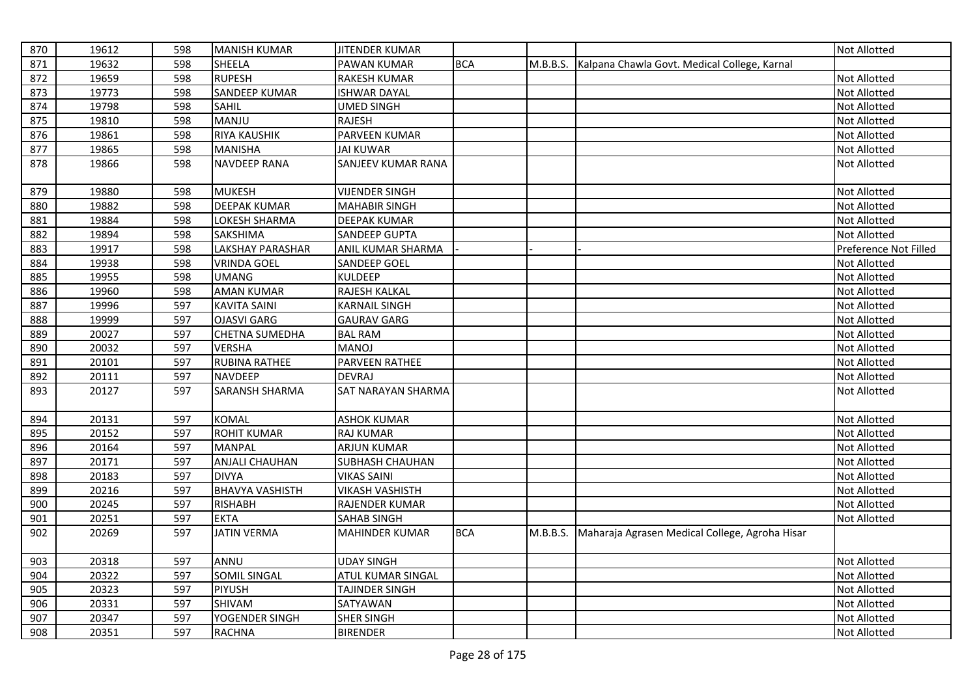| 870 | 19612 | 598 | <b>MANISH KUMAR</b>     | <b>JITENDER KUMAR</b>     |            |          |                                                       | <b>Not Allotted</b>   |
|-----|-------|-----|-------------------------|---------------------------|------------|----------|-------------------------------------------------------|-----------------------|
| 871 | 19632 | 598 | <b>SHEELA</b>           | PAWAN KUMAR               | <b>BCA</b> |          | M.B.B.S. Kalpana Chawla Govt. Medical College, Karnal |                       |
| 872 | 19659 | 598 | <b>RUPESH</b>           | <b>RAKESH KUMAR</b>       |            |          |                                                       | <b>Not Allotted</b>   |
| 873 | 19773 | 598 | <b>SANDEEP KUMAR</b>    | <b>ISHWAR DAYAL</b>       |            |          |                                                       | Not Allotted          |
| 874 | 19798 | 598 | SAHIL                   | UMED SINGH                |            |          |                                                       | Not Allotted          |
| 875 | 19810 | 598 | MANJU                   | RAJESH                    |            |          |                                                       | Not Allotted          |
| 876 | 19861 | 598 | <b>RIYA KAUSHIK</b>     | PARVEEN KUMAR             |            |          |                                                       | Not Allotted          |
| 877 | 19865 | 598 | <b>MANISHA</b>          | <b>JAI KUWAR</b>          |            |          |                                                       | Not Allotted          |
| 878 | 19866 | 598 | <b>NAVDEEP RANA</b>     | <b>SANJEEV KUMAR RANA</b> |            |          |                                                       | Not Allotted          |
| 879 | 19880 | 598 | <b>MUKESH</b>           | <b>VIJENDER SINGH</b>     |            |          |                                                       | Not Allotted          |
| 880 | 19882 | 598 | <b>DEEPAK KUMAR</b>     | <b>MAHABIR SINGH</b>      |            |          |                                                       | Not Allotted          |
| 881 | 19884 | 598 | LOKESH SHARMA           | <b>DEEPAK KUMAR</b>       |            |          |                                                       | Not Allotted          |
| 882 | 19894 | 598 | SAKSHIMA                | <b>SANDEEP GUPTA</b>      |            |          |                                                       | Not Allotted          |
| 883 | 19917 | 598 | <b>LAKSHAY PARASHAR</b> | ANIL KUMAR SHARMA         |            |          |                                                       | Preference Not Filled |
| 884 | 19938 | 598 | <b>VRINDA GOEL</b>      | <b>SANDEEP GOEL</b>       |            |          |                                                       | Not Allotted          |
| 885 | 19955 | 598 | <b>UMANG</b>            | <b>KULDEEP</b>            |            |          |                                                       | Not Allotted          |
| 886 | 19960 | 598 | <b>AMAN KUMAR</b>       | RAJESH KALKAL             |            |          |                                                       | <b>Not Allotted</b>   |
| 887 | 19996 | 597 | <b>KAVITA SAINI</b>     | <b>KARNAIL SINGH</b>      |            |          |                                                       | Not Allotted          |
| 888 | 19999 | 597 | <b>OJASVI GARG</b>      | <b>GAURAV GARG</b>        |            |          |                                                       | Not Allotted          |
| 889 | 20027 | 597 | CHETNA SUMEDHA          | <b>BAL RAM</b>            |            |          |                                                       | Not Allotted          |
| 890 | 20032 | 597 | <b>VERSHA</b>           | <b>MANOJ</b>              |            |          |                                                       | <b>Not Allotted</b>   |
| 891 | 20101 | 597 | <b>RUBINA RATHEE</b>    | <b>PARVEEN RATHEE</b>     |            |          |                                                       | Not Allotted          |
| 892 | 20111 | 597 | <b>NAVDEEP</b>          | <b>DEVRAJ</b>             |            |          |                                                       | Not Allotted          |
| 893 | 20127 | 597 | <b>SARANSH SHARMA</b>   | <b>SAT NARAYAN SHARMA</b> |            |          |                                                       | Not Allotted          |
| 894 | 20131 | 597 | <b>KOMAL</b>            | <b>ASHOK KUMAR</b>        |            |          |                                                       | Not Allotted          |
| 895 | 20152 | 597 | <b>ROHIT KUMAR</b>      | <b>RAJ KUMAR</b>          |            |          |                                                       | Not Allotted          |
| 896 | 20164 | 597 | <b>MANPAL</b>           | <b>ARJUN KUMAR</b>        |            |          |                                                       | Not Allotted          |
| 897 | 20171 | 597 | <b>ANJALI CHAUHAN</b>   | SUBHASH CHAUHAN           |            |          |                                                       | Not Allotted          |
| 898 | 20183 | 597 | <b>DIVYA</b>            | <b>VIKAS SAINI</b>        |            |          |                                                       | Not Allotted          |
| 899 | 20216 | 597 | <b>BHAVYA VASHISTH</b>  | <b>VIKASH VASHISTH</b>    |            |          |                                                       | Not Allotted          |
| 900 | 20245 | 597 | <b>RISHABH</b>          | RAJENDER KUMAR            |            |          |                                                       | Not Allotted          |
| 901 | 20251 | 597 | <b>EKTA</b>             | <b>SAHAB SINGH</b>        |            |          |                                                       | Not Allotted          |
| 902 | 20269 | 597 | <b>JATIN VERMA</b>      | <b>MAHINDER KUMAR</b>     | <b>BCA</b> | M.B.B.S. | Maharaja Agrasen Medical College, Agroha Hisar        |                       |
| 903 | 20318 | 597 | ANNU                    | <b>UDAY SINGH</b>         |            |          |                                                       | <b>Not Allotted</b>   |
| 904 | 20322 | 597 | <b>SOMIL SINGAL</b>     | <b>ATUL KUMAR SINGAL</b>  |            |          |                                                       | Not Allotted          |
| 905 | 20323 | 597 | <b>PIYUSH</b>           | <b>TAJINDER SINGH</b>     |            |          |                                                       | Not Allotted          |
| 906 | 20331 | 597 | SHIVAM                  | SATYAWAN                  |            |          |                                                       | Not Allotted          |
| 907 | 20347 | 597 | YOGENDER SINGH          | <b>SHER SINGH</b>         |            |          |                                                       | Not Allotted          |
| 908 | 20351 | 597 | <b>RACHNA</b>           | <b>BIRENDER</b>           |            |          |                                                       | <b>Not Allotted</b>   |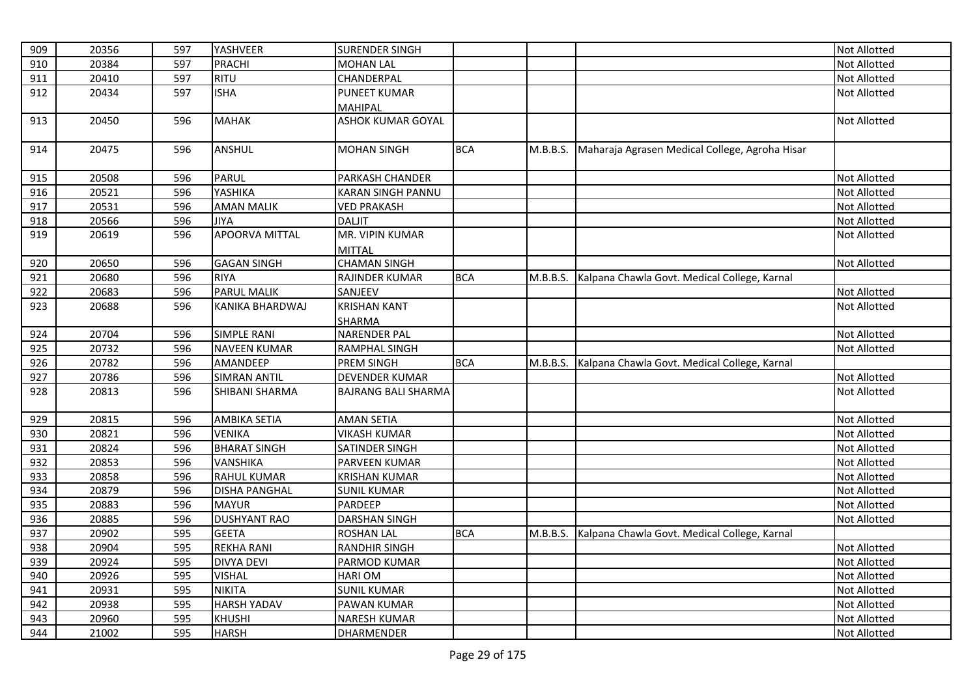| 909 | 20356 | 597 | YASHVEER               | <b>SURENDER SINGH</b>      |            |          |                                                | Not Allotted        |
|-----|-------|-----|------------------------|----------------------------|------------|----------|------------------------------------------------|---------------------|
| 910 | 20384 | 597 | <b>PRACHI</b>          | <b>MOHAN LAL</b>           |            |          |                                                | <b>Not Allotted</b> |
| 911 | 20410 | 597 | RITU                   | CHANDERPAL                 |            |          |                                                | Not Allotted        |
| 912 | 20434 | 597 | <b>ISHA</b>            | <b>PUNEET KUMAR</b>        |            |          |                                                | Not Allotted        |
|     |       |     |                        | MAHIPAL                    |            |          |                                                |                     |
| 913 | 20450 | 596 | <b>MAHAK</b>           | <b>ASHOK KUMAR GOYAL</b>   |            |          |                                                | Not Allotted        |
|     |       |     |                        |                            |            |          |                                                |                     |
| 914 | 20475 | 596 | ANSHUL                 | <b>MOHAN SINGH</b>         | <b>BCA</b> | M.B.B.S. | Maharaja Agrasen Medical College, Agroha Hisar |                     |
| 915 | 20508 | 596 | <b>PARUL</b>           | PARKASH CHANDER            |            |          |                                                | Not Allotted        |
| 916 | 20521 | 596 | YASHIKA                | <b>KARAN SINGH PANNU</b>   |            |          |                                                | Not Allotted        |
| 917 | 20531 | 596 | <b>AMAN MALIK</b>      | <b>VED PRAKASH</b>         |            |          |                                                | Not Allotted        |
| 918 | 20566 | 596 | <b>JIYA</b>            | <b>DALJIT</b>              |            |          |                                                | Not Allotted        |
| 919 | 20619 | 596 | <b>APOORVA MITTAL</b>  | MR. VIPIN KUMAR            |            |          |                                                | Not Allotted        |
|     |       |     |                        | <b>MITTAL</b>              |            |          |                                                |                     |
| 920 | 20650 | 596 | <b>GAGAN SINGH</b>     | <b>CHAMAN SINGH</b>        |            |          |                                                | Not Allotted        |
| 921 | 20680 | 596 | <b>RIYA</b>            | RAJINDER KUMAR             | <b>BCA</b> | M.B.B.S. | Kalpana Chawla Govt. Medical College, Karnal   |                     |
| 922 | 20683 | 596 | PARUL MALIK            | SANJEEV                    |            |          |                                                | Not Allotted        |
| 923 | 20688 | 596 | <b>KANIKA BHARDWAJ</b> | <b>KRISHAN KANT</b>        |            |          |                                                | Not Allotted        |
|     |       |     |                        | <b>SHARMA</b>              |            |          |                                                |                     |
| 924 | 20704 | 596 | <b>SIMPLE RANI</b>     | <b>NARENDER PAL</b>        |            |          |                                                | Not Allotted        |
| 925 | 20732 | 596 | <b>NAVEEN KUMAR</b>    | <b>RAMPHAL SINGH</b>       |            |          |                                                | Not Allotted        |
| 926 | 20782 | 596 | AMANDEEP               | PREM SINGH                 | <b>BCA</b> | M.B.B.S. | Kalpana Chawla Govt. Medical College, Karnal   |                     |
| 927 | 20786 | 596 | <b>SIMRAN ANTIL</b>    | <b>DEVENDER KUMAR</b>      |            |          |                                                | Not Allotted        |
| 928 | 20813 | 596 | <b>SHIBANI SHARMA</b>  | <b>BAJRANG BALI SHARMA</b> |            |          |                                                | Not Allotted        |
|     |       |     |                        |                            |            |          |                                                |                     |
| 929 | 20815 | 596 | <b>AMBIKA SETIA</b>    | <b>AMAN SETIA</b>          |            |          |                                                | Not Allotted        |
| 930 | 20821 | 596 | <b>VENIKA</b>          | <b>VIKASH KUMAR</b>        |            |          |                                                | Not Allotted        |
| 931 | 20824 | 596 | <b>BHARAT SINGH</b>    | SATINDER SINGH             |            |          |                                                | Not Allotted        |
| 932 | 20853 | 596 | <b>VANSHIKA</b>        | PARVEEN KUMAR              |            |          |                                                | Not Allotted        |
| 933 | 20858 | 596 | <b>RAHUL KUMAR</b>     | <b>KRISHAN KUMAR</b>       |            |          |                                                | Not Allotted        |
| 934 | 20879 | 596 | <b>DISHA PANGHAL</b>   | <b>SUNIL KUMAR</b>         |            |          |                                                | Not Allotted        |
| 935 | 20883 | 596 | <b>MAYUR</b>           | PARDEEP                    |            |          |                                                | Not Allotted        |
| 936 | 20885 | 596 | <b>DUSHYANT RAO</b>    | <b>DARSHAN SINGH</b>       |            |          |                                                | Not Allotted        |
| 937 | 20902 | 595 | <b>GEETA</b>           | <b>ROSHAN LAL</b>          | <b>BCA</b> | M.B.B.S. | Kalpana Chawla Govt. Medical College, Karnal   |                     |
| 938 | 20904 | 595 | <b>REKHA RANI</b>      | <b>RANDHIR SINGH</b>       |            |          |                                                | Not Allotted        |
| 939 | 20924 | 595 | <b>DIVYA DEVI</b>      | PARMOD KUMAR               |            |          |                                                | <b>Not Allotted</b> |
| 940 | 20926 | 595 | <b>VISHAL</b>          | <b>HARIOM</b>              |            |          |                                                | Not Allotted        |
| 941 | 20931 | 595 | <b>NIKITA</b>          | <b>SUNIL KUMAR</b>         |            |          |                                                | Not Allotted        |
| 942 | 20938 | 595 | <b>HARSH YADAV</b>     | PAWAN KUMAR                |            |          |                                                | Not Allotted        |
| 943 | 20960 | 595 | <b>KHUSHI</b>          | <b>NARESH KUMAR</b>        |            |          |                                                | Not Allotted        |
| 944 | 21002 | 595 | <b>HARSH</b>           | <b>DHARMENDER</b>          |            |          |                                                | Not Allotted        |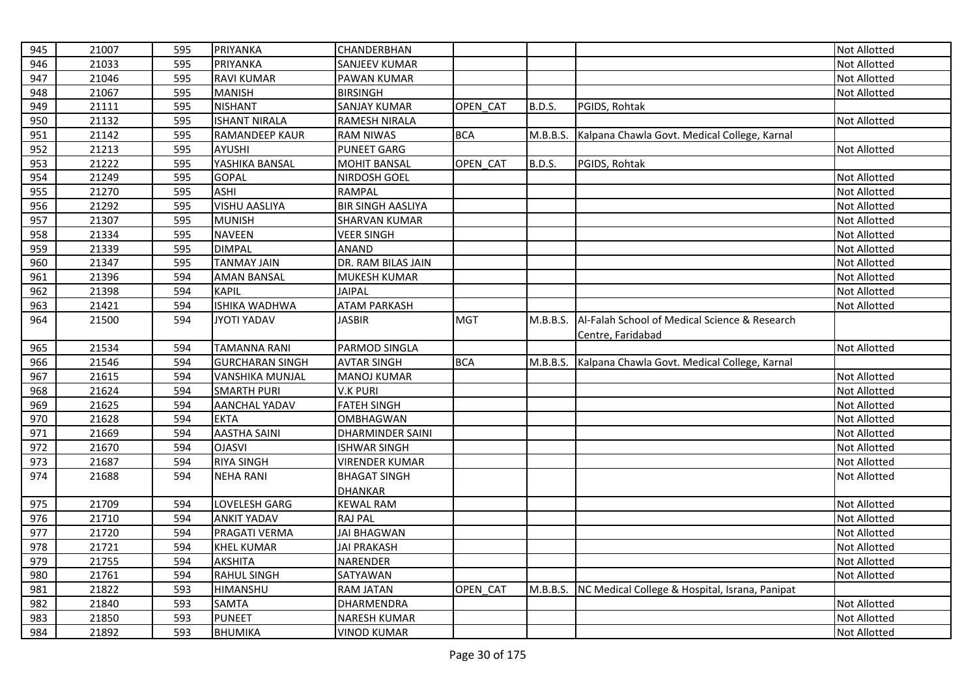| 945 | 21007 | 595 | PRIYANKA               | CHANDERBHAN              |            |               |                                                | Not Allotted        |
|-----|-------|-----|------------------------|--------------------------|------------|---------------|------------------------------------------------|---------------------|
| 946 | 21033 | 595 | <b>PRIYANKA</b>        | <b>SANJEEV KUMAR</b>     |            |               |                                                | <b>Not Allotted</b> |
| 947 | 21046 | 595 | <b>RAVI KUMAR</b>      | PAWAN KUMAR              |            |               |                                                | Not Allotted        |
| 948 | 21067 | 595 | <b>MANISH</b>          | <b>BIRSINGH</b>          |            |               |                                                | Not Allotted        |
| 949 | 21111 | 595 | <b>NISHANT</b>         | SANJAY KUMAR             | OPEN CAT   | <b>B.D.S.</b> | PGIDS, Rohtak                                  |                     |
| 950 | 21132 | 595 | <b>ISHANT NIRALA</b>   | <b>RAMESH NIRALA</b>     |            |               |                                                | Not Allotted        |
| 951 | 21142 | 595 | RAMANDEEP KAUR         | <b>RAM NIWAS</b>         | <b>BCA</b> | M.B.B.S.      | Kalpana Chawla Govt. Medical College, Karnal   |                     |
| 952 | 21213 | 595 | <b>AYUSHI</b>          | <b>PUNEET GARG</b>       |            |               |                                                | Not Allotted        |
| 953 | 21222 | 595 | YASHIKA BANSAL         | <b>MOHIT BANSAL</b>      | OPEN CAT   | <b>B.D.S.</b> | PGIDS, Rohtak                                  |                     |
| 954 | 21249 | 595 | <b>GOPAL</b>           | NIRDOSH GOEL             |            |               |                                                | Not Allotted        |
| 955 | 21270 | 595 | <b>ASHI</b>            | <b>RAMPAL</b>            |            |               |                                                | Not Allotted        |
| 956 | 21292 | 595 | <b>VISHU AASLIYA</b>   | <b>BIR SINGH AASLIYA</b> |            |               |                                                | Not Allotted        |
| 957 | 21307 | 595 | <b>MUNISH</b>          | <b>SHARVAN KUMAR</b>     |            |               |                                                | Not Allotted        |
| 958 | 21334 | 595 | <b>NAVEEN</b>          | <b>VEER SINGH</b>        |            |               |                                                | Not Allotted        |
| 959 | 21339 | 595 | <b>DIMPAL</b>          | <b>ANAND</b>             |            |               |                                                | Not Allotted        |
| 960 | 21347 | 595 | <b>TANMAY JAIN</b>     | DR. RAM BILAS JAIN       |            |               |                                                | Not Allotted        |
| 961 | 21396 | 594 | <b>AMAN BANSAL</b>     | MUKESH KUMAR             |            |               |                                                | Not Allotted        |
| 962 | 21398 | 594 | <b>KAPIL</b>           | <b>JAIPAL</b>            |            |               |                                                | Not Allotted        |
| 963 | 21421 | 594 | <b>ISHIKA WADHWA</b>   | <b>ATAM PARKASH</b>      |            |               |                                                | Not Allotted        |
| 964 | 21500 | 594 | <b>JYOTI YADAV</b>     | <b>JASBIR</b>            | <b>MGT</b> | M.B.B.S.      | Al-Falah School of Medical Science & Research  |                     |
|     |       |     |                        |                          |            |               | Centre, Faridabad                              |                     |
| 965 | 21534 | 594 | <b>TAMANNA RANI</b>    | PARMOD SINGLA            |            |               |                                                | Not Allotted        |
| 966 | 21546 | 594 | <b>GURCHARAN SINGH</b> | <b>AVTAR SINGH</b>       | <b>BCA</b> | M.B.B.S.      | Kalpana Chawla Govt. Medical College, Karnal   |                     |
| 967 | 21615 | 594 | <b>VANSHIKA MUNJAL</b> | <b>MANOJ KUMAR</b>       |            |               |                                                | <b>Not Allotted</b> |
| 968 | 21624 | 594 | <b>SMARTH PURI</b>     | <b>V.K PURI</b>          |            |               |                                                | Not Allotted        |
| 969 | 21625 | 594 | <b>AANCHAL YADAV</b>   | <b>FATEH SINGH</b>       |            |               |                                                | Not Allotted        |
| 970 | 21628 | 594 | <b>EKTA</b>            | <b>OMBHAGWAN</b>         |            |               |                                                | Not Allotted        |
| 971 | 21669 | 594 | <b>AASTHA SAINI</b>    | <b>DHARMINDER SAINI</b>  |            |               |                                                | Not Allotted        |
| 972 | 21670 | 594 | <b>OJASVI</b>          | <b>ISHWAR SINGH</b>      |            |               |                                                | Not Allotted        |
| 973 | 21687 | 594 | <b>RIYA SINGH</b>      | <b>VIRENDER KUMAR</b>    |            |               |                                                | Not Allotted        |
| 974 | 21688 | 594 | <b>NEHA RANI</b>       | <b>BHAGAT SINGH</b>      |            |               |                                                | Not Allotted        |
|     |       |     |                        | <b>DHANKAR</b>           |            |               |                                                |                     |
| 975 | 21709 | 594 | LOVELESH GARG          | <b>KEWAL RAM</b>         |            |               |                                                | <b>Not Allotted</b> |
| 976 | 21710 | 594 | <b>ANKIT YADAV</b>     | <b>RAJ PAL</b>           |            |               |                                                | Not Allotted        |
| 977 | 21720 | 594 | PRAGATI VERMA          | <b>JAI BHAGWAN</b>       |            |               |                                                | Not Allotted        |
| 978 | 21721 | 594 | <b>KHEL KUMAR</b>      | <b>JAI PRAKASH</b>       |            |               |                                                | Not Allotted        |
| 979 | 21755 | 594 | <b>AKSHITA</b>         | NARENDER                 |            |               |                                                | Not Allotted        |
| 980 | 21761 | 594 | <b>RAHUL SINGH</b>     | SATYAWAN                 |            |               |                                                | Not Allotted        |
| 981 | 21822 | 593 | HIMANSHU               | <b>RAM JATAN</b>         | OPEN CAT   | M.B.B.S.      | NC Medical College & Hospital, Israna, Panipat |                     |
| 982 | 21840 | 593 | <b>SAMTA</b>           | DHARMENDRA               |            |               |                                                | Not Allotted        |
| 983 | 21850 | 593 | <b>PUNEET</b>          | <b>NARESH KUMAR</b>      |            |               |                                                | Not Allotted        |
| 984 | 21892 | 593 | <b>BHUMIKA</b>         | <b>VINOD KUMAR</b>       |            |               |                                                | Not Allotted        |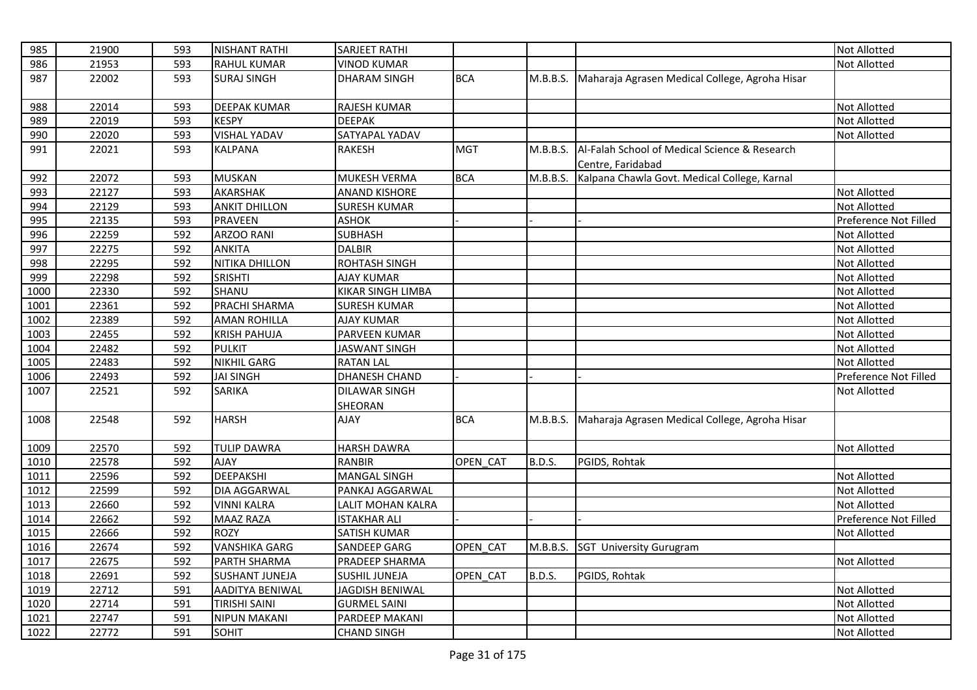| 985  | 21900 | 593 | <b>NISHANT RATHI</b>   | <b>SARJEET RATHI</b>            |            |               |                                                                    | <b>Not Allotted</b>   |
|------|-------|-----|------------------------|---------------------------------|------------|---------------|--------------------------------------------------------------------|-----------------------|
| 986  | 21953 | 593 | <b>RAHUL KUMAR</b>     | <b>VINOD KUMAR</b>              |            |               |                                                                    | <b>Not Allotted</b>   |
| 987  | 22002 | 593 | <b>SURAJ SINGH</b>     | <b>DHARAM SINGH</b>             | <b>BCA</b> | M.B.B.S.      | Maharaja Agrasen Medical College, Agroha Hisar                     |                       |
| 988  | 22014 | 593 | <b>DEEPAK KUMAR</b>    | RAJESH KUMAR                    |            |               |                                                                    | <b>Not Allotted</b>   |
| 989  | 22019 | 593 | <b>KESPY</b>           | <b>DEEPAK</b>                   |            |               |                                                                    | <b>Not Allotted</b>   |
| 990  | 22020 | 593 | <b>VISHAL YADAV</b>    | SATYAPAL YADAV                  |            |               |                                                                    | <b>Not Allotted</b>   |
| 991  | 22021 | 593 | <b>KALPANA</b>         | <b>RAKESH</b>                   | <b>MGT</b> | M.B.B.S.      | Al-Falah School of Medical Science & Research<br>Centre, Faridabad |                       |
| 992  | 22072 | 593 | <b>MUSKAN</b>          | <b>MUKESH VERMA</b>             | <b>BCA</b> | M.B.B.S.      | Kalpana Chawla Govt. Medical College, Karnal                       |                       |
| 993  | 22127 | 593 | <b>AKARSHAK</b>        | <b>ANAND KISHORE</b>            |            |               |                                                                    | <b>Not Allotted</b>   |
| 994  | 22129 | 593 | <b>ANKIT DHILLON</b>   | <b>SURESH KUMAR</b>             |            |               |                                                                    | <b>Not Allotted</b>   |
| 995  | 22135 | 593 | <b>PRAVEEN</b>         | <b>ASHOK</b>                    |            |               |                                                                    | Preference Not Filled |
| 996  | 22259 | 592 | ARZOO RANI             | <b>SUBHASH</b>                  |            |               |                                                                    | Not Allotted          |
| 997  | 22275 | 592 | <b>ANKITA</b>          | <b>DALBIR</b>                   |            |               |                                                                    | <b>Not Allotted</b>   |
| 998  | 22295 | 592 | NITIKA DHILLON         | <b>ROHTASH SINGH</b>            |            |               |                                                                    | <b>Not Allotted</b>   |
| 999  | 22298 | 592 | <b>SRISHTI</b>         | <b>AJAY KUMAR</b>               |            |               |                                                                    | <b>Not Allotted</b>   |
| 1000 | 22330 | 592 | SHANU                  | KIKAR SINGH LIMBA               |            |               |                                                                    | <b>Not Allotted</b>   |
| 1001 | 22361 | 592 | PRACHI SHARMA          | <b>SURESH KUMAR</b>             |            |               |                                                                    | <b>Not Allotted</b>   |
| 1002 | 22389 | 592 | <b>AMAN ROHILLA</b>    | <b>AJAY KUMAR</b>               |            |               |                                                                    | <b>Not Allotted</b>   |
| 1003 | 22455 | 592 | <b>KRISH PAHUJA</b>    | PARVEEN KUMAR                   |            |               |                                                                    | <b>Not Allotted</b>   |
| 1004 | 22482 | 592 | <b>PULKIT</b>          | <b>JASWANT SINGH</b>            |            |               |                                                                    | <b>Not Allotted</b>   |
| 1005 | 22483 | 592 | <b>NIKHIL GARG</b>     | <b>RATAN LAL</b>                |            |               |                                                                    | <b>Not Allotted</b>   |
| 1006 | 22493 | 592 | <b>JAI SINGH</b>       | <b>DHANESH CHAND</b>            |            |               |                                                                    | Preference Not Filled |
| 1007 | 22521 | 592 | <b>SARIKA</b>          | <b>DILAWAR SINGH</b><br>SHEORAN |            |               |                                                                    | <b>Not Allotted</b>   |
| 1008 | 22548 | 592 | <b>HARSH</b>           | <b>AJAY</b>                     | <b>BCA</b> | M.B.B.S.      | Maharaja Agrasen Medical College, Agroha Hisar                     |                       |
| 1009 | 22570 | 592 | <b>TULIP DAWRA</b>     | <b>HARSH DAWRA</b>              |            |               |                                                                    | <b>Not Allotted</b>   |
| 1010 | 22578 | 592 | <b>AJAY</b>            | <b>RANBIR</b>                   | OPEN CAT   | <b>B.D.S.</b> | PGIDS, Rohtak                                                      |                       |
| 1011 | 22596 | 592 | <b>DEEPAKSHI</b>       | <b>MANGAL SINGH</b>             |            |               |                                                                    | <b>Not Allotted</b>   |
| 1012 | 22599 | 592 | <b>DIA AGGARWAL</b>    | PANKAJ AGGARWAL                 |            |               |                                                                    | <b>Not Allotted</b>   |
| 1013 | 22660 | 592 | <b>VINNI KALRA</b>     | LALIT MOHAN KALRA               |            |               |                                                                    | <b>Not Allotted</b>   |
| 1014 | 22662 | 592 | <b>MAAZ RAZA</b>       | <b>ISTAKHAR ALI</b>             |            |               |                                                                    | Preference Not Filled |
| 1015 | 22666 | 592 | <b>ROZY</b>            | SATISH KUMAR                    |            |               |                                                                    | <b>Not Allotted</b>   |
| 1016 | 22674 | 592 | <b>VANSHIKA GARG</b>   | <b>SANDEEP GARG</b>             | OPEN_CAT   |               | M.B.B.S. SGT University Gurugram                                   |                       |
| 1017 | 22675 | 592 | PARTH SHARMA           | PRADEEP SHARMA                  |            |               |                                                                    | <b>Not Allotted</b>   |
| 1018 | 22691 | 592 | <b>SUSHANT JUNEJA</b>  | <b>SUSHIL JUNEJA</b>            | OPEN CAT   | <b>B.D.S.</b> | PGIDS, Rohtak                                                      |                       |
| 1019 | 22712 | 591 | <b>AADITYA BENIWAL</b> | <b>JAGDISH BENIWAL</b>          |            |               |                                                                    | <b>Not Allotted</b>   |
| 1020 | 22714 | 591 | TIRISHI SAINI          | <b>GURMEL SAINI</b>             |            |               |                                                                    | Not Allotted          |
| 1021 | 22747 | 591 | <b>NIPUN MAKANI</b>    | PARDEEP MAKANI                  |            |               |                                                                    | <b>Not Allotted</b>   |
| 1022 | 22772 | 591 | SOHIT                  | <b>CHAND SINGH</b>              |            |               |                                                                    | <b>Not Allotted</b>   |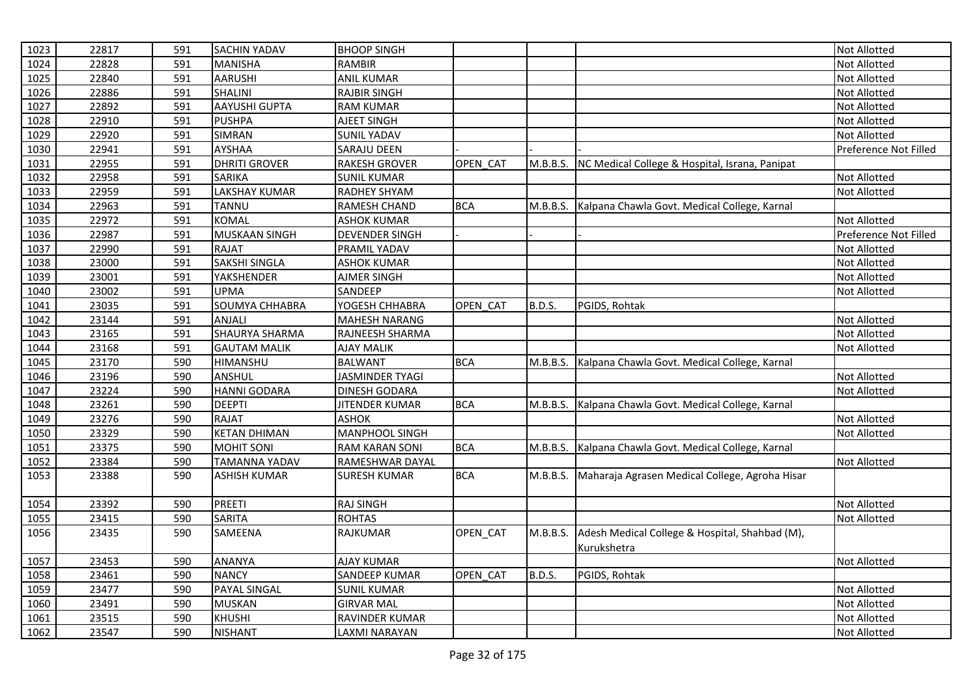| 1023 | 22817 | 591 | <b>SACHIN YADAV</b>   | <b>BHOOP SINGH</b>     |            |               |                                                         | <b>Not Allotted</b>   |
|------|-------|-----|-----------------------|------------------------|------------|---------------|---------------------------------------------------------|-----------------------|
| 1024 | 22828 | 591 | <b>MANISHA</b>        | <b>RAMBIR</b>          |            |               |                                                         | Not Allotted          |
| 1025 | 22840 | 591 | <b>AARUSHI</b>        | <b>ANIL KUMAR</b>      |            |               |                                                         | <b>Not Allotted</b>   |
| 1026 | 22886 | 591 | SHALINI               | <b>RAJBIR SINGH</b>    |            |               |                                                         | Not Allotted          |
| 1027 | 22892 | 591 | <b>AAYUSHI GUPTA</b>  | <b>RAM KUMAR</b>       |            |               |                                                         | Not Allotted          |
| 1028 | 22910 | 591 | <b>PUSHPA</b>         | AJEET SINGH            |            |               |                                                         | Not Allotted          |
| 1029 | 22920 | 591 | <b>SIMRAN</b>         | <b>SUNIL YADAV</b>     |            |               |                                                         | <b>Not Allotted</b>   |
| 1030 | 22941 | 591 | <b>AYSHAA</b>         | <b>SARAJU DEEN</b>     |            |               |                                                         | Preference Not Filled |
| 1031 | 22955 | 591 | <b>DHRITI GROVER</b>  | <b>RAKESH GROVER</b>   | OPEN_CAT   | M.B.B.S.      | NC Medical College & Hospital, Israna, Panipat          |                       |
| 1032 | 22958 | 591 | <b>SARIKA</b>         | <b>SUNIL KUMAR</b>     |            |               |                                                         | Not Allotted          |
| 1033 | 22959 | 591 | <b>LAKSHAY KUMAR</b>  | <b>RADHEY SHYAM</b>    |            |               |                                                         | <b>Not Allotted</b>   |
| 1034 | 22963 | 591 | <b>TANNU</b>          | RAMESH CHAND           | <b>BCA</b> | M.B.B.S.      | Kalpana Chawla Govt. Medical College, Karnal            |                       |
| 1035 | 22972 | 591 | <b>KOMAL</b>          | <b>ASHOK KUMAR</b>     |            |               |                                                         | <b>Not Allotted</b>   |
| 1036 | 22987 | 591 | MUSKAAN SINGH         | <b>DEVENDER SINGH</b>  |            |               |                                                         | Preference Not Filled |
| 1037 | 22990 | 591 | <b>RAJAT</b>          | PRAMIL YADAV           |            |               |                                                         | <b>Not Allotted</b>   |
| 1038 | 23000 | 591 | <b>SAKSHI SINGLA</b>  | <b>ASHOK KUMAR</b>     |            |               |                                                         | Not Allotted          |
| 1039 | 23001 | 591 | <b>YAKSHENDER</b>     | AJMER SINGH            |            |               |                                                         | <b>Not Allotted</b>   |
| 1040 | 23002 | 591 | <b>UPMA</b>           | SANDEEP                |            |               |                                                         | Not Allotted          |
| 1041 | 23035 | 591 | SOUMYA CHHABRA        | YOGESH CHHABRA         | OPEN CAT   | B.D.S.        | PGIDS, Rohtak                                           |                       |
| 1042 | 23144 | 591 | ANJALI                | <b>MAHESH NARANG</b>   |            |               |                                                         | Not Allotted          |
| 1043 | 23165 | 591 | <b>SHAURYA SHARMA</b> | RAJNEESH SHARMA        |            |               |                                                         | <b>Not Allotted</b>   |
| 1044 | 23168 | 591 | <b>GAUTAM MALIK</b>   | <b>AJAY MALIK</b>      |            |               |                                                         | Not Allotted          |
| 1045 | 23170 | 590 | HIMANSHU              | <b>BALWANT</b>         | <b>BCA</b> |               | M.B.B.S. Kalpana Chawla Govt. Medical College, Karnal   |                       |
| 1046 | 23196 | 590 | ANSHUL                | <b>JASMINDER TYAGI</b> |            |               |                                                         | <b>Not Allotted</b>   |
| 1047 | 23224 | 590 | <b>HANNI GODARA</b>   | <b>DINESH GODARA</b>   |            |               |                                                         | Not Allotted          |
| 1048 | 23261 | 590 | <b>DEEPTI</b>         | <b>JITENDER KUMAR</b>  | <b>BCA</b> | M.B.B.S.      | Kalpana Chawla Govt. Medical College, Karnal            |                       |
| 1049 | 23276 | 590 | <b>RAJAT</b>          | <b>ASHOK</b>           |            |               |                                                         | Not Allotted          |
| 1050 | 23329 | 590 | <b>KETAN DHIMAN</b>   | <b>MANPHOOL SINGH</b>  |            |               |                                                         | <b>Not Allotted</b>   |
| 1051 | 23375 | 590 | <b>MOHIT SONI</b>     | <b>RAM KARAN SONI</b>  | <b>BCA</b> | M.B.B.S.      | Kalpana Chawla Govt. Medical College, Karnal            |                       |
| 1052 | 23384 | 590 | <b>TAMANNA YADAV</b>  | RAMESHWAR DAYAL        |            |               |                                                         | Not Allotted          |
| 1053 | 23388 | 590 | <b>ASHISH KUMAR</b>   | SURESH KUMAR           | <b>BCA</b> |               | M.B.B.S. Maharaja Agrasen Medical College, Agroha Hisar |                       |
| 1054 | 23392 | 590 | <b>PREETI</b>         | <b>RAJ SINGH</b>       |            |               |                                                         | Not Allotted          |
| 1055 | 23415 | 590 | <b>SARITA</b>         | <b>ROHTAS</b>          |            |               |                                                         | <b>Not Allotted</b>   |
| 1056 | 23435 | 590 | SAMEENA               | RAJKUMAR               | OPEN_CAT   | M.B.B.S.      | Adesh Medical College & Hospital, Shahbad (M),          |                       |
|      |       |     |                       |                        |            |               | Kurukshetra                                             |                       |
| 1057 | 23453 | 590 | <b>ANANYA</b>         | <b>AJAY KUMAR</b>      |            |               |                                                         | Not Allotted          |
| 1058 | 23461 | 590 | <b>NANCY</b>          | <b>SANDEEP KUMAR</b>   | OPEN_CAT   | <b>B.D.S.</b> | PGIDS, Rohtak                                           |                       |
| 1059 | 23477 | 590 | PAYAL SINGAL          | <b>SUNIL KUMAR</b>     |            |               |                                                         | Not Allotted          |
| 1060 | 23491 | 590 | <b>MUSKAN</b>         | <b>GIRVAR MAL</b>      |            |               |                                                         | Not Allotted          |
| 1061 | 23515 | 590 | <b>KHUSHI</b>         | RAVINDER KUMAR         |            |               |                                                         | <b>Not Allotted</b>   |
| 1062 | 23547 | 590 | <b>NISHANT</b>        | LAXMI NARAYAN          |            |               |                                                         | Not Allotted          |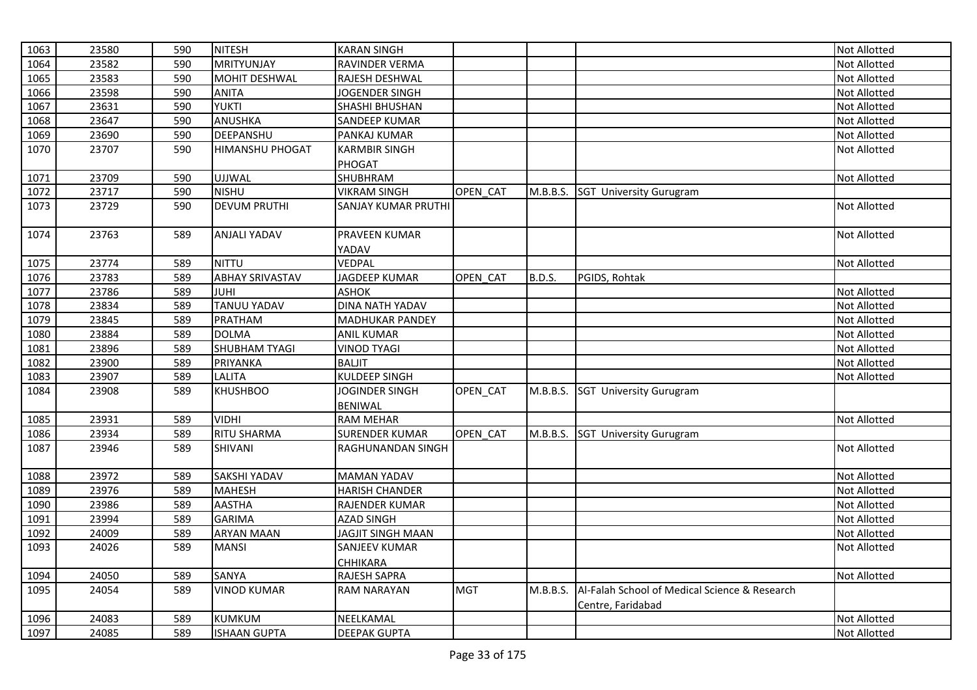| 1063 | 23580 | 590 | <b>NITESH</b>          | <b>KARAN SINGH</b>         |            |               |                                               | <b>Not Allotted</b> |
|------|-------|-----|------------------------|----------------------------|------------|---------------|-----------------------------------------------|---------------------|
| 1064 | 23582 | 590 | <b>MRITYUNJAY</b>      | RAVINDER VERMA             |            |               |                                               | Not Allotted        |
| 1065 | 23583 | 590 | <b>MOHIT DESHWAL</b>   | RAJESH DESHWAL             |            |               |                                               | <b>Not Allotted</b> |
| 1066 | 23598 | 590 | <b>ANITA</b>           | JOGENDER SINGH             |            |               |                                               | Not Allotted        |
| 1067 | 23631 | 590 | <b>YUKTI</b>           | SHASHI BHUSHAN             |            |               |                                               | Not Allotted        |
| 1068 | 23647 | 590 | ANUSHKA                | SANDEEP KUMAR              |            |               |                                               | Not Allotted        |
| 1069 | 23690 | 590 | DEEPANSHU              | PANKAJ KUMAR               |            |               |                                               | Not Allotted        |
| 1070 | 23707 | 590 | <b>HIMANSHU PHOGAT</b> | <b>KARMBIR SINGH</b>       |            |               |                                               | Not Allotted        |
|      |       |     |                        | PHOGAT                     |            |               |                                               |                     |
| 1071 | 23709 | 590 | <b>UJJWAL</b>          | SHUBHRAM                   |            |               |                                               | Not Allotted        |
| 1072 | 23717 | 590 | <b>NISHU</b>           | <b>VIKRAM SINGH</b>        | OPEN CAT   |               | M.B.B.S. SGT University Gurugram              |                     |
| 1073 | 23729 | 590 | <b>DEVUM PRUTHI</b>    | <b>SANJAY KUMAR PRUTHI</b> |            |               |                                               | Not Allotted        |
| 1074 | 23763 | 589 | <b>ANJALI YADAV</b>    | PRAVEEN KUMAR              |            |               |                                               | Not Allotted        |
|      |       |     |                        | YADAV                      |            |               |                                               |                     |
| 1075 | 23774 | 589 | <b>NITTU</b>           | VEDPAL                     |            |               |                                               | Not Allotted        |
| 1076 | 23783 | 589 | <b>ABHAY SRIVASTAV</b> | <b>JAGDEEP KUMAR</b>       | OPEN_CAT   | <b>B.D.S.</b> | PGIDS, Rohtak                                 |                     |
| 1077 | 23786 | 589 | <b>JUHI</b>            | ASHOK                      |            |               |                                               | Not Allotted        |
| 1078 | 23834 | 589 | <b>TANUU YADAV</b>     | <b>DINA NATH YADAV</b>     |            |               |                                               | Not Allotted        |
| 1079 | 23845 | 589 | <b>PRATHAM</b>         | <b>MADHUKAR PANDEY</b>     |            |               |                                               | Not Allotted        |
| 1080 | 23884 | 589 | <b>DOLMA</b>           | <b>ANIL KUMAR</b>          |            |               |                                               | Not Allotted        |
| 1081 | 23896 | 589 | <b>SHUBHAM TYAGI</b>   | <b>VINOD TYAGI</b>         |            |               |                                               | Not Allotted        |
| 1082 | 23900 | 589 | PRIYANKA               | <b>BALJIT</b>              |            |               |                                               | Not Allotted        |
| 1083 | 23907 | 589 | <b>LALITA</b>          | <b>KULDEEP SINGH</b>       |            |               |                                               | Not Allotted        |
| 1084 | 23908 | 589 | <b>KHUSHBOO</b>        | JOGINDER SINGH             | OPEN_CAT   | M.B.B.S.      | <b>SGT University Gurugram</b>                |                     |
|      |       |     |                        | <b>BENIWAL</b>             |            |               |                                               |                     |
| 1085 | 23931 | 589 | <b>VIDHI</b>           | <b>RAM MEHAR</b>           |            |               |                                               | Not Allotted        |
| 1086 | 23934 | 589 | <b>RITU SHARMA</b>     | <b>SURENDER KUMAR</b>      | OPEN CAT   |               | M.B.B.S. SGT University Gurugram              |                     |
| 1087 | 23946 | 589 | SHIVANI                | RAGHUNANDAN SINGH          |            |               |                                               | Not Allotted        |
| 1088 | 23972 | 589 | <b>SAKSHI YADAV</b>    | <b>MAMAN YADAV</b>         |            |               |                                               | Not Allotted        |
| 1089 | 23976 | 589 | <b>MAHESH</b>          | <b>HARISH CHANDER</b>      |            |               |                                               | Not Allotted        |
| 1090 | 23986 | 589 | <b>AASTHA</b>          | RAJENDER KUMAR             |            |               |                                               | <b>Not Allotted</b> |
| 1091 | 23994 | 589 | <b>GARIMA</b>          | <b>AZAD SINGH</b>          |            |               |                                               | Not Allotted        |
| 1092 | 24009 | 589 | <b>ARYAN MAAN</b>      | JAGJIT SINGH MAAN          |            |               |                                               | Not Allotted        |
| 1093 | 24026 | 589 | <b>MANSI</b>           | SANJEEV KUMAR              |            |               |                                               | Not Allotted        |
|      |       |     |                        | CHHIKARA                   |            |               |                                               |                     |
| 1094 | 24050 | 589 | SANYA                  | RAJESH SAPRA               |            |               |                                               | Not Allotted        |
| 1095 | 24054 | 589 | <b>VINOD KUMAR</b>     | <b>RAM NARAYAN</b>         | <b>MGT</b> | M.B.B.S.      | Al-Falah School of Medical Science & Research |                     |
| 1096 | 24083 | 589 | <b>KUMKUM</b>          | NEELKAMAL                  |            |               | Centre, Faridabad                             | Not Allotted        |
|      |       |     |                        |                            |            |               |                                               |                     |
| 1097 | 24085 | 589 | <b>ISHAAN GUPTA</b>    | <b>DEEPAK GUPTA</b>        |            |               |                                               | Not Allotted        |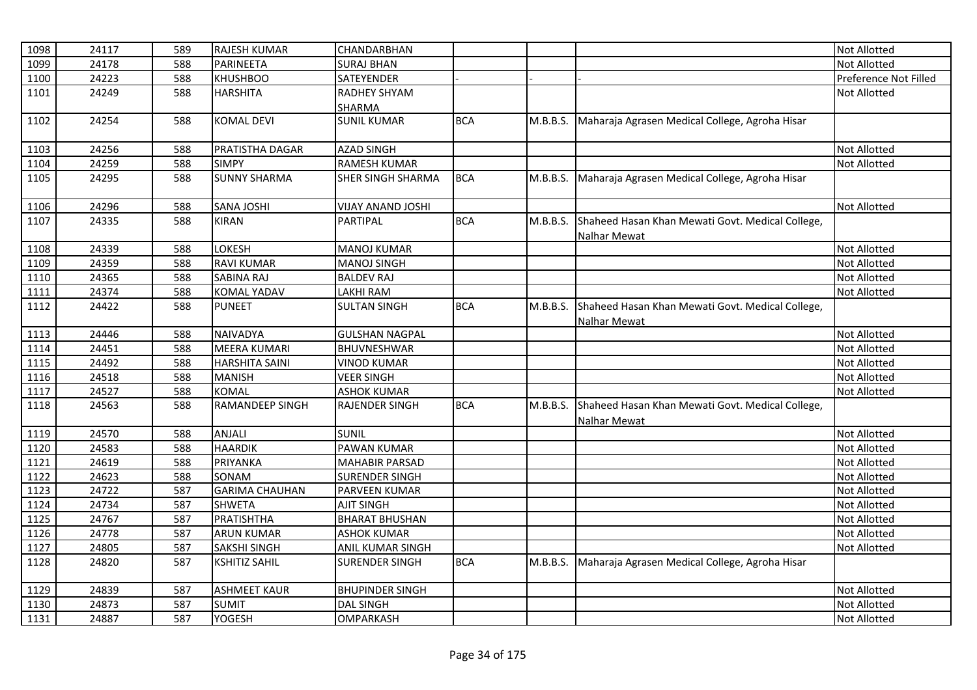| 1098 | 24117 | 589 | <b>RAJESH KUMAR</b>    | CHANDARBHAN              |            |          |                                                                         | <b>Not Allotted</b>   |
|------|-------|-----|------------------------|--------------------------|------------|----------|-------------------------------------------------------------------------|-----------------------|
| 1099 | 24178 | 588 | PARINEETA              | <b>SURAJ BHAN</b>        |            |          |                                                                         | Not Allotted          |
| 1100 | 24223 | 588 | <b>KHUSHBOO</b>        | <b>SATEYENDER</b>        |            |          |                                                                         | Preference Not Filled |
| 1101 | 24249 | 588 | <b>HARSHITA</b>        | <b>RADHEY SHYAM</b>      |            |          |                                                                         | <b>Not Allotted</b>   |
|      |       |     |                        | <b>SHARMA</b>            |            |          |                                                                         |                       |
| 1102 | 24254 | 588 | <b>KOMAL DEVI</b>      | <b>SUNIL KUMAR</b>       | <b>BCA</b> | M.B.B.S. | Maharaja Agrasen Medical College, Agroha Hisar                          |                       |
| 1103 | 24256 | 588 | PRATISTHA DAGAR        | <b>AZAD SINGH</b>        |            |          |                                                                         | <b>Not Allotted</b>   |
| 1104 | 24259 | 588 | <b>SIMPY</b>           | <b>RAMESH KUMAR</b>      |            |          |                                                                         | Not Allotted          |
| 1105 | 24295 | 588 | <b>SUNNY SHARMA</b>    | SHER SINGH SHARMA        | <b>BCA</b> | M.B.B.S. | Maharaja Agrasen Medical College, Agroha Hisar                          |                       |
| 1106 | 24296 | 588 | <b>SANA JOSHI</b>      | <b>VIJAY ANAND JOSHI</b> |            |          |                                                                         | Not Allotted          |
| 1107 | 24335 | 588 | <b>KIRAN</b>           | PARTIPAL                 | <b>BCA</b> | M.B.B.S. | Shaheed Hasan Khan Mewati Govt. Medical College,<br><b>Nalhar Mewat</b> |                       |
| 1108 | 24339 | 588 | LOKESH                 | <b>MANOJ KUMAR</b>       |            |          |                                                                         | <b>Not Allotted</b>   |
| 1109 | 24359 | 588 | <b>RAVI KUMAR</b>      | <b>MANOJ SINGH</b>       |            |          |                                                                         | <b>Not Allotted</b>   |
| 1110 | 24365 | 588 | SABINA RAJ             | <b>BALDEV RAJ</b>        |            |          |                                                                         | Not Allotted          |
| 1111 | 24374 | 588 | <b>KOMAL YADAV</b>     | LAKHI RAM                |            |          |                                                                         | Not Allotted          |
| 1112 | 24422 | 588 | <b>PUNEET</b>          | <b>SULTAN SINGH</b>      | <b>BCA</b> | M.B.B.S. | Shaheed Hasan Khan Mewati Govt. Medical College,<br>Nalhar Mewat        |                       |
| 1113 | 24446 | 588 | <b>NAIVADYA</b>        | <b>GULSHAN NAGPAL</b>    |            |          |                                                                         | Not Allotted          |
| 1114 | 24451 | 588 | <b>MEERA KUMARI</b>    | BHUVNESHWAR              |            |          |                                                                         | Not Allotted          |
| 1115 | 24492 | 588 | <b>HARSHITA SAINI</b>  | <b>VINOD KUMAR</b>       |            |          |                                                                         | Not Allotted          |
| 1116 | 24518 | 588 | <b>MANISH</b>          | <b>VEER SINGH</b>        |            |          |                                                                         | <b>Not Allotted</b>   |
| 1117 | 24527 | 588 | KOMAL                  | <b>ASHOK KUMAR</b>       |            |          |                                                                         | Not Allotted          |
| 1118 | 24563 | 588 | <b>RAMANDEEP SINGH</b> | <b>RAJENDER SINGH</b>    | <b>BCA</b> | M.B.B.S. | Shaheed Hasan Khan Mewati Govt. Medical College,<br><b>Nalhar Mewat</b> |                       |
| 1119 | 24570 | 588 | ANJALI                 | SUNIL                    |            |          |                                                                         | <b>Not Allotted</b>   |
| 1120 | 24583 | 588 | <b>HAARDIK</b>         | <b>PAWAN KUMAR</b>       |            |          |                                                                         | Not Allotted          |
| 1121 | 24619 | 588 | PRIYANKA               | <b>MAHABIR PARSAD</b>    |            |          |                                                                         | Not Allotted          |
| 1122 | 24623 | 588 | SONAM                  | SURENDER SINGH           |            |          |                                                                         | Not Allotted          |
| 1123 | 24722 | 587 | <b>GARIMA CHAUHAN</b>  | PARVEEN KUMAR            |            |          |                                                                         | Not Allotted          |
| 1124 | 24734 | 587 | <b>SHWETA</b>          | <b>AJIT SINGH</b>        |            |          |                                                                         | Not Allotted          |
| 1125 | 24767 | 587 | PRATISHTHA             | <b>BHARAT BHUSHAN</b>    |            |          |                                                                         | <b>Not Allotted</b>   |
| 1126 | 24778 | 587 | <b>ARUN KUMAR</b>      | <b>ASHOK KUMAR</b>       |            |          |                                                                         | <b>Not Allotted</b>   |
| 1127 | 24805 | 587 | <b>SAKSHI SINGH</b>    | ANIL KUMAR SINGH         |            |          |                                                                         | Not Allotted          |
| 1128 | 24820 | 587 | <b>KSHITIZ SAHIL</b>   | SURENDER SINGH           | <b>BCA</b> | M.B.B.S. | Maharaja Agrasen Medical College, Agroha Hisar                          |                       |
| 1129 | 24839 | 587 | <b>ASHMEET KAUR</b>    | <b>BHUPINDER SINGH</b>   |            |          |                                                                         | <b>Not Allotted</b>   |
| 1130 | 24873 | 587 | <b>SUMIT</b>           | <b>DAL SINGH</b>         |            |          |                                                                         | Not Allotted          |
| 1131 | 24887 | 587 | <b>YOGESH</b>          | OMPARKASH                |            |          |                                                                         | Not Allotted          |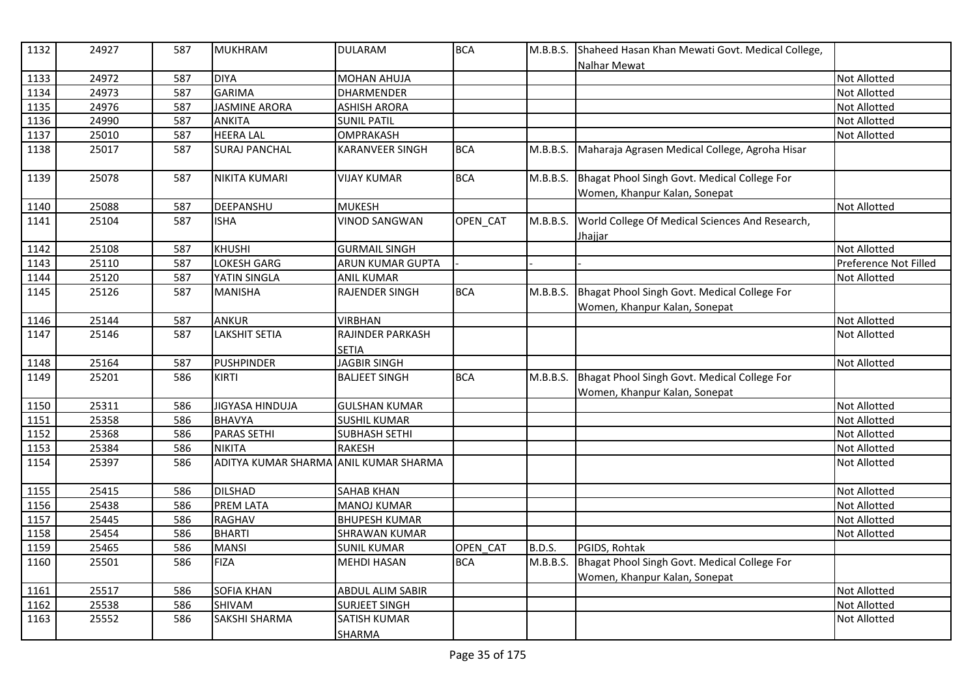| 1132 | 24927 | 587 | <b>MUKHRAM</b>                        | <b>DULARAM</b>          | <b>BCA</b> | M.B.B.S. | Shaheed Hasan Khan Mewati Govt. Medical College,<br>Nalhar Mewat              |                       |
|------|-------|-----|---------------------------------------|-------------------------|------------|----------|-------------------------------------------------------------------------------|-----------------------|
| 1133 | 24972 | 587 | <b>DIYA</b>                           | MOHAN AHUJA             |            |          |                                                                               | <b>Not Allotted</b>   |
| 1134 | 24973 | 587 | <b>GARIMA</b>                         | DHARMENDER              |            |          |                                                                               | <b>Not Allotted</b>   |
| 1135 | 24976 | 587 | <b>JASMINE ARORA</b>                  | <b>ASHISH ARORA</b>     |            |          |                                                                               | <b>Not Allotted</b>   |
| 1136 | 24990 | 587 | ANKITA                                | <b>SUNIL PATIL</b>      |            |          |                                                                               | Not Allotted          |
| 1137 | 25010 | 587 | <b>HEERA LAL</b>                      | <b>OMPRAKASH</b>        |            |          |                                                                               | <b>Not Allotted</b>   |
| 1138 | 25017 | 587 | <b>SURAJ PANCHAL</b>                  | <b>KARANVEER SINGH</b>  | <b>BCA</b> | M.B.B.S. | Maharaja Agrasen Medical College, Agroha Hisar                                |                       |
| 1139 | 25078 | 587 | NIKITA KUMARI                         | <b>VIJAY KUMAR</b>      | <b>BCA</b> | M.B.B.S. | Bhagat Phool Singh Govt. Medical College For<br>Women, Khanpur Kalan, Sonepat |                       |
| 1140 | 25088 | 587 | DEEPANSHU                             | <b>MUKESH</b>           |            |          |                                                                               | Not Allotted          |
| 1141 | 25104 | 587 | <b>ISHA</b>                           | <b>VINOD SANGWAN</b>    | OPEN CAT   | M.B.B.S. | World College Of Medical Sciences And Research,<br>Jhajjar                    |                       |
| 1142 | 25108 | 587 | <b>KHUSHI</b>                         | <b>GURMAIL SINGH</b>    |            |          |                                                                               | <b>Not Allotted</b>   |
| 1143 | 25110 | 587 | <b>LOKESH GARG</b>                    | <b>ARUN KUMAR GUPTA</b> |            |          |                                                                               | Preference Not Filled |
| 1144 | 25120 | 587 | YATIN SINGLA                          | <b>ANIL KUMAR</b>       |            |          |                                                                               | <b>Not Allotted</b>   |
| 1145 | 25126 | 587 | <b>MANISHA</b>                        | <b>RAJENDER SINGH</b>   | <b>BCA</b> | M.B.B.S. | Bhagat Phool Singh Govt. Medical College For                                  |                       |
|      |       |     |                                       |                         |            |          | Women, Khanpur Kalan, Sonepat                                                 |                       |
| 1146 | 25144 | 587 | <b>ANKUR</b>                          | <b>VIRBHAN</b>          |            |          |                                                                               | Not Allotted          |
| 1147 | 25146 | 587 | <b>LAKSHIT SETIA</b>                  | RAJINDER PARKASH        |            |          |                                                                               | <b>Not Allotted</b>   |
|      |       |     |                                       | <b>SETIA</b>            |            |          |                                                                               |                       |
| 1148 | 25164 | 587 | <b>PUSHPINDER</b>                     | JAGBIR SINGH            |            |          |                                                                               | <b>Not Allotted</b>   |
| 1149 | 25201 | 586 | <b>KIRTI</b>                          | <b>BALJEET SINGH</b>    | <b>BCA</b> | M.B.B.S. | Bhagat Phool Singh Govt. Medical College For                                  |                       |
|      |       |     |                                       |                         |            |          | Women, Khanpur Kalan, Sonepat                                                 |                       |
| 1150 | 25311 | 586 | JIGYASA HINDUJA                       | <b>GULSHAN KUMAR</b>    |            |          |                                                                               | <b>Not Allotted</b>   |
| 1151 | 25358 | 586 | <b>BHAVYA</b>                         | <b>SUSHIL KUMAR</b>     |            |          |                                                                               | <b>Not Allotted</b>   |
| 1152 | 25368 | 586 | <b>PARAS SETHI</b>                    | <b>SUBHASH SETHI</b>    |            |          |                                                                               | Not Allotted          |
| 1153 | 25384 | 586 | <b>NIKITA</b>                         | <b>RAKESH</b>           |            |          |                                                                               | Not Allotted          |
| 1154 | 25397 | 586 | ADITYA KUMAR SHARMA ANIL KUMAR SHARMA |                         |            |          |                                                                               | <b>Not Allotted</b>   |
| 1155 | 25415 | 586 | <b>DILSHAD</b>                        | <b>SAHAB KHAN</b>       |            |          |                                                                               | Not Allotted          |
| 1156 | 25438 | 586 | <b>PREM LATA</b>                      | <b>MANOJ KUMAR</b>      |            |          |                                                                               | Not Allotted          |
| 1157 | 25445 | 586 | <b>RAGHAV</b>                         | <b>BHUPESH KUMAR</b>    |            |          |                                                                               | <b>Not Allotted</b>   |
| 1158 | 25454 | 586 | <b>BHARTI</b>                         | SHRAWAN KUMAR           |            |          |                                                                               | Not Allotted          |
| 1159 | 25465 | 586 | <b>MANSI</b>                          | <b>SUNIL KUMAR</b>      | OPEN CAT   | B.D.S.   | PGIDS, Rohtak                                                                 |                       |
| 1160 | 25501 | 586 | <b>FIZA</b>                           | <b>MEHDI HASAN</b>      | <b>BCA</b> | M.B.B.S. | Bhagat Phool Singh Govt. Medical College For<br>Women, Khanpur Kalan, Sonepat |                       |
| 1161 | 25517 | 586 | SOFIA KHAN                            | ABDUL ALIM SABIR        |            |          |                                                                               | Not Allotted          |
| 1162 | 25538 | 586 | SHIVAM                                | <b>SURJEET SINGH</b>    |            |          |                                                                               | Not Allotted          |
| 1163 | 25552 | 586 | <b>SAKSHI SHARMA</b>                  | <b>SATISH KUMAR</b>     |            |          |                                                                               | Not Allotted          |
|      |       |     |                                       | SHARMA                  |            |          |                                                                               |                       |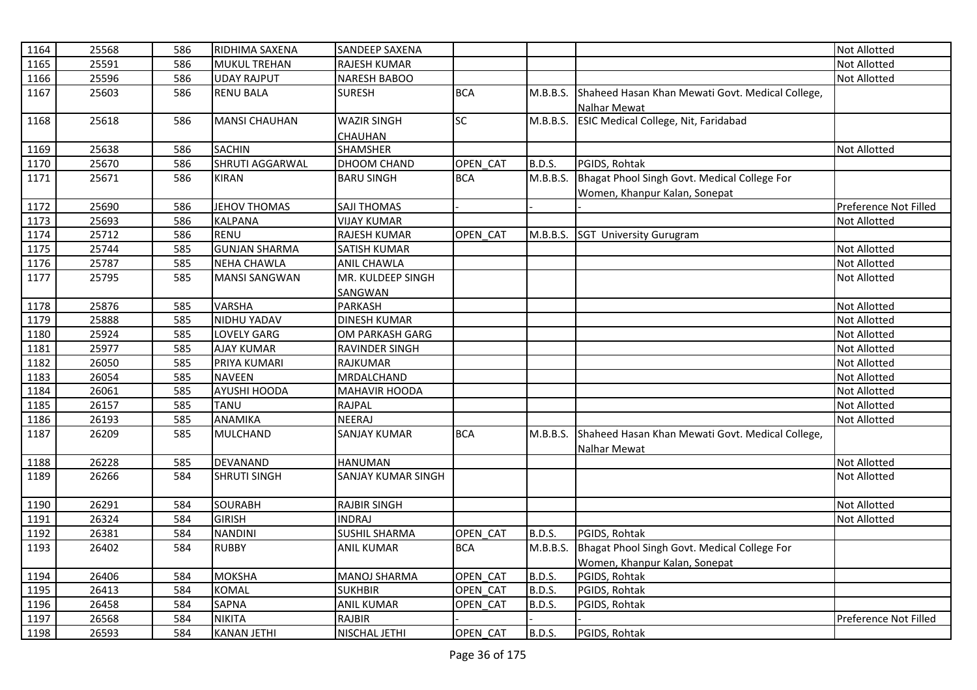| 1164 | 25568 | 586 | RIDHIMA SAXENA       | <b>SANDEEP SAXENA</b> |            |               |                                                  | <b>Not Allotted</b>   |
|------|-------|-----|----------------------|-----------------------|------------|---------------|--------------------------------------------------|-----------------------|
| 1165 | 25591 | 586 | <b>MUKUL TREHAN</b>  | <b>RAJESH KUMAR</b>   |            |               |                                                  | <b>Not Allotted</b>   |
| 1166 | 25596 | 586 | <b>UDAY RAJPUT</b>   | NARESH BABOO          |            |               |                                                  | <b>Not Allotted</b>   |
| 1167 | 25603 | 586 | <b>RENU BALA</b>     | <b>SURESH</b>         | <b>BCA</b> | M.B.B.S.      | Shaheed Hasan Khan Mewati Govt. Medical College, |                       |
|      |       |     |                      |                       |            |               | <b>Nalhar Mewat</b>                              |                       |
| 1168 | 25618 | 586 | <b>MANSI CHAUHAN</b> | <b>WAZIR SINGH</b>    | <b>SC</b>  | M.B.B.S.      | <b>ESIC Medical College, Nit, Faridabad</b>      |                       |
|      |       |     |                      | CHAUHAN               |            |               |                                                  |                       |
| 1169 | 25638 | 586 | <b>SACHIN</b>        | <b>SHAMSHER</b>       |            |               |                                                  | <b>Not Allotted</b>   |
| 1170 | 25670 | 586 | SHRUTI AGGARWAL      | DHOOM CHAND           | OPEN CAT   | <b>B.D.S.</b> | PGIDS, Rohtak                                    |                       |
| 1171 | 25671 | 586 | <b>KIRAN</b>         | <b>BARU SINGH</b>     | <b>BCA</b> | M.B.B.S.      | Bhagat Phool Singh Govt. Medical College For     |                       |
|      |       |     |                      |                       |            |               | Women, Khanpur Kalan, Sonepat                    |                       |
| 1172 | 25690 | 586 | <b>JEHOV THOMAS</b>  | SAJI THOMAS           |            |               |                                                  | Preference Not Filled |
| 1173 | 25693 | 586 | <b>KALPANA</b>       | <b>VIJAY KUMAR</b>    |            |               |                                                  | Not Allotted          |
| 1174 | 25712 | 586 | <b>RENU</b>          | RAJESH KUMAR          | OPEN CAT   | M.B.B.S.      | <b>SGT University Gurugram</b>                   |                       |
| 1175 | 25744 | 585 | <b>GUNJAN SHARMA</b> | SATISH KUMAR          |            |               |                                                  | Not Allotted          |
| 1176 | 25787 | 585 | <b>NEHA CHAWLA</b>   | ANIL CHAWLA           |            |               |                                                  | Not Allotted          |
| 1177 | 25795 | 585 | <b>MANSI SANGWAN</b> | MR. KULDEEP SINGH     |            |               |                                                  | <b>Not Allotted</b>   |
|      |       |     |                      | SANGWAN               |            |               |                                                  |                       |
| 1178 | 25876 | 585 | <b>VARSHA</b>        | <b>PARKASH</b>        |            |               |                                                  | Not Allotted          |
| 1179 | 25888 | 585 | NIDHU YADAV          | <b>DINESH KUMAR</b>   |            |               |                                                  | Not Allotted          |
| 1180 | 25924 | 585 | <b>LOVELY GARG</b>   | OM PARKASH GARG       |            |               |                                                  | Not Allotted          |
| 1181 | 25977 | 585 | <b>AJAY KUMAR</b>    | RAVINDER SINGH        |            |               |                                                  | Not Allotted          |
| 1182 | 26050 | 585 | PRIYA KUMARI         | <b>RAJKUMAR</b>       |            |               |                                                  | Not Allotted          |
| 1183 | 26054 | 585 | <b>NAVEEN</b>        | <b>MRDALCHAND</b>     |            |               |                                                  | Not Allotted          |
| 1184 | 26061 | 585 | AYUSHI HOODA         | MAHAVIR HOODA         |            |               |                                                  | Not Allotted          |
| 1185 | 26157 | 585 | <b>TANU</b>          | <b>RAJPAL</b>         |            |               |                                                  | Not Allotted          |
| 1186 | 26193 | 585 | ANAMIKA              | <b>NEERAJ</b>         |            |               |                                                  | Not Allotted          |
| 1187 | 26209 | 585 | MULCHAND             | <b>SANJAY KUMAR</b>   | <b>BCA</b> | M.B.B.S.      | Shaheed Hasan Khan Mewati Govt. Medical College, |                       |
|      |       |     |                      |                       |            |               | Nalhar Mewat                                     |                       |
| 1188 | 26228 | 585 | DEVANAND             | <b>HANUMAN</b>        |            |               |                                                  | <b>Not Allotted</b>   |
| 1189 | 26266 | 584 | <b>SHRUTI SINGH</b>  | SANJAY KUMAR SINGH    |            |               |                                                  | Not Allotted          |
| 1190 | 26291 | 584 | <b>SOURABH</b>       | <b>RAJBIR SINGH</b>   |            |               |                                                  | Not Allotted          |
| 1191 | 26324 | 584 | <b>GIRISH</b>        | <b>INDRAJ</b>         |            |               |                                                  | Not Allotted          |
| 1192 | 26381 | 584 | <b>NANDINI</b>       | <b>SUSHIL SHARMA</b>  | OPEN CAT   | <b>B.D.S.</b> | PGIDS, Rohtak                                    |                       |
| 1193 | 26402 | 584 | <b>RUBBY</b>         | <b>ANIL KUMAR</b>     | <b>BCA</b> | M.B.B.S.      | Bhagat Phool Singh Govt. Medical College For     |                       |
|      |       |     |                      |                       |            |               | Women, Khanpur Kalan, Sonepat                    |                       |
| 1194 | 26406 | 584 | <b>MOKSHA</b>        | MANOJ SHARMA          | OPEN CAT   | B.D.S.        | PGIDS, Rohtak                                    |                       |
| 1195 | 26413 | 584 | <b>KOMAL</b>         | <b>SUKHBIR</b>        | OPEN CAT   | B.D.S.        | PGIDS, Rohtak                                    |                       |
| 1196 | 26458 | 584 | <b>SAPNA</b>         | <b>ANIL KUMAR</b>     | OPEN_CAT   | <b>B.D.S.</b> | PGIDS, Rohtak                                    |                       |
| 1197 | 26568 | 584 | <b>NIKITA</b>        | <b>RAJBIR</b>         |            |               |                                                  | Preference Not Filled |
| 1198 | 26593 | 584 | <b>KANAN JETHI</b>   | NISCHAL JETHI         | OPEN CAT   | <b>B.D.S.</b> | PGIDS, Rohtak                                    |                       |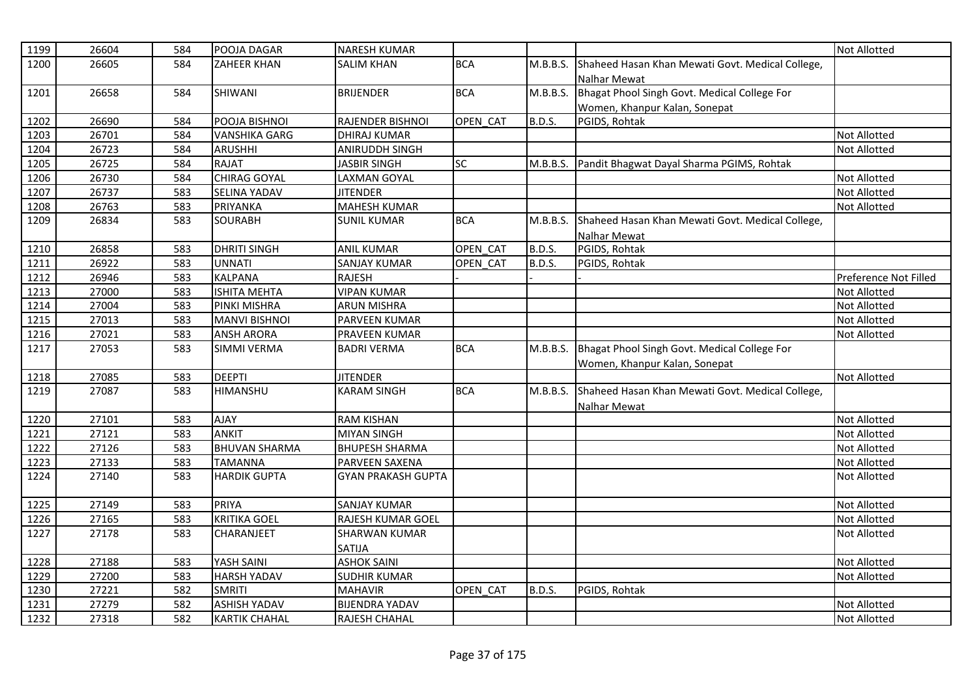| 1199 | 26604 | 584 | POOJA DAGAR          | <b>NARESH KUMAR</b>       |            |               |                                                                               | <b>Not Allotted</b>   |
|------|-------|-----|----------------------|---------------------------|------------|---------------|-------------------------------------------------------------------------------|-----------------------|
| 1200 | 26605 | 584 | <b>ZAHEER KHAN</b>   | <b>SALIM KHAN</b>         | <b>BCA</b> | M.B.B.S.      | Shaheed Hasan Khan Mewati Govt. Medical College,                              |                       |
|      |       |     |                      |                           |            |               | Nalhar Mewat                                                                  |                       |
| 1201 | 26658 | 584 | SHIWANI              | <b>BRIJENDER</b>          | <b>BCA</b> | M.B.B.S.      | Bhagat Phool Singh Govt. Medical College For                                  |                       |
|      |       |     |                      |                           |            |               | Women, Khanpur Kalan, Sonepat                                                 |                       |
| 1202 | 26690 | 584 | POOJA BISHNOI        | RAJENDER BISHNOI          | OPEN CAT   | <b>B.D.S.</b> | PGIDS, Rohtak                                                                 |                       |
| 1203 | 26701 | 584 | <b>VANSHIKA GARG</b> | <b>DHIRAJ KUMAR</b>       |            |               |                                                                               | Not Allotted          |
| 1204 | 26723 | 584 | <b>ARUSHHI</b>       | <b>ANIRUDDH SINGH</b>     |            |               |                                                                               | Not Allotted          |
| 1205 | 26725 | 584 | <b>RAJAT</b>         | <b>JASBIR SINGH</b>       | <b>SC</b>  |               | M.B.B.S. Pandit Bhagwat Dayal Sharma PGIMS, Rohtak                            |                       |
| 1206 | 26730 | 584 | <b>CHIRAG GOYAL</b>  | <b>LAXMAN GOYAL</b>       |            |               |                                                                               | <b>Not Allotted</b>   |
| 1207 | 26737 | 583 | <b>SELINA YADAV</b>  | <b>JITENDER</b>           |            |               |                                                                               | <b>Not Allotted</b>   |
| 1208 | 26763 | 583 | PRIYANKA             | <b>MAHESH KUMAR</b>       |            |               |                                                                               | Not Allotted          |
| 1209 | 26834 | 583 | <b>SOURABH</b>       | <b>SUNIL KUMAR</b>        | <b>BCA</b> | M.B.B.S.      | Shaheed Hasan Khan Mewati Govt. Medical College,<br>Nalhar Mewat              |                       |
| 1210 | 26858 | 583 | <b>DHRITI SINGH</b>  | <b>ANIL KUMAR</b>         | OPEN CAT   | <b>B.D.S.</b> | PGIDS, Rohtak                                                                 |                       |
| 1211 | 26922 | 583 | <b>UNNATI</b>        | <b>SANJAY KUMAR</b>       | OPEN CAT   | <b>B.D.S.</b> | PGIDS, Rohtak                                                                 |                       |
| 1212 | 26946 | 583 | <b>KALPANA</b>       | <b>RAJESH</b>             |            |               |                                                                               | Preference Not Filled |
| 1213 | 27000 | 583 | <b>ISHITA MEHTA</b>  | <b>VIPAN KUMAR</b>        |            |               |                                                                               | <b>Not Allotted</b>   |
| 1214 | 27004 | 583 | PINKI MISHRA         | <b>ARUN MISHRA</b>        |            |               |                                                                               | <b>Not Allotted</b>   |
| 1215 | 27013 | 583 | <b>MANVI BISHNOI</b> | PARVEEN KUMAR             |            |               |                                                                               | <b>Not Allotted</b>   |
| 1216 | 27021 | 583 | <b>ANSH ARORA</b>    | PRAVEEN KUMAR             |            |               |                                                                               | <b>Not Allotted</b>   |
| 1217 | 27053 | 583 | <b>SIMMI VERMA</b>   | <b>BADRI VERMA</b>        | <b>BCA</b> | M.B.B.S.      | Bhagat Phool Singh Govt. Medical College For<br>Women, Khanpur Kalan, Sonepat |                       |
| 1218 | 27085 | 583 | <b>DEEPTI</b>        | <b>JITENDER</b>           |            |               |                                                                               | <b>Not Allotted</b>   |
| 1219 | 27087 | 583 | <b>HIMANSHU</b>      | <b>KARAM SINGH</b>        | <b>BCA</b> | M.B.B.S.      | Shaheed Hasan Khan Mewati Govt. Medical College,<br>Nalhar Mewat              |                       |
| 1220 | 27101 | 583 | <b>AJAY</b>          | <b>RAM KISHAN</b>         |            |               |                                                                               | <b>Not Allotted</b>   |
| 1221 | 27121 | 583 | <b>ANKIT</b>         | <b>MIYAN SINGH</b>        |            |               |                                                                               | <b>Not Allotted</b>   |
| 1222 | 27126 | 583 | <b>BHUVAN SHARMA</b> | <b>BHUPESH SHARMA</b>     |            |               |                                                                               | <b>Not Allotted</b>   |
| 1223 | 27133 | 583 | <b>TAMANNA</b>       | <b>PARVEEN SAXENA</b>     |            |               |                                                                               | <b>Not Allotted</b>   |
| 1224 | 27140 | 583 | <b>HARDIK GUPTA</b>  | <b>GYAN PRAKASH GUPTA</b> |            |               |                                                                               | <b>Not Allotted</b>   |
| 1225 | 27149 | 583 | <b>PRIYA</b>         | <b>SANJAY KUMAR</b>       |            |               |                                                                               | Not Allotted          |
| 1226 | 27165 | 583 | <b>KRITIKA GOEL</b>  | RAJESH KUMAR GOEL         |            |               |                                                                               | Not Allotted          |
| 1227 | 27178 | 583 | <b>CHARANJEET</b>    | <b>SHARWAN KUMAR</b>      |            |               |                                                                               | <b>Not Allotted</b>   |
|      |       |     |                      | <b>SATIJA</b>             |            |               |                                                                               |                       |
| 1228 | 27188 | 583 | YASH SAINI           | <b>ASHOK SAINI</b>        |            |               |                                                                               | Not Allotted          |
| 1229 | 27200 | 583 | <b>HARSH YADAV</b>   | SUDHIR KUMAR              |            |               |                                                                               | <b>Not Allotted</b>   |
| 1230 | 27221 | 582 | <b>SMRITI</b>        | <b>MAHAVIR</b>            | OPEN CAT   | <b>B.D.S.</b> | PGIDS, Rohtak                                                                 |                       |
| 1231 | 27279 | 582 | <b>ASHISH YADAV</b>  | <b>BIJENDRA YADAV</b>     |            |               |                                                                               | Not Allotted          |
| 1232 | 27318 | 582 | <b>KARTIK CHAHAL</b> | RAJESH CHAHAL             |            |               |                                                                               | <b>Not Allotted</b>   |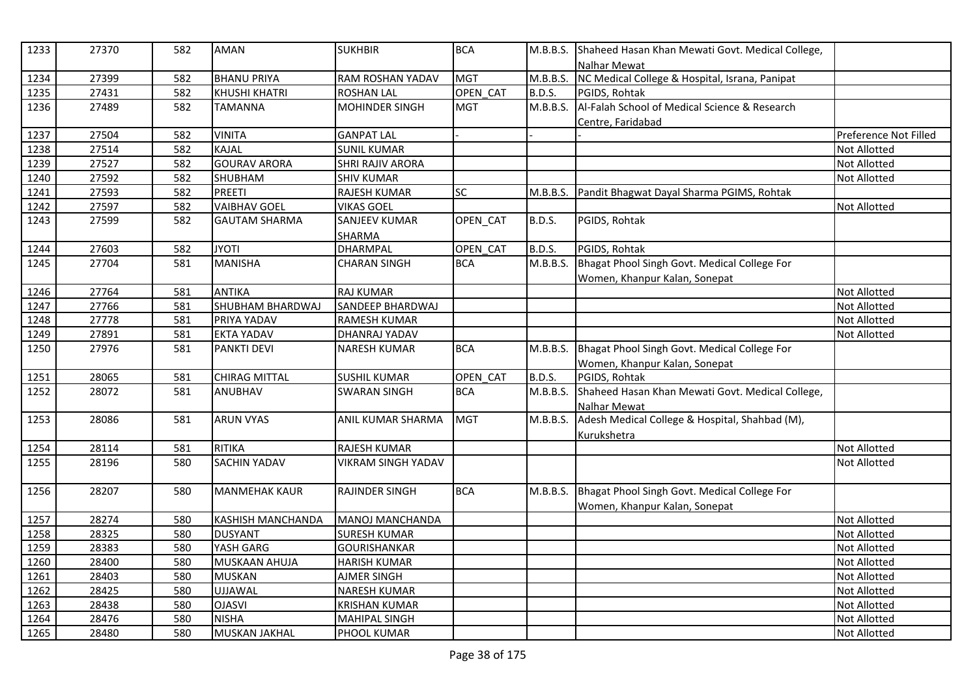| 1233 | 27370 | 582 | <b>AMAN</b>              | <b>SUKHBIR</b>            | <b>BCA</b> | M.B.B.S.      | Shaheed Hasan Khan Mewati Govt. Medical College,<br>Nalhar Mewat |                       |
|------|-------|-----|--------------------------|---------------------------|------------|---------------|------------------------------------------------------------------|-----------------------|
| 1234 | 27399 | 582 | <b>BHANU PRIYA</b>       | RAM ROSHAN YADAV          | <b>MGT</b> | M.B.B.S.      | NC Medical College & Hospital, Israna, Panipat                   |                       |
| 1235 | 27431 | 582 | <b>KHUSHI KHATRI</b>     | <b>ROSHAN LAL</b>         | OPEN CAT   | <b>B.D.S.</b> | PGIDS, Rohtak                                                    |                       |
| 1236 | 27489 | 582 | <b>TAMANNA</b>           | <b>MOHINDER SINGH</b>     | <b>MGT</b> | M.B.B.S.      | Al-Falah School of Medical Science & Research                    |                       |
|      |       |     |                          |                           |            |               | Centre, Faridabad                                                |                       |
| 1237 | 27504 | 582 | <b>VINITA</b>            | <b>GANPAT LAL</b>         |            |               |                                                                  | Preference Not Filled |
| 1238 | 27514 | 582 | <b>KAJAL</b>             | <b>SUNIL KUMAR</b>        |            |               |                                                                  | <b>Not Allotted</b>   |
| 1239 | 27527 | 582 | <b>GOURAV ARORA</b>      | SHRI RAJIV ARORA          |            |               |                                                                  | <b>Not Allotted</b>   |
| 1240 | 27592 | 582 | SHUBHAM                  | <b>SHIV KUMAR</b>         |            |               |                                                                  | Not Allotted          |
| 1241 | 27593 | 582 | <b>PREETI</b>            | RAJESH KUMAR              | SC         | M.B.B.S.      | Pandit Bhagwat Dayal Sharma PGIMS, Rohtak                        |                       |
| 1242 | 27597 | 582 | <b>VAIBHAV GOEL</b>      | <b>VIKAS GOEL</b>         |            |               |                                                                  | <b>Not Allotted</b>   |
| 1243 | 27599 | 582 | <b>GAUTAM SHARMA</b>     | <b>SANJEEV KUMAR</b>      | OPEN_CAT   | <b>B.D.S.</b> | PGIDS, Rohtak                                                    |                       |
|      |       |     |                          | SHARMA                    |            |               |                                                                  |                       |
| 1244 | 27603 | 582 | <b>JYOTI</b>             | <b>DHARMPAL</b>           | OPEN CAT   | <b>B.D.S.</b> | PGIDS, Rohtak                                                    |                       |
| 1245 | 27704 | 581 | <b>MANISHA</b>           | <b>CHARAN SINGH</b>       | <b>BCA</b> | M.B.B.S.      | Bhagat Phool Singh Govt. Medical College For                     |                       |
|      |       |     |                          |                           |            |               | Women, Khanpur Kalan, Sonepat                                    |                       |
| 1246 | 27764 | 581 | <b>ANTIKA</b>            | <b>RAJ KUMAR</b>          |            |               |                                                                  | <b>Not Allotted</b>   |
| 1247 | 27766 | 581 | SHUBHAM BHARDWAJ         | SANDEEP BHARDWAJ          |            |               |                                                                  | Not Allotted          |
| 1248 | 27778 | 581 | PRIYA YADAV              | <b>RAMESH KUMAR</b>       |            |               |                                                                  | <b>Not Allotted</b>   |
| 1249 | 27891 | 581 | <b>EKTA YADAV</b>        | DHANRAJ YADAV             |            |               |                                                                  | <b>Not Allotted</b>   |
| 1250 | 27976 | 581 | <b>PANKTI DEVI</b>       | <b>NARESH KUMAR</b>       | <b>BCA</b> | M.B.B.S.      | Bhagat Phool Singh Govt. Medical College For                     |                       |
|      |       |     |                          |                           |            |               | Women, Khanpur Kalan, Sonepat                                    |                       |
| 1251 | 28065 | 581 | <b>CHIRAG MITTAL</b>     | <b>SUSHIL KUMAR</b>       | OPEN CAT   | <b>B.D.S.</b> | PGIDS, Rohtak                                                    |                       |
| 1252 | 28072 | 581 | <b>ANUBHAV</b>           | <b>SWARAN SINGH</b>       | <b>BCA</b> | M.B.B.S.      | Shaheed Hasan Khan Mewati Govt. Medical College,                 |                       |
|      |       |     |                          |                           |            |               | Nalhar Mewat                                                     |                       |
| 1253 | 28086 | 581 | <b>ARUN VYAS</b>         | ANIL KUMAR SHARMA         | <b>MGT</b> | M.B.B.S.      | Adesh Medical College & Hospital, Shahbad (M),                   |                       |
|      |       |     |                          |                           |            |               | Kurukshetra                                                      |                       |
| 1254 | 28114 | 581 | <b>RITIKA</b>            | RAJESH KUMAR              |            |               |                                                                  | <b>Not Allotted</b>   |
| 1255 | 28196 | 580 | <b>SACHIN YADAV</b>      | <b>VIKRAM SINGH YADAV</b> |            |               |                                                                  | <b>Not Allotted</b>   |
| 1256 | 28207 | 580 | <b>MANMEHAK KAUR</b>     | <b>RAJINDER SINGH</b>     | <b>BCA</b> | M.B.B.S.      | Bhagat Phool Singh Govt. Medical College For                     |                       |
|      |       |     |                          |                           |            |               | Women, Khanpur Kalan, Sonepat                                    |                       |
| 1257 | 28274 | 580 | <b>KASHISH MANCHANDA</b> | MANOJ MANCHANDA           |            |               |                                                                  | <b>Not Allotted</b>   |
| 1258 | 28325 | 580 | <b>DUSYANT</b>           | <b>SURESH KUMAR</b>       |            |               |                                                                  | <b>Not Allotted</b>   |
| 1259 | 28383 | 580 | YASH GARG                | <b>GOURISHANKAR</b>       |            |               |                                                                  | <b>Not Allotted</b>   |
| 1260 | 28400 | 580 | MUSKAAN AHUJA            | <b>HARISH KUMAR</b>       |            |               |                                                                  | <b>Not Allotted</b>   |
| 1261 | 28403 | 580 | <b>MUSKAN</b>            | <b>AJMER SINGH</b>        |            |               |                                                                  | <b>Not Allotted</b>   |
| 1262 | 28425 | 580 | <b>UJJAWAL</b>           | <b>NARESH KUMAR</b>       |            |               |                                                                  | <b>Not Allotted</b>   |
| 1263 | 28438 | 580 | <b>OJASVI</b>            | <b>KRISHAN KUMAR</b>      |            |               |                                                                  | Not Allotted          |
| 1264 | 28476 | 580 | <b>NISHA</b>             | <b>MAHIPAL SINGH</b>      |            |               |                                                                  | Not Allotted          |
| 1265 | 28480 | 580 | <b>MUSKAN JAKHAL</b>     | PHOOL KUMAR               |            |               |                                                                  | <b>Not Allotted</b>   |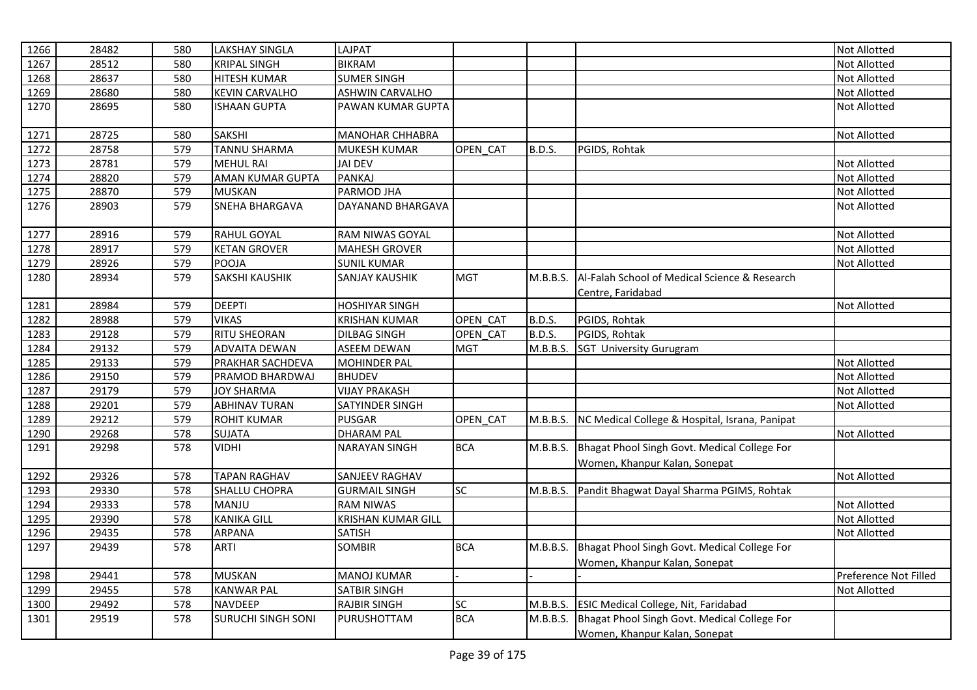| 1266 | 28482 | 580 | <b>LAKSHAY SINGLA</b>     | LAJPAT                    |            |               |                                                | Not Allotted          |
|------|-------|-----|---------------------------|---------------------------|------------|---------------|------------------------------------------------|-----------------------|
| 1267 | 28512 | 580 | <b>KRIPAL SINGH</b>       | <b>BIKRAM</b>             |            |               |                                                | Not Allotted          |
| 1268 | 28637 | 580 | <b>HITESH KUMAR</b>       | <b>SUMER SINGH</b>        |            |               |                                                | Not Allotted          |
| 1269 | 28680 | 580 | <b>KEVIN CARVALHO</b>     | <b>ASHWIN CARVALHO</b>    |            |               |                                                | Not Allotted          |
| 1270 | 28695 | 580 | <b>ISHAAN GUPTA</b>       | PAWAN KUMAR GUPTA         |            |               |                                                | Not Allotted          |
| 1271 | 28725 | 580 | <b>SAKSHI</b>             | <b>MANOHAR CHHABRA</b>    |            |               |                                                | Not Allotted          |
| 1272 | 28758 | 579 | <b>TANNU SHARMA</b>       | <b>MUKESH KUMAR</b>       | OPEN CAT   | <b>B.D.S.</b> | PGIDS, Rohtak                                  |                       |
| 1273 | 28781 | 579 | <b>MEHUL RAI</b>          | <b>JAI DEV</b>            |            |               |                                                | Not Allotted          |
| 1274 | 28820 | 579 | AMAN KUMAR GUPTA          | <b>PANKAJ</b>             |            |               |                                                | Not Allotted          |
| 1275 | 28870 | 579 | <b>MUSKAN</b>             | PARMOD JHA                |            |               |                                                | Not Allotted          |
| 1276 | 28903 | 579 | SNEHA BHARGAVA            | DAYANAND BHARGAVA         |            |               |                                                | Not Allotted          |
| 1277 | 28916 | 579 | RAHUL GOYAL               | RAM NIWAS GOYAL           |            |               |                                                | Not Allotted          |
| 1278 | 28917 | 579 | <b>KETAN GROVER</b>       | <b>MAHESH GROVER</b>      |            |               |                                                | Not Allotted          |
| 1279 | 28926 | 579 | POOJA                     | <b>SUNIL KUMAR</b>        |            |               |                                                | Not Allotted          |
| 1280 | 28934 | 579 | <b>SAKSHI KAUSHIK</b>     | SANJAY KAUSHIK            | <b>MGT</b> | M.B.B.S.      | Al-Falah School of Medical Science & Research  |                       |
|      |       |     |                           |                           |            |               | Centre, Faridabad                              |                       |
| 1281 | 28984 | 579 | <b>DEEPTI</b>             | <b>HOSHIYAR SINGH</b>     |            |               |                                                | Not Allotted          |
| 1282 | 28988 | 579 | <b>VIKAS</b>              | <b>KRISHAN KUMAR</b>      | OPEN CAT   | <b>B.D.S.</b> | PGIDS, Rohtak                                  |                       |
| 1283 | 29128 | 579 | <b>RITU SHEORAN</b>       | <b>DILBAG SINGH</b>       | OPEN CAT   | <b>B.D.S.</b> | PGIDS, Rohtak                                  |                       |
| 1284 | 29132 | 579 | <b>ADVAITA DEWAN</b>      | <b>ASEEM DEWAN</b>        | <b>MGT</b> | M.B.B.S.      | <b>SGT University Gurugram</b>                 |                       |
| 1285 | 29133 | 579 | PRAKHAR SACHDEVA          | <b>MOHINDER PAL</b>       |            |               |                                                | Not Allotted          |
| 1286 | 29150 | 579 | PRAMOD BHARDWAJ           | <b>BHUDEV</b>             |            |               |                                                | Not Allotted          |
| 1287 | 29179 | 579 | <b>JOY SHARMA</b>         | <b>VIJAY PRAKASH</b>      |            |               |                                                | Not Allotted          |
| 1288 | 29201 | 579 | <b>ABHINAV TURAN</b>      | SATYINDER SINGH           |            |               |                                                | Not Allotted          |
| 1289 | 29212 | 579 | <b>ROHIT KUMAR</b>        | <b>PUSGAR</b>             | OPEN_CAT   | M.B.B.S.      | NC Medical College & Hospital, Israna, Panipat |                       |
| 1290 | 29268 | 578 | <b>SUJATA</b>             | <b>DHARAM PAL</b>         |            |               |                                                | Not Allotted          |
| 1291 | 29298 | 578 | <b>VIDHI</b>              | <b>NARAYAN SINGH</b>      | <b>BCA</b> | M.B.B.S.      | Bhagat Phool Singh Govt. Medical College For   |                       |
|      |       |     |                           |                           |            |               | Women, Khanpur Kalan, Sonepat                  |                       |
| 1292 | 29326 | 578 | <b>TAPAN RAGHAV</b>       | SANJEEV RAGHAV            |            |               |                                                | Not Allotted          |
| 1293 | 29330 | 578 | SHALLU CHOPRA             | <b>GURMAIL SINGH</b>      | SC         | M.B.B.S.      | Pandit Bhagwat Dayal Sharma PGIMS, Rohtak      |                       |
| 1294 | 29333 | 578 | MANJU                     | <b>RAM NIWAS</b>          |            |               |                                                | Not Allotted          |
| 1295 | 29390 | 578 | <b>KANIKA GILL</b>        | <b>KRISHAN KUMAR GILL</b> |            |               |                                                | Not Allotted          |
| 1296 | 29435 | 578 | <b>ARPANA</b>             | <b>SATISH</b>             |            |               |                                                | Not Allotted          |
| 1297 | 29439 | 578 | <b>ARTI</b>               | <b>SOMBIR</b>             | <b>BCA</b> | M.B.B.S.      | Bhagat Phool Singh Govt. Medical College For   |                       |
|      |       |     |                           |                           |            |               | Women, Khanpur Kalan, Sonepat                  |                       |
| 1298 | 29441 | 578 | <b>MUSKAN</b>             | <b>MANOJ KUMAR</b>        |            |               |                                                | Preference Not Filled |
| 1299 | 29455 | 578 | <b>KANWAR PAL</b>         | <b>SATBIR SINGH</b>       |            |               |                                                | Not Allotted          |
| 1300 | 29492 | 578 | <b>NAVDEEP</b>            | <b>RAJBIR SINGH</b>       | SC         | M.B.B.S.      | ESIC Medical College, Nit, Faridabad           |                       |
| 1301 | 29519 | 578 | <b>SURUCHI SINGH SONI</b> | PURUSHOTTAM               | <b>BCA</b> | M.B.B.S.      | Bhagat Phool Singh Govt. Medical College For   |                       |
|      |       |     |                           |                           |            |               | Women, Khanpur Kalan, Sonepat                  |                       |
|      |       |     |                           |                           |            |               |                                                |                       |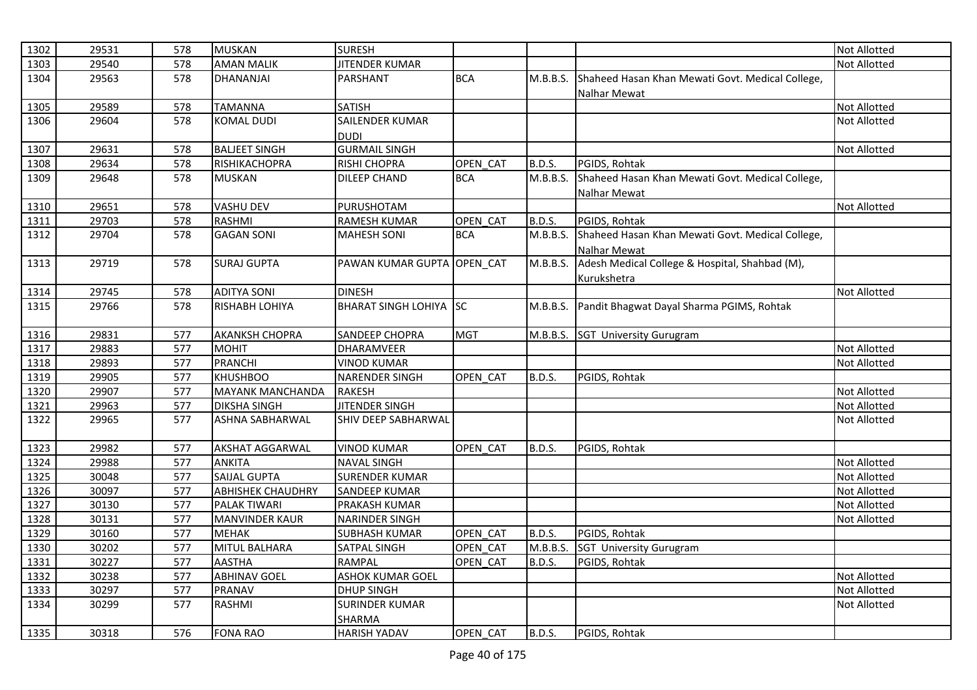| 1302 | 29531 | 578 | <b>MUSKAN</b>            | <b>SURESH</b>              |            |               |                                                  | <b>Not Allotted</b> |
|------|-------|-----|--------------------------|----------------------------|------------|---------------|--------------------------------------------------|---------------------|
| 1303 | 29540 | 578 | <b>AMAN MALIK</b>        | <b>JITENDER KUMAR</b>      |            |               |                                                  | Not Allotted        |
| 1304 | 29563 | 578 | DHANANJAI                | PARSHANT                   | <b>BCA</b> | M.B.B.S.      | Shaheed Hasan Khan Mewati Govt. Medical College, |                     |
|      |       |     |                          |                            |            |               | Nalhar Mewat                                     |                     |
| 1305 | 29589 | 578 | <b>TAMANNA</b>           | <b>SATISH</b>              |            |               |                                                  | <b>Not Allotted</b> |
| 1306 | 29604 | 578 | <b>KOMAL DUDI</b>        | SAILENDER KUMAR            |            |               |                                                  | Not Allotted        |
|      |       |     |                          | <b>DUDI</b>                |            |               |                                                  |                     |
| 1307 | 29631 | 578 | <b>BALJEET SINGH</b>     | <b>GURMAIL SINGH</b>       |            |               |                                                  | Not Allotted        |
| 1308 | 29634 | 578 | RISHIKACHOPRA            | <b>RISHI CHOPRA</b>        | OPEN CAT   | <b>B.D.S.</b> | PGIDS, Rohtak                                    |                     |
| 1309 | 29648 | 578 | <b>MUSKAN</b>            | DILEEP CHAND               | <b>BCA</b> | M.B.B.S.      | Shaheed Hasan Khan Mewati Govt. Medical College, |                     |
|      |       |     |                          |                            |            |               | Nalhar Mewat                                     |                     |
| 1310 | 29651 | 578 | <b>VASHU DEV</b>         | PURUSHOTAM                 |            |               |                                                  | <b>Not Allotted</b> |
| 1311 | 29703 | 578 | <b>RASHMI</b>            | <b>RAMESH KUMAR</b>        | OPEN CAT   | <b>B.D.S.</b> | PGIDS, Rohtak                                    |                     |
| 1312 | 29704 | 578 | <b>GAGAN SONI</b>        | <b>MAHESH SONI</b>         | <b>BCA</b> | M.B.B.S.      | Shaheed Hasan Khan Mewati Govt. Medical College, |                     |
|      |       |     |                          |                            |            |               | Nalhar Mewat                                     |                     |
| 1313 | 29719 | 578 | <b>SURAJ GUPTA</b>       | PAWAN KUMAR GUPTA OPEN CAT |            | M.B.B.S.      | Adesh Medical College & Hospital, Shahbad (M),   |                     |
|      |       |     |                          |                            |            |               | Kurukshetra                                      |                     |
| 1314 | 29745 | 578 | <b>ADITYA SONI</b>       | <b>DINESH</b>              |            |               |                                                  | Not Allotted        |
| 1315 | 29766 | 578 | <b>RISHABH LOHIYA</b>    | BHARAT SINGH LOHIYA SC     |            | M.B.B.S.      | Pandit Bhagwat Dayal Sharma PGIMS, Rohtak        |                     |
|      |       |     |                          |                            |            |               |                                                  |                     |
| 1316 | 29831 | 577 | <b>AKANKSH CHOPRA</b>    | <b>SANDEEP CHOPRA</b>      | <b>MGT</b> |               | M.B.B.S. SGT University Gurugram                 |                     |
| 1317 | 29883 | 577 | <b>MOHIT</b>             | DHARAMVEER                 |            |               |                                                  | <b>Not Allotted</b> |
| 1318 | 29893 | 577 | <b>PRANCHI</b>           | <b>VINOD KUMAR</b>         |            |               |                                                  | Not Allotted        |
| 1319 | 29905 | 577 | <b>KHUSHBOO</b>          | <b>NARENDER SINGH</b>      | OPEN CAT   | <b>B.D.S.</b> | PGIDS, Rohtak                                    |                     |
| 1320 | 29907 | 577 | <b>MAYANK MANCHANDA</b>  | <b>RAKESH</b>              |            |               |                                                  | Not Allotted        |
| 1321 | 29963 | 577 | <b>DIKSHA SINGH</b>      | <b>JITENDER SINGH</b>      |            |               |                                                  | <b>Not Allotted</b> |
| 1322 | 29965 | 577 | <b>ASHNA SABHARWAL</b>   | SHIV DEEP SABHARWAL        |            |               |                                                  | Not Allotted        |
|      |       |     |                          |                            |            |               |                                                  |                     |
| 1323 | 29982 | 577 | <b>AKSHAT AGGARWAL</b>   | <b>VINOD KUMAR</b>         | OPEN CAT   | <b>B.D.S.</b> | PGIDS, Rohtak                                    |                     |
| 1324 | 29988 | 577 | <b>ANKITA</b>            | <b>NAVAL SINGH</b>         |            |               |                                                  | <b>Not Allotted</b> |
| 1325 | 30048 | 577 | <b>SAIJAL GUPTA</b>      | <b>SURENDER KUMAR</b>      |            |               |                                                  | Not Allotted        |
| 1326 | 30097 | 577 | <b>ABHISHEK CHAUDHRY</b> | <b>SANDEEP KUMAR</b>       |            |               |                                                  | <b>Not Allotted</b> |
| 1327 | 30130 | 577 | PALAK TIWARI             | PRAKASH KUMAR              |            |               |                                                  | <b>Not Allotted</b> |
| 1328 | 30131 | 577 | <b>MANVINDER KAUR</b>    | <b>NARINDER SINGH</b>      |            |               |                                                  | Not Allotted        |
| 1329 | 30160 | 577 | <b>MEHAK</b>             | <b>SUBHASH KUMAR</b>       | OPEN_CAT   | <b>B.D.S.</b> | PGIDS, Rohtak                                    |                     |
| 1330 | 30202 | 577 | MITUL BALHARA            | SATPAL SINGH               | OPEN CAT   | M.B.B.S.      | <b>SGT University Gurugram</b>                   |                     |
| 1331 | 30227 | 577 | <b>AASTHA</b>            | RAMPAL                     | OPEN CAT   | <b>B.D.S.</b> | PGIDS, Rohtak                                    |                     |
| 1332 | 30238 | 577 | <b>ABHINAV GOEL</b>      | <b>ASHOK KUMAR GOEL</b>    |            |               |                                                  | Not Allotted        |
| 1333 | 30297 | 577 | PRANAV                   | <b>DHUP SINGH</b>          |            |               |                                                  | Not Allotted        |
| 1334 | 30299 | 577 | RASHMI                   | <b>SURINDER KUMAR</b>      |            |               |                                                  | <b>Not Allotted</b> |
|      |       |     |                          | SHARMA                     |            |               |                                                  |                     |
| 1335 | 30318 | 576 | <b>FONA RAO</b>          | <b>HARISH YADAV</b>        | OPEN CAT   | B.D.S.        | PGIDS, Rohtak                                    |                     |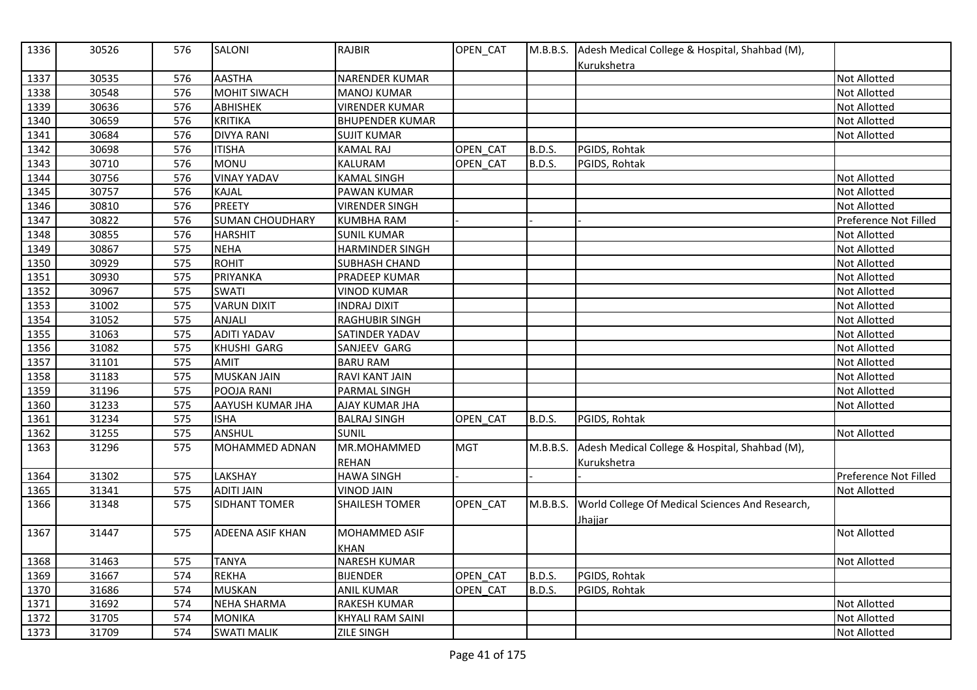| 1336 | 30526 | 576 | <b>SALONI</b>           | <b>RAJBIR</b>           | OPEN_CAT   |               | M.B.B.S. Adesh Medical College & Hospital, Shahbad (M),<br>Kurukshetra |                       |
|------|-------|-----|-------------------------|-------------------------|------------|---------------|------------------------------------------------------------------------|-----------------------|
| 1337 | 30535 | 576 | <b>AASTHA</b>           | NARENDER KUMAR          |            |               |                                                                        | <b>Not Allotted</b>   |
| 1338 | 30548 | 576 | <b>MOHIT SIWACH</b>     | <b>MANOJ KUMAR</b>      |            |               |                                                                        | Not Allotted          |
| 1339 | 30636 | 576 | <b>ABHISHEK</b>         | <b>VIRENDER KUMAR</b>   |            |               |                                                                        | Not Allotted          |
| 1340 | 30659 | 576 | <b>KRITIKA</b>          | <b>BHUPENDER KUMAR</b>  |            |               |                                                                        | Not Allotted          |
| 1341 | 30684 | 576 | <b>DIVYA RANI</b>       | <b>SUJIT KUMAR</b>      |            |               |                                                                        | <b>Not Allotted</b>   |
| 1342 | 30698 | 576 | <b>ITISHA</b>           | <b>KAMAL RAJ</b>        | OPEN CAT   | B.D.S.        | PGIDS, Rohtak                                                          |                       |
| 1343 | 30710 | 576 | <b>MONU</b>             | KALURAM                 | OPEN_CAT   | <b>B.D.S.</b> | PGIDS, Rohtak                                                          |                       |
| 1344 | 30756 | 576 | <b>VINAY YADAV</b>      | <b>KAMAL SINGH</b>      |            |               |                                                                        | Not Allotted          |
| 1345 | 30757 | 576 | <b>KAJAL</b>            | <b>PAWAN KUMAR</b>      |            |               |                                                                        | Not Allotted          |
| 1346 | 30810 | 576 | <b>PREETY</b>           | <b>VIRENDER SINGH</b>   |            |               |                                                                        | Not Allotted          |
| 1347 | 30822 | 576 | <b>SUMAN CHOUDHARY</b>  | <b>KUMBHA RAM</b>       |            |               |                                                                        | Preference Not Filled |
| 1348 | 30855 | 576 | <b>HARSHIT</b>          | <b>SUNIL KUMAR</b>      |            |               |                                                                        | Not Allotted          |
| 1349 | 30867 | 575 | <b>NEHA</b>             | <b>HARMINDER SINGH</b>  |            |               |                                                                        | <b>Not Allotted</b>   |
| 1350 | 30929 | 575 | <b>ROHIT</b>            | <b>SUBHASH CHAND</b>    |            |               |                                                                        | Not Allotted          |
| 1351 | 30930 | 575 | PRIYANKA                | PRADEEP KUMAR           |            |               |                                                                        | Not Allotted          |
| 1352 | 30967 | 575 | <b>SWATI</b>            | <b>VINOD KUMAR</b>      |            |               |                                                                        | Not Allotted          |
| 1353 | 31002 | 575 | <b>VARUN DIXIT</b>      | <b>INDRAJ DIXIT</b>     |            |               |                                                                        | Not Allotted          |
| 1354 | 31052 | 575 | <b>ANJALI</b>           | <b>RAGHUBIR SINGH</b>   |            |               |                                                                        | Not Allotted          |
| 1355 | 31063 | 575 | <b>ADITI YADAV</b>      | SATINDER YADAV          |            |               |                                                                        | Not Allotted          |
| 1356 | 31082 | 575 | KHUSHI GARG             | SANJEEV GARG            |            |               |                                                                        | Not Allotted          |
| 1357 | 31101 | 575 | <b>AMIT</b>             | <b>BARU RAM</b>         |            |               |                                                                        | <b>Not Allotted</b>   |
| 1358 | 31183 | 575 | <b>MUSKAN JAIN</b>      | RAVI KANT JAIN          |            |               |                                                                        | Not Allotted          |
| 1359 | 31196 | 575 | POOJA RANI              | PARMAL SINGH            |            |               |                                                                        | Not Allotted          |
| 1360 | 31233 | 575 | AAYUSH KUMAR JHA        | <b>AJAY KUMAR JHA</b>   |            |               |                                                                        | Not Allotted          |
| 1361 | 31234 | 575 | <b>ISHA</b>             | <b>BALRAJ SINGH</b>     | OPEN CAT   | <b>B.D.S.</b> | PGIDS, Rohtak                                                          |                       |
| 1362 | 31255 | 575 | ANSHUL                  | <b>SUNIL</b>            |            |               |                                                                        | Not Allotted          |
| 1363 | 31296 | 575 | <b>MOHAMMED ADNAN</b>   | MR.MOHAMMED             | <b>MGT</b> | M.B.B.S.      | Adesh Medical College & Hospital, Shahbad (M),                         |                       |
|      |       |     |                         | <b>REHAN</b>            |            |               | Kurukshetra                                                            |                       |
| 1364 | 31302 | 575 | LAKSHAY                 | <b>HAWA SINGH</b>       |            |               |                                                                        | Preference Not Filled |
| 1365 | 31341 | 575 | <b>ADITI JAIN</b>       | <b>VINOD JAIN</b>       |            |               |                                                                        | Not Allotted          |
| 1366 | 31348 | 575 | SIDHANT TOMER           | <b>SHAILESH TOMER</b>   | OPEN_CAT   | M.B.B.S.      | World College Of Medical Sciences And Research,<br>Jhajjar             |                       |
| 1367 | 31447 | 575 | <b>ADEENA ASIF KHAN</b> | MOHAMMED ASIF           |            |               |                                                                        | Not Allotted          |
|      |       |     |                         | KHAN                    |            |               |                                                                        |                       |
| 1368 | 31463 | 575 | <b>TANYA</b>            | <b>NARESH KUMAR</b>     |            |               |                                                                        | <b>Not Allotted</b>   |
| 1369 | 31667 | 574 | <b>REKHA</b>            | <b>BIJENDER</b>         | OPEN CAT   | <b>B.D.S.</b> | PGIDS, Rohtak                                                          |                       |
| 1370 | 31686 | 574 | <b>MUSKAN</b>           | <b>ANIL KUMAR</b>       | OPEN CAT   | <b>B.D.S.</b> | PGIDS, Rohtak                                                          |                       |
| 1371 | 31692 | 574 | <b>NEHA SHARMA</b>      | RAKESH KUMAR            |            |               |                                                                        | Not Allotted          |
| 1372 | 31705 | 574 | <b>MONIKA</b>           | <b>KHYALI RAM SAINI</b> |            |               |                                                                        | <b>Not Allotted</b>   |
| 1373 | 31709 | 574 | <b>SWATI MALIK</b>      | <b>ZILE SINGH</b>       |            |               |                                                                        | Not Allotted          |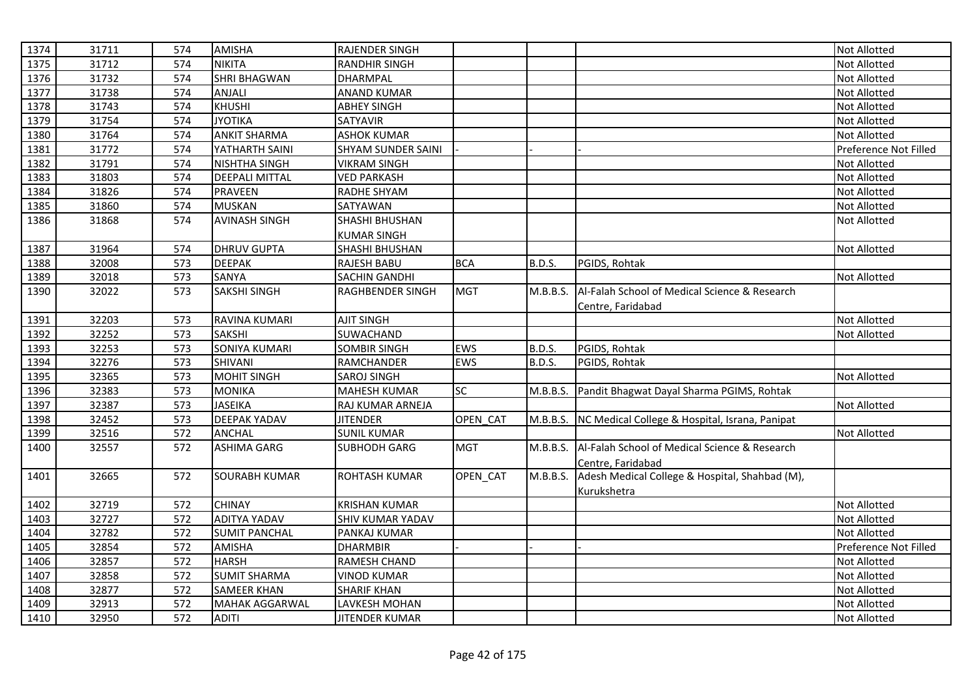| 1374 | 31711 | 574 | <b>AMISHA</b>         | <b>RAJENDER SINGH</b> |            |               |                                                        | <b>Not Allotted</b>   |
|------|-------|-----|-----------------------|-----------------------|------------|---------------|--------------------------------------------------------|-----------------------|
| 1375 | 31712 | 574 | <b>NIKITA</b>         | <b>RANDHIR SINGH</b>  |            |               |                                                        | Not Allotted          |
| 1376 | 31732 | 574 | <b>SHRI BHAGWAN</b>   | <b>DHARMPAL</b>       |            |               |                                                        | <b>Not Allotted</b>   |
| 1377 | 31738 | 574 | ANJALI                | <b>ANAND KUMAR</b>    |            |               |                                                        | <b>Not Allotted</b>   |
| 1378 | 31743 | 574 | <b>KHUSHI</b>         | <b>ABHEY SINGH</b>    |            |               |                                                        | <b>Not Allotted</b>   |
| 1379 | 31754 | 574 | <b>JYOTIKA</b>        | SATYAVIR              |            |               |                                                        | <b>Not Allotted</b>   |
| 1380 | 31764 | 574 | <b>ANKIT SHARMA</b>   | <b>ASHOK KUMAR</b>    |            |               |                                                        | Not Allotted          |
| 1381 | 31772 | 574 | YATHARTH SAINI        | SHYAM SUNDER SAINI    |            |               |                                                        | Preference Not Filled |
| 1382 | 31791 | 574 | <b>NISHTHA SINGH</b>  | <b>VIKRAM SINGH</b>   |            |               |                                                        | <b>Not Allotted</b>   |
| 1383 | 31803 | 574 | DEEPALI MITTAL        | <b>VED PARKASH</b>    |            |               |                                                        | Not Allotted          |
| 1384 | 31826 | 574 | <b>PRAVEEN</b>        | RADHE SHYAM           |            |               |                                                        | <b>Not Allotted</b>   |
| 1385 | 31860 | 574 | <b>MUSKAN</b>         | SATYAWAN              |            |               |                                                        | Not Allotted          |
| 1386 | 31868 | 574 | <b>AVINASH SINGH</b>  | SHASHI BHUSHAN        |            |               |                                                        | Not Allotted          |
|      |       |     |                       | <b>KUMAR SINGH</b>    |            |               |                                                        |                       |
| 1387 | 31964 | 574 | <b>DHRUV GUPTA</b>    | <b>SHASHI BHUSHAN</b> |            |               |                                                        | Not Allotted          |
| 1388 | 32008 | 573 | <b>DEEPAK</b>         | RAJESH BABU           | <b>BCA</b> | B.D.S.        | PGIDS, Rohtak                                          |                       |
| 1389 | 32018 | 573 | SANYA                 | SACHIN GANDHI         |            |               |                                                        | Not Allotted          |
| 1390 | 32022 | 573 | SAKSHI SINGH          | RAGHBENDER SINGH      | <b>MGT</b> | M.B.B.S.      | Al-Falah School of Medical Science & Research          |                       |
|      |       |     |                       |                       |            |               | Centre, Faridabad                                      |                       |
| 1391 | 32203 | 573 | RAVINA KUMARI         | <b>AJIT SINGH</b>     |            |               |                                                        | <b>Not Allotted</b>   |
| 1392 | 32252 | 573 | <b>SAKSHI</b>         | SUWACHAND             |            |               |                                                        | Not Allotted          |
| 1393 | 32253 | 573 | SONIYA KUMARI         | <b>SOMBIR SINGH</b>   | EWS        | B.D.S.        | PGIDS, Rohtak                                          |                       |
| 1394 | 32276 | 573 | SHIVANI               | RAMCHANDER            | EWS        | <b>B.D.S.</b> | PGIDS, Rohtak                                          |                       |
| 1395 | 32365 | 573 | <b>MOHIT SINGH</b>    | <b>SAROJ SINGH</b>    |            |               |                                                        | Not Allotted          |
| 1396 | 32383 | 573 | <b>MONIKA</b>         | <b>MAHESH KUMAR</b>   | SC         | M.B.B.S.      | Pandit Bhagwat Dayal Sharma PGIMS, Rohtak              |                       |
| 1397 | 32387 | 573 | <b>JASEIKA</b>        | RAJ KUMAR ARNEJA      |            |               |                                                        | Not Allotted          |
| 1398 | 32452 | 573 | <b>DEEPAK YADAV</b>   | <b>JITENDER</b>       | OPEN CAT   | M.B.B.S.      | NC Medical College & Hospital, Israna, Panipat         |                       |
| 1399 | 32516 | 572 | <b>ANCHAL</b>         | <b>SUNIL KUMAR</b>    |            |               |                                                        | Not Allotted          |
| 1400 | 32557 | 572 | <b>ASHIMA GARG</b>    | <b>SUBHODH GARG</b>   | <b>MGT</b> |               | M.B.B.S. Al-Falah School of Medical Science & Research |                       |
|      |       |     |                       |                       |            |               | Centre, Faridabad                                      |                       |
| 1401 | 32665 | 572 | <b>SOURABH KUMAR</b>  | <b>ROHTASH KUMAR</b>  | OPEN_CAT   | M.B.B.S.      | Adesh Medical College & Hospital, Shahbad (M),         |                       |
|      |       |     |                       |                       |            |               | Kurukshetra                                            |                       |
| 1402 | 32719 | 572 | <b>CHINAY</b>         | <b>KRISHAN KUMAR</b>  |            |               |                                                        | Not Allotted          |
| 1403 | 32727 | 572 | <b>ADITYA YADAV</b>   | SHIV KUMAR YADAV      |            |               |                                                        | <b>Not Allotted</b>   |
| 1404 | 32782 | 572 | <b>SUMIT PANCHAL</b>  | PANKAJ KUMAR          |            |               |                                                        | <b>Not Allotted</b>   |
| 1405 | 32854 | 572 | <b>AMISHA</b>         | <b>DHARMBIR</b>       |            |               |                                                        | Preference Not Filled |
| 1406 | 32857 | 572 | <b>HARSH</b>          | RAMESH CHAND          |            |               |                                                        | <b>Not Allotted</b>   |
| 1407 | 32858 | 572 | <b>SUMIT SHARMA</b>   | <b>VINOD KUMAR</b>    |            |               |                                                        | Not Allotted          |
| 1408 | 32877 | 572 | <b>SAMEER KHAN</b>    | <b>SHARIF KHAN</b>    |            |               |                                                        | Not Allotted          |
| 1409 | 32913 | 572 | <b>MAHAK AGGARWAL</b> | LAVKESH MOHAN         |            |               |                                                        | Not Allotted          |
| 1410 | 32950 | 572 | <b>ADITI</b>          | <b>JITENDER KUMAR</b> |            |               |                                                        | <b>Not Allotted</b>   |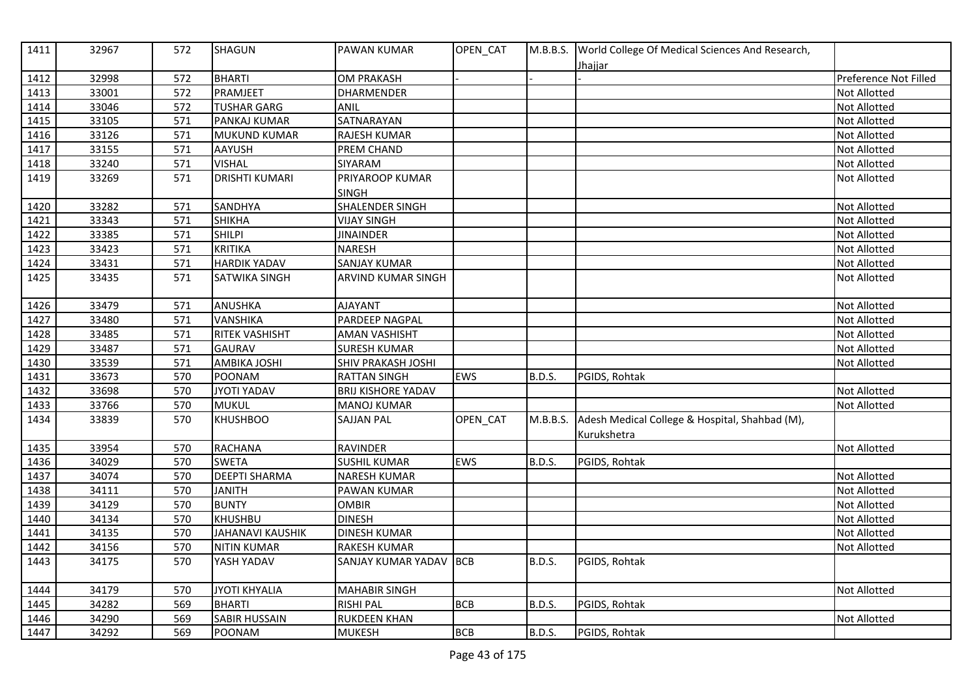| 1411 | 32967 | 572 | <b>SHAGUN</b>           | <b>PAWAN KUMAR</b>        | OPEN_CAT   |               | M.B.B.S. World College Of Medical Sciences And Research,<br><u>Jhajjar</u> |                       |
|------|-------|-----|-------------------------|---------------------------|------------|---------------|----------------------------------------------------------------------------|-----------------------|
| 1412 | 32998 | 572 | <b>BHARTI</b>           | <b>OM PRAKASH</b>         |            |               |                                                                            | Preference Not Filled |
| 1413 | 33001 | 572 | PRAMJEET                | <b>DHARMENDER</b>         |            |               |                                                                            | Not Allotted          |
| 1414 | 33046 | 572 | <b>TUSHAR GARG</b>      | ANIL                      |            |               |                                                                            | Not Allotted          |
| 1415 | 33105 | 571 | PANKAJ KUMAR            | SATNARAYAN                |            |               |                                                                            | Not Allotted          |
| 1416 | 33126 | 571 | <b>MUKUND KUMAR</b>     | RAJESH KUMAR              |            |               |                                                                            | Not Allotted          |
| 1417 | 33155 | 571 | AAYUSH                  | PREM CHAND                |            |               |                                                                            | Not Allotted          |
| 1418 | 33240 | 571 | <b>VISHAL</b>           | SIYARAM                   |            |               |                                                                            | Not Allotted          |
| 1419 | 33269 | 571 | <b>DRISHTI KUMARI</b>   | PRIYAROOP KUMAR           |            |               |                                                                            | Not Allotted          |
|      |       |     |                         | <b>SINGH</b>              |            |               |                                                                            |                       |
| 1420 | 33282 | 571 | <b>SANDHYA</b>          | SHALENDER SINGH           |            |               |                                                                            | Not Allotted          |
| 1421 | 33343 | 571 | <b>SHIKHA</b>           | <b>VIJAY SINGH</b>        |            |               |                                                                            | Not Allotted          |
| 1422 | 33385 | 571 | <b>SHILPI</b>           | <b>JINAINDER</b>          |            |               |                                                                            | Not Allotted          |
| 1423 | 33423 | 571 | <b>KRITIKA</b>          | <b>NARESH</b>             |            |               |                                                                            | <b>Not Allotted</b>   |
| 1424 | 33431 | 571 | <b>HARDIK YADAV</b>     | <b>SANJAY KUMAR</b>       |            |               |                                                                            | Not Allotted          |
| 1425 | 33435 | 571 | SATWIKA SINGH           | <b>ARVIND KUMAR SINGH</b> |            |               |                                                                            | <b>Not Allotted</b>   |
| 1426 | 33479 | 571 | <b>ANUSHKA</b>          | <b>AJAYANT</b>            |            |               |                                                                            | Not Allotted          |
| 1427 | 33480 | 571 | <b>VANSHIKA</b>         | PARDEEP NAGPAL            |            |               |                                                                            | Not Allotted          |
| 1428 | 33485 | 571 | <b>RITEK VASHISHT</b>   | <b>AMAN VASHISHT</b>      |            |               |                                                                            | Not Allotted          |
| 1429 | 33487 | 571 | <b>GAURAV</b>           | <b>SURESH KUMAR</b>       |            |               |                                                                            | Not Allotted          |
| 1430 | 33539 | 571 | <b>AMBIKA JOSHI</b>     | <b>SHIV PRAKASH JOSHI</b> |            |               |                                                                            | Not Allotted          |
| 1431 | 33673 | 570 | POONAM                  | <b>RATTAN SINGH</b>       | EWS        | B.D.S.        | PGIDS, Rohtak                                                              |                       |
| 1432 | 33698 | 570 | <b>JYOTI YADAV</b>      | <b>BRIJ KISHORE YADAV</b> |            |               |                                                                            | <b>Not Allotted</b>   |
| 1433 | 33766 | 570 | <b>MUKUL</b>            | <b>MANOJ KUMAR</b>        |            |               |                                                                            | Not Allotted          |
| 1434 | 33839 | 570 | <b>KHUSHBOO</b>         | <b>SAJJAN PAL</b>         | OPEN_CAT   | M.B.B.S.      | Adesh Medical College & Hospital, Shahbad (M),                             |                       |
|      |       |     |                         |                           |            |               | Kurukshetra                                                                |                       |
| 1435 | 33954 | 570 | <b>RACHANA</b>          | <b>RAVINDER</b>           |            |               |                                                                            | Not Allotted          |
| 1436 | 34029 | 570 | <b>SWETA</b>            | <b>SUSHIL KUMAR</b>       | <b>EWS</b> | <b>B.D.S.</b> | PGIDS, Rohtak                                                              |                       |
| 1437 | 34074 | 570 | <b>DEEPTI SHARMA</b>    | <b>NARESH KUMAR</b>       |            |               |                                                                            | Not Allotted          |
| 1438 | 34111 | 570 | <b>JANITH</b>           | PAWAN KUMAR               |            |               |                                                                            | Not Allotted          |
| 1439 | 34129 | 570 | <b>BUNTY</b>            | <b>OMBIR</b>              |            |               |                                                                            | Not Allotted          |
| 1440 | 34134 | 570 | <b>KHUSHBU</b>          | <b>DINESH</b>             |            |               |                                                                            | Not Allotted          |
| 1441 | 34135 | 570 | <b>JAHANAVI KAUSHIK</b> | <b>DINESH KUMAR</b>       |            |               |                                                                            | Not Allotted          |
| 1442 | 34156 | 570 | <b>NITIN KUMAR</b>      | <b>RAKESH KUMAR</b>       |            |               |                                                                            | Not Allotted          |
| 1443 | 34175 | 570 | YASH YADAV              | SANJAY KUMAR YADAV        | <b>BCB</b> | <b>B.D.S.</b> | PGIDS, Rohtak                                                              |                       |
| 1444 | 34179 | 570 | <b>JYOTI KHYALIA</b>    | <b>MAHABIR SINGH</b>      |            |               |                                                                            | <b>Not Allotted</b>   |
| 1445 | 34282 | 569 | <b>BHARTI</b>           | <b>RISHI PAL</b>          | <b>BCB</b> | B.D.S.        | PGIDS, Rohtak                                                              |                       |
| 1446 | 34290 | 569 | <b>SABIR HUSSAIN</b>    | <b>RUKDEEN KHAN</b>       |            |               |                                                                            | Not Allotted          |
| 1447 | 34292 | 569 | POONAM                  | <b>MUKESH</b>             | <b>BCB</b> | <b>B.D.S.</b> | PGIDS, Rohtak                                                              |                       |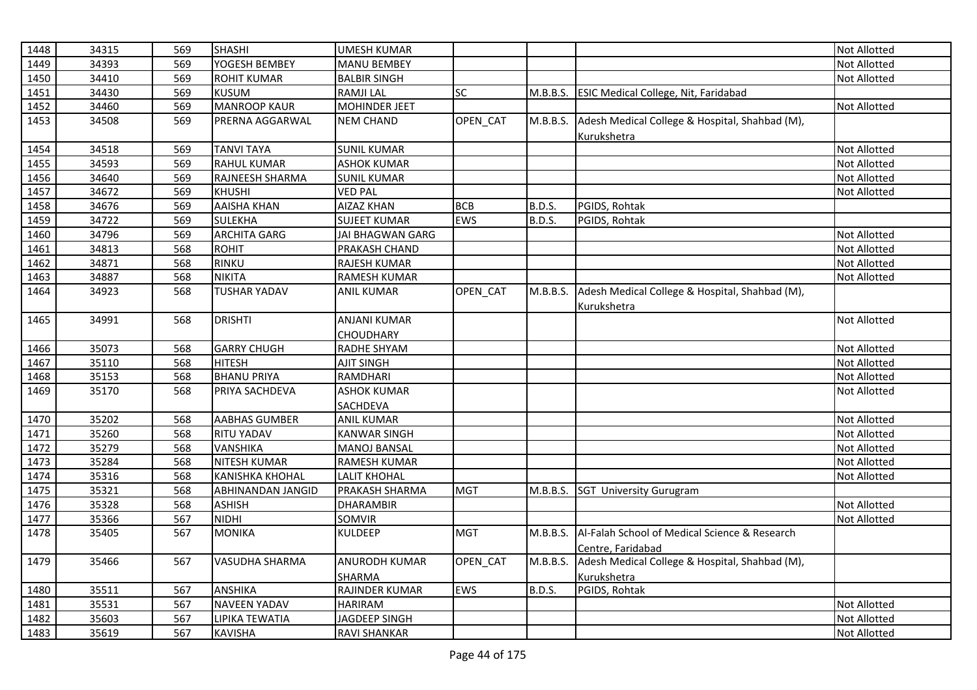| 1448 | 34315 | 569 | <b>SHASHI</b>            | <b>UMESH KUMAR</b>   |                 |               |                                                | Not Allotted        |
|------|-------|-----|--------------------------|----------------------|-----------------|---------------|------------------------------------------------|---------------------|
| 1449 | 34393 | 569 | YOGESH BEMBEY            | <b>MANU BEMBEY</b>   |                 |               |                                                | Not Allotted        |
| 1450 | 34410 | 569 | <b>ROHIT KUMAR</b>       | <b>BALBIR SINGH</b>  |                 |               |                                                | Not Allotted        |
| 1451 | 34430 | 569 | <b>KUSUM</b>             | <b>RAMJILAL</b>      | SC              | M.B.B.S.      | <b>ESIC Medical College, Nit, Faridabad</b>    |                     |
| 1452 | 34460 | 569 | <b>MANROOP KAUR</b>      | <b>MOHINDER JEET</b> |                 |               |                                                | Not Allotted        |
| 1453 | 34508 | 569 | PRERNA AGGARWAL          | <b>NEM CHAND</b>     | <b>OPEN CAT</b> | M.B.B.S.      | Adesh Medical College & Hospital, Shahbad (M), |                     |
|      |       |     |                          |                      |                 |               | Kurukshetra                                    |                     |
| 1454 | 34518 | 569 | <b>TANVI TAYA</b>        | <b>SUNIL KUMAR</b>   |                 |               |                                                | Not Allotted        |
| 1455 | 34593 | 569 | <b>RAHUL KUMAR</b>       | <b>ASHOK KUMAR</b>   |                 |               |                                                | Not Allotted        |
| 1456 | 34640 | 569 | RAJNEESH SHARMA          | <b>SUNIL KUMAR</b>   |                 |               |                                                | Not Allotted        |
| 1457 | 34672 | 569 | <b>KHUSHI</b>            | <b>VED PAL</b>       |                 |               |                                                | Not Allotted        |
| 1458 | 34676 | 569 | <b>AAISHA KHAN</b>       | <b>AIZAZ KHAN</b>    | <b>BCB</b>      | <b>B.D.S.</b> | PGIDS, Rohtak                                  |                     |
| 1459 | 34722 | 569 | <b>SULEKHA</b>           | <b>SUJEET KUMAR</b>  | <b>EWS</b>      | B.D.S.        | PGIDS, Rohtak                                  |                     |
| 1460 | 34796 | 569 | <b>ARCHITA GARG</b>      | JAI BHAGWAN GARG     |                 |               |                                                | Not Allotted        |
| 1461 | 34813 | 568 | <b>ROHIT</b>             | PRAKASH CHAND        |                 |               |                                                | Not Allotted        |
| 1462 | 34871 | 568 | <b>RINKU</b>             | <b>RAJESH KUMAR</b>  |                 |               |                                                | Not Allotted        |
| 1463 | 34887 | 568 | <b>NIKITA</b>            | <b>RAMESH KUMAR</b>  |                 |               |                                                | Not Allotted        |
| 1464 | 34923 | 568 | <b>TUSHAR YADAV</b>      | ANIL KUMAR           | OPEN_CAT        | M.B.B.S.      | Adesh Medical College & Hospital, Shahbad (M), |                     |
|      |       |     |                          |                      |                 |               | Kurukshetra                                    |                     |
| 1465 | 34991 | 568 | <b>DRISHTI</b>           | <b>ANJANI KUMAR</b>  |                 |               |                                                | <b>Not Allotted</b> |
|      |       |     |                          | CHOUDHARY            |                 |               |                                                |                     |
| 1466 | 35073 | 568 | <b>GARRY CHUGH</b>       | RADHE SHYAM          |                 |               |                                                | Not Allotted        |
| 1467 | 35110 | 568 | <b>HITESH</b>            | <b>AJIT SINGH</b>    |                 |               |                                                | Not Allotted        |
| 1468 | 35153 | 568 | <b>BHANU PRIYA</b>       | RAMDHARI             |                 |               |                                                | Not Allotted        |
| 1469 | 35170 | 568 | PRIYA SACHDEVA           | <b>ASHOK KUMAR</b>   |                 |               |                                                | Not Allotted        |
|      |       |     |                          | SACHDEVA             |                 |               |                                                |                     |
| 1470 | 35202 | 568 | <b>AABHAS GUMBER</b>     | <b>ANIL KUMAR</b>    |                 |               |                                                | Not Allotted        |
| 1471 | 35260 | 568 | <b>RITU YADAV</b>        | <b>KANWAR SINGH</b>  |                 |               |                                                | Not Allotted        |
| 1472 | 35279 | 568 | <b>VANSHIKA</b>          | <b>MANOJ BANSAL</b>  |                 |               |                                                | Not Allotted        |
| 1473 | 35284 | 568 | <b>NITESH KUMAR</b>      | <b>RAMESH KUMAR</b>  |                 |               |                                                | Not Allotted        |
| 1474 | 35316 | 568 | <b>KANISHKA KHOHAL</b>   | <b>LALIT KHOHAL</b>  |                 |               |                                                | Not Allotted        |
| 1475 | 35321 | 568 | <b>ABHINANDAN JANGID</b> | PRAKASH SHARMA       | <b>MGT</b>      |               | M.B.B.S. SGT University Gurugram               |                     |
| 1476 | 35328 | 568 | <b>ASHISH</b>            | <b>DHARAMBIR</b>     |                 |               |                                                | Not Allotted        |
| 1477 | 35366 | 567 | <b>NIDHI</b>             | SOMVIR               |                 |               |                                                | Not Allotted        |
| 1478 | 35405 | 567 | <b>MONIKA</b>            | KULDEEP              | <b>MGT</b>      | M.B.B.S.      | Al-Falah School of Medical Science & Research  |                     |
|      |       |     |                          |                      |                 |               | Centre, Faridabad                              |                     |
| 1479 | 35466 | 567 | VASUDHA SHARMA           | <b>ANURODH KUMAR</b> | OPEN_CAT        | M.B.B.S.      | Adesh Medical College & Hospital, Shahbad (M), |                     |
|      |       |     |                          | SHARMA               |                 |               | Kurukshetra                                    |                     |
| 1480 | 35511 | 567 | <b>ANSHIKA</b>           | RAJINDER KUMAR       | EWS             | <b>B.D.S.</b> | PGIDS, Rohtak                                  |                     |
| 1481 | 35531 | 567 | <b>NAVEEN YADAV</b>      | <b>HARIRAM</b>       |                 |               |                                                | Not Allotted        |
| 1482 | 35603 | 567 | LIPIKA TEWATIA           | JAGDEEP SINGH        |                 |               |                                                | Not Allotted        |
| 1483 | 35619 | 567 | <b>KAVISHA</b>           | <b>RAVI SHANKAR</b>  |                 |               |                                                | Not Allotted        |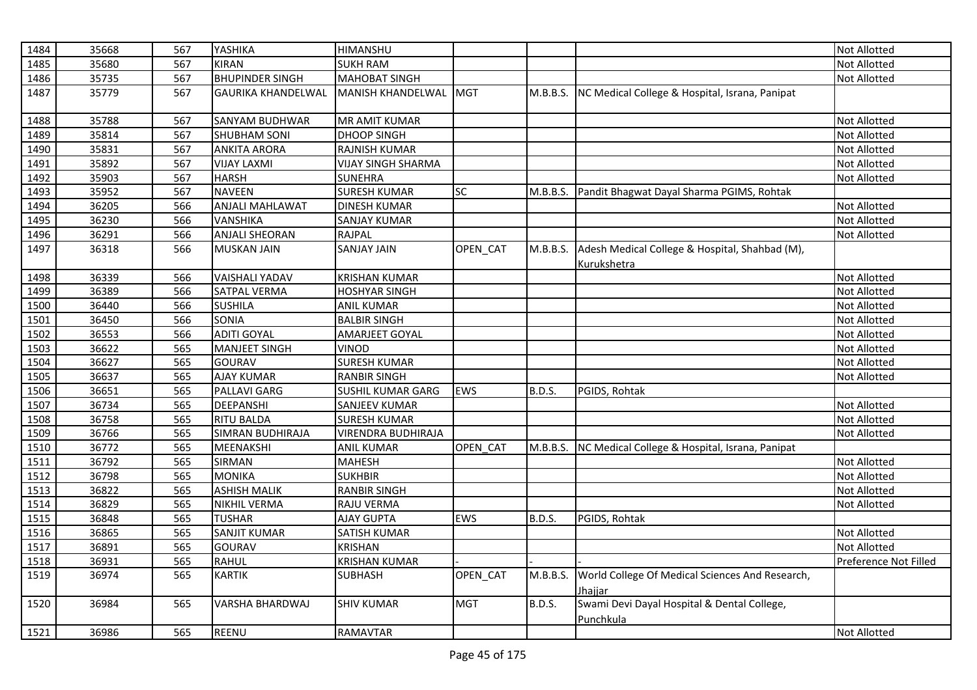| 1484 | 35668 | 567 | YASHIKA                   | HIMANSHU                  |                 |               |                                                               | Not Allotted          |
|------|-------|-----|---------------------------|---------------------------|-----------------|---------------|---------------------------------------------------------------|-----------------------|
| 1485 | 35680 | 567 | <b>KIRAN</b>              | <b>SUKH RAM</b>           |                 |               |                                                               | Not Allotted          |
| 1486 | 35735 | 567 | <b>BHUPINDER SINGH</b>    | <b>MAHOBAT SINGH</b>      |                 |               |                                                               | Not Allotted          |
| 1487 | 35779 | 567 | <b>GAURIKA KHANDELWAL</b> | <b>MANISH KHANDELWAL</b>  | <b>IMGT</b>     | M.B.B.S.      | NC Medical College & Hospital, Israna, Panipat                |                       |
| 1488 | 35788 | 567 | SANYAM BUDHWAR            | <b>MR AMIT KUMAR</b>      |                 |               |                                                               | Not Allotted          |
| 1489 | 35814 | 567 | <b>SHUBHAM SONI</b>       | <b>DHOOP SINGH</b>        |                 |               |                                                               | Not Allotted          |
| 1490 | 35831 | 567 | <b>ANKITA ARORA</b>       | RAJNISH KUMAR             |                 |               |                                                               | Not Allotted          |
| 1491 | 35892 | 567 | <b>VIJAY LAXMI</b>        | <b>VIJAY SINGH SHARMA</b> |                 |               |                                                               | Not Allotted          |
| 1492 | 35903 | 567 | <b>HARSH</b>              | <b>SUNEHRA</b>            |                 |               |                                                               | Not Allotted          |
| 1493 | 35952 | 567 | <b>NAVEEN</b>             | <b>SURESH KUMAR</b>       | $\overline{SC}$ | M.B.B.S.      | Pandit Bhagwat Dayal Sharma PGIMS, Rohtak                     |                       |
| 1494 | 36205 | 566 | <b>ANJALI MAHLAWAT</b>    | <b>DINESH KUMAR</b>       |                 |               |                                                               | Not Allotted          |
| 1495 | 36230 | 566 | <b>VANSHIKA</b>           | <b>SANJAY KUMAR</b>       |                 |               |                                                               | Not Allotted          |
| 1496 | 36291 | 566 | <b>ANJALI SHEORAN</b>     | RAJPAL                    |                 |               |                                                               | Not Allotted          |
| 1497 | 36318 | 566 | <b>MUSKAN JAIN</b>        | <b>SANJAY JAIN</b>        | OPEN CAT        | M.B.B.S.      | Adesh Medical College & Hospital, Shahbad (M),<br>Kurukshetra |                       |
| 1498 | 36339 | 566 | <b>VAISHALI YADAV</b>     | <b>KRISHAN KUMAR</b>      |                 |               |                                                               | Not Allotted          |
| 1499 | 36389 | 566 | SATPAL VERMA              | <b>HOSHYAR SINGH</b>      |                 |               |                                                               | Not Allotted          |
| 1500 | 36440 | 566 | <b>SUSHILA</b>            | <b>ANIL KUMAR</b>         |                 |               |                                                               | Not Allotted          |
| 1501 | 36450 | 566 | SONIA                     | <b>BALBIR SINGH</b>       |                 |               |                                                               | Not Allotted          |
| 1502 | 36553 | 566 | <b>ADITI GOYAL</b>        | AMARJEET GOYAL            |                 |               |                                                               | Not Allotted          |
| 1503 | 36622 | 565 | <b>MANJEET SINGH</b>      | VINOD                     |                 |               |                                                               | Not Allotted          |
| 1504 | 36627 | 565 | <b>GOURAV</b>             | <b>SURESH KUMAR</b>       |                 |               |                                                               | Not Allotted          |
| 1505 | 36637 | 565 | <b>AJAY KUMAR</b>         | <b>RANBIR SINGH</b>       |                 |               |                                                               | <b>Not Allotted</b>   |
| 1506 | 36651 | 565 | PALLAVI GARG              | SUSHIL KUMAR GARG         | EWS             | <b>B.D.S.</b> | PGIDS, Rohtak                                                 |                       |
| 1507 | 36734 | 565 | <b>DEEPANSHI</b>          | SANJEEV KUMAR             |                 |               |                                                               | Not Allotted          |
| 1508 | 36758 | 565 | <b>RITU BALDA</b>         | <b>SURESH KUMAR</b>       |                 |               |                                                               | Not Allotted          |
| 1509 | 36766 | 565 | <b>SIMRAN BUDHIRAJA</b>   | <b>VIRENDRA BUDHIRAJA</b> |                 |               |                                                               | Not Allotted          |
| 1510 | 36772 | 565 | MEENAKSHI                 | <b>ANIL KUMAR</b>         | OPEN CAT        | M.B.B.S.      | NC Medical College & Hospital, Israna, Panipat                |                       |
| 1511 | 36792 | 565 | <b>SIRMAN</b>             | <b>MAHESH</b>             |                 |               |                                                               | Not Allotted          |
| 1512 | 36798 | 565 | <b>MONIKA</b>             | <b>SUKHBIR</b>            |                 |               |                                                               | Not Allotted          |
| 1513 | 36822 | 565 | <b>ASHISH MALIK</b>       | <b>RANBIR SINGH</b>       |                 |               |                                                               | Not Allotted          |
| 1514 | 36829 | 565 | <b>NIKHIL VERMA</b>       | <b>RAJU VERMA</b>         |                 |               |                                                               | Not Allotted          |
| 1515 | 36848 | 565 | <b>TUSHAR</b>             | <b>AJAY GUPTA</b>         | EWS             | <b>B.D.S.</b> | PGIDS, Rohtak                                                 |                       |
| 1516 | 36865 | 565 | <b>SANJIT KUMAR</b>       | <b>SATISH KUMAR</b>       |                 |               |                                                               | Not Allotted          |
| 1517 | 36891 | 565 | <b>GOURAV</b>             | <b>KRISHAN</b>            |                 |               |                                                               | Not Allotted          |
| 1518 | 36931 | 565 | <b>RAHUL</b>              | <b>KRISHAN KUMAR</b>      |                 |               |                                                               | Preference Not Filled |
| 1519 | 36974 | 565 | <b>KARTIK</b>             | <b>SUBHASH</b>            | OPEN_CAT        | M.B.B.S.      | World College Of Medical Sciences And Research,<br>Jhajjar    |                       |
| 1520 | 36984 | 565 | <b>VARSHA BHARDWAJ</b>    | <b>SHIV KUMAR</b>         | <b>MGT</b>      | <b>B.D.S.</b> | Swami Devi Dayal Hospital & Dental College,<br>Punchkula      |                       |
| 1521 | 36986 | 565 | REENU                     | RAMAVTAR                  |                 |               |                                                               | Not Allotted          |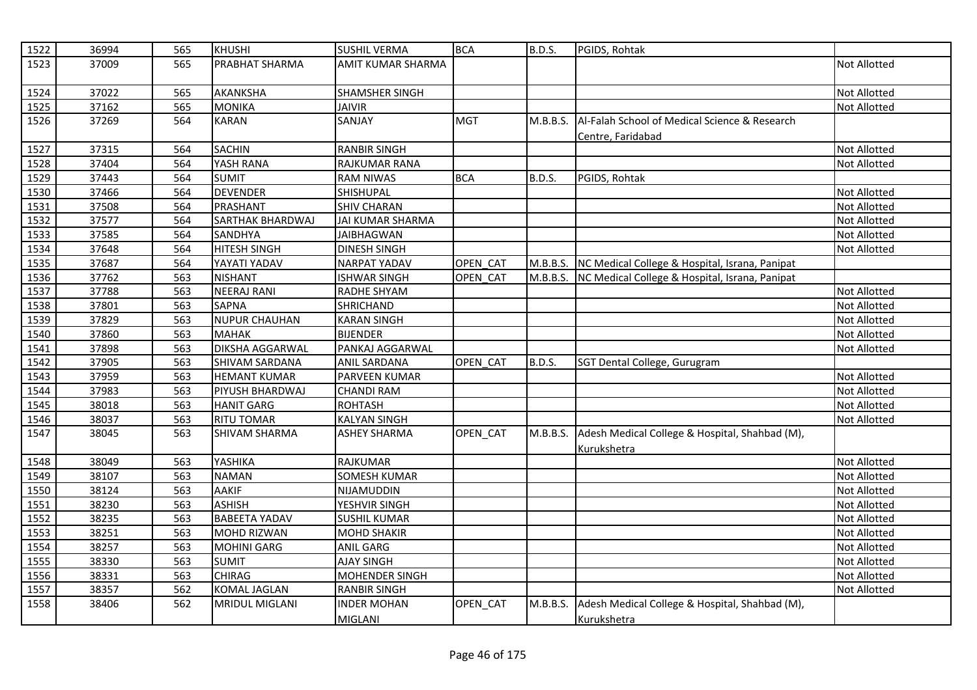| 1522 | 36994 | 565 | <b>KHUSHI</b>          | <b>SUSHIL VERMA</b>                  | <b>BCA</b> | <b>B.D.S.</b> | PGIDS, Rohtak                                                      |                     |
|------|-------|-----|------------------------|--------------------------------------|------------|---------------|--------------------------------------------------------------------|---------------------|
| 1523 | 37009 | 565 | PRABHAT SHARMA         | <b>AMIT KUMAR SHARMA</b>             |            |               |                                                                    | <b>Not Allotted</b> |
| 1524 | 37022 | 565 | <b>AKANKSHA</b>        | <b>SHAMSHER SINGH</b>                |            |               |                                                                    | <b>Not Allotted</b> |
| 1525 | 37162 | 565 | <b>MONIKA</b>          | <b>JAIVIR</b>                        |            |               |                                                                    | Not Allotted        |
| 1526 | 37269 | 564 | <b>KARAN</b>           | SANJAY                               | <b>MGT</b> | M.B.B.S.      | Al-Falah School of Medical Science & Research<br>Centre, Faridabad |                     |
| 1527 | 37315 | 564 | <b>SACHIN</b>          | <b>RANBIR SINGH</b>                  |            |               |                                                                    | Not Allotted        |
| 1528 | 37404 | 564 | YASH RANA              | <b>RAJKUMAR RANA</b>                 |            |               |                                                                    | <b>Not Allotted</b> |
| 1529 | 37443 | 564 | <b>SUMIT</b>           | <b>RAM NIWAS</b>                     | <b>BCA</b> | <b>B.D.S.</b> | PGIDS, Rohtak                                                      |                     |
| 1530 | 37466 | 564 | <b>DEVENDER</b>        | SHISHUPAL                            |            |               |                                                                    | <b>Not Allotted</b> |
| 1531 | 37508 | 564 | <b>PRASHANT</b>        | <b>SHIV CHARAN</b>                   |            |               |                                                                    | Not Allotted        |
| 1532 | 37577 | 564 | SARTHAK BHARDWAJ       | <b>JAI KUMAR SHARMA</b>              |            |               |                                                                    | Not Allotted        |
| 1533 | 37585 | 564 | <b>SANDHYA</b>         | <b>JAIBHAGWAN</b>                    |            |               |                                                                    | Not Allotted        |
| 1534 | 37648 | 564 | <b>HITESH SINGH</b>    | <b>DINESH SINGH</b>                  |            |               |                                                                    | Not Allotted        |
| 1535 | 37687 | 564 | YAYATI YADAV           | <b>NARPAT YADAV</b>                  | OPEN CAT   | M.B.B.S.      | NC Medical College & Hospital, Israna, Panipat                     |                     |
| 1536 | 37762 | 563 | <b>NISHANT</b>         | <b>ISHWAR SINGH</b>                  | OPEN_CAT   | M.B.B.S.      | NC Medical College & Hospital, Israna, Panipat                     |                     |
| 1537 | 37788 | 563 | <b>NEERAJ RANI</b>     | RADHE SHYAM                          |            |               |                                                                    | Not Allotted        |
| 1538 | 37801 | 563 | <b>SAPNA</b>           | <b>SHRICHAND</b>                     |            |               |                                                                    | <b>Not Allotted</b> |
| 1539 | 37829 | 563 | <b>NUPUR CHAUHAN</b>   | <b>KARAN SINGH</b>                   |            |               |                                                                    | Not Allotted        |
| 1540 | 37860 | 563 | <b>MAHAK</b>           | <b>BIJENDER</b>                      |            |               |                                                                    | Not Allotted        |
| 1541 | 37898 | 563 | <b>DIKSHA AGGARWAL</b> | PANKAJ AGGARWAL                      |            |               |                                                                    | Not Allotted        |
| 1542 | 37905 | 563 | <b>SHIVAM SARDANA</b>  | <b>ANIL SARDANA</b>                  | OPEN CAT   | B.D.S.        | SGT Dental College, Gurugram                                       |                     |
| 1543 | 37959 | 563 | <b>HEMANT KUMAR</b>    | PARVEEN KUMAR                        |            |               |                                                                    | Not Allotted        |
| 1544 | 37983 | 563 | PIYUSH BHARDWAJ        | <b>CHANDI RAM</b>                    |            |               |                                                                    | Not Allotted        |
| 1545 | 38018 | 563 | <b>HANIT GARG</b>      | <b>ROHTASH</b>                       |            |               |                                                                    | Not Allotted        |
| 1546 | 38037 | 563 | <b>RITU TOMAR</b>      | <b>KALYAN SINGH</b>                  |            |               |                                                                    | Not Allotted        |
| 1547 | 38045 | 563 | SHIVAM SHARMA          | <b>ASHEY SHARMA</b>                  | OPEN_CAT   | M.B.B.S.      | Adesh Medical College & Hospital, Shahbad (M),<br>Kurukshetra      |                     |
| 1548 | 38049 | 563 | YASHIKA                | <b>RAJKUMAR</b>                      |            |               |                                                                    | <b>Not Allotted</b> |
| 1549 | 38107 | 563 | <b>NAMAN</b>           | <b>SOMESH KUMAR</b>                  |            |               |                                                                    | Not Allotted        |
| 1550 | 38124 | 563 | <b>AAKIF</b>           | NIJAMUDDIN                           |            |               |                                                                    | <b>Not Allotted</b> |
| 1551 | 38230 | 563 | <b>ASHISH</b>          | YESHVIR SINGH                        |            |               |                                                                    | Not Allotted        |
| 1552 | 38235 | 563 | <b>BABEETA YADAV</b>   | <b>SUSHIL KUMAR</b>                  |            |               |                                                                    | Not Allotted        |
| 1553 | 38251 | 563 | <b>MOHD RIZWAN</b>     | <b>MOHD SHAKIR</b>                   |            |               |                                                                    | <b>Not Allotted</b> |
| 1554 | 38257 | 563 | <b>MOHINI GARG</b>     | <b>ANIL GARG</b>                     |            |               |                                                                    | Not Allotted        |
| 1555 | 38330 | 563 | <b>SUMIT</b>           | <b>AJAY SINGH</b>                    |            |               |                                                                    | Not Allotted        |
| 1556 | 38331 | 563 | <b>CHIRAG</b>          | MOHENDER SINGH                       |            |               |                                                                    | Not Allotted        |
| 1557 | 38357 | 562 | <b>KOMAL JAGLAN</b>    | <b>RANBIR SINGH</b>                  |            |               |                                                                    | Not Allotted        |
| 1558 | 38406 | 562 | MRIDUL MIGLANI         | <b>INDER MOHAN</b><br><b>MIGLANI</b> | OPEN_CAT   | M.B.B.S.      | Adesh Medical College & Hospital, Shahbad (M),<br>Kurukshetra      |                     |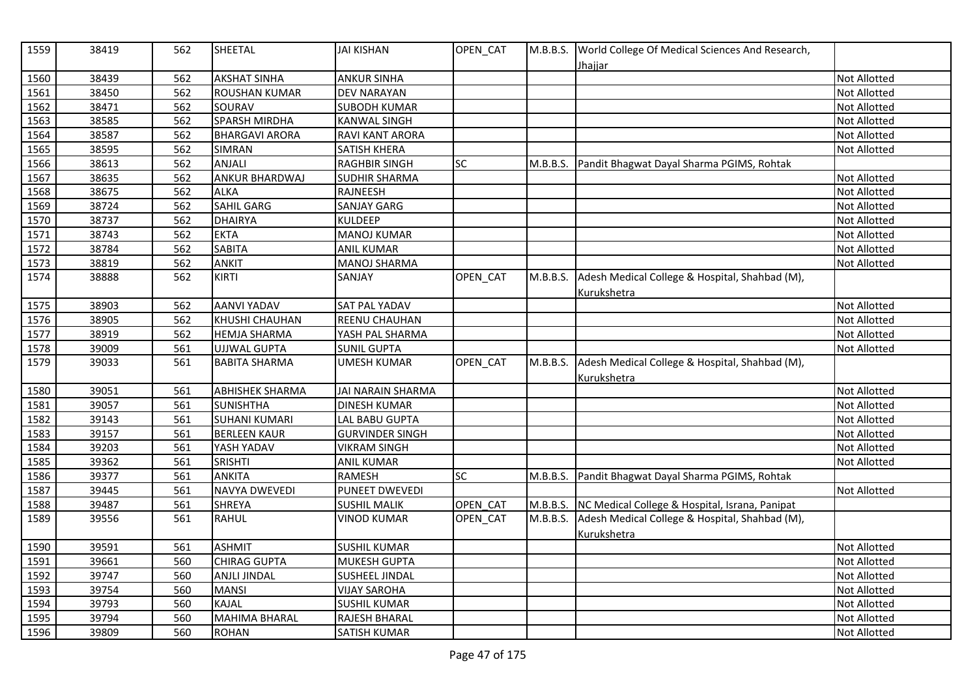| 1559 | 38419 | 562 | SHEETAL                | <b>JAI KISHAN</b>        | OPEN_CAT  |          | M.B.B.S. World College Of Medical Sciences And Research,<br><u>Jhajjar</u> |                     |
|------|-------|-----|------------------------|--------------------------|-----------|----------|----------------------------------------------------------------------------|---------------------|
| 1560 | 38439 | 562 | <b>AKSHAT SINHA</b>    | <b>ANKUR SINHA</b>       |           |          |                                                                            | Not Allotted        |
| 1561 | 38450 | 562 | <b>ROUSHAN KUMAR</b>   | <b>DEV NARAYAN</b>       |           |          |                                                                            | Not Allotted        |
| 1562 | 38471 | 562 | SOURAV                 | <b>SUBODH KUMAR</b>      |           |          |                                                                            | Not Allotted        |
| 1563 | 38585 | 562 | <b>SPARSH MIRDHA</b>   | <b>KANWAL SINGH</b>      |           |          |                                                                            | Not Allotted        |
| 1564 | 38587 | 562 | <b>BHARGAVI ARORA</b>  | RAVI KANT ARORA          |           |          |                                                                            | <b>Not Allotted</b> |
| 1565 | 38595 | 562 | SIMRAN                 | <b>SATISH KHERA</b>      |           |          |                                                                            | Not Allotted        |
| 1566 | 38613 | 562 | ANJALI                 | <b>RAGHBIR SINGH</b>     | <b>SC</b> | M.B.B.S. | Pandit Bhagwat Dayal Sharma PGIMS, Rohtak                                  |                     |
| 1567 | 38635 | 562 | ANKUR BHARDWAJ         | <b>SUDHIR SHARMA</b>     |           |          |                                                                            | Not Allotted        |
| 1568 | 38675 | 562 | <b>ALKA</b>            | RAJNEESH                 |           |          |                                                                            | Not Allotted        |
| 1569 | 38724 | 562 | <b>SAHIL GARG</b>      | <b>SANJAY GARG</b>       |           |          |                                                                            | Not Allotted        |
| 1570 | 38737 | 562 | <b>DHAIRYA</b>         | <b>KULDEEP</b>           |           |          |                                                                            | <b>Not Allotted</b> |
| 1571 | 38743 | 562 | <b>EKTA</b>            | <b>MANOJ KUMAR</b>       |           |          |                                                                            | Not Allotted        |
| 1572 | 38784 | 562 | <b>SABITA</b>          | <b>ANIL KUMAR</b>        |           |          |                                                                            | Not Allotted        |
| 1573 | 38819 | 562 | <b>ANKIT</b>           | <b>MANOJ SHARMA</b>      |           |          |                                                                            | Not Allotted        |
| 1574 | 38888 | 562 | <b>KIRTI</b>           | SANJAY                   | OPEN CAT  | M.B.B.S. | Adesh Medical College & Hospital, Shahbad (M),<br>Kurukshetra              |                     |
| 1575 | 38903 | 562 | <b>AANVI YADAV</b>     | SAT PAL YADAV            |           |          |                                                                            | Not Allotted        |
| 1576 | 38905 | 562 | KHUSHI CHAUHAN         | REENU CHAUHAN            |           |          |                                                                            | Not Allotted        |
| 1577 | 38919 | 562 | <b>HEMJA SHARMA</b>    | YASH PAL SHARMA          |           |          |                                                                            | Not Allotted        |
| 1578 | 39009 | 561 | <b>UJJWAL GUPTA</b>    | <b>SUNIL GUPTA</b>       |           |          |                                                                            | <b>Not Allotted</b> |
| 1579 | 39033 | 561 | <b>BABITA SHARMA</b>   | UMESH KUMAR              | OPEN_CAT  | M.B.B.S. | Adesh Medical College & Hospital, Shahbad (M),<br>Kurukshetra              |                     |
| 1580 | 39051 | 561 | <b>ABHISHEK SHARMA</b> | <b>JAI NARAIN SHARMA</b> |           |          |                                                                            | Not Allotted        |
| 1581 | 39057 | 561 | <b>SUNISHTHA</b>       | <b>DINESH KUMAR</b>      |           |          |                                                                            | Not Allotted        |
| 1582 | 39143 | 561 | <b>SUHANI KUMARI</b>   | LAL BABU GUPTA           |           |          |                                                                            | Not Allotted        |
| 1583 | 39157 | 561 | <b>BERLEEN KAUR</b>    | <b>GURVINDER SINGH</b>   |           |          |                                                                            | <b>Not Allotted</b> |
| 1584 | 39203 | 561 | YASH YADAV             | <b>VIKRAM SINGH</b>      |           |          |                                                                            | Not Allotted        |
| 1585 | 39362 | 561 | <b>SRISHTI</b>         | <b>ANIL KUMAR</b>        |           |          |                                                                            | Not Allotted        |
| 1586 | 39377 | 561 | <b>ANKITA</b>          | RAMESH                   | <b>SC</b> | M.B.B.S. | Pandit Bhagwat Dayal Sharma PGIMS, Rohtak                                  |                     |
| 1587 | 39445 | 561 | <b>NAVYA DWEVEDI</b>   | PUNEET DWEVEDI           |           |          |                                                                            | Not Allotted        |
| 1588 | 39487 | 561 | <b>SHREYA</b>          | <b>SUSHIL MALIK</b>      | OPEN CAT  | M.B.B.S. | NC Medical College & Hospital, Israna, Panipat                             |                     |
| 1589 | 39556 | 561 | <b>RAHUL</b>           | <b>VINOD KUMAR</b>       | OPEN_CAT  | M.B.B.S. | Adesh Medical College & Hospital, Shahbad (M),<br>Kurukshetra              |                     |
| 1590 | 39591 | 561 | <b>ASHMIT</b>          | <b>SUSHIL KUMAR</b>      |           |          |                                                                            | Not Allotted        |
| 1591 | 39661 | 560 | <b>CHIRAG GUPTA</b>    | <b>MUKESH GUPTA</b>      |           |          |                                                                            | Not Allotted        |
| 1592 | 39747 | 560 | <b>ANJLI JINDAL</b>    | <b>SUSHEEL JINDAL</b>    |           |          |                                                                            | Not Allotted        |
| 1593 | 39754 | 560 | <b>MANSI</b>           | <b>VIJAY SAROHA</b>      |           |          |                                                                            | Not Allotted        |
| 1594 | 39793 | 560 | <b>KAJAL</b>           | <b>SUSHIL KUMAR</b>      |           |          |                                                                            | Not Allotted        |
| 1595 | 39794 | 560 | <b>MAHIMA BHARAL</b>   | RAJESH BHARAL            |           |          |                                                                            | <b>Not Allotted</b> |
| 1596 | 39809 | 560 | <b>ROHAN</b>           | SATISH KUMAR             |           |          |                                                                            | Not Allotted        |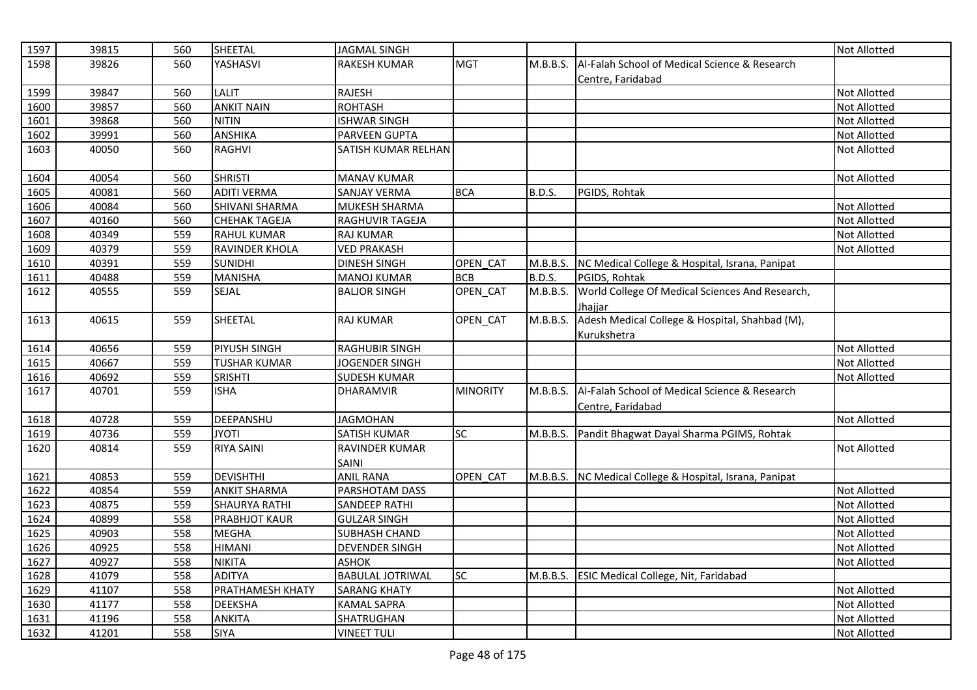| 1597 | 39815 | 560 | SHEETAL               | <b>JAGMAL SINGH</b>     |                 |               |                                                         | <b>Not Allotted</b> |
|------|-------|-----|-----------------------|-------------------------|-----------------|---------------|---------------------------------------------------------|---------------------|
| 1598 | 39826 | 560 | YASHASVI              | RAKESH KUMAR            | <b>MGT</b>      | M.B.B.S.      | Al-Falah School of Medical Science & Research           |                     |
|      |       |     |                       |                         |                 |               | Centre, Faridabad                                       |                     |
| 1599 | 39847 | 560 | LALIT                 | <b>RAJESH</b>           |                 |               |                                                         | Not Allotted        |
| 1600 | 39857 | 560 | <b>ANKIT NAIN</b>     | <b>ROHTASH</b>          |                 |               |                                                         | <b>Not Allotted</b> |
| 1601 | 39868 | 560 | <b>NITIN</b>          | <b>ISHWAR SINGH</b>     |                 |               |                                                         | Not Allotted        |
| 1602 | 39991 | 560 | <b>ANSHIKA</b>        | PARVEEN GUPTA           |                 |               |                                                         | <b>Not Allotted</b> |
| 1603 | 40050 | 560 | <b>RAGHVI</b>         | SATISH KUMAR RELHAN     |                 |               |                                                         | <b>Not Allotted</b> |
| 1604 | 40054 | 560 | <b>SHRISTI</b>        | <b>MANAV KUMAR</b>      |                 |               |                                                         | <b>Not Allotted</b> |
| 1605 | 40081 | 560 | <b>ADITI VERMA</b>    | <b>SANJAY VERMA</b>     | <b>BCA</b>      | <b>B.D.S.</b> | PGIDS, Rohtak                                           |                     |
| 1606 | 40084 | 560 | <b>SHIVANI SHARMA</b> | MUKESH SHARMA           |                 |               |                                                         | <b>Not Allotted</b> |
| 1607 | 40160 | 560 | <b>CHEHAK TAGEJA</b>  | RAGHUVIR TAGEJA         |                 |               |                                                         | <b>Not Allotted</b> |
| 1608 | 40349 | 559 | <b>RAHUL KUMAR</b>    | <b>RAJ KUMAR</b>        |                 |               |                                                         | Not Allotted        |
| 1609 | 40379 | 559 | RAVINDER KHOLA        | <b>VED PRAKASH</b>      |                 |               |                                                         | Not Allotted        |
| 1610 | 40391 | 559 | <b>SUNIDHI</b>        | <b>DINESH SINGH</b>     | OPEN_CAT        | M.B.B.S.      | NC Medical College & Hospital, Israna, Panipat          |                     |
| 1611 | 40488 | 559 | <b>MANISHA</b>        | <b>MANOJ KUMAR</b>      | <b>BCB</b>      | <b>B.D.S.</b> | PGIDS, Rohtak                                           |                     |
| 1612 | 40555 | 559 | SEJAL                 | <b>BALJOR SINGH</b>     | OPEN_CAT        | M.B.B.S.      | World College Of Medical Sciences And Research,         |                     |
|      |       |     |                       |                         |                 |               | Jhajjar                                                 |                     |
| 1613 | 40615 | 559 | SHEETAL               | <b>RAJ KUMAR</b>        | OPEN_CAT        | M.B.B.S.      | Adesh Medical College & Hospital, Shahbad (M),          |                     |
|      |       |     |                       |                         |                 |               | Kurukshetra                                             |                     |
| 1614 | 40656 | 559 | <b>PIYUSH SINGH</b>   | <b>RAGHUBIR SINGH</b>   |                 |               |                                                         | <b>Not Allotted</b> |
| 1615 | 40667 | 559 | <b>TUSHAR KUMAR</b>   | JOGENDER SINGH          |                 |               |                                                         | Not Allotted        |
| 1616 | 40692 | 559 | <b>SRISHTI</b>        | <b>SUDESH KUMAR</b>     |                 |               |                                                         | <b>Not Allotted</b> |
| 1617 | 40701 | 559 | <b>ISHA</b>           | <b>DHARAMVIR</b>        | <b>MINORITY</b> | M.B.B.S.      | Al-Falah School of Medical Science & Research           |                     |
|      |       |     |                       |                         |                 |               | Centre, Faridabad                                       |                     |
| 1618 | 40728 | 559 | DEEPANSHU             | <b>JAGMOHAN</b>         |                 |               |                                                         | Not Allotted        |
| 1619 | 40736 | 559 | <b>JYOTI</b>          | SATISH KUMAR            | SC              |               | M.B.B.S. Pandit Bhagwat Dayal Sharma PGIMS, Rohtak      |                     |
| 1620 | 40814 | 559 | <b>RIYA SAINI</b>     | RAVINDER KUMAR<br>SAINI |                 |               |                                                         | <b>Not Allotted</b> |
| 1621 | 40853 | 559 | <b>DEVISHTHI</b>      | <b>ANIL RANA</b>        | OPEN CAT        |               | M.B.B.S. NC Medical College & Hospital, Israna, Panipat |                     |
| 1622 | 40854 | 559 | <b>ANKIT SHARMA</b>   | PARSHOTAM DASS          |                 |               |                                                         | <b>Not Allotted</b> |
| 1623 | 40875 | 559 | <b>SHAURYA RATHI</b>  | <b>SANDEEP RATHI</b>    |                 |               |                                                         | <b>Not Allotted</b> |
| 1624 | 40899 | 558 | <b>PRABHJOT KAUR</b>  | <b>GULZAR SINGH</b>     |                 |               |                                                         | <b>Not Allotted</b> |
| 1625 | 40903 | 558 | <b>MEGHA</b>          | SUBHASH CHAND           |                 |               |                                                         | <b>Not Allotted</b> |
| 1626 | 40925 | 558 | <b>HIMANI</b>         | <b>DEVENDER SINGH</b>   |                 |               |                                                         | Not Allotted        |
| 1627 | 40927 | 558 | <b>NIKITA</b>         | <b>ASHOK</b>            |                 |               |                                                         | <b>Not Allotted</b> |
| 1628 | 41079 | 558 | <b>ADITYA</b>         | <b>BABULAL JOTRIWAL</b> | <b>SC</b>       | M.B.B.S.      | <b>ESIC Medical College, Nit, Faridabad</b>             |                     |
| 1629 | 41107 | 558 | PRATHAMESH KHATY      | <b>SARANG KHATY</b>     |                 |               |                                                         | <b>Not Allotted</b> |
| 1630 | 41177 | 558 | <b>DEEKSHA</b>        | <b>KAMAL SAPRA</b>      |                 |               |                                                         | <b>Not Allotted</b> |
| 1631 | 41196 | 558 | <b>ANKITA</b>         | SHATRUGHAN              |                 |               |                                                         | <b>Not Allotted</b> |
| 1632 | 41201 | 558 | <b>SIYA</b>           | <b>VINEET TULI</b>      |                 |               |                                                         | <b>Not Allotted</b> |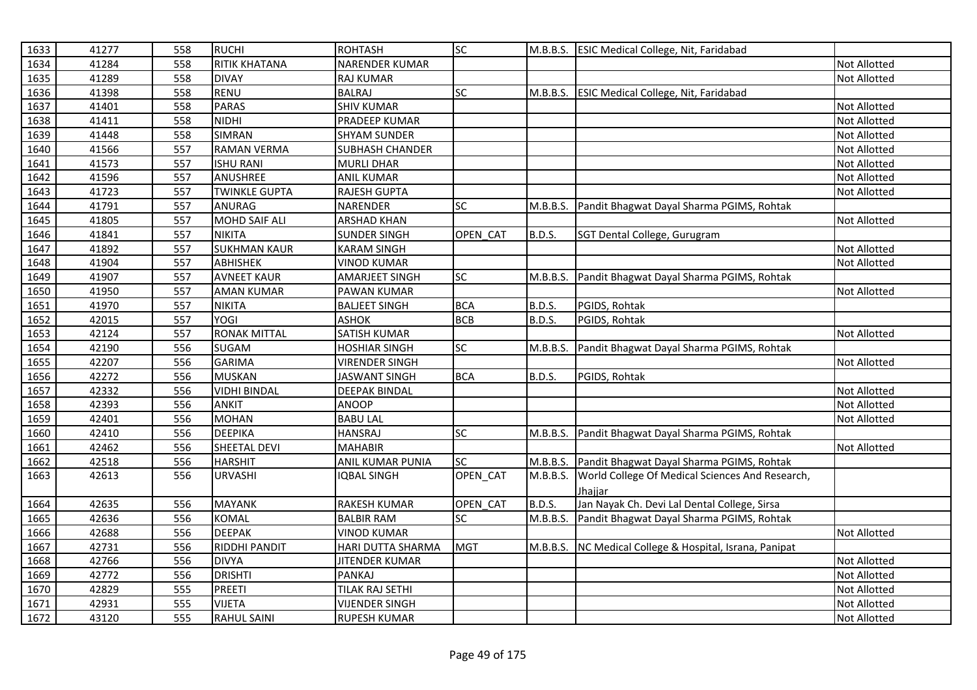| 1633 | 41277 | 558 | <b>RUCHI</b>         | <b>ROHTASH</b>          | SC         |               | M.B.B.S. ESIC Medical College, Nit, Faridabad   |                     |
|------|-------|-----|----------------------|-------------------------|------------|---------------|-------------------------------------------------|---------------------|
| 1634 | 41284 | 558 | RITIK KHATANA        | NARENDER KUMAR          |            |               |                                                 | Not Allotted        |
| 1635 | 41289 | 558 | <b>DIVAY</b>         | <b>RAJ KUMAR</b>        |            |               |                                                 | <b>Not Allotted</b> |
| 1636 | 41398 | 558 | RENU                 | <b>BALRAJ</b>           | <b>SC</b>  | M.B.B.S.      | <b>ESIC Medical College, Nit, Faridabad</b>     |                     |
| 1637 | 41401 | 558 | <b>PARAS</b>         | <b>SHIV KUMAR</b>       |            |               |                                                 | Not Allotted        |
| 1638 | 41411 | 558 | <b>NIDHI</b>         | PRADEEP KUMAR           |            |               |                                                 | Not Allotted        |
| 1639 | 41448 | 558 | <b>SIMRAN</b>        | <b>SHYAM SUNDER</b>     |            |               |                                                 | Not Allotted        |
| 1640 | 41566 | 557 | <b>RAMAN VERMA</b>   | <b>SUBHASH CHANDER</b>  |            |               |                                                 | Not Allotted        |
| 1641 | 41573 | 557 | <b>ISHU RANI</b>     | <b>MURLI DHAR</b>       |            |               |                                                 | <b>Not Allotted</b> |
| 1642 | 41596 | 557 | ANUSHREE             | <b>ANIL KUMAR</b>       |            |               |                                                 | Not Allotted        |
| 1643 | 41723 | 557 | <b>TWINKLE GUPTA</b> | RAJESH GUPTA            |            |               |                                                 | <b>Not Allotted</b> |
| 1644 | 41791 | 557 | ANURAG               | NARENDER                | SC         | M.B.B.S.      | Pandit Bhagwat Dayal Sharma PGIMS, Rohtak       |                     |
| 1645 | 41805 | 557 | MOHD SAIF ALI        | <b>ARSHAD KHAN</b>      |            |               |                                                 | Not Allotted        |
| 1646 | 41841 | 557 | <b>NIKITA</b>        | <b>SUNDER SINGH</b>     | OPEN CAT   | <b>B.D.S.</b> | SGT Dental College, Gurugram                    |                     |
| 1647 | 41892 | 557 | <b>SUKHMAN KAUR</b>  | <b>KARAM SINGH</b>      |            |               |                                                 | Not Allotted        |
| 1648 | 41904 | 557 | <b>ABHISHEK</b>      | <b>VINOD KUMAR</b>      |            |               |                                                 | Not Allotted        |
| 1649 | 41907 | 557 | <b>AVNEET KAUR</b>   | AMARJEET SINGH          | SC         | M.B.B.S.      | Pandit Bhagwat Dayal Sharma PGIMS, Rohtak       |                     |
| 1650 | 41950 | 557 | <b>AMAN KUMAR</b>    | PAWAN KUMAR             |            |               |                                                 | Not Allotted        |
| 1651 | 41970 | 557 | <b>NIKITA</b>        | <b>BALJEET SINGH</b>    | <b>BCA</b> | B.D.S.        | PGIDS, Rohtak                                   |                     |
| 1652 | 42015 | 557 | <b>YOGI</b>          | <b>ASHOK</b>            | <b>BCB</b> | <b>B.D.S.</b> | PGIDS, Rohtak                                   |                     |
| 1653 | 42124 | 557 | <b>RONAK MITTAL</b>  | SATISH KUMAR            |            |               |                                                 | Not Allotted        |
| 1654 | 42190 | 556 | SUGAM                | <b>HOSHIAR SINGH</b>    | SC         | M.B.B.S.      | Pandit Bhagwat Dayal Sharma PGIMS, Rohtak       |                     |
| 1655 | 42207 | 556 | <b>GARIMA</b>        | <b>VIRENDER SINGH</b>   |            |               |                                                 | Not Allotted        |
| 1656 | 42272 | 556 | <b>MUSKAN</b>        | <b>JASWANT SINGH</b>    | <b>BCA</b> | B.D.S.        | PGIDS, Rohtak                                   |                     |
| 1657 | 42332 | 556 | <b>VIDHI BINDAL</b>  | <b>DEEPAK BINDAL</b>    |            |               |                                                 | <b>Not Allotted</b> |
| 1658 | 42393 | 556 | <b>ANKIT</b>         | <b>ANOOP</b>            |            |               |                                                 | <b>Not Allotted</b> |
| 1659 | 42401 | 556 | <b>MOHAN</b>         | <b>BABU LAL</b>         |            |               |                                                 | Not Allotted        |
| 1660 | 42410 | 556 | <b>DEEPIKA</b>       | <b>HANSRAJ</b>          | SC         | M.B.B.S.      | Pandit Bhagwat Dayal Sharma PGIMS, Rohtak       |                     |
| 1661 | 42462 | 556 | SHEETAL DEVI         | <b>MAHABIR</b>          |            |               |                                                 | <b>Not Allotted</b> |
| 1662 | 42518 | 556 | <b>HARSHIT</b>       | <b>ANIL KUMAR PUNIA</b> | SC         | M.B.B.S.      | Pandit Bhagwat Dayal Sharma PGIMS, Rohtak       |                     |
| 1663 | 42613 | 556 | <b>URVASHI</b>       | <b>IQBAL SINGH</b>      | OPEN_CAT   | M.B.B.S.      | World College Of Medical Sciences And Research, |                     |
|      |       |     |                      |                         |            |               | Jhaiiar                                         |                     |
| 1664 | 42635 | 556 | MAYANK               | RAKESH KUMAR            | OPEN_CAT   | B.D.S.        | Jan Nayak Ch. Devi Lal Dental College, Sirsa    |                     |
| 1665 | 42636 | 556 | <b>KOMAL</b>         | <b>BALBIR RAM</b>       | <b>SC</b>  | M.B.B.S.      | Pandit Bhagwat Dayal Sharma PGIMS, Rohtak       |                     |
| 1666 | 42688 | 556 | <b>DEEPAK</b>        | <b>VINOD KUMAR</b>      |            |               |                                                 | <b>Not Allotted</b> |
| 1667 | 42731 | 556 | <b>RIDDHI PANDIT</b> | HARI DUTTA SHARMA       | <b>MGT</b> | M.B.B.S.      | NC Medical College & Hospital, Israna, Panipat  |                     |
| 1668 | 42766 | 556 | <b>DIVYA</b>         | <b>JITENDER KUMAR</b>   |            |               |                                                 | Not Allotted        |
| 1669 | 42772 | 556 | <b>DRISHTI</b>       | <b>PANKAJ</b>           |            |               |                                                 | Not Allotted        |
| 1670 | 42829 | 555 | PREETI               | TILAK RAJ SETHI         |            |               |                                                 | Not Allotted        |
| 1671 | 42931 | 555 | <b>VIJETA</b>        | <b>VIJENDER SINGH</b>   |            |               |                                                 | Not Allotted        |
| 1672 | 43120 | 555 | <b>RAHUL SAINI</b>   | <b>RUPESH KUMAR</b>     |            |               |                                                 | <b>Not Allotted</b> |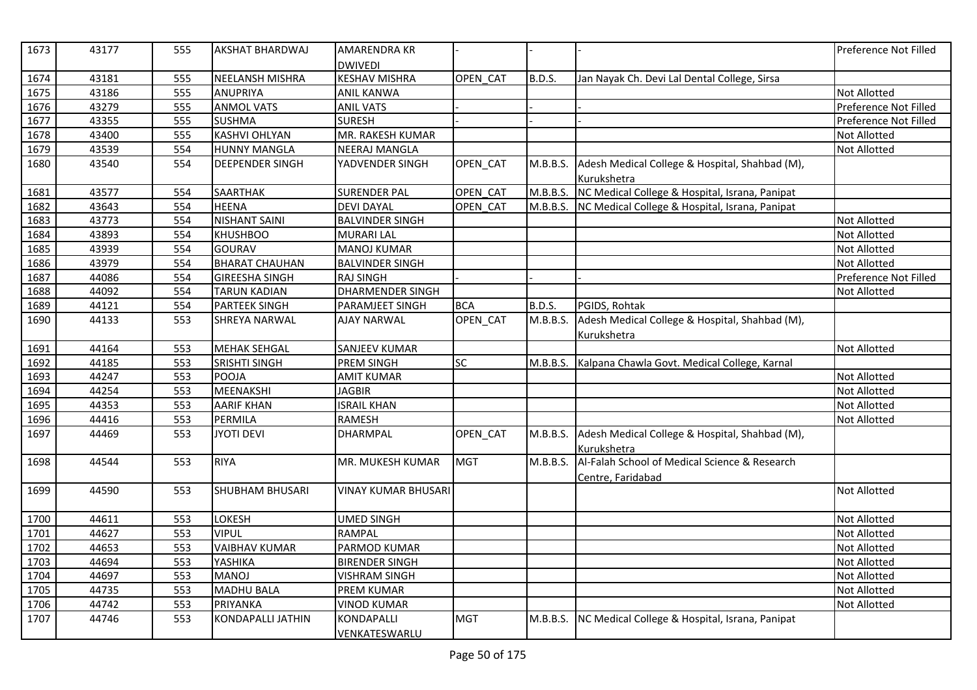| 1673 | 43177 | 555 | <b>AKSHAT BHARDWAJ</b> | <b>AMARENDRA KR</b>     |            |               |                                                | Preference Not Filled |
|------|-------|-----|------------------------|-------------------------|------------|---------------|------------------------------------------------|-----------------------|
|      |       |     |                        | <b>DWIVEDI</b>          |            |               |                                                |                       |
| 1674 | 43181 | 555 | NEELANSH MISHRA        | <b>KESHAV MISHRA</b>    | OPEN CAT   | <b>B.D.S.</b> | Jan Nayak Ch. Devi Lal Dental College, Sirsa   |                       |
| 1675 | 43186 | 555 | ANUPRIYA               | <b>ANIL KANWA</b>       |            |               |                                                | <b>Not Allotted</b>   |
| 1676 | 43279 | 555 | <b>ANMOL VATS</b>      | <b>ANIL VATS</b>        |            |               |                                                | Preference Not Filled |
| 1677 | 43355 | 555 | <b>SUSHMA</b>          | <b>SURESH</b>           |            |               |                                                | Preference Not Filled |
| 1678 | 43400 | 555 | <b>KASHVI OHLYAN</b>   | MR. RAKESH KUMAR        |            |               |                                                | <b>Not Allotted</b>   |
| 1679 | 43539 | 554 | <b>HUNNY MANGLA</b>    | <b>NEERAJ MANGLA</b>    |            |               |                                                | <b>Not Allotted</b>   |
| 1680 | 43540 | 554 | <b>DEEPENDER SINGH</b> | YADVENDER SINGH         | OPEN_CAT   | M.B.B.S.      | Adesh Medical College & Hospital, Shahbad (M), |                       |
|      |       |     |                        |                         |            |               | Kurukshetra                                    |                       |
| 1681 | 43577 | 554 | SAARTHAK               | <b>SURENDER PAL</b>     | OPEN_CAT   | M.B.B.S.      | NC Medical College & Hospital, Israna, Panipat |                       |
| 1682 | 43643 | 554 | <b>HEENA</b>           | <b>DEVI DAYAL</b>       | OPEN CAT   | M.B.B.S.      | NC Medical College & Hospital, Israna, Panipat |                       |
| 1683 | 43773 | 554 | <b>NISHANT SAINI</b>   | <b>BALVINDER SINGH</b>  |            |               |                                                | <b>Not Allotted</b>   |
| 1684 | 43893 | 554 | <b>KHUSHBOO</b>        | <b>MURARI LAL</b>       |            |               |                                                | <b>Not Allotted</b>   |
| 1685 | 43939 | 554 | <b>GOURAV</b>          | <b>MANOJ KUMAR</b>      |            |               |                                                | <b>Not Allotted</b>   |
| 1686 | 43979 | 554 | <b>BHARAT CHAUHAN</b>  | <b>BALVINDER SINGH</b>  |            |               |                                                | <b>Not Allotted</b>   |
| 1687 | 44086 | 554 | <b>GIREESHA SINGH</b>  | <b>RAJ SINGH</b>        |            |               |                                                | Preference Not Filled |
| 1688 | 44092 | 554 | <b>TARUN KADIAN</b>    | <b>DHARMENDER SINGH</b> |            |               |                                                | <b>Not Allotted</b>   |
| 1689 | 44121 | 554 | <b>PARTEEK SINGH</b>   | PARAMJEET SINGH         | <b>BCA</b> | <b>B.D.S.</b> | PGIDS, Rohtak                                  |                       |
| 1690 | 44133 | 553 | <b>SHREYA NARWAL</b>   | <b>AJAY NARWAL</b>      | OPEN_CAT   | M.B.B.S.      | Adesh Medical College & Hospital, Shahbad (M), |                       |
|      |       |     |                        |                         |            |               | Kurukshetra                                    |                       |
| 1691 | 44164 | 553 | <b>MEHAK SEHGAL</b>    | <b>SANJEEV KUMAR</b>    |            |               |                                                | <b>Not Allotted</b>   |
| 1692 | 44185 | 553 | <b>SRISHTI SINGH</b>   | PREM SINGH              | <b>SC</b>  | M.B.B.S.      | Kalpana Chawla Govt. Medical College, Karnal   |                       |
| 1693 | 44247 | 553 | <b>POOJA</b>           | <b>AMIT KUMAR</b>       |            |               |                                                | <b>Not Allotted</b>   |
| 1694 | 44254 | 553 | MEENAKSHI              | <b>JAGBIR</b>           |            |               |                                                | <b>Not Allotted</b>   |
| 1695 | 44353 | 553 | <b>AARIF KHAN</b>      | <b>ISRAIL KHAN</b>      |            |               |                                                | <b>Not Allotted</b>   |
| 1696 | 44416 | 553 | PERMILA                | <b>RAMESH</b>           |            |               |                                                | <b>Not Allotted</b>   |
| 1697 | 44469 | 553 | <b>JYOTI DEVI</b>      | <b>DHARMPAL</b>         | OPEN_CAT   | M.B.B.S.      | Adesh Medical College & Hospital, Shahbad (M), |                       |
|      |       |     |                        |                         |            |               | Kurukshetra                                    |                       |
| 1698 | 44544 | 553 | <b>RIYA</b>            | MR. MUKESH KUMAR        | <b>MGT</b> | M.B.B.S.      | Al-Falah School of Medical Science & Research  |                       |
|      |       |     |                        |                         |            |               | Centre, Faridabad                              |                       |
| 1699 | 44590 | 553 | <b>SHUBHAM BHUSARI</b> | VINAY KUMAR BHUSARI     |            |               |                                                | Not Allotted          |
|      |       |     |                        |                         |            |               |                                                |                       |
| 1700 | 44611 | 553 | LOKESH                 | <b>UMED SINGH</b>       |            |               |                                                | <b>Not Allotted</b>   |
| 1701 | 44627 | 553 | <b>VIPUL</b>           | <b>RAMPAL</b>           |            |               |                                                | <b>Not Allotted</b>   |
| 1702 | 44653 | 553 | <b>VAIBHAV KUMAR</b>   | PARMOD KUMAR            |            |               |                                                | <b>Not Allotted</b>   |
| 1703 | 44694 | 553 | YASHIKA                | <b>BIRENDER SINGH</b>   |            |               |                                                | <b>Not Allotted</b>   |
| 1704 | 44697 | 553 | <b>MANOJ</b>           | <b>VISHRAM SINGH</b>    |            |               |                                                | <b>Not Allotted</b>   |
| 1705 | 44735 | 553 | <b>MADHU BALA</b>      | <b>PREM KUMAR</b>       |            |               |                                                | Not Allotted          |
| 1706 | 44742 | 553 | PRIYANKA               | <b>VINOD KUMAR</b>      |            |               |                                                | <b>Not Allotted</b>   |
| 1707 | 44746 | 553 | KONDAPALLI JATHIN      | KONDAPALLI              | <b>MGT</b> | M.B.B.S.      | NC Medical College & Hospital, Israna, Panipat |                       |
|      |       |     |                        | VENKATESWARLU           |            |               |                                                |                       |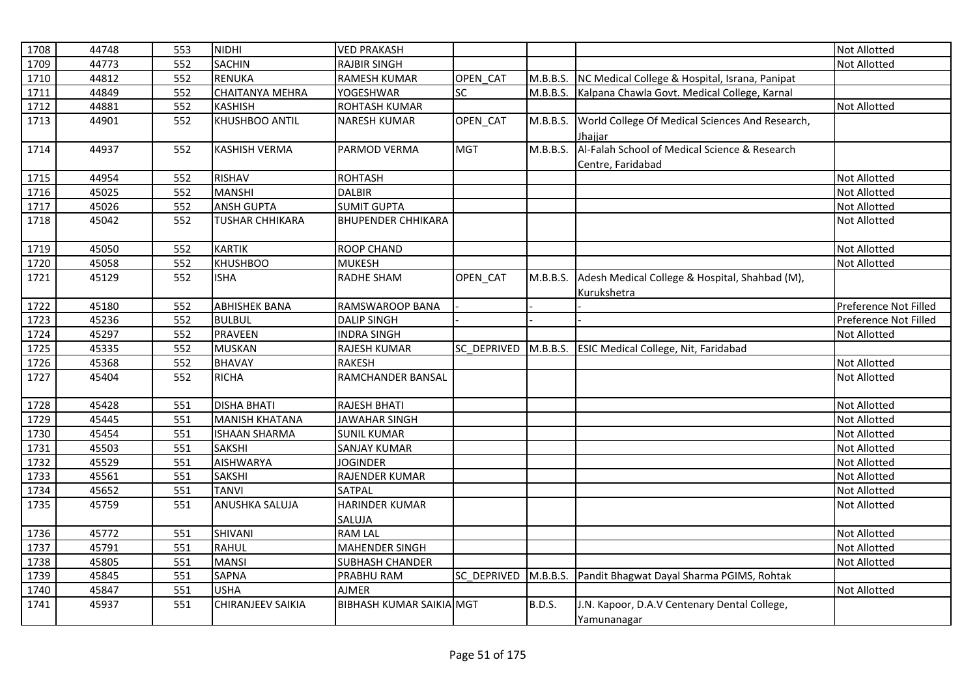| 1708 | 44748 | 553 | <b>NIDHI</b>             | <b>VED PRAKASH</b>              |                    |          |                                                 | <b>Not Allotted</b>   |
|------|-------|-----|--------------------------|---------------------------------|--------------------|----------|-------------------------------------------------|-----------------------|
| 1709 | 44773 | 552 | <b>SACHIN</b>            | <b>RAJBIR SINGH</b>             |                    |          |                                                 | Not Allotted          |
| 1710 | 44812 | 552 | <b>RENUKA</b>            | <b>RAMESH KUMAR</b>             | OPEN CAT           | M.B.B.S. | NC Medical College & Hospital, Israna, Panipat  |                       |
| 1711 | 44849 | 552 | <b>CHAITANYA MEHRA</b>   | <b>YOGESHWAR</b>                | <b>SC</b>          | M.B.B.S. | Kalpana Chawla Govt. Medical College, Karnal    |                       |
| 1712 | 44881 | 552 | <b>KASHISH</b>           | ROHTASH KUMAR                   |                    |          |                                                 | Not Allotted          |
| 1713 | 44901 | 552 | KHUSHBOO ANTIL           | <b>NARESH KUMAR</b>             | OPEN_CAT           | M.B.B.S. | World College Of Medical Sciences And Research, |                       |
|      |       |     |                          |                                 |                    |          | Jhajjar                                         |                       |
| 1714 | 44937 | 552 | <b>KASHISH VERMA</b>     | PARMOD VERMA                    | <b>MGT</b>         | M.B.B.S. | Al-Falah School of Medical Science & Research   |                       |
|      |       |     |                          |                                 |                    |          | Centre, Faridabad                               |                       |
| 1715 | 44954 | 552 | <b>RISHAV</b>            | <b>ROHTASH</b>                  |                    |          |                                                 | Not Allotted          |
| 1716 | 45025 | 552 | <b>MANSHI</b>            | <b>DALBIR</b>                   |                    |          |                                                 | Not Allotted          |
| 1717 | 45026 | 552 | <b>ANSH GUPTA</b>        | <b>SUMIT GUPTA</b>              |                    |          |                                                 | Not Allotted          |
| 1718 | 45042 | 552 | <b>TUSHAR CHHIKARA</b>   | <b>BHUPENDER CHHIKARA</b>       |                    |          |                                                 | Not Allotted          |
|      |       |     |                          |                                 |                    |          |                                                 |                       |
| 1719 | 45050 | 552 | <b>KARTIK</b>            | <b>ROOP CHAND</b>               |                    |          |                                                 | Not Allotted          |
| 1720 | 45058 | 552 | <b>KHUSHBOO</b>          | <b>MUKESH</b>                   |                    |          |                                                 | Not Allotted          |
| 1721 | 45129 | 552 | <b>ISHA</b>              | <b>RADHE SHAM</b>               | OPEN_CAT           | M.B.B.S. | Adesh Medical College & Hospital, Shahbad (M),  |                       |
|      |       |     |                          |                                 |                    |          | Kurukshetra                                     |                       |
| 1722 | 45180 | 552 | <b>ABHISHEK BANA</b>     | RAMSWAROOP BANA                 |                    |          |                                                 | Preference Not Filled |
| 1723 | 45236 | 552 | <b>BULBUL</b>            | <b>DALIP SINGH</b>              |                    |          |                                                 | Preference Not Filled |
| 1724 | 45297 | 552 | <b>PRAVEEN</b>           | <b>INDRA SINGH</b>              |                    |          |                                                 | Not Allotted          |
| 1725 | 45335 | 552 | <b>MUSKAN</b>            | <b>RAJESH KUMAR</b>             | <b>SC DEPRIVED</b> |          | M.B.B.S. ESIC Medical College, Nit, Faridabad   |                       |
| 1726 | 45368 | 552 | <b>BHAVAY</b>            | <b>RAKESH</b>                   |                    |          |                                                 | Not Allotted          |
| 1727 | 45404 | 552 | <b>RICHA</b>             | RAMCHANDER BANSAL               |                    |          |                                                 | Not Allotted          |
|      |       |     |                          |                                 |                    |          |                                                 |                       |
| 1728 | 45428 | 551 | <b>DISHA BHATI</b>       | RAJESH BHATI                    |                    |          |                                                 | Not Allotted          |
| 1729 | 45445 | 551 | <b>MANISH KHATANA</b>    | <b>JAWAHAR SINGH</b>            |                    |          |                                                 | Not Allotted          |
| 1730 | 45454 | 551 | <b>ISHAAN SHARMA</b>     | <b>SUNIL KUMAR</b>              |                    |          |                                                 | Not Allotted          |
| 1731 | 45503 | 551 | SAKSHI                   | <b>SANJAY KUMAR</b>             |                    |          |                                                 | Not Allotted          |
| 1732 | 45529 | 551 | <b>AISHWARYA</b>         | <b>JOGINDER</b>                 |                    |          |                                                 | <b>Not Allotted</b>   |
| 1733 | 45561 | 551 | <b>SAKSHI</b>            | <b>RAJENDER KUMAR</b>           |                    |          |                                                 | Not Allotted          |
| 1734 | 45652 | 551 | <b>TANVI</b>             | <b>SATPAL</b>                   |                    |          |                                                 | Not Allotted          |
| 1735 | 45759 | 551 | ANUSHKA SALUJA           | <b>HARINDER KUMAR</b>           |                    |          |                                                 | Not Allotted          |
|      |       |     |                          | SALUJA                          |                    |          |                                                 |                       |
| 1736 | 45772 | 551 | SHIVANI                  | <b>RAM LAL</b>                  |                    |          |                                                 | Not Allotted          |
| 1737 | 45791 | 551 | <b>RAHUL</b>             | <b>MAHENDER SINGH</b>           |                    |          |                                                 | Not Allotted          |
| 1738 | 45805 | 551 | <b>MANSI</b>             | <b>SUBHASH CHANDER</b>          |                    |          |                                                 | Not Allotted          |
| 1739 | 45845 | 551 | <b>SAPNA</b>             | PRABHU RAM                      | <b>SC DEPRIVED</b> | M.B.B.S. | Pandit Bhagwat Dayal Sharma PGIMS, Rohtak       |                       |
| 1740 | 45847 | 551 | <b>USHA</b>              | <b>AJMER</b>                    |                    |          |                                                 | Not Allotted          |
| 1741 | 45937 | 551 | <b>CHIRANJEEV SAIKIA</b> | <b>BIBHASH KUMAR SAIKIA MGT</b> |                    | B.D.S.   | J.N. Kapoor, D.A.V Centenary Dental College,    |                       |
|      |       |     |                          |                                 |                    |          | Yamunanagar                                     |                       |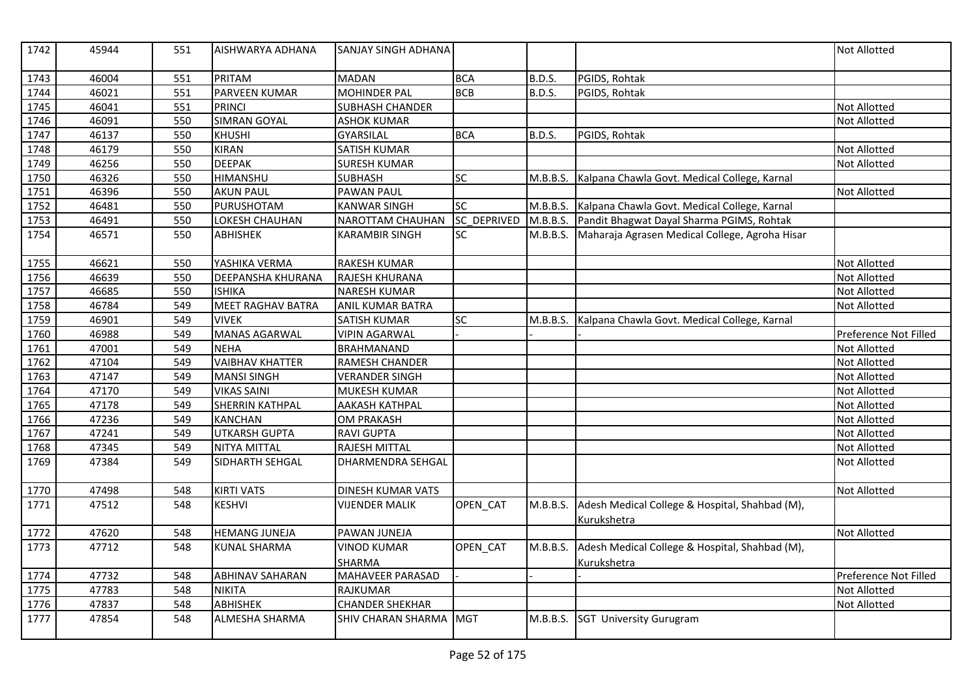| 1742 | 45944 | 551 | AISHWARYA ADHANA         | SANJAY SINGH ADHANA      |                    |               |                                                               | <b>Not Allotted</b>   |
|------|-------|-----|--------------------------|--------------------------|--------------------|---------------|---------------------------------------------------------------|-----------------------|
| 1743 | 46004 | 551 | <b>PRITAM</b>            | <b>MADAN</b>             | <b>BCA</b>         | B.D.S.        | PGIDS, Rohtak                                                 |                       |
| 1744 | 46021 | 551 | PARVEEN KUMAR            | <b>MOHINDER PAL</b>      | <b>BCB</b>         | <b>B.D.S.</b> | PGIDS, Rohtak                                                 |                       |
| 1745 | 46041 | 551 | <b>PRINCI</b>            | <b>SUBHASH CHANDER</b>   |                    |               |                                                               | <b>Not Allotted</b>   |
| 1746 | 46091 | 550 | <b>SIMRAN GOYAL</b>      | <b>ASHOK KUMAR</b>       |                    |               |                                                               | <b>Not Allotted</b>   |
| 1747 | 46137 | 550 | <b>KHUSHI</b>            | <b>GYARSILAL</b>         | <b>BCA</b>         | <b>B.D.S.</b> | PGIDS, Rohtak                                                 |                       |
| 1748 | 46179 | 550 | <b>KIRAN</b>             | <b>SATISH KUMAR</b>      |                    |               |                                                               | <b>Not Allotted</b>   |
| 1749 | 46256 | 550 | <b>DEEPAK</b>            | <b>SURESH KUMAR</b>      |                    |               |                                                               | <b>Not Allotted</b>   |
| 1750 | 46326 | 550 | <b>HIMANSHU</b>          | <b>SUBHASH</b>           | SC                 | M.B.B.S.      | Kalpana Chawla Govt. Medical College, Karnal                  |                       |
| 1751 | 46396 | 550 | <b>AKUN PAUL</b>         | <b>PAWAN PAUL</b>        |                    |               |                                                               | <b>Not Allotted</b>   |
| 1752 | 46481 | 550 | PURUSHOTAM               | <b>KANWAR SINGH</b>      | <b>SC</b>          | M.B.B.S.      | Kalpana Chawla Govt. Medical College, Karnal                  |                       |
| 1753 | 46491 | 550 | LOKESH CHAUHAN           | <b>NAROTTAM CHAUHAN</b>  | <b>SC DEPRIVED</b> | M.B.B.S.      | Pandit Bhagwat Dayal Sharma PGIMS, Rohtak                     |                       |
| 1754 | 46571 | 550 | <b>ABHISHEK</b>          | <b>KARAMBIR SINGH</b>    | <b>SC</b>          | M.B.B.S.      | Maharaja Agrasen Medical College, Agroha Hisar                |                       |
| 1755 | 46621 | 550 | YASHIKA VERMA            | <b>RAKESH KUMAR</b>      |                    |               |                                                               | <b>Not Allotted</b>   |
| 1756 | 46639 | 550 | <b>DEEPANSHA KHURANA</b> | RAJESH KHURANA           |                    |               |                                                               | <b>Not Allotted</b>   |
| 1757 | 46685 | 550 | <b>ISHIKA</b>            | <b>NARESH KUMAR</b>      |                    |               |                                                               | <b>Not Allotted</b>   |
| 1758 | 46784 | 549 | <b>MEET RAGHAV BATRA</b> | ANIL KUMAR BATRA         |                    |               |                                                               | Not Allotted          |
| 1759 | 46901 | 549 | <b>VIVEK</b>             | <b>SATISH KUMAR</b>      | $\overline{SC}$    |               | M.B.B.S. Kalpana Chawla Govt. Medical College, Karnal         |                       |
| 1760 | 46988 | 549 | <b>MANAS AGARWAL</b>     | <b>VIPIN AGARWAL</b>     |                    |               |                                                               | Preference Not Filled |
| 1761 | 47001 | 549 | <b>NEHA</b>              | <b>BRAHMANAND</b>        |                    |               |                                                               | <b>Not Allotted</b>   |
| 1762 | 47104 | 549 | <b>VAIBHAV KHATTER</b>   | RAMESH CHANDER           |                    |               |                                                               | <b>Not Allotted</b>   |
| 1763 | 47147 | 549 | <b>MANSI SINGH</b>       | <b>VERANDER SINGH</b>    |                    |               |                                                               | Not Allotted          |
| 1764 | 47170 | 549 | <b>VIKAS SAINI</b>       | <b>MUKESH KUMAR</b>      |                    |               |                                                               | <b>Not Allotted</b>   |
| 1765 | 47178 | 549 | <b>SHERRIN KATHPAL</b>   | <b>AAKASH KATHPAL</b>    |                    |               |                                                               | <b>Not Allotted</b>   |
| 1766 | 47236 | 549 | <b>KANCHAN</b>           | <b>OM PRAKASH</b>        |                    |               |                                                               | <b>Not Allotted</b>   |
| 1767 | 47241 | 549 | <b>UTKARSH GUPTA</b>     | <b>RAVI GUPTA</b>        |                    |               |                                                               | <b>Not Allotted</b>   |
| 1768 | 47345 | 549 | NITYA MITTAL             | <b>RAJESH MITTAL</b>     |                    |               |                                                               | <b>Not Allotted</b>   |
| 1769 | 47384 | 549 | SIDHARTH SEHGAL          | <b>DHARMENDRA SEHGAL</b> |                    |               |                                                               | <b>Not Allotted</b>   |
| 1770 | 47498 | 548 | <b>KIRTI VATS</b>        | <b>DINESH KUMAR VATS</b> |                    |               |                                                               | <b>Not Allotted</b>   |
| 1771 | 47512 | 548 | <b>KESHVI</b>            | VIJENDER MALIK           | OPEN CAT           | M.B.B.S.      | Adesh Medical College & Hospital, Shahbad (M),<br>Kurukshetra |                       |
| 1772 | 47620 | 548 | <b>HEMANG JUNEJA</b>     | PAWAN JUNEJA             |                    |               |                                                               | <b>Not Allotted</b>   |
| 1773 | 47712 | 548 | <b>KUNAL SHARMA</b>      | <b>VINOD KUMAR</b>       | OPEN_CAT           | M.B.B.S.      | Adesh Medical College & Hospital, Shahbad (M),                |                       |
|      |       |     |                          | <b>SHARMA</b>            |                    |               | Kurukshetra                                                   |                       |
| 1774 | 47732 | 548 | <b>ABHINAV SAHARAN</b>   | MAHAVEER PARASAD         |                    |               |                                                               | Preference Not Filled |
| 1775 | 47783 | 548 | <b>NIKITA</b>            | <b>RAJKUMAR</b>          |                    |               |                                                               | <b>Not Allotted</b>   |
| 1776 | 47837 | 548 | ABHISHEK                 | <b>CHANDER SHEKHAR</b>   |                    |               |                                                               | <b>Not Allotted</b>   |
| 1777 | 47854 | 548 | <b>ALMESHA SHARMA</b>    | SHIV CHARAN SHARMA MGT   |                    | M.B.B.S.      | <b>SGT University Gurugram</b>                                |                       |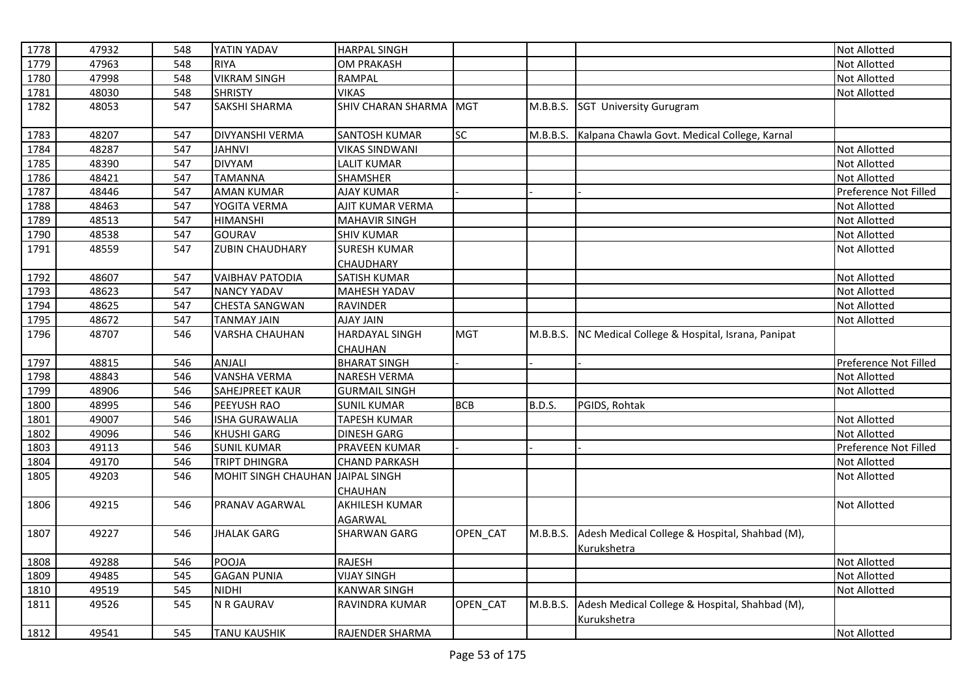| 1778 | 47932 | 548 | YATIN YADAV                      | <b>HARPAL SINGH</b>   |            |          |                                                               | Not Allotted          |
|------|-------|-----|----------------------------------|-----------------------|------------|----------|---------------------------------------------------------------|-----------------------|
| 1779 | 47963 | 548 | <b>RIYA</b>                      | <b>OM PRAKASH</b>     |            |          |                                                               | Not Allotted          |
| 1780 | 47998 | 548 | <b>VIKRAM SINGH</b>              | <b>RAMPAL</b>         |            |          |                                                               | Not Allotted          |
| 1781 | 48030 | 548 | <b>SHRISTY</b>                   | <b>VIKAS</b>          |            |          |                                                               | Not Allotted          |
| 1782 | 48053 | 547 | SAKSHI SHARMA                    | SHIV CHARAN SHARMA    | <b>MGT</b> | M.B.B.S. | SGT University Gurugram                                       |                       |
| 1783 | 48207 | 547 | <b>DIVYANSHI VERMA</b>           | <b>SANTOSH KUMAR</b>  | SC         | M.B.B.S. | Kalpana Chawla Govt. Medical College, Karnal                  |                       |
| 1784 | 48287 | 547 | <b>JAHNVI</b>                    | <b>VIKAS SINDWANI</b> |            |          |                                                               | Not Allotted          |
| 1785 | 48390 | 547 | <b>DIVYAM</b>                    | LALIT KUMAR           |            |          |                                                               | Not Allotted          |
| 1786 | 48421 | 547 | <b>TAMANNA</b>                   | <b>SHAMSHER</b>       |            |          |                                                               | Not Allotted          |
| 1787 | 48446 | 547 | <b>AMAN KUMAR</b>                | <b>AJAY KUMAR</b>     |            |          |                                                               | Preference Not Filled |
| 1788 | 48463 | 547 | YOGITA VERMA                     | AJIT KUMAR VERMA      |            |          |                                                               | Not Allotted          |
| 1789 | 48513 | 547 | <b>HIMANSHI</b>                  | <b>MAHAVIR SINGH</b>  |            |          |                                                               | Not Allotted          |
| 1790 | 48538 | 547 | GOURAV                           | <b>SHIV KUMAR</b>     |            |          |                                                               | Not Allotted          |
| 1791 | 48559 | 547 | <b>ZUBIN CHAUDHARY</b>           | <b>SURESH KUMAR</b>   |            |          |                                                               | Not Allotted          |
|      |       |     |                                  | <b>CHAUDHARY</b>      |            |          |                                                               |                       |
| 1792 | 48607 | 547 | <b>VAIBHAV PATODIA</b>           | <b>SATISH KUMAR</b>   |            |          |                                                               | Not Allotted          |
| 1793 | 48623 | 547 | <b>NANCY YADAV</b>               | MAHESH YADAV          |            |          |                                                               | Not Allotted          |
| 1794 | 48625 | 547 | <b>CHESTA SANGWAN</b>            | <b>RAVINDER</b>       |            |          |                                                               | Not Allotted          |
| 1795 | 48672 | 547 | <b>TANMAY JAIN</b>               | <b>AJAY JAIN</b>      |            |          |                                                               | Not Allotted          |
| 1796 | 48707 | 546 | <b>VARSHA CHAUHAN</b>            | <b>HARDAYAL SINGH</b> | <b>MGT</b> | M.B.B.S. | NC Medical College & Hospital, Israna, Panipat                |                       |
|      |       |     |                                  | CHAUHAN               |            |          |                                                               |                       |
| 1797 | 48815 | 546 | <b>ANJALI</b>                    | <b>BHARAT SINGH</b>   |            |          |                                                               | Preference Not Filled |
| 1798 | 48843 | 546 | <b>VANSHA VERMA</b>              | <b>NARESH VERMA</b>   |            |          |                                                               | Not Allotted          |
| 1799 | 48906 | 546 | SAHEJPREET KAUR                  | <b>GURMAIL SINGH</b>  |            |          |                                                               | Not Allotted          |
| 1800 | 48995 | 546 | PEEYUSH RAO                      | <b>SUNIL KUMAR</b>    | <b>BCB</b> | B.D.S.   | PGIDS, Rohtak                                                 |                       |
| 1801 | 49007 | 546 | <b>ISHA GURAWALIA</b>            | <b>TAPESH KUMAR</b>   |            |          |                                                               | Not Allotted          |
| 1802 | 49096 | 546 | <b>KHUSHI GARG</b>               | <b>DINESH GARG</b>    |            |          |                                                               | Not Allotted          |
| 1803 | 49113 | 546 | <b>SUNIL KUMAR</b>               | PRAVEEN KUMAR         |            |          |                                                               | Preference Not Filled |
| 1804 | 49170 | 546 | <b>TRIPT DHINGRA</b>             | <b>CHAND PARKASH</b>  |            |          |                                                               | Not Allotted          |
| 1805 | 49203 | 546 | MOHIT SINGH CHAUHAN JAIPAL SINGH |                       |            |          |                                                               | Not Allotted          |
|      |       |     |                                  | CHAUHAN               |            |          |                                                               |                       |
| 1806 | 49215 | 546 | PRANAV AGARWAL                   | AKHILESH KUMAR        |            |          |                                                               | Not Allotted          |
|      |       |     |                                  | <b>AGARWAL</b>        |            |          |                                                               |                       |
| 1807 | 49227 | 546 | <b>JHALAK GARG</b>               | <b>SHARWAN GARG</b>   | OPEN_CAT   | M.B.B.S. | Adesh Medical College & Hospital, Shahbad (M),                |                       |
|      |       |     |                                  |                       |            |          | Kurukshetra                                                   |                       |
| 1808 | 49288 | 546 | POOJA                            | <b>RAJESH</b>         |            |          |                                                               | Not Allotted          |
| 1809 | 49485 | 545 | <b>GAGAN PUNIA</b>               | <b>VIJAY SINGH</b>    |            |          |                                                               | Not Allotted          |
| 1810 | 49519 | 545 | <b>NIDHI</b>                     | <b>KANWAR SINGH</b>   |            |          |                                                               | <b>Not Allotted</b>   |
| 1811 | 49526 | 545 | N R GAURAV                       | RAVINDRA KUMAR        | OPEN_CAT   | M.B.B.S. | Adesh Medical College & Hospital, Shahbad (M),<br>Kurukshetra |                       |
| 1812 | 49541 | 545 | <b>TANU KAUSHIK</b>              | RAJENDER SHARMA       |            |          |                                                               | Not Allotted          |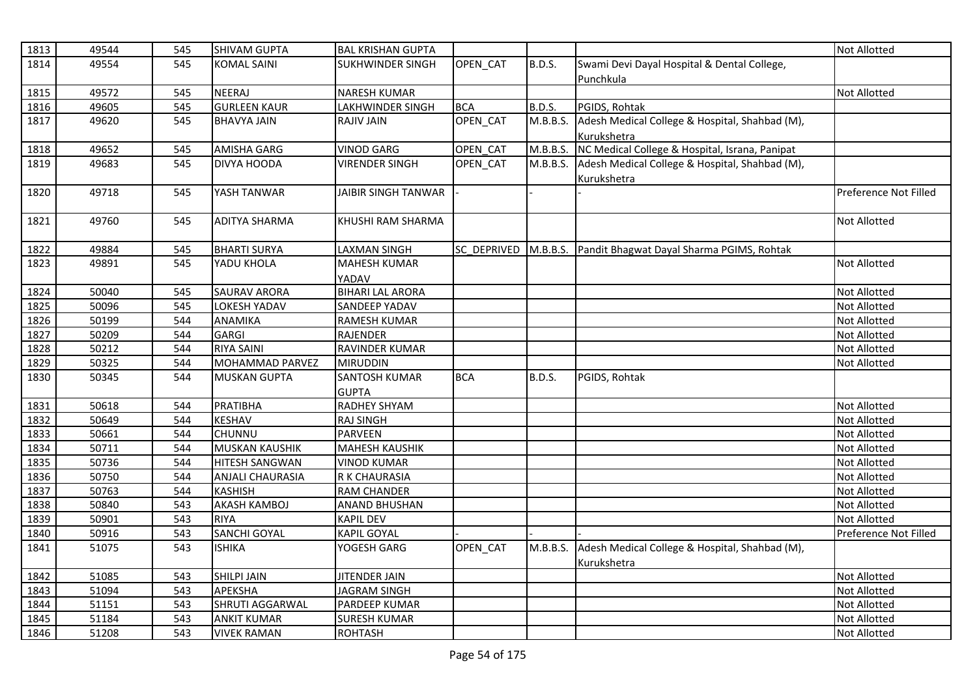| 1813 | 49544 | 545 | <b>SHIVAM GUPTA</b>   | <b>BAL KRISHAN GUPTA</b>   |             |               |                                                    | <b>Not Allotted</b>   |
|------|-------|-----|-----------------------|----------------------------|-------------|---------------|----------------------------------------------------|-----------------------|
| 1814 | 49554 | 545 | <b>KOMAL SAINI</b>    | <b>SUKHWINDER SINGH</b>    | OPEN_CAT    | <b>B.D.S.</b> | Swami Devi Dayal Hospital & Dental College,        |                       |
|      |       |     |                       |                            |             |               | Punchkula                                          |                       |
| 1815 | 49572 | 545 | <b>NEERAJ</b>         | <b>NARESH KUMAR</b>        |             |               |                                                    | Not Allotted          |
| 1816 | 49605 | 545 | <b>GURLEEN KAUR</b>   | LAKHWINDER SINGH           | <b>BCA</b>  | <b>B.D.S.</b> | PGIDS, Rohtak                                      |                       |
| 1817 | 49620 | 545 | <b>BHAVYA JAIN</b>    | <b>RAJIV JAIN</b>          | OPEN_CAT    | M.B.B.S.      | Adesh Medical College & Hospital, Shahbad (M),     |                       |
|      |       |     |                       |                            |             |               | Kurukshetra                                        |                       |
| 1818 | 49652 | 545 | <b>AMISHA GARG</b>    | <b>VINOD GARG</b>          | OPEN_CAT    | M.B.B.S.      | NC Medical College & Hospital, Israna, Panipat     |                       |
| 1819 | 49683 | 545 | <b>DIVYA HOODA</b>    | <b>VIRENDER SINGH</b>      | OPEN_CAT    | M.B.B.S.      | Adesh Medical College & Hospital, Shahbad (M),     |                       |
|      |       |     |                       |                            |             |               | <b>Kurukshetra</b>                                 |                       |
| 1820 | 49718 | 545 | YASH TANWAR           | <b>JAIBIR SINGH TANWAR</b> |             |               |                                                    | Preference Not Filled |
| 1821 | 49760 | 545 | <b>ADITYA SHARMA</b>  | KHUSHI RAM SHARMA          |             |               |                                                    | <b>Not Allotted</b>   |
| 1822 | 49884 | 545 | <b>BHARTI SURYA</b>   | <b>LAXMAN SINGH</b>        | SC DEPRIVED |               | M.B.B.S. Pandit Bhagwat Dayal Sharma PGIMS, Rohtak |                       |
| 1823 | 49891 | 545 | YADU KHOLA            | <b>MAHESH KUMAR</b>        |             |               |                                                    | <b>Not Allotted</b>   |
|      |       |     |                       | YADAV                      |             |               |                                                    |                       |
| 1824 | 50040 | 545 | <b>SAURAV ARORA</b>   | <b>BIHARI LAL ARORA</b>    |             |               |                                                    | <b>Not Allotted</b>   |
| 1825 | 50096 | 545 | <b>LOKESH YADAV</b>   | <b>SANDEEP YADAV</b>       |             |               |                                                    | <b>Not Allotted</b>   |
| 1826 | 50199 | 544 | <b>ANAMIKA</b>        | <b>RAMESH KUMAR</b>        |             |               |                                                    | <b>Not Allotted</b>   |
| 1827 | 50209 | 544 | <b>GARGI</b>          | <b>RAJENDER</b>            |             |               |                                                    | <b>Not Allotted</b>   |
| 1828 | 50212 | 544 | <b>RIYA SAINI</b>     | RAVINDER KUMAR             |             |               |                                                    | <b>Not Allotted</b>   |
| 1829 | 50325 | 544 | MOHAMMAD PARVEZ       | <b>MIRUDDIN</b>            |             |               |                                                    | <b>Not Allotted</b>   |
| 1830 | 50345 | 544 | <b>MUSKAN GUPTA</b>   | <b>SANTOSH KUMAR</b>       | <b>BCA</b>  | <b>B.D.S.</b> | PGIDS, Rohtak                                      |                       |
|      |       |     |                       | <b>GUPTA</b>               |             |               |                                                    |                       |
| 1831 | 50618 | 544 | PRATIBHA              | <b>RADHEY SHYAM</b>        |             |               |                                                    | <b>Not Allotted</b>   |
| 1832 | 50649 | 544 | <b>KESHAV</b>         | <b>RAJ SINGH</b>           |             |               |                                                    | Not Allotted          |
| 1833 | 50661 | 544 | CHUNNU                | <b>PARVEEN</b>             |             |               |                                                    | <b>Not Allotted</b>   |
| 1834 | 50711 | 544 | <b>MUSKAN KAUSHIK</b> | <b>MAHESH KAUSHIK</b>      |             |               |                                                    | <b>Not Allotted</b>   |
| 1835 | 50736 | 544 | <b>HITESH SANGWAN</b> | <b>VINOD KUMAR</b>         |             |               |                                                    | <b>Not Allotted</b>   |
| 1836 | 50750 | 544 | ANJALI CHAURASIA      | R K CHAURASIA              |             |               |                                                    | <b>Not Allotted</b>   |
| 1837 | 50763 | 544 | <b>KASHISH</b>        | <b>RAM CHANDER</b>         |             |               |                                                    | <b>Not Allotted</b>   |
| 1838 | 50840 | 543 | <b>AKASH KAMBOJ</b>   | <b>ANAND BHUSHAN</b>       |             |               |                                                    | <b>Not Allotted</b>   |
| 1839 | 50901 | 543 | <b>RIYA</b>           | <b>KAPIL DEV</b>           |             |               |                                                    | <b>Not Allotted</b>   |
| 1840 | 50916 | 543 | <b>SANCHI GOYAL</b>   | KAPIL GOYAL                |             |               |                                                    | Preference Not Filled |
| 1841 | 51075 | 543 | <b>ISHIKA</b>         | YOGESH GARG                | OPEN_CAT    | M.B.B.S.      | Adesh Medical College & Hospital, Shahbad (M),     |                       |
|      |       |     |                       |                            |             |               | Kurukshetra                                        |                       |
| 1842 | 51085 | 543 | SHILPI JAIN           | <b>JITENDER JAIN</b>       |             |               |                                                    | <b>Not Allotted</b>   |
| 1843 | 51094 | 543 | <b>APEKSHA</b>        | <b>JAGRAM SINGH</b>        |             |               |                                                    | <b>Not Allotted</b>   |
| 1844 | 51151 | 543 | SHRUTI AGGARWAL       | PARDEEP KUMAR              |             |               |                                                    | Not Allotted          |
| 1845 | 51184 | 543 | <b>ANKIT KUMAR</b>    | <b>SURESH KUMAR</b>        |             |               |                                                    | <b>Not Allotted</b>   |
| 1846 | 51208 | 543 | <b>VIVEK RAMAN</b>    | <b>ROHTASH</b>             |             |               |                                                    | <b>Not Allotted</b>   |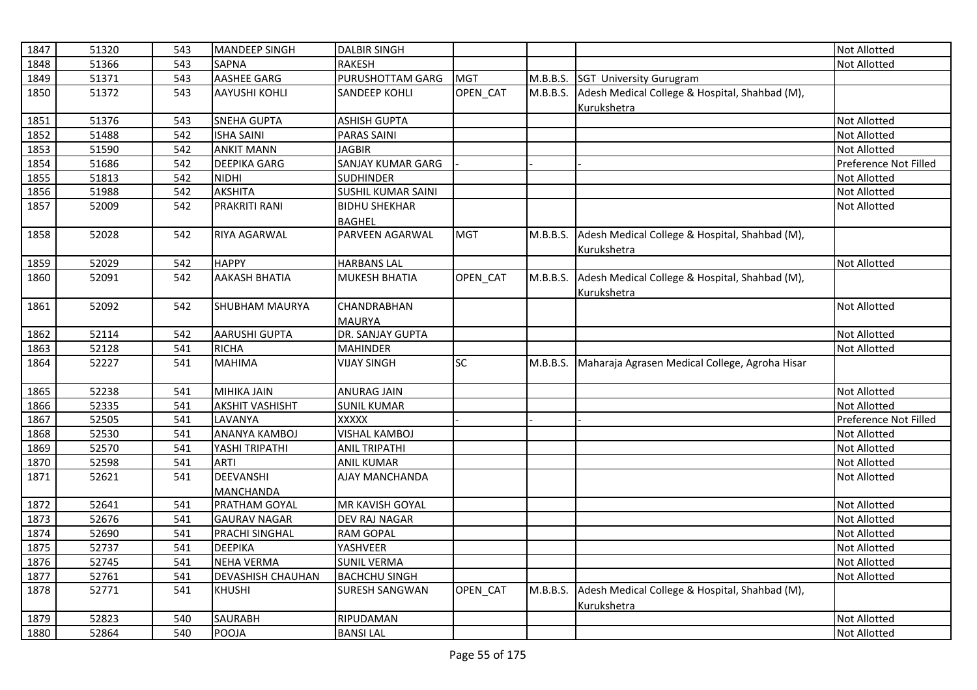| 1847 | 51320 | 543 | <b>MANDEEP SINGH</b>     | <b>DALBIR SINGH</b>       |            |          |                                                | <b>Not Allotted</b>   |
|------|-------|-----|--------------------------|---------------------------|------------|----------|------------------------------------------------|-----------------------|
| 1848 | 51366 | 543 | <b>SAPNA</b>             | <b>RAKESH</b>             |            |          |                                                | Not Allotted          |
| 1849 | 51371 | 543 | AASHEE GARG              | PURUSHOTTAM GARG          | <b>MGT</b> | M.B.B.S. | <b>SGT University Gurugram</b>                 |                       |
| 1850 | 51372 | 543 | <b>AAYUSHI KOHLI</b>     | <b>SANDEEP KOHLI</b>      | OPEN CAT   | M.B.B.S. | Adesh Medical College & Hospital, Shahbad (M), |                       |
|      |       |     |                          |                           |            |          | Kurukshetra                                    |                       |
| 1851 | 51376 | 543 | <b>SNEHA GUPTA</b>       | <b>ASHISH GUPTA</b>       |            |          |                                                | Not Allotted          |
| 1852 | 51488 | 542 | <b>ISHA SAINI</b>        | <b>PARAS SAINI</b>        |            |          |                                                | Not Allotted          |
| 1853 | 51590 | 542 | <b>ANKIT MANN</b>        | <b>JAGBIR</b>             |            |          |                                                | Not Allotted          |
| 1854 | 51686 | 542 | <b>DEEPIKA GARG</b>      | <b>SANJAY KUMAR GARG</b>  |            |          |                                                | Preference Not Filled |
| 1855 | 51813 | 542 | NIDHI                    | <b>SUDHINDER</b>          |            |          |                                                | Not Allotted          |
| 1856 | 51988 | 542 | <b>AKSHITA</b>           | <b>SUSHIL KUMAR SAINI</b> |            |          |                                                | Not Allotted          |
| 1857 | 52009 | 542 | PRAKRITI RANI            | <b>BIDHU SHEKHAR</b>      |            |          |                                                | Not Allotted          |
|      |       |     |                          | <b>BAGHEL</b>             |            |          |                                                |                       |
| 1858 | 52028 | 542 | RIYA AGARWAL             | PARVEEN AGARWAL           | <b>MGT</b> | M.B.B.S. | Adesh Medical College & Hospital, Shahbad (M), |                       |
|      |       |     |                          |                           |            |          | Kurukshetra                                    |                       |
| 1859 | 52029 | 542 | <b>HAPPY</b>             | <b>HARBANS LAL</b>        |            |          |                                                | <b>Not Allotted</b>   |
| 1860 | 52091 | 542 | <b>AAKASH BHATIA</b>     | <b>MUKESH BHATIA</b>      | OPEN_CAT   | M.B.B.S. | Adesh Medical College & Hospital, Shahbad (M), |                       |
|      |       |     |                          |                           |            |          | Kurukshetra                                    |                       |
| 1861 | 52092 | 542 | <b>SHUBHAM MAURYA</b>    | <b>CHANDRABHAN</b>        |            |          |                                                | Not Allotted          |
|      |       |     |                          | <b>MAURYA</b>             |            |          |                                                |                       |
| 1862 | 52114 | 542 | <b>AARUSHI GUPTA</b>     | DR. SANJAY GUPTA          |            |          |                                                | Not Allotted          |
| 1863 | 52128 | 541 | <b>RICHA</b>             | <b>MAHINDER</b>           |            |          |                                                | Not Allotted          |
| 1864 | 52227 | 541 | <b>MAHIMA</b>            | <b>VIJAY SINGH</b>        | SC.        | M.B.B.S. | Maharaja Agrasen Medical College, Agroha Hisar |                       |
|      |       |     |                          |                           |            |          |                                                |                       |
| 1865 | 52238 | 541 | <b>MIHIKA JAIN</b>       | <b>ANURAG JAIN</b>        |            |          |                                                | Not Allotted          |
| 1866 | 52335 | 541 | <b>AKSHIT VASHISHT</b>   | <b>SUNIL KUMAR</b>        |            |          |                                                | <b>Not Allotted</b>   |
| 1867 | 52505 | 541 | LAVANYA                  | XXXXX                     |            |          |                                                | Preference Not Filled |
| 1868 | 52530 | 541 | ANANYA KAMBOJ            | <b>VISHAL KAMBOJ</b>      |            |          |                                                | Not Allotted          |
| 1869 | 52570 | 541 | YASHI TRIPATHI           | <b>ANIL TRIPATHI</b>      |            |          |                                                | Not Allotted          |
| 1870 | 52598 | 541 | <b>ARTI</b>              | <b>ANIL KUMAR</b>         |            |          |                                                | Not Allotted          |
| 1871 | 52621 | 541 | DEEVANSHI                | AJAY MANCHANDA            |            |          |                                                | Not Allotted          |
|      |       |     | MANCHANDA                |                           |            |          |                                                |                       |
| 1872 | 52641 | 541 | PRATHAM GOYAL            | MR KAVISH GOYAL           |            |          |                                                | <b>Not Allotted</b>   |
| 1873 | 52676 | 541 | <b>GAURAV NAGAR</b>      | <b>DEV RAJ NAGAR</b>      |            |          |                                                | Not Allotted          |
| 1874 | 52690 | 541 | PRACHI SINGHAL           | <b>RAM GOPAL</b>          |            |          |                                                | Not Allotted          |
| 1875 | 52737 | 541 | <b>DEEPIKA</b>           | YASHVEER                  |            |          |                                                | Not Allotted          |
| 1876 | 52745 | 541 | <b>NEHA VERMA</b>        | <b>SUNIL VERMA</b>        |            |          |                                                | Not Allotted          |
| 1877 | 52761 | 541 | <b>DEVASHISH CHAUHAN</b> | <b>BACHCHU SINGH</b>      |            |          |                                                | Not Allotted          |
| 1878 | 52771 | 541 | <b>KHUSHI</b>            | <b>SURESH SANGWAN</b>     | OPEN_CAT   | M.B.B.S. | Adesh Medical College & Hospital, Shahbad (M), |                       |
|      |       |     |                          |                           |            |          | Kurukshetra                                    |                       |
| 1879 | 52823 | 540 | <b>SAURABH</b>           | RIPUDAMAN                 |            |          |                                                | Not Allotted          |
| 1880 | 52864 | 540 | POOJA                    | <b>BANSILAL</b>           |            |          |                                                | <b>Not Allotted</b>   |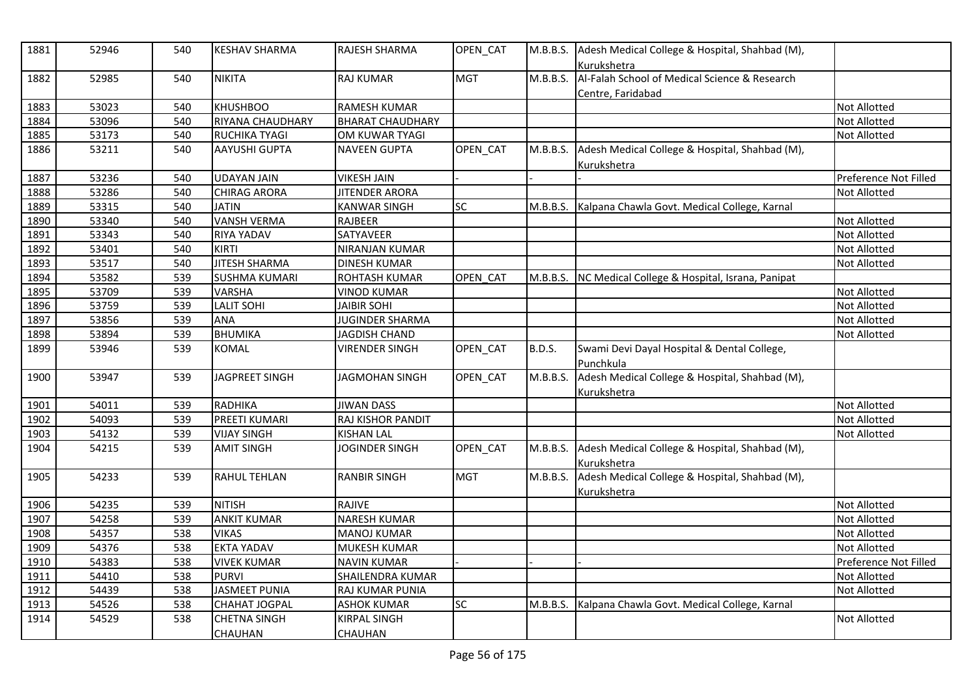| 1881 | 52946 | 540 | <b>KESHAV SHARMA</b>                  | RAJESH SHARMA                  | OPEN_CAT   |               | M.B.B.S. Adesh Medical College & Hospital, Shahbad (M),<br>Kurukshetra |                       |
|------|-------|-----|---------------------------------------|--------------------------------|------------|---------------|------------------------------------------------------------------------|-----------------------|
| 1882 | 52985 | 540 | <b>NIKITA</b>                         | <b>RAJ KUMAR</b>               | <b>MGT</b> | M.B.B.S.      | Al-Falah School of Medical Science & Research<br>Centre, Faridabad     |                       |
| 1883 | 53023 | 540 | <b>KHUSHBOO</b>                       | <b>RAMESH KUMAR</b>            |            |               |                                                                        | <b>Not Allotted</b>   |
| 1884 | 53096 | 540 | RIYANA CHAUDHARY                      | <b>BHARAT CHAUDHARY</b>        |            |               |                                                                        | Not Allotted          |
| 1885 | 53173 | 540 | <b>RUCHIKA TYAGI</b>                  | OM KUWAR TYAGI                 |            |               |                                                                        | <b>Not Allotted</b>   |
| 1886 | 53211 | 540 | <b>AAYUSHI GUPTA</b>                  | <b>NAVEEN GUPTA</b>            | OPEN_CAT   | M.B.B.S.      | Adesh Medical College & Hospital, Shahbad (M),<br>Kurukshetra          |                       |
| 1887 | 53236 | 540 | <b>UDAYAN JAIN</b>                    | <b>VIKESH JAIN</b>             |            |               |                                                                        | Preference Not Filled |
| 1888 | 53286 | 540 | <b>CHIRAG ARORA</b>                   | <b>JITENDER ARORA</b>          |            |               |                                                                        | Not Allotted          |
| 1889 | 53315 | 540 | <b>JATIN</b>                          | <b>KANWAR SINGH</b>            | SC         | M.B.B.S.      | Kalpana Chawla Govt. Medical College, Karnal                           |                       |
| 1890 | 53340 | 540 | <b>VANSH VERMA</b>                    | RAJBEER                        |            |               |                                                                        | Not Allotted          |
| 1891 | 53343 | 540 | <b>RIYA YADAV</b>                     | SATYAVEER                      |            |               |                                                                        | Not Allotted          |
| 1892 | 53401 | 540 | <b>KIRTI</b>                          | NIRANJAN KUMAR                 |            |               |                                                                        | Not Allotted          |
| 1893 | 53517 | 540 | <b>JITESH SHARMA</b>                  | <b>DINESH KUMAR</b>            |            |               |                                                                        | <b>Not Allotted</b>   |
| 1894 | 53582 | 539 | <b>SUSHMA KUMARI</b>                  | ROHTASH KUMAR                  | OPEN CAT   | M.B.B.S.      | NC Medical College & Hospital, Israna, Panipat                         |                       |
| 1895 | 53709 | 539 | <b>VARSHA</b>                         | <b>VINOD KUMAR</b>             |            |               |                                                                        | <b>Not Allotted</b>   |
| 1896 | 53759 | 539 | <b>LALIT SOHI</b>                     | <b>JAIBIR SOHI</b>             |            |               |                                                                        | Not Allotted          |
| 1897 | 53856 | 539 | ANA                                   | <b>JUGINDER SHARMA</b>         |            |               |                                                                        | <b>Not Allotted</b>   |
| 1898 | 53894 | 539 | <b>BHUMIKA</b>                        | <b>JAGDISH CHAND</b>           |            |               |                                                                        | Not Allotted          |
| 1899 | 53946 | 539 | <b>KOMAL</b>                          | <b>VIRENDER SINGH</b>          | OPEN_CAT   | <b>B.D.S.</b> | Swami Devi Dayal Hospital & Dental College,<br>Punchkula               |                       |
| 1900 | 53947 | 539 | <b>JAGPREET SINGH</b>                 | <b>JAGMOHAN SINGH</b>          | OPEN_CAT   | M.B.B.S.      | Adesh Medical College & Hospital, Shahbad (M),<br>Kurukshetra          |                       |
| 1901 | 54011 | 539 | RADHIKA                               | <b>JIWAN DASS</b>              |            |               |                                                                        | <b>Not Allotted</b>   |
| 1902 | 54093 | 539 | PREETI KUMARI                         | RAJ KISHOR PANDIT              |            |               |                                                                        | <b>Not Allotted</b>   |
| 1903 | 54132 | 539 | <b>VIJAY SINGH</b>                    | <b>KISHAN LAL</b>              |            |               |                                                                        | Not Allotted          |
| 1904 | 54215 | 539 | <b>AMIT SINGH</b>                     | <b>JOGINDER SINGH</b>          | OPEN_CAT   | M.B.B.S.      | Adesh Medical College & Hospital, Shahbad (M),<br>Kurukshetra          |                       |
| 1905 | 54233 | 539 | <b>RAHUL TEHLAN</b>                   | <b>RANBIR SINGH</b>            | <b>MGT</b> | M.B.B.S.      | Adesh Medical College & Hospital, Shahbad (M),<br>Kurukshetra          |                       |
| 1906 | 54235 | 539 | <b>NITISH</b>                         | RAJIVE                         |            |               |                                                                        | Not Allotted          |
| 1907 | 54258 | 539 | <b>ANKIT KUMAR</b>                    | <b>NARESH KUMAR</b>            |            |               |                                                                        | <b>Not Allotted</b>   |
| 1908 | 54357 | 538 | <b>VIKAS</b>                          | <b>MANOJ KUMAR</b>             |            |               |                                                                        | Not Allotted          |
| 1909 | 54376 | 538 | <b>EKTA YADAV</b>                     | MUKESH KUMAR                   |            |               |                                                                        | Not Allotted          |
| 1910 | 54383 | 538 | <b>VIVEK KUMAR</b>                    | <b>NAVIN KUMAR</b>             |            |               |                                                                        | Preference Not Filled |
| 1911 | 54410 | 538 | <b>PURVI</b>                          | SHAILENDRA KUMAR               |            |               |                                                                        | <b>Not Allotted</b>   |
| 1912 | 54439 | 538 | <b>JASMEET PUNIA</b>                  | RAJ KUMAR PUNIA                |            |               |                                                                        | <b>Not Allotted</b>   |
| 1913 | 54526 | 538 | <b>CHAHAT JOGPAL</b>                  | <b>ASHOK KUMAR</b>             | SC         | M.B.B.S.      | Kalpana Chawla Govt. Medical College, Karnal                           |                       |
| 1914 | 54529 | 538 | <b>CHETNA SINGH</b><br><b>CHAUHAN</b> | KIRPAL SINGH<br><b>CHAUHAN</b> |            |               |                                                                        | Not Allotted          |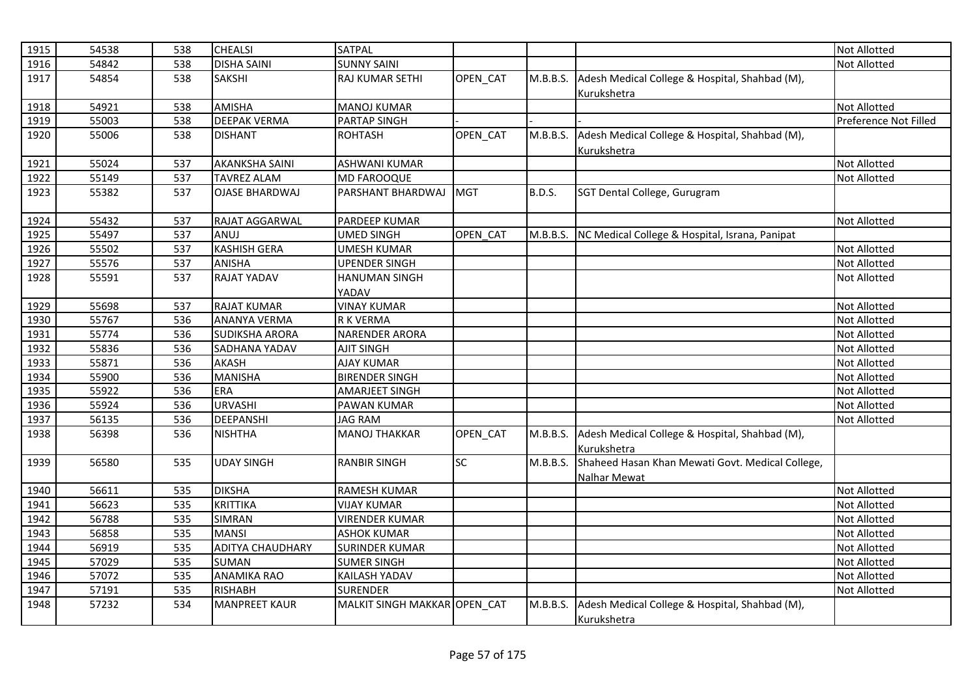| 1915 | 54538 | 538 | <b>CHEALSI</b>          | <b>SATPAL</b>                |            |               |                                                  | <b>Not Allotted</b>   |
|------|-------|-----|-------------------------|------------------------------|------------|---------------|--------------------------------------------------|-----------------------|
| 1916 | 54842 | 538 | <b>DISHA SAINI</b>      | <b>SUNNY SAINI</b>           |            |               |                                                  | Not Allotted          |
| 1917 | 54854 | 538 | <b>SAKSHI</b>           | RAJ KUMAR SETHI              | OPEN_CAT   | M.B.B.S.      | Adesh Medical College & Hospital, Shahbad (M),   |                       |
|      |       |     |                         |                              |            |               | Kurukshetra                                      |                       |
| 1918 | 54921 | 538 | <b>AMISHA</b>           | <b>MANOJ KUMAR</b>           |            |               |                                                  | Not Allotted          |
| 1919 | 55003 | 538 | <b>DEEPAK VERMA</b>     | <b>PARTAP SINGH</b>          |            |               |                                                  | Preference Not Filled |
| 1920 | 55006 | 538 | <b>DISHANT</b>          | <b>ROHTASH</b>               | OPEN_CAT   | M.B.B.S.      | Adesh Medical College & Hospital, Shahbad (M),   |                       |
|      |       |     |                         |                              |            |               | Kurukshetra                                      |                       |
| 1921 | 55024 | 537 | <b>AKANKSHA SAINI</b>   | <b>ASHWANI KUMAR</b>         |            |               |                                                  | <b>Not Allotted</b>   |
| 1922 | 55149 | 537 | <b>TAVREZ ALAM</b>      | <b>MD FAROOQUE</b>           |            |               |                                                  | Not Allotted          |
| 1923 | 55382 | 537 | <b>OJASE BHARDWAJ</b>   | PARSHANT BHARDWAJ            | <b>MGT</b> | <b>B.D.S.</b> | SGT Dental College, Gurugram                     |                       |
|      |       |     |                         |                              |            |               |                                                  |                       |
| 1924 | 55432 | 537 | <b>RAJAT AGGARWAL</b>   | PARDEEP KUMAR                |            |               |                                                  | Not Allotted          |
| 1925 | 55497 | 537 | ANUJ                    | <b>UMED SINGH</b>            | OPEN CAT   | M.B.B.S.      | NC Medical College & Hospital, Israna, Panipat   |                       |
| 1926 | 55502 | 537 | <b>KASHISH GERA</b>     | UMESH KUMAR                  |            |               |                                                  | Not Allotted          |
| 1927 | 55576 | 537 | <b>ANISHA</b>           | UPENDER SINGH                |            |               |                                                  | Not Allotted          |
| 1928 | 55591 | 537 | <b>RAJAT YADAV</b>      | HANUMAN SINGH                |            |               |                                                  | Not Allotted          |
|      |       |     |                         | YADAV                        |            |               |                                                  |                       |
| 1929 | 55698 | 537 | <b>RAJAT KUMAR</b>      | <b>VINAY KUMAR</b>           |            |               |                                                  | Not Allotted          |
| 1930 | 55767 | 536 | <b>ANANYA VERMA</b>     | R K VERMA                    |            |               |                                                  | Not Allotted          |
| 1931 | 55774 | 536 | <b>SUDIKSHA ARORA</b>   | <b>NARENDER ARORA</b>        |            |               |                                                  | Not Allotted          |
| 1932 | 55836 | 536 | <b>SADHANA YADAV</b>    | <b>AJIT SINGH</b>            |            |               |                                                  | Not Allotted          |
| 1933 | 55871 | 536 | <b>AKASH</b>            | <b>AJAY KUMAR</b>            |            |               |                                                  | Not Allotted          |
| 1934 | 55900 | 536 | <b>MANISHA</b>          | <b>BIRENDER SINGH</b>        |            |               |                                                  | Not Allotted          |
| 1935 | 55922 | 536 | <b>ERA</b>              | <b>AMARJEET SINGH</b>        |            |               |                                                  | <b>Not Allotted</b>   |
| 1936 | 55924 | 536 | <b>URVASHI</b>          | PAWAN KUMAR                  |            |               |                                                  | Not Allotted          |
| 1937 | 56135 | 536 | <b>DEEPANSHI</b>        | <b>JAG RAM</b>               |            |               |                                                  | Not Allotted          |
| 1938 | 56398 | 536 | <b>NISHTHA</b>          | <b>MANOJ THAKKAR</b>         | OPEN_CAT   | M.B.B.S.      | Adesh Medical College & Hospital, Shahbad (M),   |                       |
|      |       |     |                         |                              |            |               | Kurukshetra                                      |                       |
| 1939 | 56580 | 535 | <b>UDAY SINGH</b>       | <b>RANBIR SINGH</b>          | <b>SC</b>  | M.B.B.S.      | Shaheed Hasan Khan Mewati Govt. Medical College, |                       |
|      |       |     |                         |                              |            |               | Nalhar Mewat                                     |                       |
| 1940 | 56611 | 535 | <b>DIKSHA</b>           | <b>RAMESH KUMAR</b>          |            |               |                                                  | Not Allotted          |
| 1941 | 56623 | 535 | <b>KRITTIKA</b>         | <b>VIJAY KUMAR</b>           |            |               |                                                  | Not Allotted          |
| 1942 | 56788 | 535 | <b>SIMRAN</b>           | <b>VIRENDER KUMAR</b>        |            |               |                                                  | Not Allotted          |
| 1943 | 56858 | 535 | <b>MANSI</b>            | <b>ASHOK KUMAR</b>           |            |               |                                                  | Not Allotted          |
| 1944 | 56919 | 535 | <b>ADITYA CHAUDHARY</b> | <b>SURINDER KUMAR</b>        |            |               |                                                  | Not Allotted          |
| 1945 | 57029 | 535 | <b>SUMAN</b>            | <b>SUMER SINGH</b>           |            |               |                                                  | Not Allotted          |
| 1946 | 57072 | 535 | <b>ANAMIKA RAO</b>      | KAILASH YADAV                |            |               |                                                  | Not Allotted          |
| 1947 | 57191 | 535 | <b>RISHABH</b>          | <b>SURENDER</b>              |            |               |                                                  | Not Allotted          |
| 1948 | 57232 | 534 | <b>MANPREET KAUR</b>    | MALKIT SINGH MAKKAR OPEN CAT |            | M.B.B.S.      | Adesh Medical College & Hospital, Shahbad (M),   |                       |
|      |       |     |                         |                              |            |               | Kurukshetra                                      |                       |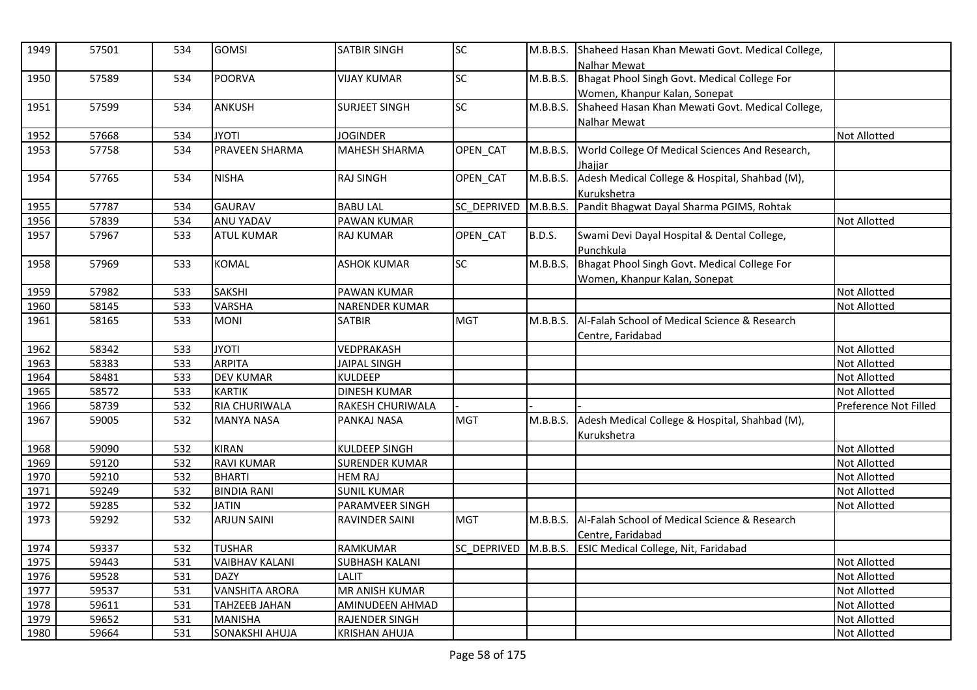| 1949 | 57501 | 534 | <b>GOMSI</b>          | <b>SATBIR SINGH</b>   | <b>SC</b>   | M.B.B.S.      | Shaheed Hasan Khan Mewati Govt. Medical College,<br>Nalhar Mewat |                       |
|------|-------|-----|-----------------------|-----------------------|-------------|---------------|------------------------------------------------------------------|-----------------------|
| 1950 | 57589 | 534 | POORVA                | <b>VIJAY KUMAR</b>    | <b>SC</b>   | M.B.B.S.      | Bhagat Phool Singh Govt. Medical College For                     |                       |
|      |       |     |                       |                       |             |               | Women, Khanpur Kalan, Sonepat                                    |                       |
| 1951 | 57599 | 534 | ANKUSH                | <b>SURJEET SINGH</b>  | <b>SC</b>   | M.B.B.S.      | Shaheed Hasan Khan Mewati Govt. Medical College,                 |                       |
|      |       |     |                       |                       |             |               | Nalhar Mewat                                                     |                       |
| 1952 | 57668 | 534 | <b>ITOYL</b>          | <b>JOGINDER</b>       |             |               |                                                                  | <b>Not Allotted</b>   |
| 1953 | 57758 | 534 | <b>PRAVEEN SHARMA</b> | <b>MAHESH SHARMA</b>  | OPEN CAT    | M.B.B.S.      | World College Of Medical Sciences And Research,                  |                       |
|      |       |     |                       |                       |             |               | Jhaiiar                                                          |                       |
| 1954 | 57765 | 534 | <b>NISHA</b>          | <b>RAJ SINGH</b>      | OPEN_CAT    | M.B.B.S.      | Adesh Medical College & Hospital, Shahbad (M),                   |                       |
|      |       |     |                       |                       |             |               | Kurukshetra                                                      |                       |
| 1955 | 57787 | 534 | <b>GAURAV</b>         | <b>BABU LAL</b>       | SC DEPRIVED | M.B.B.S.      | Pandit Bhagwat Dayal Sharma PGIMS, Rohtak                        |                       |
| 1956 | 57839 | 534 | <b>ANU YADAV</b>      | <b>PAWAN KUMAR</b>    |             |               |                                                                  | Not Allotted          |
| 1957 | 57967 | 533 | <b>ATUL KUMAR</b>     | <b>RAJ KUMAR</b>      | OPEN_CAT    | <b>B.D.S.</b> | Swami Devi Dayal Hospital & Dental College,                      |                       |
|      |       |     |                       |                       |             |               | Punchkula                                                        |                       |
| 1958 | 57969 | 533 | <b>KOMAL</b>          | <b>ASHOK KUMAR</b>    | <b>SC</b>   | M.B.B.S.      | Bhagat Phool Singh Govt. Medical College For                     |                       |
|      |       |     |                       |                       |             |               | Women, Khanpur Kalan, Sonepat                                    |                       |
| 1959 | 57982 | 533 | <b>SAKSHI</b>         | PAWAN KUMAR           |             |               |                                                                  | Not Allotted          |
| 1960 | 58145 | 533 | <b>VARSHA</b>         | NARENDER KUMAR        |             |               |                                                                  | Not Allotted          |
| 1961 | 58165 | 533 | <b>MONI</b>           | <b>SATBIR</b>         | <b>MGT</b>  | M.B.B.S.      | Al-Falah School of Medical Science & Research                    |                       |
|      |       |     |                       |                       |             |               | Centre, Faridabad                                                |                       |
| 1962 | 58342 | 533 | <b>ITOYL</b>          | VEDPRAKASH            |             |               |                                                                  | <b>Not Allotted</b>   |
| 1963 | 58383 | 533 | <b>ARPITA</b>         | JAIPAL SINGH          |             |               |                                                                  | Not Allotted          |
| 1964 | 58481 | 533 | <b>DEV KUMAR</b>      | <b>KULDEEP</b>        |             |               |                                                                  | Not Allotted          |
| 1965 | 58572 | 533 | <b>KARTIK</b>         | <b>DINESH KUMAR</b>   |             |               |                                                                  | <b>Not Allotted</b>   |
| 1966 | 58739 | 532 | <b>RIA CHURIWALA</b>  | RAKESH CHURIWALA      |             |               |                                                                  | Preference Not Filled |
| 1967 | 59005 | 532 | <b>MANYA NASA</b>     | PANKAJ NASA           | <b>MGT</b>  | M.B.B.S.      | Adesh Medical College & Hospital, Shahbad (M),                   |                       |
|      |       |     |                       |                       |             |               | Kurukshetra                                                      |                       |
| 1968 | 59090 | 532 | <b>KIRAN</b>          | <b>KULDEEP SINGH</b>  |             |               |                                                                  | <b>Not Allotted</b>   |
| 1969 | 59120 | 532 | <b>RAVI KUMAR</b>     | <b>SURENDER KUMAR</b> |             |               |                                                                  | <b>Not Allotted</b>   |
| 1970 | 59210 | 532 | <b>BHARTI</b>         | <b>HEM RAJ</b>        |             |               |                                                                  | Not Allotted          |
| 1971 | 59249 | 532 | <b>BINDIA RANI</b>    | <b>SUNIL KUMAR</b>    |             |               |                                                                  | Not Allotted          |
| 1972 | 59285 | 532 | <b>JATIN</b>          | PARAMVEER SINGH       |             |               |                                                                  | Not Allotted          |
| 1973 | 59292 | 532 | <b>ARJUN SAINI</b>    | RAVINDER SAINI        | <b>MGT</b>  | M.B.B.S.      | Al-Falah School of Medical Science & Research                    |                       |
|      |       |     |                       |                       |             |               | Centre, Faridabad                                                |                       |
| 1974 | 59337 | 532 | <b>TUSHAR</b>         | <b>RAMKUMAR</b>       | SC DEPRIVED | M.B.B.S.      | <b>ESIC Medical College, Nit, Faridabad</b>                      |                       |
| 1975 | 59443 | 531 | <b>VAIBHAV KALANI</b> | <b>SUBHASH KALANI</b> |             |               |                                                                  | <b>Not Allotted</b>   |
| 1976 | 59528 | 531 | <b>DAZY</b>           | LALIT                 |             |               |                                                                  | Not Allotted          |
| 1977 | 59537 | 531 | <b>VANSHITA ARORA</b> | <b>MR ANISH KUMAR</b> |             |               |                                                                  | <b>Not Allotted</b>   |
| 1978 | 59611 | 531 | <b>TAHZEEB JAHAN</b>  | AMINUDEEN AHMAD       |             |               |                                                                  | Not Allotted          |
| 1979 | 59652 | 531 | <b>MANISHA</b>        | <b>RAJENDER SINGH</b> |             |               |                                                                  | <b>Not Allotted</b>   |
| 1980 | 59664 | 531 | SONAKSHI AHUJA        | <b>KRISHAN AHUJA</b>  |             |               |                                                                  | <b>Not Allotted</b>   |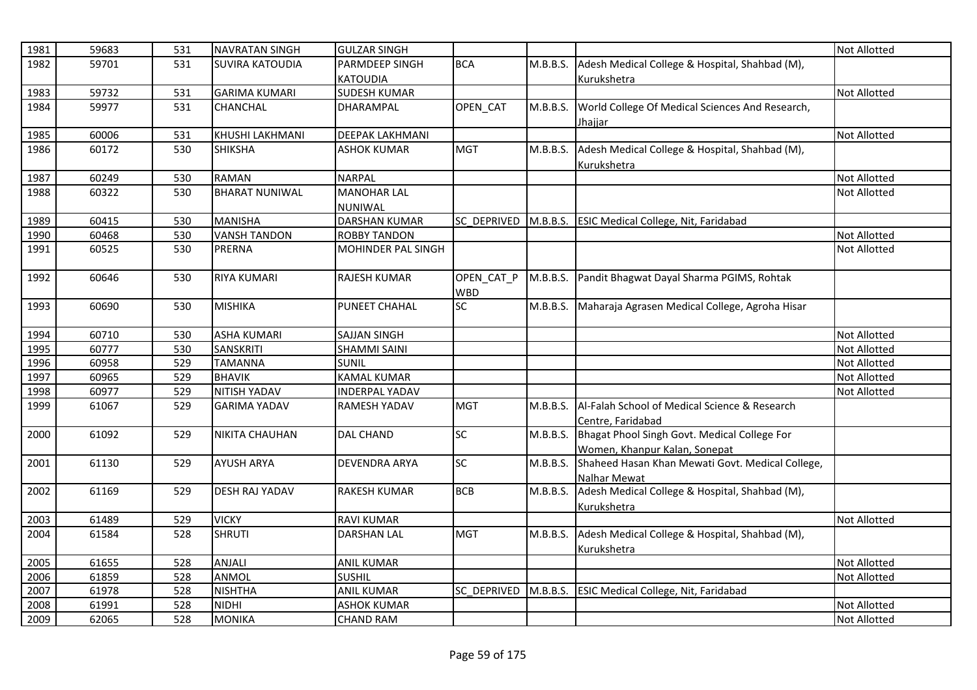| 1981 | 59683 | 531 | <b>NAVRATAN SINGH</b>  | <b>GULZAR SINGH</b>    |             |          |                                                       | Not Allotted        |
|------|-------|-----|------------------------|------------------------|-------------|----------|-------------------------------------------------------|---------------------|
| 1982 | 59701 | 531 | <b>SUVIRA KATOUDIA</b> | PARMDEEP SINGH         | <b>BCA</b>  | M.B.B.S. | Adesh Medical College & Hospital, Shahbad (M),        |                     |
|      |       |     |                        | <b>KATOUDIA</b>        |             |          | Kurukshetra                                           |                     |
| 1983 | 59732 | 531 | <b>GARIMA KUMARI</b>   | <b>SUDESH KUMAR</b>    |             |          |                                                       | <b>Not Allotted</b> |
| 1984 | 59977 | 531 | <b>CHANCHAL</b>        | DHARAMPAL              | OPEN CAT    | M.B.B.S. | World College Of Medical Sciences And Research,       |                     |
|      |       |     |                        |                        |             |          | <u>Jhajjar</u>                                        |                     |
| 1985 | 60006 | 531 | KHUSHI LAKHMANI        | <b>DEEPAK LAKHMANI</b> |             |          |                                                       | <b>Not Allotted</b> |
| 1986 | 60172 | 530 | <b>SHIKSHA</b>         | <b>ASHOK KUMAR</b>     | <b>MGT</b>  | M.B.B.S. | Adesh Medical College & Hospital, Shahbad (M),        |                     |
|      |       |     |                        |                        |             |          | Kurukshetra                                           |                     |
| 1987 | 60249 | 530 | <b>RAMAN</b>           | <b>NARPAL</b>          |             |          |                                                       | Not Allotted        |
| 1988 | 60322 | 530 | <b>BHARAT NUNIWAL</b>  | <b>MANOHAR LAL</b>     |             |          |                                                       | Not Allotted        |
|      |       |     |                        | NUNIWAL                |             |          |                                                       |                     |
| 1989 | 60415 | 530 | <b>MANISHA</b>         | <b>DARSHAN KUMAR</b>   | SC DEPRIVED |          | M.B.B.S. ESIC Medical College, Nit, Faridabad         |                     |
| 1990 | 60468 | 530 | <b>VANSH TANDON</b>    | <b>ROBBY TANDON</b>    |             |          |                                                       | Not Allotted        |
| 1991 | 60525 | 530 | <b>PRERNA</b>          | MOHINDER PAL SINGH     |             |          |                                                       | <b>Not Allotted</b> |
|      |       |     |                        |                        |             |          |                                                       |                     |
| 1992 | 60646 | 530 | <b>RIYA KUMARI</b>     | <b>RAJESH KUMAR</b>    | OPEN CAT P  |          | M.B.B.S. Pandit Bhagwat Dayal Sharma PGIMS, Rohtak    |                     |
|      |       |     |                        |                        | <b>WBD</b>  |          |                                                       |                     |
| 1993 | 60690 | 530 | <b>MISHIKA</b>         | PUNEET CHAHAL          | <b>SC</b>   | M.B.B.S. | Maharaja Agrasen Medical College, Agroha Hisar        |                     |
|      |       |     |                        |                        |             |          |                                                       |                     |
| 1994 | 60710 | 530 | <b>ASHA KUMARI</b>     | <b>SAJJAN SINGH</b>    |             |          |                                                       | <b>Not Allotted</b> |
| 1995 | 60777 | 530 | SANSKRITI              | <b>SHAMMI SAINI</b>    |             |          |                                                       | <b>Not Allotted</b> |
| 1996 | 60958 | 529 | <b>TAMANNA</b>         | <b>SUNIL</b>           |             |          |                                                       | <b>Not Allotted</b> |
| 1997 | 60965 | 529 | <b>BHAVIK</b>          | <b>KAMAL KUMAR</b>     |             |          |                                                       | <b>Not Allotted</b> |
| 1998 | 60977 | 529 | <b>NITISH YADAV</b>    | <b>INDERPAL YADAV</b>  |             |          |                                                       | <b>Not Allotted</b> |
| 1999 | 61067 | 529 | <b>GARIMA YADAV</b>    | RAMESH YADAV           | <b>MGT</b>  | M.B.B.S. | Al-Falah School of Medical Science & Research         |                     |
|      |       |     |                        |                        |             |          | Centre, Faridabad                                     |                     |
| 2000 | 61092 | 529 | <b>NIKITA CHAUHAN</b>  | <b>DAL CHAND</b>       | SC          |          | M.B.B.S. Bhagat Phool Singh Govt. Medical College For |                     |
|      |       |     |                        |                        |             |          | Women, Khanpur Kalan, Sonepat                         |                     |
| 2001 | 61130 | 529 | <b>AYUSH ARYA</b>      | <b>DEVENDRA ARYA</b>   | SC          | M.B.B.S. | Shaheed Hasan Khan Mewati Govt. Medical College,      |                     |
|      |       |     |                        |                        |             |          | Nalhar Mewat                                          |                     |
| 2002 | 61169 | 529 | <b>DESH RAJ YADAV</b>  | <b>RAKESH KUMAR</b>    | <b>BCB</b>  | M.B.B.S. | Adesh Medical College & Hospital, Shahbad (M),        |                     |
|      |       |     |                        |                        |             |          | Kurukshetra                                           |                     |
| 2003 | 61489 | 529 | <b>VICKY</b>           | <b>RAVI KUMAR</b>      |             |          |                                                       | Not Allotted        |
| 2004 | 61584 | 528 | <b>SHRUTI</b>          | <b>DARSHAN LAL</b>     | <b>MGT</b>  | M.B.B.S. | Adesh Medical College & Hospital, Shahbad (M),        |                     |
|      |       |     |                        |                        |             |          | Kurukshetra                                           |                     |
| 2005 | 61655 | 528 | ANJALI                 | <b>ANIL KUMAR</b>      |             |          |                                                       | <b>Not Allotted</b> |
| 2006 | 61859 | 528 | <b>ANMOL</b>           | <b>SUSHIL</b>          |             |          |                                                       | <b>Not Allotted</b> |
| 2007 | 61978 | 528 | <b>NISHTHA</b>         | <b>ANIL KUMAR</b>      | SC DEPRIVED |          | M.B.B.S. ESIC Medical College, Nit, Faridabad         |                     |
| 2008 | 61991 | 528 | <b>NIDHI</b>           | <b>ASHOK KUMAR</b>     |             |          |                                                       | <b>Not Allotted</b> |
| 2009 | 62065 | 528 | <b>MONIKA</b>          | <b>CHAND RAM</b>       |             |          |                                                       | <b>Not Allotted</b> |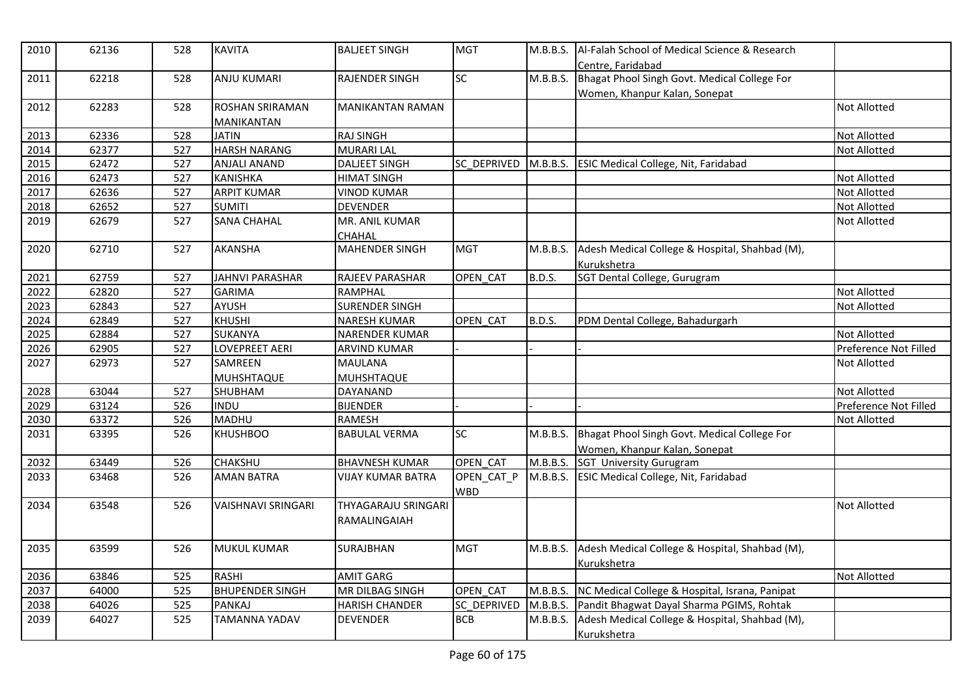| 2010 | 62136 | 528 | <b>KAVITA</b>              | <b>BALJEET SINGH</b>                       | <b>MGT</b>               |               | M.B.B.S.   Al-Falah School of Medical Science & Research<br>Centre, Faridabad |                       |
|------|-------|-----|----------------------------|--------------------------------------------|--------------------------|---------------|-------------------------------------------------------------------------------|-----------------------|
| 2011 | 62218 | 528 | <b>ANJU KUMARI</b>         | <b>RAJENDER SINGH</b>                      | SC                       | M.B.B.S.      | Bhagat Phool Singh Govt. Medical College For                                  |                       |
| 2012 | 62283 | 528 | <b>ROSHAN SRIRAMAN</b>     | <b>MANIKANTAN RAMAN</b>                    |                          |               | Women, Khanpur Kalan, Sonepat                                                 | Not Allotted          |
| 2013 | 62336 | 528 | MANIKANTAN<br><b>JATIN</b> | <b>RAJ SINGH</b>                           |                          |               |                                                                               | Not Allotted          |
| 2014 | 62377 | 527 | <b>HARSH NARANG</b>        | <b>MURARI LAL</b>                          |                          |               |                                                                               | Not Allotted          |
| 2015 | 62472 | 527 | <b>ANJALI ANAND</b>        | <b>DALJEET SINGH</b>                       | <b>SC DEPRIVED</b>       |               | M.B.B.S. ESIC Medical College, Nit, Faridabad                                 |                       |
| 2016 | 62473 | 527 | <b>KANISHKA</b>            | <b>HIMAT SINGH</b>                         |                          |               |                                                                               | Not Allotted          |
| 2017 | 62636 | 527 | <b>ARPIT KUMAR</b>         | <b>VINOD KUMAR</b>                         |                          |               |                                                                               | Not Allotted          |
| 2018 | 62652 | 527 | <b>SUMITI</b>              | <b>DEVENDER</b>                            |                          |               |                                                                               | Not Allotted          |
| 2019 | 62679 | 527 | <b>SANA CHAHAL</b>         | MR. ANIL KUMAR                             |                          |               |                                                                               | Not Allotted          |
|      |       |     |                            | CHAHAL                                     |                          |               |                                                                               |                       |
| 2020 | 62710 | 527 | <b>AKANSHA</b>             | <b>MAHENDER SINGH</b>                      | <b>MGT</b>               | M.B.B.S.      | Adesh Medical College & Hospital, Shahbad (M),                                |                       |
|      |       |     |                            |                                            |                          |               | Kurukshetra                                                                   |                       |
| 2021 | 62759 | 527 | <b>JAHNVI PARASHAR</b>     | RAJEEV PARASHAR                            | OPEN CAT                 | <b>B.D.S.</b> | SGT Dental College, Gurugram                                                  |                       |
| 2022 | 62820 | 527 | <b>GARIMA</b>              | <b>RAMPHAL</b>                             |                          |               |                                                                               | Not Allotted          |
| 2023 | 62843 | 527 | AYUSH                      | <b>SURENDER SINGH</b>                      |                          |               |                                                                               | Not Allotted          |
| 2024 | 62849 | 527 | <b>KHUSHI</b>              | <b>NARESH KUMAR</b>                        | OPEN CAT                 | <b>B.D.S.</b> | PDM Dental College, Bahadurgarh                                               |                       |
| 2025 | 62884 | 527 | <b>SUKANYA</b>             | <b>NARENDER KUMAR</b>                      |                          |               |                                                                               | Not Allotted          |
| 2026 | 62905 | 527 | LOVEPREET AERI             | <b>ARVIND KUMAR</b>                        |                          |               |                                                                               | Preference Not Filled |
| 2027 | 62973 | 527 | SAMREEN                    | MAULANA                                    |                          |               |                                                                               | Not Allotted          |
|      |       |     | MUHSHTAQUE                 | <b>MUHSHTAQUE</b>                          |                          |               |                                                                               |                       |
| 2028 | 63044 | 527 | SHUBHAM                    | <b>DAYANAND</b>                            |                          |               |                                                                               | Not Allotted          |
| 2029 | 63124 | 526 | <b>INDU</b>                | <b>BIJENDER</b>                            |                          |               |                                                                               | Preference Not Filled |
| 2030 | 63372 | 526 | <b>MADHU</b>               | RAMESH                                     |                          |               |                                                                               | Not Allotted          |
| 2031 | 63395 | 526 | <b>KHUSHBOO</b>            | <b>BABULAL VERMA</b>                       | <b>SC</b>                | M.B.B.S.      | Bhagat Phool Singh Govt. Medical College For                                  |                       |
|      |       |     |                            |                                            |                          |               | Women, Khanpur Kalan, Sonepat                                                 |                       |
| 2032 | 63449 | 526 | CHAKSHU                    | <b>BHAVNESH KUMAR</b>                      | OPEN_CAT                 | M.B.B.S.      | <b>SGT University Gurugram</b>                                                |                       |
| 2033 | 63468 | 526 | <b>AMAN BATRA</b>          | <b>VIJAY KUMAR BATRA</b>                   | OPEN_CAT_P<br><b>WBD</b> | M.B.B.S.      | <b>ESIC Medical College, Nit, Faridabad</b>                                   |                       |
| 2034 | 63548 | 526 | <b>VAISHNAVI SRINGARI</b>  | <b>THYAGARAJU SRINGARI</b><br>RAMALINGAIAH |                          |               |                                                                               | Not Allotted          |
| 2035 | 63599 | 526 | <b>MUKUL KUMAR</b>         | SURAJBHAN                                  | <b>MGT</b>               | M.B.B.S.      | Adesh Medical College & Hospital, Shahbad (M),<br>Kurukshetra                 |                       |
| 2036 | 63846 | 525 | <b>RASHI</b>               | <b>AMIT GARG</b>                           |                          |               |                                                                               | <b>Not Allotted</b>   |
| 2037 | 64000 | 525 | <b>BHUPENDER SINGH</b>     | MR DILBAG SINGH                            | OPEN_CAT                 | M.B.B.S.      | NC Medical College & Hospital, Israna, Panipat                                |                       |
| 2038 | 64026 | 525 | <b>PANKAJ</b>              | <b>HARISH CHANDER</b>                      | <b>SC DEPRIVED</b>       | M.B.B.S.      | Pandit Bhagwat Dayal Sharma PGIMS, Rohtak                                     |                       |
| 2039 | 64027 | 525 | TAMANNA YADAV              | <b>DEVENDER</b>                            | <b>BCB</b>               | M.B.B.S.      | Adesh Medical College & Hospital, Shahbad (M),                                |                       |
|      |       |     |                            |                                            |                          |               | Kurukshetra                                                                   |                       |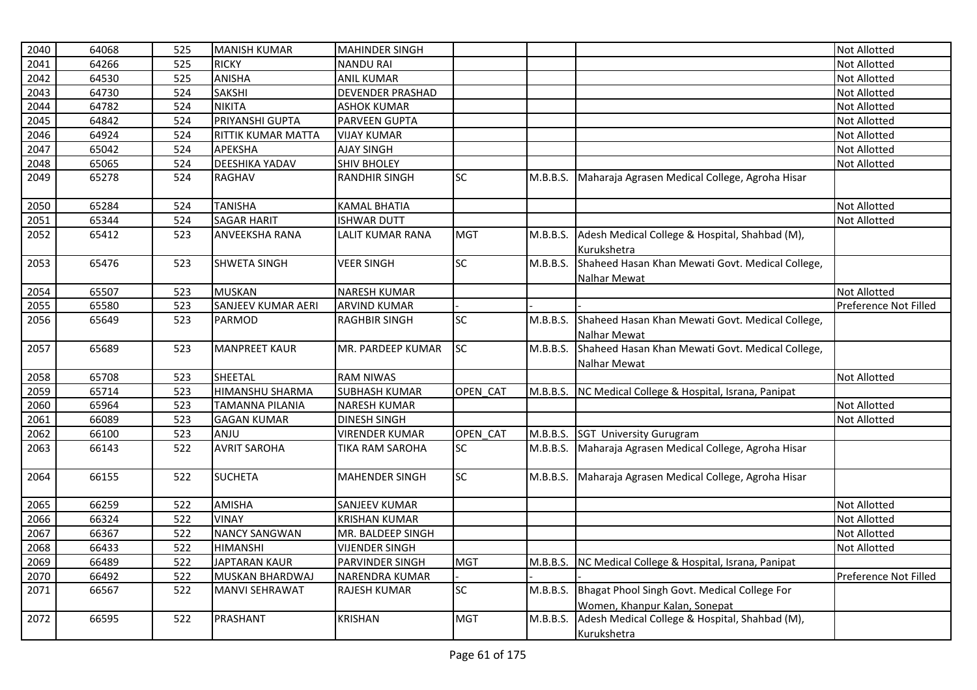| 2040 | 64068 | 525 | <b>MANISH KUMAR</b>    | <b>MAHINDER SINGH</b>   |            |          |                                                                  | Not Allotted          |
|------|-------|-----|------------------------|-------------------------|------------|----------|------------------------------------------------------------------|-----------------------|
| 2041 | 64266 | 525 | <b>RICKY</b>           | <b>NANDU RAI</b>        |            |          |                                                                  | Not Allotted          |
| 2042 | 64530 | 525 | <b>ANISHA</b>          | <b>ANIL KUMAR</b>       |            |          |                                                                  | Not Allotted          |
| 2043 | 64730 | 524 | <b>SAKSHI</b>          | <b>DEVENDER PRASHAD</b> |            |          |                                                                  | Not Allotted          |
| 2044 | 64782 | 524 | <b>NIKITA</b>          | <b>ASHOK KUMAR</b>      |            |          |                                                                  | Not Allotted          |
| 2045 | 64842 | 524 | PRIYANSHI GUPTA        | PARVEEN GUPTA           |            |          |                                                                  | Not Allotted          |
| 2046 | 64924 | 524 | RITTIK KUMAR MATTA     | <b>VIJAY KUMAR</b>      |            |          |                                                                  | <b>Not Allotted</b>   |
| 2047 | 65042 | 524 | <b>APEKSHA</b>         | <b>AJAY SINGH</b>       |            |          |                                                                  | Not Allotted          |
| 2048 | 65065 | 524 | <b>DEESHIKA YADAV</b>  | <b>SHIV BHOLEY</b>      |            |          |                                                                  | Not Allotted          |
| 2049 | 65278 | 524 | RAGHAV                 | <b>RANDHIR SINGH</b>    | SC         | M.B.B.S. | Maharaja Agrasen Medical College, Agroha Hisar                   |                       |
| 2050 | 65284 | 524 | <b>TANISHA</b>         | <b>KAMAL BHATIA</b>     |            |          |                                                                  | Not Allotted          |
| 2051 | 65344 | 524 | <b>SAGAR HARIT</b>     | <b>ISHWAR DUTT</b>      |            |          |                                                                  | Not Allotted          |
| 2052 | 65412 | 523 | <b>ANVEEKSHA RANA</b>  | LALIT KUMAR RANA        | <b>MGT</b> | M.B.B.S. | Adesh Medical College & Hospital, Shahbad (M),<br>Kurukshetra    |                       |
| 2053 | 65476 | 523 | <b>SHWETA SINGH</b>    | <b>VEER SINGH</b>       | SC         | M.B.B.S. | Shaheed Hasan Khan Mewati Govt. Medical College,<br>Nalhar Mewat |                       |
| 2054 | 65507 | 523 | <b>MUSKAN</b>          | <b>NARESH KUMAR</b>     |            |          |                                                                  | <b>Not Allotted</b>   |
| 2055 | 65580 | 523 | SANJEEV KUMAR AERI     | <b>ARVIND KUMAR</b>     |            |          |                                                                  | Preference Not Filled |
| 2056 | 65649 | 523 | <b>PARMOD</b>          | <b>RAGHBIR SINGH</b>    | SC         | M.B.B.S. | Shaheed Hasan Khan Mewati Govt. Medical College,                 |                       |
|      |       |     |                        |                         |            |          | Nalhar Mewat                                                     |                       |
| 2057 | 65689 | 523 | <b>MANPREET KAUR</b>   | MR. PARDEEP KUMAR       | <b>SC</b>  | M.B.B.S. | Shaheed Hasan Khan Mewati Govt. Medical College,                 |                       |
|      |       |     |                        |                         |            |          | <b>Nalhar Mewat</b>                                              |                       |
| 2058 | 65708 | 523 | SHEETAL                | <b>RAM NIWAS</b>        |            |          |                                                                  | Not Allotted          |
| 2059 | 65714 | 523 | <b>HIMANSHU SHARMA</b> | <b>SUBHASH KUMAR</b>    | OPEN CAT   | M.B.B.S. | NC Medical College & Hospital, Israna, Panipat                   |                       |
| 2060 | 65964 | 523 | <b>TAMANNA PILANIA</b> | <b>NARESH KUMAR</b>     |            |          |                                                                  | Not Allotted          |
| 2061 | 66089 | 523 | <b>GAGAN KUMAR</b>     | <b>DINESH SINGH</b>     |            |          |                                                                  | Not Allotted          |
| 2062 | 66100 | 523 | ANJU                   | <b>VIRENDER KUMAR</b>   | OPEN CAT   | M.B.B.S. | <b>SGT University Gurugram</b>                                   |                       |
| 2063 | 66143 | 522 | <b>AVRIT SAROHA</b>    | <b>TIKA RAM SAROHA</b>  | <b>SC</b>  | M.B.B.S. | Maharaja Agrasen Medical College, Agroha Hisar                   |                       |
| 2064 | 66155 | 522 | <b>SUCHETA</b>         | <b>MAHENDER SINGH</b>   | <b>SC</b>  | M.B.B.S. | Maharaja Agrasen Medical College, Agroha Hisar                   |                       |
| 2065 | 66259 | 522 | <b>AMISHA</b>          | <b>SANJEEV KUMAR</b>    |            |          |                                                                  | Not Allotted          |
| 2066 | 66324 | 522 | <b>VINAY</b>           | <b>KRISHAN KUMAR</b>    |            |          |                                                                  | Not Allotted          |
| 2067 | 66367 | 522 | <b>NANCY SANGWAN</b>   | MR. BALDEEP SINGH       |            |          |                                                                  | Not Allotted          |
| 2068 | 66433 | 522 | <b>HIMANSHI</b>        | <b>VIJENDER SINGH</b>   |            |          |                                                                  | Not Allotted          |
| 2069 | 66489 | 522 | <b>JAPTARAN KAUR</b>   | PARVINDER SINGH         | <b>MGT</b> | M.B.B.S. | NC Medical College & Hospital, Israna, Panipat                   |                       |
| 2070 | 66492 | 522 | <b>MUSKAN BHARDWAJ</b> | NARENDRA KUMAR          |            |          |                                                                  | Preference Not Filled |
| 2071 | 66567 | 522 | <b>MANVI SEHRAWAT</b>  | <b>RAJESH KUMAR</b>     | SC         | M.B.B.S. | Bhagat Phool Singh Govt. Medical College For                     |                       |
|      |       |     |                        |                         |            |          | Women, Khanpur Kalan, Sonepat                                    |                       |
| 2072 | 66595 | 522 | <b>PRASHANT</b>        | <b>KRISHAN</b>          | <b>MGT</b> | M.B.B.S. | Adesh Medical College & Hospital, Shahbad (M),                   |                       |
|      |       |     |                        |                         |            |          | Kurukshetra                                                      |                       |
|      |       |     |                        |                         |            |          |                                                                  |                       |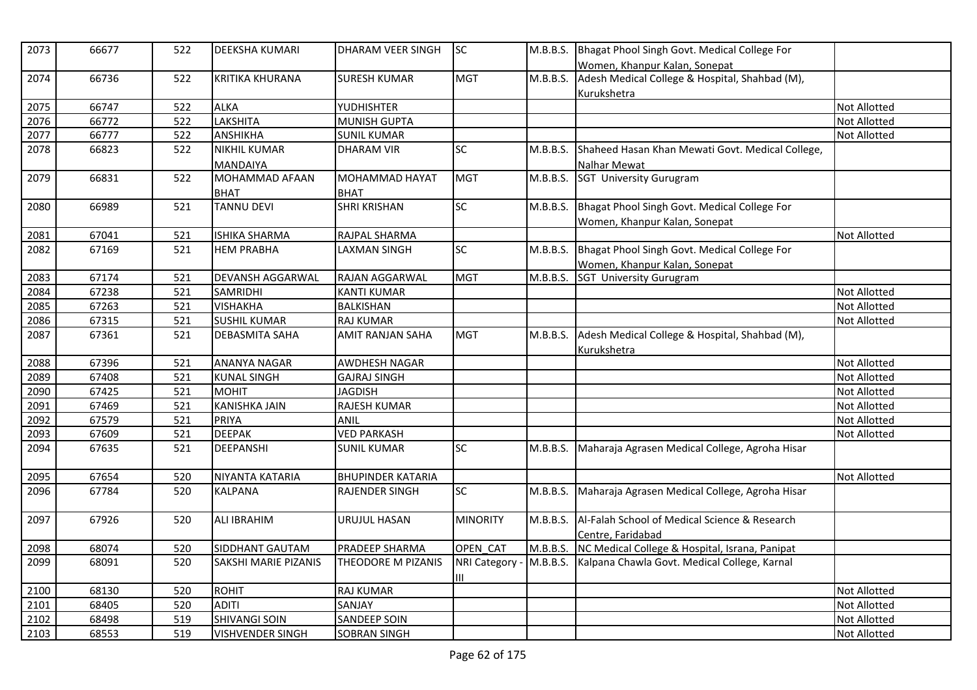| 2073 | 66677 | 522 | <b>DEEKSHA KUMARI</b>       | <b>DHARAM VEER SINGH</b> | <b>SC</b>       | M.B.B.S. | Bhagat Phool Singh Govt. Medical College For<br>Women, Khanpur Kalan, Sonepat |                     |
|------|-------|-----|-----------------------------|--------------------------|-----------------|----------|-------------------------------------------------------------------------------|---------------------|
| 2074 | 66736 | 522 | <b>KRITIKA KHURANA</b>      | <b>SURESH KUMAR</b>      | <b>MGT</b>      | M.B.B.S. | Adesh Medical College & Hospital, Shahbad (M),                                |                     |
|      |       |     |                             |                          |                 |          | Kurukshetra                                                                   |                     |
| 2075 | 66747 | 522 | <b>ALKA</b>                 | YUDHISHTER               |                 |          |                                                                               | <b>Not Allotted</b> |
| 2076 | 66772 | 522 | LAKSHITA                    | <b>MUNISH GUPTA</b>      |                 |          |                                                                               | Not Allotted        |
| 2077 | 66777 | 522 | <b>ANSHIKHA</b>             | <b>SUNIL KUMAR</b>       |                 |          |                                                                               | <b>Not Allotted</b> |
| 2078 | 66823 | 522 | <b>NIKHIL KUMAR</b>         | <b>DHARAM VIR</b>        | <b>SC</b>       | M.B.B.S. | Shaheed Hasan Khan Mewati Govt. Medical College,                              |                     |
|      |       |     | <b>MANDAIYA</b>             |                          |                 |          | Nalhar Mewat                                                                  |                     |
| 2079 | 66831 | 522 | <b>MOHAMMAD AFAAN</b>       | <b>MOHAMMAD HAYAT</b>    | <b>MGT</b>      | M.B.B.S. | SGT University Gurugram                                                       |                     |
|      |       |     | <b>BHAT</b>                 | <b>BHAT</b>              |                 |          |                                                                               |                     |
| 2080 | 66989 | 521 | <b>TANNU DEVI</b>           | <b>SHRI KRISHAN</b>      | <b>SC</b>       | M.B.B.S. | Bhagat Phool Singh Govt. Medical College For                                  |                     |
|      |       |     |                             |                          |                 |          | Women, Khanpur Kalan, Sonepat                                                 |                     |
| 2081 | 67041 | 521 | <b>ISHIKA SHARMA</b>        | RAJPAL SHARMA            |                 |          |                                                                               | <b>Not Allotted</b> |
| 2082 | 67169 | 521 | <b>HEM PRABHA</b>           | LAXMAN SINGH             | <b>SC</b>       | M.B.B.S. | Bhagat Phool Singh Govt. Medical College For                                  |                     |
|      |       |     |                             |                          |                 |          | Women, Khanpur Kalan, Sonepat                                                 |                     |
| 2083 | 67174 | 521 | DEVANSH AGGARWAL            | RAJAN AGGARWAL           | <b>MGT</b>      | M.B.B.S. | <b>SGT University Gurugram</b>                                                |                     |
| 2084 | 67238 | 521 | <b>SAMRIDHI</b>             | <b>KANTI KUMAR</b>       |                 |          |                                                                               | <b>Not Allotted</b> |
| 2085 | 67263 | 521 | <b>VISHAKHA</b>             | <b>BALKISHAN</b>         |                 |          |                                                                               | <b>Not Allotted</b> |
| 2086 | 67315 | 521 | <b>SUSHIL KUMAR</b>         | <b>RAJ KUMAR</b>         |                 |          |                                                                               | <b>Not Allotted</b> |
| 2087 | 67361 | 521 | <b>DEBASMITA SAHA</b>       | <b>AMIT RANJAN SAHA</b>  | <b>MGT</b>      | M.B.B.S. | Adesh Medical College & Hospital, Shahbad (M),                                |                     |
|      |       |     |                             |                          |                 |          | Kurukshetra                                                                   |                     |
| 2088 | 67396 | 521 | <b>ANANYA NAGAR</b>         | <b>AWDHESH NAGAR</b>     |                 |          |                                                                               | Not Allotted        |
| 2089 | 67408 | 521 | <b>KUNAL SINGH</b>          | <b>GAJRAJ SINGH</b>      |                 |          |                                                                               | <b>Not Allotted</b> |
| 2090 | 67425 | 521 | <b>MOHIT</b>                | <b>JAGDISH</b>           |                 |          |                                                                               | <b>Not Allotted</b> |
| 2091 | 67469 | 521 | <b>KANISHKA JAIN</b>        | RAJESH KUMAR             |                 |          |                                                                               | <b>Not Allotted</b> |
| 2092 | 67579 | 521 | <b>PRIYA</b>                | ANIL                     |                 |          |                                                                               | Not Allotted        |
| 2093 | 67609 | 521 | <b>DEEPAK</b>               | <b>VED PARKASH</b>       |                 |          |                                                                               | <b>Not Allotted</b> |
| 2094 | 67635 | 521 | <b>DEEPANSHI</b>            | <b>SUNIL KUMAR</b>       | <b>SC</b>       | M.B.B.S. | Maharaja Agrasen Medical College, Agroha Hisar                                |                     |
| 2095 | 67654 | 520 | NIYANTA KATARIA             | <b>BHUPINDER KATARIA</b> |                 |          |                                                                               | <b>Not Allotted</b> |
| 2096 | 67784 | 520 | <b>KALPANA</b>              | <b>RAJENDER SINGH</b>    | $\overline{SC}$ | M.B.B.S. | Maharaja Agrasen Medical College, Agroha Hisar                                |                     |
| 2097 | 67926 | 520 | <b>ALI IBRAHIM</b>          | URUJUL HASAN             | <b>MINORITY</b> | M.B.B.S. | Al-Falah School of Medical Science & Research                                 |                     |
|      |       |     |                             |                          |                 |          | Centre. Faridabad                                                             |                     |
| 2098 | 68074 | 520 | SIDDHANT GAUTAM             | PRADEEP SHARMA           | OPEN_CAT        | M.B.B.S. | NC Medical College & Hospital, Israna, Panipat                                |                     |
| 2099 | 68091 | 520 | <b>SAKSHI MARIE PIZANIS</b> | THEODORE M PIZANIS       | NRI Category -  | M.B.B.S. | Kalpana Chawla Govt. Medical College, Karnal                                  |                     |
|      |       |     |                             |                          | Ш               |          |                                                                               |                     |
| 2100 | 68130 | 520 | <b>ROHIT</b>                | <b>RAJ KUMAR</b>         |                 |          |                                                                               | <b>Not Allotted</b> |
| 2101 | 68405 | 520 | <b>ADITI</b>                | SANJAY                   |                 |          |                                                                               | <b>Not Allotted</b> |
| 2102 | 68498 | 519 | <b>SHIVANGI SOIN</b>        | <b>SANDEEP SOIN</b>      |                 |          |                                                                               | <b>Not Allotted</b> |
| 2103 | 68553 | 519 | <b>VISHVENDER SINGH</b>     | <b>SOBRAN SINGH</b>      |                 |          |                                                                               | <b>Not Allotted</b> |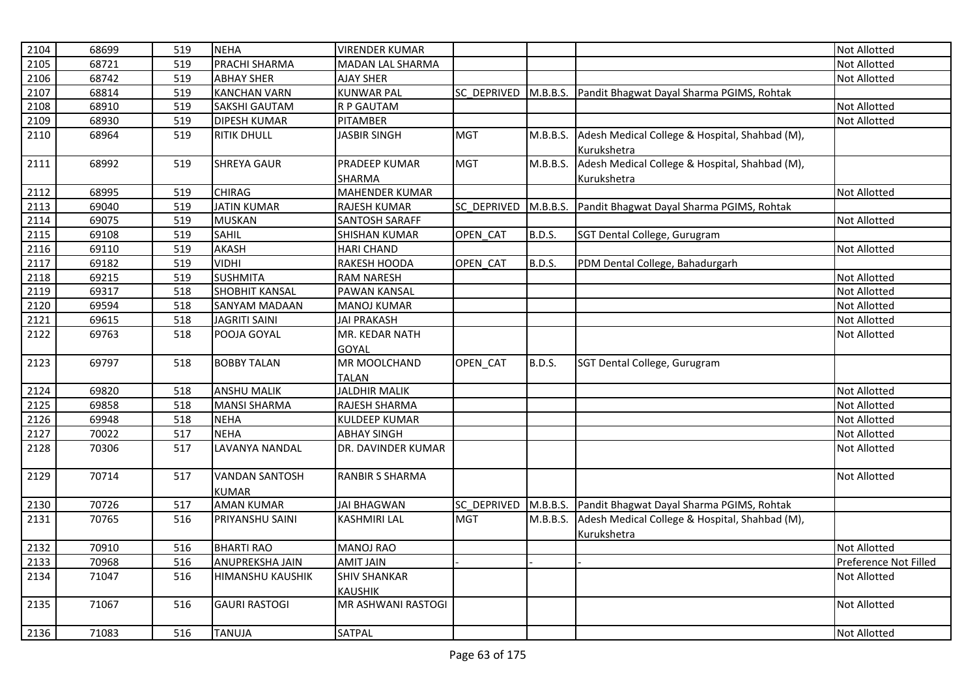| 2104 | 68699 | 519 | <b>NEHA</b>             | <b>VIRENDER KUMAR</b>  |             |               |                                                    | <b>Not Allotted</b>   |
|------|-------|-----|-------------------------|------------------------|-------------|---------------|----------------------------------------------------|-----------------------|
| 2105 | 68721 | 519 | PRACHI SHARMA           | MADAN LAL SHARMA       |             |               |                                                    | <b>Not Allotted</b>   |
| 2106 | 68742 | 519 | <b>ABHAY SHER</b>       | <b>AJAY SHER</b>       |             |               |                                                    | <b>Not Allotted</b>   |
| 2107 | 68814 | 519 | <b>KANCHAN VARN</b>     | <b>KUNWAR PAL</b>      | SC DEPRIVED |               | M.B.B.S. Pandit Bhagwat Dayal Sharma PGIMS, Rohtak |                       |
| 2108 | 68910 | 519 | <b>SAKSHI GAUTAM</b>    | R P GAUTAM             |             |               |                                                    | Not Allotted          |
| 2109 | 68930 | 519 | <b>DIPESH KUMAR</b>     | PITAMBER               |             |               |                                                    | <b>Not Allotted</b>   |
| 2110 | 68964 | 519 | <b>RITIK DHULL</b>      | <b>JASBIR SINGH</b>    | <b>MGT</b>  | M.B.B.S.      | Adesh Medical College & Hospital, Shahbad (M),     |                       |
|      |       |     |                         |                        |             |               | Kurukshetra                                        |                       |
| 2111 | 68992 | 519 | <b>SHREYA GAUR</b>      | PRADEEP KUMAR          | <b>MGT</b>  | M.B.B.S.      | Adesh Medical College & Hospital, Shahbad (M),     |                       |
|      |       |     |                         | SHARMA                 |             |               | Kurukshetra                                        |                       |
| 2112 | 68995 | 519 | <b>CHIRAG</b>           | <b>MAHENDER KUMAR</b>  |             |               |                                                    | <b>Not Allotted</b>   |
| 2113 | 69040 | 519 | <b>JATIN KUMAR</b>      | <b>RAJESH KUMAR</b>    | SC DEPRIVED |               | M.B.B.S. Pandit Bhagwat Dayal Sharma PGIMS, Rohtak |                       |
| 2114 | 69075 | 519 | <b>MUSKAN</b>           | <b>SANTOSH SARAFF</b>  |             |               |                                                    | Not Allotted          |
| 2115 | 69108 | 519 | <b>SAHIL</b>            | SHISHAN KUMAR          | OPEN_CAT    | <b>B.D.S.</b> | SGT Dental College, Gurugram                       |                       |
| 2116 | 69110 | 519 | <b>AKASH</b>            | <b>HARI CHAND</b>      |             |               |                                                    | Not Allotted          |
| 2117 | 69182 | 519 | <b>VIDHI</b>            | RAKESH HOODA           | OPEN CAT    | B.D.S.        | PDM Dental College, Bahadurgarh                    |                       |
| 2118 | 69215 | 519 | <b>SUSHMITA</b>         | <b>RAM NARESH</b>      |             |               |                                                    | <b>Not Allotted</b>   |
| 2119 | 69317 | 518 | <b>SHOBHIT KANSAL</b>   | PAWAN KANSAL           |             |               |                                                    | <b>Not Allotted</b>   |
| 2120 | 69594 | 518 | <b>SANYAM MADAAN</b>    | <b>MANOJ KUMAR</b>     |             |               |                                                    | Not Allotted          |
| 2121 | 69615 | 518 | JAGRITI SAINI           | <b>JAI PRAKASH</b>     |             |               |                                                    | Not Allotted          |
| 2122 | 69763 | 518 | POOJA GOYAL             | MR. KEDAR NATH         |             |               |                                                    | <b>Not Allotted</b>   |
|      |       |     |                         | <b>GOYAL</b>           |             |               |                                                    |                       |
| 2123 | 69797 | 518 | <b>BOBBY TALAN</b>      | MR MOOLCHAND           | OPEN_CAT    | B.D.S.        | SGT Dental College, Gurugram                       |                       |
|      |       |     |                         | <b>TALAN</b>           |             |               |                                                    |                       |
| 2124 | 69820 | 518 | <b>ANSHU MALIK</b>      | <b>JALDHIR MALIK</b>   |             |               |                                                    | <b>Not Allotted</b>   |
| 2125 | 69858 | 518 | <b>MANSI SHARMA</b>     | RAJESH SHARMA          |             |               |                                                    | <b>Not Allotted</b>   |
| 2126 | 69948 | 518 | <b>NEHA</b>             | <b>KULDEEP KUMAR</b>   |             |               |                                                    | Not Allotted          |
| 2127 | 70022 | 517 | <b>NEHA</b>             | <b>ABHAY SINGH</b>     |             |               |                                                    | <b>Not Allotted</b>   |
| 2128 | 70306 | 517 | LAVANYA NANDAL          | DR. DAVINDER KUMAR     |             |               |                                                    | <b>Not Allotted</b>   |
|      |       |     |                         |                        |             |               |                                                    |                       |
| 2129 | 70714 | 517 | <b>VANDAN SANTOSH</b>   | <b>RANBIR S SHARMA</b> |             |               |                                                    | <b>Not Allotted</b>   |
|      |       |     | <b>KUMAR</b>            |                        |             |               |                                                    |                       |
| 2130 | 70726 | 517 | <b>AMAN KUMAR</b>       | <b>JAI BHAGWAN</b>     | SC DEPRIVED |               | M.B.B.S. Pandit Bhagwat Dayal Sharma PGIMS, Rohtak |                       |
| 2131 | 70765 | 516 | PRIYANSHU SAINI         | <b>KASHMIRI LAL</b>    | <b>MGT</b>  | M.B.B.S.      | Adesh Medical College & Hospital, Shahbad (M),     |                       |
|      |       |     |                         |                        |             |               | Kurukshetra                                        |                       |
| 2132 | 70910 | 516 | <b>BHARTI RAO</b>       | <b>MANOJ RAO</b>       |             |               |                                                    | Not Allotted          |
| 2133 | 70968 | 516 | ANUPREKSHA JAIN         | <b>AMIT JAIN</b>       |             |               |                                                    | Preference Not Filled |
| 2134 | 71047 | 516 | <b>HIMANSHU KAUSHIK</b> | <b>SHIV SHANKAR</b>    |             |               |                                                    | <b>Not Allotted</b>   |
|      |       |     |                         | <b>KAUSHIK</b>         |             |               |                                                    |                       |
| 2135 | 71067 | 516 | <b>GAURI RASTOGI</b>    | MR ASHWANI RASTOGI     |             |               |                                                    | <b>Not Allotted</b>   |
|      |       |     |                         |                        |             |               |                                                    |                       |
| 2136 | 71083 | 516 | <b>TANUJA</b>           | SATPAL                 |             |               |                                                    | Not Allotted          |
|      |       |     |                         |                        |             |               |                                                    |                       |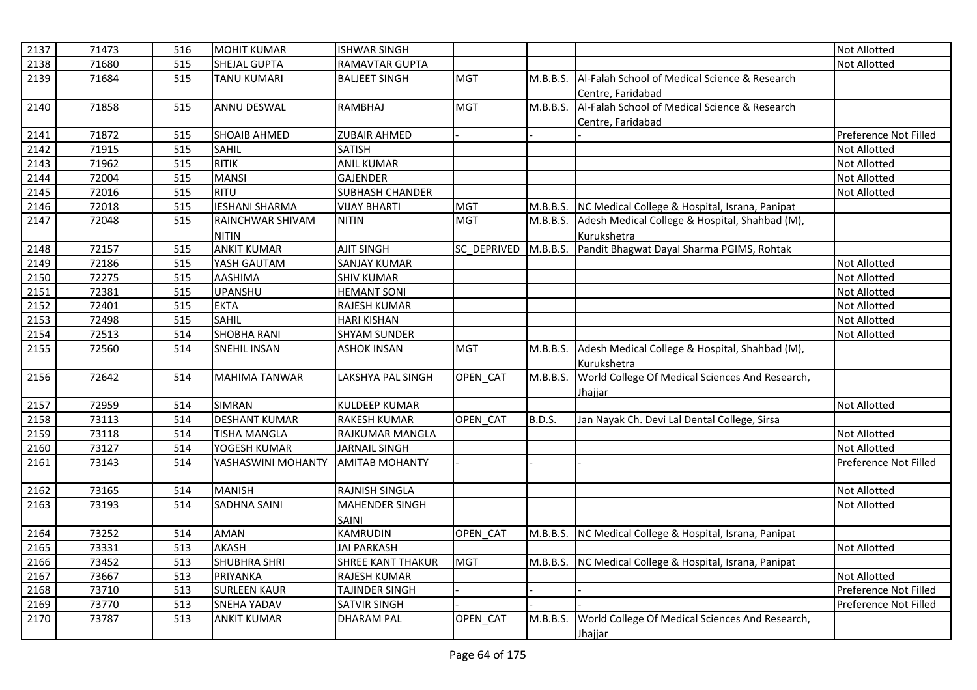| 2137 | 71473 | 516 | <b>MOHIT KUMAR</b>    | <b>ISHWAR SINGH</b>      |                    |          |                                                         | <b>Not Allotted</b>   |
|------|-------|-----|-----------------------|--------------------------|--------------------|----------|---------------------------------------------------------|-----------------------|
| 2138 | 71680 | 515 | SHEJAL GUPTA          | RAMAVTAR GUPTA           |                    |          |                                                         | <b>Not Allotted</b>   |
| 2139 | 71684 | 515 | <b>TANU KUMARI</b>    | <b>BALJEET SINGH</b>     | <b>MGT</b>         | M.B.B.S. | Al-Falah School of Medical Science & Research           |                       |
|      |       |     |                       |                          |                    |          | Centre, Faridabad                                       |                       |
| 2140 | 71858 | 515 | ANNU DESWAL           | <b>RAMBHAJ</b>           | <b>MGT</b>         | M.B.B.S. | Al-Falah School of Medical Science & Research           |                       |
|      |       |     |                       |                          |                    |          | Centre, Faridabad                                       |                       |
| 2141 | 71872 | 515 | <b>SHOAIB AHMED</b>   | <b>ZUBAIR AHMED</b>      |                    |          |                                                         | Preference Not Filled |
| 2142 | 71915 | 515 | <b>SAHIL</b>          | <b>SATISH</b>            |                    |          |                                                         | Not Allotted          |
| 2143 | 71962 | 515 | <b>RITIK</b>          | <b>ANIL KUMAR</b>        |                    |          |                                                         | Not Allotted          |
| 2144 | 72004 | 515 | <b>MANSI</b>          | <b>GAJENDER</b>          |                    |          |                                                         | Not Allotted          |
| 2145 | 72016 | 515 | <b>RITU</b>           | SUBHASH CHANDER          |                    |          |                                                         | Not Allotted          |
| 2146 | 72018 | 515 | <b>IESHANI SHARMA</b> | <b>VIJAY BHARTI</b>      | <b>MGT</b>         |          | M.B.B.S. NC Medical College & Hospital, Israna, Panipat |                       |
| 2147 | 72048 | 515 | RAINCHWAR SHIVAM      | <b>NITIN</b>             | <b>MGT</b>         | M.B.B.S. | Adesh Medical College & Hospital, Shahbad (M),          |                       |
|      |       |     | <b>NITIN</b>          |                          |                    |          | Kurukshetra                                             |                       |
| 2148 | 72157 | 515 | <b>ANKIT KUMAR</b>    | <b>AJIT SINGH</b>        | <b>SC DEPRIVED</b> |          | M.B.B.S. Pandit Bhagwat Dayal Sharma PGIMS, Rohtak      |                       |
| 2149 | 72186 | 515 | YASH GAUTAM           | <b>SANJAY KUMAR</b>      |                    |          |                                                         | <b>Not Allotted</b>   |
| 2150 | 72275 | 515 | <b>AASHIMA</b>        | <b>SHIV KUMAR</b>        |                    |          |                                                         | <b>Not Allotted</b>   |
| 2151 | 72381 | 515 | <b>UPANSHU</b>        | <b>HEMANT SONI</b>       |                    |          |                                                         | <b>Not Allotted</b>   |
| 2152 | 72401 | 515 | <b>EKTA</b>           | <b>RAJESH KUMAR</b>      |                    |          |                                                         | <b>Not Allotted</b>   |
| 2153 | 72498 | 515 | <b>SAHIL</b>          | <b>HARI KISHAN</b>       |                    |          |                                                         | <b>Not Allotted</b>   |
| 2154 | 72513 | 514 | <b>SHOBHA RANI</b>    | <b>SHYAM SUNDER</b>      |                    |          |                                                         | <b>Not Allotted</b>   |
| 2155 | 72560 | 514 | <b>SNEHIL INSAN</b>   | <b>ASHOK INSAN</b>       | <b>MGT</b>         | M.B.B.S. | Adesh Medical College & Hospital, Shahbad (M),          |                       |
|      |       |     |                       |                          |                    |          | Kurukshetra                                             |                       |
| 2156 | 72642 | 514 | <b>MAHIMA TANWAR</b>  | <b>LAKSHYA PAL SINGH</b> | OPEN CAT           | M.B.B.S. | World College Of Medical Sciences And Research,         |                       |
|      |       |     |                       |                          |                    |          | Jhajjar                                                 |                       |
| 2157 | 72959 | 514 | <b>SIMRAN</b>         | <b>KULDEEP KUMAR</b>     |                    |          |                                                         | <b>Not Allotted</b>   |
| 2158 | 73113 | 514 | <b>DESHANT KUMAR</b>  | <b>RAKESH KUMAR</b>      | OPEN CAT           | B.D.S.   | Jan Nayak Ch. Devi Lal Dental College, Sirsa            |                       |
| 2159 | 73118 | 514 | <b>TISHA MANGLA</b>   | RAJKUMAR MANGLA          |                    |          |                                                         | Not Allotted          |
| 2160 | 73127 | 514 | YOGESH KUMAR          | <b>JARNAIL SINGH</b>     |                    |          |                                                         | <b>Not Allotted</b>   |
| 2161 | 73143 | 514 | YASHASWINI MOHANTY    | <b>AMITAB MOHANTY</b>    |                    |          |                                                         | Preference Not Filled |
|      |       |     |                       |                          |                    |          |                                                         |                       |
| 2162 | 73165 | 514 | <b>MANISH</b>         | RAJNISH SINGLA           |                    |          |                                                         | Not Allotted          |
| 2163 | 73193 | 514 | <b>SADHNA SAINI</b>   | <b>MAHENDER SINGH</b>    |                    |          |                                                         | <b>Not Allotted</b>   |
|      |       |     |                       | SAINI                    |                    |          |                                                         |                       |
| 2164 | 73252 | 514 | <b>AMAN</b>           | <b>KAMRUDIN</b>          | OPEN CAT           | M.B.B.S. | NC Medical College & Hospital, Israna, Panipat          |                       |
| 2165 | 73331 | 513 | <b>AKASH</b>          | <b>JAI PARKASH</b>       |                    |          |                                                         | <b>Not Allotted</b>   |
| 2166 | 73452 | 513 | <b>SHUBHRA SHRI</b>   | SHREE KANT THAKUR        | <b>MGT</b>         |          | M.B.B.S. NC Medical College & Hospital, Israna, Panipat |                       |
| 2167 | 73667 | 513 | PRIYANKA              | RAJESH KUMAR             |                    |          |                                                         | <b>Not Allotted</b>   |
| 2168 | 73710 | 513 | <b>SURLEEN KAUR</b>   | <b>TAJINDER SINGH</b>    |                    |          |                                                         | Preference Not Filled |
| 2169 | 73770 | 513 | <b>SNEHA YADAV</b>    | <b>SATVIR SINGH</b>      |                    |          |                                                         | Preference Not Filled |
| 2170 | 73787 | 513 | <b>ANKIT KUMAR</b>    | <b>DHARAM PAL</b>        | OPEN_CAT           | M.B.B.S. | World College Of Medical Sciences And Research,         |                       |
|      |       |     |                       |                          |                    |          | Jhajjar                                                 |                       |
|      |       |     |                       |                          |                    |          |                                                         |                       |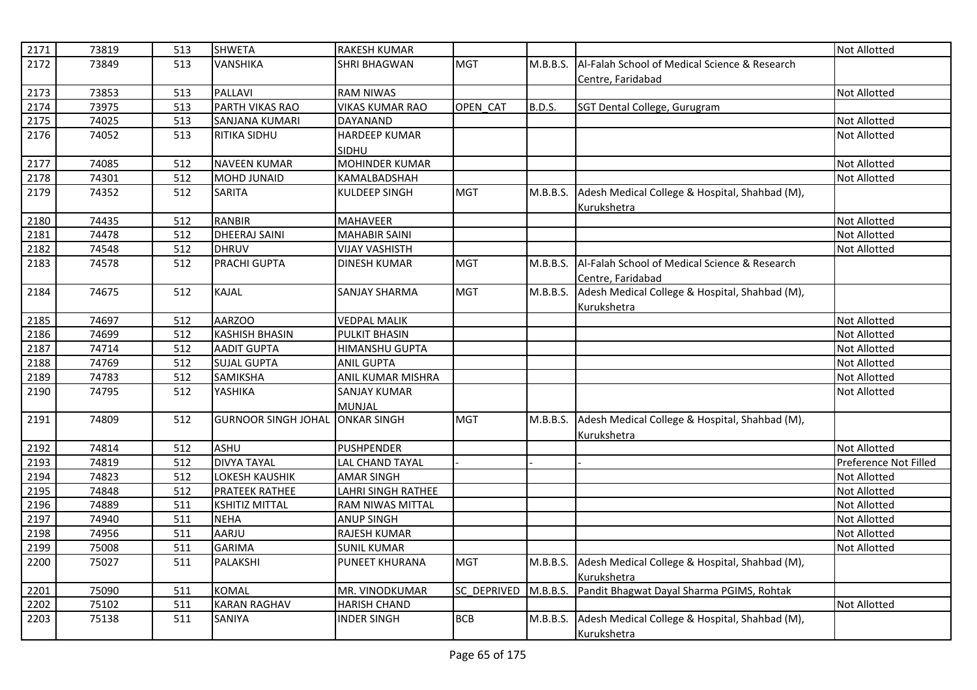| 2171 | 73819 | 513 | <b>SHWETA</b>              | <b>RAKESH KUMAR</b>      |                    |               |                                                | <b>Not Allotted</b>   |
|------|-------|-----|----------------------------|--------------------------|--------------------|---------------|------------------------------------------------|-----------------------|
| 2172 | 73849 | 513 | <b>VANSHIKA</b>            | <b>SHRI BHAGWAN</b>      | <b>MGT</b>         | M.B.B.S.      | Al-Falah School of Medical Science & Research  |                       |
|      |       |     |                            |                          |                    |               | Centre, Faridabad                              |                       |
| 2173 | 73853 | 513 | <b>PALLAVI</b>             | <b>RAM NIWAS</b>         |                    |               |                                                | <b>Not Allotted</b>   |
| 2174 | 73975 | 513 | <b>PARTH VIKAS RAO</b>     | <b>VIKAS KUMAR RAO</b>   | OPEN CAT           | <b>B.D.S.</b> | SGT Dental College, Gurugram                   |                       |
| 2175 | 74025 | 513 | SANJANA KUMARI             | DAYANAND                 |                    |               |                                                | Not Allotted          |
| 2176 | 74052 | 513 | <b>RITIKA SIDHU</b>        | <b>HARDEEP KUMAR</b>     |                    |               |                                                | <b>Not Allotted</b>   |
|      |       |     |                            | SIDHU                    |                    |               |                                                |                       |
| 2177 | 74085 | 512 | <b>NAVEEN KUMAR</b>        | MOHINDER KUMAR           |                    |               |                                                | <b>Not Allotted</b>   |
| 2178 | 74301 | 512 | <b>MOHD JUNAID</b>         | KAMALBADSHAH             |                    |               |                                                | Not Allotted          |
| 2179 | 74352 | 512 | <b>SARITA</b>              | KULDEEP SINGH            | <b>MGT</b>         | M.B.B.S.      | Adesh Medical College & Hospital, Shahbad (M), |                       |
|      |       |     |                            |                          |                    |               | Kurukshetra                                    |                       |
| 2180 | 74435 | 512 | <b>RANBIR</b>              | <b>MAHAVEER</b>          |                    |               |                                                | <b>Not Allotted</b>   |
| 2181 | 74478 | 512 | <b>DHEERAJ SAINI</b>       | <b>MAHABIR SAINI</b>     |                    |               |                                                | Not Allotted          |
| 2182 | 74548 | 512 | <b>DHRUV</b>               | <b>VIJAY VASHISTH</b>    |                    |               |                                                | Not Allotted          |
| 2183 | 74578 | 512 | <b>PRACHI GUPTA</b>        | <b>DINESH KUMAR</b>      | <b>MGT</b>         | M.B.B.S.      | Al-Falah School of Medical Science & Research  |                       |
|      |       |     |                            |                          |                    |               | Centre, Faridabad                              |                       |
| 2184 | 74675 | 512 | <b>KAJAL</b>               | <b>SANJAY SHARMA</b>     | <b>MGT</b>         | M.B.B.S.      | Adesh Medical College & Hospital, Shahbad (M), |                       |
|      |       |     |                            |                          |                    |               | Kurukshetra                                    |                       |
| 2185 | 74697 | 512 | AARZOO                     | <b>VEDPAL MALIK</b>      |                    |               |                                                | <b>Not Allotted</b>   |
| 2186 | 74699 | 512 | <b>KASHISH BHASIN</b>      | <b>PULKIT BHASIN</b>     |                    |               |                                                | <b>Not Allotted</b>   |
| 2187 | 74714 | 512 | <b>AADIT GUPTA</b>         | HIMANSHU GUPTA           |                    |               |                                                | <b>Not Allotted</b>   |
| 2188 | 74769 | 512 | <b>SUJAL GUPTA</b>         | <b>ANIL GUPTA</b>        |                    |               |                                                | <b>Not Allotted</b>   |
| 2189 | 74783 | 512 | <b>SAMIKSHA</b>            | <b>ANIL KUMAR MISHRA</b> |                    |               |                                                | Not Allotted          |
| 2190 | 74795 | 512 | YASHIKA                    | <b>SANJAY KUMAR</b>      |                    |               |                                                | <b>Not Allotted</b>   |
|      |       |     |                            | <b>MUNJAL</b>            |                    |               |                                                |                       |
| 2191 | 74809 | 512 | <b>GURNOOR SINGH JOHAL</b> | <b>ONKAR SINGH</b>       | <b>MGT</b>         | M.B.B.S.      | Adesh Medical College & Hospital, Shahbad (M), |                       |
|      |       |     |                            |                          |                    |               | Kurukshetra                                    |                       |
| 2192 | 74814 | 512 | <b>ASHU</b>                | <b>PUSHPENDER</b>        |                    |               |                                                | <b>Not Allotted</b>   |
| 2193 | 74819 | 512 | <b>DIVYA TAYAL</b>         | <b>LAL CHAND TAYAL</b>   |                    |               |                                                | Preference Not Filled |
| 2194 | 74823 | 512 | <b>LOKESH KAUSHIK</b>      | <b>AMAR SINGH</b>        |                    |               |                                                | <b>Not Allotted</b>   |
| 2195 | 74848 | 512 | <b>PRATEEK RATHEE</b>      | LAHRI SINGH RATHEE       |                    |               |                                                | Not Allotted          |
| 2196 | 74889 | 511 | <b>KSHITIZ MITTAL</b>      | <b>RAM NIWAS MITTAL</b>  |                    |               |                                                | <b>Not Allotted</b>   |
| 2197 | 74940 | 511 | <b>NEHA</b>                | <b>ANUP SINGH</b>        |                    |               |                                                | <b>Not Allotted</b>   |
| 2198 | 74956 | 511 | AARJU                      | RAJESH KUMAR             |                    |               |                                                | <b>Not Allotted</b>   |
| 2199 | 75008 | 511 | <b>GARIMA</b>              | <b>SUNIL KUMAR</b>       |                    |               |                                                | <b>Not Allotted</b>   |
| 2200 | 75027 | 511 | <b>PALAKSHI</b>            | PUNEET KHURANA           | <b>MGT</b>         | M.B.B.S.      | Adesh Medical College & Hospital, Shahbad (M), |                       |
|      |       |     |                            |                          |                    |               | Kurukshetra                                    |                       |
| 2201 | 75090 | 511 | <b>KOMAL</b>               | MR. VINODKUMAR           | <b>SC DEPRIVED</b> | M.B.B.S.      | Pandit Bhagwat Dayal Sharma PGIMS, Rohtak      |                       |
| 2202 | 75102 | 511 | <b>KARAN RAGHAV</b>        | <b>HARISH CHAND</b>      |                    |               |                                                | <b>Not Allotted</b>   |
| 2203 | 75138 | 511 | SANIYA                     | <b>INDER SINGH</b>       | <b>BCB</b>         | M.B.B.S.      | Adesh Medical College & Hospital, Shahbad (M), |                       |
|      |       |     |                            |                          |                    |               | Kurukshetra                                    |                       |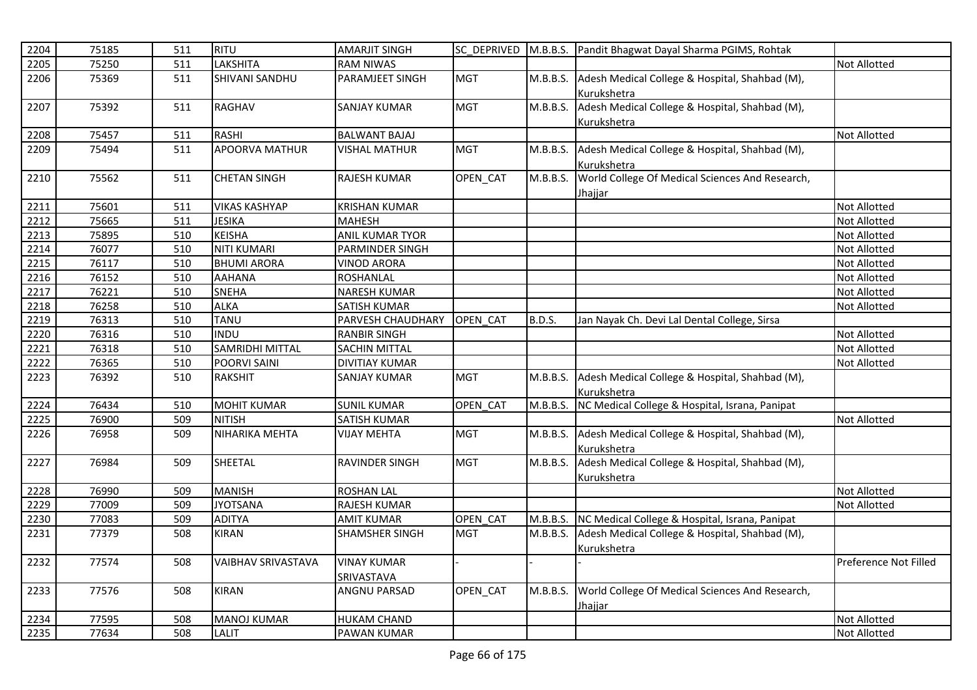| 2204 | 75185 | 511 | <b>RITU</b>               | <b>AMARJIT SINGH</b>  |            |               | SC DEPRIVED M.B.B.S. Pandit Bhagwat Dayal Sharma PGIMS, Rohtak |                       |
|------|-------|-----|---------------------------|-----------------------|------------|---------------|----------------------------------------------------------------|-----------------------|
| 2205 | 75250 | 511 | LAKSHITA                  | <b>RAM NIWAS</b>      |            |               |                                                                | Not Allotted          |
| 2206 | 75369 | 511 | <b>SHIVANI SANDHU</b>     | PARAMJEET SINGH       | <b>MGT</b> | M.B.B.S.      | Adesh Medical College & Hospital, Shahbad (M),                 |                       |
|      |       |     |                           |                       |            |               | Kurukshetra                                                    |                       |
| 2207 | 75392 | 511 | RAGHAV                    | <b>SANJAY KUMAR</b>   | <b>MGT</b> | M.B.B.S.      | Adesh Medical College & Hospital, Shahbad (M),                 |                       |
|      |       |     |                           |                       |            |               | <b>Kurukshetra</b>                                             |                       |
| 2208 | 75457 | 511 | <b>RASHI</b>              | <b>BALWANT BAJAJ</b>  |            |               |                                                                | <b>Not Allotted</b>   |
| 2209 | 75494 | 511 | <b>APOORVA MATHUR</b>     | <b>VISHAL MATHUR</b>  | <b>MGT</b> | M.B.B.S.      | Adesh Medical College & Hospital, Shahbad (M),                 |                       |
|      |       |     |                           |                       |            |               | Kurukshetra                                                    |                       |
| 2210 | 75562 | 511 | <b>CHETAN SINGH</b>       | RAJESH KUMAR          | OPEN_CAT   | M.B.B.S.      | World College Of Medical Sciences And Research,                |                       |
|      |       |     |                           |                       |            |               | <u>Jhajjar</u>                                                 |                       |
| 2211 | 75601 | 511 | <b>VIKAS KASHYAP</b>      | <b>KRISHAN KUMAR</b>  |            |               |                                                                | <b>Not Allotted</b>   |
| 2212 | 75665 | 511 | <b>JESIKA</b>             | <b>MAHESH</b>         |            |               |                                                                | <b>Not Allotted</b>   |
| 2213 | 75895 | 510 | <b>KEISHA</b>             | ANIL KUMAR TYOR       |            |               |                                                                | <b>Not Allotted</b>   |
| 2214 | 76077 | 510 | <b>NITI KUMARI</b>        | PARMINDER SINGH       |            |               |                                                                | <b>Not Allotted</b>   |
| 2215 | 76117 | 510 | <b>BHUMI ARORA</b>        | <b>VINOD ARORA</b>    |            |               |                                                                | <b>Not Allotted</b>   |
| 2216 | 76152 | 510 | <b>AAHANA</b>             | <b>ROSHANLAL</b>      |            |               |                                                                | <b>Not Allotted</b>   |
| 2217 | 76221 | 510 | <b>SNEHA</b>              | <b>NARESH KUMAR</b>   |            |               |                                                                | <b>Not Allotted</b>   |
| 2218 | 76258 | 510 | <b>ALKA</b>               | <b>SATISH KUMAR</b>   |            |               |                                                                | Not Allotted          |
| 2219 | 76313 | 510 | <b>TANU</b>               | PARVESH CHAUDHARY     | OPEN CAT   | <b>B.D.S.</b> | Jan Nayak Ch. Devi Lal Dental College, Sirsa                   |                       |
| 2220 | 76316 | 510 | <b>INDU</b>               | <b>RANBIR SINGH</b>   |            |               |                                                                | Not Allotted          |
| 2221 | 76318 | 510 | <b>SAMRIDHI MITTAL</b>    | SACHIN MITTAL         |            |               |                                                                | <b>Not Allotted</b>   |
| 2222 | 76365 | 510 | POORVI SAINI              | <b>DIVITIAY KUMAR</b> |            |               |                                                                | <b>Not Allotted</b>   |
| 2223 | 76392 | 510 | <b>RAKSHIT</b>            | <b>SANJAY KUMAR</b>   | <b>MGT</b> | M.B.B.S.      | Adesh Medical College & Hospital, Shahbad (M),                 |                       |
|      |       |     |                           |                       |            |               | Kurukshetra                                                    |                       |
| 2224 | 76434 | 510 | <b>MOHIT KUMAR</b>        | <b>SUNIL KUMAR</b>    | OPEN CAT   | M.B.B.S.      | NC Medical College & Hospital, Israna, Panipat                 |                       |
| 2225 | 76900 | 509 | <b>NITISH</b>             | <b>SATISH KUMAR</b>   |            |               |                                                                | <b>Not Allotted</b>   |
| 2226 | 76958 | 509 | NIHARIKA MEHTA            | <b>VIJAY MEHTA</b>    | <b>MGT</b> | M.B.B.S.      | Adesh Medical College & Hospital, Shahbad (M),                 |                       |
|      |       |     |                           |                       |            |               | Kurukshetra                                                    |                       |
| 2227 | 76984 | 509 | SHEETAL                   | RAVINDER SINGH        | <b>MGT</b> | M.B.B.S.      | Adesh Medical College & Hospital, Shahbad (M),                 |                       |
|      |       |     |                           |                       |            |               | Kurukshetra                                                    |                       |
| 2228 | 76990 | 509 | <b>MANISH</b>             | <b>ROSHAN LAL</b>     |            |               |                                                                | <b>Not Allotted</b>   |
| 2229 | 77009 | 509 | <b>JYOTSANA</b>           | RAJESH KUMAR          |            |               |                                                                | <b>Not Allotted</b>   |
| 2230 | 77083 | 509 | <b>ADITYA</b>             | <b>AMIT KUMAR</b>     | OPEN CAT   | M.B.B.S.      | NC Medical College & Hospital, Israna, Panipat                 |                       |
| 2231 | 77379 | 508 | <b>KIRAN</b>              | <b>SHAMSHER SINGH</b> | <b>MGT</b> | M.B.B.S.      | Adesh Medical College & Hospital, Shahbad (M),                 |                       |
|      |       |     |                           |                       |            |               | Kurukshetra                                                    |                       |
| 2232 | 77574 | 508 | <b>VAIBHAV SRIVASTAVA</b> | <b>VINAY KUMAR</b>    |            |               |                                                                | Preference Not Filled |
|      |       |     |                           | SRIVASTAVA            |            |               |                                                                |                       |
| 2233 | 77576 | 508 | <b>KIRAN</b>              | <b>ANGNU PARSAD</b>   | OPEN_CAT   | M.B.B.S.      | World College Of Medical Sciences And Research,                |                       |
|      |       |     |                           |                       |            |               | Jhajjar                                                        |                       |
| 2234 | 77595 | 508 | <b>MANOJ KUMAR</b>        | <b>HUKAM CHAND</b>    |            |               |                                                                | Not Allotted          |
| 2235 | 77634 | 508 | LALIT                     | PAWAN KUMAR           |            |               |                                                                | <b>Not Allotted</b>   |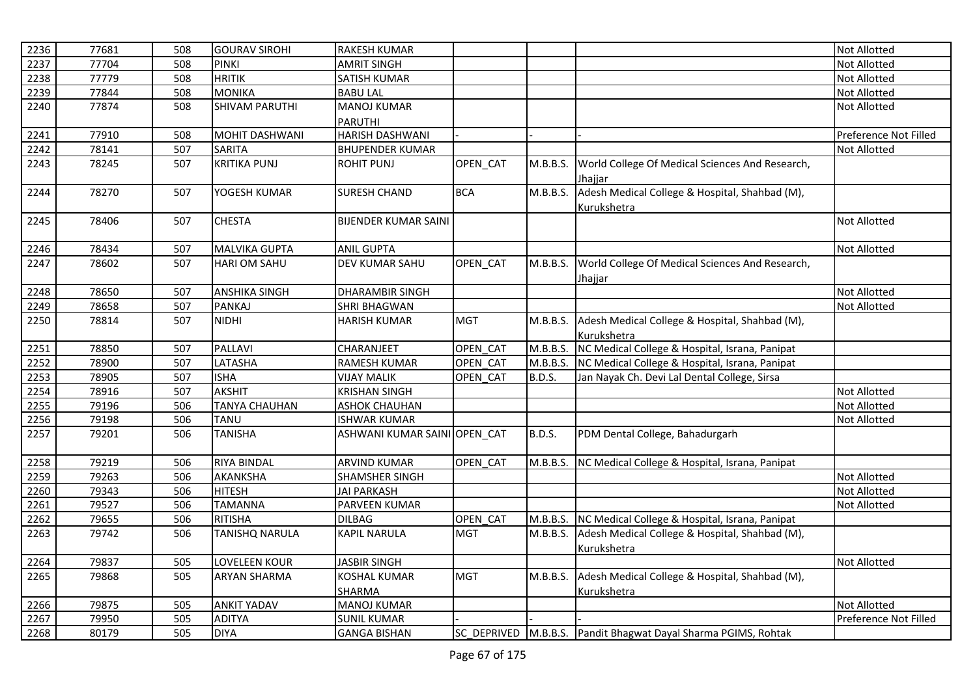| 2236 | 77681 | 508 | <b>GOURAV SIROHI</b>  | <b>RAKESH KUMAR</b>          |            |               |                                                                | <b>Not Allotted</b>   |
|------|-------|-----|-----------------------|------------------------------|------------|---------------|----------------------------------------------------------------|-----------------------|
| 2237 | 77704 | 508 | <b>PINKI</b>          | <b>AMRIT SINGH</b>           |            |               |                                                                | <b>Not Allotted</b>   |
| 2238 | 77779 | 508 | <b>HRITIK</b>         | <b>SATISH KUMAR</b>          |            |               |                                                                | <b>Not Allotted</b>   |
| 2239 | 77844 | 508 | <b>MONIKA</b>         | <b>BABU LAL</b>              |            |               |                                                                | Not Allotted          |
| 2240 | 77874 | 508 | <b>SHIVAM PARUTHI</b> | <b>MANOJ KUMAR</b>           |            |               |                                                                | <b>Not Allotted</b>   |
|      |       |     |                       | <b>PARUTHI</b>               |            |               |                                                                |                       |
| 2241 | 77910 | 508 | <b>MOHIT DASHWANI</b> | <b>HARISH DASHWANI</b>       |            |               |                                                                | Preference Not Filled |
| 2242 | 78141 | 507 | <b>SARITA</b>         | <b>BHUPENDER KUMAR</b>       |            |               |                                                                | Not Allotted          |
| 2243 | 78245 | 507 | <b>KRITIKA PUNJ</b>   | <b>ROHIT PUNJ</b>            | OPEN_CAT   | M.B.B.S.      | World College Of Medical Sciences And Research,                |                       |
|      |       |     |                       |                              |            |               | Jhajjar                                                        |                       |
| 2244 | 78270 | 507 | YOGESH KUMAR          | <b>SURESH CHAND</b>          | <b>BCA</b> | M.B.B.S.      | Adesh Medical College & Hospital, Shahbad (M),                 |                       |
|      |       |     |                       |                              |            |               | Kurukshetra                                                    |                       |
| 2245 | 78406 | 507 | <b>CHESTA</b>         | <b>BIJENDER KUMAR SAINI</b>  |            |               |                                                                | <b>Not Allotted</b>   |
| 2246 | 78434 | 507 | <b>MALVIKA GUPTA</b>  | <b>ANIL GUPTA</b>            |            |               |                                                                | <b>Not Allotted</b>   |
| 2247 | 78602 | 507 | <b>HARI OM SAHU</b>   | <b>DEV KUMAR SAHU</b>        | OPEN CAT   | M.B.B.S.      | World College Of Medical Sciences And Research,                |                       |
|      |       |     |                       |                              |            |               | Jhajjar                                                        |                       |
| 2248 | 78650 | 507 | <b>ANSHIKA SINGH</b>  | <b>DHARAMBIR SINGH</b>       |            |               |                                                                | Not Allotted          |
| 2249 | 78658 | 507 | <b>PANKAJ</b>         | <b>SHRI BHAGWAN</b>          |            |               |                                                                | <b>Not Allotted</b>   |
| 2250 | 78814 | 507 | <b>NIDHI</b>          | <b>HARISH KUMAR</b>          | <b>MGT</b> | M.B.B.S.      | Adesh Medical College & Hospital, Shahbad (M),                 |                       |
|      |       |     |                       |                              |            |               | Kurukshetra                                                    |                       |
| 2251 | 78850 | 507 | PALLAVI               | CHARANJEET                   | OPEN CAT   | M.B.B.S.      | NC Medical College & Hospital, Israna, Panipat                 |                       |
| 2252 | 78900 | 507 | LATASHA               | <b>RAMESH KUMAR</b>          | OPEN CAT   | M.B.B.S.      | NC Medical College & Hospital, Israna, Panipat                 |                       |
| 2253 | 78905 | 507 | <b>ISHA</b>           | <b>VIJAY MALIK</b>           | OPEN CAT   | <b>B.D.S.</b> | Jan Nayak Ch. Devi Lal Dental College, Sirsa                   |                       |
| 2254 | 78916 | 507 | <b>AKSHIT</b>         | <b>KRISHAN SINGH</b>         |            |               |                                                                | Not Allotted          |
| 2255 | 79196 | 506 | <b>TANYA CHAUHAN</b>  | <b>ASHOK CHAUHAN</b>         |            |               |                                                                | <b>Not Allotted</b>   |
| 2256 | 79198 | 506 | <b>TANU</b>           | <b>ISHWAR KUMAR</b>          |            |               |                                                                | Not Allotted          |
| 2257 | 79201 | 506 | <b>TANISHA</b>        | ASHWANI KUMAR SAINI OPEN CAT |            | <b>B.D.S.</b> | PDM Dental College, Bahadurgarh                                |                       |
| 2258 | 79219 | 506 | <b>RIYA BINDAL</b>    | ARVIND KUMAR                 | OPEN CAT   | M.B.B.S.      | NC Medical College & Hospital, Israna, Panipat                 |                       |
| 2259 | 79263 | 506 | <b>AKANKSHA</b>       | SHAMSHER SINGH               |            |               |                                                                | Not Allotted          |
| 2260 | 79343 | 506 | <b>HITESH</b>         | <b>JAI PARKASH</b>           |            |               |                                                                | Not Allotted          |
| 2261 | 79527 | 506 | <b>TAMANNA</b>        | PARVEEN KUMAR                |            |               |                                                                | <b>Not Allotted</b>   |
| 2262 | 79655 | 506 | <b>RITISHA</b>        | <b>DILBAG</b>                | OPEN CAT   | M.B.B.S.      | NC Medical College & Hospital, Israna, Panipat                 |                       |
| 2263 | 79742 | 506 | TANISHQ NARULA        | <b>KAPIL NARULA</b>          | <b>MGT</b> | M.B.B.S.      | Adesh Medical College & Hospital, Shahbad (M),                 |                       |
|      |       |     |                       |                              |            |               | Kurukshetra                                                    |                       |
| 2264 | 79837 | 505 | LOVELEEN KOUR         | <b>JASBIR SINGH</b>          |            |               |                                                                | <b>Not Allotted</b>   |
| 2265 | 79868 | 505 | <b>ARYAN SHARMA</b>   | <b>KOSHAL KUMAR</b>          | <b>MGT</b> | M.B.B.S.      | Adesh Medical College & Hospital, Shahbad (M),                 |                       |
|      |       |     |                       | SHARMA                       |            |               | Kurukshetra                                                    |                       |
| 2266 | 79875 | 505 | <b>ANKIT YADAV</b>    | <b>MANOJ KUMAR</b>           |            |               |                                                                | <b>Not Allotted</b>   |
| 2267 | 79950 | 505 | <b>ADITYA</b>         | <b>SUNIL KUMAR</b>           |            |               |                                                                | Preference Not Filled |
| 2268 | 80179 | 505 | <b>DIYA</b>           | <b>GANGA BISHAN</b>          |            |               | SC_DEPRIVED M.B.B.S. Pandit Bhagwat Dayal Sharma PGIMS, Rohtak |                       |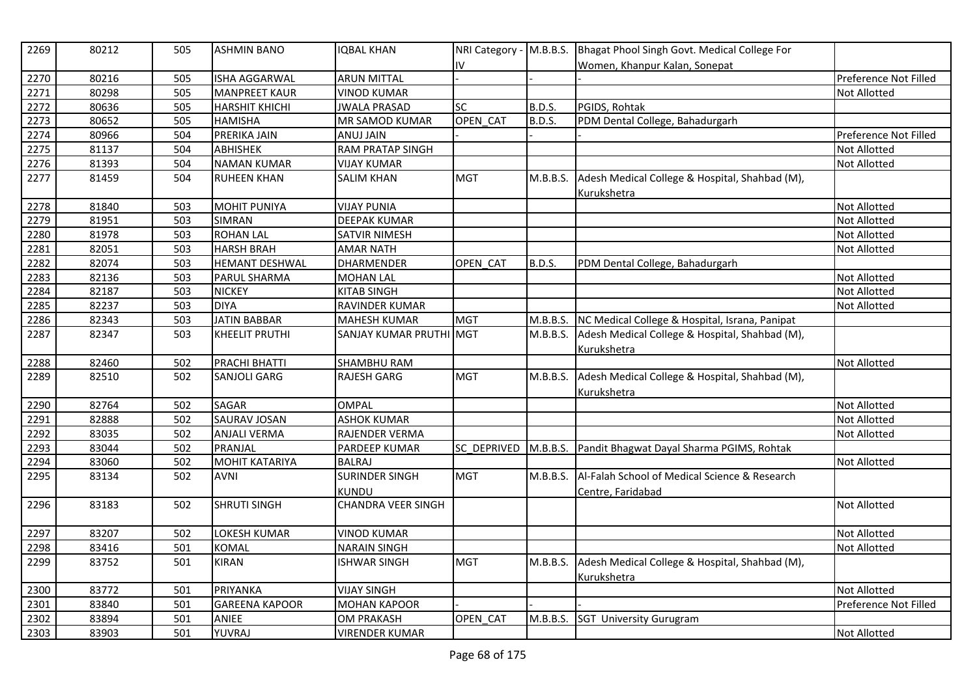| 2269 | 80212 | 505 | <b>ASHMIN BANO</b>    | <b>IQBAL KHAN</b>         | NRI Category - M.B.B.S. |               | Bhagat Phool Singh Govt. Medical College For   |                       |
|------|-------|-----|-----------------------|---------------------------|-------------------------|---------------|------------------------------------------------|-----------------------|
|      |       |     |                       |                           | I۷                      |               | Women, Khanpur Kalan, Sonepat                  |                       |
| 2270 | 80216 | 505 | <b>ISHA AGGARWAL</b>  | <b>ARUN MITTAL</b>        |                         |               |                                                | Preference Not Filled |
| 2271 | 80298 | 505 | <b>MANPREET KAUR</b>  | <b>VINOD KUMAR</b>        |                         |               |                                                | Not Allotted          |
| 2272 | 80636 | 505 | <b>HARSHIT KHICHI</b> | <b>JWALA PRASAD</b>       | <b>SC</b>               | B.D.S.        | PGIDS, Rohtak                                  |                       |
| 2273 | 80652 | 505 | <b>HAMISHA</b>        | MR SAMOD KUMAR            | OPEN CAT                | <b>B.D.S.</b> | PDM Dental College, Bahadurgarh                |                       |
| 2274 | 80966 | 504 | PRERIKA JAIN          | <b>ANUJ JAIN</b>          |                         |               |                                                | Preference Not Filled |
| 2275 | 81137 | 504 | <b>ABHISHEK</b>       | <b>RAM PRATAP SINGH</b>   |                         |               |                                                | Not Allotted          |
| 2276 | 81393 | 504 | <b>NAMAN KUMAR</b>    | <b>VIJAY KUMAR</b>        |                         |               |                                                | <b>Not Allotted</b>   |
| 2277 | 81459 | 504 | <b>RUHEEN KHAN</b>    | <b>SALIM KHAN</b>         | <b>MGT</b>              | M.B.B.S.      | Adesh Medical College & Hospital, Shahbad (M), |                       |
|      |       |     |                       |                           |                         |               | Kurukshetra                                    |                       |
| 2278 | 81840 | 503 | <b>MOHIT PUNIYA</b>   | <b>VIJAY PUNIA</b>        |                         |               |                                                | Not Allotted          |
| 2279 | 81951 | 503 | <b>SIMRAN</b>         | <b>DEEPAK KUMAR</b>       |                         |               |                                                | Not Allotted          |
| 2280 | 81978 | 503 | <b>ROHAN LAL</b>      | SATVIR NIMESH             |                         |               |                                                | Not Allotted          |
| 2281 | 82051 | 503 | <b>HARSH BRAH</b>     | <b>AMAR NATH</b>          |                         |               |                                                | Not Allotted          |
| 2282 | 82074 | 503 | <b>HEMANT DESHWAL</b> | <b>DHARMENDER</b>         | OPEN CAT                | <b>B.D.S.</b> | PDM Dental College, Bahadurgarh                |                       |
| 2283 | 82136 | 503 | PARUL SHARMA          | <b>MOHAN LAL</b>          |                         |               |                                                | Not Allotted          |
| 2284 | 82187 | 503 | <b>NICKEY</b>         | <b>KITAB SINGH</b>        |                         |               |                                                | Not Allotted          |
| 2285 | 82237 | 503 | <b>DIYA</b>           | RAVINDER KUMAR            |                         |               |                                                | Not Allotted          |
| 2286 | 82343 | 503 | <b>JATIN BABBAR</b>   | <b>MAHESH KUMAR</b>       | <b>MGT</b>              | M.B.B.S.      | NC Medical College & Hospital, Israna, Panipat |                       |
| 2287 | 82347 | 503 | <b>KHEELIT PRUTHI</b> | SANJAY KUMAR PRUTHI MGT   |                         | M.B.B.S.      | Adesh Medical College & Hospital, Shahbad (M), |                       |
|      |       |     |                       |                           |                         |               | Kurukshetra                                    |                       |
| 2288 | 82460 | 502 | PRACHI BHATTI         | SHAMBHU RAM               |                         |               |                                                | Not Allotted          |
| 2289 | 82510 | 502 | <b>SANJOLI GARG</b>   | <b>RAJESH GARG</b>        | <b>MGT</b>              | M.B.B.S.      | Adesh Medical College & Hospital, Shahbad (M), |                       |
|      |       |     |                       |                           |                         |               | Kurukshetra                                    |                       |
| 2290 | 82764 | 502 | <b>SAGAR</b>          | <b>OMPAL</b>              |                         |               |                                                | Not Allotted          |
| 2291 | 82888 | 502 | SAURAV JOSAN          | <b>ASHOK KUMAR</b>        |                         |               |                                                | Not Allotted          |
| 2292 | 83035 | 502 | <b>ANJALI VERMA</b>   | RAJENDER VERMA            |                         |               |                                                | Not Allotted          |
| 2293 | 83044 | 502 | PRANJAL               | PARDEEP KUMAR             | SC_DEPRIVED             | M.B.B.S.      | Pandit Bhagwat Dayal Sharma PGIMS, Rohtak      |                       |
| 2294 | 83060 | 502 | <b>MOHIT KATARIYA</b> | <b>BALRAJ</b>             |                         |               |                                                | Not Allotted          |
| 2295 | 83134 | 502 | <b>AVNI</b>           | <b>SURINDER SINGH</b>     | <b>MGT</b>              | M.B.B.S.      | Al-Falah School of Medical Science & Research  |                       |
|      |       |     |                       | KUNDU                     |                         |               | Centre, Faridabad                              |                       |
| 2296 | 83183 | 502 | <b>SHRUTI SINGH</b>   | <b>CHANDRA VEER SINGH</b> |                         |               |                                                | <b>Not Allotted</b>   |
|      |       |     |                       |                           |                         |               |                                                |                       |
| 2297 | 83207 | 502 | LOKESH KUMAR          | <b>VINOD KUMAR</b>        |                         |               |                                                | <b>Not Allotted</b>   |
| 2298 | 83416 | 501 | <b>KOMAL</b>          | <b>NARAIN SINGH</b>       |                         |               |                                                | Not Allotted          |
| 2299 | 83752 | 501 | <b>KIRAN</b>          | <b>ISHWAR SINGH</b>       | <b>MGT</b>              | M.B.B.S.      | Adesh Medical College & Hospital, Shahbad (M), |                       |
|      |       |     |                       |                           |                         |               | Kurukshetra                                    |                       |
| 2300 | 83772 | 501 | <b>PRIYANKA</b>       | <b>VIJAY SINGH</b>        |                         |               |                                                | <b>Not Allotted</b>   |
| 2301 | 83840 | 501 | <b>GAREENA KAPOOR</b> | <b>MOHAN KAPOOR</b>       |                         |               |                                                | Preference Not Filled |
| 2302 | 83894 | 501 | ANIEE                 | <b>OM PRAKASH</b>         | OPEN_CAT                |               | M.B.B.S. SGT University Gurugram               |                       |
| 2303 | 83903 | 501 | YUVRAJ                | <b>VIRENDER KUMAR</b>     |                         |               |                                                | Not Allotted          |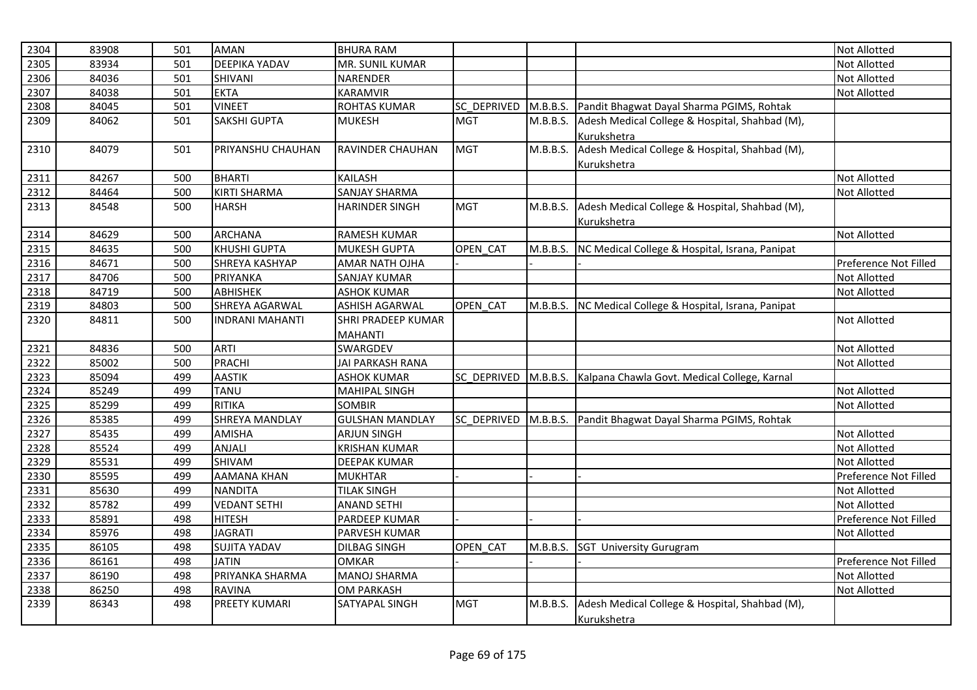| 2304 | 83908 | 501 | <b>AMAN</b>            | <b>BHURA RAM</b>        |                    |          |                                                         | Not Allotted          |
|------|-------|-----|------------------------|-------------------------|--------------------|----------|---------------------------------------------------------|-----------------------|
| 2305 | 83934 | 501 | <b>DEEPIKA YADAV</b>   | MR. SUNIL KUMAR         |                    |          |                                                         | Not Allotted          |
| 2306 | 84036 | 501 | SHIVANI                | NARENDER                |                    |          |                                                         | <b>Not Allotted</b>   |
| 2307 | 84038 | 501 | <b>EKTA</b>            | <b>KARAMVIR</b>         |                    |          |                                                         | Not Allotted          |
| 2308 | 84045 | 501 | <b>VINEET</b>          | <b>ROHTAS KUMAR</b>     | <b>SC DEPRIVED</b> | M.B.B.S. | Pandit Bhagwat Dayal Sharma PGIMS, Rohtak               |                       |
| 2309 | 84062 | 501 | <b>SAKSHI GUPTA</b>    | <b>MUKESH</b>           | <b>MGT</b>         | M.B.B.S. | Adesh Medical College & Hospital, Shahbad (M),          |                       |
|      |       |     |                        |                         |                    |          | Kurukshetra                                             |                       |
| 2310 | 84079 | 501 | PRIYANSHU CHAUHAN      | <b>RAVINDER CHAUHAN</b> | <b>MGT</b>         | M.B.B.S. | Adesh Medical College & Hospital, Shahbad (M),          |                       |
|      |       |     |                        |                         |                    |          | Kurukshetra                                             |                       |
| 2311 | 84267 | 500 | <b>BHARTI</b>          | <b>KAILASH</b>          |                    |          |                                                         | <b>Not Allotted</b>   |
| 2312 | 84464 | 500 | <b>KIRTI SHARMA</b>    | <b>SANJAY SHARMA</b>    |                    |          |                                                         | Not Allotted          |
| 2313 | 84548 | 500 | <b>HARSH</b>           | <b>HARINDER SINGH</b>   | <b>MGT</b>         | M.B.B.S. | Adesh Medical College & Hospital, Shahbad (M),          |                       |
|      |       |     |                        |                         |                    |          | Kurukshetra                                             |                       |
| 2314 | 84629 | 500 | <b>ARCHANA</b>         | <b>RAMESH KUMAR</b>     |                    |          |                                                         | <b>Not Allotted</b>   |
| 2315 | 84635 | 500 | <b>KHUSHI GUPTA</b>    | <b>MUKESH GUPTA</b>     | OPEN CAT           | M.B.B.S. | NC Medical College & Hospital, Israna, Panipat          |                       |
| 2316 | 84671 | 500 | <b>SHREYA KASHYAP</b>  | AMAR NATH OJHA          |                    |          |                                                         | Preference Not Filled |
| 2317 | 84706 | 500 | PRIYANKA               | SANJAY KUMAR            |                    |          |                                                         | <b>Not Allotted</b>   |
| 2318 | 84719 | 500 | ABHISHEK               | <b>ASHOK KUMAR</b>      |                    |          |                                                         | Not Allotted          |
| 2319 | 84803 | 500 | <b>SHREYA AGARWAL</b>  | <b>ASHISH AGARWAL</b>   | OPEN CAT           |          | M.B.B.S. NC Medical College & Hospital, Israna, Panipat |                       |
| 2320 | 84811 | 500 | <b>INDRANI MAHANTI</b> | SHRI PRADEEP KUMAR      |                    |          |                                                         | <b>Not Allotted</b>   |
|      |       |     |                        | <b>MAHANTI</b>          |                    |          |                                                         |                       |
| 2321 | 84836 | 500 | <b>ARTI</b>            | SWARGDEV                |                    |          |                                                         | <b>Not Allotted</b>   |
| 2322 | 85002 | 500 | <b>PRACHI</b>          | JAI PARKASH RANA        |                    |          |                                                         | Not Allotted          |
| 2323 | 85094 | 499 | <b>AASTIK</b>          | <b>ASHOK KUMAR</b>      | SC_DEPRIVED        |          | M.B.B.S. Kalpana Chawla Govt. Medical College, Karnal   |                       |
| 2324 | 85249 | 499 | <b>TANU</b>            | <b>MAHIPAL SINGH</b>    |                    |          |                                                         | <b>Not Allotted</b>   |
| 2325 | 85299 | 499 | <b>RITIKA</b>          | <b>SOMBIR</b>           |                    |          |                                                         | Not Allotted          |
| 2326 | 85385 | 499 | <b>SHREYA MANDLAY</b>  | <b>GULSHAN MANDLAY</b>  | <b>SC DEPRIVED</b> | M.B.B.S. | Pandit Bhagwat Dayal Sharma PGIMS, Rohtak               |                       |
| 2327 | 85435 | 499 | <b>AMISHA</b>          | ARJUN SINGH             |                    |          |                                                         | Not Allotted          |
| 2328 | 85524 | 499 | ANJALI                 | <b>KRISHAN KUMAR</b>    |                    |          |                                                         | Not Allotted          |
| 2329 | 85531 | 499 | SHIVAM                 | <b>DEEPAK KUMAR</b>     |                    |          |                                                         | <b>Not Allotted</b>   |
| 2330 | 85595 | 499 | <b>AAMANA KHAN</b>     | <b>MUKHTAR</b>          |                    |          |                                                         | Preference Not Filled |
| 2331 | 85630 | 499 | <b>NANDITA</b>         | <b>TILAK SINGH</b>      |                    |          |                                                         | <b>Not Allotted</b>   |
| 2332 | 85782 | 499 | <b>VEDANT SETHI</b>    | <b>ANAND SETHI</b>      |                    |          |                                                         | <b>Not Allotted</b>   |
| 2333 | 85891 | 498 | <b>HITESH</b>          | PARDEEP KUMAR           |                    |          |                                                         | Preference Not Filled |
| 2334 | 85976 | 498 | <b>JAGRATI</b>         | PARVESH KUMAR           |                    |          |                                                         | <b>Not Allotted</b>   |
| 2335 | 86105 | 498 | <b>SUJITA YADAV</b>    | <b>DILBAG SINGH</b>     | OPEN CAT           | M.B.B.S. | <b>SGT University Gurugram</b>                          |                       |
| 2336 | 86161 | 498 | <b>JATIN</b>           | <b>OMKAR</b>            |                    |          |                                                         | Preference Not Filled |
| 2337 | 86190 | 498 | PRIYANKA SHARMA        | <b>MANOJ SHARMA</b>     |                    |          |                                                         | <b>Not Allotted</b>   |
| 2338 | 86250 | 498 | <b>RAVINA</b>          | <b>OM PARKASH</b>       |                    |          |                                                         | Not Allotted          |
| 2339 | 86343 | 498 | <b>PREETY KUMARI</b>   | SATYAPAL SINGH          | <b>MGT</b>         | M.B.B.S. | Adesh Medical College & Hospital, Shahbad (M),          |                       |
|      |       |     |                        |                         |                    |          | Kurukshetra                                             |                       |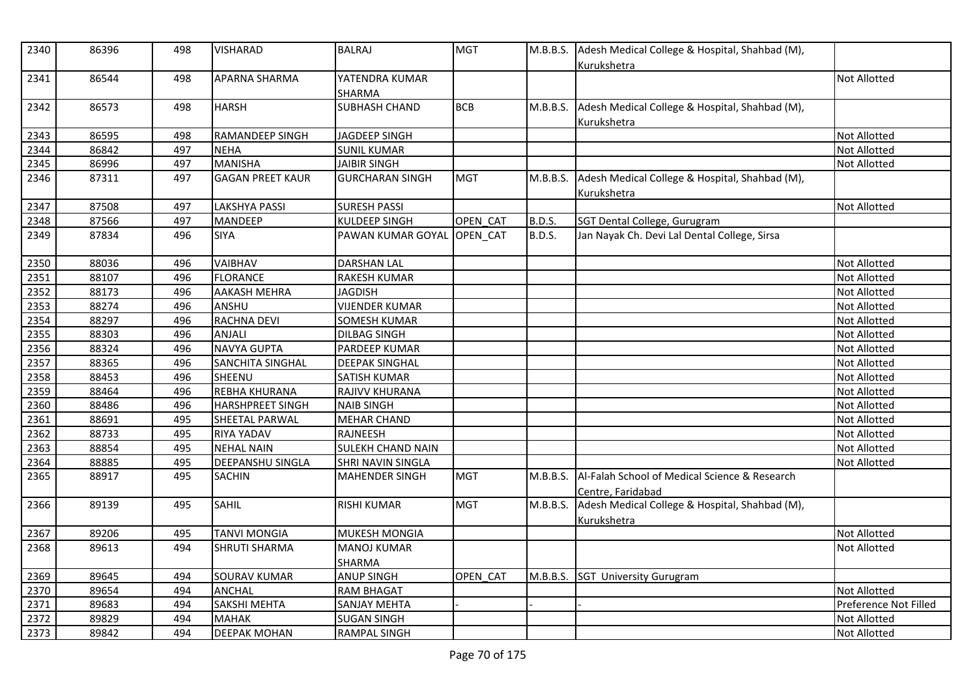| 2340 | 86396 | 498 | <b>VISHARAD</b>         | <b>BALRAJ</b>            | <b>MGT</b> | M.B.B.S.      | Adesh Medical College & Hospital, Shahbad (M),<br>Kurukshetra      |                       |
|------|-------|-----|-------------------------|--------------------------|------------|---------------|--------------------------------------------------------------------|-----------------------|
| 2341 | 86544 | 498 | <b>APARNA SHARMA</b>    | YATENDRA KUMAR<br>SHARMA |            |               |                                                                    | <b>Not Allotted</b>   |
| 2342 | 86573 | 498 | <b>HARSH</b>            | <b>SUBHASH CHAND</b>     | <b>BCB</b> | M.B.B.S.      | Adesh Medical College & Hospital, Shahbad (M),<br>Kurukshetra      |                       |
| 2343 | 86595 | 498 | <b>RAMANDEEP SINGH</b>  | <b>JAGDEEP SINGH</b>     |            |               |                                                                    | <b>Not Allotted</b>   |
| 2344 | 86842 | 497 | <b>NEHA</b>             | <b>SUNIL KUMAR</b>       |            |               |                                                                    | <b>Not Allotted</b>   |
| 2345 | 86996 | 497 | <b>MANISHA</b>          | <b>JAIBIR SINGH</b>      |            |               |                                                                    | <b>Not Allotted</b>   |
| 2346 | 87311 | 497 | <b>GAGAN PREET KAUR</b> | <b>GURCHARAN SINGH</b>   | <b>MGT</b> | M.B.B.S.      | Adesh Medical College & Hospital, Shahbad (M),<br>Kurukshetra      |                       |
| 2347 | 87508 | 497 | <b>LAKSHYA PASSI</b>    | <b>SURESH PASSI</b>      |            |               |                                                                    | <b>Not Allotted</b>   |
| 2348 | 87566 | 497 | <b>MANDEEP</b>          | <b>KULDEEP SINGH</b>     | OPEN CAT   | <b>B.D.S.</b> | SGT Dental College, Gurugram                                       |                       |
| 2349 | 87834 | 496 | <b>SIYA</b>             | PAWAN KUMAR GOYAL        | OPEN_CAT   | <b>B.D.S.</b> | Jan Nayak Ch. Devi Lal Dental College, Sirsa                       |                       |
| 2350 | 88036 | 496 | <b>VAIBHAV</b>          | <b>DARSHAN LAL</b>       |            |               |                                                                    | <b>Not Allotted</b>   |
| 2351 | 88107 | 496 | <b>FLORANCE</b>         | <b>RAKESH KUMAR</b>      |            |               |                                                                    | <b>Not Allotted</b>   |
| 2352 | 88173 | 496 | <b>AAKASH MEHRA</b>     | <b>JAGDISH</b>           |            |               |                                                                    | Not Allotted          |
| 2353 | 88274 | 496 | ANSHU                   | <b>VIJENDER KUMAR</b>    |            |               |                                                                    | <b>Not Allotted</b>   |
| 2354 | 88297 | 496 | RACHNA DEVI             | <b>SOMESH KUMAR</b>      |            |               |                                                                    | <b>Not Allotted</b>   |
| 2355 | 88303 | 496 | <b>ANJALI</b>           | <b>DILBAG SINGH</b>      |            |               |                                                                    | Not Allotted          |
| 2356 | 88324 | 496 | <b>NAVYA GUPTA</b>      | PARDEEP KUMAR            |            |               |                                                                    | <b>Not Allotted</b>   |
| 2357 | 88365 | 496 | SANCHITA SINGHAL        | <b>DEEPAK SINGHAL</b>    |            |               |                                                                    | Not Allotted          |
| 2358 | 88453 | 496 | SHEENU                  | <b>SATISH KUMAR</b>      |            |               |                                                                    | <b>Not Allotted</b>   |
| 2359 | 88464 | 496 | <b>REBHA KHURANA</b>    | RAJIVV KHURANA           |            |               |                                                                    | Not Allotted          |
| 2360 | 88486 | 496 | <b>HARSHPREET SINGH</b> | <b>NAIB SINGH</b>        |            |               |                                                                    | <b>Not Allotted</b>   |
| 2361 | 88691 | 495 | SHEETAL PARWAL          | <b>MEHAR CHAND</b>       |            |               |                                                                    | <b>Not Allotted</b>   |
| 2362 | 88733 | 495 | <b>RIYA YADAV</b>       | RAJNEESH                 |            |               |                                                                    | Not Allotted          |
| 2363 | 88854 | 495 | <b>NEHAL NAIN</b>       | <b>SULEKH CHAND NAIN</b> |            |               |                                                                    | <b>Not Allotted</b>   |
| 2364 | 88885 | 495 | <b>DEEPANSHU SINGLA</b> | SHRI NAVIN SINGLA        |            |               |                                                                    | <b>Not Allotted</b>   |
| 2365 | 88917 | 495 | <b>SACHIN</b>           | MAHENDER SINGH           | <b>MGT</b> | M.B.B.S.      | Al-Falah School of Medical Science & Research<br>Centre, Faridabad |                       |
| 2366 | 89139 | 495 | <b>SAHIL</b>            | <b>RISHI KUMAR</b>       | <b>MGT</b> | M.B.B.S.      | Adesh Medical College & Hospital, Shahbad (M),<br>Kurukshetra      |                       |
| 2367 | 89206 | 495 | <b>TANVI MONGIA</b>     | MUKESH MONGIA            |            |               |                                                                    | Not Allotted          |
| 2368 | 89613 | 494 | <b>SHRUTI SHARMA</b>    | <b>MANOJ KUMAR</b>       |            |               |                                                                    | <b>Not Allotted</b>   |
|      |       |     |                         | <b>SHARMA</b>            |            |               |                                                                    |                       |
| 2369 | 89645 | 494 | <b>SOURAV KUMAR</b>     | <b>ANUP SINGH</b>        | OPEN_CAT   |               | M.B.B.S. SGT University Gurugram                                   |                       |
| 2370 | 89654 | 494 | <b>ANCHAL</b>           | <b>RAM BHAGAT</b>        |            |               |                                                                    | <b>Not Allotted</b>   |
| 2371 | 89683 | 494 | SAKSHI MEHTA            | <b>SANJAY MEHTA</b>      |            |               |                                                                    | Preference Not Filled |
| 2372 | 89829 | 494 | <b>MAHAK</b>            | <b>SUGAN SINGH</b>       |            |               |                                                                    | <b>Not Allotted</b>   |
| 2373 | 89842 | 494 | <b>DEEPAK MOHAN</b>     | <b>RAMPAL SINGH</b>      |            |               |                                                                    | <b>Not Allotted</b>   |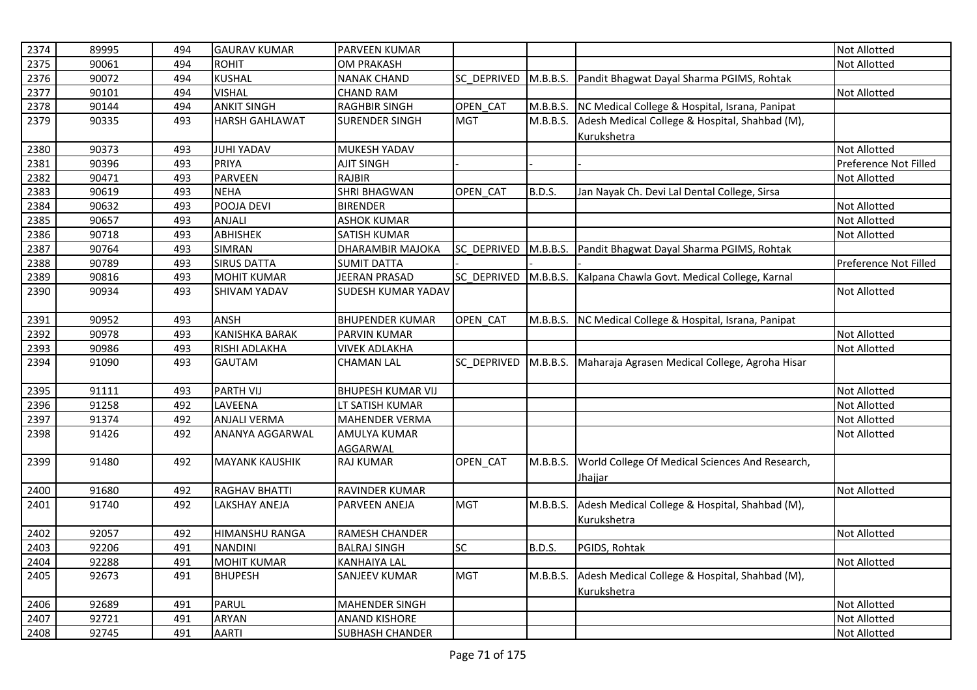| 2374 | 89995 | 494 | <b>GAURAV KUMAR</b>   | PARVEEN KUMAR            |                 |          |                                                                   | Not Allotted          |
|------|-------|-----|-----------------------|--------------------------|-----------------|----------|-------------------------------------------------------------------|-----------------------|
| 2375 | 90061 | 494 | <b>ROHIT</b>          | <b>OM PRAKASH</b>        |                 |          |                                                                   | <b>Not Allotted</b>   |
| 2376 | 90072 | 494 | <b>KUSHAL</b>         | <b>NANAK CHAND</b>       | SC_DEPRIVED     |          | M.B.B.S. Pandit Bhagwat Dayal Sharma PGIMS, Rohtak                |                       |
| 2377 | 90101 | 494 | <b>VISHAL</b>         | <b>CHAND RAM</b>         |                 |          |                                                                   | <b>Not Allotted</b>   |
| 2378 | 90144 | 494 | <b>ANKIT SINGH</b>    | <b>RAGHBIR SINGH</b>     | OPEN_CAT        |          | M.B.B.S. NC Medical College & Hospital, Israna, Panipat           |                       |
| 2379 | 90335 | 493 | <b>HARSH GAHLAWAT</b> | <b>SURENDER SINGH</b>    | <b>MGT</b>      |          | M.B.B.S. Adesh Medical College & Hospital, Shahbad (M),           |                       |
|      |       |     |                       |                          |                 |          | Kurukshetra                                                       |                       |
| 2380 | 90373 | 493 | <b>JUHI YADAV</b>     | MUKESH YADAV             |                 |          |                                                                   | <b>Not Allotted</b>   |
| 2381 | 90396 | 493 | <b>PRIYA</b>          | <b>AJIT SINGH</b>        |                 |          |                                                                   | Preference Not Filled |
| 2382 | 90471 | 493 | PARVEEN               | RAJBIR                   |                 |          |                                                                   | <b>Not Allotted</b>   |
| 2383 | 90619 | 493 | <b>NEHA</b>           | <b>SHRI BHAGWAN</b>      | OPEN CAT        | B.D.S.   | Jan Nayak Ch. Devi Lal Dental College, Sirsa                      |                       |
| 2384 | 90632 | 493 | POOJA DEVI            | <b>BIRENDER</b>          |                 |          |                                                                   | <b>Not Allotted</b>   |
| 2385 | 90657 | 493 | <b>ANJALI</b>         | <b>ASHOK KUMAR</b>       |                 |          |                                                                   | <b>Not Allotted</b>   |
| 2386 | 90718 | 493 | ABHISHEK              | SATISH KUMAR             |                 |          |                                                                   | Not Allotted          |
| 2387 | 90764 | 493 | <b>SIMRAN</b>         | DHARAMBIR MAJOKA         | SC_DEPRIVED     |          | M.B.B.S. Pandit Bhagwat Dayal Sharma PGIMS, Rohtak                |                       |
| 2388 | 90789 | 493 | <b>SIRUS DATTA</b>    | <b>SUMIT DATTA</b>       |                 |          |                                                                   | Preference Not Filled |
| 2389 | 90816 | 493 | <b>MOHIT KUMAR</b>    | JEERAN PRASAD            |                 |          | SC_DEPRIVED M.B.B.S. Kalpana Chawla Govt. Medical College, Karnal |                       |
| 2390 | 90934 | 493 | <b>SHIVAM YADAV</b>   | SUDESH KUMAR YADAV       |                 |          |                                                                   | Not Allotted          |
| 2391 | 90952 | 493 | ANSH                  | <b>BHUPENDER KUMAR</b>   | OPEN CAT        |          | M.B.B.S. NC Medical College & Hospital, Israna, Panipat           |                       |
| 2392 | 90978 | 493 | <b>KANISHKA BARAK</b> | <b>PARVIN KUMAR</b>      |                 |          |                                                                   | <b>Not Allotted</b>   |
| 2393 | 90986 | 493 | RISHI ADLAKHA         | <b>VIVEK ADLAKHA</b>     |                 |          |                                                                   | <b>Not Allotted</b>   |
| 2394 | 91090 | 493 | <b>GAUTAM</b>         | <b>CHAMAN LAL</b>        | SC DEPRIVED     |          | M.B.B.S. Maharaja Agrasen Medical College, Agroha Hisar           |                       |
| 2395 | 91111 | 493 | <b>PARTH VIJ</b>      | <b>BHUPESH KUMAR VIJ</b> |                 |          |                                                                   | Not Allotted          |
| 2396 | 91258 | 492 | LAVEENA               | LT SATISH KUMAR          |                 |          |                                                                   | Not Allotted          |
| 2397 | 91374 | 492 | <b>ANJALI VERMA</b>   | MAHENDER VERMA           |                 |          |                                                                   | Not Allotted          |
| 2398 | 91426 | 492 | ANANYA AGGARWAL       | <b>AMULYA KUMAR</b>      |                 |          |                                                                   | <b>Not Allotted</b>   |
|      |       |     |                       | AGGARWAL                 |                 |          |                                                                   |                       |
| 2399 | 91480 | 492 | <b>MAYANK KAUSHIK</b> | <b>RAJ KUMAR</b>         | <b>OPEN CAT</b> | M.B.B.S. | World College Of Medical Sciences And Research,<br><b>Jhajjar</b> |                       |
| 2400 | 91680 | 492 | <b>RAGHAV BHATTI</b>  | RAVINDER KUMAR           |                 |          |                                                                   | <b>Not Allotted</b>   |
| 2401 | 91740 | 492 | <b>LAKSHAY ANEJA</b>  | PARVEEN ANEJA            | <b>MGT</b>      | M.B.B.S. | Adesh Medical College & Hospital, Shahbad (M),                    |                       |
|      |       |     |                       |                          |                 |          | Kurukshetra                                                       |                       |
| 2402 | 92057 | 492 | <b>HIMANSHU RANGA</b> | RAMESH CHANDER           |                 |          |                                                                   | Not Allotted          |
| 2403 | 92206 | 491 | <b>NANDINI</b>        | <b>BALRAJ SINGH</b>      | <b>SC</b>       | B.D.S.   | PGIDS, Rohtak                                                     |                       |
| 2404 | 92288 | 491 | <b>MOHIT KUMAR</b>    | <b>KANHAIYA LAL</b>      |                 |          |                                                                   | <b>Not Allotted</b>   |
| 2405 | 92673 | 491 | <b>BHUPESH</b>        | SANJEEV KUMAR            | <b>MGT</b>      | M.B.B.S. | Adesh Medical College & Hospital, Shahbad (M),                    |                       |
|      |       |     |                       |                          |                 |          | Kurukshetra                                                       |                       |
| 2406 | 92689 | 491 | <b>PARUL</b>          | <b>MAHENDER SINGH</b>    |                 |          |                                                                   | Not Allotted          |
| 2407 | 92721 | 491 | <b>ARYAN</b>          | <b>ANAND KISHORE</b>     |                 |          |                                                                   | Not Allotted          |
| 2408 | 92745 | 491 | <b>AARTI</b>          | <b>SUBHASH CHANDER</b>   |                 |          |                                                                   | <b>Not Allotted</b>   |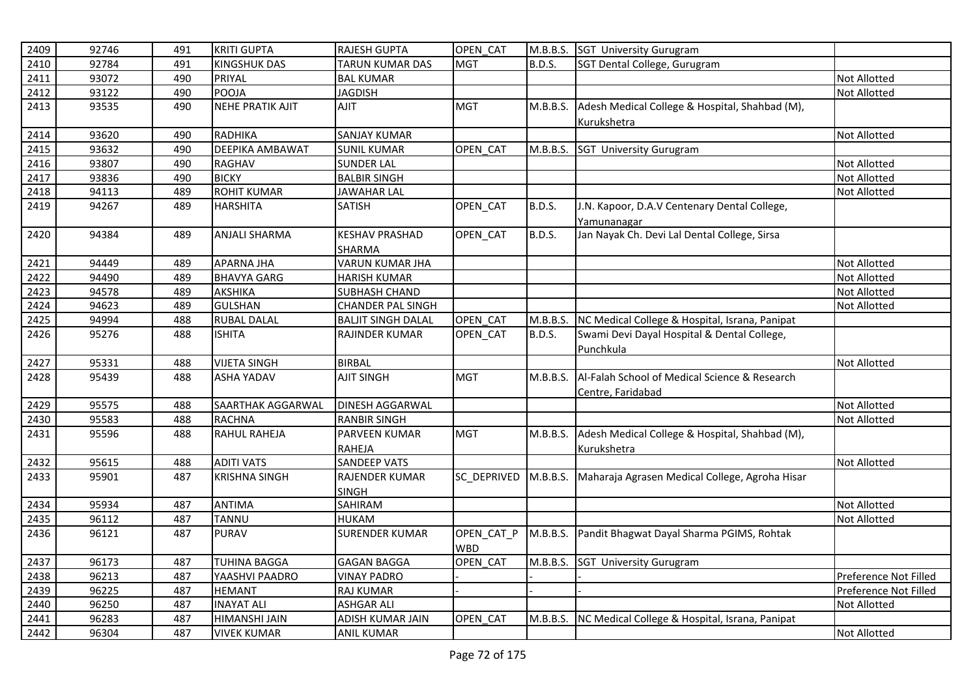| 2409 | 92746 | 491 | <b>KRITI GUPTA</b>      | RAJESH GUPTA              | OPEN CAT    |               | M.B.B.S. SGT University Gurugram                        |                       |
|------|-------|-----|-------------------------|---------------------------|-------------|---------------|---------------------------------------------------------|-----------------------|
| 2410 | 92784 | 491 | <b>KINGSHUK DAS</b>     | <b>TARUN KUMAR DAS</b>    | <b>MGT</b>  | B.D.S.        | SGT Dental College, Gurugram                            |                       |
| 2411 | 93072 | 490 | PRIYAL                  | <b>BAL KUMAR</b>          |             |               |                                                         | Not Allotted          |
| 2412 | 93122 | 490 | POOJA                   | <b>JAGDISH</b>            |             |               |                                                         | <b>Not Allotted</b>   |
| 2413 | 93535 | 490 | <b>NEHE PRATIK AJIT</b> | TILA                      | <b>MGT</b>  | M.B.B.S.      | Adesh Medical College & Hospital, Shahbad (M),          |                       |
|      |       |     |                         |                           |             |               | Kurukshetra                                             |                       |
| 2414 | 93620 | 490 | <b>RADHIKA</b>          | <b>SANJAY KUMAR</b>       |             |               |                                                         | <b>Not Allotted</b>   |
| 2415 | 93632 | 490 | DEEPIKA AMBAWAT         | <b>SUNIL KUMAR</b>        | OPEN CAT    | M.B.B.S.      | <b>SGT University Gurugram</b>                          |                       |
| 2416 | 93807 | 490 | RAGHAV                  | <b>SUNDER LAL</b>         |             |               |                                                         | Not Allotted          |
| 2417 | 93836 | 490 | <b>BICKY</b>            | <b>BALBIR SINGH</b>       |             |               |                                                         | Not Allotted          |
| 2418 | 94113 | 489 | <b>ROHIT KUMAR</b>      | <b>JAWAHAR LAL</b>        |             |               |                                                         | <b>Not Allotted</b>   |
| 2419 | 94267 | 489 | <b>HARSHITA</b>         | <b>SATISH</b>             | OPEN CAT    | <b>B.D.S.</b> | J.N. Kapoor, D.A.V Centenary Dental College,            |                       |
|      |       |     |                         |                           |             |               | Yamunanagar                                             |                       |
| 2420 | 94384 | 489 | ANJALI SHARMA           | <b>KESHAV PRASHAD</b>     | OPEN_CAT    | <b>B.D.S.</b> | Jan Nayak Ch. Devi Lal Dental College, Sirsa            |                       |
|      |       |     |                         | SHARMA                    |             |               |                                                         |                       |
| 2421 | 94449 | 489 | <b>APARNA JHA</b>       | <b>VARUN KUMAR JHA</b>    |             |               |                                                         | <b>Not Allotted</b>   |
| 2422 | 94490 | 489 | <b>BHAVYA GARG</b>      | <b>HARISH KUMAR</b>       |             |               |                                                         | <b>Not Allotted</b>   |
| 2423 | 94578 | 489 | <b>AKSHIKA</b>          | SUBHASH CHAND             |             |               |                                                         | Not Allotted          |
| 2424 | 94623 | 489 | <b>GULSHAN</b>          | <b>CHANDER PAL SINGH</b>  |             |               |                                                         | Not Allotted          |
| 2425 | 94994 | 488 | <b>RUBAL DALAL</b>      | <b>BALJIT SINGH DALAL</b> | OPEN CAT    | M.B.B.S.      | NC Medical College & Hospital, Israna, Panipat          |                       |
| 2426 | 95276 | 488 | <b>ISHITA</b>           | RAJINDER KUMAR            | OPEN CAT    | <b>B.D.S.</b> | Swami Devi Dayal Hospital & Dental College,             |                       |
|      |       |     |                         |                           |             |               | Punchkula                                               |                       |
| 2427 | 95331 | 488 | <b>VIJETA SINGH</b>     | <b>BIRBAL</b>             |             |               |                                                         | Not Allotted          |
| 2428 | 95439 | 488 | <b>ASHA YADAV</b>       | <b>AJIT SINGH</b>         | <b>MGT</b>  | M.B.B.S.      | Al-Falah School of Medical Science & Research           |                       |
|      |       |     |                         |                           |             |               | Centre, Faridabad                                       |                       |
| 2429 | 95575 | 488 | SAARTHAK AGGARWAL       | DINESH AGGARWAL           |             |               |                                                         | <b>Not Allotted</b>   |
| 2430 | 95583 | 488 | <b>RACHNA</b>           | <b>RANBIR SINGH</b>       |             |               |                                                         | Not Allotted          |
| 2431 | 95596 | 488 | <b>RAHUL RAHEJA</b>     | <b>PARVEEN KUMAR</b>      | <b>MGT</b>  | M.B.B.S.      | Adesh Medical College & Hospital, Shahbad (M),          |                       |
|      |       |     |                         | RAHEJA                    |             |               | Kurukshetra                                             |                       |
| 2432 | 95615 | 488 | <b>ADITI VATS</b>       | <b>SANDEEP VATS</b>       |             |               |                                                         | <b>Not Allotted</b>   |
| 2433 | 95901 | 487 | <b>KRISHNA SINGH</b>    | RAJENDER KUMAR            | SC DEPRIVED | M.B.B.S.      | Maharaja Agrasen Medical College, Agroha Hisar          |                       |
|      |       |     |                         | <b>SINGH</b>              |             |               |                                                         |                       |
| 2434 | 95934 | 487 | <b>ANTIMA</b>           | SAHIRAM                   |             |               |                                                         | <b>Not Allotted</b>   |
| 2435 | 96112 | 487 | <b>TANNU</b>            | <b>HUKAM</b>              |             |               |                                                         | <b>Not Allotted</b>   |
| 2436 | 96121 | 487 | <b>PURAV</b>            | <b>SURENDER KUMAR</b>     | OPEN_CAT_P  | M.B.B.S.      | Pandit Bhagwat Dayal Sharma PGIMS, Rohtak               |                       |
|      |       |     |                         |                           | <b>WBD</b>  |               |                                                         |                       |
| 2437 | 96173 | 487 | <b>TUHINA BAGGA</b>     | <b>GAGAN BAGGA</b>        | OPEN CAT    |               | M.B.B.S. SGT University Gurugram                        |                       |
| 2438 | 96213 | 487 | YAASHVI PAADRO          | <b>VINAY PADRO</b>        |             |               |                                                         | Preference Not Filled |
| 2439 | 96225 | 487 | <b>HEMANT</b>           | <b>RAJ KUMAR</b>          |             |               |                                                         | Preference Not Filled |
| 2440 | 96250 | 487 | <b>INAYAT ALI</b>       | <b>ASHGAR ALI</b>         |             |               |                                                         | Not Allotted          |
| 2441 | 96283 | 487 | HIMANSHI JAIN           | ADISH KUMAR JAIN          | OPEN_CAT    |               | M.B.B.S. NC Medical College & Hospital, Israna, Panipat |                       |
| 2442 | 96304 | 487 | <b>VIVEK KUMAR</b>      | <b>ANIL KUMAR</b>         |             |               |                                                         | <b>Not Allotted</b>   |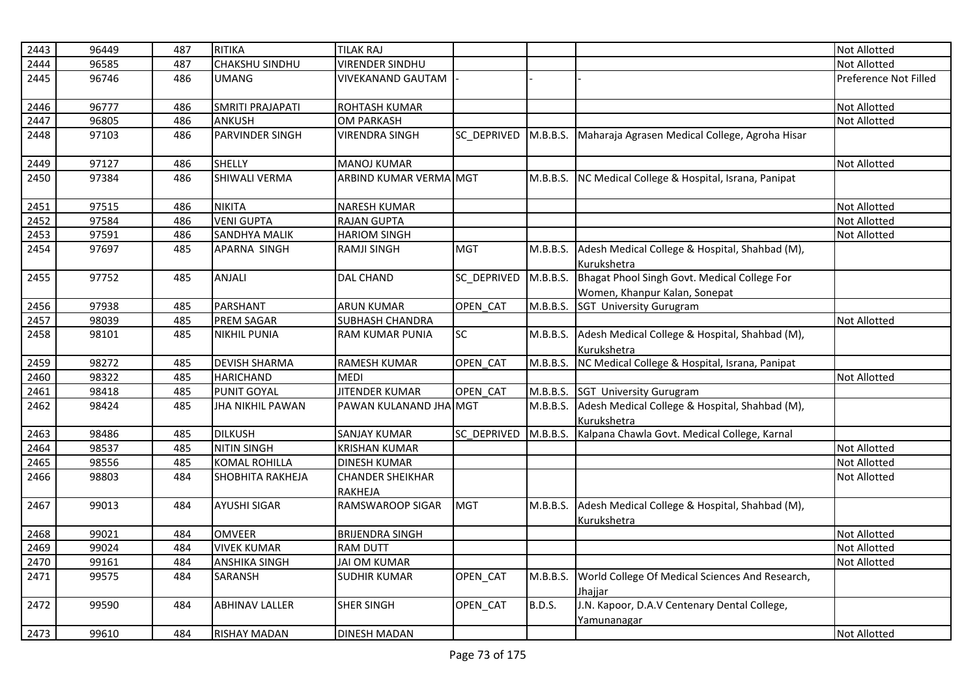| 2443 | 96449 | 487 | <b>RITIKA</b>           | <b>TILAK RAJ</b>                   |                    |               |                                                                               | <b>Not Allotted</b>   |
|------|-------|-----|-------------------------|------------------------------------|--------------------|---------------|-------------------------------------------------------------------------------|-----------------------|
| 2444 | 96585 | 487 | <b>CHAKSHU SINDHU</b>   | <b>VIRENDER SINDHU</b>             |                    |               |                                                                               | <b>Not Allotted</b>   |
| 2445 | 96746 | 486 | <b>UMANG</b>            | <b>VIVEKANAND GAUTAM</b>           |                    |               |                                                                               | Preference Not Filled |
| 2446 | 96777 | 486 | SMRITI PRAJAPATI        | ROHTASH KUMAR                      |                    |               |                                                                               | <b>Not Allotted</b>   |
| 2447 | 96805 | 486 | <b>ANKUSH</b>           | <b>OM PARKASH</b>                  |                    |               |                                                                               | Not Allotted          |
| 2448 | 97103 | 486 | <b>PARVINDER SINGH</b>  | <b>VIRENDRA SINGH</b>              | <b>SC DEPRIVED</b> | M.B.B.S.      | Maharaja Agrasen Medical College, Agroha Hisar                                |                       |
| 2449 | 97127 | 486 | <b>SHELLY</b>           | <b>MANOJ KUMAR</b>                 |                    |               |                                                                               | <b>Not Allotted</b>   |
| 2450 | 97384 | 486 | <b>SHIWALI VERMA</b>    | ARBIND KUMAR VERMA MGT             |                    | M.B.B.S.      | NC Medical College & Hospital, Israna, Panipat                                |                       |
| 2451 | 97515 | 486 | <b>NIKITA</b>           | <b>NARESH KUMAR</b>                |                    |               |                                                                               | Not Allotted          |
| 2452 | 97584 | 486 | <b>VENI GUPTA</b>       | <b>RAJAN GUPTA</b>                 |                    |               |                                                                               | <b>Not Allotted</b>   |
| 2453 | 97591 | 486 | <b>SANDHYA MALIK</b>    | <b>HARIOM SINGH</b>                |                    |               |                                                                               | <b>Not Allotted</b>   |
| 2454 | 97697 | 485 | APARNA SINGH            | <b>RAMJI SINGH</b>                 | <b>MGT</b>         | M.B.B.S.      | Adesh Medical College & Hospital, Shahbad (M),<br>Kurukshetra                 |                       |
| 2455 | 97752 | 485 | ANJALI                  | <b>DAL CHAND</b>                   | SC_DEPRIVED        | M.B.B.S.      | Bhagat Phool Singh Govt. Medical College For<br>Women, Khanpur Kalan, Sonepat |                       |
| 2456 | 97938 | 485 | PARSHANT                | <b>ARUN KUMAR</b>                  | OPEN_CAT           | M.B.B.S.      | <b>SGT University Gurugram</b>                                                |                       |
| 2457 | 98039 | 485 | <b>PREM SAGAR</b>       | <b>SUBHASH CHANDRA</b>             |                    |               |                                                                               | <b>Not Allotted</b>   |
| 2458 | 98101 | 485 | <b>NIKHIL PUNIA</b>     | RAM KUMAR PUNIA                    | <b>SC</b>          | M.B.B.S.      | Adesh Medical College & Hospital, Shahbad (M),<br>Kurukshetra                 |                       |
| 2459 | 98272 | 485 | <b>DEVISH SHARMA</b>    | <b>RAMESH KUMAR</b>                | OPEN CAT           | M.B.B.S.      | NC Medical College & Hospital, Israna, Panipat                                |                       |
| 2460 | 98322 | 485 | <b>HARICHAND</b>        | <b>MEDI</b>                        |                    |               |                                                                               | <b>Not Allotted</b>   |
| 2461 | 98418 | 485 | PUNIT GOYAL             | <b>JITENDER KUMAR</b>              | OPEN CAT           | M.B.B.S.      | <b>SGT University Gurugram</b>                                                |                       |
| 2462 | 98424 | 485 | <b>JHA NIKHIL PAWAN</b> | PAWAN KULANAND JHA MGT             |                    | M.B.B.S.      | Adesh Medical College & Hospital, Shahbad (M),<br>Kurukshetra                 |                       |
| 2463 | 98486 | 485 | <b>DILKUSH</b>          | <b>SANJAY KUMAR</b>                | SC DEPRIVED        | M.B.B.S.      | Kalpana Chawla Govt. Medical College, Karnal                                  |                       |
| 2464 | 98537 | 485 | <b>NITIN SINGH</b>      | <b>KRISHAN KUMAR</b>               |                    |               |                                                                               | Not Allotted          |
| 2465 | 98556 | 485 | <b>KOMAL ROHILLA</b>    | <b>DINESH KUMAR</b>                |                    |               |                                                                               | <b>Not Allotted</b>   |
| 2466 | 98803 | 484 | SHOBHITA RAKHEJA        | <b>CHANDER SHEIKHAR</b><br>RAKHEJA |                    |               |                                                                               | <b>Not Allotted</b>   |
| 2467 | 99013 | 484 | <b>AYUSHI SIGAR</b>     | <b>RAMSWAROOP SIGAR</b>            | <b>MGT</b>         | M.B.B.S.      | Adesh Medical College & Hospital, Shahbad (M),<br>Kurukshetra                 |                       |
| 2468 | 99021 | 484 | <b>OMVEER</b>           | <b>BRIJENDRA SINGH</b>             |                    |               |                                                                               | <b>Not Allotted</b>   |
| 2469 | 99024 | 484 | <b>VIVEK KUMAR</b>      | <b>RAM DUTT</b>                    |                    |               |                                                                               | Not Allotted          |
| 2470 | 99161 | 484 | <b>ANSHIKA SINGH</b>    | <b>JAI OM KUMAR</b>                |                    |               |                                                                               | <b>Not Allotted</b>   |
| 2471 | 99575 | 484 | SARANSH                 | <b>SUDHIR KUMAR</b>                | OPEN_CAT           | M.B.B.S.      | World College Of Medical Sciences And Research,<br>Jhaiiar                    |                       |
| 2472 | 99590 | 484 | <b>ABHINAV LALLER</b>   | <b>SHER SINGH</b>                  | OPEN_CAT           | <b>B.D.S.</b> | J.N. Kapoor, D.A.V Centenary Dental College,<br>Yamunanagar                   |                       |
| 2473 | 99610 | 484 | <b>RISHAY MADAN</b>     | <b>DINESH MADAN</b>                |                    |               |                                                                               | <b>Not Allotted</b>   |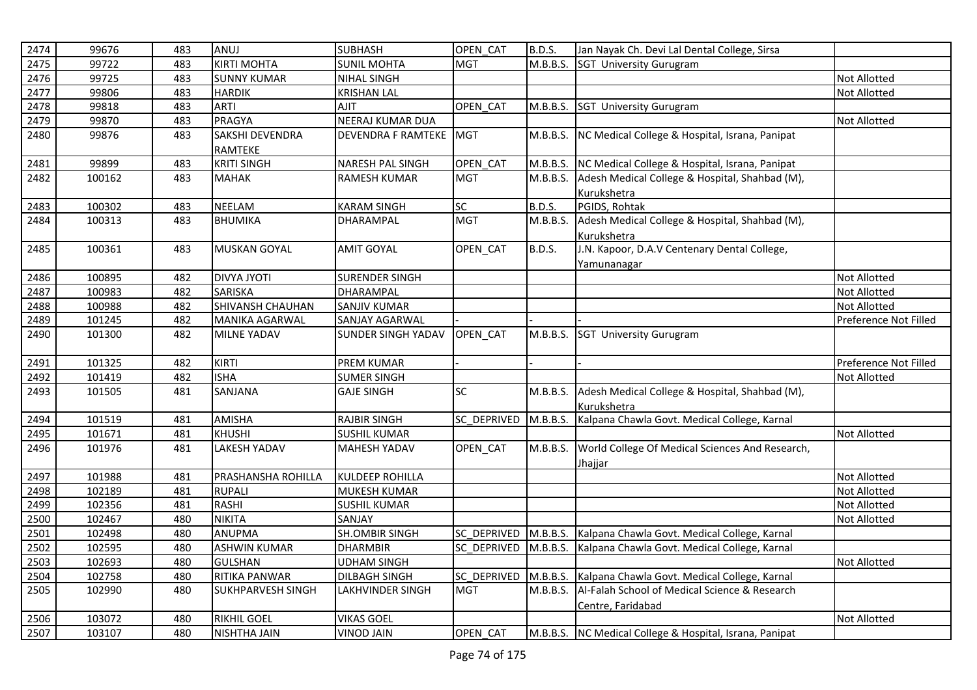| 2474 | 99676  | 483 | ANUJ                     | <b>SUBHASH</b>            | OPEN CAT    | B.D.S.        | Jan Nayak Ch. Devi Lal Dental College, Sirsa                      |                       |
|------|--------|-----|--------------------------|---------------------------|-------------|---------------|-------------------------------------------------------------------|-----------------------|
| 2475 | 99722  | 483 | <b>KIRTI MOHTA</b>       | <b>SUNIL MOHTA</b>        | <b>MGT</b>  | M.B.B.S.      | <b>SGT University Gurugram</b>                                    |                       |
| 2476 | 99725  | 483 | <b>SUNNY KUMAR</b>       | <b>NIHAL SINGH</b>        |             |               |                                                                   | <b>Not Allotted</b>   |
| 2477 | 99806  | 483 | <b>HARDIK</b>            | <b>KRISHAN LAL</b>        |             |               |                                                                   | <b>Not Allotted</b>   |
| 2478 | 99818  | 483 | <b>ARTI</b>              | AJIT                      | OPEN_CAT    | M.B.B.S.      | <b>SGT University Gurugram</b>                                    |                       |
| 2479 | 99870  | 483 | <b>PRAGYA</b>            | NEERAJ KUMAR DUA          |             |               |                                                                   | Not Allotted          |
| 2480 | 99876  | 483 | SAKSHI DEVENDRA          | <b>DEVENDRA F RAMTEKE</b> | <b>MGT</b>  | M.B.B.S.      | NC Medical College & Hospital, Israna, Panipat                    |                       |
|      |        |     | RAMTEKE                  |                           |             |               |                                                                   |                       |
| 2481 | 99899  | 483 | <b>KRITI SINGH</b>       | NARESH PAL SINGH          | OPEN CAT    | M.B.B.S.      | NC Medical College & Hospital, Israna, Panipat                    |                       |
| 2482 | 100162 | 483 | <b>MAHAK</b>             | <b>RAMESH KUMAR</b>       | <b>MGT</b>  | M.B.B.S.      | Adesh Medical College & Hospital, Shahbad (M),                    |                       |
|      |        |     |                          |                           |             |               | Kurukshetra                                                       |                       |
| 2483 | 100302 | 483 | <b>NEELAM</b>            | <b>KARAM SINGH</b>        | <b>SC</b>   | <b>B.D.S.</b> | PGIDS, Rohtak                                                     |                       |
| 2484 | 100313 | 483 | <b>BHUMIKA</b>           | DHARAMPAL                 | <b>MGT</b>  | M.B.B.S.      | Adesh Medical College & Hospital, Shahbad (M),                    |                       |
|      |        |     |                          |                           |             |               | Kurukshetra                                                       |                       |
| 2485 | 100361 | 483 | <b>MUSKAN GOYAL</b>      | <b>AMIT GOYAL</b>         | OPEN_CAT    | B.D.S.        | J.N. Kapoor, D.A.V Centenary Dental College,                      |                       |
|      |        |     |                          |                           |             |               | Yamunanagar                                                       |                       |
| 2486 | 100895 | 482 | <b>DIVYA JYOTI</b>       | <b>SURENDER SINGH</b>     |             |               |                                                                   | <b>Not Allotted</b>   |
| 2487 | 100983 | 482 | SARISKA                  | DHARAMPAL                 |             |               |                                                                   | Not Allotted          |
| 2488 | 100988 | 482 | SHIVANSH CHAUHAN         | <b>SANJIV KUMAR</b>       |             |               |                                                                   | <b>Not Allotted</b>   |
| 2489 | 101245 | 482 | <b>MANIKA AGARWAL</b>    | SANJAY AGARWAL            |             |               |                                                                   | Preference Not Filled |
| 2490 | 101300 | 482 | <b>MILNE YADAV</b>       | <b>SUNDER SINGH YADAV</b> | OPEN_CAT    | M.B.B.S.      | <b>SGT University Gurugram</b>                                    |                       |
|      |        |     |                          |                           |             |               |                                                                   |                       |
| 2491 | 101325 | 482 | <b>KIRTI</b>             | PREM KUMAR                |             |               |                                                                   | Preference Not Filled |
| 2492 | 101419 | 482 | <b>ISHA</b>              | <b>SUMER SINGH</b>        |             |               |                                                                   | <b>Not Allotted</b>   |
| 2493 | 101505 | 481 | SANJANA                  | <b>GAJE SINGH</b>         | SC          | M.B.B.S.      | Adesh Medical College & Hospital, Shahbad (M),                    |                       |
|      |        |     |                          |                           |             |               | Kurukshetra                                                       |                       |
| 2494 | 101519 | 481 | AMISHA                   | <b>RAJBIR SINGH</b>       | SC_DEPRIVED | M.B.B.S.      | Kalpana Chawla Govt. Medical College, Karnal                      |                       |
| 2495 | 101671 | 481 | <b>KHUSHI</b>            | <b>SUSHIL KUMAR</b>       |             |               |                                                                   | <b>Not Allotted</b>   |
| 2496 | 101976 | 481 | <b>LAKESH YADAV</b>      | <b>MAHESH YADAV</b>       | OPEN_CAT    | M.B.B.S.      | World College Of Medical Sciences And Research,                   |                       |
|      |        |     |                          |                           |             |               | Jhajjar                                                           |                       |
| 2497 | 101988 | 481 | PRASHANSHA ROHILLA       | <b>KULDEEP ROHILLA</b>    |             |               |                                                                   | Not Allotted          |
| 2498 | 102189 | 481 | <b>RUPALI</b>            | <b>MUKESH KUMAR</b>       |             |               |                                                                   | Not Allotted          |
| 2499 | 102356 | 481 | RASHI                    | <b>SUSHIL KUMAR</b>       |             |               |                                                                   | <b>Not Allotted</b>   |
| 2500 | 102467 | 480 | <b>NIKITA</b>            | SANJAY                    |             |               |                                                                   | Not Allotted          |
| 2501 | 102498 | 480 | <b>ANUPMA</b>            | <b>SH.OMBIR SINGH</b>     | SC_DEPRIVED |               | M.B.B.S. Kalpana Chawla Govt. Medical College, Karnal             |                       |
| 2502 | 102595 | 480 | <b>ASHWIN KUMAR</b>      | <b>DHARMBIR</b>           |             |               | SC_DEPRIVED M.B.B.S. Kalpana Chawla Govt. Medical College, Karnal |                       |
| 2503 | 102693 | 480 | <b>GULSHAN</b>           | <b>UDHAM SINGH</b>        |             |               |                                                                   | <b>Not Allotted</b>   |
| 2504 | 102758 | 480 | RITIKA PANWAR            | <b>DILBAGH SINGH</b>      | SC_DEPRIVED | M.B.B.S.      | Kalpana Chawla Govt. Medical College, Karnal                      |                       |
| 2505 | 102990 | 480 | <b>SUKHPARVESH SINGH</b> | LAKHVINDER SINGH          | <b>MGT</b>  | M.B.B.S.      | Al-Falah School of Medical Science & Research                     |                       |
|      |        |     |                          |                           |             |               | Centre, Faridabad                                                 |                       |
| 2506 | 103072 | 480 | <b>RIKHIL GOEL</b>       | <b>VIKAS GOEL</b>         |             |               |                                                                   | <b>Not Allotted</b>   |
| 2507 | 103107 | 480 | NISHTHA JAIN             | <b>VINOD JAIN</b>         | OPEN_CAT    |               | M.B.B.S. NC Medical College & Hospital, Israna, Panipat           |                       |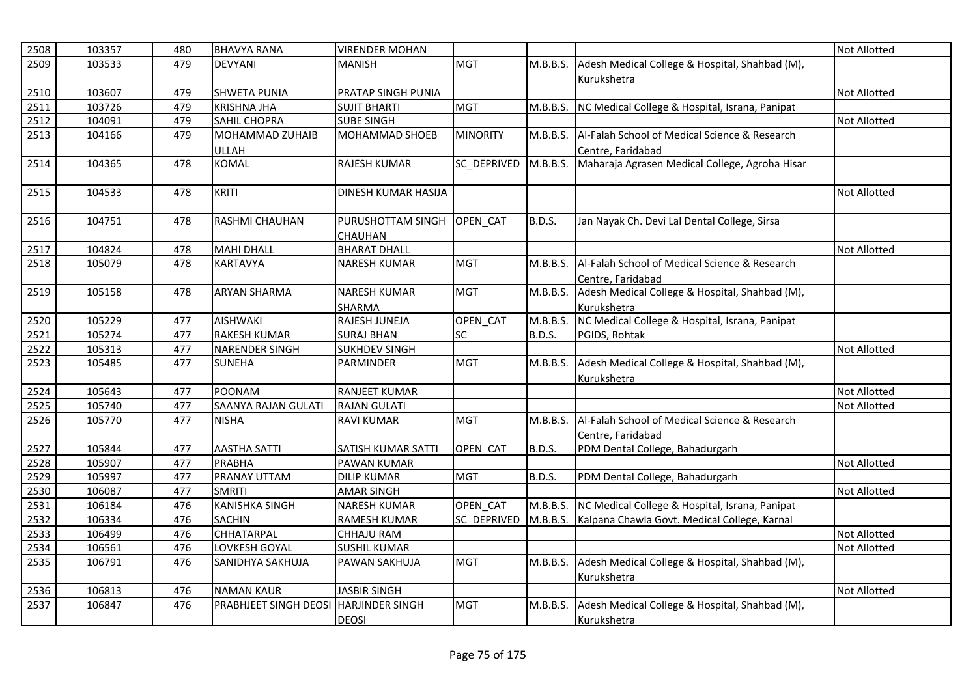| 2508 | 103357 | 480 | <b>BHAVYA RANA</b>           | <b>VIRENDER MOHAN</b>      |                    |               |                                                         | <b>Not Allotted</b> |
|------|--------|-----|------------------------------|----------------------------|--------------------|---------------|---------------------------------------------------------|---------------------|
| 2509 | 103533 | 479 | <b>DEVYANI</b>               | <b>MANISH</b>              | <b>MGT</b>         | M.B.B.S.      | Adesh Medical College & Hospital, Shahbad (M),          |                     |
|      |        |     |                              |                            |                    |               | Kurukshetra                                             |                     |
| 2510 | 103607 | 479 | <b>SHWETA PUNIA</b>          | PRATAP SINGH PUNIA         |                    |               |                                                         | Not Allotted        |
| 2511 | 103726 | 479 | <b>KRISHNA JHA</b>           | <b>SUJIT BHARTI</b>        | <b>MGT</b>         |               | M.B.B.S. NC Medical College & Hospital, Israna, Panipat |                     |
| 2512 | 104091 | 479 | <b>SAHIL CHOPRA</b>          | <b>SUBE SINGH</b>          |                    |               |                                                         | Not Allotted        |
| 2513 | 104166 | 479 | MOHAMMAD ZUHAIB              | <b>MOHAMMAD SHOEB</b>      | <b>MINORITY</b>    | M.B.B.S.      | Al-Falah School of Medical Science & Research           |                     |
|      |        |     | ULLAH                        |                            |                    |               | Centre, Faridabad                                       |                     |
| 2514 | 104365 | 478 | <b>KOMAL</b>                 | <b>RAJESH KUMAR</b>        | <b>SC DEPRIVED</b> | M.B.B.S.      | Maharaja Agrasen Medical College, Agroha Hisar          |                     |
|      |        |     |                              |                            |                    |               |                                                         |                     |
| 2515 | 104533 | 478 | <b>KRITI</b>                 | <b>DINESH KUMAR HASIJA</b> |                    |               |                                                         | <b>Not Allotted</b> |
| 2516 | 104751 | 478 | RASHMI CHAUHAN               | PURUSHOTTAM SINGH          | OPEN CAT           | <b>B.D.S.</b> | Jan Nayak Ch. Devi Lal Dental College, Sirsa            |                     |
|      |        |     |                              | <b>CHAUHAN</b>             |                    |               |                                                         |                     |
| 2517 | 104824 | 478 | <b>MAHI DHALL</b>            | <b>BHARAT DHALL</b>        |                    |               |                                                         | <b>Not Allotted</b> |
| 2518 | 105079 | 478 | <b>KARTAVYA</b>              | <b>NARESH KUMAR</b>        | <b>MGT</b>         | M.B.B.S.      | Al-Falah School of Medical Science & Research           |                     |
|      |        |     |                              |                            |                    |               | Centre, Faridabad                                       |                     |
| 2519 | 105158 | 478 | <b>ARYAN SHARMA</b>          | <b>NARESH KUMAR</b>        | <b>MGT</b>         | M.B.B.S.      | Adesh Medical College & Hospital, Shahbad (M),          |                     |
|      |        |     |                              | <b>SHARMA</b>              |                    |               | Kurukshetra                                             |                     |
| 2520 | 105229 | 477 | <b>AISHWAKI</b>              | RAJESH JUNEJA              | OPEN CAT           | M.B.B.S.      | NC Medical College & Hospital, Israna, Panipat          |                     |
| 2521 | 105274 | 477 | <b>RAKESH KUMAR</b>          | <b>SURAJ BHAN</b>          | <b>SC</b>          | <b>B.D.S.</b> | PGIDS, Rohtak                                           |                     |
| 2522 | 105313 | 477 | NARENDER SINGH               | <b>SUKHDEV SINGH</b>       |                    |               |                                                         | <b>Not Allotted</b> |
| 2523 | 105485 | 477 | <b>SUNEHA</b>                | PARMINDER                  | <b>MGT</b>         | M.B.B.S.      | Adesh Medical College & Hospital, Shahbad (M),          |                     |
|      |        |     |                              |                            |                    |               | Kurukshetra                                             |                     |
| 2524 | 105643 | 477 | <b>POONAM</b>                | <b>RANJEET KUMAR</b>       |                    |               |                                                         | <b>Not Allotted</b> |
| 2525 | 105740 | 477 | <b>SAANYA RAJAN GULATI</b>   | <b>RAJAN GULATI</b>        |                    |               |                                                         | <b>Not Allotted</b> |
| 2526 | 105770 | 477 | <b>NISHA</b>                 | <b>RAVI KUMAR</b>          | <b>MGT</b>         | M.B.B.S.      | Al-Falah School of Medical Science & Research           |                     |
|      |        |     |                              |                            |                    |               | Centre, Faridabad                                       |                     |
| 2527 | 105844 | 477 | <b>AASTHA SATTI</b>          | SATISH KUMAR SATTI         | OPEN CAT           | <b>B.D.S.</b> | PDM Dental College, Bahadurgarh                         |                     |
| 2528 | 105907 | 477 | <b>PRABHA</b>                | <b>PAWAN KUMAR</b>         |                    |               |                                                         | <b>Not Allotted</b> |
| 2529 | 105997 | 477 | PRANAY UTTAM                 | <b>DILIP KUMAR</b>         | <b>MGT</b>         | B.D.S.        | PDM Dental College, Bahadurgarh                         |                     |
| 2530 | 106087 | 477 | <b>SMRITI</b>                | <b>AMAR SINGH</b>          |                    |               |                                                         | <b>Not Allotted</b> |
| 2531 | 106184 | 476 | <b>KANISHKA SINGH</b>        | <b>NARESH KUMAR</b>        | OPEN_CAT           |               | M.B.B.S. NC Medical College & Hospital, Israna, Panipat |                     |
| 2532 | 106334 | 476 | <b>SACHIN</b>                | <b>RAMESH KUMAR</b>        | SC DEPRIVED        |               | M.B.B.S. Kalpana Chawla Govt. Medical College, Karnal   |                     |
| 2533 | 106499 | 476 | <b>CHHATARPAL</b>            | <b>CHHAJU RAM</b>          |                    |               |                                                         | <b>Not Allotted</b> |
| 2534 | 106561 | 476 | LOVKESH GOYAL                | <b>SUSHIL KUMAR</b>        |                    |               |                                                         | Not Allotted        |
| 2535 | 106791 | 476 | SANIDHYA SAKHUJA             | PAWAN SAKHUJA              | <b>MGT</b>         | M.B.B.S.      | Adesh Medical College & Hospital, Shahbad (M),          |                     |
|      |        |     |                              |                            |                    |               | Kurukshetra                                             |                     |
| 2536 | 106813 | 476 | <b>NAMAN KAUR</b>            | <b>JASBIR SINGH</b>        |                    |               |                                                         | Not Allotted        |
| 2537 | 106847 | 476 | <b>PRABHJEET SINGH DEOSI</b> | <b>HARJINDER SINGH</b>     | <b>MGT</b>         | M.B.B.S.      | Adesh Medical College & Hospital, Shahbad (M),          |                     |
|      |        |     |                              | <b>DEOSI</b>               |                    |               | Kurukshetra                                             |                     |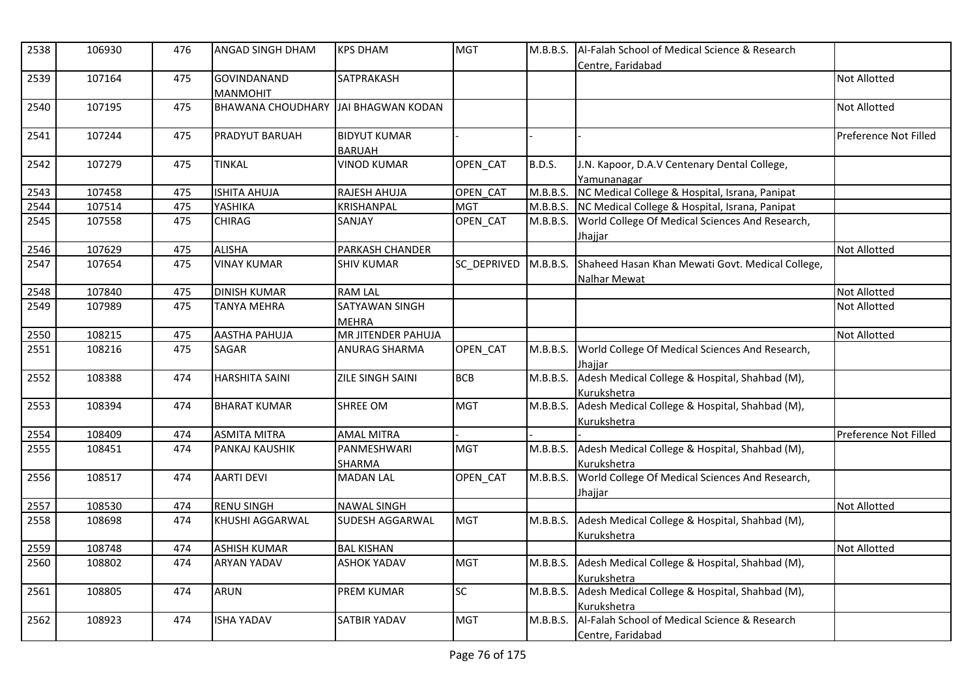| 2538 | 106930 | 476 | ANGAD SINGH DHAM                    | <b>KPS DHAM</b>                      | <b>MGT</b>  |               | M.B.B.S.   Al-Falah School of Medical Science & Research<br>Centre. Faridabad |                              |
|------|--------|-----|-------------------------------------|--------------------------------------|-------------|---------------|-------------------------------------------------------------------------------|------------------------------|
| 2539 | 107164 | 475 | GOVINDANAND<br><b>MANMOHIT</b>      | SATPRAKASH                           |             |               |                                                                               | <b>Not Allotted</b>          |
| 2540 | 107195 | 475 | BHAWANA CHOUDHARY JAI BHAGWAN KODAN |                                      |             |               |                                                                               | <b>Not Allotted</b>          |
| 2541 | 107244 | 475 | <b>PRADYUT BARUAH</b>               | <b>BIDYUT KUMAR</b><br><b>BARUAH</b> |             |               |                                                                               | <b>Preference Not Filled</b> |
| 2542 | 107279 | 475 | <b>TINKAL</b>                       | <b>VINOD KUMAR</b>                   | OPEN_CAT    | <b>B.D.S.</b> | J.N. Kapoor, D.A.V Centenary Dental College,<br>Yamunanagar                   |                              |
| 2543 | 107458 | 475 | <b>ISHITA AHUJA</b>                 | RAJESH AHUJA                         | OPEN CAT    |               | M.B.B.S. NC Medical College & Hospital, Israna, Panipat                       |                              |
| 2544 | 107514 | 475 | YASHIKA                             | KRISHANPAL                           | <b>MGT</b>  |               | M.B.B.S. NC Medical College & Hospital, Israna, Panipat                       |                              |
| 2545 | 107558 | 475 | <b>CHIRAG</b>                       | SANJAY                               | OPEN_CAT    | M.B.B.S.      | World College Of Medical Sciences And Research,<br>Jhajjar                    |                              |
| 2546 | 107629 | 475 | <b>ALISHA</b>                       | PARKASH CHANDER                      |             |               |                                                                               | <b>Not Allotted</b>          |
| 2547 | 107654 | 475 | <b>VINAY KUMAR</b>                  | <b>SHIV KUMAR</b>                    | SC DEPRIVED | M.B.B.S.      | Shaheed Hasan Khan Mewati Govt. Medical College,<br><b>Nalhar Mewat</b>       |                              |
| 2548 | 107840 | 475 | <b>DINISH KUMAR</b>                 | <b>RAM LAL</b>                       |             |               |                                                                               | <b>Not Allotted</b>          |
| 2549 | 107989 | 475 | <b>TANYA MEHRA</b>                  | SATYAWAN SINGH<br><b>MEHRA</b>       |             |               |                                                                               | <b>Not Allotted</b>          |
| 2550 | 108215 | 475 | <b>AASTHA PAHUJA</b>                | MR JITENDER PAHUJA                   |             |               |                                                                               | Not Allotted                 |
| 2551 | 108216 | 475 | <b>SAGAR</b>                        | <b>ANURAG SHARMA</b>                 | OPEN CAT    | M.B.B.S.      | World College Of Medical Sciences And Research,<br>Jhajjar                    |                              |
| 2552 | 108388 | 474 | <b>HARSHITA SAINI</b>               | ZILE SINGH SAINI                     | <b>BCB</b>  |               | M.B.B.S. Adesh Medical College & Hospital, Shahbad (M),<br>Kurukshetra        |                              |
| 2553 | 108394 | 474 | <b>BHARAT KUMAR</b>                 | <b>SHREE OM</b>                      | <b>MGT</b>  | M.B.B.S.      | Adesh Medical College & Hospital, Shahbad (M),<br>Kurukshetra                 |                              |
| 2554 | 108409 | 474 | <b>ASMITA MITRA</b>                 | <b>AMAL MITRA</b>                    |             |               |                                                                               | Preference Not Filled        |
| 2555 | 108451 | 474 | <b>PANKAJ KAUSHIK</b>               | PANMESHWARI<br>SHARMA                | <b>MGT</b>  | M.B.B.S.      | Adesh Medical College & Hospital, Shahbad (M),<br>Kurukshetra                 |                              |
| 2556 | 108517 | 474 | <b>AARTI DEVI</b>                   | <b>MADAN LAL</b>                     | OPEN_CAT    | M.B.B.S.      | World College Of Medical Sciences And Research,<br>Jhajjar                    |                              |
| 2557 | 108530 | 474 | <b>RENU SINGH</b>                   | <b>NAWAL SINGH</b>                   |             |               |                                                                               | <b>Not Allotted</b>          |
| 2558 | 108698 | 474 | KHUSHI AGGARWAL                     | SUDESH AGGARWAL                      | <b>MGT</b>  | M.B.B.S.      | Adesh Medical College & Hospital, Shahbad (M),<br>Kurukshetra                 |                              |
| 2559 | 108748 | 474 | <b>ASHISH KUMAR</b>                 | <b>BAL KISHAN</b>                    |             |               |                                                                               | <b>Not Allotted</b>          |
| 2560 | 108802 | 474 | <b>ARYAN YADAV</b>                  | <b>ASHOK YADAV</b>                   | <b>MGT</b>  |               | M.B.B.S. Adesh Medical College & Hospital, Shahbad (M),<br>Kurukshetra        |                              |
| 2561 | 108805 | 474 | <b>ARUN</b>                         | <b>PREM KUMAR</b>                    | SC          | M.B.B.S.      | Adesh Medical College & Hospital, Shahbad (M),<br>Kurukshetra                 |                              |
| 2562 | 108923 | 474 | <b>ISHA YADAV</b>                   | SATBIR YADAV                         | <b>MGT</b>  |               | M.B.B.S. Al-Falah School of Medical Science & Research<br>Centre, Faridabad   |                              |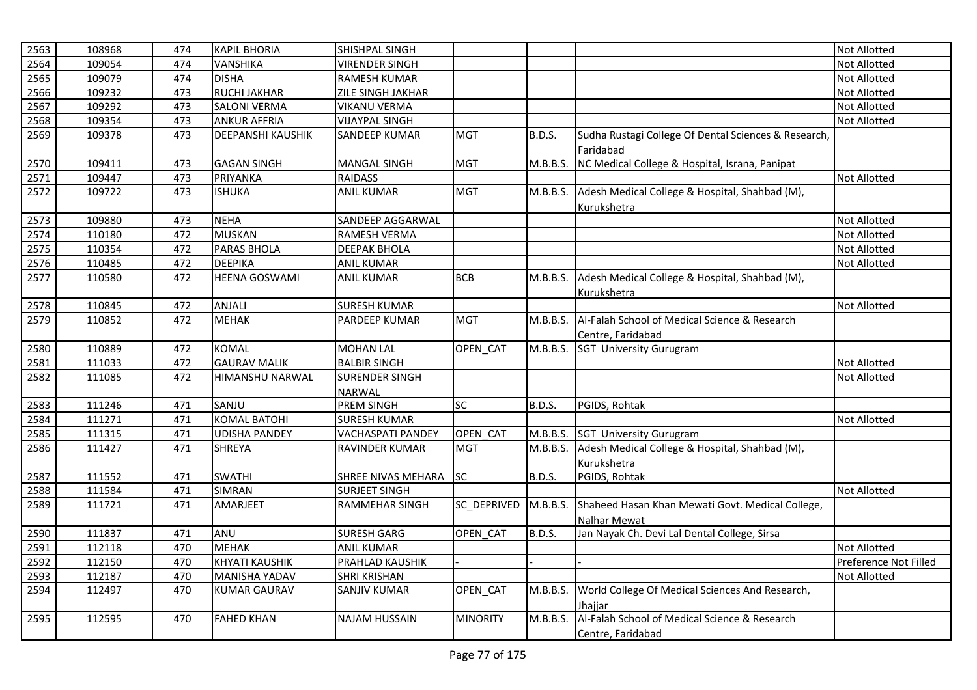| 2563 | 108968 | 474 | <b>KAPIL BHORIA</b>      | SHISHPAL SINGH           |                    |               |                                                          | Not Allotted          |
|------|--------|-----|--------------------------|--------------------------|--------------------|---------------|----------------------------------------------------------|-----------------------|
| 2564 | 109054 | 474 | VANSHIKA                 | <b>VIRENDER SINGH</b>    |                    |               |                                                          | <b>Not Allotted</b>   |
| 2565 | 109079 | 474 | <b>DISHA</b>             | <b>RAMESH KUMAR</b>      |                    |               |                                                          | Not Allotted          |
| 2566 | 109232 | 473 | <b>RUCHI JAKHAR</b>      | ZILE SINGH JAKHAR        |                    |               |                                                          | Not Allotted          |
| 2567 | 109292 | 473 | <b>SALONI VERMA</b>      | <b>VIKANU VERMA</b>      |                    |               |                                                          | Not Allotted          |
| 2568 | 109354 | 473 | <b>ANKUR AFFRIA</b>      | <b>VIJAYPAL SINGH</b>    |                    |               |                                                          | Not Allotted          |
| 2569 | 109378 | 473 | <b>DEEPANSHI KAUSHIK</b> | SANDEEP KUMAR            | <b>MGT</b>         | <b>B.D.S.</b> | Sudha Rustagi College Of Dental Sciences & Research,     |                       |
|      |        |     |                          |                          |                    |               | Faridabad                                                |                       |
| 2570 | 109411 | 473 | <b>GAGAN SINGH</b>       | <b>MANGAL SINGH</b>      | <b>MGT</b>         | M.B.B.S.      | NC Medical College & Hospital, Israna, Panipat           |                       |
| 2571 | 109447 | 473 | PRIYANKA                 | <b>RAIDASS</b>           |                    |               |                                                          | Not Allotted          |
| 2572 | 109722 | 473 | <b>ISHUKA</b>            | <b>ANIL KUMAR</b>        | <b>MGT</b>         | M.B.B.S.      | Adesh Medical College & Hospital, Shahbad (M),           |                       |
|      |        |     |                          |                          |                    |               | Kurukshetra                                              |                       |
| 2573 | 109880 | 473 | <b>NEHA</b>              | SANDEEP AGGARWAL         |                    |               |                                                          | Not Allotted          |
| 2574 | 110180 | 472 | <b>MUSKAN</b>            | RAMESH VERMA             |                    |               |                                                          | Not Allotted          |
| 2575 | 110354 | 472 | PARAS BHOLA              | <b>DEEPAK BHOLA</b>      |                    |               |                                                          | Not Allotted          |
| 2576 | 110485 | 472 | <b>DEEPIKA</b>           | <b>ANIL KUMAR</b>        |                    |               |                                                          | Not Allotted          |
| 2577 | 110580 | 472 | <b>HEENA GOSWAMI</b>     | <b>ANIL KUMAR</b>        | <b>BCB</b>         | M.B.B.S.      | Adesh Medical College & Hospital, Shahbad (M),           |                       |
|      |        |     |                          |                          |                    |               | Kurukshetra                                              |                       |
| 2578 | 110845 | 472 | ANJALI                   | <b>SURESH KUMAR</b>      |                    |               |                                                          | Not Allotted          |
| 2579 | 110852 | 472 | <b>MEHAK</b>             | <b>PARDEEP KUMAR</b>     | <b>MGT</b>         | M.B.B.S.      | <b>Al-Falah School of Medical Science &amp; Research</b> |                       |
|      |        |     |                          |                          |                    |               | Centre, Faridabad                                        |                       |
| 2580 | 110889 | 472 | <b>KOMAL</b>             | <b>MOHAN LAL</b>         | OPEN CAT           | M.B.B.S.      | SGT University Gurugram                                  |                       |
| 2581 | 111033 | 472 | <b>GAURAV MALIK</b>      | <b>BALBIR SINGH</b>      |                    |               |                                                          | Not Allotted          |
| 2582 | 111085 | 472 | HIMANSHU NARWAL          | <b>SURENDER SINGH</b>    |                    |               |                                                          | Not Allotted          |
|      |        |     |                          | <b>NARWAL</b>            |                    |               |                                                          |                       |
| 2583 | 111246 | 471 | SANJU                    | PREM SINGH               | SC                 | <b>B.D.S.</b> | PGIDS, Rohtak                                            |                       |
| 2584 | 111271 | 471 | <b>KOMAL BATOHI</b>      | <b>SURESH KUMAR</b>      |                    |               |                                                          | Not Allotted          |
| 2585 | 111315 | 471 | <b>UDISHA PANDEY</b>     | <b>VACHASPATI PANDEY</b> | OPEN CAT           | M.B.B.S.      | SGT University Gurugram                                  |                       |
| 2586 | 111427 | 471 | <b>SHREYA</b>            | RAVINDER KUMAR           | <b>MGT</b>         | M.B.B.S.      | Adesh Medical College & Hospital, Shahbad (M),           |                       |
|      |        |     |                          |                          |                    |               | Kurukshetra                                              |                       |
| 2587 | 111552 | 471 | <b>SWATHI</b>            | SHREE NIVAS MEHARA       | <b>SC</b>          | <b>B.D.S.</b> | PGIDS, Rohtak                                            |                       |
| 2588 | 111584 | 471 | <b>SIMRAN</b>            | <b>SURJEET SINGH</b>     |                    |               |                                                          | Not Allotted          |
| 2589 | 111721 | 471 | AMARJEET                 | RAMMEHAR SINGH           | <b>SC DEPRIVED</b> | M.B.B.S.      | Shaheed Hasan Khan Mewati Govt. Medical College,         |                       |
|      |        |     |                          |                          |                    |               | <b>Nalhar Mewat</b>                                      |                       |
| 2590 | 111837 | 471 | ANU                      | <b>SURESH GARG</b>       | OPEN CAT           | <b>B.D.S.</b> | Jan Nayak Ch. Devi Lal Dental College, Sirsa             |                       |
| 2591 | 112118 | 470 | <b>MEHAK</b>             | <b>ANIL KUMAR</b>        |                    |               |                                                          | Not Allotted          |
| 2592 | 112150 | 470 | <b>KHYATI KAUSHIK</b>    | PRAHLAD KAUSHIK          |                    |               |                                                          | Preference Not Filled |
| 2593 | 112187 | 470 | <b>MANISHA YADAV</b>     | <b>SHRI KRISHAN</b>      |                    |               |                                                          | Not Allotted          |
| 2594 | 112497 | 470 | <b>KUMAR GAURAV</b>      | SANJIV KUMAR             | OPEN_CAT           | M.B.B.S.      | World College Of Medical Sciences And Research,          |                       |
|      |        |     |                          |                          |                    |               | Jhaiiar                                                  |                       |
| 2595 | 112595 | 470 | <b>FAHED KHAN</b>        | <b>NAJAM HUSSAIN</b>     | MINORITY           | M.B.B.S.      | Al-Falah School of Medical Science & Research            |                       |
|      |        |     |                          |                          |                    |               | Centre, Faridabad                                        |                       |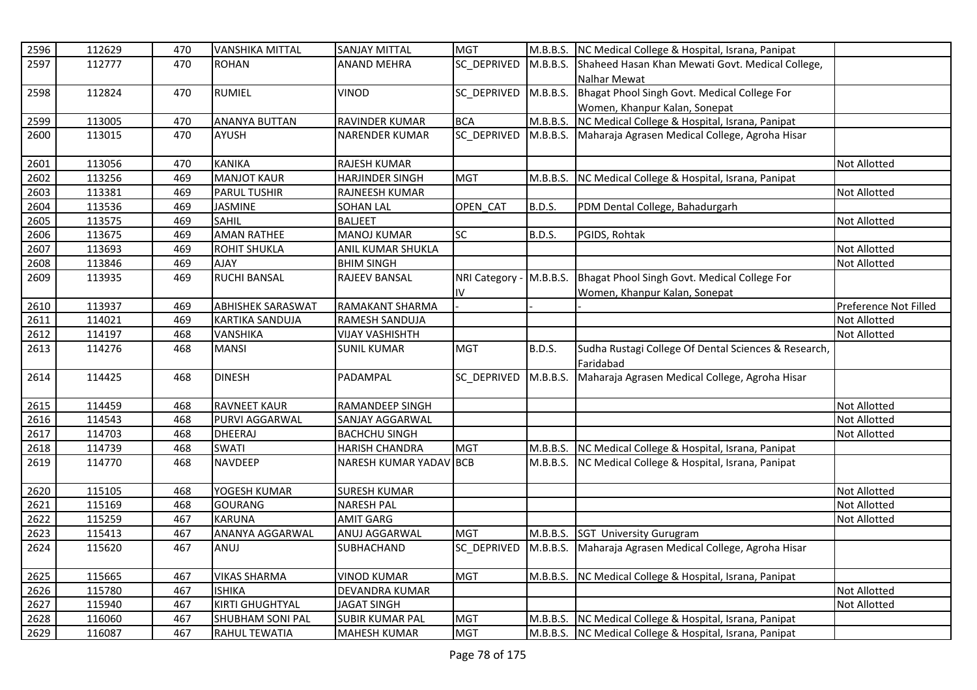| 2596 | 112629 | 470 | <b>VANSHIKA MITTAL</b>   | <b>SANJAY MITTAL</b>   | <b>MGT</b>         | M.B.B.S.      | NC Medical College & Hospital, Israna, Panipat          |                       |
|------|--------|-----|--------------------------|------------------------|--------------------|---------------|---------------------------------------------------------|-----------------------|
| 2597 | 112777 | 470 | <b>ROHAN</b>             | <b>ANAND MEHRA</b>     | SC DEPRIVED        | M.B.B.S.      | Shaheed Hasan Khan Mewati Govt. Medical College,        |                       |
|      |        |     |                          |                        |                    |               | Nalhar Mewat                                            |                       |
| 2598 | 112824 | 470 | <b>RUMIEL</b>            | VINOD                  | SC DEPRIVED        | M.B.B.S.      | Bhagat Phool Singh Govt. Medical College For            |                       |
|      |        |     |                          |                        |                    |               | Women, Khanpur Kalan, Sonepat                           |                       |
| 2599 | 113005 | 470 | <b>ANANYA BUTTAN</b>     | RAVINDER KUMAR         | <b>BCA</b>         |               | M.B.B.S. NC Medical College & Hospital, Israna, Panipat |                       |
| 2600 | 113015 | 470 | <b>AYUSH</b>             | <b>NARENDER KUMAR</b>  | SC DEPRIVED        |               | M.B.B.S. Maharaja Agrasen Medical College, Agroha Hisar |                       |
|      |        |     |                          |                        |                    |               |                                                         |                       |
| 2601 | 113056 | 470 | <b>KANIKA</b>            | <b>RAJESH KUMAR</b>    |                    |               |                                                         | <b>Not Allotted</b>   |
| 2602 | 113256 | 469 | <b>MANJOT KAUR</b>       | <b>HARJINDER SINGH</b> | <b>MGT</b>         | M.B.B.S.      | NC Medical College & Hospital, Israna, Panipat          |                       |
| 2603 | 113381 | 469 | <b>PARUL TUSHIR</b>      | RAJNEESH KUMAR         |                    |               |                                                         | <b>Not Allotted</b>   |
| 2604 | 113536 | 469 | <b>JASMINE</b>           | <b>SOHAN LAL</b>       | OPEN CAT           | <b>B.D.S.</b> | PDM Dental College, Bahadurgarh                         |                       |
| 2605 | 113575 | 469 | <b>SAHIL</b>             | <b>BALJEET</b>         |                    |               |                                                         | Not Allotted          |
| 2606 | 113675 | 469 | <b>AMAN RATHEE</b>       | <b>MANOJ KUMAR</b>     | $\overline{SC}$    | B.D.S.        | PGIDS, Rohtak                                           |                       |
| 2607 | 113693 | 469 | <b>ROHIT SHUKLA</b>      | ANIL KUMAR SHUKLA      |                    |               |                                                         | <b>Not Allotted</b>   |
| 2608 | 113846 | 469 | <b>AJAY</b>              | <b>BHIM SINGH</b>      |                    |               |                                                         | <b>Not Allotted</b>   |
| 2609 | 113935 | 469 | <b>RUCHI BANSAL</b>      | RAJEEV BANSAL          | NRI Category -     | M.B.B.S.      | Bhagat Phool Singh Govt. Medical College For            |                       |
|      |        |     |                          |                        | IV                 |               | Women, Khanpur Kalan, Sonepat                           |                       |
| 2610 | 113937 | 469 | <b>ABHISHEK SARASWAT</b> | RAMAKANT SHARMA        |                    |               |                                                         | Preference Not Filled |
| 2611 | 114021 | 469 | <b>KARTIKA SANDUJA</b>   | RAMESH SANDUJA         |                    |               |                                                         | <b>Not Allotted</b>   |
| 2612 | 114197 | 468 | <b>VANSHIKA</b>          | <b>VIJAY VASHISHTH</b> |                    |               |                                                         | Not Allotted          |
| 2613 | 114276 | 468 | <b>MANSI</b>             | <b>SUNIL KUMAR</b>     | <b>MGT</b>         | <b>B.D.S.</b> | Sudha Rustagi College Of Dental Sciences & Research,    |                       |
|      |        |     |                          |                        |                    |               | Faridabad                                               |                       |
| 2614 | 114425 | 468 | <b>DINESH</b>            | PADAMPAL               | <b>SC DEPRIVED</b> | M.B.B.S.      | Maharaja Agrasen Medical College, Agroha Hisar          |                       |
|      |        |     |                          |                        |                    |               |                                                         |                       |
| 2615 | 114459 | 468 | <b>RAVNEET KAUR</b>      | <b>RAMANDEEP SINGH</b> |                    |               |                                                         | <b>Not Allotted</b>   |
| 2616 | 114543 | 468 | PURVI AGGARWAL           | SANJAY AGGARWAL        |                    |               |                                                         | <b>Not Allotted</b>   |
| 2617 | 114703 | 468 | <b>DHEERAJ</b>           | <b>BACHCHU SINGH</b>   |                    |               |                                                         | <b>Not Allotted</b>   |
| 2618 | 114739 | 468 | <b>SWATI</b>             | <b>HARISH CHANDRA</b>  | <b>MGT</b>         | M.B.B.S.      | NC Medical College & Hospital, Israna, Panipat          |                       |
| 2619 | 114770 | 468 | <b>NAVDEEP</b>           | NARESH KUMAR YADAV BCB |                    | M.B.B.S.      | NC Medical College & Hospital, Israna, Panipat          |                       |
|      |        |     |                          |                        |                    |               |                                                         |                       |
| 2620 | 115105 | 468 | YOGESH KUMAR             | <b>SURESH KUMAR</b>    |                    |               |                                                         | <b>Not Allotted</b>   |
| 2621 | 115169 | 468 | <b>GOURANG</b>           | <b>NARESH PAL</b>      |                    |               |                                                         | <b>Not Allotted</b>   |
| 2622 | 115259 | 467 | <b>KARUNA</b>            | <b>AMIT GARG</b>       |                    |               |                                                         | Not Allotted          |
| 2623 | 115413 | 467 | ANANYA AGGARWAL          | ANUJ AGGARWAL          | <b>MGT</b>         | M.B.B.S.      | <b>SGT University Gurugram</b>                          |                       |
| 2624 | 115620 | 467 | ANUJ                     | SUBHACHAND             | SC_DEPRIVED        | M.B.B.S.      | Maharaja Agrasen Medical College, Agroha Hisar          |                       |
|      |        |     |                          |                        |                    |               |                                                         |                       |
| 2625 | 115665 | 467 | <b>VIKAS SHARMA</b>      | <b>VINOD KUMAR</b>     | <b>MGT</b>         | M.B.B.S.      | NC Medical College & Hospital, Israna, Panipat          |                       |
| 2626 | 115780 | 467 | <b>ISHIKA</b>            | DEVANDRA KUMAR         |                    |               |                                                         | Not Allotted          |
| 2627 | 115940 | 467 | KIRTI GHUGHTYAL          | <b>JAGAT SINGH</b>     |                    |               |                                                         | Not Allotted          |
| 2628 | 116060 | 467 | <b>SHUBHAM SONI PAL</b>  | <b>SUBIR KUMAR PAL</b> | <b>MGT</b>         | M.B.B.S.      | NC Medical College & Hospital, Israna, Panipat          |                       |
| 2629 | 116087 | 467 | <b>RAHUL TEWATIA</b>     | <b>MAHESH KUMAR</b>    | <b>MGT</b>         |               | M.B.B.S. NC Medical College & Hospital, Israna, Panipat |                       |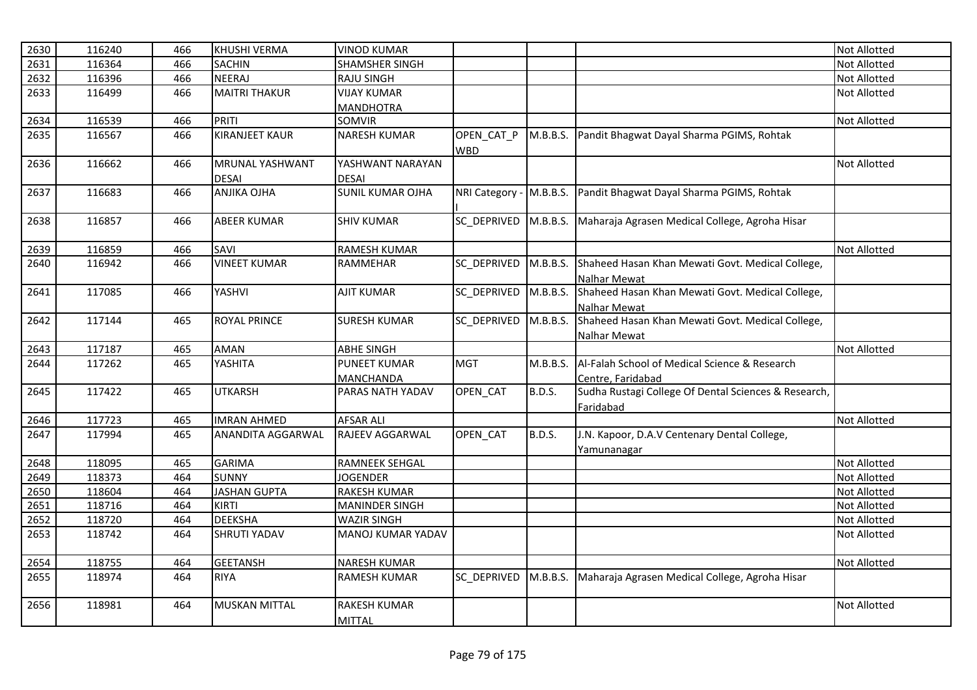| 2630 | 116240 | 466 | <b>KHUSHI VERMA</b>                    | <b>VINOD KUMAR</b>                   |                    |               |                                                                         | <b>Not Allotted</b> |
|------|--------|-----|----------------------------------------|--------------------------------------|--------------------|---------------|-------------------------------------------------------------------------|---------------------|
| 2631 | 116364 | 466 | <b>SACHIN</b>                          | <b>SHAMSHER SINGH</b>                |                    |               |                                                                         | <b>Not Allotted</b> |
| 2632 | 116396 | 466 | <b>NEERAJ</b>                          | <b>RAJU SINGH</b>                    |                    |               |                                                                         | <b>Not Allotted</b> |
| 2633 | 116499 | 466 | <b>MAITRI THAKUR</b>                   | <b>VIJAY KUMAR</b>                   |                    |               |                                                                         | <b>Not Allotted</b> |
|      |        |     |                                        | <b>MANDHOTRA</b>                     |                    |               |                                                                         |                     |
| 2634 | 116539 | 466 | PRITI                                  | <b>SOMVIR</b>                        |                    |               |                                                                         | <b>Not Allotted</b> |
| 2635 | 116567 | 466 | <b>KIRANJEET KAUR</b>                  | <b>NARESH KUMAR</b>                  | OPEN CAT P<br>WBD  | M.B.B.S.      | Pandit Bhagwat Dayal Sharma PGIMS, Rohtak                               |                     |
| 2636 | 116662 | 466 | <b>MRUNAL YASHWANT</b><br><b>DESAI</b> | YASHWANT NARAYAN<br><b>DESAI</b>     |                    |               |                                                                         | <b>Not Allotted</b> |
| 2637 | 116683 | 466 | <b>ANJIKA OJHA</b>                     | <b>SUNIL KUMAR OJHA</b>              | NRI Category -     | M.B.B.S.      | Pandit Bhagwat Dayal Sharma PGIMS, Rohtak                               |                     |
| 2638 | 116857 | 466 | <b>ABEER KUMAR</b>                     | <b>SHIV KUMAR</b>                    | SC DEPRIVED        | M.B.B.S.      | Maharaja Agrasen Medical College, Agroha Hisar                          |                     |
| 2639 | 116859 | 466 | SAVI                                   | <b>RAMESH KUMAR</b>                  |                    |               |                                                                         | <b>Not Allotted</b> |
| 2640 | 116942 | 466 | <b>VINEET KUMAR</b>                    | <b>RAMMEHAR</b>                      | SC DEPRIVED        | M.B.B.S.      | Shaheed Hasan Khan Mewati Govt. Medical College,<br>Nalhar Mewat        |                     |
| 2641 | 117085 | 466 | YASHVI                                 | <b>AJIT KUMAR</b>                    | SC DEPRIVED        | M.B.B.S.      | Shaheed Hasan Khan Mewati Govt. Medical College,<br><b>Nalhar Mewat</b> |                     |
| 2642 | 117144 | 465 | <b>ROYAL PRINCE</b>                    | <b>SURESH KUMAR</b>                  | <b>SC DEPRIVED</b> | M.B.B.S.      | Shaheed Hasan Khan Mewati Govt. Medical College,<br>Nalhar Mewat        |                     |
| 2643 | 117187 | 465 | <b>AMAN</b>                            | <b>ABHE SINGH</b>                    |                    |               |                                                                         | Not Allotted        |
| 2644 | 117262 | 465 | YASHITA                                | <b>PUNEET KUMAR</b>                  | <b>MGT</b>         | M.B.B.S.      | Al-Falah School of Medical Science & Research                           |                     |
|      |        |     |                                        | MANCHANDA                            |                    |               | Centre, Faridabad                                                       |                     |
| 2645 | 117422 | 465 | <b>UTKARSH</b>                         | PARAS NATH YADAV                     | OPEN_CAT           | <b>B.D.S.</b> | Sudha Rustagi College Of Dental Sciences & Research,<br>Faridabad       |                     |
| 2646 | 117723 | 465 | <b>IMRAN AHMED</b>                     | <b>AFSAR ALI</b>                     |                    |               |                                                                         | <b>Not Allotted</b> |
| 2647 | 117994 | 465 | <b>ANANDITA AGGARWAL</b>               | RAJEEV AGGARWAL                      | OPEN_CAT           | <b>B.D.S.</b> | J.N. Kapoor, D.A.V Centenary Dental College,<br>Yamunanagar             |                     |
| 2648 | 118095 | 465 | <b>GARIMA</b>                          | <b>RAMNEEK SEHGAL</b>                |                    |               |                                                                         | <b>Not Allotted</b> |
| 2649 | 118373 | 464 | <b>SUNNY</b>                           | <b>JOGENDER</b>                      |                    |               |                                                                         | <b>Not Allotted</b> |
| 2650 | 118604 | 464 | <b>JASHAN GUPTA</b>                    | <b>RAKESH KUMAR</b>                  |                    |               |                                                                         | <b>Not Allotted</b> |
| 2651 | 118716 | 464 | <b>KIRTI</b>                           | <b>MANINDER SINGH</b>                |                    |               |                                                                         | <b>Not Allotted</b> |
| 2652 | 118720 | 464 | <b>DEEKSHA</b>                         | <b>WAZIR SINGH</b>                   |                    |               |                                                                         | Not Allotted        |
| 2653 | 118742 | 464 | <b>SHRUTI YADAV</b>                    | <b>MANOJ KUMAR YADAV</b>             |                    |               |                                                                         | <b>Not Allotted</b> |
| 2654 | 118755 | 464 | <b>GEETANSH</b>                        | <b>NARESH KUMAR</b>                  |                    |               |                                                                         | <b>Not Allotted</b> |
| 2655 | 118974 | 464 | <b>RIYA</b>                            | <b>RAMESH KUMAR</b>                  | <b>SC DEPRIVED</b> | M.B.B.S.      | Maharaja Agrasen Medical College, Agroha Hisar                          |                     |
| 2656 | 118981 | 464 | <b>MUSKAN MITTAL</b>                   | <b>RAKESH KUMAR</b><br><b>MITTAL</b> |                    |               |                                                                         | <b>Not Allotted</b> |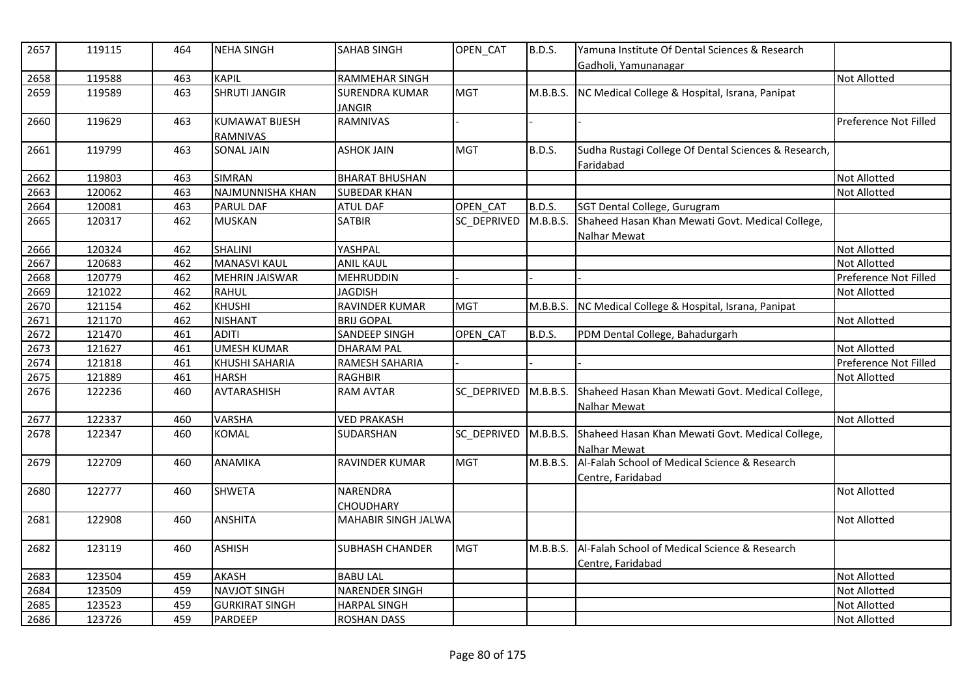| 2657 | 119115 | 464 | <b>NEHA SINGH</b>       | <b>SAHAB SINGH</b>         | OPEN_CAT    | <b>B.D.S.</b> | Yamuna Institute Of Dental Sciences & Research<br>Gadholi, Yamunanagar |                       |
|------|--------|-----|-------------------------|----------------------------|-------------|---------------|------------------------------------------------------------------------|-----------------------|
| 2658 | 119588 | 463 | KAPIL                   | <b>RAMMEHAR SINGH</b>      |             |               |                                                                        | <b>Not Allotted</b>   |
| 2659 | 119589 | 463 | <b>SHRUTI JANGIR</b>    | <b>SURENDRA KUMAR</b>      | <b>MGT</b>  | M.B.B.S.      | NC Medical College & Hospital, Israna, Panipat                         |                       |
|      |        |     |                         | <b>JANGIR</b>              |             |               |                                                                        |                       |
| 2660 | 119629 | 463 | <b>KUMAWAT BIJESH</b>   | RAMNIVAS                   |             |               |                                                                        | Preference Not Filled |
|      |        |     | <b>RAMNIVAS</b>         |                            |             |               |                                                                        |                       |
| 2661 | 119799 | 463 | <b>SONAL JAIN</b>       | <b>ASHOK JAIN</b>          | <b>MGT</b>  | B.D.S.        | Sudha Rustagi College Of Dental Sciences & Research,                   |                       |
|      |        |     |                         |                            |             |               | Faridabad                                                              |                       |
| 2662 | 119803 | 463 | <b>SIMRAN</b>           | <b>BHARAT BHUSHAN</b>      |             |               |                                                                        | <b>Not Allotted</b>   |
| 2663 | 120062 | 463 | <b>NAJMUNNISHA KHAN</b> | <b>SUBEDAR KHAN</b>        |             |               |                                                                        | <b>Not Allotted</b>   |
| 2664 | 120081 | 463 | <b>PARUL DAF</b>        | <b>ATUL DAF</b>            | OPEN_CAT    | <b>B.D.S.</b> | SGT Dental College, Gurugram                                           |                       |
| 2665 | 120317 | 462 | <b>MUSKAN</b>           | <b>SATBIR</b>              | SC DEPRIVED | M.B.B.S.      | Shaheed Hasan Khan Mewati Govt. Medical College,                       |                       |
|      |        |     |                         |                            |             |               | Nalhar Mewat                                                           |                       |
| 2666 | 120324 | 462 | <b>SHALINI</b>          | YASHPAL                    |             |               |                                                                        | <b>Not Allotted</b>   |
| 2667 | 120683 | 462 | <b>MANASVI KAUL</b>     | <b>ANIL KAUL</b>           |             |               |                                                                        | <b>Not Allotted</b>   |
| 2668 | 120779 | 462 | <b>MEHRIN JAISWAR</b>   | <b>MEHRUDDIN</b>           |             |               |                                                                        | Preference Not Filled |
| 2669 | 121022 | 462 | RAHUL                   | <b>JAGDISH</b>             |             |               |                                                                        | Not Allotted          |
| 2670 | 121154 | 462 | <b>KHUSHI</b>           | RAVINDER KUMAR             | <b>MGT</b>  |               | M.B.B.S. NC Medical College & Hospital, Israna, Panipat                |                       |
| 2671 | 121170 | 462 | <b>NISHANT</b>          | <b>BRIJ GOPAL</b>          |             |               |                                                                        | Not Allotted          |
| 2672 | 121470 | 461 | <b>ADITI</b>            | SANDEEP SINGH              | OPEN CAT    | <b>B.D.S.</b> | PDM Dental College, Bahadurgarh                                        |                       |
| 2673 | 121627 | 461 | <b>UMESH KUMAR</b>      | <b>DHARAM PAL</b>          |             |               |                                                                        | <b>Not Allotted</b>   |
| 2674 | 121818 | 461 | <b>KHUSHI SAHARIA</b>   | RAMESH SAHARIA             |             |               |                                                                        | Preference Not Filled |
| 2675 | 121889 | 461 | <b>HARSH</b>            | <b>RAGHBIR</b>             |             |               |                                                                        | <b>Not Allotted</b>   |
| 2676 | 122236 | 460 | AVTARASHISH             | <b>RAM AVTAR</b>           | SC DEPRIVED | M.B.B.S.      | Shaheed Hasan Khan Mewati Govt. Medical College,                       |                       |
|      |        |     |                         |                            |             |               | Nalhar Mewat                                                           |                       |
| 2677 | 122337 | 460 | <b>VARSHA</b>           | <b>VED PRAKASH</b>         |             |               |                                                                        | Not Allotted          |
| 2678 | 122347 | 460 | <b>KOMAL</b>            | SUDARSHAN                  | SC_DEPRIVED |               | M.B.B.S. Shaheed Hasan Khan Mewati Govt. Medical College,              |                       |
|      |        |     |                         |                            |             |               | Nalhar Mewat                                                           |                       |
| 2679 | 122709 | 460 | <b>ANAMIKA</b>          | <b>RAVINDER KUMAR</b>      | <b>MGT</b>  | M.B.B.S.      | Al-Falah School of Medical Science & Research                          |                       |
|      |        |     |                         |                            |             |               | Centre, Faridabad                                                      |                       |
| 2680 | 122777 | 460 | <b>SHWETA</b>           | <b>NARENDRA</b>            |             |               |                                                                        | <b>Not Allotted</b>   |
|      |        |     |                         | CHOUDHARY                  |             |               |                                                                        |                       |
| 2681 | 122908 | 460 | <b>ANSHITA</b>          | <b>MAHABIR SINGH JALWA</b> |             |               |                                                                        | <b>Not Allotted</b>   |
| 2682 | 123119 | 460 | <b>ASHISH</b>           | <b>SUBHASH CHANDER</b>     | <b>MGT</b>  | M.B.B.S.      | Al-Falah School of Medical Science & Research                          |                       |
|      |        |     |                         |                            |             |               | Centre, Faridabad                                                      |                       |
| 2683 | 123504 | 459 | <b>AKASH</b>            | <b>BABU LAL</b>            |             |               |                                                                        | <b>Not Allotted</b>   |
| 2684 | 123509 | 459 | <b>NAVJOT SINGH</b>     | <b>NARENDER SINGH</b>      |             |               |                                                                        | Not Allotted          |
| 2685 | 123523 | 459 | <b>GURKIRAT SINGH</b>   | <b>HARPAL SINGH</b>        |             |               |                                                                        | Not Allotted          |
| 2686 | 123726 | 459 | PARDEEP                 | <b>ROSHAN DASS</b>         |             |               |                                                                        | Not Allotted          |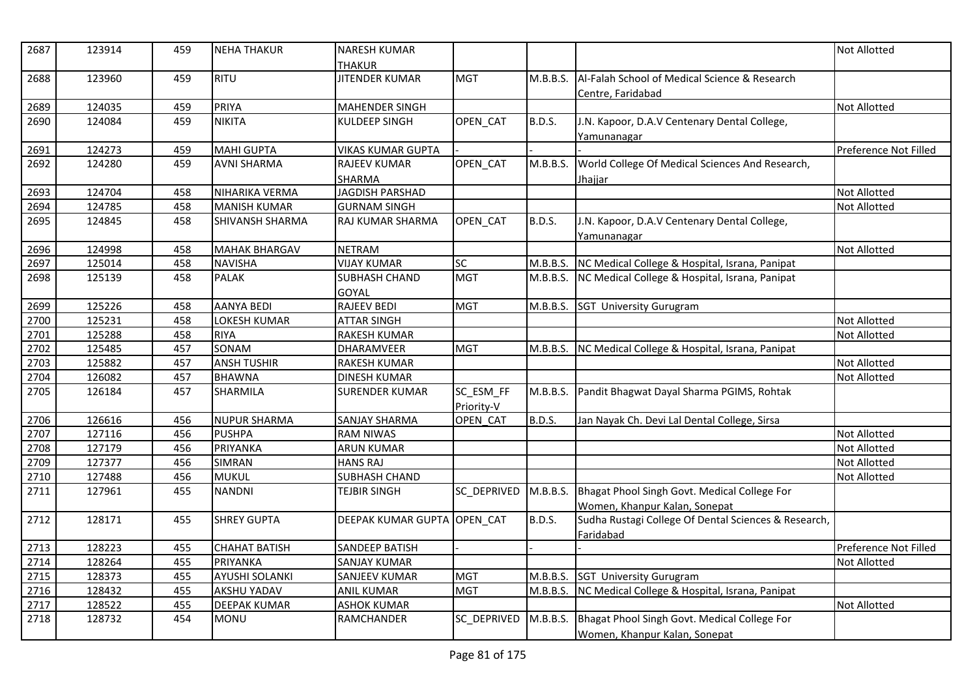| 2687 | 123914 | 459 | <b>NEHA THAKUR</b>    | <b>NARESH KUMAR</b>         |             |               |                                                      | <b>Not Allotted</b>   |
|------|--------|-----|-----------------------|-----------------------------|-------------|---------------|------------------------------------------------------|-----------------------|
|      |        |     |                       | <b>THAKUR</b>               |             |               |                                                      |                       |
| 2688 | 123960 | 459 | <b>RITU</b>           | <b>JITENDER KUMAR</b>       | <b>MGT</b>  | M.B.B.S.      | Al-Falah School of Medical Science & Research        |                       |
|      |        |     |                       |                             |             |               | Centre, Faridabad                                    |                       |
| 2689 | 124035 | 459 | PRIYA                 | <b>MAHENDER SINGH</b>       |             |               |                                                      | <b>Not Allotted</b>   |
| 2690 | 124084 | 459 | <b>NIKITA</b>         | KULDEEP SINGH               | OPEN_CAT    | <b>B.D.S.</b> | J.N. Kapoor, D.A.V Centenary Dental College,         |                       |
|      |        |     |                       |                             |             |               | Yamunanagar                                          |                       |
| 2691 | 124273 | 459 | <b>MAHI GUPTA</b>     | <b>VIKAS KUMAR GUPTA</b>    |             |               |                                                      | Preference Not Filled |
| 2692 | 124280 | 459 | <b>AVNI SHARMA</b>    | <b>RAJEEV KUMAR</b>         | OPEN_CAT    | M.B.B.S.      | World College Of Medical Sciences And Research,      |                       |
|      |        |     |                       | SHARMA                      |             |               | <u>Jhajjar</u>                                       |                       |
| 2693 | 124704 | 458 | NIHARIKA VERMA        | JAGDISH PARSHAD             |             |               |                                                      | Not Allotted          |
| 2694 | 124785 | 458 | <b>MANISH KUMAR</b>   | <b>GURNAM SINGH</b>         |             |               |                                                      | <b>Not Allotted</b>   |
| 2695 | 124845 | 458 | SHIVANSH SHARMA       | RAJ KUMAR SHARMA            | OPEN_CAT    | <b>B.D.S.</b> | J.N. Kapoor, D.A.V Centenary Dental College,         |                       |
|      |        |     |                       |                             |             |               | Yamunanagar                                          |                       |
| 2696 | 124998 | 458 | <b>MAHAK BHARGAV</b>  | <b>NETRAM</b>               |             |               |                                                      | <b>Not Allotted</b>   |
| 2697 | 125014 | 458 | <b>NAVISHA</b>        | <b>VIJAY KUMAR</b>          | SC          | M.B.B.S.      | NC Medical College & Hospital, Israna, Panipat       |                       |
| 2698 | 125139 | 458 | <b>PALAK</b>          | <b>SUBHASH CHAND</b>        | <b>MGT</b>  | M.B.B.S.      | NC Medical College & Hospital, Israna, Panipat       |                       |
|      |        |     |                       | GOYAL                       |             |               |                                                      |                       |
| 2699 | 125226 | 458 | <b>AANYA BEDI</b>     | RAJEEV BEDI                 | <b>MGT</b>  | M.B.B.S.      | <b>SGT University Gurugram</b>                       |                       |
| 2700 | 125231 | 458 | LOKESH KUMAR          | <b>ATTAR SINGH</b>          |             |               |                                                      | Not Allotted          |
| 2701 | 125288 | 458 | <b>RIYA</b>           | <b>RAKESH KUMAR</b>         |             |               |                                                      | <b>Not Allotted</b>   |
| 2702 | 125485 | 457 | SONAM                 | <b>DHARAMVEER</b>           | <b>MGT</b>  | M.B.B.S.      | NC Medical College & Hospital, Israna, Panipat       |                       |
| 2703 | 125882 | 457 | <b>ANSH TUSHIR</b>    | <b>RAKESH KUMAR</b>         |             |               |                                                      | Not Allotted          |
| 2704 | 126082 | 457 | <b>BHAWNA</b>         | <b>DINESH KUMAR</b>         |             |               |                                                      | Not Allotted          |
| 2705 | 126184 | 457 | <b>SHARMILA</b>       | <b>SURENDER KUMAR</b>       | SC_ESM_FF   |               | M.B.B.S. Pandit Bhagwat Dayal Sharma PGIMS, Rohtak   |                       |
|      |        |     |                       |                             | Priority-V  |               |                                                      |                       |
| 2706 | 126616 | 456 | <b>NUPUR SHARMA</b>   | <b>SANJAY SHARMA</b>        | OPEN CAT    | B.D.S.        | Jan Nayak Ch. Devi Lal Dental College, Sirsa         |                       |
| 2707 | 127116 | 456 | <b>PUSHPA</b>         | <b>RAM NIWAS</b>            |             |               |                                                      | Not Allotted          |
| 2708 | 127179 | 456 | PRIYANKA              | <b>ARUN KUMAR</b>           |             |               |                                                      | Not Allotted          |
| 2709 | 127377 | 456 | <b>SIMRAN</b>         | <b>HANS RAJ</b>             |             |               |                                                      | Not Allotted          |
| 2710 | 127488 | 456 | <b>MUKUL</b>          | SUBHASH CHAND               |             |               |                                                      | Not Allotted          |
| 2711 | 127961 | 455 | <b>NANDNI</b>         | <b>TEJBIR SINGH</b>         | SC_DEPRIVED | M.B.B.S.      | Bhagat Phool Singh Govt. Medical College For         |                       |
|      |        |     |                       |                             |             |               | Women, Khanpur Kalan, Sonepat                        |                       |
| 2712 | 128171 | 455 | <b>SHREY GUPTA</b>    | DEEPAK KUMAR GUPTA OPEN_CAT |             | <b>B.D.S.</b> | Sudha Rustagi College Of Dental Sciences & Research, |                       |
|      |        |     |                       |                             |             |               | Faridabad                                            |                       |
| 2713 | 128223 | 455 | <b>CHAHAT BATISH</b>  | <b>SANDEEP BATISH</b>       |             |               |                                                      | Preference Not Filled |
| 2714 | 128264 | 455 | PRIYANKA              | <b>SANJAY KUMAR</b>         |             |               |                                                      | Not Allotted          |
| 2715 | 128373 | 455 | <b>AYUSHI SOLANKI</b> | <b>SANJEEV KUMAR</b>        | <b>MGT</b>  | M.B.B.S.      | <b>SGT University Gurugram</b>                       |                       |
| 2716 | 128432 | 455 | <b>AKSHU YADAV</b>    | <b>ANIL KUMAR</b>           | <b>MGT</b>  | M.B.B.S.      | NC Medical College & Hospital, Israna, Panipat       |                       |
| 2717 | 128522 | 455 | <b>DEEPAK KUMAR</b>   | <b>ASHOK KUMAR</b>          |             |               |                                                      | Not Allotted          |
| 2718 | 128732 | 454 | <b>MONU</b>           | RAMCHANDER                  | SC DEPRIVED | M.B.B.S.      | Bhagat Phool Singh Govt. Medical College For         |                       |
|      |        |     |                       |                             |             |               | Women, Khanpur Kalan, Sonepat                        |                       |
|      |        |     |                       |                             |             |               |                                                      |                       |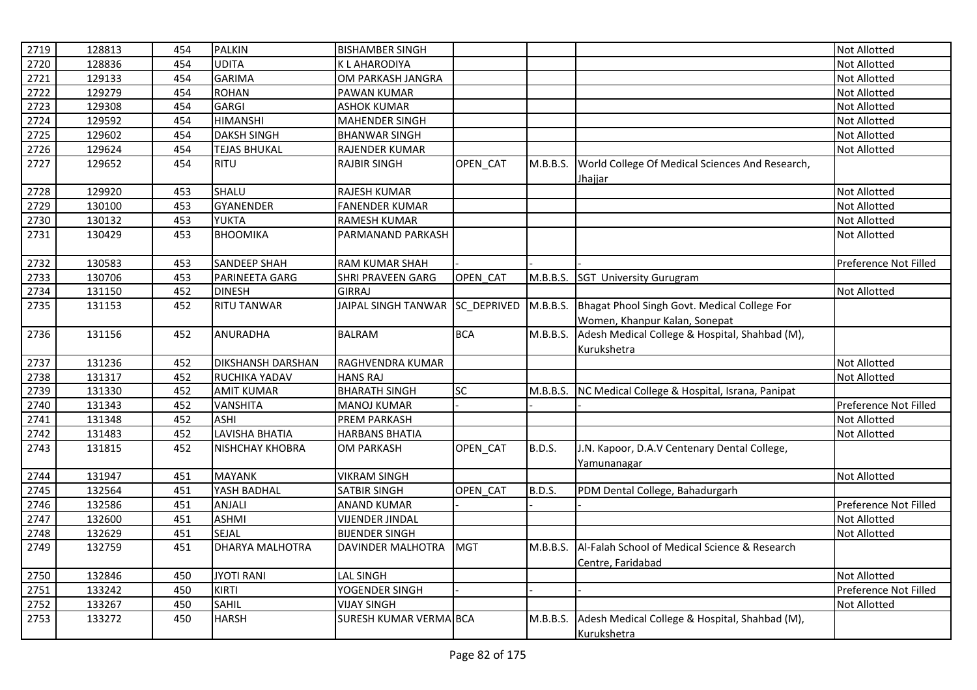| 2719 | 128813 | 454 | <b>PALKIN</b>            | <b>BISHAMBER SINGH</b>          |            |               |                                                         | <b>Not Allotted</b>   |
|------|--------|-----|--------------------------|---------------------------------|------------|---------------|---------------------------------------------------------|-----------------------|
| 2720 | 128836 | 454 | <b>UDITA</b>             | <b>KLAHARODIYA</b>              |            |               |                                                         | <b>Not Allotted</b>   |
| 2721 | 129133 | 454 | <b>GARIMA</b>            | OM PARKASH JANGRA               |            |               |                                                         | <b>Not Allotted</b>   |
| 2722 | 129279 | 454 | <b>ROHAN</b>             | PAWAN KUMAR                     |            |               |                                                         | <b>Not Allotted</b>   |
| 2723 | 129308 | 454 | <b>GARGI</b>             | <b>ASHOK KUMAR</b>              |            |               |                                                         | Not Allotted          |
| 2724 | 129592 | 454 | <b>HIMANSHI</b>          | <b>MAHENDER SINGH</b>           |            |               |                                                         | Not Allotted          |
| 2725 | 129602 | 454 | <b>DAKSH SINGH</b>       | <b>BHANWAR SINGH</b>            |            |               |                                                         | <b>Not Allotted</b>   |
| 2726 | 129624 | 454 | <b>TEJAS BHUKAL</b>      | RAJENDER KUMAR                  |            |               |                                                         | <b>Not Allotted</b>   |
| 2727 | 129652 | 454 | <b>RITU</b>              | <b>RAJBIR SINGH</b>             | OPEN_CAT   | M.B.B.S.      | World College Of Medical Sciences And Research,         |                       |
|      |        |     |                          |                                 |            |               | Jhajjar                                                 |                       |
| 2728 | 129920 | 453 | SHALU                    | RAJESH KUMAR                    |            |               |                                                         | <b>Not Allotted</b>   |
| 2729 | 130100 | 453 | <b>GYANENDER</b>         | <b>FANENDER KUMAR</b>           |            |               |                                                         | <b>Not Allotted</b>   |
| 2730 | 130132 | 453 | <b>YUKTA</b>             | <b>RAMESH KUMAR</b>             |            |               |                                                         | <b>Not Allotted</b>   |
| 2731 | 130429 | 453 | <b>BHOOMIKA</b>          | PARMANAND PARKASH               |            |               |                                                         | <b>Not Allotted</b>   |
|      |        |     |                          |                                 |            |               |                                                         |                       |
| 2732 | 130583 | 453 | <b>SANDEEP SHAH</b>      | <b>RAM KUMAR SHAH</b>           |            |               |                                                         | Preference Not Filled |
| 2733 | 130706 | 453 | PARINEETA GARG           | <b>SHRI PRAVEEN GARG</b>        | OPEN CAT   | M.B.B.S.      | <b>SGT University Gurugram</b>                          |                       |
| 2734 | 131150 | 452 | <b>DINESH</b>            | <b>GIRRAJ</b>                   |            |               |                                                         | <b>Not Allotted</b>   |
| 2735 | 131153 | 452 | <b>RITU TANWAR</b>       | JAIPAL SINGH TANWAR SC_DEPRIVED |            | M.B.B.S.      | Bhagat Phool Singh Govt. Medical College For            |                       |
|      |        |     |                          |                                 |            |               | Women, Khanpur Kalan, Sonepat                           |                       |
| 2736 | 131156 | 452 | <b>ANURADHA</b>          | <b>BALRAM</b>                   | <b>BCA</b> | M.B.B.S.      | Adesh Medical College & Hospital, Shahbad (M),          |                       |
|      |        |     |                          |                                 |            |               | Kurukshetra                                             |                       |
| 2737 | 131236 | 452 | <b>DIKSHANSH DARSHAN</b> | RAGHVENDRA KUMAR                |            |               |                                                         | Not Allotted          |
| 2738 | 131317 | 452 | RUCHIKA YADAV            | <b>HANS RAJ</b>                 |            |               |                                                         | Not Allotted          |
| 2739 | 131330 | 452 | <b>AMIT KUMAR</b>        | <b>BHARATH SINGH</b>            | SC         |               | M.B.B.S. NC Medical College & Hospital, Israna, Panipat |                       |
| 2740 | 131343 | 452 | <b>VANSHITA</b>          | <b>MANOJ KUMAR</b>              |            |               |                                                         | Preference Not Filled |
| 2741 | 131348 | 452 | <b>ASHI</b>              | PREM PARKASH                    |            |               |                                                         | Not Allotted          |
| 2742 | 131483 | 452 | LAVISHA BHATIA           | <b>HARBANS BHATIA</b>           |            |               |                                                         | Not Allotted          |
| 2743 | 131815 | 452 | <b>NISHCHAY KHOBRA</b>   | <b>OM PARKASH</b>               | OPEN_CAT   | <b>B.D.S.</b> | J.N. Kapoor, D.A.V Centenary Dental College,            |                       |
|      |        |     |                          |                                 |            |               | Yamunanagar                                             |                       |
| 2744 | 131947 | 451 | <b>MAYANK</b>            | <b>VIKRAM SINGH</b>             |            |               |                                                         | <b>Not Allotted</b>   |
| 2745 | 132564 | 451 | YASH BADHAL              | SATBIR SINGH                    | OPEN CAT   | <b>B.D.S.</b> | PDM Dental College, Bahadurgarh                         |                       |
| 2746 | 132586 | 451 | ANJALI                   | <b>ANAND KUMAR</b>              |            |               |                                                         | Preference Not Filled |
| 2747 | 132600 | 451 | <b>ASHMI</b>             | <b>VIJENDER JINDAL</b>          |            |               |                                                         | <b>Not Allotted</b>   |
| 2748 | 132629 | 451 | SEJAL                    | <b>BIJENDER SINGH</b>           |            |               |                                                         | Not Allotted          |
| 2749 | 132759 | 451 | DHARYA MALHOTRA          | DAVINDER MALHOTRA               | <b>MGT</b> | M.B.B.S.      | Al-Falah School of Medical Science & Research           |                       |
|      |        |     |                          |                                 |            |               | Centre, Faridabad                                       |                       |
| 2750 | 132846 | 450 | <b>JYOTI RANI</b>        | <b>LAL SINGH</b>                |            |               |                                                         | <b>Not Allotted</b>   |
| 2751 | 133242 | 450 | <b>KIRTI</b>             | YOGENDER SINGH                  |            |               |                                                         | Preference Not Filled |
| 2752 | 133267 | 450 | <b>SAHIL</b>             | <b>VIJAY SINGH</b>              |            |               |                                                         | <b>Not Allotted</b>   |
| 2753 | 133272 | 450 | <b>HARSH</b>             | SURESH KUMAR VERMA BCA          |            | M.B.B.S.      | Adesh Medical College & Hospital, Shahbad (M),          |                       |
|      |        |     |                          |                                 |            |               | Kurukshetra                                             |                       |
|      |        |     |                          |                                 |            |               |                                                         |                       |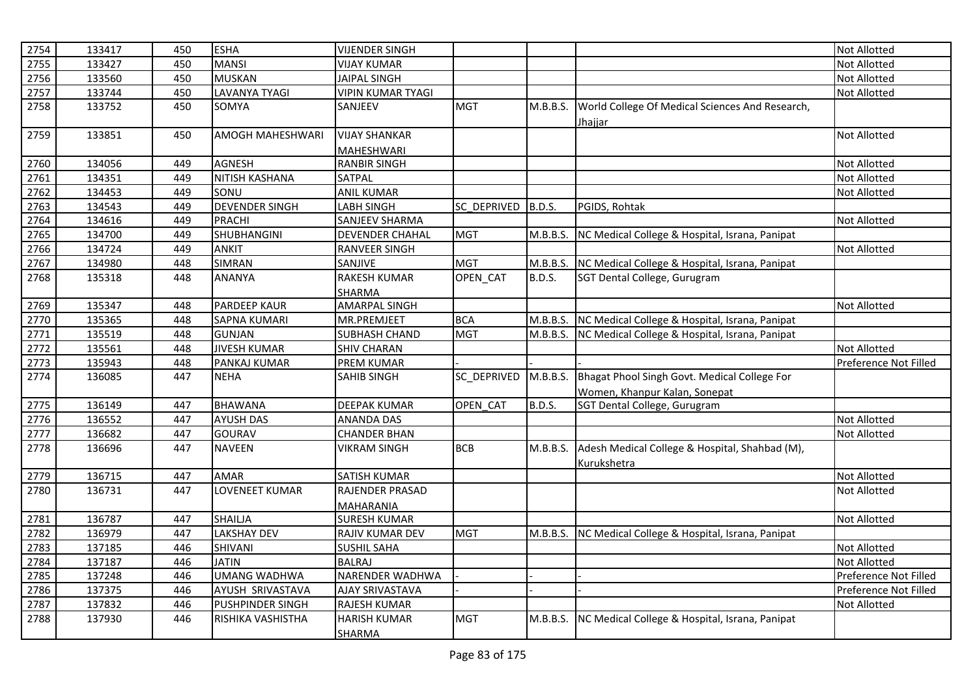| 2754 | 133417 | 450 | <b>ESHA</b>             | <b>VIJENDER SINGH</b>    |             |               |                                                         | <b>Not Allotted</b>   |
|------|--------|-----|-------------------------|--------------------------|-------------|---------------|---------------------------------------------------------|-----------------------|
| 2755 | 133427 | 450 | <b>MANSI</b>            | <b>VIJAY KUMAR</b>       |             |               |                                                         | <b>Not Allotted</b>   |
| 2756 | 133560 | 450 | <b>MUSKAN</b>           | <b>JAIPAL SINGH</b>      |             |               |                                                         | <b>Not Allotted</b>   |
| 2757 | 133744 | 450 | <b>LAVANYA TYAGI</b>    | <b>VIPIN KUMAR TYAGI</b> |             |               |                                                         | <b>Not Allotted</b>   |
| 2758 | 133752 | 450 | SOMYA                   | SANJEEV                  | <b>MGT</b>  | M.B.B.S.      | World College Of Medical Sciences And Research,         |                       |
|      |        |     |                         |                          |             |               | Jhajjar                                                 |                       |
| 2759 | 133851 | 450 | <b>AMOGH MAHESHWARI</b> | <b>VIJAY SHANKAR</b>     |             |               |                                                         | <b>Not Allotted</b>   |
|      |        |     |                         | <b>MAHESHWARI</b>        |             |               |                                                         |                       |
| 2760 | 134056 | 449 | <b>AGNESH</b>           | <b>RANBIR SINGH</b>      |             |               |                                                         | <b>Not Allotted</b>   |
| 2761 | 134351 | 449 | NITISH KASHANA          | SATPAL                   |             |               |                                                         | Not Allotted          |
| 2762 | 134453 | 449 | SONU                    | <b>ANIL KUMAR</b>        |             |               |                                                         | Not Allotted          |
| 2763 | 134543 | 449 | <b>DEVENDER SINGH</b>   | <b>LABH SINGH</b>        | SC DEPRIVED | <b>B.D.S.</b> | PGIDS, Rohtak                                           |                       |
| 2764 | 134616 | 449 | <b>PRACHI</b>           | <b>SANJEEV SHARMA</b>    |             |               |                                                         | Not Allotted          |
| 2765 | 134700 | 449 | SHUBHANGINI             | <b>DEVENDER CHAHAL</b>   | <b>MGT</b>  | M.B.B.S.      | NC Medical College & Hospital, Israna, Panipat          |                       |
| 2766 | 134724 | 449 | <b>ANKIT</b>            | RANVEER SINGH            |             |               |                                                         | Not Allotted          |
| 2767 | 134980 | 448 | <b>SIMRAN</b>           | SANJIVE                  | <b>MGT</b>  |               | M.B.B.S. NC Medical College & Hospital, Israna, Panipat |                       |
| 2768 | 135318 | 448 | <b>ANANYA</b>           | <b>RAKESH KUMAR</b>      | OPEN_CAT    | B.D.S.        | SGT Dental College, Gurugram                            |                       |
|      |        |     |                         | SHARMA                   |             |               |                                                         |                       |
| 2769 | 135347 | 448 | <b>PARDEEP KAUR</b>     | <b>AMARPAL SINGH</b>     |             |               |                                                         | <b>Not Allotted</b>   |
| 2770 | 135365 | 448 | <b>SAPNA KUMARI</b>     | MR.PREMJEET              | <b>BCA</b>  |               | M.B.B.S. NC Medical College & Hospital, Israna, Panipat |                       |
| 2771 | 135519 | 448 | <b>GUNJAN</b>           | <b>SUBHASH CHAND</b>     | <b>MGT</b>  |               | M.B.B.S. NC Medical College & Hospital, Israna, Panipat |                       |
| 2772 | 135561 | 448 | <b>JIVESH KUMAR</b>     | <b>SHIV CHARAN</b>       |             |               |                                                         | <b>Not Allotted</b>   |
| 2773 | 135943 | 448 | PANKAJ KUMAR            | PREM KUMAR               |             |               |                                                         | Preference Not Filled |
| 2774 | 136085 | 447 | <b>NEHA</b>             | <b>SAHIB SINGH</b>       | SC DEPRIVED | M.B.B.S.      | Bhagat Phool Singh Govt. Medical College For            |                       |
|      |        |     |                         |                          |             |               | Women, Khanpur Kalan, Sonepat                           |                       |
| 2775 | 136149 | 447 | <b>BHAWANA</b>          | <b>DEEPAK KUMAR</b>      | OPEN_CAT    | <b>B.D.S.</b> | SGT Dental College, Gurugram                            |                       |
| 2776 | 136552 | 447 | <b>AYUSH DAS</b>        | <b>ANANDA DAS</b>        |             |               |                                                         | <b>Not Allotted</b>   |
| 2777 | 136682 | 447 | <b>GOURAV</b>           | <b>CHANDER BHAN</b>      |             |               |                                                         | Not Allotted          |
| 2778 | 136696 | 447 | <b>NAVEEN</b>           | <b>VIKRAM SINGH</b>      | <b>BCB</b>  | M.B.B.S.      | Adesh Medical College & Hospital, Shahbad (M),          |                       |
|      |        |     |                         |                          |             |               | Kurukshetra                                             |                       |
| 2779 | 136715 | 447 | <b>AMAR</b>             | <b>SATISH KUMAR</b>      |             |               |                                                         | Not Allotted          |
| 2780 | 136731 | 447 | LOVENEET KUMAR          | RAJENDER PRASAD          |             |               |                                                         | Not Allotted          |
|      |        |     |                         | <b>MAHARANIA</b>         |             |               |                                                         |                       |
| 2781 | 136787 | 447 | SHAILJA                 | <b>SURESH KUMAR</b>      |             |               |                                                         | Not Allotted          |
| 2782 | 136979 | 447 | <b>LAKSHAY DEV</b>      | RAJIV KUMAR DEV          | <b>MGT</b>  | M.B.B.S.      | NC Medical College & Hospital, Israna, Panipat          |                       |
| 2783 | 137185 | 446 | SHIVANI                 | <b>SUSHIL SAHA</b>       |             |               |                                                         | Not Allotted          |
| 2784 | 137187 | 446 | <b>JATIN</b>            | <b>BALRAJ</b>            |             |               |                                                         | <b>Not Allotted</b>   |
| 2785 | 137248 | 446 | <b>UMANG WADHWA</b>     | NARENDER WADHWA          |             |               |                                                         | Preference Not Filled |
| 2786 | 137375 | 446 | AYUSH SRIVASTAVA        | <b>AJAY SRIVASTAVA</b>   |             |               |                                                         | Preference Not Filled |
| 2787 | 137832 | 446 | PUSHPINDER SINGH        | RAJESH KUMAR             |             |               |                                                         | <b>Not Allotted</b>   |
| 2788 | 137930 | 446 | RISHIKA VASHISTHA       | <b>HARISH KUMAR</b>      | <b>MGT</b>  | M.B.B.S.      | NC Medical College & Hospital, Israna, Panipat          |                       |
|      |        |     |                         | SHARMA                   |             |               |                                                         |                       |
|      |        |     |                         |                          |             |               |                                                         |                       |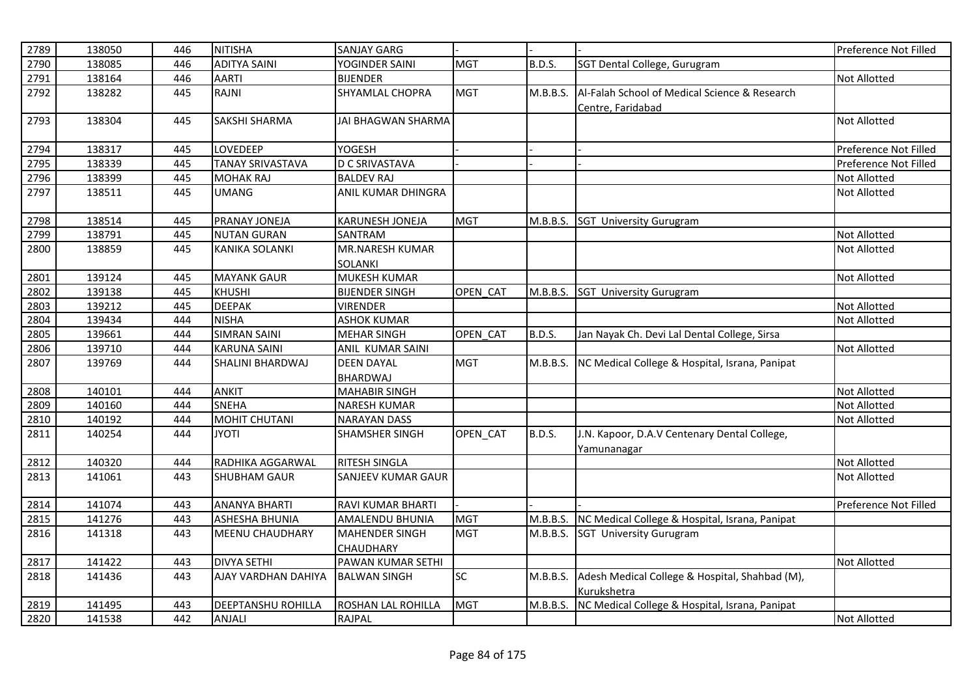| 2789 | 138050 | 446 | <b>NITISHA</b>          | <b>SANJAY GARG</b>        |            |               |                                                         | Preference Not Filled |
|------|--------|-----|-------------------------|---------------------------|------------|---------------|---------------------------------------------------------|-----------------------|
| 2790 | 138085 | 446 | <b>ADITYA SAINI</b>     | YOGINDER SAINI            | <b>MGT</b> | <b>B.D.S.</b> | SGT Dental College, Gurugram                            |                       |
| 2791 | 138164 | 446 | <b>AARTI</b>            | <b>BIJENDER</b>           |            |               |                                                         | <b>Not Allotted</b>   |
| 2792 | 138282 | 445 | RAJNI                   | SHYAMLAL CHOPRA           | <b>MGT</b> | M.B.B.S.      | Al-Falah School of Medical Science & Research           |                       |
|      |        |     |                         |                           |            |               | Centre, Faridabad                                       |                       |
| 2793 | 138304 | 445 | <b>SAKSHI SHARMA</b>    | <b>JAI BHAGWAN SHARMA</b> |            |               |                                                         | <b>Not Allotted</b>   |
|      |        |     |                         |                           |            |               |                                                         |                       |
| 2794 | 138317 | 445 | LOVEDEEP                | <b>YOGESH</b>             |            |               |                                                         | Preference Not Filled |
| 2795 | 138339 | 445 | <b>TANAY SRIVASTAVA</b> | <b>D C SRIVASTAVA</b>     |            |               |                                                         | Preference Not Filled |
| 2796 | 138399 | 445 | <b>MOHAK RAJ</b>        | <b>BALDEV RAJ</b>         |            |               |                                                         | <b>Not Allotted</b>   |
| 2797 | 138511 | 445 | <b>UMANG</b>            | ANIL KUMAR DHINGRA        |            |               |                                                         | <b>Not Allotted</b>   |
|      |        |     |                         |                           |            |               |                                                         |                       |
| 2798 | 138514 | 445 | PRANAY JONEJA           | KARUNESH JONEJA           | <b>MGT</b> |               | M.B.B.S. SGT University Gurugram                        |                       |
| 2799 | 138791 | 445 | <b>NUTAN GURAN</b>      | SANTRAM                   |            |               |                                                         | <b>Not Allotted</b>   |
| 2800 | 138859 | 445 | <b>KANIKA SOLANKI</b>   | MR.NARESH KUMAR           |            |               |                                                         | <b>Not Allotted</b>   |
|      |        |     |                         | <b>SOLANKI</b>            |            |               |                                                         |                       |
| 2801 | 139124 | 445 | <b>MAYANK GAUR</b>      | <b>MUKESH KUMAR</b>       |            |               |                                                         | <b>Not Allotted</b>   |
| 2802 | 139138 | 445 | <b>KHUSHI</b>           | <b>BIJENDER SINGH</b>     | OPEN CAT   | M.B.B.S.      | <b>SGT University Gurugram</b>                          |                       |
| 2803 | 139212 | 445 | <b>DEEPAK</b>           | <b>VIRENDER</b>           |            |               |                                                         | <b>Not Allotted</b>   |
| 2804 | 139434 | 444 | <b>NISHA</b>            | <b>ASHOK KUMAR</b>        |            |               |                                                         | Not Allotted          |
| 2805 | 139661 | 444 | <b>SIMRAN SAINI</b>     | <b>MEHAR SINGH</b>        | OPEN CAT   | B.D.S.        | Jan Nayak Ch. Devi Lal Dental College, Sirsa            |                       |
| 2806 | 139710 | 444 | <b>KARUNA SAINI</b>     | ANIL KUMAR SAINI          |            |               |                                                         | <b>Not Allotted</b>   |
| 2807 | 139769 | 444 | SHALINI BHARDWAJ        | <b>DEEN DAYAL</b>         | <b>MGT</b> | M.B.B.S.      | NC Medical College & Hospital, Israna, Panipat          |                       |
|      |        |     |                         | <b>BHARDWAJ</b>           |            |               |                                                         |                       |
| 2808 | 140101 | 444 | <b>ANKIT</b>            | <b>MAHABIR SINGH</b>      |            |               |                                                         | <b>Not Allotted</b>   |
| 2809 | 140160 | 444 | <b>SNEHA</b>            | <b>NARESH KUMAR</b>       |            |               |                                                         | <b>Not Allotted</b>   |
| 2810 | 140192 | 444 | <b>MOHIT CHUTANI</b>    | <b>NARAYAN DASS</b>       |            |               |                                                         | <b>Not Allotted</b>   |
| 2811 | 140254 | 444 | <b>ITOYL</b>            | SHAMSHER SINGH            | OPEN_CAT   | <b>B.D.S.</b> | J.N. Kapoor, D.A.V Centenary Dental College,            |                       |
|      |        |     |                         |                           |            |               | <u>Yamunanagar</u>                                      |                       |
| 2812 | 140320 | 444 | RADHIKA AGGARWAL        | RITESH SINGLA             |            |               |                                                         | <b>Not Allotted</b>   |
| 2813 | 141061 | 443 | <b>SHUBHAM GAUR</b>     | SANJEEV KUMAR GAUR        |            |               |                                                         | Not Allotted          |
|      |        |     |                         |                           |            |               |                                                         |                       |
| 2814 | 141074 | 443 | <b>ANANYA BHARTI</b>    | RAVI KUMAR BHARTI         |            |               |                                                         | Preference Not Filled |
| 2815 | 141276 | 443 | <b>ASHESHA BHUNIA</b>   | <b>AMALENDU BHUNIA</b>    | <b>MGT</b> |               | M.B.B.S. NC Medical College & Hospital, Israna, Panipat |                       |
| 2816 | 141318 | 443 | <b>MEENU CHAUDHARY</b>  | <b>MAHENDER SINGH</b>     | <b>MGT</b> |               | M.B.B.S. SGT University Gurugram                        |                       |
|      |        |     |                         | <b>CHAUDHARY</b>          |            |               |                                                         |                       |
| 2817 | 141422 | 443 | <b>DIVYA SETHI</b>      | PAWAN KUMAR SETHI         |            |               |                                                         | <b>Not Allotted</b>   |
| 2818 | 141436 | 443 | AJAY VARDHAN DAHIYA     | <b>BALWAN SINGH</b>       | <b>SC</b>  | M.B.B.S.      | Adesh Medical College & Hospital, Shahbad (M),          |                       |
|      |        |     |                         |                           |            |               | Kurukshetra                                             |                       |
| 2819 | 141495 | 443 | DEEPTANSHU ROHILLA      | ROSHAN LAL ROHILLA        | <b>MGT</b> | M.B.B.S.      | NC Medical College & Hospital, Israna, Panipat          |                       |
| 2820 | 141538 | 442 | <b>ANJALI</b>           | <b>RAJPAL</b>             |            |               |                                                         | <b>Not Allotted</b>   |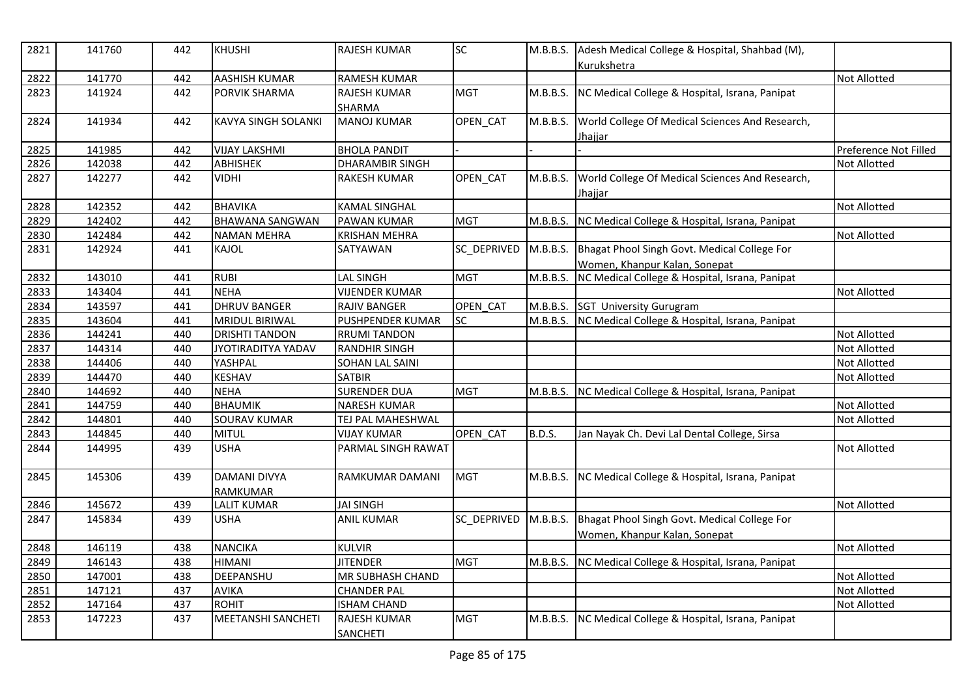| 2821 | 141760 | 442 | <b>KHUSHI</b>                   | <b>RAJESH KUMAR</b>                  | <b>SC</b>   | M.B.B.S.      | Adesh Medical College & Hospital, Shahbad (M),<br>Kurukshetra     |                       |
|------|--------|-----|---------------------------------|--------------------------------------|-------------|---------------|-------------------------------------------------------------------|-----------------------|
| 2822 | 141770 | 442 | <b>AASHISH KUMAR</b>            | RAMESH KUMAR                         |             |               |                                                                   | <b>Not Allotted</b>   |
| 2823 | 141924 | 442 | PORVIK SHARMA                   | <b>RAJESH KUMAR</b><br><b>SHARMA</b> | <b>MGT</b>  | M.B.B.S.      | NC Medical College & Hospital, Israna, Panipat                    |                       |
| 2824 | 141934 | 442 | <b>KAVYA SINGH SOLANKI</b>      | <b>MANOJ KUMAR</b>                   | OPEN_CAT    | M.B.B.S.      | World College Of Medical Sciences And Research,<br><u>Jhajjar</u> |                       |
| 2825 | 141985 | 442 | <b>VIJAY LAKSHMI</b>            | <b>BHOLA PANDIT</b>                  |             |               |                                                                   | Preference Not Filled |
| 2826 | 142038 | 442 | <b>ABHISHEK</b>                 | <b>DHARAMBIR SINGH</b>               |             |               |                                                                   | <b>Not Allotted</b>   |
| 2827 | 142277 | 442 | VIDHI                           | <b>RAKESH KUMAR</b>                  | OPEN_CAT    | M.B.B.S.      | World College Of Medical Sciences And Research,<br><u>Jhajjar</u> |                       |
| 2828 | 142352 | 442 | <b>BHAVIKA</b>                  | <b>KAMAL SINGHAL</b>                 |             |               |                                                                   | Not Allotted          |
| 2829 | 142402 | 442 | <b>BHAWANA SANGWAN</b>          | PAWAN KUMAR                          | <b>MGT</b>  | M.B.B.S.      | NC Medical College & Hospital, Israna, Panipat                    |                       |
| 2830 | 142484 | 442 | <b>NAMAN MEHRA</b>              | <b>KRISHAN MEHRA</b>                 |             |               |                                                                   | Not Allotted          |
| 2831 | 142924 | 441 | KAJOL                           | SATYAWAN                             | SC_DEPRIVED | M.B.B.S.      | Bhagat Phool Singh Govt. Medical College For                      |                       |
|      |        |     |                                 |                                      |             |               | Women, Khanpur Kalan, Sonepat                                     |                       |
| 2832 | 143010 | 441 | <b>RUBI</b>                     | <b>LAL SINGH</b>                     | <b>MGT</b>  | M.B.B.S.      | NC Medical College & Hospital, Israna, Panipat                    |                       |
| 2833 | 143404 | 441 | <b>NEHA</b>                     | <b>VIJENDER KUMAR</b>                |             |               |                                                                   | Not Allotted          |
| 2834 | 143597 | 441 | <b>DHRUV BANGER</b>             | RAJIV BANGER                         | OPEN_CAT    | M.B.B.S.      | <b>SGT University Gurugram</b>                                    |                       |
| 2835 | 143604 | 441 | <b>MRIDUL BIRIWAL</b>           | PUSHPENDER KUMAR                     | <b>SC</b>   |               | M.B.B.S. NC Medical College & Hospital, Israna, Panipat           |                       |
| 2836 | 144241 | 440 | <b>DRISHTI TANDON</b>           | <b>RRUMI TANDON</b>                  |             |               |                                                                   | Not Allotted          |
| 2837 | 144314 | 440 | <b>JYOTIRADITYA YADAV</b>       | <b>RANDHIR SINGH</b>                 |             |               |                                                                   | Not Allotted          |
| 2838 | 144406 | 440 | YASHPAL                         | SOHAN LAL SAINI                      |             |               |                                                                   | Not Allotted          |
| 2839 | 144470 | 440 | <b>KESHAV</b>                   | <b>SATBIR</b>                        |             |               |                                                                   | <b>Not Allotted</b>   |
| 2840 | 144692 | 440 | <b>NEHA</b>                     | <b>SURENDER DUA</b>                  | <b>MGT</b>  | M.B.B.S.      | NC Medical College & Hospital, Israna, Panipat                    |                       |
| 2841 | 144759 | 440 | <b>BHAUMIK</b>                  | <b>NARESH KUMAR</b>                  |             |               |                                                                   | Not Allotted          |
| 2842 | 144801 | 440 | SOURAV KUMAR                    | TEJ PAL MAHESHWAL                    |             |               |                                                                   | Not Allotted          |
| 2843 | 144845 | 440 | <b>MITUL</b>                    | <b>VIJAY KUMAR</b>                   | OPEN_CAT    | <b>B.D.S.</b> | Jan Nayak Ch. Devi Lal Dental College, Sirsa                      |                       |
| 2844 | 144995 | 439 | <b>USHA</b>                     | PARMAL SINGH RAWAT                   |             |               |                                                                   | Not Allotted          |
| 2845 | 145306 | 439 | <b>DAMANI DIVYA</b><br>RAMKUMAR | RAMKUMAR DAMANI                      | <b>MGT</b>  | M.B.B.S.      | NC Medical College & Hospital, Israna, Panipat                    |                       |
| 2846 | 145672 | 439 | <b>LALIT KUMAR</b>              | <b>JAI SINGH</b>                     |             |               |                                                                   | <b>Not Allotted</b>   |
| 2847 | 145834 | 439 | <b>USHA</b>                     | <b>ANIL KUMAR</b>                    | SC DEPRIVED | M.B.B.S.      | Bhagat Phool Singh Govt. Medical College For                      |                       |
|      |        |     |                                 |                                      |             |               | Women, Khanpur Kalan, Sonepat                                     |                       |
| 2848 | 146119 | 438 | <b>NANCIKA</b>                  | <b>KULVIR</b>                        |             |               |                                                                   | Not Allotted          |
| 2849 | 146143 | 438 | <b>HIMANI</b>                   | <b>JITENDER</b>                      | <b>MGT</b>  |               | M.B.B.S. NC Medical College & Hospital, Israna, Panipat           |                       |
| 2850 | 147001 | 438 | DEEPANSHU                       | MR SUBHASH CHAND                     |             |               |                                                                   | Not Allotted          |
| 2851 | 147121 | 437 | <b>AVIKA</b>                    | <b>CHANDER PAL</b>                   |             |               |                                                                   | Not Allotted          |
| 2852 | 147164 | 437 | <b>ROHIT</b>                    | <b>ISHAM CHAND</b>                   |             |               |                                                                   | Not Allotted          |
| 2853 | 147223 | 437 | <b>MEETANSHI SANCHETI</b>       | RAJESH KUMAR<br><b>SANCHETI</b>      | <b>MGT</b>  | M.B.B.S.      | NC Medical College & Hospital, Israna, Panipat                    |                       |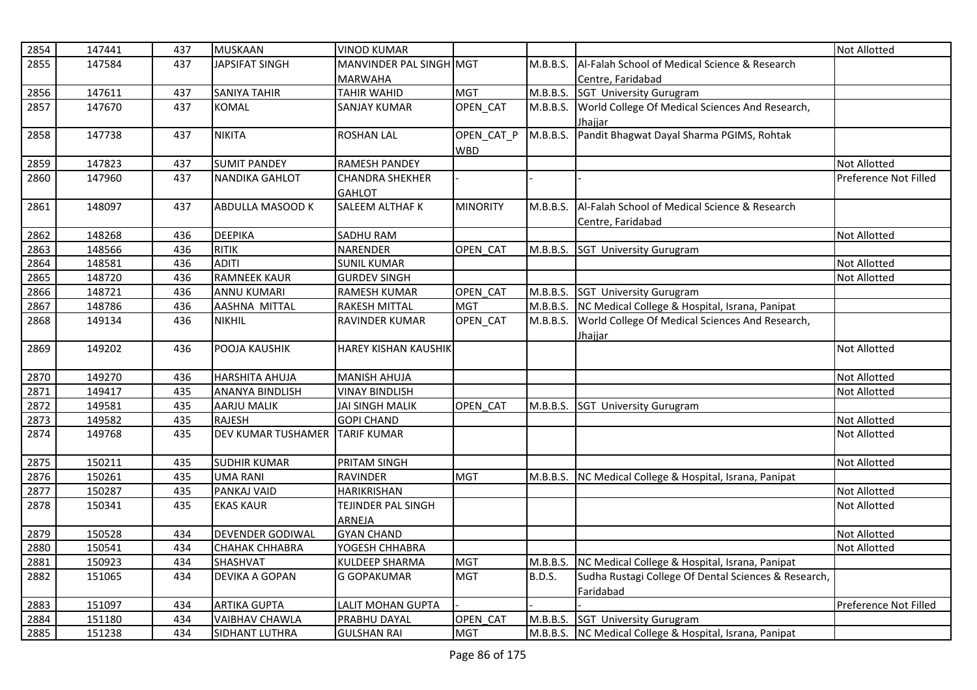| 2854 | 147441 | 437 | <b>MUSKAAN</b>                 | <b>VINOD KUMAR</b>          |                 |               |                                                         | <b>Not Allotted</b>   |
|------|--------|-----|--------------------------------|-----------------------------|-----------------|---------------|---------------------------------------------------------|-----------------------|
| 2855 | 147584 | 437 | <b>JAPSIFAT SINGH</b>          | MANVINDER PAL SINGH MGT     |                 | M.B.B.S.      | Al-Falah School of Medical Science & Research           |                       |
|      |        |     |                                | <b>MARWAHA</b>              |                 |               | Centre. Faridabad                                       |                       |
| 2856 | 147611 | 437 | <b>SANIYA TAHIR</b>            | <b>TAHIR WAHID</b>          | <b>MGT</b>      | M.B.B.S.      | <b>SGT University Gurugram</b>                          |                       |
| 2857 | 147670 | 437 | <b>KOMAL</b>                   | SANJAY KUMAR                | <b>OPEN CAT</b> | M.B.B.S.      | World College Of Medical Sciences And Research,         |                       |
|      |        |     |                                |                             |                 |               | Jhajjar                                                 |                       |
| 2858 | 147738 | 437 | <b>NIKITA</b>                  | <b>ROSHAN LAL</b>           | OPEN CAT P      | M.B.B.S.      | Pandit Bhagwat Dayal Sharma PGIMS, Rohtak               |                       |
|      |        |     |                                |                             | <b>WBD</b>      |               |                                                         |                       |
| 2859 | 147823 | 437 | <b>SUMIT PANDEY</b>            | <b>RAMESH PANDEY</b>        |                 |               |                                                         | <b>Not Allotted</b>   |
| 2860 | 147960 | 437 | <b>NANDIKA GAHLOT</b>          | <b>CHANDRA SHEKHER</b>      |                 |               |                                                         | Preference Not Filled |
|      |        |     |                                | <b>GAHLOT</b>               |                 |               |                                                         |                       |
| 2861 | 148097 | 437 | ABDULLA MASOOD K               | SALEEM ALTHAF K             | <b>MINORITY</b> | M.B.B.S.      | Al-Falah School of Medical Science & Research           |                       |
|      |        |     |                                |                             |                 |               | Centre, Faridabad                                       |                       |
| 2862 | 148268 | 436 | <b>DEEPIKA</b>                 | SADHU RAM                   |                 |               |                                                         | Not Allotted          |
| 2863 | 148566 | 436 | <b>RITIK</b>                   | <b>NARENDER</b>             | OPEN CAT        |               | M.B.B.S. SGT University Gurugram                        |                       |
| 2864 | 148581 | 436 | <b>ADITI</b>                   | <b>SUNIL KUMAR</b>          |                 |               |                                                         | <b>Not Allotted</b>   |
| 2865 | 148720 | 436 | <b>RAMNEEK KAUR</b>            | <b>GURDEV SINGH</b>         |                 |               |                                                         | <b>Not Allotted</b>   |
| 2866 | 148721 | 436 | <b>ANNU KUMARI</b>             | <b>RAMESH KUMAR</b>         | OPEN CAT        |               | M.B.B.S. SGT University Gurugram                        |                       |
| 2867 | 148786 | 436 | AASHNA MITTAL                  | <b>RAKESH MITTAL</b>        | <b>MGT</b>      |               | M.B.B.S. NC Medical College & Hospital, Israna, Panipat |                       |
| 2868 | 149134 | 436 | <b>NIKHIL</b>                  | <b>RAVINDER KUMAR</b>       | OPEN_CAT        | M.B.B.S.      | World College Of Medical Sciences And Research,         |                       |
|      |        |     |                                |                             |                 |               | Jhajjar                                                 |                       |
| 2869 | 149202 | 436 | POOJA KAUSHIK                  | <b>HAREY KISHAN KAUSHIK</b> |                 |               |                                                         | <b>Not Allotted</b>   |
| 2870 | 149270 | 436 | <b>HARSHITA AHUJA</b>          | <b>MANISH AHUJA</b>         |                 |               |                                                         | <b>Not Allotted</b>   |
| 2871 | 149417 | 435 | <b>ANANYA BINDLISH</b>         | <b>VINAY BINDLISH</b>       |                 |               |                                                         | <b>Not Allotted</b>   |
| 2872 | 149581 | 435 | AARJU MALIK                    | <b>JAI SINGH MALIK</b>      | OPEN CAT        | M.B.B.S.      | <b>SGT University Gurugram</b>                          |                       |
| 2873 | 149582 | 435 | <b>RAJESH</b>                  | <b>GOPI CHAND</b>           |                 |               |                                                         | Not Allotted          |
| 2874 | 149768 | 435 | DEV KUMAR TUSHAMER TARIF KUMAR |                             |                 |               |                                                         | <b>Not Allotted</b>   |
|      |        |     |                                |                             |                 |               |                                                         |                       |
| 2875 | 150211 | 435 | <b>SUDHIR KUMAR</b>            | PRITAM SINGH                |                 |               |                                                         | Not Allotted          |
| 2876 | 150261 | 435 | <b>UMA RANI</b>                | <b>RAVINDER</b>             | <b>MGT</b>      | M.B.B.S.      | NC Medical College & Hospital, Israna, Panipat          |                       |
| 2877 | 150287 | 435 | PANKAJ VAID                    | HARIKRISHAN                 |                 |               |                                                         | <b>Not Allotted</b>   |
| 2878 | 150341 | 435 | <b>EKAS KAUR</b>               | TEJINDER PAL SINGH          |                 |               |                                                         | <b>Not Allotted</b>   |
|      |        |     |                                | ARNEJA                      |                 |               |                                                         |                       |
| 2879 | 150528 | 434 | <b>DEVENDER GODIWAL</b>        | <b>GYAN CHAND</b>           |                 |               |                                                         | <b>Not Allotted</b>   |
| 2880 | 150541 | 434 | <b>CHAHAK CHHABRA</b>          | YOGESH CHHABRA              |                 |               |                                                         | Not Allotted          |
| 2881 | 150923 | 434 | SHASHVAT                       | <b>KULDEEP SHARMA</b>       | <b>MGT</b>      | M.B.B.S.      | NC Medical College & Hospital, Israna, Panipat          |                       |
| 2882 | 151065 | 434 | DEVIKA A GOPAN                 | <b>G GOPAKUMAR</b>          | <b>MGT</b>      | <b>B.D.S.</b> | Sudha Rustagi College Of Dental Sciences & Research,    |                       |
|      |        |     |                                |                             |                 |               | Faridabad                                               |                       |
| 2883 | 151097 | 434 | <b>ARTIKA GUPTA</b>            | LALIT MOHAN GUPTA           |                 |               |                                                         | Preference Not Filled |
| 2884 | 151180 | 434 | <b>VAIBHAV CHAWLA</b>          | PRABHU DAYAL                | OPEN CAT        |               | M.B.B.S. SGT University Gurugram                        |                       |
| 2885 | 151238 | 434 | SIDHANT LUTHRA                 | <b>GULSHAN RAI</b>          | <b>MGT</b>      |               | M.B.B.S. NC Medical College & Hospital, Israna, Panipat |                       |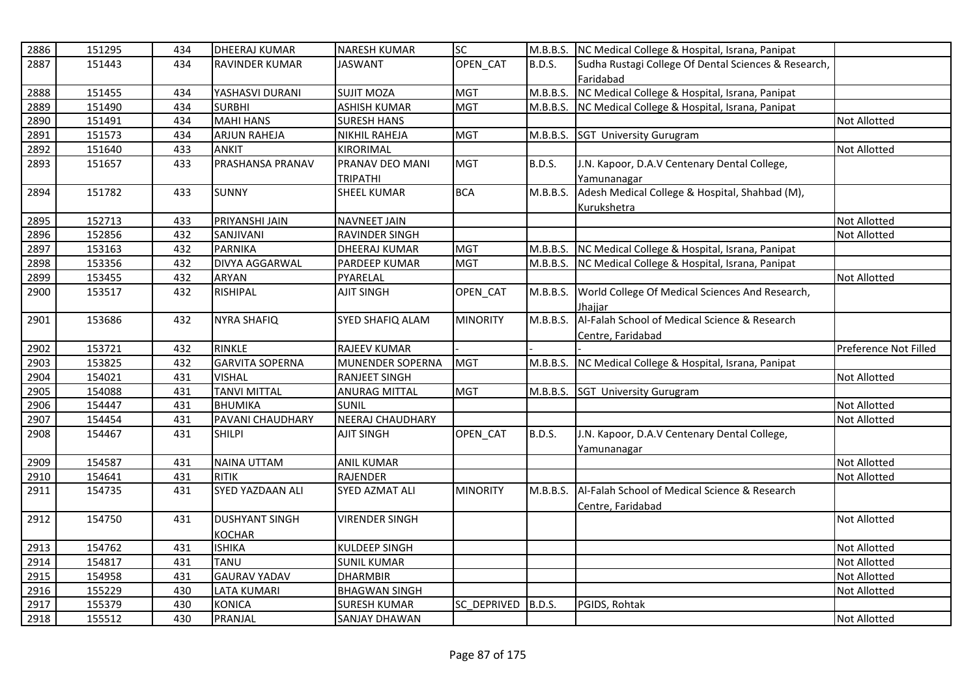| 2886 | 151295 | 434 | <b>DHEERAJ KUMAR</b>    | <b>NARESH KUMAR</b>     | <b>SC</b>       |               | M.B.B.S. NC Medical College & Hospital, Israna, Panipat |                       |
|------|--------|-----|-------------------------|-------------------------|-----------------|---------------|---------------------------------------------------------|-----------------------|
| 2887 | 151443 | 434 | <b>RAVINDER KUMAR</b>   | <b>JASWANT</b>          | <b>OPEN CAT</b> | <b>B.D.S.</b> | Sudha Rustagi College Of Dental Sciences & Research,    |                       |
|      |        |     |                         |                         |                 |               | Faridabad                                               |                       |
| 2888 | 151455 | 434 | YASHASVI DURANI         | <b>SUJIT MOZA</b>       | <b>MGT</b>      | M.B.B.S.      | NC Medical College & Hospital, Israna, Panipat          |                       |
| 2889 | 151490 | 434 | <b>SURBHI</b>           | <b>ASHISH KUMAR</b>     | <b>MGT</b>      | M.B.B.S.      | NC Medical College & Hospital, Israna, Panipat          |                       |
| 2890 | 151491 | 434 | <b>MAHI HANS</b>        | <b>SURESH HANS</b>      |                 |               |                                                         | Not Allotted          |
| 2891 | 151573 | 434 | <b>ARJUN RAHEJA</b>     | NIKHIL RAHEJA           | <b>MGT</b>      |               | M.B.B.S. SGT University Gurugram                        |                       |
| 2892 | 151640 | 433 | <b>ANKIT</b>            | KIRORIMAL               |                 |               |                                                         | <b>Not Allotted</b>   |
| 2893 | 151657 | 433 | <b>PRASHANSA PRANAV</b> | PRANAV DEO MANI         | <b>MGT</b>      | B.D.S.        | J.N. Kapoor, D.A.V Centenary Dental College,            |                       |
|      |        |     |                         | <b>TRIPATHI</b>         |                 |               | Yamunanagar                                             |                       |
| 2894 | 151782 | 433 | <b>SUNNY</b>            | <b>SHEEL KUMAR</b>      | <b>BCA</b>      | M.B.B.S.      | Adesh Medical College & Hospital, Shahbad (M),          |                       |
|      |        |     |                         |                         |                 |               | Kurukshetra                                             |                       |
| 2895 | 152713 | 433 | PRIYANSHI JAIN          | <b>NAVNEET JAIN</b>     |                 |               |                                                         | Not Allotted          |
| 2896 | 152856 | 432 | SANJIVANI               | RAVINDER SINGH          |                 |               |                                                         | <b>Not Allotted</b>   |
| 2897 | 153163 | 432 | <b>PARNIKA</b>          | <b>DHEERAJ KUMAR</b>    | <b>MGT</b>      |               | M.B.B.S. NC Medical College & Hospital, Israna, Panipat |                       |
| 2898 | 153356 | 432 | <b>DIVYA AGGARWAL</b>   | PARDEEP KUMAR           | <b>MGT</b>      | M.B.B.S.      | NC Medical College & Hospital, Israna, Panipat          |                       |
| 2899 | 153455 | 432 | ARYAN                   | PYARELAL                |                 |               |                                                         | <b>Not Allotted</b>   |
| 2900 | 153517 | 432 | RISHIPAL                | <b>AJIT SINGH</b>       | OPEN CAT        | M.B.B.S.      | World College Of Medical Sciences And Research,         |                       |
|      |        |     |                         |                         |                 |               | Jhajjar                                                 |                       |
| 2901 | 153686 | 432 | <b>NYRA SHAFIQ</b>      | SYED SHAFIQ ALAM        | <b>MINORITY</b> | M.B.B.S.      | Al-Falah School of Medical Science & Research           |                       |
|      |        |     |                         |                         |                 |               | Centre, Faridabad                                       |                       |
| 2902 | 153721 | 432 | RINKLE                  | RAJEEV KUMAR            |                 |               |                                                         | Preference Not Filled |
| 2903 | 153825 | 432 | <b>GARVITA SOPERNA</b>  | MUNENDER SOPERNA        | <b>MGT</b>      |               | M.B.B.S. NC Medical College & Hospital, Israna, Panipat |                       |
| 2904 | 154021 | 431 | <b>VISHAL</b>           | <b>RANJEET SINGH</b>    |                 |               |                                                         | <b>Not Allotted</b>   |
| 2905 | 154088 | 431 | <b>TANVI MITTAL</b>     | <b>ANURAG MITTAL</b>    | <b>MGT</b>      |               | M.B.B.S. SGT University Gurugram                        |                       |
| 2906 | 154447 | 431 | <b>BHUMIKA</b>          | <b>SUNIL</b>            |                 |               |                                                         | <b>Not Allotted</b>   |
| 2907 | 154454 | 431 | PAVANI CHAUDHARY        | <b>NEERAJ CHAUDHARY</b> |                 |               |                                                         | Not Allotted          |
| 2908 | 154467 | 431 | <b>SHILPI</b>           | <b>AJIT SINGH</b>       | OPEN CAT        | <b>B.D.S.</b> | J.N. Kapoor, D.A.V Centenary Dental College,            |                       |
|      |        |     |                         |                         |                 |               | Yamunanagar                                             |                       |
| 2909 | 154587 | 431 | NAINA UTTAM             | <b>ANIL KUMAR</b>       |                 |               |                                                         | Not Allotted          |
| 2910 | 154641 | 431 | <b>RITIK</b>            | <b>RAJENDER</b>         |                 |               |                                                         | <b>Not Allotted</b>   |
| 2911 | 154735 | 431 | SYED YAZDAAN ALI        | <b>SYED AZMAT ALI</b>   | <b>MINORITY</b> | M.B.B.S.      | Al-Falah School of Medical Science & Research           |                       |
|      |        |     |                         |                         |                 |               | Centre, Faridabad                                       |                       |
| 2912 | 154750 | 431 | <b>DUSHYANT SINGH</b>   | <b>VIRENDER SINGH</b>   |                 |               |                                                         | <b>Not Allotted</b>   |
|      |        |     | <b>KOCHAR</b>           |                         |                 |               |                                                         |                       |
| 2913 | 154762 | 431 | <b>ISHIKA</b>           | KULDEEP SINGH           |                 |               |                                                         | Not Allotted          |
| 2914 | 154817 | 431 | TANU                    | <b>SUNIL KUMAR</b>      |                 |               |                                                         | <b>Not Allotted</b>   |
| 2915 | 154958 | 431 | <b>GAURAV YADAV</b>     | <b>DHARMBIR</b>         |                 |               |                                                         | Not Allotted          |
| 2916 | 155229 | 430 | <b>LATA KUMARI</b>      | <b>BHAGWAN SINGH</b>    |                 |               |                                                         | Not Allotted          |
| 2917 | 155379 | 430 | <b>KONICA</b>           | <b>SURESH KUMAR</b>     | SC DEPRIVED     | B.D.S.        | PGIDS, Rohtak                                           |                       |
| 2918 | 155512 | 430 | PRANJAL                 | <b>SANJAY DHAWAN</b>    |                 |               |                                                         | Not Allotted          |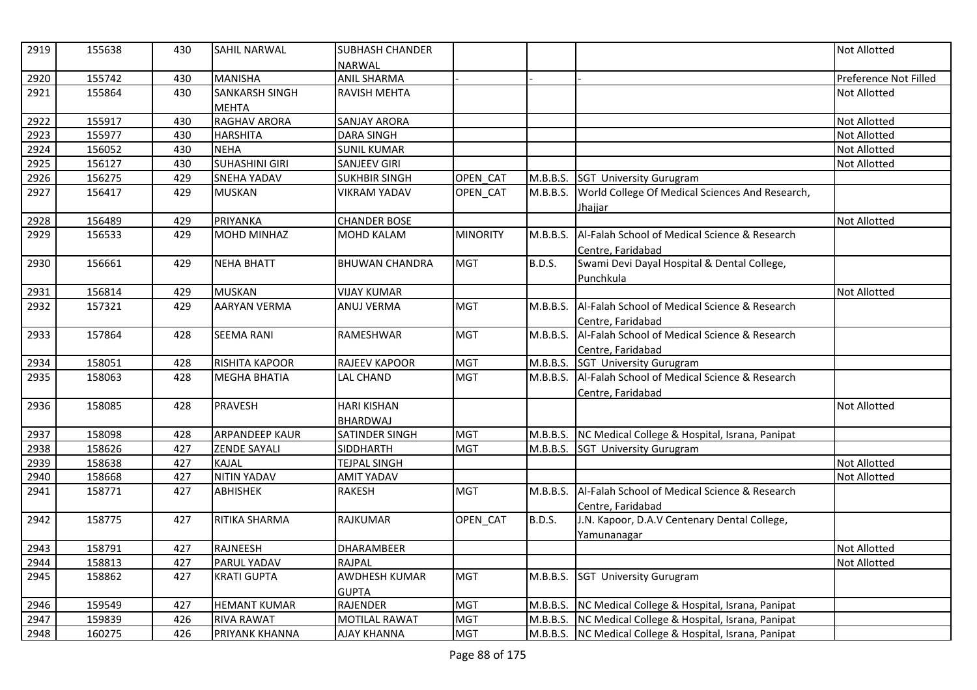| 2919 | 155638 | 430 | SAHIL NARWAL          | <b>SUBHASH CHANDER</b><br>NARWAL |                 |               |                                                         | <b>Not Allotted</b>   |
|------|--------|-----|-----------------------|----------------------------------|-----------------|---------------|---------------------------------------------------------|-----------------------|
| 2920 | 155742 | 430 | <b>MANISHA</b>        | <b>ANIL SHARMA</b>               |                 |               |                                                         | Preference Not Filled |
| 2921 | 155864 | 430 | <b>SANKARSH SINGH</b> | <b>RAVISH MEHTA</b>              |                 |               |                                                         | <b>Not Allotted</b>   |
|      |        |     | <b>MEHTA</b>          |                                  |                 |               |                                                         |                       |
| 2922 | 155917 | 430 | RAGHAV ARORA          | <b>SANJAY ARORA</b>              |                 |               |                                                         | <b>Not Allotted</b>   |
| 2923 | 155977 | 430 | <b>HARSHITA</b>       | <b>DARA SINGH</b>                |                 |               |                                                         | <b>Not Allotted</b>   |
| 2924 | 156052 | 430 | <b>NEHA</b>           | <b>SUNIL KUMAR</b>               |                 |               |                                                         | Not Allotted          |
| 2925 | 156127 | 430 | <b>SUHASHINI GIRI</b> | SANJEEV GIRI                     |                 |               |                                                         | <b>Not Allotted</b>   |
| 2926 | 156275 | 429 | <b>SNEHA YADAV</b>    | <b>SUKHBIR SINGH</b>             | OPEN CAT        | M.B.B.S.      | <b>SGT University Gurugram</b>                          |                       |
| 2927 | 156417 | 429 | <b>MUSKAN</b>         | <b>VIKRAM YADAV</b>              | OPEN_CAT        | M.B.B.S.      | World College Of Medical Sciences And Research,         |                       |
|      |        |     |                       |                                  |                 |               | Jhajjar                                                 |                       |
| 2928 | 156489 | 429 | PRIYANKA              | <b>CHANDER BOSE</b>              |                 |               |                                                         | Not Allotted          |
| 2929 | 156533 | 429 | <b>MOHD MINHAZ</b>    | MOHD KALAM                       | <b>MINORITY</b> | M.B.B.S.      | Al-Falah School of Medical Science & Research           |                       |
|      |        |     |                       |                                  |                 |               | Centre, Faridabad                                       |                       |
| 2930 | 156661 | 429 | <b>NEHA BHATT</b>     | <b>BHUWAN CHANDRA</b>            | <b>MGT</b>      | <b>B.D.S.</b> | Swami Devi Dayal Hospital & Dental College,             |                       |
|      |        |     |                       |                                  |                 |               | Punchkula                                               |                       |
| 2931 | 156814 | 429 | <b>MUSKAN</b>         | <b>VIJAY KUMAR</b>               |                 |               |                                                         | <b>Not Allotted</b>   |
| 2932 | 157321 | 429 | <b>AARYAN VERMA</b>   | <b>ANUJ VERMA</b>                | <b>MGT</b>      | M.B.B.S.      | Al-Falah School of Medical Science & Research           |                       |
|      |        |     |                       |                                  |                 |               | Centre. Faridabad                                       |                       |
| 2933 | 157864 | 428 | <b>SEEMA RANI</b>     | RAMESHWAR                        | <b>MGT</b>      | M.B.B.S.      | Al-Falah School of Medical Science & Research           |                       |
|      |        |     |                       |                                  |                 |               | Centre, Faridabad                                       |                       |
| 2934 | 158051 | 428 | <b>RISHITA KAPOOR</b> | RAJEEV KAPOOR                    | <b>MGT</b>      | M.B.B.S.      | <b>SGT University Gurugram</b>                          |                       |
| 2935 | 158063 | 428 | <b>MEGHA BHATIA</b>   | LAL CHAND                        | <b>MGT</b>      | M.B.B.S.      | Al-Falah School of Medical Science & Research           |                       |
|      |        |     |                       |                                  |                 |               | Centre, Faridabad                                       |                       |
| 2936 | 158085 | 428 | <b>PRAVESH</b>        | <b>HARI KISHAN</b>               |                 |               |                                                         | <b>Not Allotted</b>   |
|      |        |     |                       | BHARDWAJ                         |                 |               |                                                         |                       |
| 2937 | 158098 | 428 | <b>ARPANDEEP KAUR</b> | SATINDER SINGH                   | <b>MGT</b>      |               | M.B.B.S. NC Medical College & Hospital, Israna, Panipat |                       |
| 2938 | 158626 | 427 | <b>ZENDE SAYALI</b>   | SIDDHARTH                        | <b>MGT</b>      |               | M.B.B.S. SGT University Gurugram                        |                       |
| 2939 | 158638 | 427 | <b>KAJAL</b>          | <b>TEJPAL SINGH</b>              |                 |               |                                                         | <b>Not Allotted</b>   |
| 2940 | 158668 | 427 | <b>NITIN YADAV</b>    | AMIT YADAV                       |                 |               |                                                         | Not Allotted          |
| 2941 | 158771 | 427 | <b>ABHISHEK</b>       | <b>RAKESH</b>                    | <b>MGT</b>      | M.B.B.S.      | Al-Falah School of Medical Science & Research           |                       |
|      |        |     |                       |                                  |                 |               | Centre, Faridabad                                       |                       |
| 2942 | 158775 | 427 | <b>RITIKA SHARMA</b>  | <b>RAJKUMAR</b>                  | OPEN CAT        | <b>B.D.S.</b> | J.N. Kapoor, D.A.V Centenary Dental College,            |                       |
|      |        |     |                       |                                  |                 |               | Yamunanagar                                             |                       |
| 2943 | 158791 | 427 | RAJNEESH              | DHARAMBEER                       |                 |               |                                                         | Not Allotted          |
| 2944 | 158813 | 427 | PARUL YADAV           | <b>RAJPAL</b>                    |                 |               |                                                         | <b>Not Allotted</b>   |
| 2945 | 158862 | 427 | <b>KRATI GUPTA</b>    | <b>AWDHESH KUMAR</b>             | <b>MGT</b>      | M.B.B.S.      | <b>SGT University Gurugram</b>                          |                       |
|      |        |     |                       | <b>GUPTA</b>                     |                 |               |                                                         |                       |
| 2946 | 159549 | 427 | <b>HEMANT KUMAR</b>   | <b>RAJENDER</b>                  | <b>MGT</b>      |               | M.B.B.S. NC Medical College & Hospital, Israna, Panipat |                       |
| 2947 | 159839 | 426 | <b>RIVA RAWAT</b>     | <b>MOTILAL RAWAT</b>             | <b>MGT</b>      |               | M.B.B.S. NC Medical College & Hospital, Israna, Panipat |                       |
| 2948 | 160275 | 426 | PRIYANK KHANNA        | <b>AJAY KHANNA</b>               | <b>MGT</b>      |               | M.B.B.S. NC Medical College & Hospital, Israna, Panipat |                       |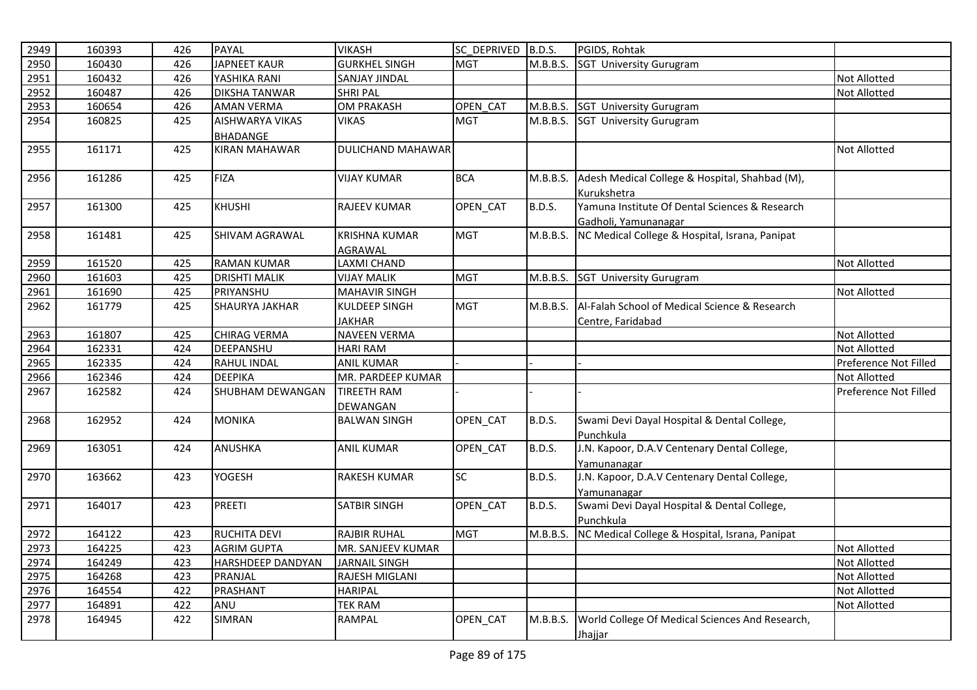| 2949 | 160393 | 426 | <b>PAYAL</b>             | <b>VIKASH</b>                  | SC DEPRIVED B.D.S. |               | PGIDS, Rohtak                                                          |                       |
|------|--------|-----|--------------------------|--------------------------------|--------------------|---------------|------------------------------------------------------------------------|-----------------------|
| 2950 | 160430 | 426 | <b>JAPNEET KAUR</b>      | <b>GURKHEL SINGH</b>           | <b>MGT</b>         | M.B.B.S.      | <b>SGT University Gurugram</b>                                         |                       |
| 2951 | 160432 | 426 | YASHIKA RANI             | <b>SANJAY JINDAL</b>           |                    |               |                                                                        | <b>Not Allotted</b>   |
| 2952 | 160487 | 426 | <b>DIKSHA TANWAR</b>     | <b>SHRI PAL</b>                |                    |               |                                                                        | <b>Not Allotted</b>   |
| 2953 | 160654 | 426 | <b>AMAN VERMA</b>        | <b>OM PRAKASH</b>              | OPEN CAT           | M.B.B.S.      | <b>SGT University Gurugram</b>                                         |                       |
| 2954 | 160825 | 425 | <b>AISHWARYA VIKAS</b>   | <b>VIKAS</b>                   | <b>MGT</b>         | M.B.B.S.      | <b>SGT University Gurugram</b>                                         |                       |
|      |        |     | <b>BHADANGE</b>          |                                |                    |               |                                                                        |                       |
| 2955 | 161171 | 425 | <b>KIRAN MAHAWAR</b>     | <b>DULICHAND MAHAWAR</b>       |                    |               |                                                                        | <b>Not Allotted</b>   |
| 2956 | 161286 | 425 | <b>FIZA</b>              | <b>VIJAY KUMAR</b>             | <b>BCA</b>         | M.B.B.S.      | Adesh Medical College & Hospital, Shahbad (M),<br>Kurukshetra          |                       |
| 2957 | 161300 | 425 | <b>KHUSHI</b>            | <b>RAJEEV KUMAR</b>            | OPEN CAT           | <b>B.D.S.</b> | Yamuna Institute Of Dental Sciences & Research<br>Gadholi, Yamunanagar |                       |
| 2958 | 161481 | 425 | SHIVAM AGRAWAL           | KRISHNA KUMAR<br>AGRAWAL       | <b>MGT</b>         | M.B.B.S.      | NC Medical College & Hospital, Israna, Panipat                         |                       |
| 2959 | 161520 | 425 | <b>RAMAN KUMAR</b>       | LAXMI CHAND                    |                    |               |                                                                        | <b>Not Allotted</b>   |
| 2960 | 161603 | 425 | <b>DRISHTI MALIK</b>     | <b>VIJAY MALIK</b>             | <b>MGT</b>         | M.B.B.S.      | <b>SGT University Gurugram</b>                                         |                       |
| 2961 | 161690 | 425 | PRIYANSHU                | <b>MAHAVIR SINGH</b>           |                    |               |                                                                        | <b>Not Allotted</b>   |
| 2962 | 161779 | 425 | <b>SHAURYA JAKHAR</b>    | KULDEEP SINGH                  | <b>MGT</b>         | M.B.B.S.      | Al-Falah School of Medical Science & Research                          |                       |
|      |        |     |                          | <b>JAKHAR</b>                  |                    |               | Centre, Faridabad                                                      |                       |
| 2963 | 161807 | 425 | <b>CHIRAG VERMA</b>      | <b>NAVEEN VERMA</b>            |                    |               |                                                                        | <b>Not Allotted</b>   |
| 2964 | 162331 | 424 | DEEPANSHU                | <b>HARI RAM</b>                |                    |               |                                                                        | <b>Not Allotted</b>   |
| 2965 | 162335 | 424 | RAHUL INDAL              | <b>ANIL KUMAR</b>              |                    |               |                                                                        | Preference Not Filled |
| 2966 | 162346 | 424 | <b>DEEPIKA</b>           | MR. PARDEEP KUMAR              |                    |               |                                                                        | <b>Not Allotted</b>   |
| 2967 | 162582 | 424 | SHUBHAM DEWANGAN         | <b>TIREETH RAM</b><br>DEWANGAN |                    |               |                                                                        | Preference Not Filled |
| 2968 | 162952 | 424 | <b>MONIKA</b>            | <b>BALWAN SINGH</b>            | OPEN_CAT           | <b>B.D.S.</b> | Swami Devi Dayal Hospital & Dental College,<br>Punchkula               |                       |
| 2969 | 163051 | 424 | <b>ANUSHKA</b>           | <b>ANIL KUMAR</b>              | OPEN_CAT           | <b>B.D.S.</b> | J.N. Kapoor, D.A.V Centenary Dental College,<br>Yamunanagar            |                       |
| 2970 | 163662 | 423 | <b>YOGESH</b>            | <b>RAKESH KUMAR</b>            | <b>SC</b>          | <b>B.D.S.</b> | J.N. Kapoor, D.A.V Centenary Dental College,                           |                       |
|      |        |     |                          |                                |                    |               | Yamunanagar                                                            |                       |
| 2971 | 164017 | 423 | PREETI                   | <b>SATBIR SINGH</b>            | OPEN_CAT           | <b>B.D.S.</b> | Swami Devi Dayal Hospital & Dental College,<br>Punchkula               |                       |
| 2972 | 164122 | 423 | <b>RUCHITA DEVI</b>      | <b>RAJBIR RUHAL</b>            | <b>MGT</b>         | M.B.B.S.      | NC Medical College & Hospital, Israna, Panipat                         |                       |
| 2973 | 164225 | 423 | <b>AGRIM GUPTA</b>       | MR. SANJEEV KUMAR              |                    |               |                                                                        | Not Allotted          |
| 2974 | 164249 | 423 | <b>HARSHDEEP DANDYAN</b> | <b>JARNAIL SINGH</b>           |                    |               |                                                                        | <b>Not Allotted</b>   |
| 2975 | 164268 | 423 | PRANJAL                  | RAJESH MIGLANI                 |                    |               |                                                                        | <b>Not Allotted</b>   |
| 2976 | 164554 | 422 | PRASHANT                 | <b>HARIPAL</b>                 |                    |               |                                                                        | <b>Not Allotted</b>   |
| 2977 | 164891 | 422 | ANU                      | <b>TEK RAM</b>                 |                    |               |                                                                        | <b>Not Allotted</b>   |
| 2978 | 164945 | 422 | <b>SIMRAN</b>            | RAMPAL                         | OPEN_CAT           | M.B.B.S.      | World College Of Medical Sciences And Research,<br>Jhajjar             |                       |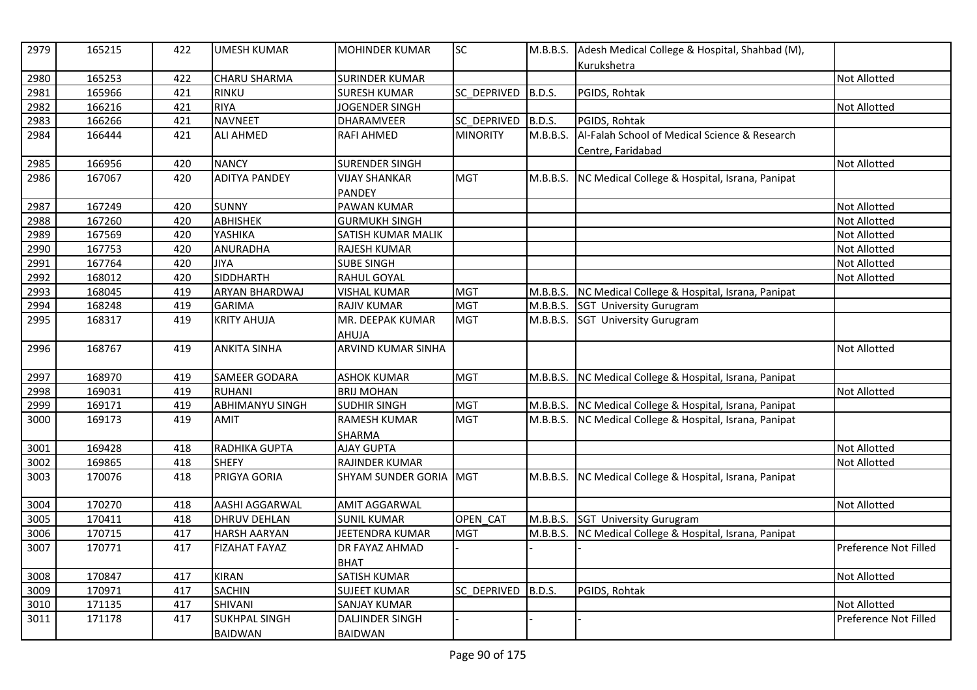| 2979 | 165215 | 422 | <b>UMESH KUMAR</b>     | <b>MOHINDER KUMAR</b>  | <b>SC</b>       | M.B.B.S.      | Adesh Medical College & Hospital, Shahbad (M),          |                       |
|------|--------|-----|------------------------|------------------------|-----------------|---------------|---------------------------------------------------------|-----------------------|
| 2980 | 165253 | 422 | <b>CHARU SHARMA</b>    | <b>SURINDER KUMAR</b>  |                 |               | Kurukshetra                                             | <b>Not Allotted</b>   |
| 2981 | 165966 | 421 | RINKU                  | <b>SURESH KUMAR</b>    | SC_DEPRIVED     | <b>B.D.S.</b> | PGIDS, Rohtak                                           |                       |
| 2982 | 166216 | 421 | <b>RIYA</b>            | JOGENDER SINGH         |                 |               |                                                         | <b>Not Allotted</b>   |
| 2983 | 166266 | 421 | <b>NAVNEET</b>         | DHARAMVEER             | SC_DEPRIVED     | B.D.S.        | PGIDS, Rohtak                                           |                       |
|      | 166444 | 421 | <b>ALI AHMED</b>       |                        | <b>MINORITY</b> | M.B.B.S.      | Al-Falah School of Medical Science & Research           |                       |
| 2984 |        |     |                        | <b>RAFI AHMED</b>      |                 |               |                                                         |                       |
| 2985 | 166956 | 420 | <b>NANCY</b>           | <b>SURENDER SINGH</b>  |                 |               | Centre, Faridabad                                       | <b>Not Allotted</b>   |
| 2986 | 167067 | 420 | <b>ADITYA PANDEY</b>   | <b>VIJAY SHANKAR</b>   | <b>MGT</b>      | M.B.B.S.      | NC Medical College & Hospital, Israna, Panipat          |                       |
|      |        |     |                        | <b>PANDEY</b>          |                 |               |                                                         |                       |
| 2987 | 167249 | 420 | <b>SUNNY</b>           | <b>PAWAN KUMAR</b>     |                 |               |                                                         | <b>Not Allotted</b>   |
|      | 167260 | 420 | <b>ABHISHEK</b>        | <b>GURMUKH SINGH</b>   |                 |               |                                                         | <b>Not Allotted</b>   |
| 2988 |        |     |                        |                        |                 |               |                                                         |                       |
| 2989 | 167569 | 420 | YASHIKA                | SATISH KUMAR MALIK     |                 |               |                                                         | Not Allotted          |
| 2990 | 167753 | 420 | ANURADHA               | <b>RAJESH KUMAR</b>    |                 |               |                                                         | <b>Not Allotted</b>   |
| 2991 | 167764 | 420 | <b>JIYA</b>            | <b>SUBE SINGH</b>      |                 |               |                                                         | <b>Not Allotted</b>   |
| 2992 | 168012 | 420 | <b>SIDDHARTH</b>       | <b>RAHUL GOYAL</b>     |                 |               |                                                         | <b>Not Allotted</b>   |
| 2993 | 168045 | 419 | ARYAN BHARDWAJ         | <b>VISHAL KUMAR</b>    | <b>MGT</b>      | M.B.B.S.      | NC Medical College & Hospital, Israna, Panipat          |                       |
| 2994 | 168248 | 419 | <b>GARIMA</b>          | <b>RAJIV KUMAR</b>     | <b>MGT</b>      |               | M.B.B.S. SGT University Gurugram                        |                       |
| 2995 | 168317 | 419 | <b>KRITY AHUJA</b>     | MR. DEEPAK KUMAR       | <b>MGT</b>      | M.B.B.S.      | <b>SGT University Gurugram</b>                          |                       |
|      |        |     |                        | AHUJA                  |                 |               |                                                         |                       |
| 2996 | 168767 | 419 | <b>ANKITA SINHA</b>    | ARVIND KUMAR SINHA     |                 |               |                                                         | <b>Not Allotted</b>   |
| 2997 | 168970 | 419 | <b>SAMEER GODARA</b>   | <b>ASHOK KUMAR</b>     | <b>MGT</b>      |               | M.B.B.S. NC Medical College & Hospital, Israna, Panipat |                       |
| 2998 | 169031 | 419 | <b>RUHANI</b>          | <b>BRIJ MOHAN</b>      |                 |               |                                                         | Not Allotted          |
| 2999 | 169171 | 419 | <b>ABHIMANYU SINGH</b> | <b>SUDHIR SINGH</b>    | <b>MGT</b>      |               | M.B.B.S. NC Medical College & Hospital, Israna, Panipat |                       |
| 3000 | 169173 | 419 | <b>AMIT</b>            | <b>RAMESH KUMAR</b>    | <b>MGT</b>      |               | M.B.B.S. NC Medical College & Hospital, Israna, Panipat |                       |
|      |        |     |                        | <b>SHARMA</b>          |                 |               |                                                         |                       |
| 3001 | 169428 | 418 | RADHIKA GUPTA          | <b>AJAY GUPTA</b>      |                 |               |                                                         | Not Allotted          |
| 3002 | 169865 | 418 | <b>SHEFY</b>           | RAJINDER KUMAR         |                 |               |                                                         | <b>Not Allotted</b>   |
| 3003 | 170076 | 418 | PRIGYA GORIA           | SHYAM SUNDER GORIA MGT |                 | M.B.B.S.      | NC Medical College & Hospital, Israna, Panipat          |                       |
| 3004 | 170270 | 418 | AASHI AGGARWAL         | <b>AMIT AGGARWAL</b>   |                 |               |                                                         | <b>Not Allotted</b>   |
| 3005 | 170411 | 418 | <b>DHRUV DEHLAN</b>    | <b>SUNIL KUMAR</b>     | OPEN CAT        | M.B.B.S.      | SGT University Gurugram                                 |                       |
| 3006 | 170715 | 417 | <b>HARSH AARYAN</b>    | JEETENDRA KUMAR        | <b>MGT</b>      | M.B.B.S.      | NC Medical College & Hospital, Israna, Panipat          |                       |
| 3007 | 170771 | 417 | <b>FIZAHAT FAYAZ</b>   | <b>DR FAYAZ AHMAD</b>  |                 |               |                                                         | Preference Not Filled |
|      |        |     |                        | <b>BHAT</b>            |                 |               |                                                         |                       |
| 3008 | 170847 | 417 | <b>KIRAN</b>           | <b>SATISH KUMAR</b>    |                 |               |                                                         | <b>Not Allotted</b>   |
| 3009 | 170971 | 417 | <b>SACHIN</b>          | <b>SUJEET KUMAR</b>    | SC_DEPRIVED     | <b>B.D.S.</b> | PGIDS, Rohtak                                           |                       |
| 3010 | 171135 | 417 | <b>SHIVANI</b>         | <b>SANJAY KUMAR</b>    |                 |               |                                                         | <b>Not Allotted</b>   |
| 3011 | 171178 | 417 | <b>SUKHPAL SINGH</b>   | <b>DALJINDER SINGH</b> |                 |               |                                                         | Preference Not Filled |
|      |        |     | <b>BAIDWAN</b>         | <b>BAIDWAN</b>         |                 |               |                                                         |                       |
|      |        |     |                        |                        |                 |               |                                                         |                       |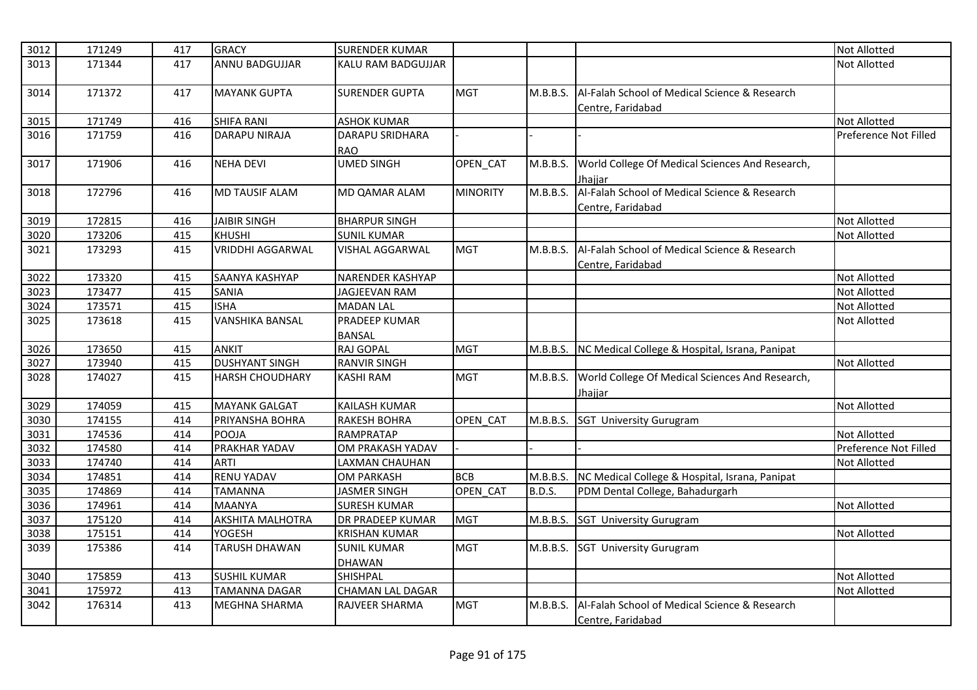| 3012 | 171249 | 417 | <b>GRACY</b>            | <b>SURENDER KUMAR</b>   |                 |               |                                                 | Not Allotted          |
|------|--------|-----|-------------------------|-------------------------|-----------------|---------------|-------------------------------------------------|-----------------------|
| 3013 | 171344 | 417 | <b>ANNU BADGUJJAR</b>   | KALU RAM BADGUJJAR      |                 |               |                                                 | <b>Not Allotted</b>   |
|      |        |     |                         |                         |                 |               |                                                 |                       |
| 3014 | 171372 | 417 | <b>MAYANK GUPTA</b>     | <b>SURENDER GUPTA</b>   | <b>MGT</b>      | M.B.B.S.      | Al-Falah School of Medical Science & Research   |                       |
|      |        |     |                         |                         |                 |               | Centre, Faridabad                               |                       |
| 3015 | 171749 | 416 | <b>SHIFA RANI</b>       | <b>ASHOK KUMAR</b>      |                 |               |                                                 | <b>Not Allotted</b>   |
| 3016 | 171759 | 416 | <b>DARAPU NIRAJA</b>    | <b>DARAPU SRIDHARA</b>  |                 |               |                                                 | Preference Not Filled |
|      |        |     |                         | <b>RAO</b>              |                 |               |                                                 |                       |
| 3017 | 171906 | 416 | <b>NEHA DEVI</b>        | <b>UMED SINGH</b>       | OPEN_CAT        | M.B.B.S.      | World College Of Medical Sciences And Research, |                       |
|      |        |     |                         |                         |                 |               | Jhaiiar                                         |                       |
| 3018 | 172796 | 416 | <b>MD TAUSIF ALAM</b>   | MD QAMAR ALAM           | <b>MINORITY</b> | M.B.B.S.      | Al-Falah School of Medical Science & Research   |                       |
|      |        |     |                         |                         |                 |               | Centre, Faridabad                               |                       |
| 3019 | 172815 | 416 | <b>JAIBIR SINGH</b>     | <b>BHARPUR SINGH</b>    |                 |               |                                                 | Not Allotted          |
| 3020 | 173206 | 415 | <b>KHUSHI</b>           | <b>SUNIL KUMAR</b>      |                 |               |                                                 | <b>Not Allotted</b>   |
| 3021 | 173293 | 415 | <b>VRIDDHI AGGARWAL</b> | VISHAL AGGARWAL         | <b>MGT</b>      | M.B.B.S.      | Al-Falah School of Medical Science & Research   |                       |
|      |        |     |                         |                         |                 |               | Centre, Faridabad                               |                       |
| 3022 | 173320 | 415 | SAANYA KASHYAP          | NARENDER KASHYAP        |                 |               |                                                 | <b>Not Allotted</b>   |
| 3023 | 173477 | 415 | <b>SANIA</b>            | JAGJEEVAN RAM           |                 |               |                                                 | Not Allotted          |
| 3024 | 173571 | 415 | <b>ISHA</b>             | <b>MADAN LAL</b>        |                 |               |                                                 | <b>Not Allotted</b>   |
| 3025 | 173618 | 415 | <b>VANSHIKA BANSAL</b>  | <b>PRADEEP KUMAR</b>    |                 |               |                                                 | Not Allotted          |
|      |        |     |                         | <b>BANSAL</b>           |                 |               |                                                 |                       |
| 3026 | 173650 | 415 | <b>ANKIT</b>            | <b>RAJ GOPAL</b>        | <b>MGT</b>      | M.B.B.S.      | NC Medical College & Hospital, Israna, Panipat  |                       |
| 3027 | 173940 | 415 | <b>DUSHYANT SINGH</b>   | <b>RANVIR SINGH</b>     |                 |               |                                                 | <b>Not Allotted</b>   |
| 3028 | 174027 | 415 | <b>HARSH CHOUDHARY</b>  | <b>KASHI RAM</b>        | <b>MGT</b>      | M.B.B.S.      | World College Of Medical Sciences And Research, |                       |
|      |        |     |                         |                         |                 |               | Jhajjar                                         |                       |
| 3029 | 174059 | 415 | <b>MAYANK GALGAT</b>    | KAILASH KUMAR           |                 |               |                                                 | <b>Not Allotted</b>   |
| 3030 | 174155 | 414 | PRIYANSHA BOHRA         | <b>RAKESH BOHRA</b>     | OPEN CAT        | M.B.B.S.      | <b>SGT University Gurugram</b>                  |                       |
| 3031 | 174536 | 414 | <b>POOJA</b>            | RAMPRATAP               |                 |               |                                                 | <b>Not Allotted</b>   |
| 3032 | 174580 | 414 | PRAKHAR YADAV           | OM PRAKASH YADAV        |                 |               |                                                 | Preference Not Filled |
| 3033 | 174740 | 414 | <b>ARTI</b>             | LAXMAN CHAUHAN          |                 |               |                                                 | Not Allotted          |
| 3034 | 174851 | 414 | <b>RENU YADAV</b>       | <b>OM PARKASH</b>       | <b>BCB</b>      | M.B.B.S.      | NC Medical College & Hospital, Israna, Panipat  |                       |
| 3035 | 174869 | 414 | <b>TAMANNA</b>          | <b>JASMER SINGH</b>     | OPEN_CAT        | <b>B.D.S.</b> | PDM Dental College, Bahadurgarh                 |                       |
| 3036 | 174961 | 414 | <b>MAANYA</b>           | SURESH KUMAR            |                 |               |                                                 | Not Allotted          |
| 3037 | 175120 | 414 | <b>AKSHITA MALHOTRA</b> | DR PRADEEP KUMAR        | <b>MGT</b>      | M.B.B.S.      | <b>SGT University Gurugram</b>                  |                       |
| 3038 | 175151 | 414 | <b>YOGESH</b>           | <b>KRISHAN KUMAR</b>    |                 |               |                                                 | <b>Not Allotted</b>   |
| 3039 | 175386 | 414 | <b>TARUSH DHAWAN</b>    | <b>SUNIL KUMAR</b>      | <b>MGT</b>      | M.B.B.S.      | <b>SGT University Gurugram</b>                  |                       |
|      |        |     |                         | DHAWAN                  |                 |               |                                                 |                       |
| 3040 | 175859 | 413 | <b>SUSHIL KUMAR</b>     | SHISHPAL                |                 |               |                                                 | <b>Not Allotted</b>   |
| 3041 | 175972 | 413 | TAMANNA DAGAR           | <b>CHAMAN LAL DAGAR</b> |                 |               |                                                 | Not Allotted          |
| 3042 | 176314 | 413 | MEGHNA SHARMA           | RAJVEER SHARMA          | <b>MGT</b>      | M.B.B.S.      | Al-Falah School of Medical Science & Research   |                       |
|      |        |     |                         |                         |                 |               | Centre, Faridabad                               |                       |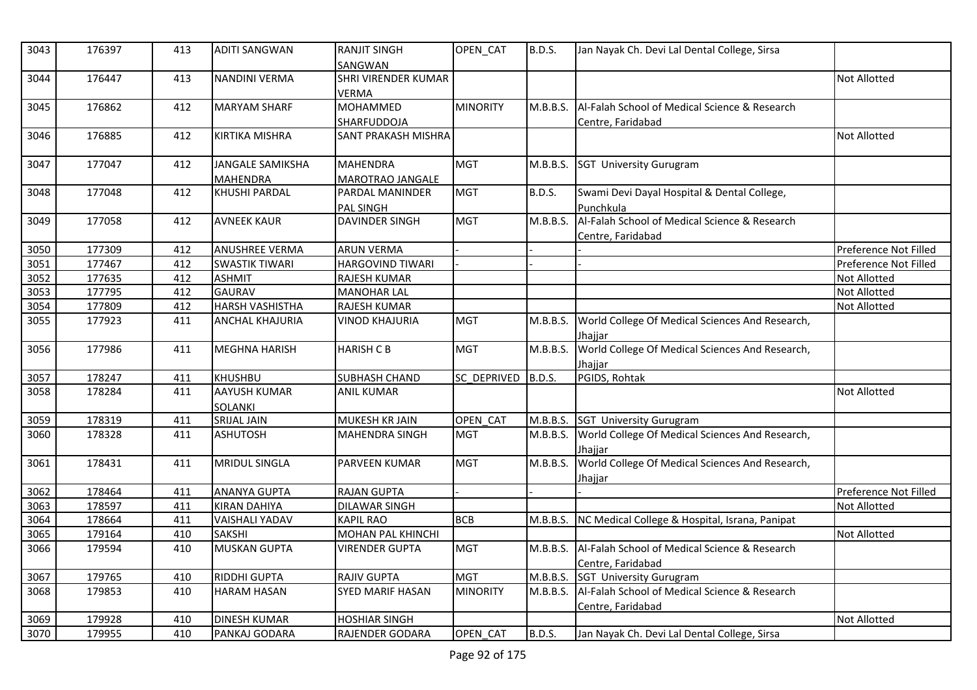| 3043 | 176397 | 413 | <b>ADITI SANGWAN</b>                       | <b>RANJIT SINGH</b><br>SANGWAN             | OPEN CAT           | B.D.S.        | Jan Nayak Ch. Devi Lal Dental College, Sirsa                                |                       |
|------|--------|-----|--------------------------------------------|--------------------------------------------|--------------------|---------------|-----------------------------------------------------------------------------|-----------------------|
| 3044 | 176447 | 413 | <b>NANDINI VERMA</b>                       | <b>SHRI VIRENDER KUMAR</b><br><b>VERMA</b> |                    |               |                                                                             | <b>Not Allotted</b>   |
| 3045 | 176862 | 412 | <b>MARYAM SHARF</b>                        | <b>MOHAMMED</b><br>SHARFUDDOJA             | <b>MINORITY</b>    | M.B.B.S.      | Al-Falah School of Medical Science & Research<br>Centre, Faridabad          |                       |
| 3046 | 176885 | 412 | <b>KIRTIKA MISHRA</b>                      | <b>SANT PRAKASH MISHRA</b>                 |                    |               |                                                                             | <b>Not Allotted</b>   |
| 3047 | 177047 | 412 | <b>JANGALE SAMIKSHA</b><br><b>MAHENDRA</b> | <b>MAHENDRA</b><br>MAROTRAO JANGALE        | <b>MGT</b>         | M.B.B.S.      | <b>SGT University Gurugram</b>                                              |                       |
| 3048 | 177048 | 412 | <b>KHUSHI PARDAL</b>                       | PARDAL MANINDER<br><b>PAL SINGH</b>        | <b>MGT</b>         | <b>B.D.S.</b> | Swami Devi Dayal Hospital & Dental College,<br>Punchkula                    |                       |
| 3049 | 177058 | 412 | <b>AVNEEK KAUR</b>                         | <b>DAVINDER SINGH</b>                      | <b>MGT</b>         | M.B.B.S.      | Al-Falah School of Medical Science & Research<br>Centre, Faridabad          |                       |
| 3050 | 177309 | 412 | <b>ANUSHREE VERMA</b>                      | <b>ARUN VERMA</b>                          |                    |               |                                                                             | Preference Not Filled |
| 3051 | 177467 | 412 | <b>SWASTIK TIWARI</b>                      | <b>HARGOVIND TIWARI</b>                    |                    |               |                                                                             | Preference Not Filled |
| 3052 | 177635 | 412 | <b>ASHMIT</b>                              | RAJESH KUMAR                               |                    |               |                                                                             | Not Allotted          |
| 3053 | 177795 | 412 | <b>GAURAV</b>                              | <b>MANOHAR LAL</b>                         |                    |               |                                                                             | Not Allotted          |
| 3054 | 177809 | 412 | <b>HARSH VASHISTHA</b>                     | RAJESH KUMAR                               |                    |               |                                                                             | Not Allotted          |
| 3055 | 177923 | 411 | <b>ANCHAL KHAJURIA</b>                     | <b>VINOD KHAJURIA</b>                      | <b>MGT</b>         | M.B.B.S.      | World College Of Medical Sciences And Research,<br>Jhajjar                  |                       |
| 3056 | 177986 | 411 | <b>MEGHNA HARISH</b>                       | <b>HARISH C B</b>                          | <b>MGT</b>         | M.B.B.S.      | World College Of Medical Sciences And Research,<br>Jhajjar                  |                       |
| 3057 | 178247 | 411 | <b>KHUSHBU</b>                             | <b>SUBHASH CHAND</b>                       | SC DEPRIVED B.D.S. |               | PGIDS, Rohtak                                                               |                       |
| 3058 | 178284 | 411 | <b>AAYUSH KUMAR</b><br><b>SOLANKI</b>      | <b>ANIL KUMAR</b>                          |                    |               |                                                                             | <b>Not Allotted</b>   |
| 3059 | 178319 | 411 | <b>SRIJAL JAIN</b>                         | MUKESH KR JAIN                             | OPEN CAT           |               | M.B.B.S. SGT University Gurugram                                            |                       |
| 3060 | 178328 | 411 | ASHUTOSH                                   | <b>MAHENDRA SINGH</b>                      | <b>MGT</b>         | M.B.B.S.      | World College Of Medical Sciences And Research,<br>Jhajjar                  |                       |
| 3061 | 178431 | 411 | <b>MRIDUL SINGLA</b>                       | <b>PARVEEN KUMAR</b>                       | <b>MGT</b>         | M.B.B.S.      | World College Of Medical Sciences And Research,<br>Jhajjar                  |                       |
| 3062 | 178464 | 411 | <b>ANANYA GUPTA</b>                        | <b>RAJAN GUPTA</b>                         |                    |               |                                                                             | Preference Not Filled |
| 3063 | 178597 | 411 | <b>KIRAN DAHIYA</b>                        | <b>DILAWAR SINGH</b>                       |                    |               |                                                                             | <b>Not Allotted</b>   |
| 3064 | 178664 | 411 | <b>VAISHALI YADAV</b>                      | <b>KAPIL RAO</b>                           | <b>BCB</b>         | M.B.B.S.      | NC Medical College & Hospital, Israna, Panipat                              |                       |
| 3065 | 179164 | 410 | <b>SAKSHI</b>                              | <b>MOHAN PAL KHINCHI</b>                   |                    |               |                                                                             | <b>Not Allotted</b>   |
| 3066 | 179594 | 410 | <b>MUSKAN GUPTA</b>                        | <b>VIRENDER GUPTA</b>                      | <b>MGT</b>         |               | M.B.B.S. Al-Falah School of Medical Science & Research<br>Centre, Faridabad |                       |
| 3067 | 179765 | 410 | <b>RIDDHI GUPTA</b>                        | RAJIV GUPTA                                | <b>MGT</b>         |               | M.B.B.S. SGT University Gurugram                                            |                       |
| 3068 | 179853 | 410 | <b>HARAM HASAN</b>                         | <b>SYED MARIF HASAN</b>                    | <b>MINORITY</b>    | M.B.B.S.      | Al-Falah School of Medical Science & Research<br>Centre, Faridabad          |                       |
| 3069 | 179928 | 410 | <b>DINESH KUMAR</b>                        | <b>HOSHIAR SINGH</b>                       |                    |               |                                                                             | <b>Not Allotted</b>   |
| 3070 | 179955 | 410 | PANKAJ GODARA                              | RAJENDER GODARA                            | OPEN CAT           | <b>B.D.S.</b> | Jan Nayak Ch. Devi Lal Dental College, Sirsa                                |                       |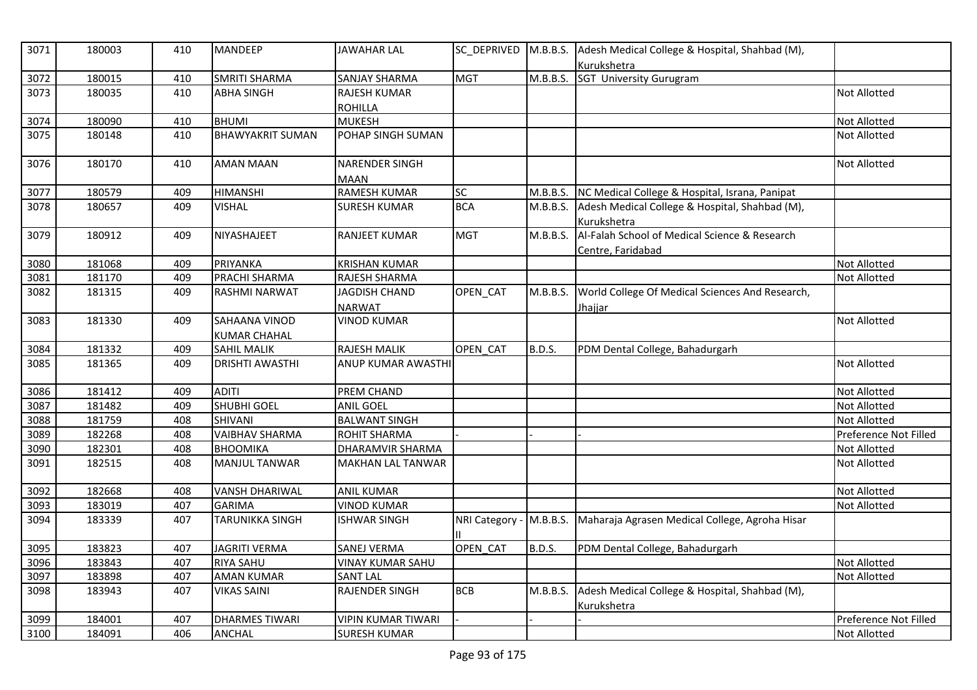| 3071 | 180003 | 410 | <b>MANDEEP</b>          | <b>JAWAHAR LAL</b>             |                |               | SC DEPRIVED M.B.B.S. Adesh Medical College & Hospital, Shahbad (M),<br>Kurukshetra |                       |
|------|--------|-----|-------------------------|--------------------------------|----------------|---------------|------------------------------------------------------------------------------------|-----------------------|
| 3072 | 180015 | 410 | SMRITI SHARMA           | SANJAY SHARMA                  | <b>MGT</b>     | M.B.B.S.      | <b>SGT University Gurugram</b>                                                     |                       |
| 3073 | 180035 | 410 | <b>ABHA SINGH</b>       | <b>RAJESH KUMAR</b>            |                |               |                                                                                    | Not Allotted          |
|      |        |     |                         | <b>ROHILLA</b>                 |                |               |                                                                                    |                       |
| 3074 | 180090 | 410 | <b>BHUMI</b>            | <b>MUKESH</b>                  |                |               |                                                                                    | Not Allotted          |
| 3075 | 180148 | 410 | <b>BHAWYAKRIT SUMAN</b> | POHAP SINGH SUMAN              |                |               |                                                                                    | Not Allotted          |
| 3076 | 180170 | 410 | <b>AMAN MAAN</b>        | <b>NARENDER SINGH</b><br>MAAN  |                |               |                                                                                    | Not Allotted          |
| 3077 | 180579 | 409 | <b>HIMANSHI</b>         | <b>RAMESH KUMAR</b>            | SC             | M.B.B.S.      | NC Medical College & Hospital, Israna, Panipat                                     |                       |
| 3078 | 180657 | 409 | <b>VISHAL</b>           | <b>SURESH KUMAR</b>            | <b>BCA</b>     | M.B.B.S.      | Adesh Medical College & Hospital, Shahbad (M),<br>Kurukshetra                      |                       |
| 3079 | 180912 | 409 | NIYASHAJEET             | <b>RANJEET KUMAR</b>           | <b>MGT</b>     | M.B.B.S.      | Al-Falah School of Medical Science & Research<br>Centre, Faridabad                 |                       |
| 3080 | 181068 | 409 | PRIYANKA                | <b>KRISHAN KUMAR</b>           |                |               |                                                                                    | <b>Not Allotted</b>   |
| 3081 | 181170 | 409 | PRACHI SHARMA           | RAJESH SHARMA                  |                |               |                                                                                    | Not Allotted          |
| 3082 | 181315 | 409 | <b>RASHMI NARWAT</b>    | JAGDISH CHAND<br><b>NARWAT</b> | OPEN_CAT       | M.B.B.S.      | World College Of Medical Sciences And Research,<br><u>Jhajjar</u>                  |                       |
| 3083 | 181330 | 409 | SAHAANA VINOD           | <b>VINOD KUMAR</b>             |                |               |                                                                                    | <b>Not Allotted</b>   |
|      |        |     | <b>KUMAR CHAHAL</b>     |                                |                |               |                                                                                    |                       |
| 3084 | 181332 | 409 | <b>SAHIL MALIK</b>      | <b>RAJESH MALIK</b>            | OPEN_CAT       | B.D.S.        | PDM Dental College, Bahadurgarh                                                    |                       |
| 3085 | 181365 | 409 | <b>DRISHTI AWASTHI</b>  | ANUP KUMAR AWASTHI             |                |               |                                                                                    | Not Allotted          |
| 3086 | 181412 | 409 | <b>ADITI</b>            | PREM CHAND                     |                |               |                                                                                    | Not Allotted          |
| 3087 | 181482 | 409 | <b>SHUBHI GOEL</b>      | <b>ANIL GOEL</b>               |                |               |                                                                                    | Not Allotted          |
| 3088 | 181759 | 408 | SHIVANI                 | <b>BALWANT SINGH</b>           |                |               |                                                                                    | Not Allotted          |
| 3089 | 182268 | 408 | <b>VAIBHAV SHARMA</b>   | <b>ROHIT SHARMA</b>            |                |               |                                                                                    | Preference Not Filled |
| 3090 | 182301 | 408 | <b>BHOOMIKA</b>         | DHARAMVIR SHARMA               |                |               |                                                                                    | Not Allotted          |
| 3091 | 182515 | 408 | <b>MANJUL TANWAR</b>    | <b>MAKHAN LAL TANWAR</b>       |                |               |                                                                                    | Not Allotted          |
| 3092 | 182668 | 408 | <b>VANSH DHARIWAL</b>   | <b>ANIL KUMAR</b>              |                |               |                                                                                    | Not Allotted          |
| 3093 | 183019 | 407 | <b>GARIMA</b>           | <b>VINOD KUMAR</b>             |                |               |                                                                                    | Not Allotted          |
| 3094 | 183339 | 407 | <b>TARUNIKKA SINGH</b>  | <b>ISHWAR SINGH</b>            | NRI Category - | M.B.B.S.      | Maharaja Agrasen Medical College, Agroha Hisar                                     |                       |
| 3095 | 183823 | 407 | <b>JAGRITI VERMA</b>    | <b>SANEJ VERMA</b>             | OPEN CAT       | <b>B.D.S.</b> | PDM Dental College, Bahadurgarh                                                    |                       |
| 3096 | 183843 | 407 | <b>RIYA SAHU</b>        | <b>VINAY KUMAR SAHU</b>        |                |               |                                                                                    | Not Allotted          |
| 3097 | 183898 | 407 | <b>AMAN KUMAR</b>       | <b>SANT LAL</b>                |                |               |                                                                                    | Not Allotted          |
| 3098 | 183943 | 407 | <b>VIKAS SAINI</b>      | <b>RAJENDER SINGH</b>          | <b>BCB</b>     | M.B.B.S.      | Adesh Medical College & Hospital, Shahbad (M),<br>Kurukshetra                      |                       |
| 3099 | 184001 | 407 | <b>DHARMES TIWARI</b>   | <b>VIPIN KUMAR TIWARI</b>      |                |               |                                                                                    | Preference Not Filled |
| 3100 | 184091 | 406 | <b>ANCHAL</b>           | <b>SURESH KUMAR</b>            |                |               |                                                                                    | Not Allotted          |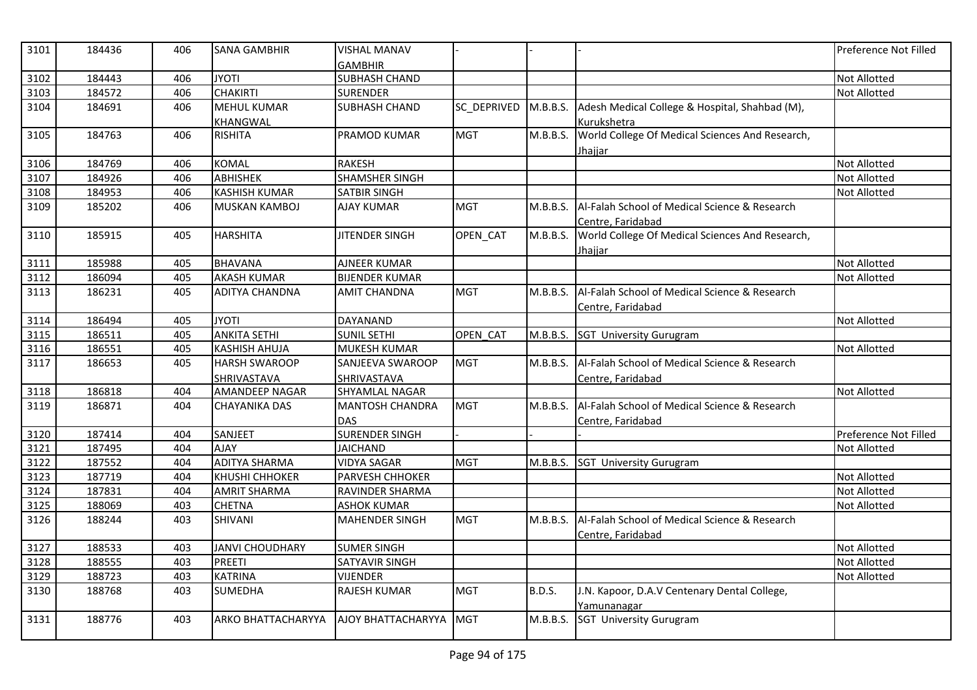| 3101 | 184436 | 406 | <b>SANA GAMBHIR</b>    | <b>VISHAL MANAV</b><br><b>GAMBHIR</b> |             |               |                                                 | Preference Not Filled |
|------|--------|-----|------------------------|---------------------------------------|-------------|---------------|-------------------------------------------------|-----------------------|
| 3102 | 184443 | 406 | <b>JYOTI</b>           | <b>SUBHASH CHAND</b>                  |             |               |                                                 | <b>Not Allotted</b>   |
| 3103 | 184572 | 406 | <b>CHAKIRTI</b>        | <b>SURENDER</b>                       |             |               |                                                 | <b>Not Allotted</b>   |
| 3104 | 184691 | 406 | <b>MEHUL KUMAR</b>     | SUBHASH CHAND                         | SC_DEPRIVED | M.B.B.S.      | Adesh Medical College & Hospital, Shahbad (M),  |                       |
|      |        |     | <b>KHANGWAL</b>        |                                       |             |               | Kurukshetra                                     |                       |
| 3105 | 184763 | 406 | <b>RISHITA</b>         | <b>PRAMOD KUMAR</b>                   | <b>MGT</b>  | M.B.B.S.      | World College Of Medical Sciences And Research, |                       |
|      |        |     |                        |                                       |             |               | Jhajjar                                         |                       |
| 3106 | 184769 | 406 | <b>KOMAL</b>           | <b>RAKESH</b>                         |             |               |                                                 | <b>Not Allotted</b>   |
| 3107 | 184926 | 406 | <b>ABHISHEK</b>        | SHAMSHER SINGH                        |             |               |                                                 | Not Allotted          |
| 3108 | 184953 | 406 | <b>KASHISH KUMAR</b>   | <b>SATBIR SINGH</b>                   |             |               |                                                 | <b>Not Allotted</b>   |
| 3109 | 185202 | 406 | <b>MUSKAN KAMBOJ</b>   | <b>AJAY KUMAR</b>                     | <b>MGT</b>  | M.B.B.S.      | Al-Falah School of Medical Science & Research   |                       |
|      |        |     |                        |                                       |             |               | Centre, Faridabad                               |                       |
| 3110 | 185915 | 405 | <b>HARSHITA</b>        | <b>JITENDER SINGH</b>                 | OPEN_CAT    | M.B.B.S.      | World College Of Medical Sciences And Research, |                       |
|      |        |     |                        |                                       |             |               | Jhajjar                                         |                       |
| 3111 | 185988 | 405 | <b>BHAVANA</b>         | <b>AJNEER KUMAR</b>                   |             |               |                                                 | <b>Not Allotted</b>   |
| 3112 | 186094 | 405 | <b>AKASH KUMAR</b>     | <b>BIJENDER KUMAR</b>                 |             |               |                                                 | <b>Not Allotted</b>   |
| 3113 | 186231 | 405 | <b>ADITYA CHANDNA</b>  | AMIT CHANDNA                          | <b>MGT</b>  | M.B.B.S.      | Al-Falah School of Medical Science & Research   |                       |
|      |        |     |                        |                                       |             |               | Centre, Faridabad                               |                       |
| 3114 | 186494 | 405 | <b>JYOTI</b>           | <b>DAYANAND</b>                       |             |               |                                                 | Not Allotted          |
| 3115 | 186511 | 405 | <b>ANKITA SETHI</b>    | <b>SUNIL SETHI</b>                    | OPEN CAT    | M.B.B.S.      | <b>SGT University Gurugram</b>                  |                       |
| 3116 | 186551 | 405 | <b>KASHISH AHUJA</b>   | <b>MUKESH KUMAR</b>                   |             |               |                                                 | <b>Not Allotted</b>   |
| 3117 | 186653 | 405 | <b>HARSH SWAROOP</b>   | SANJEEVA SWAROOP                      | <b>MGT</b>  | M.B.B.S.      | Al-Falah School of Medical Science & Research   |                       |
|      |        |     | SHRIVASTAVA            | SHRIVASTAVA                           |             |               | Centre, Faridabad                               |                       |
| 3118 | 186818 | 404 | <b>AMANDEEP NAGAR</b>  | SHYAMLAL NAGAR                        |             |               |                                                 | <b>Not Allotted</b>   |
| 3119 | 186871 | 404 | <b>CHAYANIKA DAS</b>   | <b>MANTOSH CHANDRA</b>                | <b>MGT</b>  | M.B.B.S.      | Al-Falah School of Medical Science & Research   |                       |
|      |        |     |                        | <b>DAS</b>                            |             |               | Centre, Faridabad                               |                       |
| 3120 | 187414 | 404 | SANJEET                | <b>SURENDER SINGH</b>                 |             |               |                                                 | Preference Not Filled |
| 3121 | 187495 | 404 | <b>AJAY</b>            | <b>JAICHAND</b>                       |             |               |                                                 | <b>Not Allotted</b>   |
| 3122 | 187552 | 404 | <b>ADITYA SHARMA</b>   | <b>VIDYA SAGAR</b>                    | <b>MGT</b>  | M.B.B.S.      | <b>SGT University Gurugram</b>                  |                       |
| 3123 | 187719 | 404 | <b>KHUSHI CHHOKER</b>  | <b>PARVESH CHHOKER</b>                |             |               |                                                 | <b>Not Allotted</b>   |
| 3124 | 187831 | 404 | <b>AMRIT SHARMA</b>    | RAVINDER SHARMA                       |             |               |                                                 | Not Allotted          |
| 3125 | 188069 | 403 | <b>CHETNA</b>          | <b>ASHOK KUMAR</b>                    |             |               |                                                 | Not Allotted          |
| 3126 | 188244 | 403 | <b>SHIVANI</b>         | <b>MAHENDER SINGH</b>                 | <b>MGT</b>  | M.B.B.S.      | Al-Falah School of Medical Science & Research   |                       |
|      |        |     |                        |                                       |             |               | Centre, Faridabad                               |                       |
| 3127 | 188533 | 403 | <b>JANVI CHOUDHARY</b> | <b>SUMER SINGH</b>                    |             |               |                                                 | <b>Not Allotted</b>   |
| 3128 | 188555 | 403 | <b>PREETI</b>          | SATYAVIR SINGH                        |             |               |                                                 | Not Allotted          |
| 3129 | 188723 | 403 | <b>KATRINA</b>         | <b>VIJENDER</b>                       |             |               |                                                 | Not Allotted          |
| 3130 | 188768 | 403 | <b>SUMEDHA</b>         | RAJESH KUMAR                          | <b>MGT</b>  | <b>B.D.S.</b> | J.N. Kapoor, D.A.V Centenary Dental College,    |                       |
|      |        |     |                        |                                       |             |               | Yamunanagar                                     |                       |
| 3131 | 188776 | 403 | ARKO BHATTACHARYYA     | AJOY BHATTACHARYYA                    | <b>MGT</b>  | M.B.B.S.      | <b>SGT University Gurugram</b>                  |                       |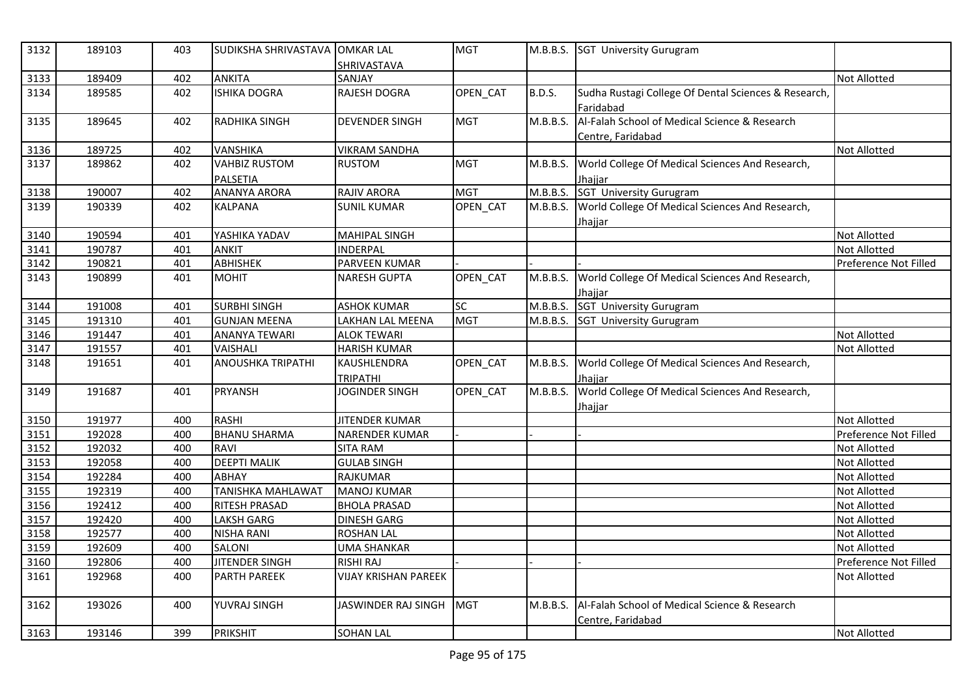| 3132 | 189103 | 403 | SUDIKSHA SHRIVASTAVA OMKAR LAL          | <b>SHRIVASTAVA</b>             | <b>MGT</b> |               | M.B.B.S. SGT University Gurugram                                    |                       |
|------|--------|-----|-----------------------------------------|--------------------------------|------------|---------------|---------------------------------------------------------------------|-----------------------|
| 3133 | 189409 | 402 | <b>ANKITA</b>                           | SANJAY                         |            |               |                                                                     | <b>Not Allotted</b>   |
| 3134 | 189585 | 402 | <b>ISHIKA DOGRA</b>                     | RAJESH DOGRA                   | OPEN CAT   | <b>B.D.S.</b> | Sudha Rustagi College Of Dental Sciences & Research,<br>Faridabad   |                       |
| 3135 | 189645 | 402 | RADHIKA SINGH                           | <b>DEVENDER SINGH</b>          | <b>MGT</b> | M.B.B.S.      | Al-Falah School of Medical Science & Research<br>Centre, Faridabad  |                       |
| 3136 | 189725 | 402 | VANSHIKA                                | <b>VIKRAM SANDHA</b>           |            |               |                                                                     | <b>Not Allotted</b>   |
| 3137 | 189862 | 402 | <b>VAHBIZ RUSTOM</b><br><b>PALSETIA</b> | <b>RUSTOM</b>                  | <b>MGT</b> | M.B.B.S.      | World College Of Medical Sciences And Research,<br>Jhajjar          |                       |
| 3138 | 190007 | 402 | <b>ANANYA ARORA</b>                     | <b>RAJIV ARORA</b>             | <b>MGT</b> |               | M.B.B.S. SGT University Gurugram                                    |                       |
| 3139 | 190339 | 402 | <b>KALPANA</b>                          | <b>SUNIL KUMAR</b>             | OPEN CAT   |               | M.B.B.S. World College Of Medical Sciences And Research,<br>Jhajjar |                       |
| 3140 | 190594 | 401 | YASHIKA YADAV                           | <b>MAHIPAL SINGH</b>           |            |               |                                                                     | <b>Not Allotted</b>   |
| 3141 | 190787 | 401 | <b>ANKIT</b>                            | <b>INDERPAL</b>                |            |               |                                                                     | Not Allotted          |
| 3142 | 190821 | 401 | <b>ABHISHEK</b>                         | PARVEEN KUMAR                  |            |               |                                                                     | Preference Not Filled |
| 3143 | 190899 | 401 | <b>MOHIT</b>                            | <b>NARESH GUPTA</b>            | OPEN CAT   | M.B.B.S.      | World College Of Medical Sciences And Research,<br>Jhajjar          |                       |
| 3144 | 191008 | 401 | <b>SURBHI SINGH</b>                     | <b>ASHOK KUMAR</b>             | <b>SC</b>  |               | M.B.B.S. SGT University Gurugram                                    |                       |
| 3145 | 191310 | 401 | <b>GUNJAN MEENA</b>                     | LAKHAN LAL MEENA               | <b>MGT</b> |               | M.B.B.S. SGT University Gurugram                                    |                       |
| 3146 | 191447 | 401 | <b>ANANYA TEWARI</b>                    | <b>ALOK TEWARI</b>             |            |               |                                                                     | Not Allotted          |
| 3147 | 191557 | 401 | VAISHALI                                | <b>HARISH KUMAR</b>            |            |               |                                                                     | <b>Not Allotted</b>   |
| 3148 | 191651 | 401 | <b>ANOUSHKA TRIPATHI</b>                | KAUSHLENDRA<br><b>TRIPATHI</b> | OPEN_CAT   | M.B.B.S.      | World College Of Medical Sciences And Research,<br>Jhajjar          |                       |
| 3149 | 191687 | 401 | <b>PRYANSH</b>                          | <b>JOGINDER SINGH</b>          | OPEN_CAT   | M.B.B.S.      | World College Of Medical Sciences And Research,<br>Jhajjar          |                       |
| 3150 | 191977 | 400 | <b>RASHI</b>                            | <b>JITENDER KUMAR</b>          |            |               |                                                                     | <b>Not Allotted</b>   |
| 3151 | 192028 | 400 | <b>BHANU SHARMA</b>                     | <b>NARENDER KUMAR</b>          |            |               |                                                                     | Preference Not Filled |
| 3152 | 192032 | 400 | <b>RAVI</b>                             | <b>SITA RAM</b>                |            |               |                                                                     | <b>Not Allotted</b>   |
| 3153 | 192058 | 400 | <b>DEEPTI MALIK</b>                     | <b>GULAB SINGH</b>             |            |               |                                                                     | <b>Not Allotted</b>   |
| 3154 | 192284 | 400 | ABHAY                                   | RAJKUMAR                       |            |               |                                                                     | <b>Not Allotted</b>   |
| 3155 | 192319 | 400 | <b>TANISHKA MAHLAWAT</b>                | <b>MANOJ KUMAR</b>             |            |               |                                                                     | <b>Not Allotted</b>   |
| 3156 | 192412 | 400 | <b>RITESH PRASAD</b>                    | <b>BHOLA PRASAD</b>            |            |               |                                                                     | <b>Not Allotted</b>   |
| 3157 | 192420 | 400 | <b>LAKSH GARG</b>                       | <b>DINESH GARG</b>             |            |               |                                                                     | <b>Not Allotted</b>   |
| 3158 | 192577 | 400 | <b>NISHA RANI</b>                       | <b>ROSHAN LAL</b>              |            |               |                                                                     | <b>Not Allotted</b>   |
| 3159 | 192609 | 400 | <b>SALONI</b>                           | <b>UMA SHANKAR</b>             |            |               |                                                                     | Not Allotted          |
| 3160 | 192806 | 400 | <b>JITENDER SINGH</b>                   | <b>RISHI RAJ</b>               |            |               |                                                                     | Preference Not Filled |
| 3161 | 192968 | 400 | <b>PARTH PAREEK</b>                     | <b>VIJAY KRISHAN PAREEK</b>    |            |               |                                                                     | <b>Not Allotted</b>   |
| 3162 | 193026 | 400 | YUVRAJ SINGH                            | JASWINDER RAJ SINGH            | <b>MGT</b> | M.B.B.S.      | Al-Falah School of Medical Science & Research<br>Centre, Faridabad  |                       |
| 3163 | 193146 | 399 | <b>PRIKSHIT</b>                         | <b>SOHAN LAL</b>               |            |               |                                                                     | <b>Not Allotted</b>   |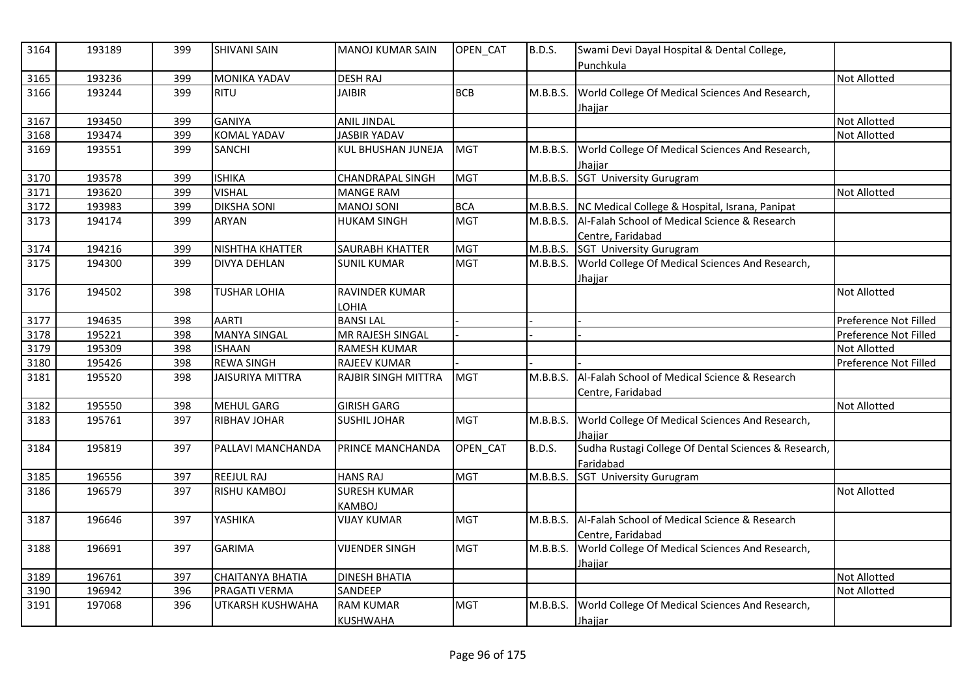| 3164 | 193189 | 399 | <b>SHIVANI SAIN</b>     | <b>MANOJ KUMAR SAIN</b>             | OPEN CAT    | <b>B.D.S.</b> | Swami Devi Dayal Hospital & Dental College,<br>Punchkula                      |                       |
|------|--------|-----|-------------------------|-------------------------------------|-------------|---------------|-------------------------------------------------------------------------------|-----------------------|
| 3165 | 193236 | 399 | <b>MONIKA YADAV</b>     | <b>DESH RAJ</b>                     |             |               |                                                                               | <b>Not Allotted</b>   |
| 3166 | 193244 | 399 | <b>RITU</b>             | <b>JAIBIR</b>                       | <b>BCB</b>  | M.B.B.S.      | World College Of Medical Sciences And Research,<br>Jhaijar                    |                       |
| 3167 | 193450 | 399 | <b>GANIYA</b>           | <b>ANIL JINDAL</b>                  |             |               |                                                                               | Not Allotted          |
| 3168 | 193474 | 399 | <b>KOMAL YADAV</b>      | <b>JASBIR YADAV</b>                 |             |               |                                                                               | Not Allotted          |
| 3169 | 193551 | 399 | <b>SANCHI</b>           | KUL BHUSHAN JUNEJA                  | <b>MGT</b>  | M.B.B.S.      | World College Of Medical Sciences And Research,<br>Jhaiiar                    |                       |
| 3170 | 193578 | 399 | <b>ISHIKA</b>           | <b>CHANDRAPAL SINGH</b>             | <b>MGT</b>  | M.B.B.S.      | SGT_University Gurugram                                                       |                       |
| 3171 | 193620 | 399 | <b>VISHAL</b>           | <b>MANGE RAM</b>                    |             |               |                                                                               | Not Allotted          |
| 3172 | 193983 | 399 | <b>DIKSHA SONI</b>      | <b>MANOJ SONI</b>                   | <b>BCA</b>  |               | M.B.B.S. NC Medical College & Hospital, Israna, Panipat                       |                       |
| 3173 | 194174 | 399 | <b>ARYAN</b>            | <b>HUKAM SINGH</b>                  | <b>MGT</b>  |               | M.B.B.S. Al-Falah School of Medical Science & Research<br>Centre, Faridabad   |                       |
| 3174 | 194216 | 399 | NISHTHA KHATTER         | SAURABH KHATTER                     | <b>MGT</b>  |               | M.B.B.S. SGT University Gurugram                                              |                       |
| 3175 | 194300 | 399 | <b>DIVYA DEHLAN</b>     | <b>SUNIL KUMAR</b>                  | <b>MGT</b>  | M.B.B.S.      | World College Of Medical Sciences And Research,<br>Jhajjar                    |                       |
| 3176 | 194502 | 398 | <b>TUSHAR LOHIA</b>     | RAVINDER KUMAR<br>LOHIA             |             |               |                                                                               | <b>Not Allotted</b>   |
| 3177 | 194635 | 398 | <b>AARTI</b>            | <b>BANSILAL</b>                     |             |               |                                                                               | Preference Not Filled |
| 3178 | 195221 | 398 | <b>MANYA SINGAL</b>     | MR RAJESH SINGAL                    |             |               |                                                                               | Preference Not Filled |
| 3179 | 195309 | 398 | <b>ISHAAN</b>           | RAMESH KUMAR                        |             |               |                                                                               | Not Allotted          |
| 3180 | 195426 | 398 | <b>REWA SINGH</b>       | RAJEEV KUMAR                        |             |               |                                                                               | Preference Not Filled |
| 3181 | 195520 | 398 | <b>JAISURIYA MITTRA</b> | <b>RAJBIR SINGH MITTRA</b>          | <b>IMGT</b> | M.B.B.S.      | Al-Falah School of Medical Science & Research<br>Centre, Faridabad            |                       |
| 3182 | 195550 | 398 | <b>MEHUL GARG</b>       | <b>GIRISH GARG</b>                  |             |               |                                                                               | Not Allotted          |
| 3183 | 195761 | 397 | RIBHAV JOHAR            | <b>SUSHIL JOHAR</b>                 | <b>MGT</b>  | M.B.B.S.      | World College Of Medical Sciences And Research,<br>Jhajjar                    |                       |
| 3184 | 195819 | 397 | PALLAVI MANCHANDA       | <b>PRINCE MANCHANDA</b>             | OPEN CAT    | <b>B.D.S.</b> | Sudha Rustagi College Of Dental Sciences & Research,<br>Faridabad             |                       |
| 3185 | 196556 | 397 | <b>REEJUL RAJ</b>       | <b>HANS RAJ</b>                     | <b>MGT</b>  | M.B.B.S.      | <b>SGT University Gurugram</b>                                                |                       |
| 3186 | 196579 | 397 | <b>RISHU KAMBOJ</b>     | <b>SURESH KUMAR</b><br>KAMBOJ       |             |               |                                                                               | Not Allotted          |
| 3187 | 196646 | 397 | YASHIKA                 | <b>VIJAY KUMAR</b>                  | <b>MGT</b>  |               | M.B.B.S.   Al-Falah School of Medical Science & Research<br>Centre, Faridabad |                       |
| 3188 | 196691 | 397 | <b>GARIMA</b>           | <b>VIJENDER SINGH</b>               | <b>MGT</b>  | M.B.B.S.      | World College Of Medical Sciences And Research,<br>Jhajjar                    |                       |
| 3189 | 196761 | 397 | <b>CHAITANYA BHATIA</b> | <b>DINESH BHATIA</b>                |             |               |                                                                               | Not Allotted          |
| 3190 | 196942 | 396 | PRAGATI VERMA           | SANDEEP                             |             |               |                                                                               | Not Allotted          |
| 3191 | 197068 | 396 | UTKARSH KUSHWAHA        | <b>RAM KUMAR</b><br><b>KUSHWAHA</b> | <b>MGT</b>  | M.B.B.S.      | World College Of Medical Sciences And Research,<br>Jhajjar                    |                       |
|      |        |     |                         |                                     |             |               |                                                                               |                       |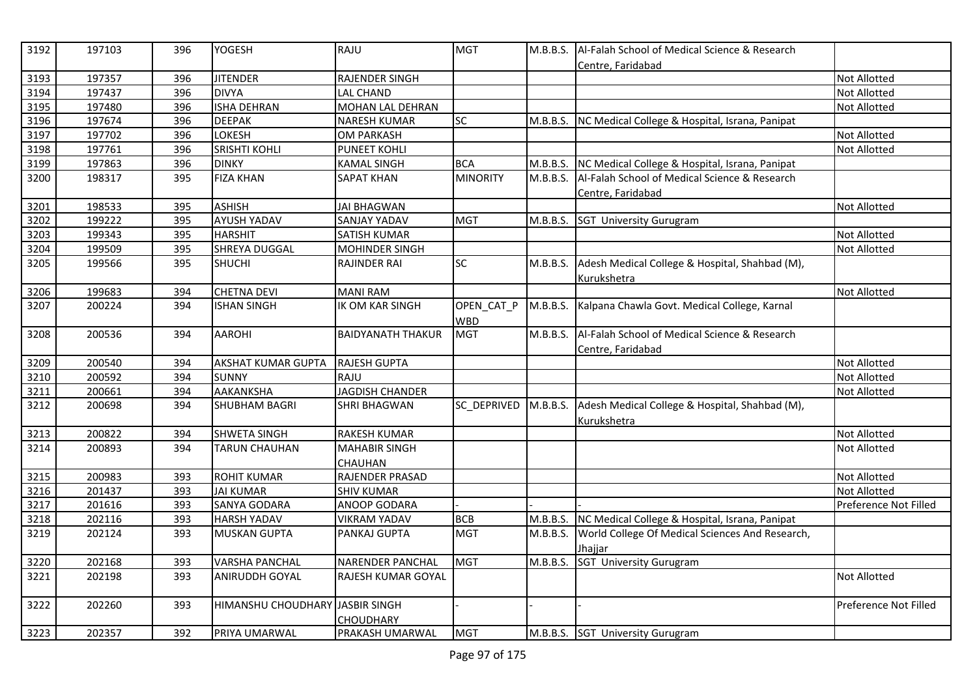| 3192 | 197103 | 396 | <b>YOGESH</b>                   | RAJU                     | <b>MGT</b>               | M.B.B.S. | Al-Falah School of Medical Science & Research<br>Centre, Faridabad |                       |
|------|--------|-----|---------------------------------|--------------------------|--------------------------|----------|--------------------------------------------------------------------|-----------------------|
| 3193 | 197357 | 396 | <b>JITENDER</b>                 | RAJENDER SINGH           |                          |          |                                                                    | <b>Not Allotted</b>   |
| 3194 | 197437 | 396 | <b>DIVYA</b>                    | <b>LAL CHAND</b>         |                          |          |                                                                    | <b>Not Allotted</b>   |
| 3195 | 197480 | 396 | <b>ISHA DEHRAN</b>              | <b>MOHAN LAL DEHRAN</b>  |                          |          |                                                                    | <b>Not Allotted</b>   |
| 3196 | 197674 | 396 | <b>DEEPAK</b>                   | <b>NARESH KUMAR</b>      | SC                       | M.B.B.S. | NC Medical College & Hospital, Israna, Panipat                     |                       |
| 3197 | 197702 | 396 | LOKESH                          | <b>OM PARKASH</b>        |                          |          |                                                                    | Not Allotted          |
| 3198 | 197761 | 396 | <b>SRISHTI KOHLI</b>            | <b>PUNEET KOHLI</b>      |                          |          |                                                                    | <b>Not Allotted</b>   |
| 3199 | 197863 | 396 | <b>DINKY</b>                    | <b>KAMAL SINGH</b>       | <b>BCA</b>               |          | M.B.B.S. NC Medical College & Hospital, Israna, Panipat            |                       |
| 3200 | 198317 | 395 | <b>FIZA KHAN</b>                | <b>SAPAT KHAN</b>        | <b>MINORITY</b>          | M.B.B.S. | Al-Falah School of Medical Science & Research<br>Centre, Faridabad |                       |
| 3201 | 198533 | 395 | <b>ASHISH</b>                   | <b>JAI BHAGWAN</b>       |                          |          |                                                                    | <b>Not Allotted</b>   |
| 3202 | 199222 | 395 | <b>AYUSH YADAV</b>              | SANJAY YADAV             | <b>MGT</b>               | M.B.B.S. | <b>SGT University Gurugram</b>                                     |                       |
| 3203 | 199343 | 395 | <b>HARSHIT</b>                  | SATISH KUMAR             |                          |          |                                                                    | Not Allotted          |
| 3204 | 199509 | 395 | SHREYA DUGGAL                   | MOHINDER SINGH           |                          |          |                                                                    | <b>Not Allotted</b>   |
| 3205 | 199566 | 395 | SHUCHI                          | RAJINDER RAI             | SC                       | M.B.B.S. | Adesh Medical College & Hospital, Shahbad (M),<br>Kurukshetra      |                       |
| 3206 | 199683 | 394 | <b>CHETNA DEVI</b>              | <b>MANI RAM</b>          |                          |          |                                                                    | <b>Not Allotted</b>   |
| 3207 | 200224 | 394 | <b>ISHAN SINGH</b>              | IK OM KAR SINGH          | OPEN_CAT_P<br><b>WBD</b> | M.B.B.S. | Kalpana Chawla Govt. Medical College, Karnal                       |                       |
| 3208 | 200536 | 394 | <b>AAROHI</b>                   | <b>BAIDYANATH THAKUR</b> | <b>MGT</b>               | M.B.B.S. | Al-Falah School of Medical Science & Research<br>Centre, Faridabad |                       |
| 3209 | 200540 | 394 | <b>AKSHAT KUMAR GUPTA</b>       | <b>RAJESH GUPTA</b>      |                          |          |                                                                    | Not Allotted          |
| 3210 | 200592 | 394 | <b>SUNNY</b>                    | RAJU                     |                          |          |                                                                    | <b>Not Allotted</b>   |
| 3211 | 200661 | 394 | AAKANKSHA                       | <b>JAGDISH CHANDER</b>   |                          |          |                                                                    | <b>Not Allotted</b>   |
| 3212 | 200698 | 394 | <b>SHUBHAM BAGRI</b>            | SHRI BHAGWAN             | SC DEPRIVED              | M.B.B.S. | Adesh Medical College & Hospital, Shahbad (M),<br>Kurukshetra      |                       |
| 3213 | 200822 | 394 | <b>SHWETA SINGH</b>             | <b>RAKESH KUMAR</b>      |                          |          |                                                                    | Not Allotted          |
| 3214 | 200893 | 394 | <b>TARUN CHAUHAN</b>            | <b>MAHABIR SINGH</b>     |                          |          |                                                                    | <b>Not Allotted</b>   |
|      |        |     |                                 | <b>CHAUHAN</b>           |                          |          |                                                                    |                       |
| 3215 | 200983 | 393 | <b>ROHIT KUMAR</b>              | RAJENDER PRASAD          |                          |          |                                                                    | <b>Not Allotted</b>   |
| 3216 | 201437 | 393 | <b>JAI KUMAR</b>                | <b>SHIV KUMAR</b>        |                          |          |                                                                    | <b>Not Allotted</b>   |
| 3217 | 201616 | 393 | <b>SANYA GODARA</b>             | ANOOP GODARA             |                          |          |                                                                    | Preference Not Filled |
| 3218 | 202116 | 393 | <b>HARSH YADAV</b>              | <b>VIKRAM YADAV</b>      | <b>BCB</b>               | M.B.B.S. | NC Medical College & Hospital, Israna, Panipat                     |                       |
| 3219 | 202124 | 393 | <b>MUSKAN GUPTA</b>             | PANKAJ GUPTA             | <b>MGT</b>               | M.B.B.S. | World College Of Medical Sciences And Research,<br>Jhajjar         |                       |
| 3220 | 202168 | 393 | <b>VARSHA PANCHAL</b>           | <b>NARENDER PANCHAL</b>  | <b>MGT</b>               | M.B.B.S. | <b>SGT University Gurugram</b>                                     |                       |
| 3221 | 202198 | 393 | <b>ANIRUDDH GOYAL</b>           | RAJESH KUMAR GOYAL       |                          |          |                                                                    | <b>Not Allotted</b>   |
| 3222 | 202260 | 393 | HIMANSHU CHOUDHARY JASBIR SINGH | CHOUDHARY                |                          |          |                                                                    | Preference Not Filled |
| 3223 | 202357 | 392 | PRIYA UMARWAL                   | PRAKASH UMARWAL          | <b>MGT</b>               |          | M.B.B.S. SGT University Gurugram                                   |                       |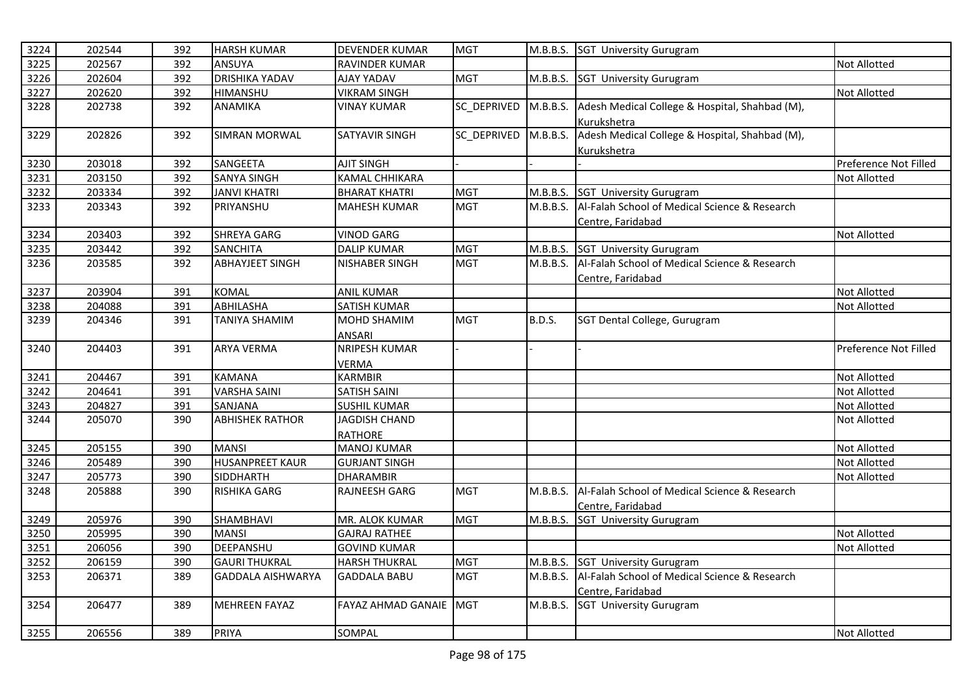| 3224 | 202544 | 392 | <b>HARSH KUMAR</b>       | <b>DEVENDER KUMAR</b> | <b>MGT</b>  |               | M.B.B.S. SGT University Gurugram                       |                       |
|------|--------|-----|--------------------------|-----------------------|-------------|---------------|--------------------------------------------------------|-----------------------|
| 3225 | 202567 | 392 | ANSUYA                   | RAVINDER KUMAR        |             |               |                                                        | <b>Not Allotted</b>   |
| 3226 | 202604 | 392 | <b>DRISHIKA YADAV</b>    | AJAY YADAV            | <b>MGT</b>  | M.B.B.S.      | <b>SGT University Gurugram</b>                         |                       |
| 3227 | 202620 | 392 | HIMANSHU                 | <b>VIKRAM SINGH</b>   |             |               |                                                        | <b>Not Allotted</b>   |
| 3228 | 202738 | 392 | ANAMIKA                  | VINAY KUMAR           | SC DEPRIVED | M.B.B.S.      | Adesh Medical College & Hospital, Shahbad (M),         |                       |
|      |        |     |                          |                       |             |               | Kurukshetra                                            |                       |
| 3229 | 202826 | 392 | <b>SIMRAN MORWAL</b>     | SATYAVIR SINGH        | SC DEPRIVED | M.B.B.S.      | Adesh Medical College & Hospital, Shahbad (M),         |                       |
|      |        |     |                          |                       |             |               | Kurukshetra                                            |                       |
| 3230 | 203018 | 392 | SANGEETA                 | <b>AJIT SINGH</b>     |             |               |                                                        | Preference Not Filled |
| 3231 | 203150 | 392 | <b>SANYA SINGH</b>       | KAMAL CHHIKARA        |             |               |                                                        | Not Allotted          |
| 3232 | 203334 | 392 | <b>JANVI KHATRI</b>      | <b>BHARAT KHATRI</b>  | <b>MGT</b>  | M.B.B.S.      | <b>SGT University Gurugram</b>                         |                       |
| 3233 | 203343 | 392 | PRIYANSHU                | <b>MAHESH KUMAR</b>   | <b>MGT</b>  | M.B.B.S.      | Al-Falah School of Medical Science & Research          |                       |
|      |        |     |                          |                       |             |               | Centre, Faridabad                                      |                       |
| 3234 | 203403 | 392 | SHREYA GARG              | <b>VINOD GARG</b>     |             |               |                                                        | Not Allotted          |
| 3235 | 203442 | 392 | <b>SANCHITA</b>          | <b>DALIP KUMAR</b>    | <b>MGT</b>  |               | M.B.B.S. SGT University Gurugram                       |                       |
| 3236 | 203585 | 392 | <b>ABHAYJEET SINGH</b>   | <b>NISHABER SINGH</b> | <b>MGT</b>  | M.B.B.S.      | Al-Falah School of Medical Science & Research          |                       |
|      |        |     |                          |                       |             |               | Centre, Faridabad                                      |                       |
| 3237 | 203904 | 391 | <b>KOMAL</b>             | <b>ANIL KUMAR</b>     |             |               |                                                        | Not Allotted          |
| 3238 | 204088 | 391 | <b>ABHILASHA</b>         | <b>SATISH KUMAR</b>   |             |               |                                                        | Not Allotted          |
| 3239 | 204346 | 391 | <b>TANIYA SHAMIM</b>     | MOHD SHAMIM           | <b>MGT</b>  | <b>B.D.S.</b> | SGT Dental College, Gurugram                           |                       |
|      |        |     |                          | <b>ANSARI</b>         |             |               |                                                        |                       |
| 3240 | 204403 | 391 | <b>ARYA VERMA</b>        | NRIPESH KUMAR         |             |               |                                                        | Preference Not Filled |
|      |        |     |                          | <b>VERMA</b>          |             |               |                                                        |                       |
| 3241 | 204467 | 391 | <b>KAMANA</b>            | <b>KARMBIR</b>        |             |               |                                                        | <b>Not Allotted</b>   |
| 3242 | 204641 | 391 | <b>VARSHA SAINI</b>      | <b>SATISH SAINI</b>   |             |               |                                                        | <b>Not Allotted</b>   |
| 3243 | 204827 | 391 | SANJANA                  | <b>SUSHIL KUMAR</b>   |             |               |                                                        | <b>Not Allotted</b>   |
| 3244 | 205070 | 390 | <b>ABHISHEK RATHOR</b>   | <b>JAGDISH CHAND</b>  |             |               |                                                        | Not Allotted          |
|      |        |     |                          | <b>RATHORE</b>        |             |               |                                                        |                       |
| 3245 | 205155 | 390 | <b>MANSI</b>             | <b>MANOJ KUMAR</b>    |             |               |                                                        | <b>Not Allotted</b>   |
| 3246 | 205489 | 390 | <b>HUSANPREET KAUR</b>   | <b>GURJANT SINGH</b>  |             |               |                                                        | Not Allotted          |
| 3247 | 205773 | 390 | SIDDHARTH                | <b>DHARAMBIR</b>      |             |               |                                                        | Not Allotted          |
| 3248 | 205888 | 390 | RISHIKA GARG             | <b>RAJNEESH GARG</b>  | <b>MGT</b>  |               | M.B.B.S. Al-Falah School of Medical Science & Research |                       |
|      |        |     |                          |                       |             |               | Centre, Faridabad                                      |                       |
| 3249 | 205976 | 390 | SHAMBHAVI                | MR. ALOK KUMAR        | <b>MGT</b>  | M.B.B.S.      | <b>SGT University Gurugram</b>                         |                       |
| 3250 | 205995 | 390 | <b>MANSI</b>             | <b>GAJRAJ RATHEE</b>  |             |               |                                                        | Not Allotted          |
| 3251 | 206056 | 390 | DEEPANSHU                | <b>GOVIND KUMAR</b>   |             |               |                                                        | <b>Not Allotted</b>   |
| 3252 | 206159 | 390 | <b>GAURI THUKRAL</b>     | <b>HARSH THUKRAL</b>  | <b>MGT</b>  |               | M.B.B.S. SGT University Gurugram                       |                       |
| 3253 | 206371 | 389 | <b>GADDALA AISHWARYA</b> | <b>GADDALA BABU</b>   | <b>MGT</b>  | M.B.B.S.      | Al-Falah School of Medical Science & Research          |                       |
|      |        |     |                          |                       |             |               | Centre, Faridabad                                      |                       |
| 3254 | 206477 | 389 | <b>MEHREEN FAYAZ</b>     | FAYAZ AHMAD GANAIE    | <b>MGT</b>  |               | M.B.B.S. SGT University Gurugram                       |                       |
|      |        |     |                          |                       |             |               |                                                        |                       |
| 3255 | 206556 | 389 | <b>PRIYA</b>             | SOMPAL                |             |               |                                                        | <b>Not Allotted</b>   |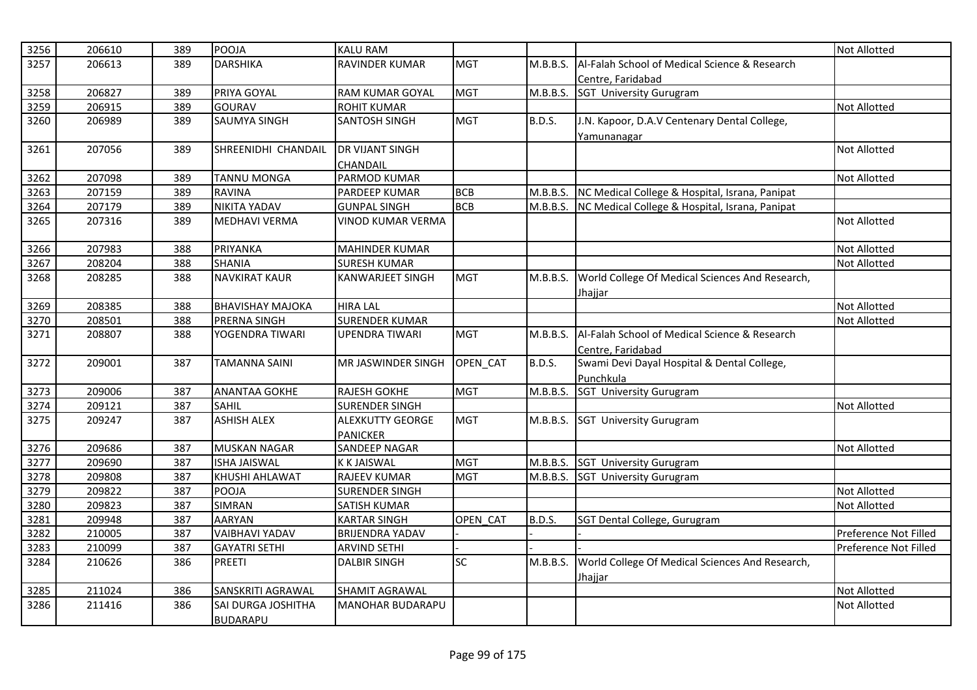| 3256 | 206610 | 389 | POOJA                   | <b>KALU RAM</b>          |            |               |                                                            | <b>Not Allotted</b>   |
|------|--------|-----|-------------------------|--------------------------|------------|---------------|------------------------------------------------------------|-----------------------|
| 3257 | 206613 | 389 | <b>DARSHIKA</b>         | RAVINDER KUMAR           | <b>MGT</b> | M.B.B.S.      | Al-Falah School of Medical Science & Research              |                       |
|      |        |     |                         |                          |            |               | Centre, Faridabad                                          |                       |
| 3258 | 206827 | 389 | PRIYA GOYAL             | <b>RAM KUMAR GOYAL</b>   | <b>MGT</b> |               | M.B.B.S. SGT University Gurugram                           |                       |
| 3259 | 206915 | 389 | <b>GOURAV</b>           | <b>ROHIT KUMAR</b>       |            |               |                                                            | <b>Not Allotted</b>   |
| 3260 | 206989 | 389 | <b>SAUMYA SINGH</b>     | <b>SANTOSH SINGH</b>     | <b>MGT</b> | <b>B.D.S.</b> | J.N. Kapoor, D.A.V Centenary Dental College,               |                       |
|      |        |     |                         |                          |            |               | Yamunanagar                                                |                       |
| 3261 | 207056 | 389 | SHREENIDHI CHANDAIL     | <b>DR VIJANT SINGH</b>   |            |               |                                                            | <b>Not Allotted</b>   |
|      |        |     |                         | <b>CHANDAIL</b>          |            |               |                                                            |                       |
| 3262 | 207098 | 389 | <b>TANNU MONGA</b>      | PARMOD KUMAR             |            |               |                                                            | <b>Not Allotted</b>   |
| 3263 | 207159 | 389 | <b>RAVINA</b>           | PARDEEP KUMAR            | <b>BCB</b> | M.B.B.S.      | NC Medical College & Hospital, Israna, Panipat             |                       |
| 3264 | 207179 | 389 | <b>NIKITA YADAV</b>     | <b>GUNPAL SINGH</b>      | <b>BCB</b> | M.B.B.S.      | NC Medical College & Hospital, Israna, Panipat             |                       |
| 3265 | 207316 | 389 | <b>MEDHAVI VERMA</b>    | <b>VINOD KUMAR VERMA</b> |            |               |                                                            | <b>Not Allotted</b>   |
| 3266 | 207983 | 388 | PRIYANKA                | <b>MAHINDER KUMAR</b>    |            |               |                                                            | <b>Not Allotted</b>   |
| 3267 | 208204 | 388 | <b>SHANIA</b>           | <b>SURESH KUMAR</b>      |            |               |                                                            | <b>Not Allotted</b>   |
| 3268 | 208285 | 388 | <b>NAVKIRAT KAUR</b>    | <b>KANWARJEET SINGH</b>  | <b>MGT</b> | M.B.B.S.      | World College Of Medical Sciences And Research,            |                       |
|      |        |     |                         |                          |            |               | Jhajjar                                                    |                       |
| 3269 | 208385 | 388 | <b>BHAVISHAY MAJOKA</b> | <b>HIRA LAL</b>          |            |               |                                                            | <b>Not Allotted</b>   |
| 3270 | 208501 | 388 | PRERNA SINGH            | <b>SURENDER KUMAR</b>    |            |               |                                                            | <b>Not Allotted</b>   |
| 3271 | 208807 | 388 | YOGENDRA TIWARI         | <b>UPENDRA TIWARI</b>    | <b>MGT</b> | M.B.B.S.      | Al-Falah School of Medical Science & Research              |                       |
|      |        |     |                         |                          |            |               | Centre, Faridabad                                          |                       |
| 3272 | 209001 | 387 | <b>TAMANNA SAINI</b>    | MR JASWINDER SINGH       | OPEN_CAT   | <b>B.D.S.</b> | Swami Devi Dayal Hospital & Dental College,                |                       |
|      |        |     |                         |                          |            |               | Punchkula                                                  |                       |
| 3273 | 209006 | 387 | <b>ANANTAA GOKHE</b>    | <b>RAJESH GOKHE</b>      | <b>MGT</b> | M.B.B.S.      | <b>SGT University Gurugram</b>                             |                       |
| 3274 | 209121 | 387 | <b>SAHIL</b>            | <b>SURENDER SINGH</b>    |            |               |                                                            | <b>Not Allotted</b>   |
| 3275 | 209247 | 387 | <b>ASHISH ALEX</b>      | <b>ALEXKUTTY GEORGE</b>  | <b>MGT</b> | M.B.B.S.      | <b>SGT University Gurugram</b>                             |                       |
|      |        |     |                         | <b>PANICKER</b>          |            |               |                                                            |                       |
| 3276 | 209686 | 387 | <b>MUSKAN NAGAR</b>     | <b>SANDEEP NAGAR</b>     |            |               |                                                            | Not Allotted          |
| 3277 | 209690 | 387 | <b>ISHA JAISWAL</b>     | <b>K K JAISWAL</b>       | <b>MGT</b> |               | M.B.B.S. SGT University Gurugram                           |                       |
| 3278 | 209808 | 387 | <b>KHUSHI AHLAWAT</b>   | RAJEEV KUMAR             | <b>MGT</b> |               | M.B.B.S. SGT University Gurugram                           |                       |
| 3279 | 209822 | 387 | POOJA                   | <b>SURENDER SINGH</b>    |            |               |                                                            | <b>Not Allotted</b>   |
| 3280 | 209823 | 387 | <b>SIMRAN</b>           | <b>SATISH KUMAR</b>      |            |               |                                                            | <b>Not Allotted</b>   |
| 3281 | 209948 | 387 | <b>AARYAN</b>           | <b>KARTAR SINGH</b>      | OPEN CAT   | B.D.S.        | SGT Dental College, Gurugram                               |                       |
| 3282 | 210005 | 387 | <b>VAIBHAVI YADAV</b>   | <b>BRIJENDRA YADAV</b>   |            |               |                                                            | Preference Not Filled |
| 3283 | 210099 | 387 | <b>GAYATRI SETHI</b>    | <b>ARVIND SETHI</b>      |            |               |                                                            | Preference Not Filled |
| 3284 | 210626 | 386 | <b>PREETI</b>           | <b>DALBIR SINGH</b>      | <b>SC</b>  | M.B.B.S.      | World College Of Medical Sciences And Research,<br>Jhajjar |                       |
| 3285 | 211024 | 386 | SANSKRITI AGRAWAL       | SHAMIT AGRAWAL           |            |               |                                                            | <b>Not Allotted</b>   |
| 3286 | 211416 | 386 | SAI DURGA JOSHITHA      | <b>MANOHAR BUDARAPU</b>  |            |               |                                                            | Not Allotted          |
|      |        |     | <b>BUDARAPU</b>         |                          |            |               |                                                            |                       |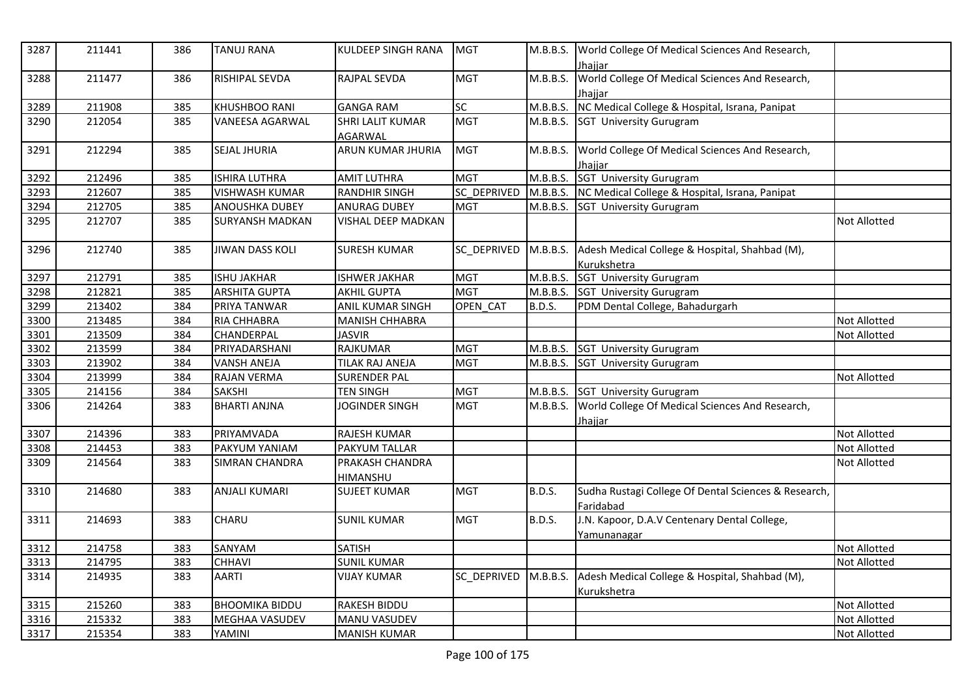| 3287 | 211441 | 386 | <b>TANUJ RANA</b>      | KULDEEP SINGH RANA      | <b>MGT</b>  |               | M.B.B.S. World College Of Medical Sciences And Research,   |                     |
|------|--------|-----|------------------------|-------------------------|-------------|---------------|------------------------------------------------------------|---------------------|
|      |        |     |                        |                         |             |               | Jhajjar<br>World College Of Medical Sciences And Research, |                     |
| 3288 | 211477 | 386 | <b>RISHIPAL SEVDA</b>  | <b>RAJPAL SEVDA</b>     | <b>MGT</b>  | M.B.B.S.      | Jhajjar                                                    |                     |
| 3289 | 211908 | 385 | <b>KHUSHBOO RANI</b>   | <b>GANGA RAM</b>        | <b>SC</b>   | M.B.B.S.      | NC Medical College & Hospital, Israna, Panipat             |                     |
| 3290 | 212054 | 385 | <b>VANEESA AGARWAL</b> | <b>SHRI LALIT KUMAR</b> | <b>MGT</b>  |               | M.B.B.S. SGT University Gurugram                           |                     |
|      |        |     |                        | AGARWAL                 |             |               |                                                            |                     |
| 3291 | 212294 | 385 | <b>SEJAL JHURIA</b>    | ARUN KUMAR JHURIA       | <b>MGT</b>  | M.B.B.S.      | World College Of Medical Sciences And Research,            |                     |
|      |        |     |                        |                         |             |               | Jhajjar                                                    |                     |
| 3292 | 212496 | 385 | <b>ISHIRA LUTHRA</b>   | <b>AMIT LUTHRA</b>      | <b>MGT</b>  |               | M.B.B.S. SGT University Gurugram                           |                     |
| 3293 | 212607 | 385 | <b>VISHWASH KUMAR</b>  | <b>RANDHIR SINGH</b>    | SC_DEPRIVED |               | M.B.B.S. NC Medical College & Hospital, Israna, Panipat    |                     |
| 3294 | 212705 | 385 | <b>ANOUSHKA DUBEY</b>  | <b>ANURAG DUBEY</b>     | <b>MGT</b>  |               | M.B.B.S. SGT University Gurugram                           |                     |
| 3295 | 212707 | 385 | <b>SURYANSH MADKAN</b> | VISHAL DEEP MADKAN      |             |               |                                                            | <b>Not Allotted</b> |
| 3296 | 212740 | 385 | JIWAN DASS KOLI        | <b>SURESH KUMAR</b>     | SC DEPRIVED | M.B.B.S.      | Adesh Medical College & Hospital, Shahbad (M),             |                     |
|      |        |     |                        |                         |             |               | Kurukshetra                                                |                     |
| 3297 | 212791 | 385 | <b>ISHU JAKHAR</b>     | <b>ISHWER JAKHAR</b>    | <b>MGT</b>  | M.B.B.S.      | <b>SGT University Gurugram</b>                             |                     |
| 3298 | 212821 | 385 | <b>ARSHITA GUPTA</b>   | <b>AKHIL GUPTA</b>      | <b>MGT</b>  | M.B.B.S.      | SGT University Gurugram                                    |                     |
| 3299 | 213402 | 384 | PRIYA TANWAR           | ANIL KUMAR SINGH        | OPEN_CAT    | <b>B.D.S.</b> | PDM Dental College, Bahadurgarh                            |                     |
| 3300 | 213485 | 384 | <b>RIA CHHABRA</b>     | <b>MANISH CHHABRA</b>   |             |               |                                                            | <b>Not Allotted</b> |
| 3301 | 213509 | 384 | <b>CHANDERPAL</b>      | <b>JASVIR</b>           |             |               |                                                            | Not Allotted        |
| 3302 | 213599 | 384 | PRIYADARSHANI          | <b>RAJKUMAR</b>         | <b>MGT</b>  | M.B.B.S.      | <b>SGT University Gurugram</b>                             |                     |
| 3303 | 213902 | 384 | <b>VANSH ANEJA</b>     | TILAK RAJ ANEJA         | <b>MGT</b>  | M.B.B.S.      | <b>SGT University Gurugram</b>                             |                     |
| 3304 | 213999 | 384 | <b>RAJAN VERMA</b>     | <b>SURENDER PAL</b>     |             |               |                                                            | <b>Not Allotted</b> |
| 3305 | 214156 | 384 | <b>SAKSHI</b>          | <b>TEN SINGH</b>        | <b>MGT</b>  | M.B.B.S.      | <b>SGT University Gurugram</b>                             |                     |
| 3306 | 214264 | 383 | <b>BHARTI ANJNA</b>    | <b>JOGINDER SINGH</b>   | <b>MGT</b>  | M.B.B.S.      | World College Of Medical Sciences And Research,            |                     |
|      |        |     |                        |                         |             |               | <u>Jhajjar</u>                                             |                     |
| 3307 | 214396 | 383 | PRIYAMVADA             | RAJESH KUMAR            |             |               |                                                            | <b>Not Allotted</b> |
| 3308 | 214453 | 383 | PAKYUM YANIAM          | <b>PAKYUM TALLAR</b>    |             |               |                                                            | <b>Not Allotted</b> |
| 3309 | 214564 | 383 | SIMRAN CHANDRA         | PRAKASH CHANDRA         |             |               |                                                            | <b>Not Allotted</b> |
|      |        |     |                        | HIMANSHU                |             |               |                                                            |                     |
| 3310 | 214680 | 383 | <b>ANJALI KUMARI</b>   | <b>SUJEET KUMAR</b>     | <b>MGT</b>  | <b>B.D.S.</b> | Sudha Rustagi College Of Dental Sciences & Research,       |                     |
|      |        |     |                        |                         |             |               | Faridabad                                                  |                     |
| 3311 | 214693 | 383 | CHARU                  | <b>SUNIL KUMAR</b>      | <b>MGT</b>  | <b>B.D.S.</b> | J.N. Kapoor, D.A.V Centenary Dental College,               |                     |
|      |        |     |                        |                         |             |               | Yamunanagar                                                |                     |
| 3312 | 214758 | 383 | SANYAM                 | <b>SATISH</b>           |             |               |                                                            | <b>Not Allotted</b> |
| 3313 | 214795 | 383 | <b>CHHAVI</b>          | <b>SUNIL KUMAR</b>      |             |               |                                                            | <b>Not Allotted</b> |
| 3314 | 214935 | 383 | <b>AARTI</b>           | <b>VIJAY KUMAR</b>      | SC DEPRIVED | M.B.B.S.      | Adesh Medical College & Hospital, Shahbad (M),             |                     |
|      |        |     |                        |                         |             |               | Kurukshetra                                                |                     |
| 3315 | 215260 | 383 | <b>BHOOMIKA BIDDU</b>  | <b>RAKESH BIDDU</b>     |             |               |                                                            | <b>Not Allotted</b> |
| 3316 | 215332 | 383 | MEGHAA VASUDEV         | MANU VASUDEV            |             |               |                                                            | Not Allotted        |
| 3317 | 215354 | 383 | YAMINI                 | <b>MANISH KUMAR</b>     |             |               |                                                            | <b>Not Allotted</b> |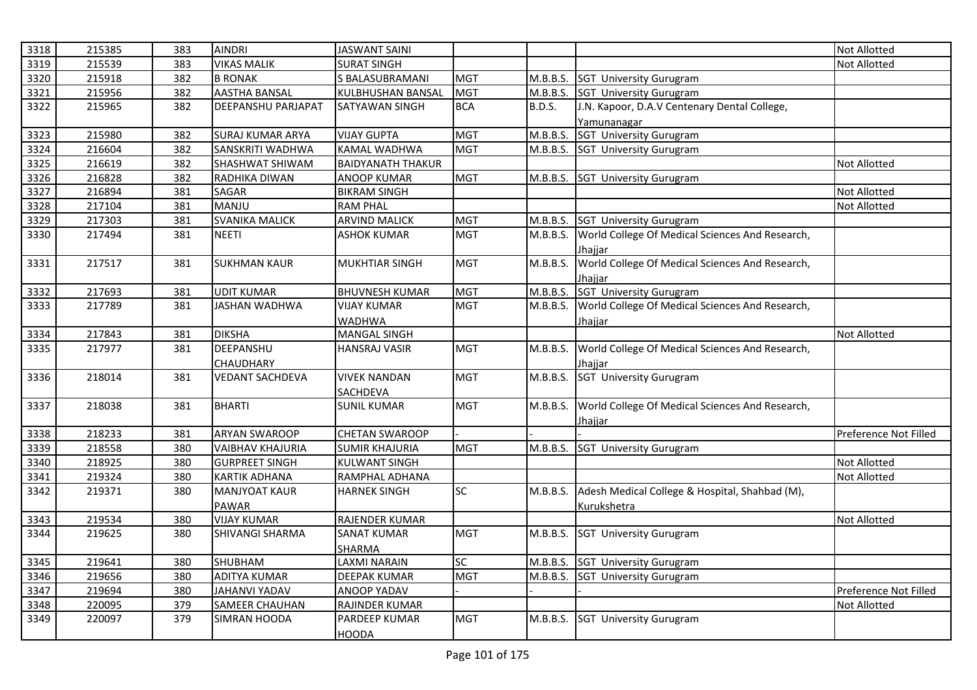| 383<br>3319<br>215539<br>383<br><b>VIKAS MALIK</b><br><b>SURAT SINGH</b><br>Not Allotted<br>3320<br>215918<br>382<br><b>B RONAK</b><br>S BALASUBRAMANI<br><b>MGT</b><br><b>SGT University Gurugram</b><br>M.B.B.S.<br>3321<br>215956<br><b>AASTHA BANSAL</b><br>KULBHUSHAN BANSAL<br><b>MGT</b><br>M.B.B.S.<br>382<br><b>SGT University Gurugram</b><br>215965<br>J.N. Kapoor, D.A.V Centenary Dental College,<br>3322<br>382<br>DEEPANSHU PARJAPAT<br><b>BCA</b><br><b>B.D.S.</b><br>SATYAWAN SINGH<br>Yamunanagar<br><b>MGT</b><br>M.B.B.S.<br><b>SGT University Gurugram</b><br>3323<br>215980<br>382<br><b>SURAJ KUMAR ARYA</b><br><b>VIJAY GUPTA</b><br>3324<br>216604<br>382<br>SANSKRITI WADHWA<br><b>KAMAL WADHWA</b><br><b>MGT</b><br>M.B.B.S. SGT University Gurugram<br>3325<br>216619<br>SHASHWAT SHIWAM<br><b>BAIDYANATH THAKUR</b><br>382<br>Not Allotted<br>3326<br>216828<br>382<br><b>MGT</b><br><b>SGT University Gurugram</b><br>RADHIKA DIWAN<br>ANOOP KUMAR<br>M.B.B.S.<br>3327<br>216894<br>381<br>SAGAR<br><b>BIKRAM SINGH</b><br>Not Allotted<br>MANJU<br>3328<br>217104<br>381<br><b>RAM PHAL</b><br><b>Not Allotted</b><br>3329<br>SVANIKA MALICK<br>217303<br>381<br><b>ARVIND MALICK</b><br><b>MGT</b><br>M.B.B.S.<br>SGT University Gurugram<br>World College Of Medical Sciences And Research,<br>3330<br>217494<br>381<br><b>NEETI</b><br><b>ASHOK KUMAR</b><br><b>MGT</b><br>M.B.B.S.<br>Jhajjar<br>World College Of Medical Sciences And Research,<br>3331<br>217517<br>M.B.B.S.<br>381<br><b>SUKHMAN KAUR</b><br><b>MUKHTIAR SINGH</b><br><b>MGT</b><br>Jhajjar<br><b>SGT</b> University Gurugram<br>3332<br>M.B.B.S.<br>217693<br><b>UDIT KUMAR</b><br><b>BHUVNESH KUMAR</b><br><b>MGT</b><br>381<br>3333<br><b>JASHAN WADHWA</b><br><b>MGT</b><br>World College Of Medical Sciences And Research,<br>217789<br>381<br><b>VIJAY KUMAR</b><br>M.B.B.S.<br>WADHWA<br>Jhajjar<br>3334<br>217843<br>381<br><b>DIKSHA</b><br><b>Not Allotted</b><br><b>MANGAL SINGH</b><br>3335<br>DEEPANSHU<br>World College Of Medical Sciences And Research,<br>217977<br>381<br><b>MGT</b><br>M.B.B.S.<br><b>HANSRAJ VASIR</b><br><b>CHAUDHARY</b><br>Jhajjar<br>M.B.B.S. SGT University Gurugram<br>3336<br><b>MGT</b><br>218014<br>381<br><b>VEDANT SACHDEVA</b><br><b>VIVEK NANDAN</b><br>SACHDEVA<br>3337<br><b>BHARTI</b><br>M.B.B.S.<br>World College Of Medical Sciences And Research,<br>218038<br>381<br><b>SUNIL KUMAR</b><br>MGT<br>Jhajjar<br>3338<br>218233<br>381<br><b>ARYAN SWAROOP</b><br><b>CHETAN SWAROOP</b><br>Preference Not Filled<br>218558<br><b>VAIBHAV KHAJURIA</b><br><b>SUMIR KHAJURIA</b><br><b>MGT</b><br>3339<br>380<br>M.B.B.S. SGT University Gurugram<br>3340<br>218925<br>380<br><b>GURPREET SINGH</b><br><b>KULWANT SINGH</b><br><b>Not Allotted</b><br>3341<br>219324<br>380<br><b>KARTIK ADHANA</b><br>RAMPHAL ADHANA<br><b>Not Allotted</b><br><b>SC</b><br>Adesh Medical College & Hospital, Shahbad (M),<br>3342<br>219371<br>380<br>M.B.B.S.<br><b>MANJYOAT KAUR</b><br><b>HARNEK SINGH</b><br>PAWAR<br>Kurukshetra<br>219534<br>380<br><b>VIJAY KUMAR</b><br>3343<br><b>RAJENDER KUMAR</b><br><b>Not Allotted</b><br>3344<br>219625<br><b>SHIVANGI SHARMA</b><br><b>SANAT KUMAR</b><br><b>MGT</b><br>M.B.B.S.<br>380<br><b>SGT University Gurugram</b><br>SHARMA<br><b>SC</b><br>3345<br>219641<br>SHUBHAM<br><b>LAXMI NARAIN</b><br><b>SGT University Gurugram</b><br>380<br>M.B.B.S.<br><b>ADITYA KUMAR</b><br>3346<br>219656<br>380<br><b>DEEPAK KUMAR</b><br><b>MGT</b><br>M.B.B.S. SGT University Gurugram<br>3347<br><b>JAHANVI YADAV</b><br>219694<br>380<br>ANOOP YADAV<br>Preference Not Filled<br>3348<br>220095<br><b>SAMEER CHAUHAN</b><br>RAJINDER KUMAR<br>379<br><b>Not Allotted</b><br><b>MGT</b><br>3349<br>220097<br>379<br>M.B.B.S. SGT University Gurugram<br>SIMRAN HOODA<br>PARDEEP KUMAR<br><b>HOODA</b> |      |        |               |                      |  |                     |
|-----------------------------------------------------------------------------------------------------------------------------------------------------------------------------------------------------------------------------------------------------------------------------------------------------------------------------------------------------------------------------------------------------------------------------------------------------------------------------------------------------------------------------------------------------------------------------------------------------------------------------------------------------------------------------------------------------------------------------------------------------------------------------------------------------------------------------------------------------------------------------------------------------------------------------------------------------------------------------------------------------------------------------------------------------------------------------------------------------------------------------------------------------------------------------------------------------------------------------------------------------------------------------------------------------------------------------------------------------------------------------------------------------------------------------------------------------------------------------------------------------------------------------------------------------------------------------------------------------------------------------------------------------------------------------------------------------------------------------------------------------------------------------------------------------------------------------------------------------------------------------------------------------------------------------------------------------------------------------------------------------------------------------------------------------------------------------------------------------------------------------------------------------------------------------------------------------------------------------------------------------------------------------------------------------------------------------------------------------------------------------------------------------------------------------------------------------------------------------------------------------------------------------------------------------------------------------------------------------------------------------------------------------------------------------------------------------------------------------------------------------------------------------------------------------------------------------------------------------------------------------------------------------------------------------------------------------------------------------------------------------------------------------------------------------------------------------------------------------------------------------------------------------------------------------------------------------------------------------------------------------------------------------------------------------------------------------------------------------------------------------------------------------------------------------------------------------------------------------------------------------------------------------------------------------------------------------------------------------------------------------------------------------------------------------------------------------------------------------------------------------------------------------------------------------------------------------------------------------------------------------------------------|------|--------|---------------|----------------------|--|---------------------|
|                                                                                                                                                                                                                                                                                                                                                                                                                                                                                                                                                                                                                                                                                                                                                                                                                                                                                                                                                                                                                                                                                                                                                                                                                                                                                                                                                                                                                                                                                                                                                                                                                                                                                                                                                                                                                                                                                                                                                                                                                                                                                                                                                                                                                                                                                                                                                                                                                                                                                                                                                                                                                                                                                                                                                                                                                                                                                                                                                                                                                                                                                                                                                                                                                                                                                                                                                                                                                                                                                                                                                                                                                                                                                                                                                                                                                                                                                               | 3318 | 215385 | <b>AINDRI</b> | <b>JASWANT SAINI</b> |  | <b>Not Allotted</b> |
|                                                                                                                                                                                                                                                                                                                                                                                                                                                                                                                                                                                                                                                                                                                                                                                                                                                                                                                                                                                                                                                                                                                                                                                                                                                                                                                                                                                                                                                                                                                                                                                                                                                                                                                                                                                                                                                                                                                                                                                                                                                                                                                                                                                                                                                                                                                                                                                                                                                                                                                                                                                                                                                                                                                                                                                                                                                                                                                                                                                                                                                                                                                                                                                                                                                                                                                                                                                                                                                                                                                                                                                                                                                                                                                                                                                                                                                                                               |      |        |               |                      |  |                     |
|                                                                                                                                                                                                                                                                                                                                                                                                                                                                                                                                                                                                                                                                                                                                                                                                                                                                                                                                                                                                                                                                                                                                                                                                                                                                                                                                                                                                                                                                                                                                                                                                                                                                                                                                                                                                                                                                                                                                                                                                                                                                                                                                                                                                                                                                                                                                                                                                                                                                                                                                                                                                                                                                                                                                                                                                                                                                                                                                                                                                                                                                                                                                                                                                                                                                                                                                                                                                                                                                                                                                                                                                                                                                                                                                                                                                                                                                                               |      |        |               |                      |  |                     |
|                                                                                                                                                                                                                                                                                                                                                                                                                                                                                                                                                                                                                                                                                                                                                                                                                                                                                                                                                                                                                                                                                                                                                                                                                                                                                                                                                                                                                                                                                                                                                                                                                                                                                                                                                                                                                                                                                                                                                                                                                                                                                                                                                                                                                                                                                                                                                                                                                                                                                                                                                                                                                                                                                                                                                                                                                                                                                                                                                                                                                                                                                                                                                                                                                                                                                                                                                                                                                                                                                                                                                                                                                                                                                                                                                                                                                                                                                               |      |        |               |                      |  |                     |
|                                                                                                                                                                                                                                                                                                                                                                                                                                                                                                                                                                                                                                                                                                                                                                                                                                                                                                                                                                                                                                                                                                                                                                                                                                                                                                                                                                                                                                                                                                                                                                                                                                                                                                                                                                                                                                                                                                                                                                                                                                                                                                                                                                                                                                                                                                                                                                                                                                                                                                                                                                                                                                                                                                                                                                                                                                                                                                                                                                                                                                                                                                                                                                                                                                                                                                                                                                                                                                                                                                                                                                                                                                                                                                                                                                                                                                                                                               |      |        |               |                      |  |                     |
|                                                                                                                                                                                                                                                                                                                                                                                                                                                                                                                                                                                                                                                                                                                                                                                                                                                                                                                                                                                                                                                                                                                                                                                                                                                                                                                                                                                                                                                                                                                                                                                                                                                                                                                                                                                                                                                                                                                                                                                                                                                                                                                                                                                                                                                                                                                                                                                                                                                                                                                                                                                                                                                                                                                                                                                                                                                                                                                                                                                                                                                                                                                                                                                                                                                                                                                                                                                                                                                                                                                                                                                                                                                                                                                                                                                                                                                                                               |      |        |               |                      |  |                     |
|                                                                                                                                                                                                                                                                                                                                                                                                                                                                                                                                                                                                                                                                                                                                                                                                                                                                                                                                                                                                                                                                                                                                                                                                                                                                                                                                                                                                                                                                                                                                                                                                                                                                                                                                                                                                                                                                                                                                                                                                                                                                                                                                                                                                                                                                                                                                                                                                                                                                                                                                                                                                                                                                                                                                                                                                                                                                                                                                                                                                                                                                                                                                                                                                                                                                                                                                                                                                                                                                                                                                                                                                                                                                                                                                                                                                                                                                                               |      |        |               |                      |  |                     |
|                                                                                                                                                                                                                                                                                                                                                                                                                                                                                                                                                                                                                                                                                                                                                                                                                                                                                                                                                                                                                                                                                                                                                                                                                                                                                                                                                                                                                                                                                                                                                                                                                                                                                                                                                                                                                                                                                                                                                                                                                                                                                                                                                                                                                                                                                                                                                                                                                                                                                                                                                                                                                                                                                                                                                                                                                                                                                                                                                                                                                                                                                                                                                                                                                                                                                                                                                                                                                                                                                                                                                                                                                                                                                                                                                                                                                                                                                               |      |        |               |                      |  |                     |
|                                                                                                                                                                                                                                                                                                                                                                                                                                                                                                                                                                                                                                                                                                                                                                                                                                                                                                                                                                                                                                                                                                                                                                                                                                                                                                                                                                                                                                                                                                                                                                                                                                                                                                                                                                                                                                                                                                                                                                                                                                                                                                                                                                                                                                                                                                                                                                                                                                                                                                                                                                                                                                                                                                                                                                                                                                                                                                                                                                                                                                                                                                                                                                                                                                                                                                                                                                                                                                                                                                                                                                                                                                                                                                                                                                                                                                                                                               |      |        |               |                      |  |                     |
|                                                                                                                                                                                                                                                                                                                                                                                                                                                                                                                                                                                                                                                                                                                                                                                                                                                                                                                                                                                                                                                                                                                                                                                                                                                                                                                                                                                                                                                                                                                                                                                                                                                                                                                                                                                                                                                                                                                                                                                                                                                                                                                                                                                                                                                                                                                                                                                                                                                                                                                                                                                                                                                                                                                                                                                                                                                                                                                                                                                                                                                                                                                                                                                                                                                                                                                                                                                                                                                                                                                                                                                                                                                                                                                                                                                                                                                                                               |      |        |               |                      |  |                     |
|                                                                                                                                                                                                                                                                                                                                                                                                                                                                                                                                                                                                                                                                                                                                                                                                                                                                                                                                                                                                                                                                                                                                                                                                                                                                                                                                                                                                                                                                                                                                                                                                                                                                                                                                                                                                                                                                                                                                                                                                                                                                                                                                                                                                                                                                                                                                                                                                                                                                                                                                                                                                                                                                                                                                                                                                                                                                                                                                                                                                                                                                                                                                                                                                                                                                                                                                                                                                                                                                                                                                                                                                                                                                                                                                                                                                                                                                                               |      |        |               |                      |  |                     |
|                                                                                                                                                                                                                                                                                                                                                                                                                                                                                                                                                                                                                                                                                                                                                                                                                                                                                                                                                                                                                                                                                                                                                                                                                                                                                                                                                                                                                                                                                                                                                                                                                                                                                                                                                                                                                                                                                                                                                                                                                                                                                                                                                                                                                                                                                                                                                                                                                                                                                                                                                                                                                                                                                                                                                                                                                                                                                                                                                                                                                                                                                                                                                                                                                                                                                                                                                                                                                                                                                                                                                                                                                                                                                                                                                                                                                                                                                               |      |        |               |                      |  |                     |
|                                                                                                                                                                                                                                                                                                                                                                                                                                                                                                                                                                                                                                                                                                                                                                                                                                                                                                                                                                                                                                                                                                                                                                                                                                                                                                                                                                                                                                                                                                                                                                                                                                                                                                                                                                                                                                                                                                                                                                                                                                                                                                                                                                                                                                                                                                                                                                                                                                                                                                                                                                                                                                                                                                                                                                                                                                                                                                                                                                                                                                                                                                                                                                                                                                                                                                                                                                                                                                                                                                                                                                                                                                                                                                                                                                                                                                                                                               |      |        |               |                      |  |                     |
|                                                                                                                                                                                                                                                                                                                                                                                                                                                                                                                                                                                                                                                                                                                                                                                                                                                                                                                                                                                                                                                                                                                                                                                                                                                                                                                                                                                                                                                                                                                                                                                                                                                                                                                                                                                                                                                                                                                                                                                                                                                                                                                                                                                                                                                                                                                                                                                                                                                                                                                                                                                                                                                                                                                                                                                                                                                                                                                                                                                                                                                                                                                                                                                                                                                                                                                                                                                                                                                                                                                                                                                                                                                                                                                                                                                                                                                                                               |      |        |               |                      |  |                     |
|                                                                                                                                                                                                                                                                                                                                                                                                                                                                                                                                                                                                                                                                                                                                                                                                                                                                                                                                                                                                                                                                                                                                                                                                                                                                                                                                                                                                                                                                                                                                                                                                                                                                                                                                                                                                                                                                                                                                                                                                                                                                                                                                                                                                                                                                                                                                                                                                                                                                                                                                                                                                                                                                                                                                                                                                                                                                                                                                                                                                                                                                                                                                                                                                                                                                                                                                                                                                                                                                                                                                                                                                                                                                                                                                                                                                                                                                                               |      |        |               |                      |  |                     |
|                                                                                                                                                                                                                                                                                                                                                                                                                                                                                                                                                                                                                                                                                                                                                                                                                                                                                                                                                                                                                                                                                                                                                                                                                                                                                                                                                                                                                                                                                                                                                                                                                                                                                                                                                                                                                                                                                                                                                                                                                                                                                                                                                                                                                                                                                                                                                                                                                                                                                                                                                                                                                                                                                                                                                                                                                                                                                                                                                                                                                                                                                                                                                                                                                                                                                                                                                                                                                                                                                                                                                                                                                                                                                                                                                                                                                                                                                               |      |        |               |                      |  |                     |
|                                                                                                                                                                                                                                                                                                                                                                                                                                                                                                                                                                                                                                                                                                                                                                                                                                                                                                                                                                                                                                                                                                                                                                                                                                                                                                                                                                                                                                                                                                                                                                                                                                                                                                                                                                                                                                                                                                                                                                                                                                                                                                                                                                                                                                                                                                                                                                                                                                                                                                                                                                                                                                                                                                                                                                                                                                                                                                                                                                                                                                                                                                                                                                                                                                                                                                                                                                                                                                                                                                                                                                                                                                                                                                                                                                                                                                                                                               |      |        |               |                      |  |                     |
|                                                                                                                                                                                                                                                                                                                                                                                                                                                                                                                                                                                                                                                                                                                                                                                                                                                                                                                                                                                                                                                                                                                                                                                                                                                                                                                                                                                                                                                                                                                                                                                                                                                                                                                                                                                                                                                                                                                                                                                                                                                                                                                                                                                                                                                                                                                                                                                                                                                                                                                                                                                                                                                                                                                                                                                                                                                                                                                                                                                                                                                                                                                                                                                                                                                                                                                                                                                                                                                                                                                                                                                                                                                                                                                                                                                                                                                                                               |      |        |               |                      |  |                     |
|                                                                                                                                                                                                                                                                                                                                                                                                                                                                                                                                                                                                                                                                                                                                                                                                                                                                                                                                                                                                                                                                                                                                                                                                                                                                                                                                                                                                                                                                                                                                                                                                                                                                                                                                                                                                                                                                                                                                                                                                                                                                                                                                                                                                                                                                                                                                                                                                                                                                                                                                                                                                                                                                                                                                                                                                                                                                                                                                                                                                                                                                                                                                                                                                                                                                                                                                                                                                                                                                                                                                                                                                                                                                                                                                                                                                                                                                                               |      |        |               |                      |  |                     |
|                                                                                                                                                                                                                                                                                                                                                                                                                                                                                                                                                                                                                                                                                                                                                                                                                                                                                                                                                                                                                                                                                                                                                                                                                                                                                                                                                                                                                                                                                                                                                                                                                                                                                                                                                                                                                                                                                                                                                                                                                                                                                                                                                                                                                                                                                                                                                                                                                                                                                                                                                                                                                                                                                                                                                                                                                                                                                                                                                                                                                                                                                                                                                                                                                                                                                                                                                                                                                                                                                                                                                                                                                                                                                                                                                                                                                                                                                               |      |        |               |                      |  |                     |
|                                                                                                                                                                                                                                                                                                                                                                                                                                                                                                                                                                                                                                                                                                                                                                                                                                                                                                                                                                                                                                                                                                                                                                                                                                                                                                                                                                                                                                                                                                                                                                                                                                                                                                                                                                                                                                                                                                                                                                                                                                                                                                                                                                                                                                                                                                                                                                                                                                                                                                                                                                                                                                                                                                                                                                                                                                                                                                                                                                                                                                                                                                                                                                                                                                                                                                                                                                                                                                                                                                                                                                                                                                                                                                                                                                                                                                                                                               |      |        |               |                      |  |                     |
|                                                                                                                                                                                                                                                                                                                                                                                                                                                                                                                                                                                                                                                                                                                                                                                                                                                                                                                                                                                                                                                                                                                                                                                                                                                                                                                                                                                                                                                                                                                                                                                                                                                                                                                                                                                                                                                                                                                                                                                                                                                                                                                                                                                                                                                                                                                                                                                                                                                                                                                                                                                                                                                                                                                                                                                                                                                                                                                                                                                                                                                                                                                                                                                                                                                                                                                                                                                                                                                                                                                                                                                                                                                                                                                                                                                                                                                                                               |      |        |               |                      |  |                     |
|                                                                                                                                                                                                                                                                                                                                                                                                                                                                                                                                                                                                                                                                                                                                                                                                                                                                                                                                                                                                                                                                                                                                                                                                                                                                                                                                                                                                                                                                                                                                                                                                                                                                                                                                                                                                                                                                                                                                                                                                                                                                                                                                                                                                                                                                                                                                                                                                                                                                                                                                                                                                                                                                                                                                                                                                                                                                                                                                                                                                                                                                                                                                                                                                                                                                                                                                                                                                                                                                                                                                                                                                                                                                                                                                                                                                                                                                                               |      |        |               |                      |  |                     |
|                                                                                                                                                                                                                                                                                                                                                                                                                                                                                                                                                                                                                                                                                                                                                                                                                                                                                                                                                                                                                                                                                                                                                                                                                                                                                                                                                                                                                                                                                                                                                                                                                                                                                                                                                                                                                                                                                                                                                                                                                                                                                                                                                                                                                                                                                                                                                                                                                                                                                                                                                                                                                                                                                                                                                                                                                                                                                                                                                                                                                                                                                                                                                                                                                                                                                                                                                                                                                                                                                                                                                                                                                                                                                                                                                                                                                                                                                               |      |        |               |                      |  |                     |
|                                                                                                                                                                                                                                                                                                                                                                                                                                                                                                                                                                                                                                                                                                                                                                                                                                                                                                                                                                                                                                                                                                                                                                                                                                                                                                                                                                                                                                                                                                                                                                                                                                                                                                                                                                                                                                                                                                                                                                                                                                                                                                                                                                                                                                                                                                                                                                                                                                                                                                                                                                                                                                                                                                                                                                                                                                                                                                                                                                                                                                                                                                                                                                                                                                                                                                                                                                                                                                                                                                                                                                                                                                                                                                                                                                                                                                                                                               |      |        |               |                      |  |                     |
|                                                                                                                                                                                                                                                                                                                                                                                                                                                                                                                                                                                                                                                                                                                                                                                                                                                                                                                                                                                                                                                                                                                                                                                                                                                                                                                                                                                                                                                                                                                                                                                                                                                                                                                                                                                                                                                                                                                                                                                                                                                                                                                                                                                                                                                                                                                                                                                                                                                                                                                                                                                                                                                                                                                                                                                                                                                                                                                                                                                                                                                                                                                                                                                                                                                                                                                                                                                                                                                                                                                                                                                                                                                                                                                                                                                                                                                                                               |      |        |               |                      |  |                     |
|                                                                                                                                                                                                                                                                                                                                                                                                                                                                                                                                                                                                                                                                                                                                                                                                                                                                                                                                                                                                                                                                                                                                                                                                                                                                                                                                                                                                                                                                                                                                                                                                                                                                                                                                                                                                                                                                                                                                                                                                                                                                                                                                                                                                                                                                                                                                                                                                                                                                                                                                                                                                                                                                                                                                                                                                                                                                                                                                                                                                                                                                                                                                                                                                                                                                                                                                                                                                                                                                                                                                                                                                                                                                                                                                                                                                                                                                                               |      |        |               |                      |  |                     |
|                                                                                                                                                                                                                                                                                                                                                                                                                                                                                                                                                                                                                                                                                                                                                                                                                                                                                                                                                                                                                                                                                                                                                                                                                                                                                                                                                                                                                                                                                                                                                                                                                                                                                                                                                                                                                                                                                                                                                                                                                                                                                                                                                                                                                                                                                                                                                                                                                                                                                                                                                                                                                                                                                                                                                                                                                                                                                                                                                                                                                                                                                                                                                                                                                                                                                                                                                                                                                                                                                                                                                                                                                                                                                                                                                                                                                                                                                               |      |        |               |                      |  |                     |
|                                                                                                                                                                                                                                                                                                                                                                                                                                                                                                                                                                                                                                                                                                                                                                                                                                                                                                                                                                                                                                                                                                                                                                                                                                                                                                                                                                                                                                                                                                                                                                                                                                                                                                                                                                                                                                                                                                                                                                                                                                                                                                                                                                                                                                                                                                                                                                                                                                                                                                                                                                                                                                                                                                                                                                                                                                                                                                                                                                                                                                                                                                                                                                                                                                                                                                                                                                                                                                                                                                                                                                                                                                                                                                                                                                                                                                                                                               |      |        |               |                      |  |                     |
|                                                                                                                                                                                                                                                                                                                                                                                                                                                                                                                                                                                                                                                                                                                                                                                                                                                                                                                                                                                                                                                                                                                                                                                                                                                                                                                                                                                                                                                                                                                                                                                                                                                                                                                                                                                                                                                                                                                                                                                                                                                                                                                                                                                                                                                                                                                                                                                                                                                                                                                                                                                                                                                                                                                                                                                                                                                                                                                                                                                                                                                                                                                                                                                                                                                                                                                                                                                                                                                                                                                                                                                                                                                                                                                                                                                                                                                                                               |      |        |               |                      |  |                     |
|                                                                                                                                                                                                                                                                                                                                                                                                                                                                                                                                                                                                                                                                                                                                                                                                                                                                                                                                                                                                                                                                                                                                                                                                                                                                                                                                                                                                                                                                                                                                                                                                                                                                                                                                                                                                                                                                                                                                                                                                                                                                                                                                                                                                                                                                                                                                                                                                                                                                                                                                                                                                                                                                                                                                                                                                                                                                                                                                                                                                                                                                                                                                                                                                                                                                                                                                                                                                                                                                                                                                                                                                                                                                                                                                                                                                                                                                                               |      |        |               |                      |  |                     |
|                                                                                                                                                                                                                                                                                                                                                                                                                                                                                                                                                                                                                                                                                                                                                                                                                                                                                                                                                                                                                                                                                                                                                                                                                                                                                                                                                                                                                                                                                                                                                                                                                                                                                                                                                                                                                                                                                                                                                                                                                                                                                                                                                                                                                                                                                                                                                                                                                                                                                                                                                                                                                                                                                                                                                                                                                                                                                                                                                                                                                                                                                                                                                                                                                                                                                                                                                                                                                                                                                                                                                                                                                                                                                                                                                                                                                                                                                               |      |        |               |                      |  |                     |
|                                                                                                                                                                                                                                                                                                                                                                                                                                                                                                                                                                                                                                                                                                                                                                                                                                                                                                                                                                                                                                                                                                                                                                                                                                                                                                                                                                                                                                                                                                                                                                                                                                                                                                                                                                                                                                                                                                                                                                                                                                                                                                                                                                                                                                                                                                                                                                                                                                                                                                                                                                                                                                                                                                                                                                                                                                                                                                                                                                                                                                                                                                                                                                                                                                                                                                                                                                                                                                                                                                                                                                                                                                                                                                                                                                                                                                                                                               |      |        |               |                      |  |                     |
|                                                                                                                                                                                                                                                                                                                                                                                                                                                                                                                                                                                                                                                                                                                                                                                                                                                                                                                                                                                                                                                                                                                                                                                                                                                                                                                                                                                                                                                                                                                                                                                                                                                                                                                                                                                                                                                                                                                                                                                                                                                                                                                                                                                                                                                                                                                                                                                                                                                                                                                                                                                                                                                                                                                                                                                                                                                                                                                                                                                                                                                                                                                                                                                                                                                                                                                                                                                                                                                                                                                                                                                                                                                                                                                                                                                                                                                                                               |      |        |               |                      |  |                     |
|                                                                                                                                                                                                                                                                                                                                                                                                                                                                                                                                                                                                                                                                                                                                                                                                                                                                                                                                                                                                                                                                                                                                                                                                                                                                                                                                                                                                                                                                                                                                                                                                                                                                                                                                                                                                                                                                                                                                                                                                                                                                                                                                                                                                                                                                                                                                                                                                                                                                                                                                                                                                                                                                                                                                                                                                                                                                                                                                                                                                                                                                                                                                                                                                                                                                                                                                                                                                                                                                                                                                                                                                                                                                                                                                                                                                                                                                                               |      |        |               |                      |  |                     |
|                                                                                                                                                                                                                                                                                                                                                                                                                                                                                                                                                                                                                                                                                                                                                                                                                                                                                                                                                                                                                                                                                                                                                                                                                                                                                                                                                                                                                                                                                                                                                                                                                                                                                                                                                                                                                                                                                                                                                                                                                                                                                                                                                                                                                                                                                                                                                                                                                                                                                                                                                                                                                                                                                                                                                                                                                                                                                                                                                                                                                                                                                                                                                                                                                                                                                                                                                                                                                                                                                                                                                                                                                                                                                                                                                                                                                                                                                               |      |        |               |                      |  |                     |
|                                                                                                                                                                                                                                                                                                                                                                                                                                                                                                                                                                                                                                                                                                                                                                                                                                                                                                                                                                                                                                                                                                                                                                                                                                                                                                                                                                                                                                                                                                                                                                                                                                                                                                                                                                                                                                                                                                                                                                                                                                                                                                                                                                                                                                                                                                                                                                                                                                                                                                                                                                                                                                                                                                                                                                                                                                                                                                                                                                                                                                                                                                                                                                                                                                                                                                                                                                                                                                                                                                                                                                                                                                                                                                                                                                                                                                                                                               |      |        |               |                      |  |                     |
|                                                                                                                                                                                                                                                                                                                                                                                                                                                                                                                                                                                                                                                                                                                                                                                                                                                                                                                                                                                                                                                                                                                                                                                                                                                                                                                                                                                                                                                                                                                                                                                                                                                                                                                                                                                                                                                                                                                                                                                                                                                                                                                                                                                                                                                                                                                                                                                                                                                                                                                                                                                                                                                                                                                                                                                                                                                                                                                                                                                                                                                                                                                                                                                                                                                                                                                                                                                                                                                                                                                                                                                                                                                                                                                                                                                                                                                                                               |      |        |               |                      |  |                     |
|                                                                                                                                                                                                                                                                                                                                                                                                                                                                                                                                                                                                                                                                                                                                                                                                                                                                                                                                                                                                                                                                                                                                                                                                                                                                                                                                                                                                                                                                                                                                                                                                                                                                                                                                                                                                                                                                                                                                                                                                                                                                                                                                                                                                                                                                                                                                                                                                                                                                                                                                                                                                                                                                                                                                                                                                                                                                                                                                                                                                                                                                                                                                                                                                                                                                                                                                                                                                                                                                                                                                                                                                                                                                                                                                                                                                                                                                                               |      |        |               |                      |  |                     |
|                                                                                                                                                                                                                                                                                                                                                                                                                                                                                                                                                                                                                                                                                                                                                                                                                                                                                                                                                                                                                                                                                                                                                                                                                                                                                                                                                                                                                                                                                                                                                                                                                                                                                                                                                                                                                                                                                                                                                                                                                                                                                                                                                                                                                                                                                                                                                                                                                                                                                                                                                                                                                                                                                                                                                                                                                                                                                                                                                                                                                                                                                                                                                                                                                                                                                                                                                                                                                                                                                                                                                                                                                                                                                                                                                                                                                                                                                               |      |        |               |                      |  |                     |
|                                                                                                                                                                                                                                                                                                                                                                                                                                                                                                                                                                                                                                                                                                                                                                                                                                                                                                                                                                                                                                                                                                                                                                                                                                                                                                                                                                                                                                                                                                                                                                                                                                                                                                                                                                                                                                                                                                                                                                                                                                                                                                                                                                                                                                                                                                                                                                                                                                                                                                                                                                                                                                                                                                                                                                                                                                                                                                                                                                                                                                                                                                                                                                                                                                                                                                                                                                                                                                                                                                                                                                                                                                                                                                                                                                                                                                                                                               |      |        |               |                      |  |                     |
|                                                                                                                                                                                                                                                                                                                                                                                                                                                                                                                                                                                                                                                                                                                                                                                                                                                                                                                                                                                                                                                                                                                                                                                                                                                                                                                                                                                                                                                                                                                                                                                                                                                                                                                                                                                                                                                                                                                                                                                                                                                                                                                                                                                                                                                                                                                                                                                                                                                                                                                                                                                                                                                                                                                                                                                                                                                                                                                                                                                                                                                                                                                                                                                                                                                                                                                                                                                                                                                                                                                                                                                                                                                                                                                                                                                                                                                                                               |      |        |               |                      |  |                     |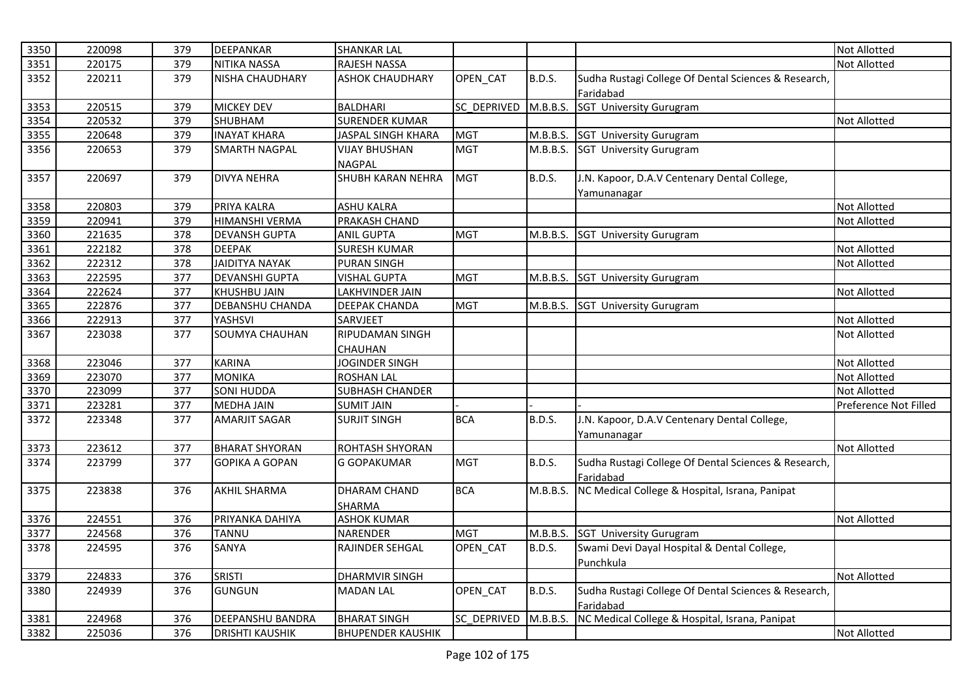| 3350 | 220098 | 379 | <b>DEEPANKAR</b>        | <b>SHANKAR LAL</b>       |                    |               |                                                      | <b>Not Allotted</b>   |
|------|--------|-----|-------------------------|--------------------------|--------------------|---------------|------------------------------------------------------|-----------------------|
| 3351 | 220175 | 379 | NITIKA NASSA            | RAJESH NASSA             |                    |               |                                                      | <b>Not Allotted</b>   |
| 3352 | 220211 | 379 | <b>NISHA CHAUDHARY</b>  | <b>ASHOK CHAUDHARY</b>   | OPEN_CAT           | <b>B.D.S.</b> | Sudha Rustagi College Of Dental Sciences & Research, |                       |
|      |        |     |                         |                          |                    |               | Faridabad                                            |                       |
| 3353 | 220515 | 379 | <b>MICKEY DEV</b>       | <b>BALDHARI</b>          | <b>SC DEPRIVED</b> | M.B.B.S.      | <b>SGT University Gurugram</b>                       |                       |
| 3354 | 220532 | 379 | SHUBHAM                 | <b>SURENDER KUMAR</b>    |                    |               |                                                      | <b>Not Allotted</b>   |
| 3355 | 220648 | 379 | <b>INAYAT KHARA</b>     | JASPAL SINGH KHARA       | <b>MGT</b>         | M.B.B.S.      | <b>SGT University Gurugram</b>                       |                       |
| 3356 | 220653 | 379 | <b>SMARTH NAGPAL</b>    | <b>VIJAY BHUSHAN</b>     | <b>MGT</b>         | M.B.B.S.      | <b>SGT University Gurugram</b>                       |                       |
|      |        |     |                         | NAGPAL                   |                    |               |                                                      |                       |
| 3357 | 220697 | 379 | <b>DIVYA NEHRA</b>      | SHUBH KARAN NEHRA        | <b>MGT</b>         | <b>B.D.S.</b> | J.N. Kapoor, D.A.V Centenary Dental College,         |                       |
|      |        |     |                         |                          |                    |               | Yamunanagar                                          |                       |
| 3358 | 220803 | 379 | PRIYA KALRA             | <b>ASHU KALRA</b>        |                    |               |                                                      | <b>Not Allotted</b>   |
| 3359 | 220941 | 379 | <b>HIMANSHI VERMA</b>   | PRAKASH CHAND            |                    |               |                                                      | Not Allotted          |
| 3360 | 221635 | 378 | <b>DEVANSH GUPTA</b>    | <b>ANIL GUPTA</b>        | <b>MGT</b>         | M.B.B.S.      | <b>SGT University Gurugram</b>                       |                       |
| 3361 | 222182 | 378 | <b>DEEPAK</b>           | <b>SURESH KUMAR</b>      |                    |               |                                                      | <b>Not Allotted</b>   |
| 3362 | 222312 | 378 | <b>JAIDITYA NAYAK</b>   | <b>PURAN SINGH</b>       |                    |               |                                                      | <b>Not Allotted</b>   |
| 3363 | 222595 | 377 | <b>DEVANSHI GUPTA</b>   | <b>VISHAL GUPTA</b>      | <b>MGT</b>         | M.B.B.S.      | <b>SGT University Gurugram</b>                       |                       |
| 3364 | 222624 | 377 | <b>KHUSHBU JAIN</b>     | LAKHVINDER JAIN          |                    |               |                                                      | Not Allotted          |
| 3365 | 222876 | 377 | <b>DEBANSHU CHANDA</b>  | <b>DEEPAK CHANDA</b>     | <b>MGT</b>         | M.B.B.S.      | <b>SGT University Gurugram</b>                       |                       |
| 3366 | 222913 | 377 | <b>YASHSVI</b>          | SARVJEET                 |                    |               |                                                      | <b>Not Allotted</b>   |
| 3367 | 223038 | 377 | <b>SOUMYA CHAUHAN</b>   | RIPUDAMAN SINGH          |                    |               |                                                      | <b>Not Allotted</b>   |
|      |        |     |                         | <b>CHAUHAN</b>           |                    |               |                                                      |                       |
| 3368 | 223046 | 377 | <b>KARINA</b>           | <b>JOGINDER SINGH</b>    |                    |               |                                                      | Not Allotted          |
| 3369 | 223070 | 377 | <b>MONIKA</b>           | <b>ROSHAN LAL</b>        |                    |               |                                                      | <b>Not Allotted</b>   |
| 3370 | 223099 | 377 | <b>SONI HUDDA</b>       | SUBHASH CHANDER          |                    |               |                                                      | <b>Not Allotted</b>   |
| 3371 | 223281 | 377 | <b>MEDHA JAIN</b>       | <b>SUMIT JAIN</b>        |                    |               |                                                      | Preference Not Filled |
| 3372 | 223348 | 377 | <b>AMARJIT SAGAR</b>    | <b>SURJIT SINGH</b>      | <b>BCA</b>         | <b>B.D.S.</b> | J.N. Kapoor, D.A.V Centenary Dental College,         |                       |
|      |        |     |                         |                          |                    |               | Yamunanagar                                          |                       |
| 3373 | 223612 | 377 | <b>BHARAT SHYORAN</b>   | ROHTASH SHYORAN          |                    |               |                                                      | <b>Not Allotted</b>   |
| 3374 | 223799 | 377 | <b>GOPIKA A GOPAN</b>   | <b>G GOPAKUMAR</b>       | <b>MGT</b>         | <b>B.D.S.</b> | Sudha Rustagi College Of Dental Sciences & Research, |                       |
|      |        |     |                         |                          |                    |               | Faridabad                                            |                       |
| 3375 | 223838 | 376 | AKHIL SHARMA            | DHARAM CHAND             | <b>BCA</b>         | M.B.B.S.      | NC Medical College & Hospital, Israna, Panipat       |                       |
|      |        |     |                         | SHARMA                   |                    |               |                                                      |                       |
| 3376 | 224551 | 376 | PRIYANKA DAHIYA         | <b>ASHOK KUMAR</b>       |                    |               |                                                      | Not Allotted          |
| 3377 | 224568 | 376 | <b>TANNU</b>            | NARENDER                 | <b>MGT</b>         | M.B.B.S.      | SGT University Gurugram                              |                       |
| 3378 | 224595 | 376 | SANYA                   | RAJINDER SEHGAL          | OPEN_CAT           | <b>B.D.S.</b> | Swami Devi Dayal Hospital & Dental College,          |                       |
|      |        |     |                         |                          |                    |               | Punchkula                                            |                       |
| 3379 | 224833 | 376 | <b>SRISTI</b>           | <b>DHARMVIR SINGH</b>    |                    |               |                                                      | <b>Not Allotted</b>   |
| 3380 | 224939 | 376 | <b>GUNGUN</b>           | <b>MADAN LAL</b>         | OPEN_CAT           | <b>B.D.S.</b> | Sudha Rustagi College Of Dental Sciences & Research, |                       |
|      |        |     |                         |                          |                    |               | Faridabad                                            |                       |
| 3381 | 224968 | 376 | <b>DEEPANSHU BANDRA</b> | <b>BHARAT SINGH</b>      | SC_DEPRIVED        | M.B.B.S.      | NC Medical College & Hospital, Israna, Panipat       |                       |
| 3382 | 225036 | 376 | <b>DRISHTI KAUSHIK</b>  | <b>BHUPENDER KAUSHIK</b> |                    |               |                                                      | <b>Not Allotted</b>   |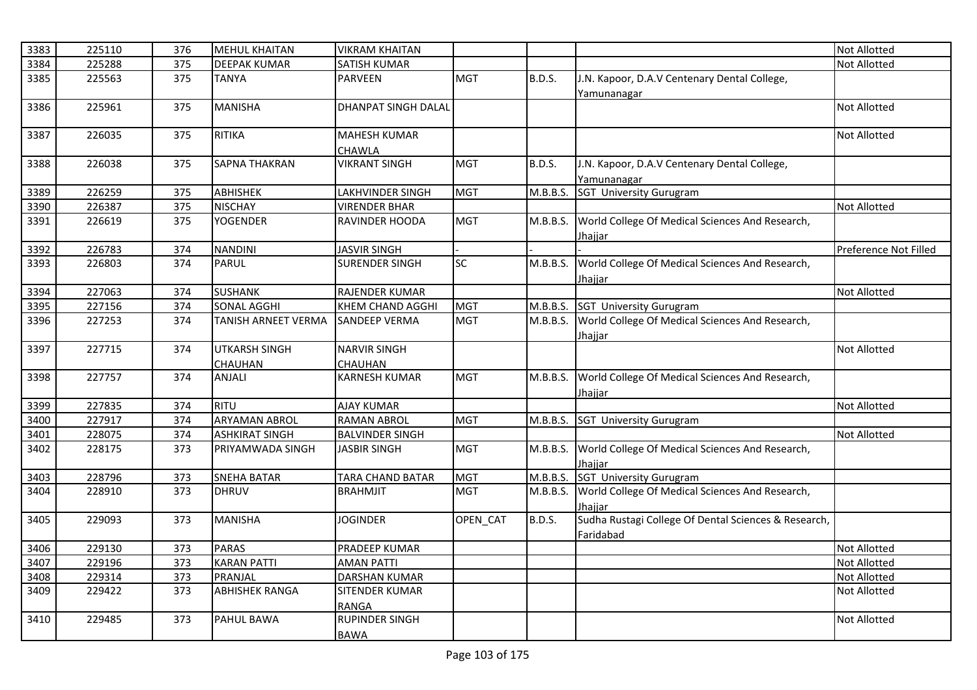| 3383 | 225110 | 376 | <b>MEHUL KHAITAN</b>  | <b>VIKRAM KHAITAN</b>      |            |               |                                                      | Not Allotted          |
|------|--------|-----|-----------------------|----------------------------|------------|---------------|------------------------------------------------------|-----------------------|
| 3384 | 225288 | 375 | <b>DEEPAK KUMAR</b>   | <b>SATISH KUMAR</b>        |            |               |                                                      | <b>Not Allotted</b>   |
| 3385 | 225563 | 375 | <b>TANYA</b>          | <b>PARVEEN</b>             | <b>MGT</b> | <b>B.D.S.</b> | J.N. Kapoor, D.A.V Centenary Dental College,         |                       |
|      |        |     |                       |                            |            |               | Yamunanagar                                          |                       |
| 3386 | 225961 | 375 | <b>MANISHA</b>        | <b>DHANPAT SINGH DALAL</b> |            |               |                                                      | Not Allotted          |
|      |        |     |                       |                            |            |               |                                                      |                       |
| 3387 | 226035 | 375 | <b>RITIKA</b>         | <b>MAHESH KUMAR</b>        |            |               |                                                      | <b>Not Allotted</b>   |
|      |        |     |                       | <b>CHAWLA</b>              |            |               |                                                      |                       |
| 3388 | 226038 | 375 | <b>SAPNA THAKRAN</b>  | <b>VIKRANT SINGH</b>       | <b>MGT</b> | <b>B.D.S.</b> | J.N. Kapoor, D.A.V Centenary Dental College,         |                       |
|      |        |     |                       |                            |            |               | Yamunanagar                                          |                       |
| 3389 | 226259 | 375 | <b>ABHISHEK</b>       | LAKHVINDER SINGH           | <b>MGT</b> | M.B.B.S.      | <b>SGT University Gurugram</b>                       |                       |
| 3390 | 226387 | 375 | <b>NISCHAY</b>        | <b>VIRENDER BHAR</b>       |            |               |                                                      | <b>Not Allotted</b>   |
| 3391 | 226619 | 375 | <b>YOGENDER</b>       | RAVINDER HOODA             | <b>MGT</b> | M.B.B.S.      | World College Of Medical Sciences And Research,      |                       |
|      |        |     |                       |                            |            |               | <u>Jhajjar</u>                                       |                       |
| 3392 | 226783 | 374 | <b>NANDINI</b>        | <b>JASVIR SINGH</b>        |            |               |                                                      | Preference Not Filled |
| 3393 | 226803 | 374 | <b>PARUL</b>          | <b>SURENDER SINGH</b>      | SC         | M.B.B.S.      | World College Of Medical Sciences And Research,      |                       |
|      |        |     |                       |                            |            |               | Jhajjar                                              |                       |
| 3394 | 227063 | 374 | <b>SUSHANK</b>        | RAJENDER KUMAR             |            |               |                                                      | Not Allotted          |
| 3395 | 227156 | 374 | <b>SONAL AGGHI</b>    | KHEM CHAND AGGHI           | <b>MGT</b> | M.B.B.S.      | <b>SGT University Gurugram</b>                       |                       |
| 3396 | 227253 | 374 | TANISH ARNEET VERMA   | <b>SANDEEP VERMA</b>       | <b>MGT</b> | M.B.B.S.      | World College Of Medical Sciences And Research,      |                       |
|      |        |     |                       |                            |            |               | Jhajjar                                              |                       |
| 3397 | 227715 | 374 | <b>UTKARSH SINGH</b>  | <b>NARVIR SINGH</b>        |            |               |                                                      | Not Allotted          |
|      |        |     | CHAUHAN               | CHAUHAN                    |            |               |                                                      |                       |
| 3398 | 227757 | 374 | ANJALI                | <b>KARNESH KUMAR</b>       | <b>MGT</b> | M.B.B.S.      | World College Of Medical Sciences And Research,      |                       |
|      |        |     |                       |                            |            |               | Jhajjar                                              |                       |
| 3399 | 227835 | 374 | <b>RITU</b>           | <b>AJAY KUMAR</b>          |            |               |                                                      | <b>Not Allotted</b>   |
| 3400 | 227917 | 374 | <b>ARYAMAN ABROL</b>  | <b>RAMAN ABROL</b>         | <b>MGT</b> | M.B.B.S.      | <b>SGT University Gurugram</b>                       |                       |
| 3401 | 228075 | 374 | <b>ASHKIRAT SINGH</b> | <b>BALVINDER SINGH</b>     |            |               |                                                      | Not Allotted          |
| 3402 | 228175 | 373 | PRIYAMWADA SINGH      | <b>JASBIR SINGH</b>        | <b>MGT</b> | M.B.B.S.      | World College Of Medical Sciences And Research,      |                       |
|      |        |     |                       |                            |            |               | Jhajjar                                              |                       |
| 3403 | 228796 | 373 | <b>SNEHA BATAR</b>    | TARA CHAND BATAR           | <b>MGT</b> | M.B.B.S.      | <b>SGT University Gurugram</b>                       |                       |
| 3404 | 228910 | 373 | <b>DHRUV</b>          | <b>BRAHMJIT</b>            | <b>MGT</b> | M.B.B.S.      | World College Of Medical Sciences And Research,      |                       |
|      |        |     |                       |                            |            |               | Jhajjar                                              |                       |
| 3405 | 229093 | 373 | <b>MANISHA</b>        | <b>JOGINDER</b>            | OPEN_CAT   | <b>B.D.S.</b> | Sudha Rustagi College Of Dental Sciences & Research, |                       |
|      |        |     |                       |                            |            |               | Faridabad                                            |                       |
| 3406 | 229130 | 373 | <b>PARAS</b>          | PRADEEP KUMAR              |            |               |                                                      | <b>Not Allotted</b>   |
| 3407 | 229196 | 373 | <b>KARAN PATTI</b>    | <b>AMAN PATTI</b>          |            |               |                                                      | Not Allotted          |
| 3408 | 229314 | 373 | PRANJAL               | <b>DARSHAN KUMAR</b>       |            |               |                                                      | Not Allotted          |
| 3409 | 229422 | 373 | <b>ABHISHEK RANGA</b> | SITENDER KUMAR             |            |               |                                                      | Not Allotted          |
|      |        |     |                       | <b>RANGA</b>               |            |               |                                                      |                       |
| 3410 | 229485 | 373 | PAHUL BAWA            | <b>RUPINDER SINGH</b>      |            |               |                                                      | Not Allotted          |
|      |        |     |                       | <b>BAWA</b>                |            |               |                                                      |                       |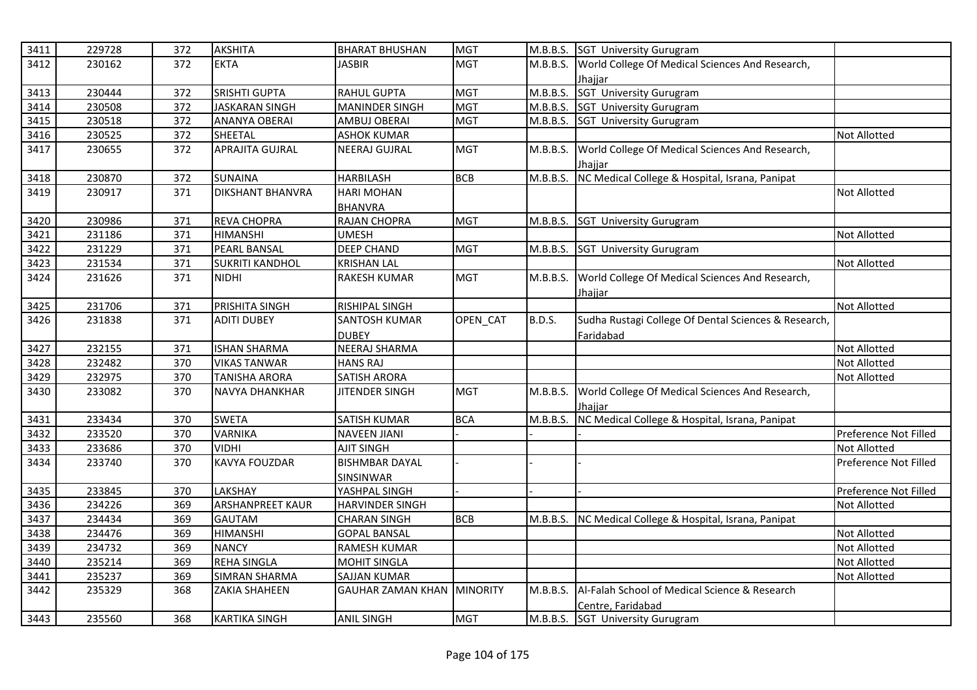| 3411 | 229728 | 372 | <b>AKSHITA</b>          | <b>BHARAT BHUSHAN</b>             | <b>MGT</b> |               | M.B.B.S. SGT University Gurugram                     |                       |
|------|--------|-----|-------------------------|-----------------------------------|------------|---------------|------------------------------------------------------|-----------------------|
| 3412 | 230162 | 372 | <b>EKTA</b>             | JASBIR                            | <b>MGT</b> | M.B.B.S.      | World College Of Medical Sciences And Research,      |                       |
|      |        |     |                         |                                   |            |               | Jhajjar                                              |                       |
| 3413 | 230444 | 372 | <b>SRISHTI GUPTA</b>    | <b>RAHUL GUPTA</b>                | <b>MGT</b> | M.B.B.S.      | SGT University Gurugram                              |                       |
| 3414 | 230508 | 372 | <b>JASKARAN SINGH</b>   | <b>MANINDER SINGH</b>             | <b>MGT</b> | M.B.B.S.      | SGT University Gurugram                              |                       |
| 3415 | 230518 | 372 | ANANYA OBERAI           | AMBUJ OBERAI                      | <b>MGT</b> | M.B.B.S.      | SGT University Gurugram                              |                       |
| 3416 | 230525 | 372 | SHEETAL                 | <b>ASHOK KUMAR</b>                |            |               |                                                      | <b>Not Allotted</b>   |
| 3417 | 230655 | 372 | <b>APRAJITA GUJRAL</b>  | <b>NEERAJ GUJRAL</b>              | <b>MGT</b> | M.B.B.S.      | World College Of Medical Sciences And Research,      |                       |
|      |        |     |                         |                                   |            |               | Jhaiiar                                              |                       |
| 3418 | 230870 | 372 | SUNAINA                 | <b>HARBILASH</b>                  | <b>BCB</b> | M.B.B.S.      | NC Medical College & Hospital, Israna, Panipat       |                       |
| 3419 | 230917 | 371 | <b>DIKSHANT BHANVRA</b> | <b>HARI MOHAN</b>                 |            |               |                                                      | Not Allotted          |
|      |        |     |                         | <b>BHANVRA</b>                    |            |               |                                                      |                       |
| 3420 | 230986 | 371 | REVA CHOPRA             | RAJAN CHOPRA                      | <b>MGT</b> |               | M.B.B.S. SGT University Gurugram                     |                       |
| 3421 | 231186 | 371 | <b>HIMANSHI</b>         | <b>UMESH</b>                      |            |               |                                                      | <b>Not Allotted</b>   |
| 3422 | 231229 | 371 | <b>PEARL BANSAL</b>     | <b>DEEP CHAND</b>                 | <b>MGT</b> | M.B.B.S.      | <b>SGT University Gurugram</b>                       |                       |
| 3423 | 231534 | 371 | <b>SUKRITI KANDHOL</b>  | <b>KRISHAN LAL</b>                |            |               |                                                      | Not Allotted          |
| 3424 | 231626 | 371 | <b>NIDHI</b>            | RAKESH KUMAR                      | <b>MGT</b> | M.B.B.S.      | World College Of Medical Sciences And Research,      |                       |
|      |        |     |                         |                                   |            |               | Jhajjar                                              |                       |
| 3425 | 231706 | 371 | PRISHITA SINGH          | <b>RISHIPAL SINGH</b>             |            |               |                                                      | <b>Not Allotted</b>   |
| 3426 | 231838 | 371 | <b>ADITI DUBEY</b>      | SANTOSH KUMAR                     | OPEN CAT   | <b>B.D.S.</b> | Sudha Rustagi College Of Dental Sciences & Research, |                       |
|      |        |     |                         | <b>DUBEY</b>                      |            |               | Faridabad                                            |                       |
| 3427 | 232155 | 371 | <b>ISHAN SHARMA</b>     | NEERAJ SHARMA                     |            |               |                                                      | Not Allotted          |
| 3428 | 232482 | 370 | <b>VIKAS TANWAR</b>     | <b>HANS RAJ</b>                   |            |               |                                                      | Not Allotted          |
| 3429 | 232975 | 370 | <b>TANISHA ARORA</b>    | <b>SATISH ARORA</b>               |            |               |                                                      | <b>Not Allotted</b>   |
| 3430 | 233082 | 370 | <b>NAVYA DHANKHAR</b>   | <b>JITENDER SINGH</b>             | <b>MGT</b> | M.B.B.S.      | World College Of Medical Sciences And Research,      |                       |
|      |        |     |                         |                                   |            |               | Jhajjar                                              |                       |
| 3431 | 233434 | 370 | <b>SWETA</b>            | SATISH KUMAR                      | <b>BCA</b> | M.B.B.S.      | NC Medical College & Hospital, Israna, Panipat       |                       |
| 3432 | 233520 | 370 | <b>VARNIKA</b>          | <b>NAVEEN JIANI</b>               |            |               |                                                      | Preference Not Filled |
| 3433 | 233686 | 370 | <b>VIDHI</b>            | <b>AJIT SINGH</b>                 |            |               |                                                      | Not Allotted          |
| 3434 | 233740 | 370 | <b>KAVYA FOUZDAR</b>    | <b>BISHMBAR DAYAL</b>             |            |               |                                                      | Preference Not Filled |
|      |        |     |                         | SINSINWAR                         |            |               |                                                      |                       |
| 3435 | 233845 | 370 | LAKSHAY                 | YASHPAL SINGH                     |            |               |                                                      | Preference Not Filled |
| 3436 | 234226 | 369 | ARSHANPREET KAUR        | HARVINDER SINGH                   |            |               |                                                      | Not Allotted          |
| 3437 | 234434 | 369 | <b>GAUTAM</b>           | <b>CHARAN SINGH</b>               | <b>BCB</b> | M.B.B.S.      | NC Medical College & Hospital, Israna, Panipat       |                       |
| 3438 | 234476 | 369 | <b>HIMANSHI</b>         | <b>GOPAL BANSAL</b>               |            |               |                                                      | Not Allotted          |
| 3439 | 234732 | 369 | <b>NANCY</b>            | RAMESH KUMAR                      |            |               |                                                      | Not Allotted          |
| 3440 | 235214 | 369 | <b>REHA SINGLA</b>      | MOHIT SINGLA                      |            |               |                                                      | Not Allotted          |
| 3441 | 235237 | 369 | <b>SIMRAN SHARMA</b>    | SAJJAN KUMAR                      |            |               |                                                      | Not Allotted          |
| 3442 | 235329 | 368 | <b>ZAKIA SHAHEEN</b>    | <b>GAUHAR ZAMAN KHAN MINORITY</b> |            | M.B.B.S.      | Al-Falah School of Medical Science & Research        |                       |
|      |        |     |                         |                                   |            |               | Centre, Faridabad                                    |                       |
| 3443 | 235560 | 368 | <b>KARTIKA SINGH</b>    | <b>ANIL SINGH</b>                 | <b>MGT</b> | M.B.B.S.      | <b>SGT University Gurugram</b>                       |                       |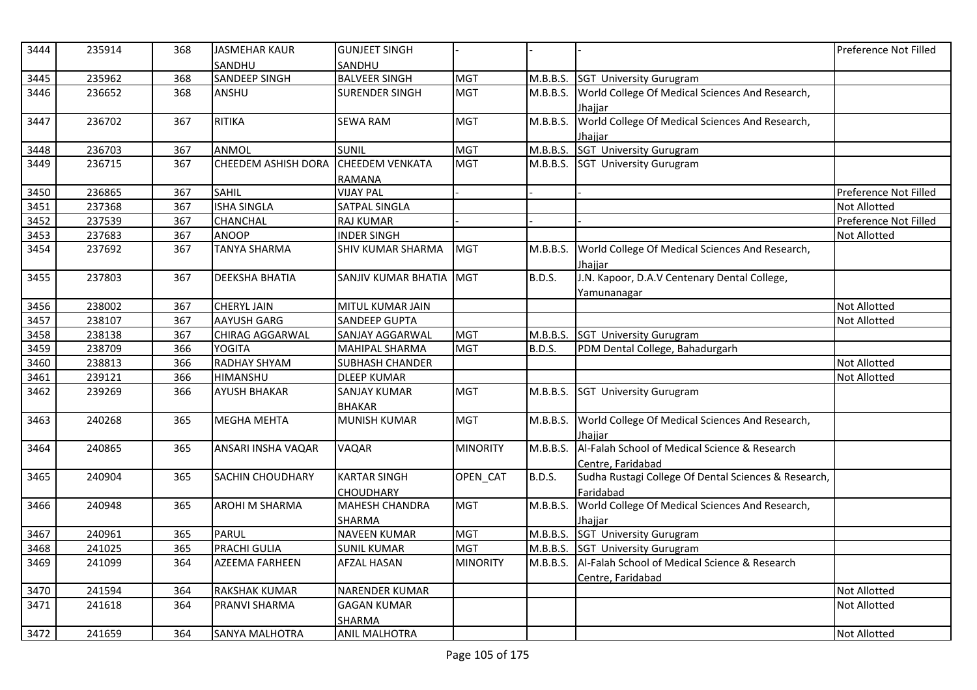| 3444 | 235914 | 368 | <b>JASMEHAR KAUR</b><br>SANDHU | <b>GUNJEET SINGH</b><br>SANDHU |                 |               |                                                      | Preference Not Filled |
|------|--------|-----|--------------------------------|--------------------------------|-----------------|---------------|------------------------------------------------------|-----------------------|
| 3445 | 235962 | 368 | <b>SANDEEP SINGH</b>           | <b>BALVEER SINGH</b>           | <b>MGT</b>      | M.B.B.S.      | <b>SGT University Gurugram</b>                       |                       |
| 3446 | 236652 | 368 | ANSHU                          | <b>SURENDER SINGH</b>          | <b>MGT</b>      | M.B.B.S.      | World College Of Medical Sciences And Research,      |                       |
|      |        |     |                                |                                |                 |               | Jhajjar                                              |                       |
| 3447 | 236702 | 367 | <b>RITIKA</b>                  | <b>SEWA RAM</b>                | <b>MGT</b>      | M.B.B.S.      | World College Of Medical Sciences And Research,      |                       |
|      |        |     |                                |                                |                 |               | Jhaiiar                                              |                       |
| 3448 | 236703 | 367 | ANMOL                          | <b>SUNIL</b>                   | <b>MGT</b>      | M.B.B.S.      | SGT University Gurugram                              |                       |
| 3449 | 236715 | 367 | <b>CHEEDEM ASHISH DORA</b>     | <b>CHEEDEM VENKATA</b>         | <b>MGT</b>      | M.B.B.S.      | <b>SGT University Gurugram</b>                       |                       |
|      |        |     |                                | RAMANA                         |                 |               |                                                      |                       |
| 3450 | 236865 | 367 | <b>SAHIL</b>                   | <b>VIJAY PAL</b>               |                 |               |                                                      | Preference Not Filled |
| 3451 | 237368 | 367 | <b>ISHA SINGLA</b>             | SATPAL SINGLA                  |                 |               |                                                      | Not Allotted          |
| 3452 | 237539 | 367 | <b>CHANCHAL</b>                | <b>RAJ KUMAR</b>               |                 |               |                                                      | Preference Not Filled |
| 3453 | 237683 | 367 | ANOOP                          | <b>INDER SINGH</b>             |                 |               |                                                      | Not Allotted          |
| 3454 | 237692 | 367 | <b>TANYA SHARMA</b>            | SHIV KUMAR SHARMA              | <b>MGT</b>      | M.B.B.S.      | World College Of Medical Sciences And Research,      |                       |
|      |        |     |                                |                                |                 |               | Jhajjar                                              |                       |
| 3455 | 237803 | 367 | <b>DEEKSHA BHATIA</b>          | SANJIV KUMAR BHATIA            | <b>MGT</b>      | <b>B.D.S.</b> | J.N. Kapoor, D.A.V Centenary Dental College,         |                       |
|      |        |     |                                |                                |                 |               | Yamunanagar                                          |                       |
| 3456 | 238002 | 367 | <b>CHERYL JAIN</b>             | MITUL KUMAR JAIN               |                 |               |                                                      | Not Allotted          |
| 3457 | 238107 | 367 | <b>AAYUSH GARG</b>             | <b>SANDEEP GUPTA</b>           |                 |               |                                                      | <b>Not Allotted</b>   |
| 3458 | 238138 | 367 | CHIRAG AGGARWAL                | SANJAY AGGARWAL                | <b>MGT</b>      | M.B.B.S.      | <b>SGT University Gurugram</b>                       |                       |
| 3459 | 238709 | 366 | <b>YOGITA</b>                  | MAHIPAL SHARMA                 | <b>MGT</b>      | B.D.S.        | PDM Dental College, Bahadurgarh                      |                       |
| 3460 | 238813 | 366 | <b>RADHAY SHYAM</b>            | <b>SUBHASH CHANDER</b>         |                 |               |                                                      | <b>Not Allotted</b>   |
| 3461 | 239121 | 366 | <b>HIMANSHU</b>                | <b>DLEEP KUMAR</b>             |                 |               |                                                      | Not Allotted          |
| 3462 | 239269 | 366 | <b>AYUSH BHAKAR</b>            | <b>SANJAY KUMAR</b>            | <b>MGT</b>      | M.B.B.S.      | <b>SGT University Gurugram</b>                       |                       |
|      |        |     |                                | <b>BHAKAR</b>                  |                 |               |                                                      |                       |
| 3463 | 240268 | 365 | <b>MEGHA MEHTA</b>             | <b>MUNISH KUMAR</b>            | <b>MGT</b>      | M.B.B.S.      | World College Of Medical Sciences And Research,      |                       |
|      |        |     |                                |                                |                 |               | Jhaiiar                                              |                       |
| 3464 | 240865 | 365 | ANSARI INSHA VAQAR             | <b>VAQAR</b>                   | <b>MINORITY</b> | M.B.B.S.      | Al-Falah School of Medical Science & Research        |                       |
|      |        |     |                                |                                |                 |               | Centre, Faridabad                                    |                       |
| 3465 | 240904 | 365 | SACHIN CHOUDHARY               | <b>KARTAR SINGH</b>            | OPEN CAT        | <b>B.D.S.</b> | Sudha Rustagi College Of Dental Sciences & Research, |                       |
|      |        |     |                                | CHOUDHARY                      |                 |               | Faridabad                                            |                       |
| 3466 | 240948 | 365 | AROHI M SHARMA                 | <b>MAHESH CHANDRA</b>          | <b>MGT</b>      | M.B.B.S.      | World College Of Medical Sciences And Research,      |                       |
|      |        |     |                                | SHARMA                         |                 |               | Jhaiiar                                              |                       |
| 3467 | 240961 | 365 | <b>PARUL</b>                   | <b>NAVEEN KUMAR</b>            | <b>MGT</b>      | M.B.B.S.      | SGT University Gurugram                              |                       |
| 3468 | 241025 | 365 | <b>PRACHI GULIA</b>            | <b>SUNIL KUMAR</b>             | <b>MGT</b>      | M.B.B.S.      | <b>SGT University Gurugram</b>                       |                       |
| 3469 | 241099 | 364 | <b>AZEEMA FARHEEN</b>          | <b>AFZAL HASAN</b>             | <b>MINORITY</b> | M.B.B.S.      | Al-Falah School of Medical Science & Research        |                       |
|      |        |     |                                |                                |                 |               | Centre, Faridabad                                    |                       |
| 3470 | 241594 | 364 | <b>RAKSHAK KUMAR</b>           | <b>NARENDER KUMAR</b>          |                 |               |                                                      | Not Allotted          |
| 3471 | 241618 | 364 | PRANVI SHARMA                  | <b>GAGAN KUMAR</b>             |                 |               |                                                      | Not Allotted          |
|      |        |     |                                | <b>SHARMA</b>                  |                 |               |                                                      |                       |
| 3472 | 241659 | 364 | <b>SANYA MALHOTRA</b>          | <b>ANIL MALHOTRA</b>           |                 |               |                                                      | <b>Not Allotted</b>   |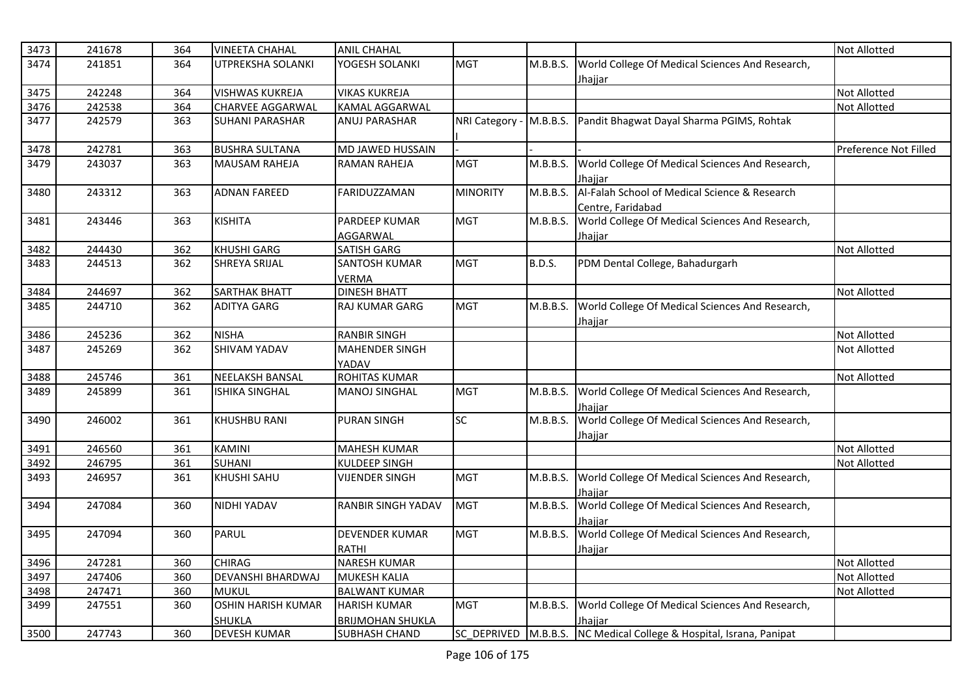| 3473 | 241678 | 364 | <b>VINEETA CHAHAL</b>     | <b>ANIL CHAHAL</b>        |                 |               |                                                                     | Not Allotted          |
|------|--------|-----|---------------------------|---------------------------|-----------------|---------------|---------------------------------------------------------------------|-----------------------|
| 3474 | 241851 | 364 | UTPREKSHA SOLANKI         | YOGESH SOLANKI            | <b>MGT</b>      | M.B.B.S.      | World College Of Medical Sciences And Research,                     |                       |
|      |        |     |                           |                           |                 |               | Jhajjar                                                             |                       |
| 3475 | 242248 | 364 | <b>VISHWAS KUKREJA</b>    | <b>VIKAS KUKREJA</b>      |                 |               |                                                                     | Not Allotted          |
| 3476 | 242538 | 364 | <b>CHARVEE AGGARWAL</b>   | <b>KAMAL AGGARWAL</b>     |                 |               |                                                                     | Not Allotted          |
| 3477 | 242579 | 363 | <b>SUHANI PARASHAR</b>    | <b>ANUJ PARASHAR</b>      |                 |               | NRI Category - M.B.B.S. Pandit Bhagwat Dayal Sharma PGIMS, Rohtak   |                       |
|      |        |     |                           |                           |                 |               |                                                                     |                       |
| 3478 | 242781 | 363 | <b>BUSHRA SULTANA</b>     | MD JAWED HUSSAIN          |                 |               |                                                                     | Preference Not Filled |
| 3479 | 243037 | 363 | <b>MAUSAM RAHEJA</b>      | <b>RAMAN RAHEJA</b>       | <b>MGT</b>      | M.B.B.S.      | World College Of Medical Sciences And Research,                     |                       |
|      |        |     |                           |                           |                 |               | Jhaiiar                                                             |                       |
| 3480 | 243312 | 363 | <b>ADNAN FAREED</b>       | FARIDUZZAMAN              | <b>MINORITY</b> | M.B.B.S.      | Al-Falah School of Medical Science & Research                       |                       |
|      |        |     |                           |                           |                 |               | Centre, Faridabad                                                   |                       |
| 3481 | 243446 | 363 | <b>KISHITA</b>            | PARDEEP KUMAR             | <b>MGT</b>      | M.B.B.S.      | World College Of Medical Sciences And Research,                     |                       |
|      |        |     |                           | AGGARWAL                  |                 |               | <u>Jhajjar</u>                                                      |                       |
| 3482 | 244430 | 362 | <b>KHUSHI GARG</b>        | <b>SATISH GARG</b>        |                 |               |                                                                     | Not Allotted          |
| 3483 | 244513 | 362 | <b>SHREYA SRIJAL</b>      | <b>SANTOSH KUMAR</b>      | MGT             | <b>B.D.S.</b> | PDM Dental College, Bahadurgarh                                     |                       |
|      |        |     |                           | VERMA                     |                 |               |                                                                     |                       |
| 3484 | 244697 | 362 | SARTHAK BHATT             | <b>DINESH BHATT</b>       |                 |               |                                                                     | Not Allotted          |
| 3485 | 244710 | 362 | <b>ADITYA GARG</b>        | <b>RAJ KUMAR GARG</b>     | <b>MGT</b>      | M.B.B.S.      | World College Of Medical Sciences And Research,                     |                       |
|      |        |     |                           |                           |                 |               | Jhajjar                                                             |                       |
| 3486 | 245236 | 362 | <b>NISHA</b>              | <b>RANBIR SINGH</b>       |                 |               |                                                                     | Not Allotted          |
| 3487 | 245269 | 362 | <b>SHIVAM YADAV</b>       | <b>MAHENDER SINGH</b>     |                 |               |                                                                     | Not Allotted          |
|      |        |     |                           | YADAV                     |                 |               |                                                                     |                       |
| 3488 | 245746 | 361 | <b>NEELAKSH BANSAL</b>    | <b>ROHITAS KUMAR</b>      |                 |               |                                                                     | <b>Not Allotted</b>   |
| 3489 | 245899 | 361 | <b>ISHIKA SINGHAL</b>     | <b>MANOJ SINGHAL</b>      | <b>MGT</b>      | M.B.B.S.      | World College Of Medical Sciences And Research,                     |                       |
|      |        |     |                           |                           |                 |               | Jhaiiar                                                             |                       |
| 3490 | 246002 | 361 | <b>KHUSHBU RANI</b>       | <b>PURAN SINGH</b>        | SC              | M.B.B.S.      | World College Of Medical Sciences And Research,                     |                       |
|      |        |     |                           |                           |                 |               | Jhajjar                                                             |                       |
| 3491 | 246560 | 361 | <b>KAMINI</b>             | <b>MAHESH KUMAR</b>       |                 |               |                                                                     | Not Allotted          |
| 3492 | 246795 | 361 | <b>SUHANI</b>             | KULDEEP SINGH             |                 |               |                                                                     | Not Allotted          |
| 3493 | 246957 | 361 | KHUSHI SAHU               | <b>VIJENDER SINGH</b>     | <b>MGT</b>      | M.B.B.S.      | World College Of Medical Sciences And Research,                     |                       |
|      |        |     |                           |                           |                 |               | Jhaiiar                                                             |                       |
| 3494 | 247084 | 360 | NIDHI YADAV               | <b>RANBIR SINGH YADAV</b> | <b>MGT</b>      | M.B.B.S.      | World College Of Medical Sciences And Research,                     |                       |
|      |        |     |                           |                           |                 |               | Jhajjar                                                             |                       |
| 3495 | 247094 | 360 | PARUL                     | <b>DEVENDER KUMAR</b>     | <b>MGT</b>      | M.B.B.S.      | World College Of Medical Sciences And Research,                     |                       |
|      |        |     |                           | RATHI                     |                 |               | Jhajjar                                                             |                       |
| 3496 | 247281 | 360 | <b>CHIRAG</b>             | <b>NARESH KUMAR</b>       |                 |               |                                                                     | <b>Not Allotted</b>   |
| 3497 | 247406 | 360 | <b>DEVANSHI BHARDWAJ</b>  | <b>MUKESH KALIA</b>       |                 |               |                                                                     | Not Allotted          |
| 3498 | 247471 | 360 | <b>MUKUL</b>              | <b>BALWANT KUMAR</b>      |                 |               |                                                                     | Not Allotted          |
| 3499 | 247551 | 360 | <b>OSHIN HARISH KUMAR</b> | <b>HARISH KUMAR</b>       | <b>MGT</b>      | M.B.B.S.      | World College Of Medical Sciences And Research,                     |                       |
|      |        |     | <b>SHUKLA</b>             | <b>BRIJMOHAN SHUKLA</b>   |                 |               | Jhajjar                                                             |                       |
| 3500 | 247743 | 360 | <b>DEVESH KUMAR</b>       | <b>SUBHASH CHAND</b>      |                 |               | SC_DEPRIVED M.B.B.S. NC Medical College & Hospital, Israna, Panipat |                       |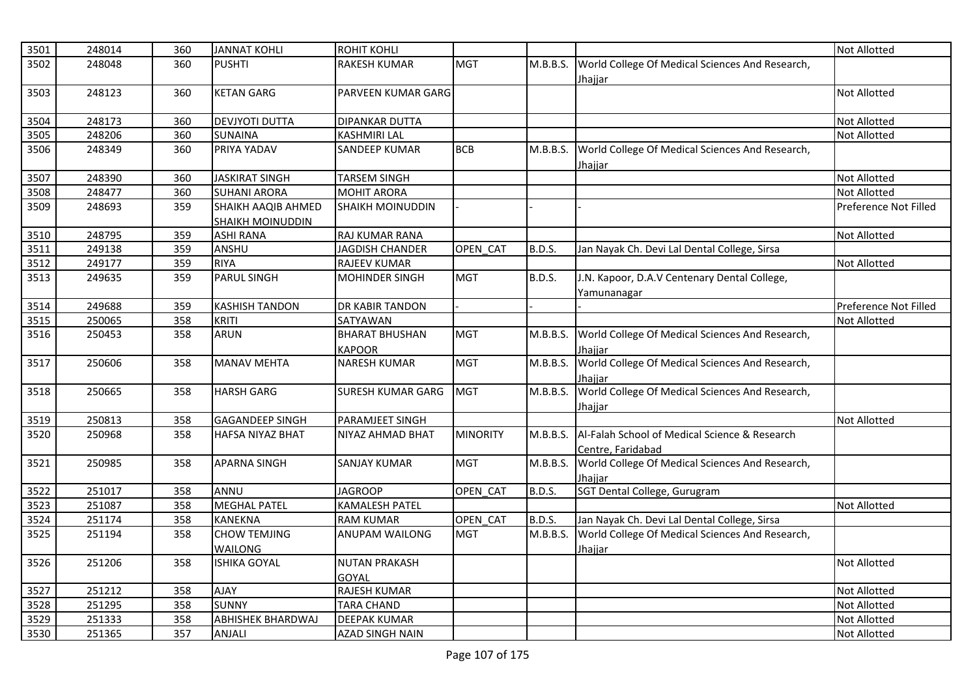| 3501         | 248014 | 360        | <b>JANNAT KOHLI</b>      | <b>ROHIT KOHLI</b>       |                 |               |                                                 | <b>Not Allotted</b>          |
|--------------|--------|------------|--------------------------|--------------------------|-----------------|---------------|-------------------------------------------------|------------------------------|
| 3502         | 248048 | 360        | <b>PUSHTI</b>            | <b>RAKESH KUMAR</b>      | <b>MGT</b>      | M.B.B.S.      | World College Of Medical Sciences And Research, |                              |
|              |        |            |                          |                          |                 |               | Jhajjar                                         |                              |
| 3503         | 248123 | 360        | <b>KETAN GARG</b>        | PARVEEN KUMAR GARG       |                 |               |                                                 | Not Allotted                 |
|              |        |            |                          |                          |                 |               |                                                 |                              |
| 3504         | 248173 | 360        | <b>DEVJYOTI DUTTA</b>    | <b>DIPANKAR DUTTA</b>    |                 |               |                                                 | Not Allotted                 |
| 3505         | 248206 | 360        | <b>SUNAINA</b>           | <b>KASHMIRI LAL</b>      |                 |               |                                                 | <b>Not Allotted</b>          |
| 3506         | 248349 | 360        | PRIYA YADAV              | <b>SANDEEP KUMAR</b>     | <b>BCB</b>      | M.B.B.S.      | World College Of Medical Sciences And Research, |                              |
|              |        |            |                          |                          |                 |               | <u>Jhajjar</u>                                  |                              |
| 3507         | 248390 | 360        | <b>JASKIRAT SINGH</b>    | <b>TARSEM SINGH</b>      |                 |               |                                                 | Not Allotted                 |
| 3508         | 248477 | 360        | <b>SUHANI ARORA</b>      | <b>MOHIT ARORA</b>       |                 |               |                                                 | <b>Not Allotted</b>          |
| 3509         | 248693 | 359        | SHAIKH AAQIB AHMED       | SHAIKH MOINUDDIN         |                 |               |                                                 | Preference Not Filled        |
|              |        |            | SHAIKH MOINUDDIN         |                          |                 |               |                                                 |                              |
| 3510         | 248795 | 359        | <b>ASHI RANA</b>         | RAJ KUMAR RANA           |                 |               |                                                 | Not Allotted                 |
| 3511         | 249138 | 359        | ANSHU                    | <b>JAGDISH CHANDER</b>   | OPEN_CAT        | <b>B.D.S.</b> | Jan Nayak Ch. Devi Lal Dental College, Sirsa    |                              |
| 3512         | 249177 | 359        | <b>RIYA</b>              | RAJEEV KUMAR             |                 |               |                                                 | Not Allotted                 |
| 3513         | 249635 | 359        | <b>PARUL SINGH</b>       | <b>MOHINDER SINGH</b>    | MGT             | <b>B.D.S.</b> | J.N. Kapoor, D.A.V Centenary Dental College,    |                              |
|              |        |            |                          |                          |                 |               | Yamunanagar                                     |                              |
| 3514         | 249688 | 359        | <b>KASHISH TANDON</b>    | <b>DR KABIR TANDON</b>   |                 |               |                                                 | Preference Not Filled        |
| 3515         | 250065 | 358        | <b>KRITI</b>             | SATYAWAN                 |                 |               |                                                 | Not Allotted                 |
| 3516         | 250453 | 358        | <b>ARUN</b>              | <b>BHARAT BHUSHAN</b>    | <b>MGT</b>      | M.B.B.S.      | World College Of Medical Sciences And Research, |                              |
|              |        |            |                          | <b>KAPOOR</b>            |                 |               | Jhaiiar                                         |                              |
| 3517         | 250606 | 358        | <b>MANAV MEHTA</b>       | <b>NARESH KUMAR</b>      | <b>MGT</b>      | M.B.B.S.      | World College Of Medical Sciences And Research, |                              |
|              |        |            |                          |                          |                 |               | Jhaiiar                                         |                              |
| 3518         | 250665 | 358        | <b>HARSH GARG</b>        | <b>SURESH KUMAR GARG</b> | <b>MGT</b>      | M.B.B.S.      | World College Of Medical Sciences And Research, |                              |
|              |        |            |                          |                          |                 |               | <u>Jhajjar</u>                                  |                              |
| 3519         | 250813 | 358        | <b>GAGANDEEP SINGH</b>   | PARAMJEET SINGH          |                 |               |                                                 | Not Allotted                 |
| 3520         | 250968 | 358        | <b>HAFSA NIYAZ BHAT</b>  | NIYAZ AHMAD BHAT         | <b>MINORITY</b> | M.B.B.S.      | Al-Falah School of Medical Science & Research   |                              |
|              |        |            |                          |                          |                 |               | Centre, Faridabad                               |                              |
| 3521         | 250985 | 358        | <b>APARNA SINGH</b>      | <b>SANJAY KUMAR</b>      | <b>MGT</b>      | M.B.B.S.      | World College Of Medical Sciences And Research, |                              |
|              |        |            |                          |                          |                 |               | Jhajjar                                         |                              |
| 3522         | 251017 | 358        | ANNU                     | <b>JAGROOP</b>           | OPEN_CAT        | <b>B.D.S.</b> | SGT Dental College, Gurugram                    |                              |
| 3523         | 251087 | 358        | <b>MEGHAL PATEL</b>      | <b>KAMALESH PATEL</b>    |                 |               |                                                 | <b>Not Allotted</b>          |
| 3524         | 251174 | 358        | <b>KANEKNA</b>           | <b>RAM KUMAR</b>         | OPEN CAT        | <b>B.D.S.</b> | Jan Nayak Ch. Devi Lal Dental College, Sirsa    |                              |
| 3525         | 251194 | 358        | <b>CHOW TEMJING</b>      | <b>ANUPAM WAILONG</b>    | MGT             | M.B.B.S.      | World College Of Medical Sciences And Research, |                              |
|              |        |            | WAILONG                  |                          |                 |               | <u>Jhajjar</u>                                  |                              |
| 3526         | 251206 | 358        | <b>ISHIKA GOYAL</b>      | <b>NUTAN PRAKASH</b>     |                 |               |                                                 | <b>Not Allotted</b>          |
|              | 251212 |            | <b>AJAY</b>              | GOYAL<br>RAJESH KUMAR    |                 |               |                                                 |                              |
| 3527<br>3528 | 251295 | 358<br>358 | <b>SUNNY</b>             | <b>TARA CHAND</b>        |                 |               |                                                 | Not Allotted<br>Not Allotted |
| 3529         | 251333 | 358        | <b>ABHISHEK BHARDWAJ</b> | <b>DEEPAK KUMAR</b>      |                 |               |                                                 | Not Allotted                 |
| 3530         | 251365 | 357        | ANJALI                   | <b>AZAD SINGH NAIN</b>   |                 |               |                                                 | Not Allotted                 |
|              |        |            |                          |                          |                 |               |                                                 |                              |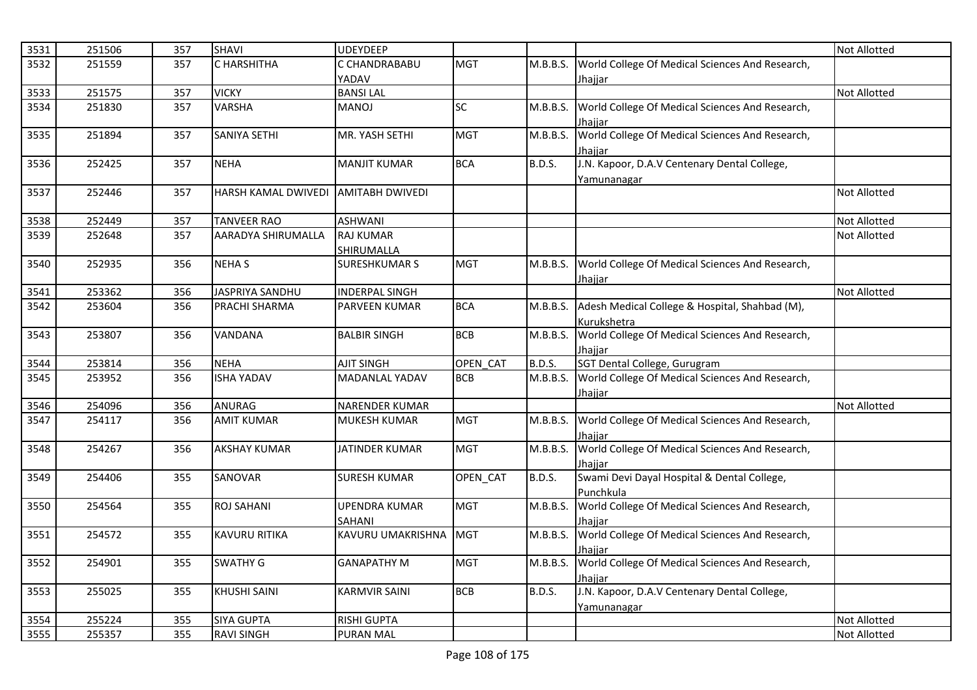| 3531         | 251506           | 357        | <b>SHAVI</b>                                   | <b>UDEYDEEP</b>                               |            |               |                                                                | <b>Not Allotted</b> |
|--------------|------------------|------------|------------------------------------------------|-----------------------------------------------|------------|---------------|----------------------------------------------------------------|---------------------|
| 3532         | 251559           | 357        | <b>C HARSHITHA</b>                             | C CHANDRABABU                                 | <b>MGT</b> | M.B.B.S.      | World College Of Medical Sciences And Research,                |                     |
|              |                  |            |                                                | YADAV                                         |            |               | Jhaiiar                                                        |                     |
| 3533         | 251575           | 357        | <b>VICKY</b>                                   | <b>BANSILAL</b>                               |            |               |                                                                | <b>Not Allotted</b> |
| 3534         | 251830           | 357        | <b>VARSHA</b>                                  | <b>MANOJ</b>                                  | <b>SC</b>  | M.B.B.S.      | World College Of Medical Sciences And Research,                |                     |
|              |                  |            |                                                |                                               |            |               | Jhajjar                                                        |                     |
| 3535         | 251894           | 357        | <b>SANIYA SETHI</b>                            | MR. YASH SETHI                                | <b>MGT</b> | M.B.B.S.      | World College Of Medical Sciences And Research,                |                     |
|              |                  |            |                                                |                                               |            |               | Jhaiiar                                                        |                     |
| 3536         | 252425           | 357        | <b>NEHA</b>                                    | <b>MANJIT KUMAR</b>                           | <b>BCA</b> | <b>B.D.S.</b> | J.N. Kapoor, D.A.V Centenary Dental College,                   |                     |
|              |                  |            |                                                |                                               |            |               | Yamunanagar                                                    |                     |
| 3537         | 252446           | 357        | HARSH KAMAL DWIVEDI AMITABH DWIVEDI            |                                               |            |               |                                                                | <b>Not Allotted</b> |
|              |                  |            |                                                |                                               |            |               |                                                                |                     |
| 3538         | 252449           | 357        | <b>TANVEER RAO</b>                             | <b>ASHWANI</b>                                |            |               |                                                                | Not Allotted        |
| 3539         | 252648           | 357        | AARADYA SHIRUMALLA                             | <b>RAJ KUMAR</b>                              |            |               |                                                                | Not Allotted        |
|              |                  |            |                                                | SHIRUMALLA                                    |            |               |                                                                |                     |
| 3540         | 252935           | 356        | <b>NEHAS</b>                                   | <b>SURESHKUMAR S</b>                          | <b>MGT</b> | M.B.B.S.      | World College Of Medical Sciences And Research,                |                     |
|              |                  |            |                                                |                                               |            |               | Jhajjar                                                        |                     |
| 3541<br>3542 | 253362<br>253604 | 356<br>356 | <b>JASPRIYA SANDHU</b><br><b>PRACHI SHARMA</b> | <b>INDERPAL SINGH</b><br><b>PARVEEN KUMAR</b> | <b>BCA</b> |               | M.B.B.S. Adesh Medical College & Hospital, Shahbad (M),        | Not Allotted        |
|              |                  |            |                                                |                                               |            |               |                                                                |                     |
| 3543         | 253807           | 356        | <b>VANDANA</b>                                 | <b>BALBIR SINGH</b>                           | <b>BCB</b> | M.B.B.S.      | Kurukshetra<br>World College Of Medical Sciences And Research, |                     |
|              |                  |            |                                                |                                               |            |               | Jhajjar                                                        |                     |
| 3544         | 253814           | 356        | <b>NEHA</b>                                    | <b>AJIT SINGH</b>                             | OPEN CAT   | <b>B.D.S.</b> | SGT Dental College, Gurugram                                   |                     |
| 3545         | 253952           | 356        | <b>ISHA YADAV</b>                              | <b>MADANLAL YADAV</b>                         | <b>BCB</b> | M.B.B.S.      | World College Of Medical Sciences And Research,                |                     |
|              |                  |            |                                                |                                               |            |               | Jhajjar                                                        |                     |
| 3546         | 254096           | 356        | <b>ANURAG</b>                                  | <b>NARENDER KUMAR</b>                         |            |               |                                                                | <b>Not Allotted</b> |
| 3547         | 254117           | 356        | <b>AMIT KUMAR</b>                              | <b>MUKESH KUMAR</b>                           | <b>MGT</b> |               | M.B.B.S. World College Of Medical Sciences And Research,       |                     |
|              |                  |            |                                                |                                               |            |               | Jhaiiar                                                        |                     |
| 3548         | 254267           | 356        | <b>AKSHAY KUMAR</b>                            | <b>JATINDER KUMAR</b>                         | <b>MGT</b> | M.B.B.S.      | World College Of Medical Sciences And Research,                |                     |
|              |                  |            |                                                |                                               |            |               | Jhaiiar                                                        |                     |
| 3549         | 254406           | 355        | SANOVAR                                        | <b>SURESH KUMAR</b>                           | OPEN_CAT   | <b>B.D.S.</b> | Swami Devi Dayal Hospital & Dental College,                    |                     |
|              |                  |            |                                                |                                               |            |               | Punchkula                                                      |                     |
| 3550         | 254564           | 355        | <b>ROJ SAHANI</b>                              | <b>UPENDRA KUMAR</b>                          | <b>MGT</b> | M.B.B.S.      | World College Of Medical Sciences And Research,                |                     |
|              |                  |            |                                                | SAHANI                                        |            |               | Jhaiiar                                                        |                     |
| 3551         | 254572           | 355        | <b>KAVURU RITIKA</b>                           | KAVURU UMAKRISHNA                             | <b>MGT</b> | M.B.B.S.      | World College Of Medical Sciences And Research,                |                     |
|              |                  |            |                                                |                                               |            |               | Jhajjar                                                        |                     |
| 3552         | 254901           | 355        | <b>SWATHY G</b>                                | <b>GANAPATHY M</b>                            | <b>MGT</b> | M.B.B.S.      | World College Of Medical Sciences And Research,                |                     |
|              |                  |            |                                                |                                               |            |               | Jhajjar                                                        |                     |
| 3553         | 255025           | 355        | <b>KHUSHI SAINI</b>                            | <b>KARMVIR SAINI</b>                          | <b>BCB</b> | <b>B.D.S.</b> | J.N. Kapoor, D.A.V Centenary Dental College,                   |                     |
|              |                  |            |                                                |                                               |            |               | Yamunanagar                                                    |                     |
| 3554         | 255224           | 355        | <b>SIYA GUPTA</b>                              | <b>RISHI GUPTA</b>                            |            |               |                                                                | Not Allotted        |
| 3555         | 255357           | 355        | <b>RAVI SINGH</b>                              | <b>PURAN MAL</b>                              |            |               |                                                                | <b>Not Allotted</b> |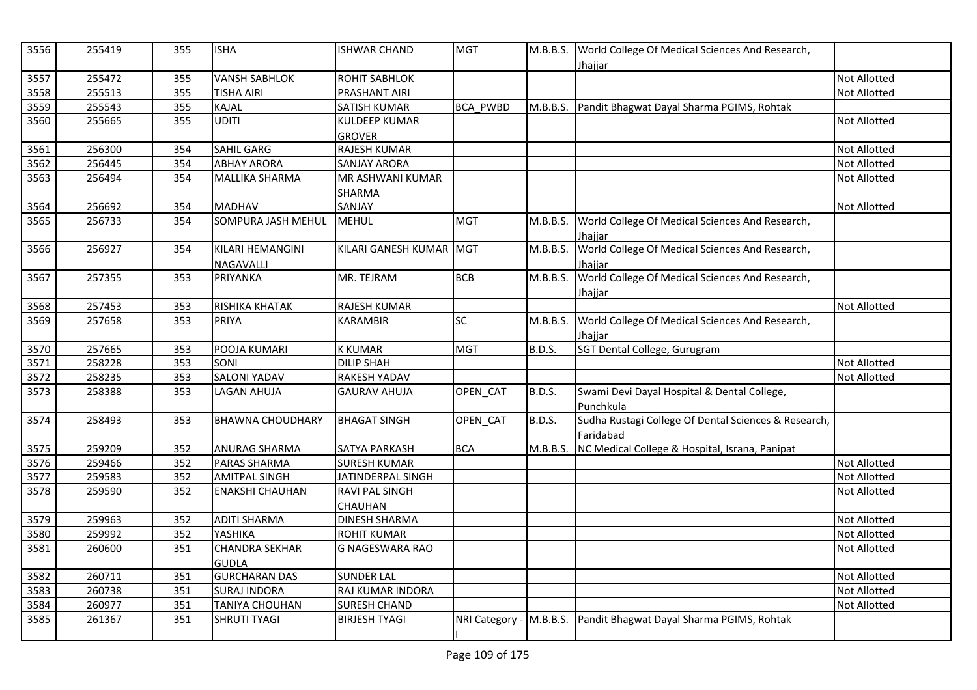| 3556 | 255419 | 355 | <b>ISHA</b>             | <b>ISHWAR CHAND</b>     | <b>MGT</b>              | M.B.B.S.      | World College Of Medical Sciences And Research,<br><u>Jhajjar</u> |                     |
|------|--------|-----|-------------------------|-------------------------|-------------------------|---------------|-------------------------------------------------------------------|---------------------|
| 3557 | 255472 | 355 | <b>VANSH SABHLOK</b>    | ROHIT SABHLOK           |                         |               |                                                                   | <b>Not Allotted</b> |
| 3558 | 255513 | 355 | TISHA AIRI              | PRASHANT AIRI           |                         |               |                                                                   | <b>Not Allotted</b> |
| 3559 | 255543 | 355 | <b>KAJAL</b>            | <b>SATISH KUMAR</b>     | <b>BCA PWBD</b>         | M.B.B.S.      | Pandit Bhagwat Dayal Sharma PGIMS, Rohtak                         |                     |
| 3560 | 255665 | 355 | UDITI                   | <b>KULDEEP KUMAR</b>    |                         |               |                                                                   | Not Allotted        |
|      |        |     |                         | <b>GROVER</b>           |                         |               |                                                                   |                     |
| 3561 | 256300 | 354 | <b>SAHIL GARG</b>       | <b>RAJESH KUMAR</b>     |                         |               |                                                                   | <b>Not Allotted</b> |
| 3562 | 256445 | 354 | <b>ABHAY ARORA</b>      | <b>SANJAY ARORA</b>     |                         |               |                                                                   | <b>Not Allotted</b> |
| 3563 | 256494 | 354 | MALLIKA SHARMA          | MR ASHWANI KUMAR        |                         |               |                                                                   | <b>Not Allotted</b> |
|      |        |     |                         | <b>SHARMA</b>           |                         |               |                                                                   |                     |
| 3564 | 256692 | 354 | <b>MADHAV</b>           | SANJAY                  |                         |               |                                                                   | <b>Not Allotted</b> |
| 3565 | 256733 | 354 | SOMPURA JASH MEHUL      | <b>MEHUL</b>            | <b>MGT</b>              | M.B.B.S.      | World College Of Medical Sciences And Research,<br>Jhaiiar        |                     |
| 3566 | 256927 | 354 | KILARI HEMANGINI        | KILARI GANESH KUMAR MGT |                         | M.B.B.S.      | World College Of Medical Sciences And Research,                   |                     |
|      |        |     | <b>NAGAVALLI</b>        |                         |                         |               | Jhajjar                                                           |                     |
| 3567 | 257355 | 353 | <b>PRIYANKA</b>         | MR. TEJRAM              | <b>BCB</b>              | M.B.B.S.      | World College Of Medical Sciences And Research,                   |                     |
|      |        |     |                         |                         |                         |               | Jhajjar                                                           |                     |
| 3568 | 257453 | 353 | RISHIKA KHATAK          | RAJESH KUMAR            |                         |               |                                                                   | <b>Not Allotted</b> |
| 3569 | 257658 | 353 | <b>PRIYA</b>            | <b>KARAMBIR</b>         | <b>SC</b>               | M.B.B.S.      | World College Of Medical Sciences And Research,                   |                     |
|      |        |     |                         |                         |                         |               | Jhajjar                                                           |                     |
| 3570 | 257665 | 353 | POOJA KUMARI            | <b>K KUMAR</b>          | <b>MGT</b>              | <b>B.D.S.</b> | SGT Dental College, Gurugram                                      |                     |
| 3571 | 258228 | 353 | SONI                    | <b>DILIP SHAH</b>       |                         |               |                                                                   | <b>Not Allotted</b> |
| 3572 | 258235 | 353 | <b>SALONI YADAV</b>     | RAKESH YADAV            |                         |               |                                                                   | Not Allotted        |
| 3573 | 258388 | 353 | <b>LAGAN AHUJA</b>      | <b>GAURAV AHUJA</b>     | OPEN_CAT                | <b>B.D.S.</b> | Swami Devi Dayal Hospital & Dental College,                       |                     |
|      |        |     |                         |                         |                         |               | Punchkula                                                         |                     |
| 3574 | 258493 | 353 | <b>BHAWNA CHOUDHARY</b> | <b>BHAGAT SINGH</b>     | OPEN_CAT                | <b>B.D.S.</b> | Sudha Rustagi College Of Dental Sciences & Research,              |                     |
|      |        |     |                         |                         |                         |               | Faridabad                                                         |                     |
| 3575 | 259209 | 352 | <b>ANURAG SHARMA</b>    | SATYA PARKASH           | <b>BCA</b>              | M.B.B.S.      | NC Medical College & Hospital, Israna, Panipat                    |                     |
| 3576 | 259466 | 352 | PARAS SHARMA            | <b>SURESH KUMAR</b>     |                         |               |                                                                   | <b>Not Allotted</b> |
| 3577 | 259583 | 352 | <b>AMITPAL SINGH</b>    | JATINDERPAL SINGH       |                         |               |                                                                   | <b>Not Allotted</b> |
| 3578 | 259590 | 352 | <b>ENAKSHI CHAUHAN</b>  | RAVI PAL SINGH          |                         |               |                                                                   | <b>Not Allotted</b> |
|      |        |     |                         | <b>CHAUHAN</b>          |                         |               |                                                                   |                     |
| 3579 | 259963 | 352 | <b>ADITI SHARMA</b>     | <b>DINESH SHARMA</b>    |                         |               |                                                                   | <b>Not Allotted</b> |
| 3580 | 259992 | 352 | YASHIKA                 | <b>ROHIT KUMAR</b>      |                         |               |                                                                   | <b>Not Allotted</b> |
| 3581 | 260600 | 351 | <b>CHANDRA SEKHAR</b>   | <b>G NAGESWARA RAO</b>  |                         |               |                                                                   | <b>Not Allotted</b> |
|      |        |     | <b>GUDLA</b>            |                         |                         |               |                                                                   |                     |
| 3582 | 260711 | 351 | <b>GURCHARAN DAS</b>    | <b>SUNDER LAL</b>       |                         |               |                                                                   | <b>Not Allotted</b> |
| 3583 | 260738 | 351 | <b>SURAJ INDORA</b>     | RAJ KUMAR INDORA        |                         |               |                                                                   | Not Allotted        |
| 3584 | 260977 | 351 | TANIYA CHOUHAN          | <b>SURESH CHAND</b>     |                         |               |                                                                   | Not Allotted        |
| 3585 | 261367 | 351 | SHRUTI TYAGI            | <b>BIRJESH TYAGI</b>    | NRI Category - M.B.B.S. |               | Pandit Bhagwat Dayal Sharma PGIMS, Rohtak                         |                     |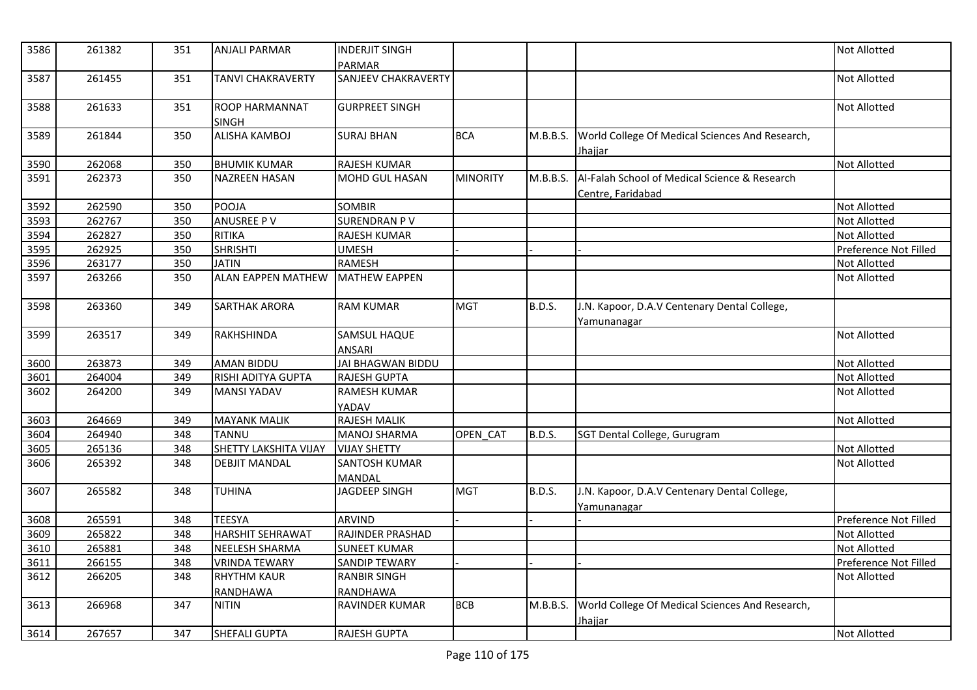| 3586 | 261382 | 351 | <b>ANJALI PARMAR</b>           | <b>INDERJIT SINGH</b><br><b>PARMAR</b> |                 |               |                                                                    | <b>Not Allotted</b>   |
|------|--------|-----|--------------------------------|----------------------------------------|-----------------|---------------|--------------------------------------------------------------------|-----------------------|
| 3587 | 261455 | 351 | <b>TANVI CHAKRAVERTY</b>       | <b>SANJEEV CHAKRAVERTY</b>             |                 |               |                                                                    | Not Allotted          |
| 3588 | 261633 | 351 | ROOP HARMANNAT<br><b>SINGH</b> | <b>GURPREET SINGH</b>                  |                 |               |                                                                    | Not Allotted          |
| 3589 | 261844 | 350 | <b>ALISHA KAMBOJ</b>           | <b>SURAJ BHAN</b>                      | <b>BCA</b>      | M.B.B.S.      | World College Of Medical Sciences And Research,<br><u>Jhajjar</u>  |                       |
| 3590 | 262068 | 350 | <b>BHUMIK KUMAR</b>            | RAJESH KUMAR                           |                 |               |                                                                    | Not Allotted          |
| 3591 | 262373 | 350 | <b>NAZREEN HASAN</b>           | MOHD GUL HASAN                         | <b>MINORITY</b> | M.B.B.S.      | Al-Falah School of Medical Science & Research<br>Centre, Faridabad |                       |
| 3592 | 262590 | 350 | <b>POOJA</b>                   | <b>SOMBIR</b>                          |                 |               |                                                                    | <b>Not Allotted</b>   |
| 3593 | 262767 | 350 | <b>ANUSREE PV</b>              | <b>SURENDRAN PV</b>                    |                 |               |                                                                    | <b>Not Allotted</b>   |
| 3594 | 262827 | 350 | <b>RITIKA</b>                  | RAJESH KUMAR                           |                 |               |                                                                    | <b>Not Allotted</b>   |
| 3595 | 262925 | 350 | <b>SHRISHTI</b>                | <b>UMESH</b>                           |                 |               |                                                                    | Preference Not Filled |
| 3596 | 263177 | 350 | <b>JATIN</b>                   | <b>RAMESH</b>                          |                 |               |                                                                    | Not Allotted          |
| 3597 | 263266 | 350 | <b>ALAN EAPPEN MATHEW</b>      | <b>MATHEW EAPPEN</b>                   |                 |               |                                                                    | <b>Not Allotted</b>   |
| 3598 | 263360 | 349 | <b>SARTHAK ARORA</b>           | <b>RAM KUMAR</b>                       | <b>MGT</b>      | <b>B.D.S.</b> | J.N. Kapoor, D.A.V Centenary Dental College,<br>Yamunanagar        |                       |
| 3599 | 263517 | 349 | RAKHSHINDA                     | SAMSUL HAQUE<br><b>ANSARI</b>          |                 |               |                                                                    | <b>Not Allotted</b>   |
| 3600 | 263873 | 349 | AMAN BIDDU                     | JAI BHAGWAN BIDDU                      |                 |               |                                                                    | <b>Not Allotted</b>   |
| 3601 | 264004 | 349 | RISHI ADITYA GUPTA             | <b>RAJESH GUPTA</b>                    |                 |               |                                                                    | <b>Not Allotted</b>   |
| 3602 | 264200 | 349 | <b>MANSI YADAV</b>             | <b>RAMESH KUMAR</b><br>YADAV           |                 |               |                                                                    | <b>Not Allotted</b>   |
| 3603 | 264669 | 349 | <b>MAYANK MALIK</b>            | <b>RAJESH MALIK</b>                    |                 |               |                                                                    | Not Allotted          |
| 3604 | 264940 | 348 | <b>TANNU</b>                   | <b>MANOJ SHARMA</b>                    | OPEN CAT        | B.D.S.        | SGT Dental College, Gurugram                                       |                       |
| 3605 | 265136 | 348 | SHETTY LAKSHITA VIJAY          | <b>VIJAY SHETTY</b>                    |                 |               |                                                                    | <b>Not Allotted</b>   |
| 3606 | 265392 | 348 | <b>DEBJIT MANDAL</b>           | SANTOSH KUMAR<br>MANDAL                |                 |               |                                                                    | <b>Not Allotted</b>   |
| 3607 | 265582 | 348 | <b>TUHINA</b>                  | JAGDEEP SINGH                          | <b>MGT</b>      | B.D.S.        | J.N. Kapoor, D.A.V Centenary Dental College,<br>Yamunanagar        |                       |
| 3608 | 265591 | 348 | <b>TEESYA</b>                  | <b>ARVIND</b>                          |                 |               |                                                                    | Preference Not Filled |
| 3609 | 265822 | 348 | <b>HARSHIT SEHRAWAT</b>        | RAJINDER PRASHAD                       |                 |               |                                                                    | <b>Not Allotted</b>   |
| 3610 | 265881 | 348 | <b>NEELESH SHARMA</b>          | <b>SUNEET KUMAR</b>                    |                 |               |                                                                    | <b>Not Allotted</b>   |
| 3611 | 266155 | 348 | <b>VRINDA TEWARY</b>           | <b>SANDIP TEWARY</b>                   |                 |               |                                                                    | Preference Not Filled |
| 3612 | 266205 | 348 | <b>RHYTHM KAUR</b><br>RANDHAWA | <b>RANBIR SINGH</b><br>RANDHAWA        |                 |               |                                                                    | Not Allotted          |
| 3613 | 266968 | 347 | <b>NITIN</b>                   | RAVINDER KUMAR                         | <b>BCB</b>      | M.B.B.S.      | World College Of Medical Sciences And Research,<br><u>Jhajjar</u>  |                       |
| 3614 | 267657 | 347 | <b>SHEFALI GUPTA</b>           | <b>RAJESH GUPTA</b>                    |                 |               |                                                                    | <b>Not Allotted</b>   |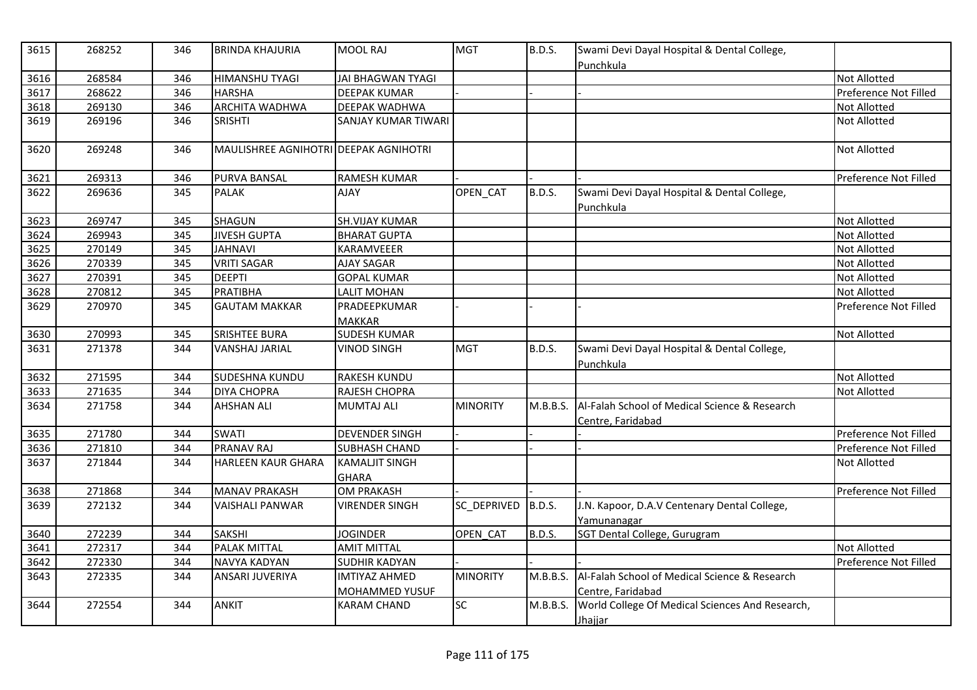| 3615 | 268252 | 346 | <b>BRINDA KHAJURIA</b>                | MOOL RAJ                              | <b>MGT</b>      | <b>B.D.S.</b> | Swami Devi Dayal Hospital & Dental College,<br>Punchkula           |                       |
|------|--------|-----|---------------------------------------|---------------------------------------|-----------------|---------------|--------------------------------------------------------------------|-----------------------|
| 3616 | 268584 | 346 | <b>HIMANSHU TYAGI</b>                 | <b>JAI BHAGWAN TYAGI</b>              |                 |               |                                                                    | <b>Not Allotted</b>   |
| 3617 | 268622 | 346 | <b>HARSHA</b>                         | <b>DEEPAK KUMAR</b>                   |                 |               |                                                                    | Preference Not Filled |
| 3618 | 269130 | 346 | <b>ARCHITA WADHWA</b>                 | DEEPAK WADHWA                         |                 |               |                                                                    | Not Allotted          |
| 3619 | 269196 | 346 | <b>SRISHTI</b>                        | <b>SANJAY KUMAR TIWARI</b>            |                 |               |                                                                    | Not Allotted          |
| 3620 | 269248 | 346 | MAULISHREE AGNIHOTRI DEEPAK AGNIHOTRI |                                       |                 |               |                                                                    | <b>Not Allotted</b>   |
| 3621 | 269313 | 346 | <b>PURVA BANSAL</b>                   | <b>RAMESH KUMAR</b>                   |                 |               |                                                                    | Preference Not Filled |
| 3622 | 269636 | 345 | <b>PALAK</b>                          | <b>AJAY</b>                           | OPEN_CAT        | <b>B.D.S.</b> | Swami Devi Dayal Hospital & Dental College,<br>Punchkula           |                       |
| 3623 | 269747 | 345 | SHAGUN                                | <b>SH.VIJAY KUMAR</b>                 |                 |               |                                                                    | Not Allotted          |
| 3624 | 269943 | 345 | <b>JIVESH GUPTA</b>                   | <b>BHARAT GUPTA</b>                   |                 |               |                                                                    | Not Allotted          |
| 3625 | 270149 | 345 | <b>JAHNAVI</b>                        | KARAMVEEER                            |                 |               |                                                                    | <b>Not Allotted</b>   |
| 3626 | 270339 | 345 | <b>VRITI SAGAR</b>                    | <b>AJAY SAGAR</b>                     |                 |               |                                                                    | Not Allotted          |
| 3627 | 270391 | 345 | <b>DEEPTI</b>                         | <b>GOPAL KUMAR</b>                    |                 |               |                                                                    | Not Allotted          |
| 3628 | 270812 | 345 | <b>PRATIBHA</b>                       | <b>LALIT MOHAN</b>                    |                 |               |                                                                    | Not Allotted          |
| 3629 | 270970 | 345 | <b>GAUTAM MAKKAR</b>                  | PRADEEPKUMAR<br><b>MAKKAR</b>         |                 |               |                                                                    | Preference Not Filled |
| 3630 | 270993 | 345 | <b>SRISHTEE BURA</b>                  | <b>SUDESH KUMAR</b>                   |                 |               |                                                                    | Not Allotted          |
| 3631 | 271378 | 344 | <b>VANSHAJ JARIAL</b>                 | VINOD SINGH                           | <b>MGT</b>      | <b>B.D.S.</b> | Swami Devi Dayal Hospital & Dental College,<br>Punchkula           |                       |
| 3632 | 271595 | 344 | <b>SUDESHNA KUNDU</b>                 | <b>RAKESH KUNDU</b>                   |                 |               |                                                                    | Not Allotted          |
| 3633 | 271635 | 344 | <b>DIYA CHOPRA</b>                    | RAJESH CHOPRA                         |                 |               |                                                                    | <b>Not Allotted</b>   |
| 3634 | 271758 | 344 | <b>AHSHAN ALI</b>                     | <b>MUMTAJ ALI</b>                     | <b>MINORITY</b> | M.B.B.S.      | Al-Falah School of Medical Science & Research<br>Centre, Faridabad |                       |
| 3635 | 271780 | 344 | <b>SWATI</b>                          | <b>DEVENDER SINGH</b>                 |                 |               |                                                                    | Preference Not Filled |
| 3636 | 271810 | 344 | <b>PRANAV RAJ</b>                     | <b>SUBHASH CHAND</b>                  |                 |               |                                                                    | Preference Not Filled |
| 3637 | 271844 | 344 | <b>HARLEEN KAUR GHARA</b>             | <b>KAMALJIT SINGH</b><br><b>GHARA</b> |                 |               |                                                                    | <b>Not Allotted</b>   |
| 3638 | 271868 | 344 | <b>MANAV PRAKASH</b>                  | <b>OM PRAKASH</b>                     |                 |               |                                                                    | Preference Not Filled |
| 3639 | 272132 | 344 | <b>VAISHALI PANWAR</b>                | <b>VIRENDER SINGH</b>                 | SC_DEPRIVED     | B.D.S.        | J.N. Kapoor, D.A.V Centenary Dental College,                       |                       |
| 3640 | 272239 | 344 | <b>SAKSHI</b>                         | <b>JOGINDER</b>                       | OPEN CAT        | <b>B.D.S.</b> | Yamunanagar<br>SGT Dental College, Gurugram                        |                       |
| 3641 | 272317 | 344 | <b>PALAK MITTAL</b>                   | <b>AMIT MITTAL</b>                    |                 |               |                                                                    | <b>Not Allotted</b>   |
| 3642 | 272330 | 344 | NAVYA KADYAN                          | <b>SUDHIR KADYAN</b>                  |                 |               |                                                                    | Preference Not Filled |
| 3643 | 272335 | 344 | ANSARI JUVERIYA                       | <b>IMTIYAZ AHMED</b>                  | <b>MINORITY</b> | M.B.B.S.      | Al-Falah School of Medical Science & Research                      |                       |
|      |        |     |                                       | MOHAMMED YUSUF                        |                 |               | Centre, Faridabad                                                  |                       |
| 3644 | 272554 | 344 | <b>ANKIT</b>                          | <b>KARAM CHAND</b>                    | $\overline{SC}$ | M.B.B.S.      | World College Of Medical Sciences And Research,<br>Jhajjar         |                       |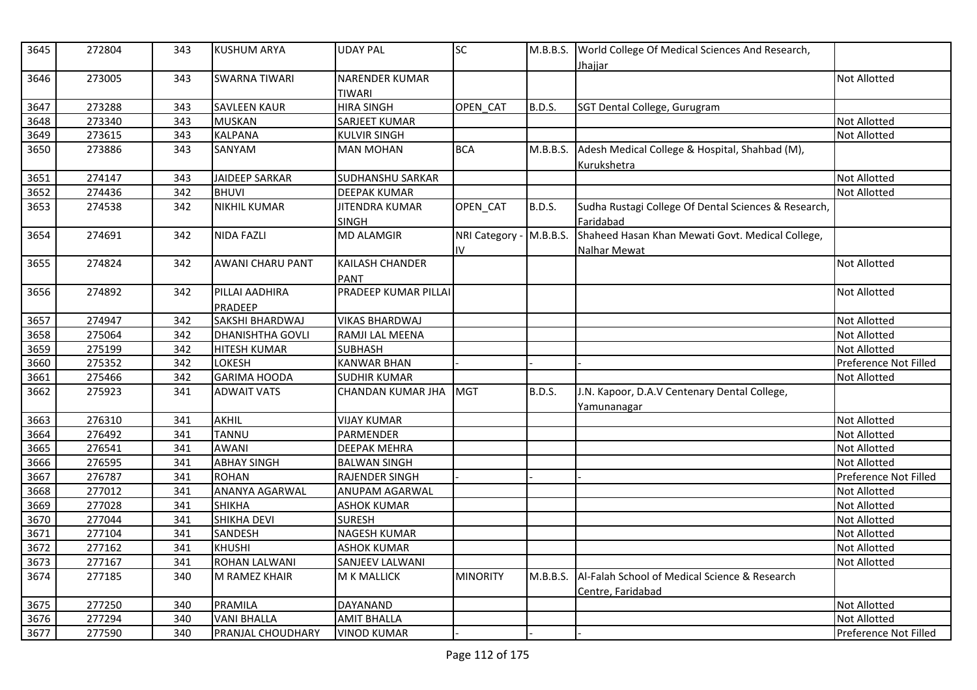| 3645 | 272804 | 343 | <b>KUSHUM ARYA</b>        | <b>UDAY PAL</b>                 | SC.                           |               | M.B.B.S. World College Of Medical Sciences And Research,<br><u>Jhajjar</u> |                       |
|------|--------|-----|---------------------------|---------------------------------|-------------------------------|---------------|----------------------------------------------------------------------------|-----------------------|
| 3646 | 273005 | 343 | <b>SWARNA TIWARI</b>      | <b>NARENDER KUMAR</b><br>TIWARI |                               |               |                                                                            | <b>Not Allotted</b>   |
| 3647 | 273288 | 343 | <b>SAVLEEN KAUR</b>       | <b>HIRA SINGH</b>               | OPEN CAT                      | <b>B.D.S.</b> | SGT Dental College, Gurugram                                               |                       |
| 3648 | 273340 | 343 | <b>MUSKAN</b>             | SARJEET KUMAR                   |                               |               |                                                                            | <b>Not Allotted</b>   |
| 3649 | 273615 | 343 | <b>KALPANA</b>            | <b>KULVIR SINGH</b>             |                               |               |                                                                            | <b>Not Allotted</b>   |
| 3650 | 273886 | 343 | SANYAM                    | <b>MAN MOHAN</b>                | <b>BCA</b>                    | M.B.B.S.      | Adesh Medical College & Hospital, Shahbad (M),<br>Kurukshetra              |                       |
| 3651 | 274147 | 343 | JAIDEEP SARKAR            | SUDHANSHU SARKAR                |                               |               |                                                                            | Not Allotted          |
| 3652 | 274436 | 342 | <b>BHUVI</b>              | <b>DEEPAK KUMAR</b>             |                               |               |                                                                            | <b>Not Allotted</b>   |
| 3653 | 274538 | 342 | <b>NIKHIL KUMAR</b>       | JITENDRA KUMAR<br>SINGH         | OPEN_CAT                      | B.D.S.        | Sudha Rustagi College Of Dental Sciences & Research,<br>Faridabad          |                       |
| 3654 | 274691 | 342 | <b>NIDA FAZLI</b>         | <b>MD ALAMGIR</b>               | NRI Category - M.B.B.S.<br>IV |               | Shaheed Hasan Khan Mewati Govt. Medical College,<br>Nalhar Mewat           |                       |
| 3655 | 274824 | 342 | <b>AWANI CHARU PANT</b>   | <b>KAILASH CHANDER</b><br>PANT  |                               |               |                                                                            | <b>Not Allotted</b>   |
| 3656 | 274892 | 342 | PILLAI AADHIRA<br>PRADEEP | PRADEEP KUMAR PILLAI            |                               |               |                                                                            | <b>Not Allotted</b>   |
| 3657 | 274947 | 342 | SAKSHI BHARDWAJ           | <b>VIKAS BHARDWAJ</b>           |                               |               |                                                                            | <b>Not Allotted</b>   |
| 3658 | 275064 | 342 | <b>DHANISHTHA GOVLI</b>   | RAMJI LAL MEENA                 |                               |               |                                                                            | <b>Not Allotted</b>   |
| 3659 | 275199 | 342 | <b>HITESH KUMAR</b>       | SUBHASH                         |                               |               |                                                                            | <b>Not Allotted</b>   |
| 3660 | 275352 | 342 | LOKESH                    | <b>KANWAR BHAN</b>              |                               |               |                                                                            | Preference Not Filled |
| 3661 | 275466 | 342 | <b>GARIMA HOODA</b>       | <b>SUDHIR KUMAR</b>             |                               |               |                                                                            | <b>Not Allotted</b>   |
| 3662 | 275923 | 341 | <b>ADWAIT VATS</b>        | CHANDAN KUMAR JHA               | <b>MGT</b>                    | <b>B.D.S.</b> | J.N. Kapoor, D.A.V Centenary Dental College,<br>Yamunanagar                |                       |
| 3663 | 276310 | 341 | <b>AKHIL</b>              | <b>VIJAY KUMAR</b>              |                               |               |                                                                            | Not Allotted          |
| 3664 | 276492 | 341 | <b>TANNU</b>              | PARMENDER                       |                               |               |                                                                            | <b>Not Allotted</b>   |
| 3665 | 276541 | 341 | <b>AWANI</b>              | <b>DEEPAK MEHRA</b>             |                               |               |                                                                            | <b>Not Allotted</b>   |
| 3666 | 276595 | 341 | <b>ABHAY SINGH</b>        | <b>BALWAN SINGH</b>             |                               |               |                                                                            | <b>Not Allotted</b>   |
| 3667 | 276787 | 341 | <b>ROHAN</b>              | RAJENDER SINGH                  |                               |               |                                                                            | Preference Not Filled |
| 3668 | 277012 | 341 | ANANYA AGARWAL            | ANUPAM AGARWAL                  |                               |               |                                                                            | Not Allotted          |
| 3669 | 277028 | 341 | <b>SHIKHA</b>             | <b>ASHOK KUMAR</b>              |                               |               |                                                                            | <b>Not Allotted</b>   |
| 3670 | 277044 | 341 | <b>SHIKHA DEVI</b>        | <b>SURESH</b>                   |                               |               |                                                                            | Not Allotted          |
| 3671 | 277104 | 341 | SANDESH                   | <b>NAGESH KUMAR</b>             |                               |               |                                                                            | <b>Not Allotted</b>   |
| 3672 | 277162 | 341 | <b>KHUSHI</b>             | <b>ASHOK KUMAR</b>              |                               |               |                                                                            | <b>Not Allotted</b>   |
| 3673 | 277167 | 341 | <b>ROHAN LALWANI</b>      | <b>SANJEEV LALWANI</b>          |                               |               |                                                                            | <b>Not Allotted</b>   |
| 3674 | 277185 | 340 | M RAMEZ KHAIR             | M K MALLICK                     | <b>MINORITY</b>               | M.B.B.S.      | Al-Falah School of Medical Science & Research<br>Centre, Faridabad         |                       |
| 3675 | 277250 | 340 | PRAMILA                   | DAYANAND                        |                               |               |                                                                            | <b>Not Allotted</b>   |
| 3676 | 277294 | 340 | <b>VANI BHALLA</b>        | <b>AMIT BHALLA</b>              |                               |               |                                                                            | <b>Not Allotted</b>   |
| 3677 | 277590 | 340 | PRANJAL CHOUDHARY         | <b>VINOD KUMAR</b>              |                               |               |                                                                            | Preference Not Filled |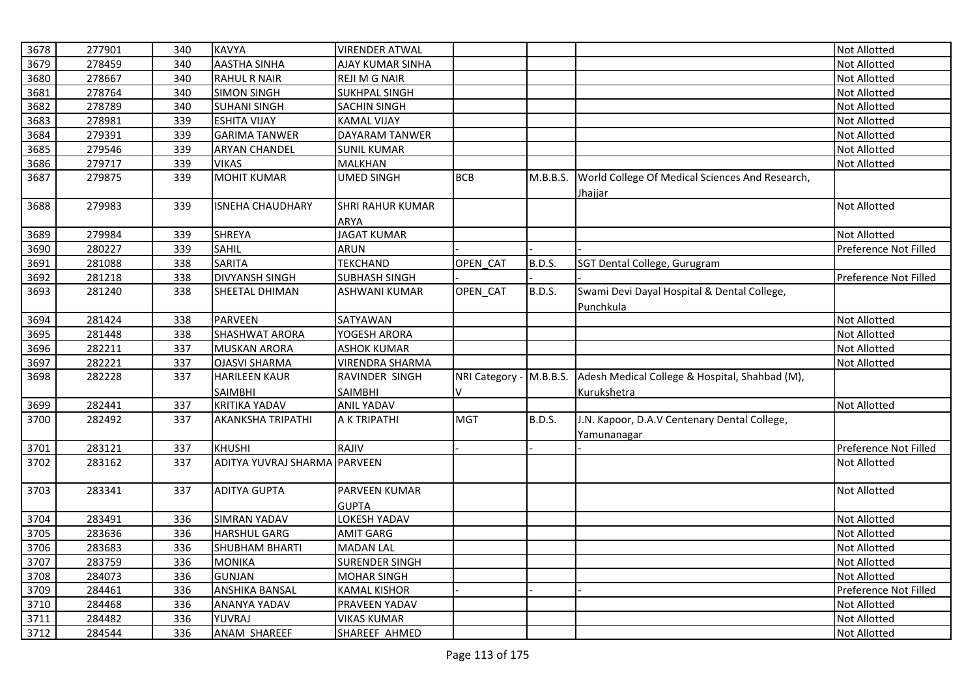| 3678 | 277901 | 340 | <b>KAVYA</b>            | <b>VIRENDER ATWAL</b>                |                         |          |                                                            | <b>Not Allotted</b>   |
|------|--------|-----|-------------------------|--------------------------------------|-------------------------|----------|------------------------------------------------------------|-----------------------|
| 3679 | 278459 | 340 | <b>AASTHA SINHA</b>     | AJAY KUMAR SINHA                     |                         |          |                                                            | Not Allotted          |
| 3680 | 278667 | 340 | <b>RAHUL R NAIR</b>     | <b>REJI M G NAIR</b>                 |                         |          |                                                            | <b>Not Allotted</b>   |
| 3681 | 278764 | 340 | <b>SIMON SINGH</b>      | <b>SUKHPAL SINGH</b>                 |                         |          |                                                            | Not Allotted          |
| 3682 | 278789 | 340 | <b>SUHANI SINGH</b>     | SACHIN SINGH                         |                         |          |                                                            | Not Allotted          |
| 3683 | 278981 | 339 | <b>ESHITA VIJAY</b>     | <b>KAMAL VIJAY</b>                   |                         |          |                                                            | <b>Not Allotted</b>   |
| 3684 | 279391 | 339 | <b>GARIMA TANWER</b>    | DAYARAM TANWER                       |                         |          |                                                            | <b>Not Allotted</b>   |
| 3685 | 279546 | 339 | <b>ARYAN CHANDEL</b>    | <b>SUNIL KUMAR</b>                   |                         |          |                                                            | <b>Not Allotted</b>   |
| 3686 | 279717 | 339 | <b>VIKAS</b>            | MALKHAN                              |                         |          |                                                            | Not Allotted          |
| 3687 | 279875 | 339 | <b>MOHIT KUMAR</b>      | UMED SINGH                           | <b>BCB</b>              | M.B.B.S. | World College Of Medical Sciences And Research,<br>Jhajjar |                       |
| 3688 | 279983 | 339 | <b>ISNEHA CHAUDHARY</b> | <b>SHRI RAHUR KUMAR</b><br>ARYA      |                         |          |                                                            | <b>Not Allotted</b>   |
| 3689 | 279984 | 339 | <b>SHREYA</b>           | <b>JAGAT KUMAR</b>                   |                         |          |                                                            | Not Allotted          |
| 3690 | 280227 | 339 | <b>SAHIL</b>            | <b>ARUN</b>                          |                         |          |                                                            | Preference Not Filled |
| 3691 | 281088 | 338 | <b>SARITA</b>           | <b>TEKCHAND</b>                      | OPEN CAT                | B.D.S.   | SGT Dental College, Gurugram                               |                       |
| 3692 | 281218 | 338 | <b>DIVYANSH SINGH</b>   | <b>SUBHASH SINGH</b>                 |                         |          |                                                            | Preference Not Filled |
| 3693 | 281240 | 338 | SHEETAL DHIMAN          | ASHWANI KUMAR                        | OPEN_CAT                | B.D.S.   | Swami Devi Dayal Hospital & Dental College,<br>Punchkula   |                       |
| 3694 | 281424 | 338 | <b>PARVEEN</b>          | SATYAWAN                             |                         |          |                                                            | <b>Not Allotted</b>   |
| 3695 | 281448 | 338 | <b>SHASHWAT ARORA</b>   | YOGESH ARORA                         |                         |          |                                                            | Not Allotted          |
| 3696 | 282211 | 337 | <b>MUSKAN ARORA</b>     | <b>ASHOK KUMAR</b>                   |                         |          |                                                            | Not Allotted          |
| 3697 | 282221 | 337 | <b>OJASVI SHARMA</b>    | <b>VIRENDRA SHARMA</b>               |                         |          |                                                            | Not Allotted          |
| 3698 | 282228 | 337 | <b>HARILEEN KAUR</b>    | RAVINDER SINGH                       | NRI Category - M.B.B.S. |          | Adesh Medical College & Hospital, Shahbad (M),             |                       |
|      |        |     | <b>SAIMBHI</b>          | SAIMBHI                              | V                       |          | Kurukshetra                                                |                       |
| 3699 | 282441 | 337 | <b>KRITIKA YADAV</b>    | <b>ANIL YADAV</b>                    |                         |          |                                                            | <b>Not Allotted</b>   |
| 3700 | 282492 | 337 | AKANKSHA TRIPATHI       | A K TRIPATHI                         | <b>MGT</b>              | B.D.S.   | J.N. Kapoor, D.A.V Centenary Dental College,               |                       |
|      |        |     |                         |                                      |                         |          | Yamunanagar                                                |                       |
| 3701 | 283121 | 337 | <b>KHUSHI</b>           | RAJIV                                |                         |          |                                                            | Preference Not Filled |
| 3702 | 283162 | 337 | ADITYA YUVRAJ SHARMA    | <b>PARVEEN</b>                       |                         |          |                                                            | <b>Not Allotted</b>   |
| 3703 | 283341 | 337 | <b>ADITYA GUPTA</b>     | <b>PARVEEN KUMAR</b><br><b>GUPTA</b> |                         |          |                                                            | <b>Not Allotted</b>   |
| 3704 | 283491 | 336 | <b>SIMRAN YADAV</b>     | LOKESH YADAV                         |                         |          |                                                            | Not Allotted          |
| 3705 | 283636 | 336 | <b>HARSHUL GARG</b>     | <b>AMIT GARG</b>                     |                         |          |                                                            | <b>Not Allotted</b>   |
| 3706 | 283683 | 336 | <b>SHUBHAM BHARTI</b>   | <b>MADAN LAL</b>                     |                         |          |                                                            | Not Allotted          |
| 3707 | 283759 | 336 | <b>MONIKA</b>           | <b>SURENDER SINGH</b>                |                         |          |                                                            | Not Allotted          |
| 3708 | 284073 | 336 | <b>GUNJAN</b>           | <b>MOHAR SINGH</b>                   |                         |          |                                                            | Not Allotted          |
| 3709 | 284461 | 336 | <b>ANSHIKA BANSAL</b>   | <b>KAMAL KISHOR</b>                  |                         |          |                                                            | Preference Not Filled |
| 3710 | 284468 | 336 | ANANYA YADAV            | PRAVEEN YADAV                        |                         |          |                                                            | Not Allotted          |
| 3711 | 284482 | 336 | YUVRAJ                  | <b>VIKAS KUMAR</b>                   |                         |          |                                                            | <b>Not Allotted</b>   |
| 3712 | 284544 | 336 | ANAM SHAREEF            | SHAREEF AHMED                        |                         |          |                                                            | Not Allotted          |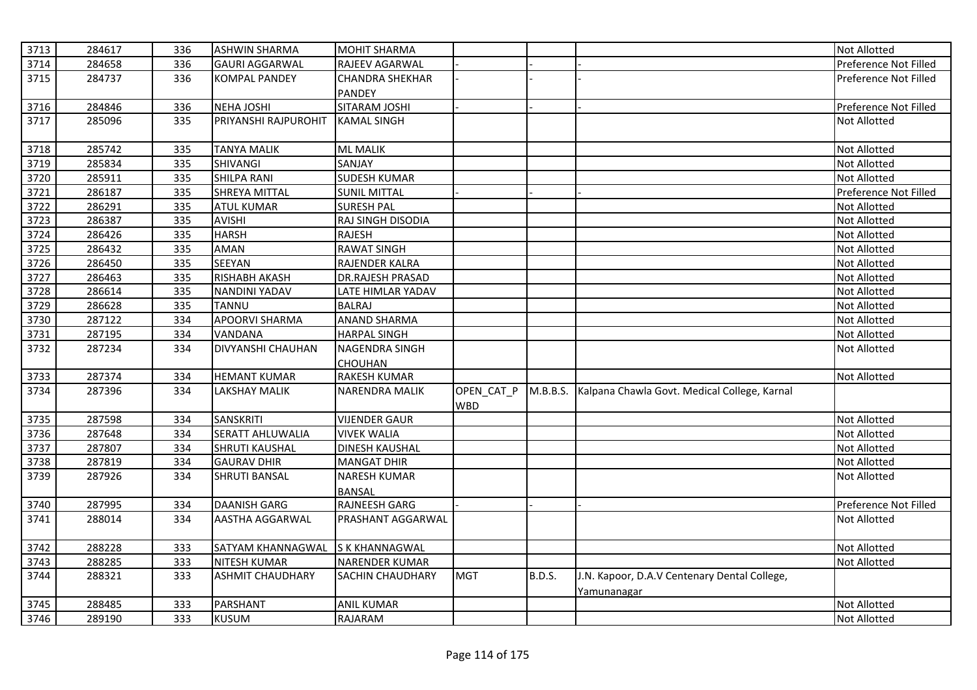| 3713 | 284617 | 336 | <b>ASHWIN SHARMA</b>     | <b>MOHIT SHARMA</b>     |            |               |                                              | Not Allotted          |
|------|--------|-----|--------------------------|-------------------------|------------|---------------|----------------------------------------------|-----------------------|
| 3714 | 284658 | 336 | <b>GAURI AGGARWAL</b>    | RAJEEV AGARWAL          |            |               |                                              | Preference Not Filled |
| 3715 | 284737 | 336 | <b>KOMPAL PANDEY</b>     | <b>CHANDRA SHEKHAR</b>  |            |               |                                              | Preference Not Filled |
|      |        |     |                          | <b>PANDEY</b>           |            |               |                                              |                       |
| 3716 | 284846 | 336 | NEHA JOSHI               | SITARAM JOSHI           |            |               |                                              | Preference Not Filled |
| 3717 | 285096 | 335 | PRIYANSHI RAJPUROHIT     | <b>KAMAL SINGH</b>      |            |               |                                              | Not Allotted          |
|      |        |     |                          |                         |            |               |                                              |                       |
| 3718 | 285742 | 335 | <b>TANYA MALIK</b>       | <b>ML MALIK</b>         |            |               |                                              | Not Allotted          |
| 3719 | 285834 | 335 | SHIVANGI                 | SANJAY                  |            |               |                                              | Not Allotted          |
| 3720 | 285911 | 335 | <b>SHILPA RANI</b>       | <b>SUDESH KUMAR</b>     |            |               |                                              | Not Allotted          |
| 3721 | 286187 | 335 | SHREYA MITTAL            | <b>SUNIL MITTAL</b>     |            |               |                                              | Preference Not Filled |
| 3722 | 286291 | 335 | <b>ATUL KUMAR</b>        | <b>SURESH PAL</b>       |            |               |                                              | <b>Not Allotted</b>   |
| 3723 | 286387 | 335 | <b>AVISHI</b>            | RAJ SINGH DISODIA       |            |               |                                              | Not Allotted          |
| 3724 | 286426 | 335 | <b>HARSH</b>             | <b>RAJESH</b>           |            |               |                                              | Not Allotted          |
| 3725 | 286432 | 335 | AMAN                     | <b>RAWAT SINGH</b>      |            |               |                                              | Not Allotted          |
| 3726 | 286450 | 335 | <b>SEEYAN</b>            | RAJENDER KALRA          |            |               |                                              | Not Allotted          |
| 3727 | 286463 | 335 | <b>RISHABH AKASH</b>     | <b>DR.RAJESH PRASAD</b> |            |               |                                              | Not Allotted          |
| 3728 | 286614 | 335 | <b>NANDINI YADAV</b>     | LATE HIMLAR YADAV       |            |               |                                              | <b>Not Allotted</b>   |
| 3729 | 286628 | 335 | TANNU                    | <b>BALRAJ</b>           |            |               |                                              | Not Allotted          |
| 3730 | 287122 | 334 | <b>APOORVI SHARMA</b>    | <b>ANAND SHARMA</b>     |            |               |                                              | Not Allotted          |
| 3731 | 287195 | 334 | VANDANA                  | <b>HARPAL SINGH</b>     |            |               |                                              | Not Allotted          |
| 3732 | 287234 | 334 | <b>DIVYANSHI CHAUHAN</b> | NAGENDRA SINGH          |            |               |                                              | Not Allotted          |
|      |        |     |                          | <b>CHOUHAN</b>          |            |               |                                              |                       |
| 3733 | 287374 | 334 | <b>HEMANT KUMAR</b>      | <b>RAKESH KUMAR</b>     |            |               |                                              | Not Allotted          |
| 3734 | 287396 | 334 | <b>LAKSHAY MALIK</b>     | NARENDRA MALIK          | OPEN_CAT_P | M.B.B.S.      | Kalpana Chawla Govt. Medical College, Karnal |                       |
|      |        |     |                          |                         | <b>WBD</b> |               |                                              |                       |
| 3735 | 287598 | 334 | SANSKRITI                | <b>VIJENDER GAUR</b>    |            |               |                                              | Not Allotted          |
| 3736 | 287648 | 334 | <b>SERATT AHLUWALIA</b>  | <b>VIVEK WALIA</b>      |            |               |                                              | <b>Not Allotted</b>   |
| 3737 | 287807 | 334 | <b>SHRUTI KAUSHAL</b>    | <b>DINESH KAUSHAL</b>   |            |               |                                              | Not Allotted          |
| 3738 | 287819 | 334 | <b>GAURAV DHIR</b>       | <b>MANGAT DHIR</b>      |            |               |                                              | Not Allotted          |
| 3739 | 287926 | 334 | <b>SHRUTI BANSAL</b>     | <b>NARESH KUMAR</b>     |            |               |                                              | Not Allotted          |
|      |        |     |                          | <b>BANSAL</b>           |            |               |                                              |                       |
| 3740 | 287995 | 334 | <b>DAANISH GARG</b>      | RAJNEESH GARG           |            |               |                                              | Preference Not Filled |
| 3741 | 288014 | 334 | AASTHA AGGARWAL          | PRASHANT AGGARWAL       |            |               |                                              | Not Allotted          |
| 3742 | 288228 | 333 | SATYAM KHANNAGWAL        | <b>S K KHANNAGWAL</b>   |            |               |                                              | Not Allotted          |
| 3743 | 288285 | 333 | <b>NITESH KUMAR</b>      | <b>NARENDER KUMAR</b>   |            |               |                                              | Not Allotted          |
| 3744 | 288321 | 333 | <b>ASHMIT CHAUDHARY</b>  | <b>SACHIN CHAUDHARY</b> | <b>MGT</b> | <b>B.D.S.</b> | J.N. Kapoor, D.A.V Centenary Dental College, |                       |
|      |        |     |                          |                         |            |               | Yamunanagar                                  |                       |
| 3745 | 288485 | 333 | PARSHANT                 | <b>ANIL KUMAR</b>       |            |               |                                              | Not Allotted          |
| 3746 | 289190 | 333 | <b>KUSUM</b>             | RAJARAM                 |            |               |                                              | Not Allotted          |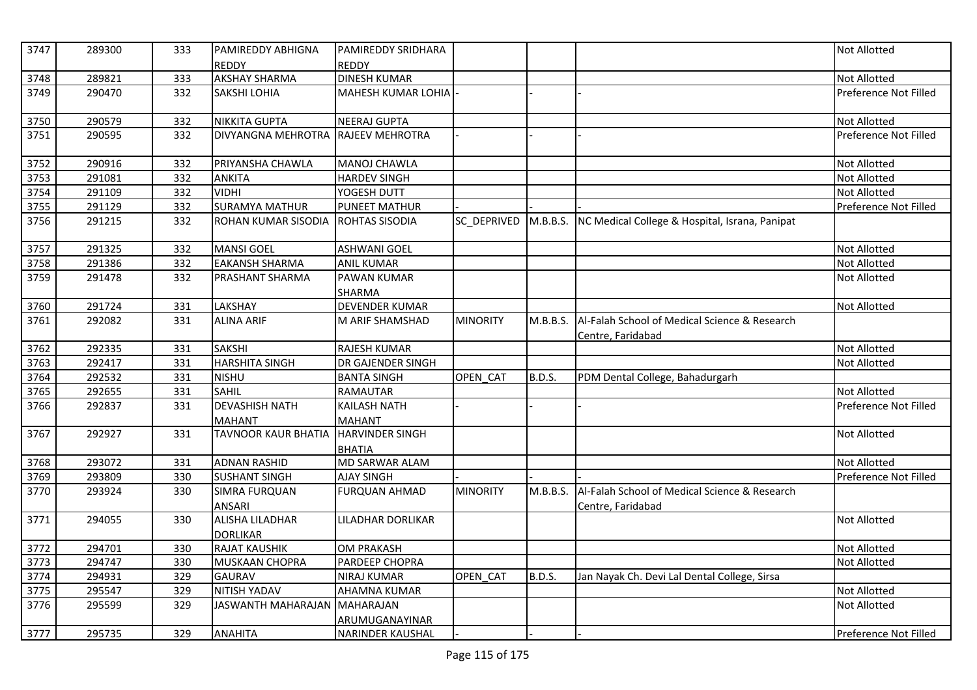| 3747 | 289300 | 333 | <b>PAMIREDDY ABHIGNA</b>     | <b>PAMIREDDY SRIDHARA</b>    |                 |               |                                                                    | <b>Not Allotted</b>   |
|------|--------|-----|------------------------------|------------------------------|-----------------|---------------|--------------------------------------------------------------------|-----------------------|
|      |        |     | <b>REDDY</b>                 | <b>REDDY</b>                 |                 |               |                                                                    |                       |
| 3748 | 289821 | 333 | <b>AKSHAY SHARMA</b>         | <b>DINESH KUMAR</b>          |                 |               |                                                                    | <b>Not Allotted</b>   |
| 3749 | 290470 | 332 | <b>SAKSHI LOHIA</b>          | MAHESH KUMAR LOHIA           |                 |               |                                                                    | Preference Not Filled |
| 3750 | 290579 | 332 | <b>NIKKITA GUPTA</b>         | <b>NEERAJ GUPTA</b>          |                 |               |                                                                    | <b>Not Allotted</b>   |
| 3751 | 290595 | 332 | <b>DIVYANGNA MEHROTRA</b>    | <b>RAJEEV MEHROTRA</b>       |                 |               |                                                                    | Preference Not Filled |
| 3752 | 290916 | 332 | PRIYANSHA CHAWLA             | MANOJ CHAWLA                 |                 |               |                                                                    | <b>Not Allotted</b>   |
| 3753 | 291081 | 332 | ANKITA                       | <b>HARDEV SINGH</b>          |                 |               |                                                                    | <b>Not Allotted</b>   |
| 3754 | 291109 | 332 | <b>VIDHI</b>                 | YOGESH DUTT                  |                 |               |                                                                    | <b>Not Allotted</b>   |
| 3755 | 291129 | 332 | <b>SURAMYA MATHUR</b>        | <b>PUNEET MATHUR</b>         |                 |               |                                                                    | Preference Not Filled |
| 3756 | 291215 | 332 | ROHAN KUMAR SISODIA          | ROHTAS SISODIA               | SC DEPRIVED     | M.B.B.S.      | NC Medical College & Hospital, Israna, Panipat                     |                       |
| 3757 | 291325 | 332 | <b>MANSI GOEL</b>            | <b>ASHWANI GOEL</b>          |                 |               |                                                                    | <b>Not Allotted</b>   |
| 3758 | 291386 | 332 | <b>EAKANSH SHARMA</b>        | <b>ANIL KUMAR</b>            |                 |               |                                                                    | <b>Not Allotted</b>   |
| 3759 | 291478 | 332 | <b>PRASHANT SHARMA</b>       | <b>PAWAN KUMAR</b><br>SHARMA |                 |               |                                                                    | <b>Not Allotted</b>   |
| 3760 | 291724 | 331 | LAKSHAY                      | <b>DEVENDER KUMAR</b>        |                 |               |                                                                    | <b>Not Allotted</b>   |
| 3761 | 292082 | 331 | <b>ALINA ARIF</b>            | M ARIF SHAMSHAD              | <b>MINORITY</b> | M.B.B.S.      | Al-Falah School of Medical Science & Research<br>Centre, Faridabad |                       |
| 3762 | 292335 | 331 | <b>SAKSHI</b>                | <b>RAJESH KUMAR</b>          |                 |               |                                                                    | Not Allotted          |
| 3763 | 292417 | 331 | <b>HARSHITA SINGH</b>        | DR GAJENDER SINGH            |                 |               |                                                                    | Not Allotted          |
| 3764 | 292532 | 331 | <b>NISHU</b>                 | <b>BANTA SINGH</b>           | OPEN_CAT        | <b>B.D.S.</b> | PDM Dental College, Bahadurgarh                                    |                       |
| 3765 | 292655 | 331 | <b>SAHIL</b>                 | RAMAUTAR                     |                 |               |                                                                    | <b>Not Allotted</b>   |
| 3766 | 292837 | 331 | <b>DEVASHISH NATH</b>        | <b>KAILASH NATH</b>          |                 |               |                                                                    | Preference Not Filled |
|      |        |     | <b>MAHANT</b>                | <b>MAHANT</b>                |                 |               |                                                                    |                       |
| 3767 | 292927 | 331 | <b>TAVNOOR KAUR BHATIA</b>   | <b>HARVINDER SINGH</b>       |                 |               |                                                                    | <b>Not Allotted</b>   |
|      |        |     |                              | <b>BHATIA</b>                |                 |               |                                                                    |                       |
| 3768 | 293072 | 331 | <b>ADNAN RASHID</b>          | MD SARWAR ALAM               |                 |               |                                                                    | <b>Not Allotted</b>   |
| 3769 | 293809 | 330 | <b>SUSHANT SINGH</b>         | <b>AJAY SINGH</b>            |                 |               |                                                                    | Preference Not Filled |
| 3770 | 293924 | 330 | <b>SIMRA FURQUAN</b>         | <b>FURQUAN AHMAD</b>         | <b>MINORITY</b> | M.B.B.S.      | Al-Falah School of Medical Science & Research                      |                       |
|      |        |     | <b>ANSARI</b>                |                              |                 |               | Centre, Faridabad                                                  |                       |
| 3771 | 294055 | 330 | <b>ALISHA LILADHAR</b>       | LILADHAR DORLIKAR            |                 |               |                                                                    | <b>Not Allotted</b>   |
|      |        |     | <b>DORLIKAR</b>              |                              |                 |               |                                                                    |                       |
| 3772 | 294701 | 330 | <b>RAJAT KAUSHIK</b>         | <b>OM PRAKASH</b>            |                 |               |                                                                    | <b>Not Allotted</b>   |
| 3773 | 294747 | 330 | MUSKAAN CHOPRA               | PARDEEP CHOPRA               |                 |               |                                                                    | <b>Not Allotted</b>   |
| 3774 | 294931 | 329 | <b>GAURAV</b>                | <b>NIRAJ KUMAR</b>           | OPEN CAT        | <b>B.D.S.</b> | Jan Nayak Ch. Devi Lal Dental College, Sirsa                       |                       |
| 3775 | 295547 | 329 | NITISH YADAV                 | AHAMNA KUMAR                 |                 |               |                                                                    | <b>Not Allotted</b>   |
| 3776 | 295599 | 329 | JASWANTH MAHARAJAN MAHARAJAN |                              |                 |               |                                                                    | Not Allotted          |
|      |        |     |                              | ARUMUGANAYINAR               |                 |               |                                                                    |                       |
| 3777 | 295735 | 329 | <b>ANAHITA</b>               | <b>NARINDER KAUSHAL</b>      |                 |               |                                                                    | Preference Not Filled |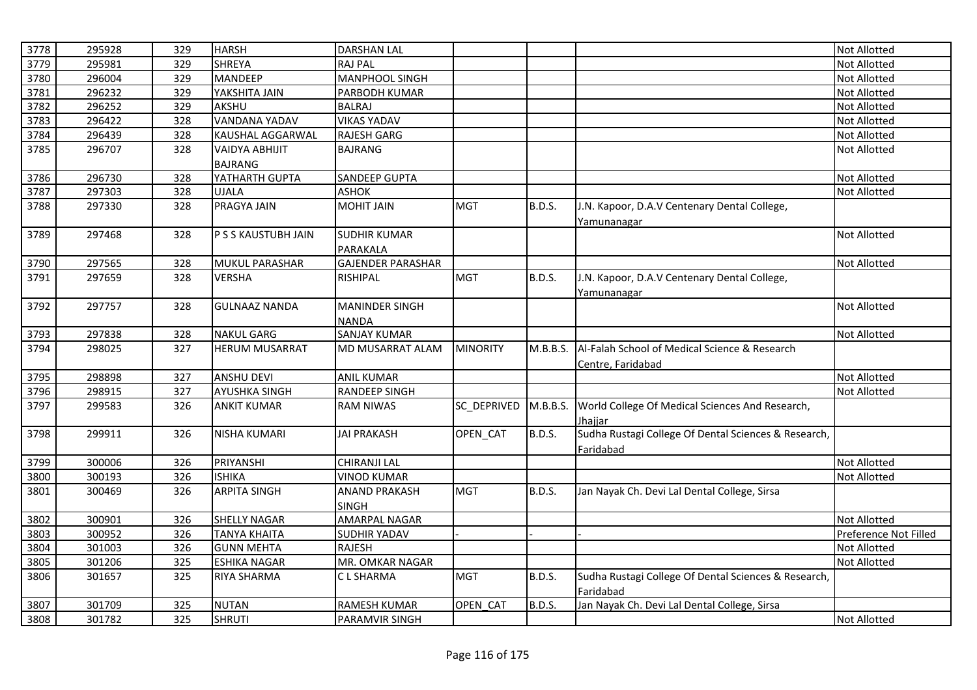| 3778 | 295928 | 329 | <b>HARSH</b>         | <b>DARSHAN LAL</b>       |                 |               |                                                      | Not Allotted          |
|------|--------|-----|----------------------|--------------------------|-----------------|---------------|------------------------------------------------------|-----------------------|
| 3779 | 295981 | 329 | <b>SHREYA</b>        | <b>RAJ PAL</b>           |                 |               |                                                      | Not Allotted          |
| 3780 | 296004 | 329 | <b>MANDEEP</b>       | <b>MANPHOOL SINGH</b>    |                 |               |                                                      | Not Allotted          |
| 3781 | 296232 | 329 | YAKSHITA JAIN        | PARBODH KUMAR            |                 |               |                                                      | Not Allotted          |
| 3782 | 296252 | 329 | AKSHU                | <b>BALRAJ</b>            |                 |               |                                                      | Not Allotted          |
| 3783 | 296422 | 328 | <b>VANDANA YADAV</b> | <b>VIKAS YADAV</b>       |                 |               |                                                      | Not Allotted          |
| 3784 | 296439 | 328 | KAUSHAL AGGARWAL     | <b>RAJESH GARG</b>       |                 |               |                                                      | Not Allotted          |
| 3785 | 296707 | 328 | VAIDYA ABHIJIT       | <b>BAJRANG</b>           |                 |               |                                                      | Not Allotted          |
|      |        |     | <b>BAJRANG</b>       |                          |                 |               |                                                      |                       |
| 3786 | 296730 | 328 | YATHARTH GUPTA       | <b>SANDEEP GUPTA</b>     |                 |               |                                                      | Not Allotted          |
| 3787 | 297303 | 328 | <b>UJALA</b>         | <b>ASHOK</b>             |                 |               |                                                      | Not Allotted          |
| 3788 | 297330 | 328 | <b>PRAGYA JAIN</b>   | <b>MOHIT JAIN</b>        | <b>MGT</b>      | <b>B.D.S.</b> | J.N. Kapoor, D.A.V Centenary Dental College,         |                       |
|      |        |     |                      |                          |                 |               | Yamunanagar                                          |                       |
| 3789 | 297468 | 328 | P S S KAUSTUBH JAIN  | <b>SUDHIR KUMAR</b>      |                 |               |                                                      | <b>Not Allotted</b>   |
|      |        |     |                      | PARAKALA                 |                 |               |                                                      |                       |
| 3790 | 297565 | 328 | MUKUL PARASHAR       | <b>GAJENDER PARASHAR</b> |                 |               |                                                      | Not Allotted          |
| 3791 | 297659 | 328 | <b>VERSHA</b>        | RISHIPAL                 | <b>MGT</b>      | <b>B.D.S.</b> | J.N. Kapoor, D.A.V Centenary Dental College,         |                       |
|      |        |     |                      |                          |                 |               | Yamunanagar                                          |                       |
| 3792 | 297757 | 328 | <b>GULNAAZ NANDA</b> | <b>MANINDER SINGH</b>    |                 |               |                                                      | Not Allotted          |
|      |        |     |                      | <b>NANDA</b>             |                 |               |                                                      |                       |
| 3793 | 297838 | 328 | <b>NAKUL GARG</b>    | <b>SANJAY KUMAR</b>      |                 |               |                                                      | Not Allotted          |
| 3794 | 298025 | 327 | HERUM MUSARRAT       | MD MUSARRAT ALAM         | <b>MINORITY</b> | M.B.B.S.      | Al-Falah School of Medical Science & Research        |                       |
|      |        |     |                      |                          |                 |               | Centre, Faridabad                                    |                       |
| 3795 | 298898 | 327 | <b>ANSHU DEVI</b>    | <b>ANIL KUMAR</b>        |                 |               |                                                      | Not Allotted          |
| 3796 | 298915 | 327 | <b>AYUSHKA SINGH</b> | <b>RANDEEP SINGH</b>     |                 |               |                                                      | Not Allotted          |
| 3797 | 299583 | 326 | <b>ANKIT KUMAR</b>   | <b>RAM NIWAS</b>         | SC_DEPRIVED     | M.B.B.S.      | World College Of Medical Sciences And Research,      |                       |
|      |        |     |                      |                          |                 |               | Jhajjar                                              |                       |
| 3798 | 299911 | 326 | <b>NISHA KUMARI</b>  | <b>JAI PRAKASH</b>       | OPEN_CAT        | <b>B.D.S.</b> | Sudha Rustagi College Of Dental Sciences & Research, |                       |
|      |        |     |                      |                          |                 |               | Faridabad                                            |                       |
| 3799 | 300006 | 326 | PRIYANSHI            | <b>CHIRANJI LAL</b>      |                 |               |                                                      | Not Allotted          |
| 3800 | 300193 | 326 | <b>ISHIKA</b>        | <b>VINOD KUMAR</b>       |                 |               |                                                      | Not Allotted          |
| 3801 | 300469 | 326 | <b>ARPITA SINGH</b>  | <b>ANAND PRAKASH</b>     | <b>MGT</b>      | <b>B.D.S.</b> | Jan Nayak Ch. Devi Lal Dental College, Sirsa         |                       |
|      |        |     |                      | <b>SINGH</b>             |                 |               |                                                      |                       |
| 3802 | 300901 | 326 | <b>SHELLY NAGAR</b>  | <b>AMARPAL NAGAR</b>     |                 |               |                                                      | Not Allotted          |
| 3803 | 300952 | 326 | <b>TANYA KHAITA</b>  | <b>SUDHIR YADAV</b>      |                 |               |                                                      | Preference Not Filled |
| 3804 | 301003 | 326 | <b>GUNN MEHTA</b>    | <b>RAJESH</b>            |                 |               |                                                      | Not Allotted          |
| 3805 | 301206 | 325 | <b>ESHIKA NAGAR</b>  | MR. OMKAR NAGAR          |                 |               |                                                      | Not Allotted          |
| 3806 | 301657 | 325 | <b>RIYA SHARMA</b>   | C L SHARMA               | <b>MGT</b>      | <b>B.D.S.</b> | Sudha Rustagi College Of Dental Sciences & Research, |                       |
|      |        |     |                      |                          |                 |               | Faridabad                                            |                       |
| 3807 | 301709 | 325 | <b>NUTAN</b>         | <b>RAMESH KUMAR</b>      | OPEN CAT        | <b>B.D.S.</b> | Jan Nayak Ch. Devi Lal Dental College, Sirsa         |                       |
| 3808 | 301782 | 325 | <b>SHRUTI</b>        | <b>PARAMVIR SINGH</b>    |                 |               |                                                      | Not Allotted          |
|      |        |     |                      |                          |                 |               |                                                      |                       |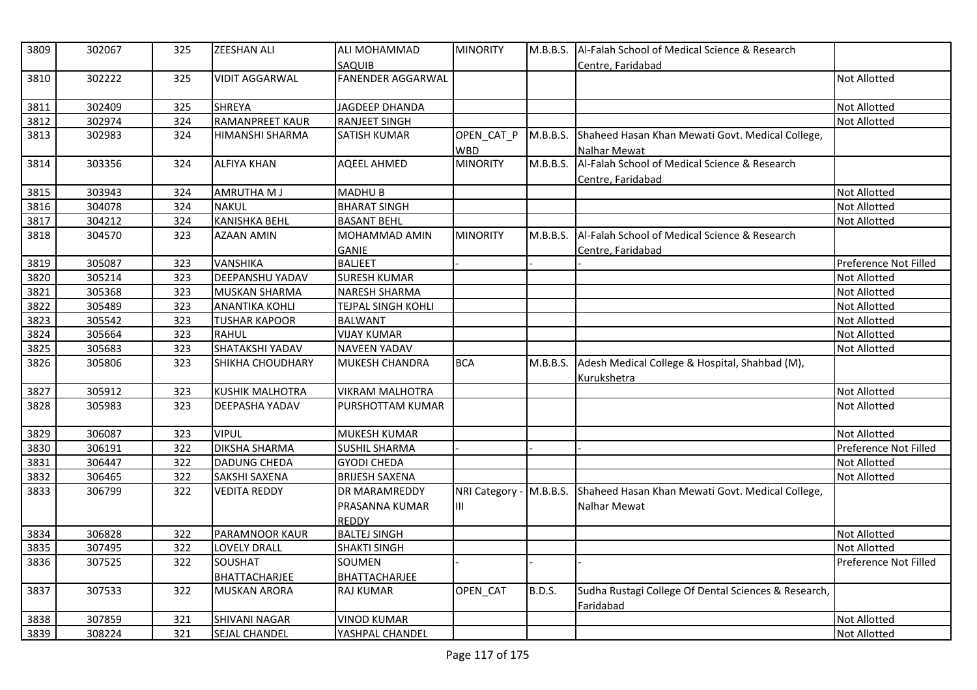| 3809 | 302067 | 325 | <b>ZEESHAN ALI</b>      | ALI MOHAMMAD             | <b>MINORITY</b>         | M.B.B.S.      | Al-Falah School of Medical Science & Research        |                       |
|------|--------|-----|-------------------------|--------------------------|-------------------------|---------------|------------------------------------------------------|-----------------------|
|      |        |     |                         | SAQUIB                   |                         |               | Centre, Faridabad                                    |                       |
| 3810 | 302222 | 325 | <b>VIDIT AGGARWAL</b>   | <b>FANENDER AGGARWAL</b> |                         |               |                                                      | Not Allotted          |
| 3811 | 302409 | 325 | <b>SHREYA</b>           | JAGDEEP DHANDA           |                         |               |                                                      | Not Allotted          |
| 3812 | 302974 | 324 | <b>RAMANPREET KAUR</b>  | <b>RANJEET SINGH</b>     |                         |               |                                                      | Not Allotted          |
| 3813 | 302983 | 324 | <b>HIMANSHI SHARMA</b>  | <b>SATISH KUMAR</b>      | OPEN_CAT_P              | M.B.B.S.      | Shaheed Hasan Khan Mewati Govt. Medical College,     |                       |
|      |        |     |                         |                          | <b>WBD</b>              |               | Nalhar Mewat                                         |                       |
| 3814 | 303356 | 324 | <b>ALFIYA KHAN</b>      | <b>AQEEL AHMED</b>       | <b>MINORITY</b>         | M.B.B.S.      | Al-Falah School of Medical Science & Research        |                       |
|      |        |     |                         |                          |                         |               | Centre, Faridabad                                    |                       |
| 3815 | 303943 | 324 | <b>AMRUTHA M J</b>      | <b>MADHUB</b>            |                         |               |                                                      | <b>Not Allotted</b>   |
| 3816 | 304078 | 324 | <b>NAKUL</b>            | <b>BHARAT SINGH</b>      |                         |               |                                                      | Not Allotted          |
| 3817 | 304212 | 324 | <b>KANISHKA BEHL</b>    | <b>BASANT BEHL</b>       |                         |               |                                                      | Not Allotted          |
| 3818 | 304570 | 323 | <b>AZAAN AMIN</b>       | MOHAMMAD AMIN            | <b>MINORITY</b>         | M.B.B.S.      | Al-Falah School of Medical Science & Research        |                       |
|      |        |     |                         | <b>GANIE</b>             |                         |               | Centre, Faridabad                                    |                       |
| 3819 | 305087 | 323 | <b>VANSHIKA</b>         | <b>BALJEET</b>           |                         |               |                                                      | Preference Not Filled |
| 3820 | 305214 | 323 | DEEPANSHU YADAV         | <b>SURESH KUMAR</b>      |                         |               |                                                      | <b>Not Allotted</b>   |
| 3821 | 305368 | 323 | MUSKAN SHARMA           | <b>NARESH SHARMA</b>     |                         |               |                                                      | Not Allotted          |
| 3822 | 305489 | 323 | <b>ANANTIKA KOHLI</b>   | TEJPAL SINGH KOHLI       |                         |               |                                                      | Not Allotted          |
| 3823 | 305542 | 323 | <b>TUSHAR KAPOOR</b>    | <b>BALWANT</b>           |                         |               |                                                      | <b>Not Allotted</b>   |
| 3824 | 305664 | 323 | <b>RAHUL</b>            | <b>VIJAY KUMAR</b>       |                         |               |                                                      | Not Allotted          |
| 3825 | 305683 | 323 | SHATAKSHI YADAV         | <b>NAVEEN YADAV</b>      |                         |               |                                                      | <b>Not Allotted</b>   |
| 3826 | 305806 | 323 | <b>SHIKHA CHOUDHARY</b> | MUKESH CHANDRA           | <b>BCA</b>              | M.B.B.S.      | Adesh Medical College & Hospital, Shahbad (M),       |                       |
| 3827 | 305912 | 323 | <b>KUSHIK MALHOTRA</b>  | <b>VIKRAM MALHOTRA</b>   |                         |               | Kurukshetra                                          | Not Allotted          |
| 3828 | 305983 | 323 | <b>DEEPASHA YADAV</b>   | PURSHOTTAM KUMAR         |                         |               |                                                      | <b>Not Allotted</b>   |
|      |        |     |                         |                          |                         |               |                                                      |                       |
| 3829 | 306087 | 323 | <b>VIPUL</b>            | MUKESH KUMAR             |                         |               |                                                      | <b>Not Allotted</b>   |
| 3830 | 306191 | 322 | <b>DIKSHA SHARMA</b>    | <b>SUSHIL SHARMA</b>     |                         |               |                                                      | Preference Not Filled |
| 3831 | 306447 | 322 | <b>DADUNG CHEDA</b>     | <b>GYODI CHEDA</b>       |                         |               |                                                      | Not Allotted          |
| 3832 | 306465 | 322 | SAKSHI SAXENA           | <b>BRIJESH SAXENA</b>    |                         |               |                                                      | <b>Not Allotted</b>   |
| 3833 | 306799 | 322 | <b>VEDITA REDDY</b>     | DR MARAMREDDY            | NRI Category - M.B.B.S. |               | Shaheed Hasan Khan Mewati Govt. Medical College,     |                       |
|      |        |     |                         | PRASANNA KUMAR           | Ш                       |               | Nalhar Mewat                                         |                       |
|      |        |     |                         | <b>REDDY</b>             |                         |               |                                                      |                       |
| 3834 | 306828 | 322 | PARAMNOOR KAUR          | <b>BALTEJ SINGH</b>      |                         |               |                                                      | <b>Not Allotted</b>   |
| 3835 | 307495 | 322 | LOVELY DRALL            | <b>SHAKTI SINGH</b>      |                         |               |                                                      | Not Allotted          |
| 3836 | 307525 | 322 | SOUSHAT                 | SOUMEN                   |                         |               |                                                      | Preference Not Filled |
|      |        |     | <b>BHATTACHARJEE</b>    | BHATTACHARJEE            |                         |               |                                                      |                       |
| 3837 | 307533 | 322 | <b>MUSKAN ARORA</b>     | <b>RAJ KUMAR</b>         | OPEN_CAT                | <b>B.D.S.</b> | Sudha Rustagi College Of Dental Sciences & Research, |                       |
|      |        |     |                         |                          |                         |               | Faridabad                                            |                       |
| 3838 | 307859 | 321 | <b>SHIVANI NAGAR</b>    | <b>VINOD KUMAR</b>       |                         |               |                                                      | <b>Not Allotted</b>   |
| 3839 | 308224 | 321 | SEJAL CHANDEL           | YASHPAL CHANDEL          |                         |               |                                                      | <b>Not Allotted</b>   |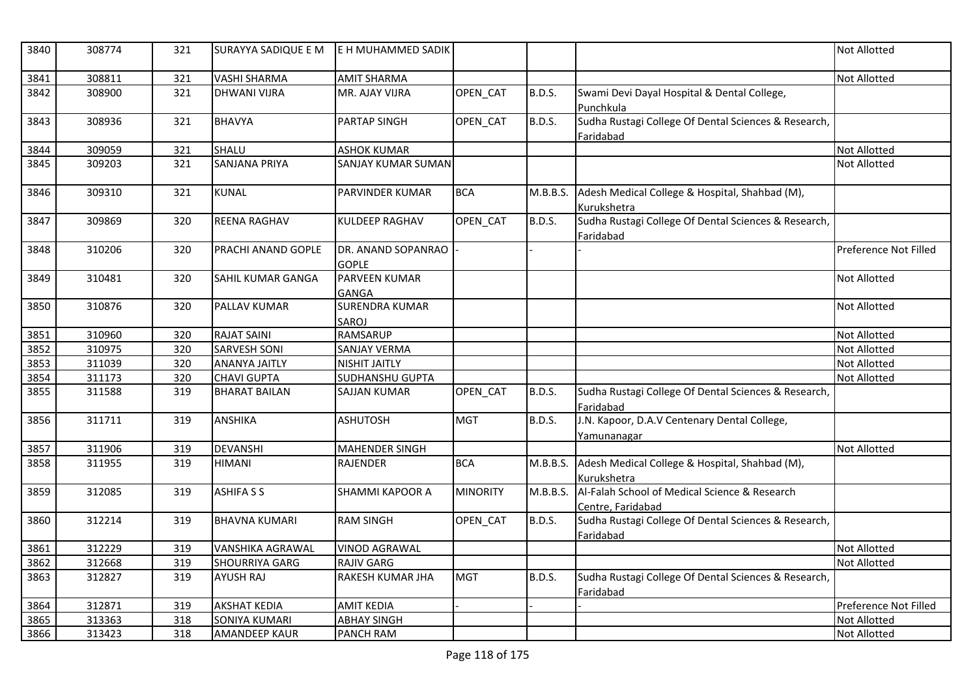| 3840 | 308774 | 321 | SURAYYA SADIQUE E M       | E H MUHAMMED SADIK                   |                 |               |                                                                    | <b>Not Allotted</b>   |
|------|--------|-----|---------------------------|--------------------------------------|-----------------|---------------|--------------------------------------------------------------------|-----------------------|
| 3841 | 308811 | 321 | <b>VASHI SHARMA</b>       | <b>AMIT SHARMA</b>                   |                 |               |                                                                    | Not Allotted          |
| 3842 | 308900 | 321 | <b>DHWANI VIJRA</b>       | MR. AJAY VIJRA                       | <b>OPEN CAT</b> | <b>B.D.S.</b> | Swami Devi Dayal Hospital & Dental College,<br>Punchkula           |                       |
| 3843 | 308936 | 321 | <b>BHAVYA</b>             | PARTAP SINGH                         | OPEN_CAT        | <b>B.D.S.</b> | Sudha Rustagi College Of Dental Sciences & Research,<br>Faridabad  |                       |
| 3844 | 309059 | 321 | SHALU                     | <b>ASHOK KUMAR</b>                   |                 |               |                                                                    | <b>Not Allotted</b>   |
| 3845 | 309203 | 321 | SANJANA PRIYA             | <b>SANJAY KUMAR SUMAN</b>            |                 |               |                                                                    | <b>Not Allotted</b>   |
| 3846 | 309310 | 321 | <b>KUNAL</b>              | PARVINDER KUMAR                      | <b>BCA</b>      | M.B.B.S.      | Adesh Medical College & Hospital, Shahbad (M),<br>Kurukshetra      |                       |
| 3847 | 309869 | 320 | <b>REENA RAGHAV</b>       | KULDEEP RAGHAV                       | OPEN_CAT        | <b>B.D.S.</b> | Sudha Rustagi College Of Dental Sciences & Research,<br>Faridabad  |                       |
| 3848 | 310206 | 320 | <b>PRACHI ANAND GOPLE</b> | DR. ANAND SOPANRAO<br><b>GOPLE</b>   |                 |               |                                                                    | Preference Not Filled |
| 3849 | 310481 | 320 | SAHIL KUMAR GANGA         | <b>PARVEEN KUMAR</b><br><b>GANGA</b> |                 |               |                                                                    | Not Allotted          |
| 3850 | 310876 | 320 | PALLAV KUMAR              | <b>SURENDRA KUMAR</b><br>SAROJ       |                 |               |                                                                    | <b>Not Allotted</b>   |
| 3851 | 310960 | 320 | <b>RAJAT SAINI</b>        | <b>RAMSARUP</b>                      |                 |               |                                                                    | <b>Not Allotted</b>   |
| 3852 | 310975 | 320 | <b>SARVESH SONI</b>       | <b>SANJAY VERMA</b>                  |                 |               |                                                                    | Not Allotted          |
| 3853 | 311039 | 320 | <b>ANANYA JAITLY</b>      | <b>NISHIT JAITLY</b>                 |                 |               |                                                                    | <b>Not Allotted</b>   |
| 3854 | 311173 | 320 | <b>CHAVI GUPTA</b>        | SUDHANSHU GUPTA                      |                 |               |                                                                    | <b>Not Allotted</b>   |
| 3855 | 311588 | 319 | <b>BHARAT BAILAN</b>      | <b>SAJJAN KUMAR</b>                  | OPEN_CAT        | <b>B.D.S.</b> | Sudha Rustagi College Of Dental Sciences & Research,<br>Faridabad  |                       |
| 3856 | 311711 | 319 | <b>ANSHIKA</b>            | <b>ASHUTOSH</b>                      | <b>MGT</b>      | <b>B.D.S.</b> | J.N. Kapoor, D.A.V Centenary Dental College,<br>Yamunanagar        |                       |
| 3857 | 311906 | 319 | <b>DEVANSHI</b>           | <b>MAHENDER SINGH</b>                |                 |               |                                                                    | Not Allotted          |
| 3858 | 311955 | 319 | <b>HIMANI</b>             | RAJENDER                             | <b>BCA</b>      | M.B.B.S.      | Adesh Medical College & Hospital, Shahbad (M),<br>Kurukshetra      |                       |
| 3859 | 312085 | 319 | <b>ASHIFASS</b>           | <b>SHAMMI KAPOOR A</b>               | <b>MINORITY</b> | M.B.B.S.      | Al-Falah School of Medical Science & Research<br>Centre, Faridabad |                       |
| 3860 | 312214 | 319 | <b>BHAVNA KUMARI</b>      | <b>RAM SINGH</b>                     | OPEN_CAT        | <b>B.D.S.</b> | Sudha Rustagi College Of Dental Sciences & Research,<br>Faridabad  |                       |
| 3861 | 312229 | 319 | <b>VANSHIKA AGRAWAL</b>   | <b>VINOD AGRAWAL</b>                 |                 |               |                                                                    | <b>Not Allotted</b>   |
| 3862 | 312668 | 319 | <b>SHOURRIYA GARG</b>     | <b>RAJIV GARG</b>                    |                 |               |                                                                    | <b>Not Allotted</b>   |
| 3863 | 312827 | 319 | <b>AYUSH RAJ</b>          | RAKESH KUMAR JHA                     | <b>MGT</b>      | <b>B.D.S.</b> | Sudha Rustagi College Of Dental Sciences & Research,<br>Faridabad  |                       |
| 3864 | 312871 | 319 | <b>AKSHAT KEDIA</b>       | <b>AMIT KEDIA</b>                    |                 |               |                                                                    | Preference Not Filled |
| 3865 | 313363 | 318 | SONIYA KUMARI             | <b>ABHAY SINGH</b>                   |                 |               |                                                                    | <b>Not Allotted</b>   |
| 3866 | 313423 | 318 | <b>AMANDEEP KAUR</b>      | <b>PANCH RAM</b>                     |                 |               |                                                                    | Not Allotted          |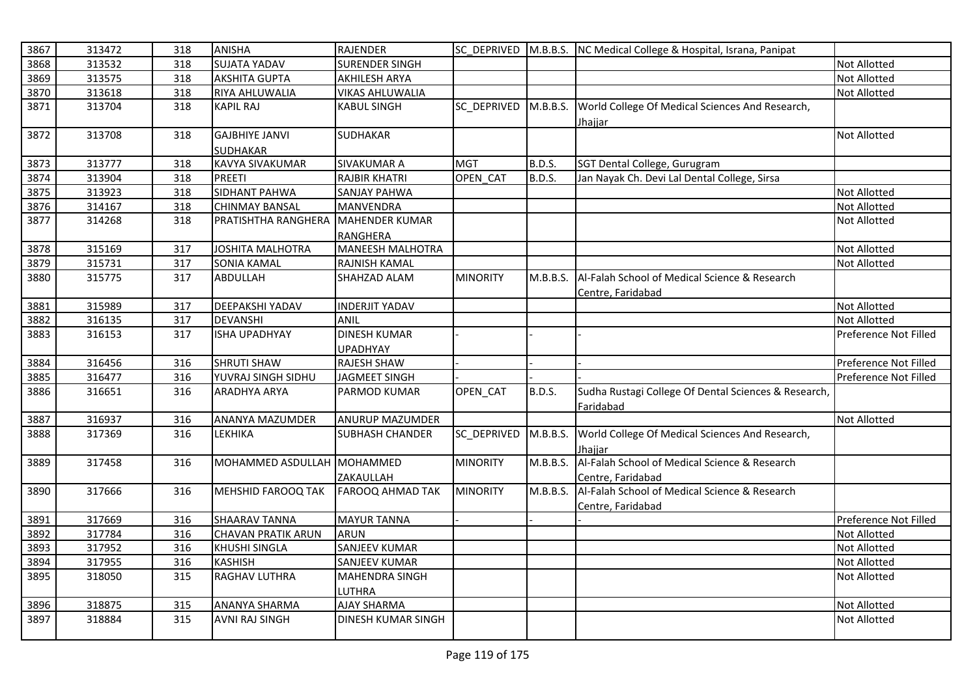| 3867 | 313472 | 318 | <b>ANISHA</b>              | <b>RAJENDER</b>           |                 |               | SC_DEPRIVED M.B.B.S. NC Medical College & Hospital, Israna, Panipat |                       |
|------|--------|-----|----------------------------|---------------------------|-----------------|---------------|---------------------------------------------------------------------|-----------------------|
| 3868 | 313532 | 318 | <b>SUJATA YADAV</b>        | <b>SURENDER SINGH</b>     |                 |               |                                                                     | Not Allotted          |
| 3869 | 313575 | 318 | <b>AKSHITA GUPTA</b>       | <b>AKHILESH ARYA</b>      |                 |               |                                                                     | Not Allotted          |
| 3870 | 313618 | 318 | <b>RIYA AHLUWALIA</b>      | <b>VIKAS AHLUWALIA</b>    |                 |               |                                                                     | Not Allotted          |
| 3871 | 313704 | 318 | <b>KAPIL RAJ</b>           | <b>KABUL SINGH</b>        | SC DEPRIVED     | M.B.B.S.      | World College Of Medical Sciences And Research,                     |                       |
|      |        |     |                            |                           |                 |               | Jhajjar                                                             |                       |
| 3872 | 313708 | 318 | <b>GAJBHIYE JANVI</b>      | <b>SUDHAKAR</b>           |                 |               |                                                                     | <b>Not Allotted</b>   |
|      |        |     | <b>SUDHAKAR</b>            |                           |                 |               |                                                                     |                       |
| 3873 | 313777 | 318 | <b>KAVYA SIVAKUMAR</b>     | <b>SIVAKUMAR A</b>        | <b>MGT</b>      | B.D.S.        | SGT Dental College, Gurugram                                        |                       |
| 3874 | 313904 | 318 | <b>PREETI</b>              | RAJBIR KHATRI             | OPEN CAT        | <b>B.D.S.</b> | Jan Nayak Ch. Devi Lal Dental College, Sirsa                        |                       |
| 3875 | 313923 | 318 | <b>SIDHANT PAHWA</b>       | <b>SANJAY PAHWA</b>       |                 |               |                                                                     | Not Allotted          |
| 3876 | 314167 | 318 | <b>CHINMAY BANSAL</b>      | <b>MANVENDRA</b>          |                 |               |                                                                     | Not Allotted          |
| 3877 | 314268 | 318 | PRATISHTHA RANGHERA        | <b>MAHENDER KUMAR</b>     |                 |               |                                                                     | <b>Not Allotted</b>   |
|      |        |     |                            | <b>RANGHERA</b>           |                 |               |                                                                     |                       |
| 3878 | 315169 | 317 | <b>JOSHITA MALHOTRA</b>    | <b>MANEESH MALHOTRA</b>   |                 |               |                                                                     | <b>Not Allotted</b>   |
| 3879 | 315731 | 317 | <b>SONIA KAMAL</b>         | RAJNISH KAMAL             |                 |               |                                                                     | Not Allotted          |
| 3880 | 315775 | 317 | <b>ABDULLAH</b>            | SHAHZAD ALAM              | <b>MINORITY</b> | M.B.B.S.      | Al-Falah School of Medical Science & Research                       |                       |
|      |        |     |                            |                           |                 |               | Centre, Faridabad                                                   |                       |
| 3881 | 315989 | 317 | <b>DEEPAKSHI YADAV</b>     | <b>INDERJIT YADAV</b>     |                 |               |                                                                     | <b>Not Allotted</b>   |
| 3882 | 316135 | 317 | <b>DEVANSHI</b>            | ANIL                      |                 |               |                                                                     | Not Allotted          |
| 3883 | 316153 | 317 | <b>ISHA UPADHYAY</b>       | <b>DINESH KUMAR</b>       |                 |               |                                                                     | Preference Not Filled |
|      |        |     |                            | <b>UPADHYAY</b>           |                 |               |                                                                     |                       |
| 3884 | 316456 | 316 | <b>SHRUTI SHAW</b>         | RAJESH SHAW               |                 |               |                                                                     | Preference Not Filled |
| 3885 | 316477 | 316 | YUVRAJ SINGH SIDHU         | JAGMEET SINGH             |                 |               |                                                                     | Preference Not Filled |
| 3886 | 316651 | 316 | <b>ARADHYA ARYA</b>        | PARMOD KUMAR              | OPEN CAT        | <b>B.D.S.</b> | Sudha Rustagi College Of Dental Sciences & Research,                |                       |
|      |        |     |                            |                           |                 |               | Faridabad                                                           |                       |
| 3887 | 316937 | 316 | ANANYA MAZUMDER            | ANURUP MAZUMDER           |                 |               |                                                                     | Not Allotted          |
| 3888 | 317369 | 316 | <b>LEKHIKA</b>             | <b>SUBHASH CHANDER</b>    | SC_DEPRIVED     | M.B.B.S.      | World College Of Medical Sciences And Research,                     |                       |
|      |        |     |                            |                           |                 |               | Jhajjar                                                             |                       |
| 3889 | 317458 | 316 | MOHAMMED ASDULLAH MOHAMMED |                           | <b>MINORITY</b> | M.B.B.S.      | Al-Falah School of Medical Science & Research                       |                       |
|      |        |     |                            | ZAKAULLAH                 |                 |               | Centre. Faridabad                                                   |                       |
| 3890 | 317666 | 316 | <b>MEHSHID FAROOQ TAK</b>  | <b>FAROOQ AHMAD TAK</b>   | <b>MINORITY</b> | M.B.B.S.      | Al-Falah School of Medical Science & Research                       |                       |
|      |        |     |                            |                           |                 |               | Centre, Faridabad                                                   |                       |
| 3891 | 317669 | 316 | <b>SHAARAV TANNA</b>       | <b>MAYUR TANNA</b>        |                 |               |                                                                     | Preference Not Filled |
| 3892 | 317784 | 316 | <b>CHAVAN PRATIK ARUN</b>  | <b>ARUN</b>               |                 |               |                                                                     | <b>Not Allotted</b>   |
| 3893 | 317952 | 316 | <b>KHUSHI SINGLA</b>       | <b>SANJEEV KUMAR</b>      |                 |               |                                                                     | Not Allotted          |
| 3894 | 317955 | 316 | <b>KASHISH</b>             | <b>SANJEEV KUMAR</b>      |                 |               |                                                                     | <b>Not Allotted</b>   |
| 3895 | 318050 | 315 | RAGHAV LUTHRA              | MAHENDRA SINGH            |                 |               |                                                                     | Not Allotted          |
|      |        |     |                            | LUTHRA                    |                 |               |                                                                     |                       |
| 3896 | 318875 | 315 | ANANYA SHARMA              | <b>AJAY SHARMA</b>        |                 |               |                                                                     | Not Allotted          |
| 3897 | 318884 | 315 | <b>AVNI RAJ SINGH</b>      | <b>DINESH KUMAR SINGH</b> |                 |               |                                                                     | <b>Not Allotted</b>   |
|      |        |     |                            |                           |                 |               |                                                                     |                       |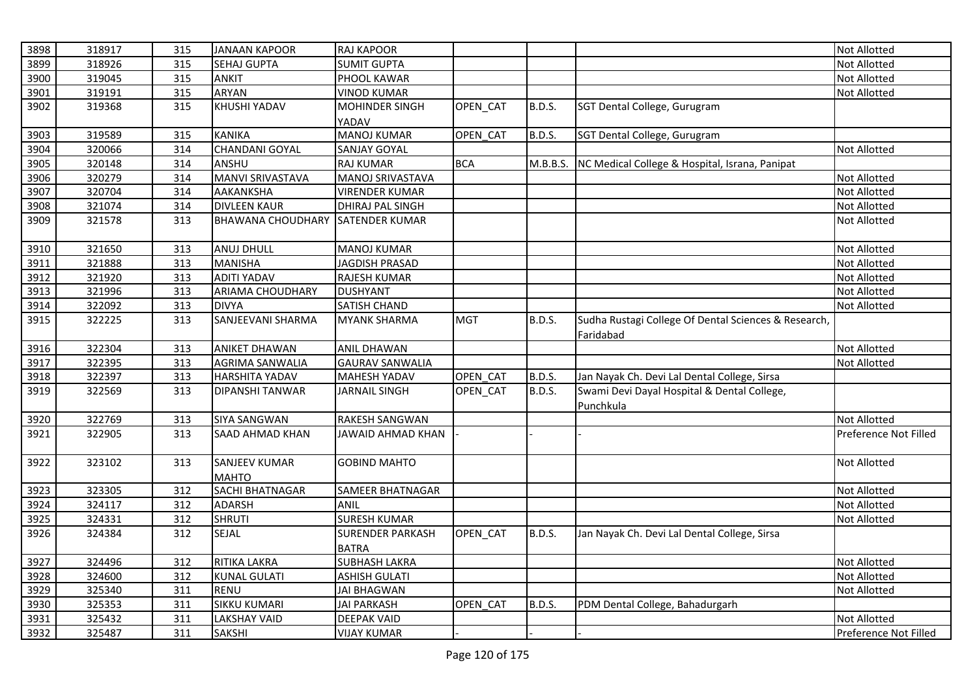| 3898 | 318917 | 315 | <b>JANAAN KAPOOR</b>     | RAJ KAPOOR               |                 |               |                                                      | <b>Not Allotted</b>   |
|------|--------|-----|--------------------------|--------------------------|-----------------|---------------|------------------------------------------------------|-----------------------|
| 3899 | 318926 | 315 | <b>SEHAJ GUPTA</b>       | <b>SUMIT GUPTA</b>       |                 |               |                                                      | <b>Not Allotted</b>   |
| 3900 | 319045 | 315 | <b>ANKIT</b>             | PHOOL KAWAR              |                 |               |                                                      | Not Allotted          |
| 3901 | 319191 | 315 | ARYAN                    | <b>VINOD KUMAR</b>       |                 |               |                                                      | Not Allotted          |
| 3902 | 319368 | 315 | KHUSHI YADAV             | <b>MOHINDER SINGH</b>    | OPEN_CAT        | <b>B.D.S.</b> | SGT Dental College, Gurugram                         |                       |
|      |        |     |                          | YADAV                    |                 |               |                                                      |                       |
| 3903 | 319589 | 315 | <b>KANIKA</b>            | <b>MANOJ KUMAR</b>       | OPEN CAT        | <b>B.D.S.</b> | SGT Dental College, Gurugram                         |                       |
| 3904 | 320066 | 314 | <b>CHANDANI GOYAL</b>    | <b>SANJAY GOYAL</b>      |                 |               |                                                      | Not Allotted          |
| 3905 | 320148 | 314 | ANSHU                    | <b>RAJ KUMAR</b>         | <b>BCA</b>      | M.B.B.S.      | NC Medical College & Hospital, Israna, Panipat       |                       |
| 3906 | 320279 | 314 | MANVI SRIVASTAVA         | MANOJ SRIVASTAVA         |                 |               |                                                      | Not Allotted          |
| 3907 | 320704 | 314 | <b>AAKANKSHA</b>         | <b>VIRENDER KUMAR</b>    |                 |               |                                                      | <b>Not Allotted</b>   |
| 3908 | 321074 | 314 | <b>DIVLEEN KAUR</b>      | DHIRAJ PAL SINGH         |                 |               |                                                      | Not Allotted          |
| 3909 | 321578 | 313 | <b>BHAWANA CHOUDHARY</b> | <b>SATENDER KUMAR</b>    |                 |               |                                                      | <b>Not Allotted</b>   |
| 3910 | 321650 | 313 | <b>ANUJ DHULL</b>        | <b>MANOJ KUMAR</b>       |                 |               |                                                      | <b>Not Allotted</b>   |
| 3911 | 321888 | 313 | <b>MANISHA</b>           | <b>JAGDISH PRASAD</b>    |                 |               |                                                      | <b>Not Allotted</b>   |
| 3912 | 321920 | 313 | <b>ADITI YADAV</b>       | RAJESH KUMAR             |                 |               |                                                      | <b>Not Allotted</b>   |
| 3913 | 321996 | 313 | <b>ARIAMA CHOUDHARY</b>  | <b>DUSHYANT</b>          |                 |               |                                                      | Not Allotted          |
| 3914 | 322092 | 313 | <b>DIVYA</b>             | <b>SATISH CHAND</b>      |                 |               |                                                      | <b>Not Allotted</b>   |
| 3915 | 322225 | 313 | SANJEEVANI SHARMA        | <b>MYANK SHARMA</b>      | <b>MGT</b>      | <b>B.D.S.</b> | Sudha Rustagi College Of Dental Sciences & Research, |                       |
|      |        |     |                          |                          |                 |               | Faridabad                                            |                       |
| 3916 | 322304 | 313 | <b>ANIKET DHAWAN</b>     | <b>ANIL DHAWAN</b>       |                 |               |                                                      | <b>Not Allotted</b>   |
| 3917 | 322395 | 313 | <b>AGRIMA SANWALIA</b>   | <b>GAURAV SANWALIA</b>   |                 |               |                                                      | Not Allotted          |
| 3918 | 322397 | 313 | <b>HARSHITA YADAV</b>    | <b>MAHESH YADAV</b>      | OPEN CAT        | <b>B.D.S.</b> | Jan Nayak Ch. Devi Lal Dental College, Sirsa         |                       |
| 3919 | 322569 | 313 | <b>DIPANSHI TANWAR</b>   | <b>JARNAIL SINGH</b>     | <b>OPEN CAT</b> | <b>B.D.S.</b> | Swami Devi Dayal Hospital & Dental College,          |                       |
|      |        |     |                          |                          |                 |               | Punchkula                                            |                       |
| 3920 | 322769 | 313 | <b>SIYA SANGWAN</b>      | RAKESH SANGWAN           |                 |               |                                                      | Not Allotted          |
| 3921 | 322905 | 313 | <b>SAAD AHMAD KHAN</b>   | <b>JAWAID AHMAD KHAN</b> |                 |               |                                                      | Preference Not Filled |
| 3922 | 323102 | 313 | <b>SANJEEV KUMAR</b>     | <b>GOBIND MAHTO</b>      |                 |               |                                                      | Not Allotted          |
|      |        |     | <b>MAHTO</b>             |                          |                 |               |                                                      |                       |
| 3923 | 323305 | 312 | <b>SACHI BHATNAGAR</b>   | <b>SAMEER BHATNAGAR</b>  |                 |               |                                                      | <b>Not Allotted</b>   |
| 3924 | 324117 | 312 | <b>ADARSH</b>            | <b>ANIL</b>              |                 |               |                                                      | <b>Not Allotted</b>   |
| 3925 | 324331 | 312 | <b>SHRUTI</b>            | <b>SURESH KUMAR</b>      |                 |               |                                                      | Not Allotted          |
| 3926 | 324384 | 312 | SEJAL                    | <b>SURENDER PARKASH</b>  | OPEN_CAT        | <b>B.D.S.</b> | Jan Nayak Ch. Devi Lal Dental College, Sirsa         |                       |
|      |        |     |                          | <b>BATRA</b>             |                 |               |                                                      |                       |
| 3927 | 324496 | 312 | RITIKA LAKRA             | <b>SUBHASH LAKRA</b>     |                 |               |                                                      | <b>Not Allotted</b>   |
| 3928 | 324600 | 312 | <b>KUNAL GULATI</b>      | <b>ASHISH GULATI</b>     |                 |               |                                                      | Not Allotted          |
| 3929 | 325340 | 311 | <b>RENU</b>              | <b>JAI BHAGWAN</b>       |                 |               |                                                      | Not Allotted          |
| 3930 | 325353 | 311 | <b>SIKKU KUMARI</b>      | <b>JAI PARKASH</b>       | OPEN CAT        | <b>B.D.S.</b> | PDM Dental College, Bahadurgarh                      |                       |
| 3931 | 325432 | 311 | <b>LAKSHAY VAID</b>      | DEEPAK VAID              |                 |               |                                                      | <b>Not Allotted</b>   |
| 3932 | 325487 | 311 | <b>SAKSHI</b>            | <b>VIJAY KUMAR</b>       |                 |               |                                                      | Preference Not Filled |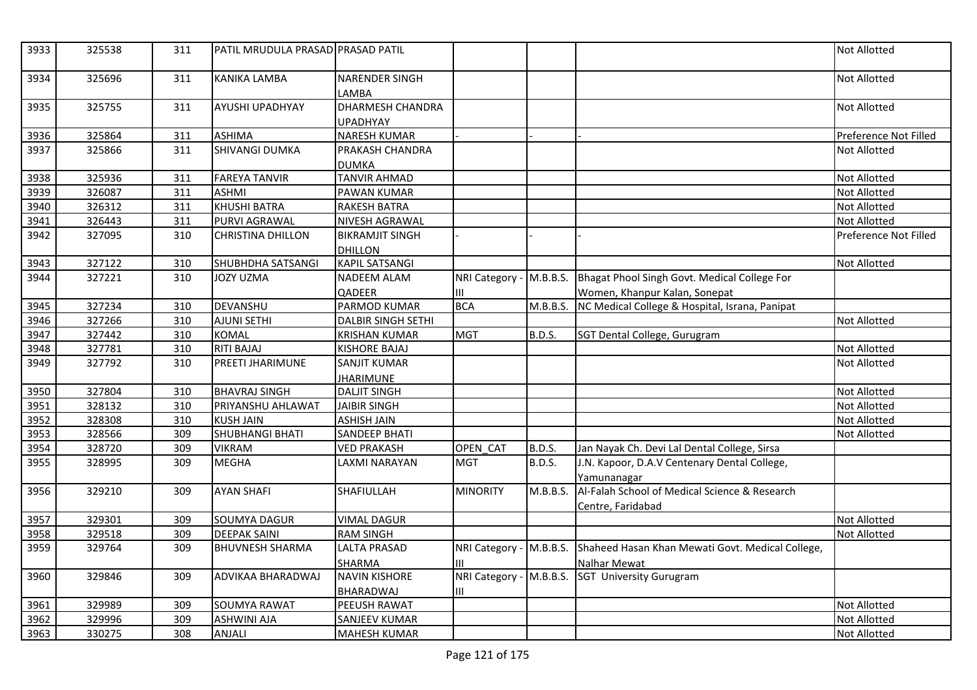| 3933 | 325538 | 311 | PATIL MRUDULA PRASAD PRASAD PATIL |                                          |                               |               |                                                                    | <b>Not Allotted</b>   |
|------|--------|-----|-----------------------------------|------------------------------------------|-------------------------------|---------------|--------------------------------------------------------------------|-----------------------|
| 3934 | 325696 | 311 | <b>KANIKA LAMBA</b>               | NARENDER SINGH<br>LAMBA                  |                               |               |                                                                    | Not Allotted          |
| 3935 | 325755 | 311 | AYUSHI UPADHYAY                   | DHARMESH CHANDRA<br><b>UPADHYAY</b>      |                               |               |                                                                    | Not Allotted          |
| 3936 | 325864 | 311 | <b>ASHIMA</b>                     | <b>NARESH KUMAR</b>                      |                               |               |                                                                    | Preference Not Filled |
| 3937 | 325866 | 311 | <b>SHIVANGI DUMKA</b>             | PRAKASH CHANDRA<br><b>DUMKA</b>          |                               |               |                                                                    | <b>Not Allotted</b>   |
| 3938 | 325936 | 311 | <b>FAREYA TANVIR</b>              | <b>TANVIR AHMAD</b>                      |                               |               |                                                                    | Not Allotted          |
| 3939 | 326087 | 311 | <b>ASHMI</b>                      | <b>PAWAN KUMAR</b>                       |                               |               |                                                                    | Not Allotted          |
| 3940 | 326312 | 311 | <b>KHUSHI BATRA</b>               | RAKESH BATRA                             |                               |               |                                                                    | Not Allotted          |
| 3941 | 326443 | 311 | PURVI AGRAWAL                     | <b>NIVESH AGRAWAL</b>                    |                               |               |                                                                    | Not Allotted          |
| 3942 | 327095 | 310 | <b>CHRISTINA DHILLON</b>          | <b>BIKRAMJIT SINGH</b>                   |                               |               |                                                                    | Preference Not Filled |
|      |        |     |                                   | <b>DHILLON</b>                           |                               |               |                                                                    |                       |
| 3943 | 327122 | 310 | SHUBHDHA SATSANGI                 | <b>KAPIL SATSANGI</b>                    |                               |               |                                                                    | Not Allotted          |
| 3944 | 327221 | 310 | <b>JOZY UZMA</b>                  | <b>NADEEM ALAM</b>                       | NRI Category - M.B.B.S.       |               | Bhagat Phool Singh Govt. Medical College For                       |                       |
|      |        |     |                                   | QADEER                                   | Ш                             |               | Women, Khanpur Kalan, Sonepat                                      |                       |
| 3945 | 327234 | 310 | DEVANSHU                          | PARMOD KUMAR                             | <b>BCA</b>                    | M.B.B.S.      | NC Medical College & Hospital, Israna, Panipat                     |                       |
| 3946 | 327266 | 310 | AJUNI SETHI                       | <b>DALBIR SINGH SETHI</b>                |                               |               |                                                                    | <b>Not Allotted</b>   |
| 3947 | 327442 | 310 | <b>KOMAL</b>                      | <b>KRISHAN KUMAR</b>                     | <b>MGT</b>                    | <b>B.D.S.</b> | SGT Dental College, Gurugram                                       |                       |
| 3948 | 327781 | 310 | <b>RITI BAJAJ</b>                 | <b>KISHORE BAJAJ</b>                     |                               |               |                                                                    | Not Allotted          |
| 3949 | 327792 | 310 | PREETI JHARIMUNE                  | <b>SANJIT KUMAR</b>                      |                               |               |                                                                    | Not Allotted          |
|      |        |     |                                   | <b>JHARIMUNE</b>                         |                               |               |                                                                    |                       |
| 3950 | 327804 | 310 | <b>BHAVRAJ SINGH</b>              | <b>DALJIT SINGH</b>                      |                               |               |                                                                    | Not Allotted          |
| 3951 | 328132 | 310 | PRIYANSHU AHLAWAT                 | <b>JAIBIR SINGH</b>                      |                               |               |                                                                    | Not Allotted          |
| 3952 | 328308 | 310 | <b>KUSH JAIN</b>                  | <b>ASHISH JAIN</b>                       |                               |               |                                                                    | Not Allotted          |
| 3953 | 328566 | 309 | SHUBHANGI BHATI                   | SANDEEP BHATI                            |                               |               |                                                                    | Not Allotted          |
| 3954 | 328720 | 309 | <b>VIKRAM</b>                     | <b>VED PRAKASH</b>                       | OPEN_CAT                      | <b>B.D.S.</b> | Jan Nayak Ch. Devi Lal Dental College, Sirsa                       |                       |
| 3955 | 328995 | 309 | <b>MEGHA</b>                      | LAXMI NARAYAN                            | <b>MGT</b>                    | <b>B.D.S.</b> | J.N. Kapoor, D.A.V Centenary Dental College,<br>Yamunanagar        |                       |
| 3956 | 329210 | 309 | <b>AYAN SHAFI</b>                 | SHAFIULLAH                               | <b>MINORITY</b>               | M.B.B.S.      | Al-Falah School of Medical Science & Research<br>Centre, Faridabad |                       |
| 3957 | 329301 | 309 | <b>SOUMYA DAGUR</b>               | <b>VIMAL DAGUR</b>                       |                               |               |                                                                    | Not Allotted          |
| 3958 | 329518 | 309 | <b>DEEPAK SAINI</b>               | <b>RAM SINGH</b>                         |                               |               |                                                                    | <b>Not Allotted</b>   |
| 3959 | 329764 | 309 | <b>BHUVNESH SHARMA</b>            | <b>LALTA PRASAD</b>                      | NRI Category - M.B.B.S.       |               | Shaheed Hasan Khan Mewati Govt. Medical College,                   |                       |
|      |        |     |                                   | SHARMA                                   | III                           |               | <b>Nalhar Mewat</b>                                                |                       |
| 3960 | 329846 | 309 | ADVIKAA BHARADWAJ                 | <b>NAVIN KISHORE</b><br><b>BHARADWAJ</b> | NRI Category - M.B.B.S.<br>ШL |               | SGT University Gurugram                                            |                       |
| 3961 | 329989 | 309 | <b>SOUMYA RAWAT</b>               | PEEUSH RAWAT                             |                               |               |                                                                    | Not Allotted          |
| 3962 | 329996 | 309 | <b>ASHWINI AJA</b>                | SANJEEV KUMAR                            |                               |               |                                                                    | Not Allotted          |
| 3963 | 330275 | 308 | <b>ANJALI</b>                     | <b>MAHESH KUMAR</b>                      |                               |               |                                                                    | <b>Not Allotted</b>   |
|      |        |     |                                   |                                          |                               |               |                                                                    |                       |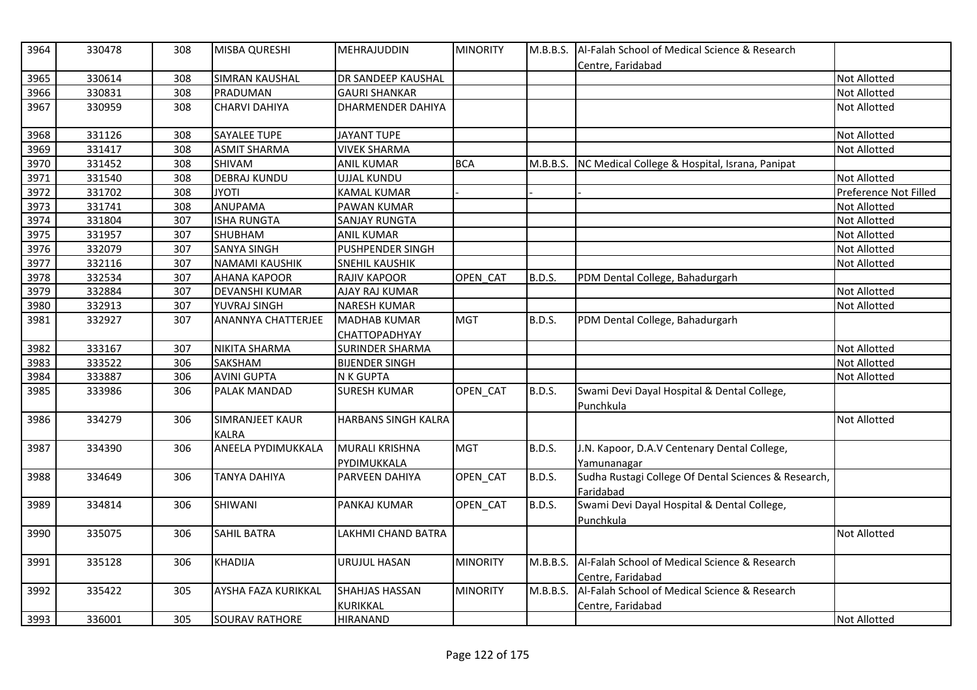| 3964 | 330478 | 308 | MISBA QURESHI                   | MEHRAJUDDIN                              | <b>MINORITY</b> | M.B.B.S.      | Al-Falah School of Medical Science & Research<br>Centre, Faridabad |                       |
|------|--------|-----|---------------------------------|------------------------------------------|-----------------|---------------|--------------------------------------------------------------------|-----------------------|
| 3965 | 330614 | 308 | <b>SIMRAN KAUSHAL</b>           | DR SANDEEP KAUSHAL                       |                 |               |                                                                    | <b>Not Allotted</b>   |
| 3966 | 330831 | 308 | PRADUMAN                        | <b>GAURI SHANKAR</b>                     |                 |               |                                                                    | Not Allotted          |
| 3967 | 330959 | 308 | <b>CHARVI DAHIYA</b>            | DHARMENDER DAHIYA                        |                 |               |                                                                    | Not Allotted          |
| 3968 | 331126 | 308 | <b>SAYALEE TUPE</b>             | <b>JAYANT TUPE</b>                       |                 |               |                                                                    | Not Allotted          |
| 3969 | 331417 | 308 | <b>ASMIT SHARMA</b>             | <b>VIVEK SHARMA</b>                      |                 |               |                                                                    | Not Allotted          |
| 3970 | 331452 | 308 | SHIVAM                          | <b>ANIL KUMAR</b>                        | <b>BCA</b>      | M.B.B.S.      | NC Medical College & Hospital, Israna, Panipat                     |                       |
| 3971 | 331540 | 308 | <b>DEBRAJ KUNDU</b>             | <b>UJJAL KUNDU</b>                       |                 |               |                                                                    | Not Allotted          |
| 3972 | 331702 | 308 | itoyl                           | <b>KAMAL KUMAR</b>                       |                 |               |                                                                    | Preference Not Filled |
| 3973 | 331741 | 308 | ANUPAMA                         | PAWAN KUMAR                              |                 |               |                                                                    | Not Allotted          |
| 3974 | 331804 | 307 | <b>ISHA RUNGTA</b>              | <b>SANJAY RUNGTA</b>                     |                 |               |                                                                    | Not Allotted          |
| 3975 | 331957 | 307 | <b>SHUBHAM</b>                  | <b>ANIL KUMAR</b>                        |                 |               |                                                                    | Not Allotted          |
| 3976 | 332079 | 307 | <b>SANYA SINGH</b>              | PUSHPENDER SINGH                         |                 |               |                                                                    | Not Allotted          |
| 3977 | 332116 | 307 | <b>NAMAMI KAUSHIK</b>           | SNEHIL KAUSHIK                           |                 |               |                                                                    | Not Allotted          |
| 3978 | 332534 | 307 | AHANA KAPOOR                    | RAJIV KAPOOR                             | OPEN CAT        | <b>B.D.S.</b> | PDM Dental College, Bahadurgarh                                    |                       |
| 3979 | 332884 | 307 | <b>DEVANSHI KUMAR</b>           | AJAY RAJ KUMAR                           |                 |               |                                                                    | Not Allotted          |
| 3980 | 332913 | 307 | YUVRAJ SINGH                    | <b>NARESH KUMAR</b>                      |                 |               |                                                                    | <b>Not Allotted</b>   |
| 3981 | 332927 | 307 | ANANNYA CHATTERJEE              | <b>MADHAB KUMAR</b><br>CHATTOPADHYAY     | <b>MGT</b>      | <b>B.D.S.</b> | PDM Dental College, Bahadurgarh                                    |                       |
| 3982 | 333167 | 307 | NIKITA SHARMA                   | <b>SURINDER SHARMA</b>                   |                 |               |                                                                    | Not Allotted          |
| 3983 | 333522 | 306 | SAKSHAM                         | <b>BIJENDER SINGH</b>                    |                 |               |                                                                    | Not Allotted          |
| 3984 | 333887 | 306 | <b>AVINI GUPTA</b>              | <b>N K GUPTA</b>                         |                 |               |                                                                    | <b>Not Allotted</b>   |
| 3985 | 333986 | 306 | PALAK MANDAD                    | <b>SURESH KUMAR</b>                      | OPEN CAT        | B.D.S.        | Swami Devi Dayal Hospital & Dental College,<br>Punchkula           |                       |
| 3986 | 334279 | 306 | SIMRANJEET KAUR<br><b>KALRA</b> | HARBANS SINGH KALRA                      |                 |               |                                                                    | Not Allotted          |
| 3987 | 334390 | 306 | ANEELA PYDIMUKKALA              | <b>MURALI KRISHNA</b><br>PYDIMUKKALA     | <b>MGT</b>      | <b>B.D.S.</b> | J.N. Kapoor, D.A.V Centenary Dental College,<br>Yamunanagar        |                       |
| 3988 | 334649 | 306 | <b>TANYA DAHIYA</b>             | PARVEEN DAHIYA                           | OPEN_CAT        | <b>B.D.S.</b> | Sudha Rustagi College Of Dental Sciences & Research,<br>Faridabad  |                       |
| 3989 | 334814 | 306 | SHIWANI                         | PANKAJ KUMAR                             | OPEN_CAT        | <b>B.D.S.</b> | Swami Devi Dayal Hospital & Dental College,<br>Punchkula           |                       |
| 3990 | 335075 | 306 | <b>SAHIL BATRA</b>              | LAKHMI CHAND BATRA                       |                 |               |                                                                    | Not Allotted          |
| 3991 | 335128 | 306 | <b>KHADIJA</b>                  | URUJUL HASAN                             | <b>MINORITY</b> | M.B.B.S.      | Al-Falah School of Medical Science & Research<br>Centre, Faridabad |                       |
| 3992 | 335422 | 305 | AYSHA FAZA KURIKKAL             | <b>SHAHJAS HASSAN</b><br><b>KURIKKAL</b> | <b>MINORITY</b> | M.B.B.S.      | Al-Falah School of Medical Science & Research<br>Centre, Faridabad |                       |
| 3993 | 336001 | 305 | <b>SOURAV RATHORE</b>           | <b>HIRANAND</b>                          |                 |               |                                                                    | Not Allotted          |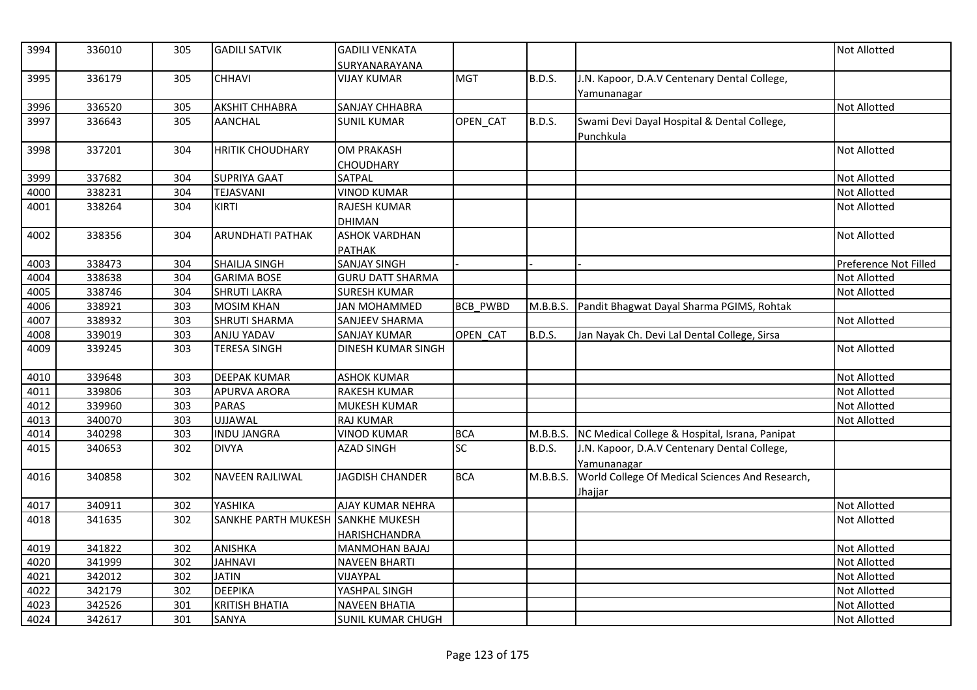| 3994 | 336010 | 305 | <b>GADILI SATVIK</b>              | <b>GADILI VENKATA</b>      |                 |               |                                                 | <b>Not Allotted</b>   |
|------|--------|-----|-----------------------------------|----------------------------|-----------------|---------------|-------------------------------------------------|-----------------------|
|      |        |     |                                   | SURYANARAYANA              |                 |               |                                                 |                       |
| 3995 | 336179 | 305 | <b>CHHAVI</b>                     | <b>VIJAY KUMAR</b>         | <b>MGT</b>      | <b>B.D.S.</b> | J.N. Kapoor, D.A.V Centenary Dental College,    |                       |
|      |        |     |                                   |                            |                 |               | Yamunanagar                                     |                       |
| 3996 | 336520 | 305 | <b>AKSHIT CHHABRA</b>             | <b>SANJAY CHHABRA</b>      |                 |               |                                                 | <b>Not Allotted</b>   |
| 3997 | 336643 | 305 | <b>AANCHAL</b>                    | <b>SUNIL KUMAR</b>         | OPEN_CAT        | <b>B.D.S.</b> | Swami Devi Dayal Hospital & Dental College,     |                       |
|      | 337201 |     | <b>HRITIK CHOUDHARY</b>           | <b>OM PRAKASH</b>          |                 |               | Punchkula                                       | <b>Not Allotted</b>   |
| 3998 |        | 304 |                                   |                            |                 |               |                                                 |                       |
| 3999 | 337682 | 304 | <b>SUPRIYA GAAT</b>               | <b>CHOUDHARY</b><br>SATPAL |                 |               |                                                 | <b>Not Allotted</b>   |
|      |        |     |                                   |                            |                 |               |                                                 |                       |
| 4000 | 338231 | 304 | TEJASVANI                         | <b>VINOD KUMAR</b>         |                 |               |                                                 | <b>Not Allotted</b>   |
| 4001 | 338264 | 304 | <b>KIRTI</b>                      | <b>RAJESH KUMAR</b>        |                 |               |                                                 | <b>Not Allotted</b>   |
|      |        |     |                                   | <b>DHIMAN</b>              |                 |               |                                                 |                       |
| 4002 | 338356 | 304 | <b>ARUNDHATI PATHAK</b>           | <b>ASHOK VARDHAN</b>       |                 |               |                                                 | <b>Not Allotted</b>   |
|      |        |     |                                   | <b>PATHAK</b>              |                 |               |                                                 |                       |
| 4003 | 338473 | 304 | <b>SHAILIA SINGH</b>              | <b>SANJAY SINGH</b>        |                 |               |                                                 | Preference Not Filled |
| 4004 | 338638 | 304 | <b>GARIMA BOSE</b>                | <b>GURU DATT SHARMA</b>    |                 |               |                                                 | <b>Not Allotted</b>   |
| 4005 | 338746 | 304 | <b>SHRUTI LAKRA</b>               | <b>SURESH KUMAR</b>        |                 |               |                                                 | <b>Not Allotted</b>   |
| 4006 | 338921 | 303 | <b>MOSIM KHAN</b>                 | <b>JAN MOHAMMED</b>        | <b>BCB PWBD</b> | M.B.B.S.      | Pandit Bhagwat Dayal Sharma PGIMS, Rohtak       |                       |
| 4007 | 338932 | 303 | <b>SHRUTI SHARMA</b>              | <b>SANJEEV SHARMA</b>      |                 |               |                                                 | <b>Not Allotted</b>   |
| 4008 | 339019 | 303 | ANJU YADAV                        | <b>SANJAY KUMAR</b>        | OPEN CAT        | <b>B.D.S.</b> | Jan Nayak Ch. Devi Lal Dental College, Sirsa    |                       |
| 4009 | 339245 | 303 | <b>TERESA SINGH</b>               | DINESH KUMAR SINGH         |                 |               |                                                 | <b>Not Allotted</b>   |
| 4010 | 339648 | 303 | <b>DEEPAK KUMAR</b>               | <b>ASHOK KUMAR</b>         |                 |               |                                                 | <b>Not Allotted</b>   |
| 4011 | 339806 | 303 | <b>APURVA ARORA</b>               | <b>RAKESH KUMAR</b>        |                 |               |                                                 | <b>Not Allotted</b>   |
| 4012 | 339960 | 303 | <b>PARAS</b>                      | <b>MUKESH KUMAR</b>        |                 |               |                                                 | Not Allotted          |
| 4013 | 340070 | 303 | <b>UJJAWAL</b>                    | <b>RAJ KUMAR</b>           |                 |               |                                                 | <b>Not Allotted</b>   |
| 4014 | 340298 | 303 | <b>INDU JANGRA</b>                | <b>VINOD KUMAR</b>         | <b>BCA</b>      | M.B.B.S.      | NC Medical College & Hospital, Israna, Panipat  |                       |
| 4015 | 340653 | 302 | <b>DIVYA</b>                      | <b>AZAD SINGH</b>          | $\overline{SC}$ | <b>B.D.S.</b> | J.N. Kapoor, D.A.V Centenary Dental College,    |                       |
|      |        |     |                                   |                            |                 |               | Yamunanagar                                     |                       |
| 4016 | 340858 | 302 | <b>NAVEEN RAJLIWAL</b>            | <b>JAGDISH CHANDER</b>     | <b>BCA</b>      | M.B.B.S.      | World College Of Medical Sciences And Research, |                       |
|      |        |     |                                   |                            |                 |               | Jhajjar                                         |                       |
| 4017 | 340911 | 302 | YASHIKA                           | AJAY KUMAR NEHRA           |                 |               |                                                 | Not Allotted          |
| 4018 | 341635 | 302 | SANKHE PARTH MUKESH SANKHE MUKESH |                            |                 |               |                                                 | <b>Not Allotted</b>   |
|      |        |     |                                   | <b>HARISHCHANDRA</b>       |                 |               |                                                 |                       |
| 4019 | 341822 | 302 | ANISHKA                           | <b>MANMOHAN BAJAJ</b>      |                 |               |                                                 | <b>Not Allotted</b>   |
| 4020 | 341999 | 302 | <b>JAHNAVI</b>                    | <b>NAVEEN BHARTI</b>       |                 |               |                                                 | <b>Not Allotted</b>   |
| 4021 | 342012 | 302 | <b>JATIN</b>                      | VIJAYPAL                   |                 |               |                                                 | Not Allotted          |
| 4022 | 342179 | 302 | <b>DEEPIKA</b>                    | YASHPAL SINGH              |                 |               |                                                 | <b>Not Allotted</b>   |
| 4023 | 342526 | 301 | <b>KRITISH BHATIA</b>             | <b>NAVEEN BHATIA</b>       |                 |               |                                                 | <b>Not Allotted</b>   |
| 4024 | 342617 | 301 | SANYA                             | <b>SUNIL KUMAR CHUGH</b>   |                 |               |                                                 | <b>Not Allotted</b>   |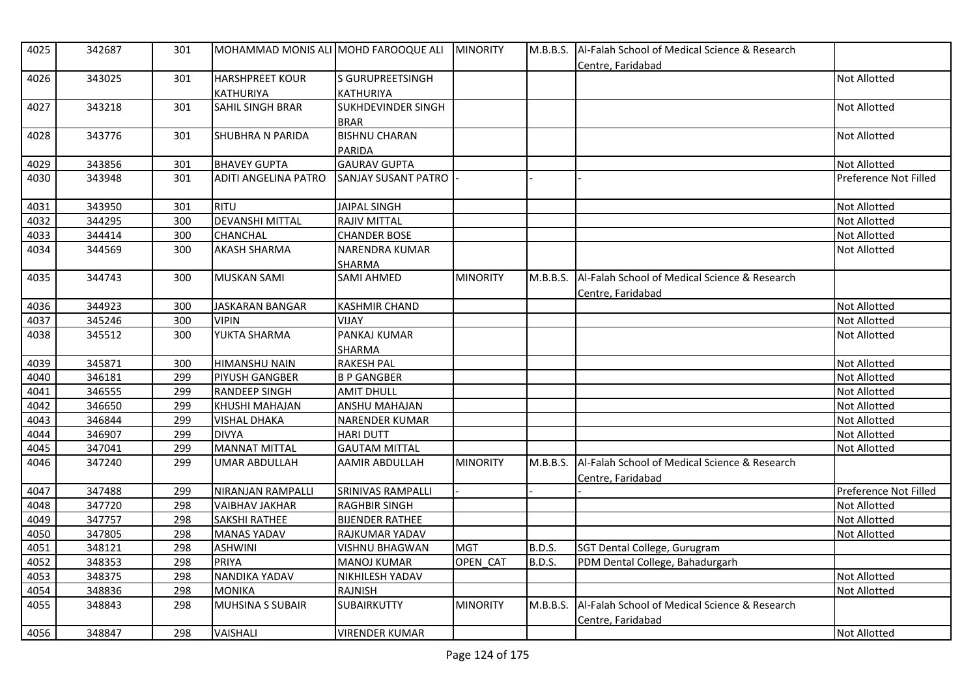| 4025 | 342687 | 301 | MOHAMMAD MONIS ALI MOHD FAROOQUE ALI |                           | <b>MINORITY</b> | M.B.B.S.      | Al-Falah School of Medical Science & Research<br>Centre, Faridabad |                       |
|------|--------|-----|--------------------------------------|---------------------------|-----------------|---------------|--------------------------------------------------------------------|-----------------------|
| 4026 | 343025 | 301 | <b>HARSHPREET KOUR</b>               | S GURUPREETSINGH          |                 |               |                                                                    | <b>Not Allotted</b>   |
|      |        |     | <b>KATHURIYA</b>                     | <b>KATHURIYA</b>          |                 |               |                                                                    |                       |
| 4027 | 343218 | 301 | <b>SAHIL SINGH BRAR</b>              | <b>SUKHDEVINDER SINGH</b> |                 |               |                                                                    | Not Allotted          |
|      |        |     |                                      | <b>BRAR</b>               |                 |               |                                                                    |                       |
| 4028 | 343776 | 301 | <b>SHUBHRA N PARIDA</b>              | <b>BISHNU CHARAN</b>      |                 |               |                                                                    | <b>Not Allotted</b>   |
|      |        |     |                                      | <b>PARIDA</b>             |                 |               |                                                                    |                       |
| 4029 | 343856 | 301 | <b>BHAVEY GUPTA</b>                  | <b>GAURAV GUPTA</b>       |                 |               |                                                                    | <b>Not Allotted</b>   |
| 4030 | 343948 | 301 | ADITI ANGELINA PATRO                 | SANJAY SUSANT PATRO       |                 |               |                                                                    | Preference Not Filled |
| 4031 | 343950 | 301 | <b>RITU</b>                          | <b>JAIPAL SINGH</b>       |                 |               |                                                                    | Not Allotted          |
| 4032 | 344295 | 300 | <b>DEVANSHI MITTAL</b>               | <b>RAJIV MITTAL</b>       |                 |               |                                                                    | <b>Not Allotted</b>   |
| 4033 | 344414 | 300 | CHANCHAL                             | <b>CHANDER BOSE</b>       |                 |               |                                                                    | <b>Not Allotted</b>   |
| 4034 | 344569 | 300 | <b>AKASH SHARMA</b>                  | NARENDRA KUMAR            |                 |               |                                                                    | <b>Not Allotted</b>   |
|      |        |     |                                      | <b>SHARMA</b>             |                 |               |                                                                    |                       |
| 4035 | 344743 | 300 | <b>MUSKAN SAMI</b>                   | <b>SAMI AHMED</b>         | <b>MINORITY</b> | M.B.B.S.      | Al-Falah School of Medical Science & Research                      |                       |
|      |        |     |                                      |                           |                 |               | Centre, Faridabad                                                  |                       |
| 4036 | 344923 | 300 | JASKARAN BANGAR                      | <b>KASHMIR CHAND</b>      |                 |               |                                                                    | Not Allotted          |
| 4037 | 345246 | 300 | <b>VIPIN</b>                         | VIJAY                     |                 |               |                                                                    | <b>Not Allotted</b>   |
| 4038 | 345512 | 300 | YUKTA SHARMA                         | PANKAJ KUMAR              |                 |               |                                                                    | <b>Not Allotted</b>   |
|      |        |     |                                      | <b>SHARMA</b>             |                 |               |                                                                    |                       |
| 4039 | 345871 | 300 | <b>HIMANSHU NAIN</b>                 | <b>RAKESH PAL</b>         |                 |               |                                                                    | <b>Not Allotted</b>   |
| 4040 | 346181 | 299 | <b>PIYUSH GANGBER</b>                | <b>B P GANGBER</b>        |                 |               |                                                                    | <b>Not Allotted</b>   |
| 4041 | 346555 | 299 | <b>RANDEEP SINGH</b>                 | <b>AMIT DHULL</b>         |                 |               |                                                                    | <b>Not Allotted</b>   |
| 4042 | 346650 | 299 | KHUSHI MAHAJAN                       | ANSHU MAHAJAN             |                 |               |                                                                    | <b>Not Allotted</b>   |
| 4043 | 346844 | 299 | <b>VISHAL DHAKA</b>                  | NARENDER KUMAR            |                 |               |                                                                    | <b>Not Allotted</b>   |
| 4044 | 346907 | 299 | <b>DIVYA</b>                         | <b>HARI DUTT</b>          |                 |               |                                                                    | <b>Not Allotted</b>   |
| 4045 | 347041 | 299 | <b>MANNAT MITTAL</b>                 | <b>GAUTAM MITTAL</b>      |                 |               |                                                                    | <b>Not Allotted</b>   |
| 4046 | 347240 | 299 | <b>UMAR ABDULLAH</b>                 | <b>AAMIR ABDULLAH</b>     | <b>MINORITY</b> | M.B.B.S.      | Al-Falah School of Medical Science & Research                      |                       |
|      |        |     |                                      |                           |                 |               | Centre, Faridabad                                                  |                       |
| 4047 | 347488 | 299 | <b>NIRANJAN RAMPALLI</b>             | SRINIVAS RAMPALLI         |                 |               |                                                                    | Preference Not Filled |
| 4048 | 347720 | 298 | <b>VAIBHAV JAKHAR</b>                | <b>RAGHBIR SINGH</b>      |                 |               |                                                                    | <b>Not Allotted</b>   |
| 4049 | 347757 | 298 | SAKSHI RATHEE                        | <b>BIJENDER RATHEE</b>    |                 |               |                                                                    | <b>Not Allotted</b>   |
| 4050 | 347805 | 298 | <b>MANAS YADAV</b>                   | RAJKUMAR YADAV            |                 |               |                                                                    | <b>Not Allotted</b>   |
| 4051 | 348121 | 298 | <b>ASHWINI</b>                       | <b>VISHNU BHAGWAN</b>     | <b>MGT</b>      | B.D.S.        | SGT Dental College, Gurugram                                       |                       |
| 4052 | 348353 | 298 | PRIYA                                | <b>MANOJ KUMAR</b>        | OPEN CAT        | <b>B.D.S.</b> | PDM Dental College, Bahadurgarh                                    |                       |
| 4053 | 348375 | 298 | <b>NANDIKA YADAV</b>                 | NIKHILESH YADAV           |                 |               |                                                                    | <b>Not Allotted</b>   |
| 4054 | 348836 | 298 | <b>MONIKA</b>                        | RAJNISH                   |                 |               |                                                                    | <b>Not Allotted</b>   |
| 4055 | 348843 | 298 | <b>MUHSINA S SUBAIR</b>              | <b>SUBAIRKUTTY</b>        | <b>MINORITY</b> | M.B.B.S.      | Al-Falah School of Medical Science & Research                      |                       |
|      |        |     |                                      |                           |                 |               | Centre, Faridabad                                                  |                       |
| 4056 | 348847 | 298 | VAISHALI                             | <b>VIRENDER KUMAR</b>     |                 |               |                                                                    | <b>Not Allotted</b>   |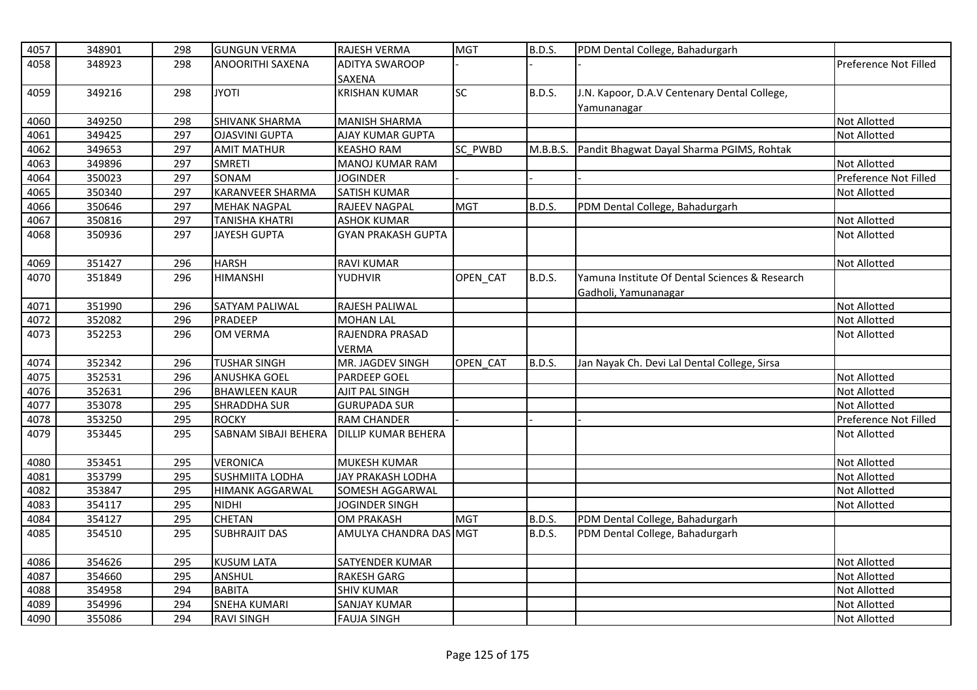| 4057 | 348901 | 298 | <b>GUNGUN VERMA</b>     | RAJESH VERMA               | <b>MGT</b> | B.D.S.        | PDM Dental College, Bahadurgarh                |                       |
|------|--------|-----|-------------------------|----------------------------|------------|---------------|------------------------------------------------|-----------------------|
| 4058 | 348923 | 298 | ANOORITHI SAXENA        | <b>ADITYA SWAROOP</b>      |            |               |                                                | Preference Not Filled |
|      |        |     |                         | <b>SAXENA</b>              |            |               |                                                |                       |
| 4059 | 349216 | 298 | <b>JYOTI</b>            | <b>KRISHAN KUMAR</b>       | <b>SC</b>  | <b>B.D.S.</b> | J.N. Kapoor, D.A.V Centenary Dental College,   |                       |
|      |        |     |                         |                            |            |               | Yamunanagar                                    |                       |
| 4060 | 349250 | 298 | SHIVANK SHARMA          | <b>MANISH SHARMA</b>       |            |               |                                                | <b>Not Allotted</b>   |
| 4061 | 349425 | 297 | <b>OJASVINI GUPTA</b>   | <b>AJAY KUMAR GUPTA</b>    |            |               |                                                | <b>Not Allotted</b>   |
| 4062 | 349653 | 297 | <b>AMIT MATHUR</b>      | <b>KEASHO RAM</b>          | SC PWBD    | M.B.B.S.      | Pandit Bhagwat Dayal Sharma PGIMS, Rohtak      |                       |
| 4063 | 349896 | 297 | <b>SMRETI</b>           | <b>MANOJ KUMAR RAM</b>     |            |               |                                                | <b>Not Allotted</b>   |
| 4064 | 350023 | 297 | SONAM                   | <b>JOGINDER</b>            |            |               |                                                | Preference Not Filled |
| 4065 | 350340 | 297 | <b>KARANVEER SHARMA</b> | <b>SATISH KUMAR</b>        |            |               |                                                | <b>Not Allotted</b>   |
| 4066 | 350646 | 297 | <b>MEHAK NAGPAL</b>     | RAJEEV NAGPAL              | <b>MGT</b> | <b>B.D.S.</b> | PDM Dental College, Bahadurgarh                |                       |
| 4067 | 350816 | 297 | <b>TANISHA KHATRI</b>   | <b>ASHOK KUMAR</b>         |            |               |                                                | <b>Not Allotted</b>   |
| 4068 | 350936 | 297 | <b>JAYESH GUPTA</b>     | <b>GYAN PRAKASH GUPTA</b>  |            |               |                                                | <b>Not Allotted</b>   |
| 4069 | 351427 | 296 | <b>HARSH</b>            | <b>RAVI KUMAR</b>          |            |               |                                                | <b>Not Allotted</b>   |
| 4070 | 351849 | 296 | <b>HIMANSHI</b>         | YUDHVIR                    | OPEN_CAT   | <b>B.D.S.</b> | Yamuna Institute Of Dental Sciences & Research |                       |
|      |        |     |                         |                            |            |               | Gadholi, Yamunanagar                           |                       |
| 4071 | 351990 | 296 | <b>SATYAM PALIWAL</b>   | RAJESH PALIWAL             |            |               |                                                | <b>Not Allotted</b>   |
| 4072 | 352082 | 296 | <b>PRADEEP</b>          | <b>MOHAN LAL</b>           |            |               |                                                | Not Allotted          |
| 4073 | 352253 | 296 | <b>OM VERMA</b>         | RAJENDRA PRASAD            |            |               |                                                | <b>Not Allotted</b>   |
|      |        |     |                         | VERMA                      |            |               |                                                |                       |
| 4074 | 352342 | 296 | <b>TUSHAR SINGH</b>     | MR. JAGDEV SINGH           | OPEN CAT   | <b>B.D.S.</b> | Jan Nayak Ch. Devi Lal Dental College, Sirsa   |                       |
| 4075 | 352531 | 296 | <b>ANUSHKA GOEL</b>     | <b>PARDEEP GOEL</b>        |            |               |                                                | <b>Not Allotted</b>   |
| 4076 | 352631 | 296 | <b>BHAWLEEN KAUR</b>    | AJIT PAL SINGH             |            |               |                                                | <b>Not Allotted</b>   |
| 4077 | 353078 | 295 | <b>SHRADDHA SUR</b>     | <b>GURUPADA SUR</b>        |            |               |                                                | <b>Not Allotted</b>   |
| 4078 | 353250 | 295 | <b>ROCKY</b>            | RAM CHANDER                |            |               |                                                | Preference Not Filled |
| 4079 | 353445 | 295 | SABNAM SIBAJI BEHERA    | <b>DILLIP KUMAR BEHERA</b> |            |               |                                                | Not Allotted          |
| 4080 | 353451 | 295 | <b>VERONICA</b>         | <b>MUKESH KUMAR</b>        |            |               |                                                | Not Allotted          |
| 4081 | 353799 | 295 | <b>SUSHMIITA LODHA</b>  | JAY PRAKASH LODHA          |            |               |                                                | <b>Not Allotted</b>   |
| 4082 | 353847 | 295 | <b>HIMANK AGGARWAL</b>  | SOMESH AGGARWAL            |            |               |                                                | <b>Not Allotted</b>   |
| 4083 | 354117 | 295 | <b>NIDHI</b>            | <b>JOGINDER SINGH</b>      |            |               |                                                | Not Allotted          |
| 4084 | 354127 | 295 | <b>CHETAN</b>           | <b>OM PRAKASH</b>          | <b>MGT</b> | B.D.S.        | PDM Dental College, Bahadurgarh                |                       |
| 4085 | 354510 | 295 | <b>SUBHRAJIT DAS</b>    | AMULYA CHANDRA DAS MGT     |            | B.D.S.        | PDM Dental College, Bahadurgarh                |                       |
| 4086 | 354626 | 295 | <b>KUSUM LATA</b>       | SATYENDER KUMAR            |            |               |                                                | <b>Not Allotted</b>   |
| 4087 | 354660 | 295 | ANSHUL                  | <b>RAKESH GARG</b>         |            |               |                                                | Not Allotted          |
| 4088 | 354958 | 294 | <b>BABITA</b>           | <b>SHIV KUMAR</b>          |            |               |                                                | <b>Not Allotted</b>   |
| 4089 | 354996 | 294 | <b>SNEHA KUMARI</b>     | <b>SANJAY KUMAR</b>        |            |               |                                                | <b>Not Allotted</b>   |
| 4090 | 355086 | 294 | <b>RAVI SINGH</b>       | <b>FAUJA SINGH</b>         |            |               |                                                | <b>Not Allotted</b>   |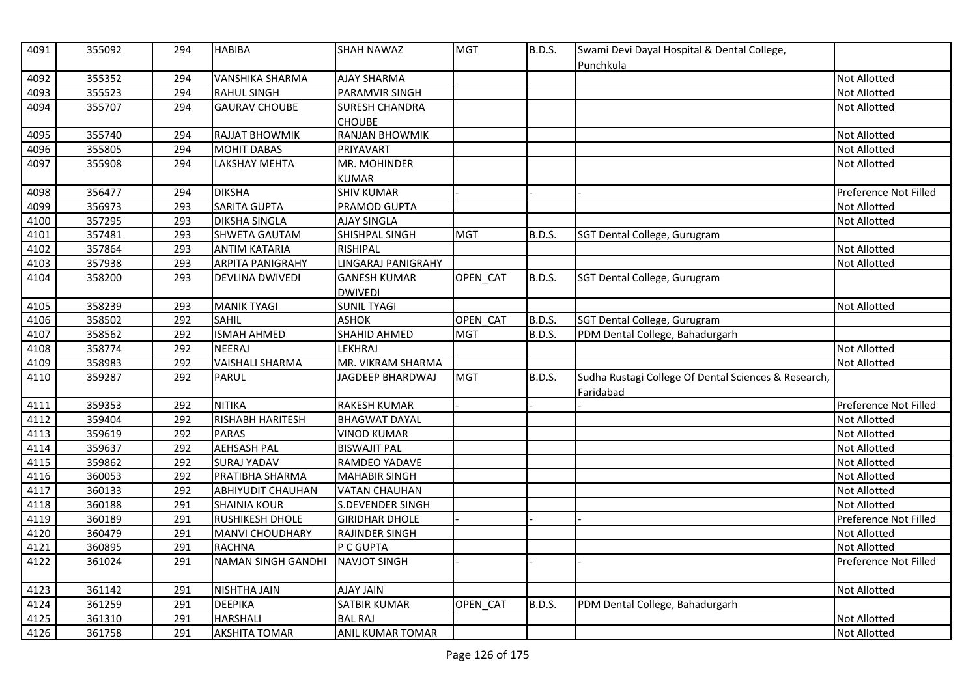| 4091 | 355092 | 294 | <b>HABIBA</b>             | <b>SHAH NAWAZ</b>       | <b>MGT</b> | <b>B.D.S.</b> | Swami Devi Dayal Hospital & Dental College,<br>Punchkula          |                       |
|------|--------|-----|---------------------------|-------------------------|------------|---------------|-------------------------------------------------------------------|-----------------------|
| 4092 | 355352 | 294 | <b>VANSHIKA SHARMA</b>    | <b>AJAY SHARMA</b>      |            |               |                                                                   | Not Allotted          |
| 4093 | 355523 | 294 | <b>RAHUL SINGH</b>        | PARAMVIR SINGH          |            |               |                                                                   | Not Allotted          |
| 4094 | 355707 | 294 | <b>GAURAV CHOUBE</b>      | SURESH CHANDRA          |            |               |                                                                   | Not Allotted          |
|      |        |     |                           | <b>CHOUBE</b>           |            |               |                                                                   |                       |
| 4095 | 355740 | 294 | <b>RAJJAT BHOWMIK</b>     | RANJAN BHOWMIK          |            |               |                                                                   | Not Allotted          |
| 4096 | 355805 | 294 | <b>MOHIT DABAS</b>        | PRIYAVART               |            |               |                                                                   | Not Allotted          |
| 4097 | 355908 | 294 | <b>LAKSHAY MEHTA</b>      | MR. MOHINDER            |            |               |                                                                   | Not Allotted          |
|      |        |     |                           | <b>KUMAR</b>            |            |               |                                                                   |                       |
| 4098 | 356477 | 294 | <b>DIKSHA</b>             | <b>SHIV KUMAR</b>       |            |               |                                                                   | Preference Not Filled |
| 4099 | 356973 | 293 | <b>SARITA GUPTA</b>       | PRAMOD GUPTA            |            |               |                                                                   | Not Allotted          |
| 4100 | 357295 | 293 | <b>DIKSHA SINGLA</b>      | <b>AJAY SINGLA</b>      |            |               |                                                                   | Not Allotted          |
| 4101 | 357481 | 293 | SHWETA GAUTAM             | SHISHPAL SINGH          | <b>MGT</b> | <b>B.D.S.</b> | SGT Dental College, Gurugram                                      |                       |
| 4102 | 357864 | 293 | <b>ANTIM KATARIA</b>      | <b>RISHIPAL</b>         |            |               |                                                                   | Not Allotted          |
| 4103 | 357938 | 293 | <b>ARPITA PANIGRAHY</b>   | LINGARAJ PANIGRAHY      |            |               |                                                                   | Not Allotted          |
| 4104 | 358200 | 293 | <b>DEVLINA DWIVEDI</b>    | <b>GANESH KUMAR</b>     | OPEN CAT   | <b>B.D.S.</b> | SGT Dental College, Gurugram                                      |                       |
|      |        |     |                           | <b>DWIVEDI</b>          |            |               |                                                                   |                       |
| 4105 | 358239 | 293 | <b>MANIK TYAGI</b>        | <b>SUNIL TYAGI</b>      |            |               |                                                                   | Not Allotted          |
| 4106 | 358502 | 292 | <b>SAHIL</b>              | <b>ASHOK</b>            | OPEN CAT   | <b>B.D.S.</b> | SGT Dental College, Gurugram                                      |                       |
| 4107 | 358562 | 292 | <b>ISMAH AHMED</b>        | SHAHID AHMED            | <b>MGT</b> | <b>B.D.S.</b> | PDM Dental College, Bahadurgarh                                   |                       |
| 4108 | 358774 | 292 | <b>NEERAJ</b>             | LEKHRAJ                 |            |               |                                                                   | Not Allotted          |
| 4109 | 358983 | 292 | <b>VAISHALI SHARMA</b>    | MR. VIKRAM SHARMA       |            |               |                                                                   | Not Allotted          |
| 4110 | 359287 | 292 | <b>PARUL</b>              | <b>JAGDEEP BHARDWAJ</b> | <b>MGT</b> | <b>B.D.S.</b> | Sudha Rustagi College Of Dental Sciences & Research,<br>Faridabad |                       |
| 4111 | 359353 | 292 | <b>NITIKA</b>             | <b>RAKESH KUMAR</b>     |            |               |                                                                   | Preference Not Filled |
| 4112 | 359404 | 292 | <b>RISHABH HARITESH</b>   | <b>BHAGWAT DAYAL</b>    |            |               |                                                                   | Not Allotted          |
| 4113 | 359619 | 292 | <b>PARAS</b>              | <b>VINOD KUMAR</b>      |            |               |                                                                   | Not Allotted          |
| 4114 | 359637 | 292 | <b>AEHSASH PAL</b>        | <b>BISWAJIT PAL</b>     |            |               |                                                                   | Not Allotted          |
| 4115 | 359862 | 292 | <b>SURAJ YADAV</b>        | RAMDEO YADAVE           |            |               |                                                                   | Not Allotted          |
| 4116 | 360053 | 292 | PRATIBHA SHARMA           | <b>MAHABIR SINGH</b>    |            |               |                                                                   | Not Allotted          |
| 4117 | 360133 | 292 | <b>ABHIYUDIT CHAUHAN</b>  | <b>VATAN CHAUHAN</b>    |            |               |                                                                   | Not Allotted          |
| 4118 | 360188 | 291 | <b>SHAINIA KOUR</b>       | S.DEVENDER SINGH        |            |               |                                                                   | <b>Not Allotted</b>   |
| 4119 | 360189 | 291 | <b>RUSHIKESH DHOLE</b>    | <b>GIRIDHAR DHOLE</b>   |            |               |                                                                   | Preference Not Filled |
| 4120 | 360479 | 291 | MANVI CHOUDHARY           | <b>RAJINDER SINGH</b>   |            |               |                                                                   | Not Allotted          |
| 4121 | 360895 | 291 | <b>RACHNA</b>             | P C GUPTA               |            |               |                                                                   | Not Allotted          |
| 4122 | 361024 | 291 | <b>NAMAN SINGH GANDHI</b> | <b>NAVJOT SINGH</b>     |            |               |                                                                   | Preference Not Filled |
|      |        |     |                           |                         |            |               |                                                                   |                       |
| 4123 | 361142 | 291 | <b>NISHTHA JAIN</b>       | <b>AJAY JAIN</b>        |            |               |                                                                   | Not Allotted          |
| 4124 | 361259 | 291 | <b>DEEPIKA</b>            | <b>SATBIR KUMAR</b>     | OPEN CAT   | <b>B.D.S.</b> | PDM Dental College, Bahadurgarh                                   |                       |
| 4125 | 361310 | 291 | <b>HARSHALI</b>           | <b>BAL RAJ</b>          |            |               |                                                                   | Not Allotted          |
| 4126 | 361758 | 291 | <b>AKSHITA TOMAR</b>      | ANIL KUMAR TOMAR        |            |               |                                                                   | Not Allotted          |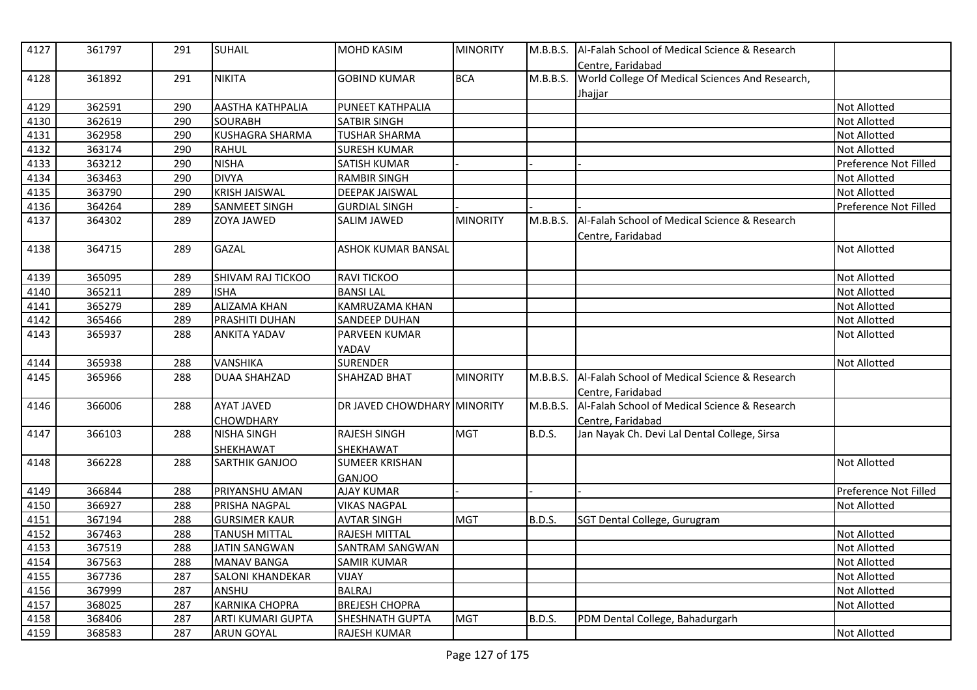| 4127 | 361797 | 291 | <b>SUHAIL</b>          | <b>MOHD KASIM</b>           | <b>MINORITY</b> | M.B.B.S.      | Al-Falah School of Medical Science & Research<br>Centre, Faridabad |                       |
|------|--------|-----|------------------------|-----------------------------|-----------------|---------------|--------------------------------------------------------------------|-----------------------|
| 4128 | 361892 | 291 | <b>NIKITA</b>          | <b>GOBIND KUMAR</b>         | <b>BCA</b>      | M.B.B.S.      | World College Of Medical Sciences And Research,                    |                       |
|      |        |     |                        |                             |                 |               | Jhajjar                                                            |                       |
| 4129 | 362591 | 290 | AASTHA KATHPALIA       | PUNEET KATHPALIA            |                 |               |                                                                    | Not Allotted          |
| 4130 | 362619 | 290 | <b>SOURABH</b>         | SATBIR SINGH                |                 |               |                                                                    | Not Allotted          |
| 4131 | 362958 | 290 | <b>KUSHAGRA SHARMA</b> | <b>TUSHAR SHARMA</b>        |                 |               |                                                                    | Not Allotted          |
| 4132 | 363174 | 290 | <b>RAHUL</b>           | <b>SURESH KUMAR</b>         |                 |               |                                                                    | Not Allotted          |
| 4133 | 363212 | 290 | <b>NISHA</b>           | <b>SATISH KUMAR</b>         |                 |               |                                                                    | Preference Not Filled |
| 4134 | 363463 | 290 | <b>DIVYA</b>           | <b>RAMBIR SINGH</b>         |                 |               |                                                                    | Not Allotted          |
| 4135 | 363790 | 290 | <b>KRISH JAISWAL</b>   | <b>DEEPAK JAISWAL</b>       |                 |               |                                                                    | Not Allotted          |
| 4136 | 364264 | 289 | SANMEET SINGH          | <b>GURDIAL SINGH</b>        |                 |               |                                                                    | Preference Not Filled |
| 4137 | 364302 | 289 | <b>ZOYA JAWED</b>      | SALIM JAWED                 | <b>MINORITY</b> | M.B.B.S.      | Al-Falah School of Medical Science & Research<br>Centre, Faridabad |                       |
| 4138 | 364715 | 289 | <b>GAZAL</b>           | <b>ASHOK KUMAR BANSAL</b>   |                 |               |                                                                    | <b>Not Allotted</b>   |
|      |        |     |                        |                             |                 |               |                                                                    |                       |
| 4139 | 365095 | 289 | SHIVAM RAJ TICKOO      | <b>RAVI TICKOO</b>          |                 |               |                                                                    | Not Allotted          |
| 4140 | 365211 | 289 | <b>ISHA</b>            | <b>BANSILAL</b>             |                 |               |                                                                    | Not Allotted          |
| 4141 | 365279 | 289 | <b>ALIZAMA KHAN</b>    | KAMRUZAMA KHAN              |                 |               |                                                                    | Not Allotted          |
| 4142 | 365466 | 289 | <b>PRASHITI DUHAN</b>  | <b>SANDEEP DUHAN</b>        |                 |               |                                                                    | Not Allotted          |
| 4143 | 365937 | 288 | <b>ANKITA YADAV</b>    | PARVEEN KUMAR               |                 |               |                                                                    | <b>Not Allotted</b>   |
|      |        |     |                        | YADAV                       |                 |               |                                                                    |                       |
| 4144 | 365938 | 288 | <b>VANSHIKA</b>        | <b>SURENDER</b>             |                 |               |                                                                    | Not Allotted          |
| 4145 | 365966 | 288 | <b>DUAA SHAHZAD</b>    | <b>SHAHZAD BHAT</b>         | <b>MINORITY</b> | M.B.B.S.      | Al-Falah School of Medical Science & Research                      |                       |
|      |        |     |                        |                             |                 |               | Centre, Faridabad                                                  |                       |
| 4146 | 366006 | 288 | <b>AYAT JAVED</b>      | DR JAVED CHOWDHARY MINORITY |                 | M.B.B.S.      | Al-Falah School of Medical Science & Research                      |                       |
|      |        |     | <b>CHOWDHARY</b>       |                             |                 |               | Centre, Faridabad                                                  |                       |
| 4147 | 366103 | 288 | <b>NISHA SINGH</b>     | <b>RAJESH SINGH</b>         | <b>MGT</b>      | <b>B.D.S.</b> | Jan Nayak Ch. Devi Lal Dental College, Sirsa                       |                       |
|      |        |     | SHEKHAWAT              | SHEKHAWAT                   |                 |               |                                                                    |                       |
| 4148 | 366228 | 288 | SARTHIK GANJOO         | <b>SUMEER KRISHAN</b>       |                 |               |                                                                    | Not Allotted          |
|      |        |     |                        | <b>GANJOO</b>               |                 |               |                                                                    |                       |
| 4149 | 366844 | 288 | PRIYANSHU AMAN         | <b>AJAY KUMAR</b>           |                 |               |                                                                    | Preference Not Filled |
| 4150 | 366927 | 288 | PRISHA NAGPAL          | <b>VIKAS NAGPAL</b>         |                 |               |                                                                    | Not Allotted          |
| 4151 | 367194 | 288 | <b>GURSIMER KAUR</b>   | <b>AVTAR SINGH</b>          | <b>MGT</b>      | <b>B.D.S.</b> | SGT Dental College, Gurugram                                       |                       |
| 4152 | 367463 | 288 | TANUSH MITTAL          | RAJESH MITTAL               |                 |               |                                                                    | Not Allotted          |
| 4153 | 367519 | 288 | <b>JATIN SANGWAN</b>   | SANTRAM SANGWAN             |                 |               |                                                                    | Not Allotted          |
| 4154 | 367563 | 288 | <b>MANAV BANGA</b>     | <b>SAMIR KUMAR</b>          |                 |               |                                                                    | Not Allotted          |
| 4155 | 367736 | 287 | SALONI KHANDEKAR       | VIJAY                       |                 |               |                                                                    | Not Allotted          |
| 4156 | 367999 | 287 | ANSHU                  | <b>BALRAJ</b>               |                 |               |                                                                    | <b>Not Allotted</b>   |
| 4157 | 368025 | 287 | <b>KARNIKA CHOPRA</b>  | <b>BREJESH CHOPRA</b>       |                 |               |                                                                    | Not Allotted          |
| 4158 | 368406 | 287 | ARTI KUMARI GUPTA      | SHESHNATH GUPTA             | <b>MGT</b>      | <b>B.D.S.</b> | PDM Dental College, Bahadurgarh                                    |                       |
| 4159 | 368583 | 287 | <b>ARUN GOYAL</b>      | RAJESH KUMAR                |                 |               |                                                                    | <b>Not Allotted</b>   |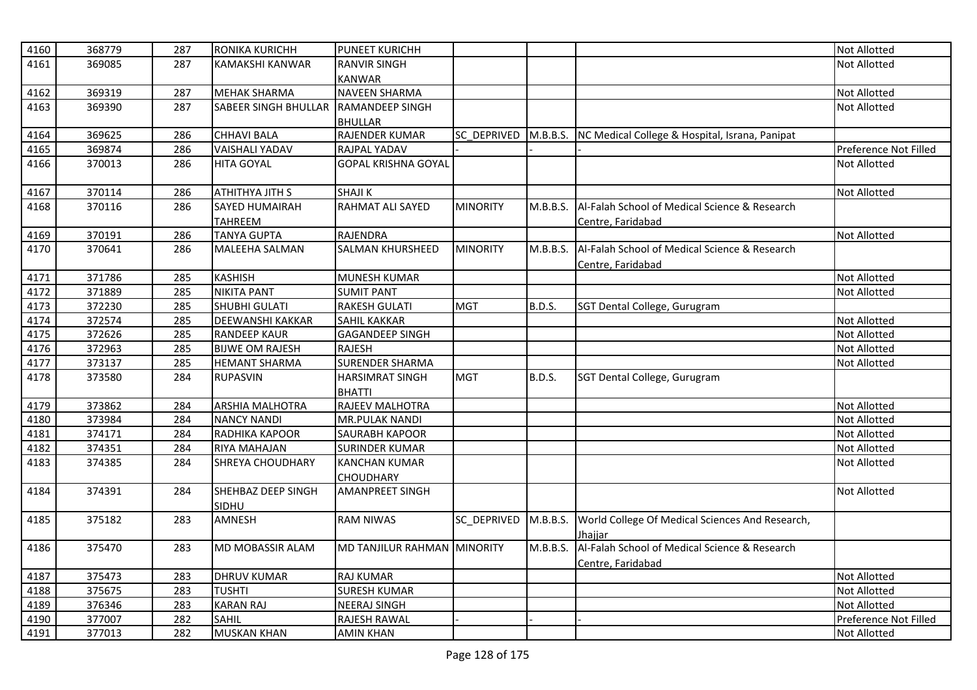| 4160 | 368779 | 287 | <b>RONIKA KURICHH</b>       | <b>PUNEET KURICHH</b>       |                 |               |                                                         | <b>Not Allotted</b>   |
|------|--------|-----|-----------------------------|-----------------------------|-----------------|---------------|---------------------------------------------------------|-----------------------|
| 4161 | 369085 | 287 | KAMAKSHI KANWAR             | <b>RANVIR SINGH</b>         |                 |               |                                                         | <b>Not Allotted</b>   |
|      |        |     |                             | <b>KANWAR</b>               |                 |               |                                                         |                       |
| 4162 | 369319 | 287 | <b>MEHAK SHARMA</b>         | <b>NAVEEN SHARMA</b>        |                 |               |                                                         | Not Allotted          |
| 4163 | 369390 | 287 | <b>SABEER SINGH BHULLAR</b> | RAMANDEEP SINGH             |                 |               |                                                         | <b>Not Allotted</b>   |
|      |        |     |                             | <b>BHULLAR</b>              |                 |               |                                                         |                       |
| 4164 | 369625 | 286 | <b>CHHAVI BALA</b>          | RAJENDER KUMAR              | SC DEPRIVED     |               | M.B.B.S. NC Medical College & Hospital, Israna, Panipat |                       |
| 4165 | 369874 | 286 | <b>VAISHALI YADAV</b>       | <b>RAJPAL YADAV</b>         |                 |               |                                                         | Preference Not Filled |
| 4166 | 370013 | 286 | <b>HITA GOYAL</b>           | <b>GOPAL KRISHNA GOYAL</b>  |                 |               |                                                         | <b>Not Allotted</b>   |
|      |        |     |                             |                             |                 |               |                                                         |                       |
| 4167 | 370114 | 286 | ATHITHYA JITH S             | <b>SHAJIK</b>               |                 |               |                                                         | <b>Not Allotted</b>   |
| 4168 | 370116 | 286 | <b>SAYED HUMAIRAH</b>       | <b>RAHMAT ALI SAYED</b>     | <b>MINORITY</b> | M.B.B.S.      | Al-Falah School of Medical Science & Research           |                       |
|      |        |     | <b>TAHREEM</b>              |                             |                 |               | Centre, Faridabad                                       |                       |
| 4169 | 370191 | 286 | <b>TANYA GUPTA</b>          | <b>RAJENDRA</b>             |                 |               |                                                         | <b>Not Allotted</b>   |
| 4170 | 370641 | 286 | MALEEHA SALMAN              | <b>SALMAN KHURSHEED</b>     | <b>MINORITY</b> | M.B.B.S.      | Al-Falah School of Medical Science & Research           |                       |
|      |        |     |                             |                             |                 |               | Centre, Faridabad                                       |                       |
| 4171 | 371786 | 285 | <b>KASHISH</b>              | <b>MUNESH KUMAR</b>         |                 |               |                                                         | <b>Not Allotted</b>   |
| 4172 | 371889 | 285 | <b>NIKITA PANT</b>          | <b>SUMIT PANT</b>           |                 |               |                                                         | Not Allotted          |
| 4173 | 372230 | 285 | SHUBHI GULATI               | <b>RAKESH GULATI</b>        | <b>MGT</b>      | <b>B.D.S.</b> | SGT Dental College, Gurugram                            |                       |
| 4174 | 372574 | 285 | <b>DEEWANSHI KAKKAR</b>     | <b>SAHIL KAKKAR</b>         |                 |               |                                                         | <b>Not Allotted</b>   |
| 4175 | 372626 | 285 | <b>RANDEEP KAUR</b>         | <b>GAGANDEEP SINGH</b>      |                 |               |                                                         | <b>Not Allotted</b>   |
| 4176 | 372963 | 285 | <b>BIJWE OM RAJESH</b>      | <b>RAJESH</b>               |                 |               |                                                         | Not Allotted          |
| 4177 | 373137 | 285 | <b>HEMANT SHARMA</b>        | <b>SURENDER SHARMA</b>      |                 |               |                                                         | <b>Not Allotted</b>   |
| 4178 | 373580 | 284 | <b>RUPASVIN</b>             | <b>HARSIMRAT SINGH</b>      | <b>MGT</b>      | <b>B.D.S.</b> | SGT Dental College, Gurugram                            |                       |
|      |        |     |                             | <b>BHATTI</b>               |                 |               |                                                         |                       |
| 4179 | 373862 | 284 | <b>ARSHIA MALHOTRA</b>      | RAJEEV MALHOTRA             |                 |               |                                                         | <b>Not Allotted</b>   |
| 4180 | 373984 | 284 | <b>NANCY NANDI</b>          | <b>MR.PULAK NANDI</b>       |                 |               |                                                         | <b>Not Allotted</b>   |
| 4181 | 374171 | 284 | RADHIKA KAPOOR              | SAURABH KAPOOR              |                 |               |                                                         | <b>Not Allotted</b>   |
| 4182 | 374351 | 284 | <b>RIYA MAHAJAN</b>         | <b>SURINDER KUMAR</b>       |                 |               |                                                         | <b>Not Allotted</b>   |
| 4183 | 374385 | 284 | <b>SHREYA CHOUDHARY</b>     | <b>KANCHAN KUMAR</b>        |                 |               |                                                         | <b>Not Allotted</b>   |
|      |        |     |                             | <b>CHOUDHARY</b>            |                 |               |                                                         |                       |
| 4184 | 374391 | 284 | SHEHBAZ DEEP SINGH          | <b>AMANPREET SINGH</b>      |                 |               |                                                         | <b>Not Allotted</b>   |
|      |        |     | SIDHU                       |                             |                 |               |                                                         |                       |
| 4185 | 375182 | 283 | AMNESH                      | <b>RAM NIWAS</b>            | SC_DEPRIVED     | M.B.B.S.      | World College Of Medical Sciences And Research,         |                       |
|      |        |     |                             |                             |                 |               | Jhaiiar                                                 |                       |
| 4186 | 375470 | 283 | MD MOBASSIR ALAM            | MD TANJILUR RAHMAN MINORITY |                 | M.B.B.S.      | Al-Falah School of Medical Science & Research           |                       |
|      |        |     |                             |                             |                 |               | Centre, Faridabad                                       |                       |
| 4187 | 375473 | 283 | <b>DHRUV KUMAR</b>          | <b>RAJ KUMAR</b>            |                 |               |                                                         | <b>Not Allotted</b>   |
| 4188 | 375675 | 283 | <b>TUSHTI</b>               | <b>SURESH KUMAR</b>         |                 |               |                                                         | <b>Not Allotted</b>   |
| 4189 | 376346 | 283 | <b>KARAN RAJ</b>            | <b>NEERAJ SINGH</b>         |                 |               |                                                         | Not Allotted          |
| 4190 | 377007 | 282 | <b>SAHIL</b>                | RAJESH RAWAL                |                 |               |                                                         | Preference Not Filled |
| 4191 | 377013 | 282 | <b>MUSKAN KHAN</b>          | <b>AMIN KHAN</b>            |                 |               |                                                         | <b>Not Allotted</b>   |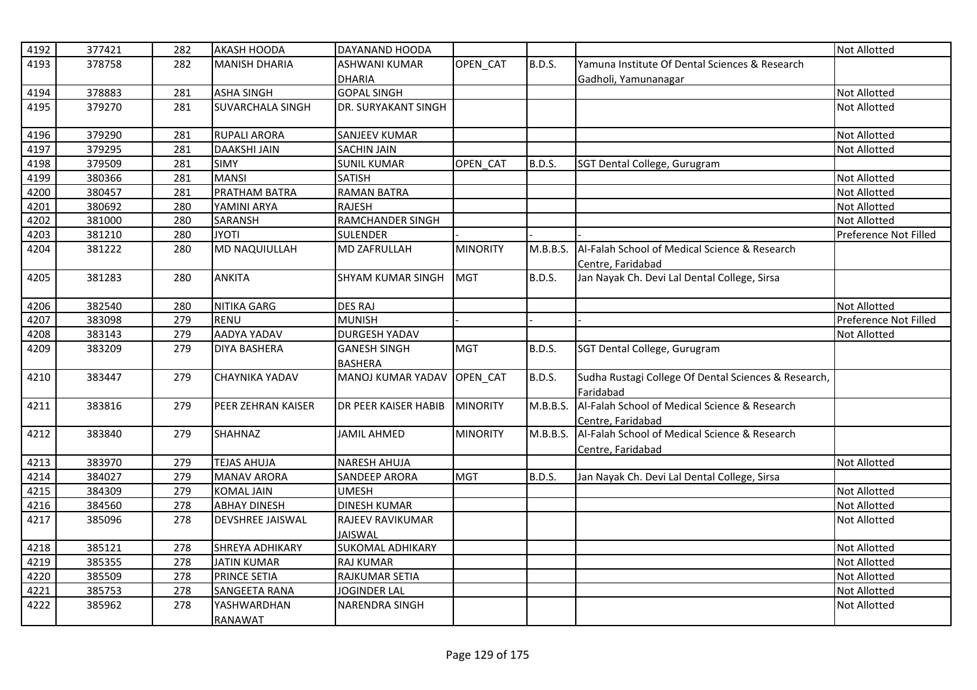| 4192 | 377421 | 282 | <b>AKASH HOODA</b>      | DAYANAND HOODA           |                 |               |                                                      | <b>Not Allotted</b>   |
|------|--------|-----|-------------------------|--------------------------|-----------------|---------------|------------------------------------------------------|-----------------------|
| 4193 | 378758 | 282 | <b>MANISH DHARIA</b>    | <b>ASHWANI KUMAR</b>     | OPEN CAT        | <b>B.D.S.</b> | Yamuna Institute Of Dental Sciences & Research       |                       |
|      |        |     |                         | <b>DHARIA</b>            |                 |               | Gadholi, Yamunanagar                                 |                       |
| 4194 | 378883 | 281 | <b>ASHA SINGH</b>       | <b>GOPAL SINGH</b>       |                 |               |                                                      | <b>Not Allotted</b>   |
| 4195 | 379270 | 281 | <b>SUVARCHALA SINGH</b> | DR. SURYAKANT SINGH      |                 |               |                                                      | <b>Not Allotted</b>   |
|      |        |     |                         |                          |                 |               |                                                      |                       |
| 4196 | 379290 | 281 | <b>RUPALI ARORA</b>     | <b>SANJEEV KUMAR</b>     |                 |               |                                                      | <b>Not Allotted</b>   |
| 4197 | 379295 | 281 | <b>DAAKSHI JAIN</b>     | <b>SACHIN JAIN</b>       |                 |               |                                                      | <b>Not Allotted</b>   |
| 4198 | 379509 | 281 | <b>SIMY</b>             | <b>SUNIL KUMAR</b>       | OPEN CAT        | <b>B.D.S.</b> | SGT Dental College, Gurugram                         |                       |
| 4199 | 380366 | 281 | <b>MANSI</b>            | <b>SATISH</b>            |                 |               |                                                      | <b>Not Allotted</b>   |
| 4200 | 380457 | 281 | PRATHAM BATRA           | <b>RAMAN BATRA</b>       |                 |               |                                                      | <b>Not Allotted</b>   |
| 4201 | 380692 | 280 | YAMINI ARYA             | <b>RAJESH</b>            |                 |               |                                                      | <b>Not Allotted</b>   |
| 4202 | 381000 | 280 | SARANSH                 | <b>RAMCHANDER SINGH</b>  |                 |               |                                                      | <b>Not Allotted</b>   |
| 4203 | 381210 | 280 | <b>JYOTI</b>            | <b>SULENDER</b>          |                 |               |                                                      | Preference Not Filled |
| 4204 | 381222 | 280 | <b>MD NAQUIULLAH</b>    | <b>MD ZAFRULLAH</b>      | <b>MINORITY</b> | M.B.B.S.      | Al-Falah School of Medical Science & Research        |                       |
|      |        |     |                         |                          |                 |               | Centre, Faridabad                                    |                       |
| 4205 | 381283 | 280 | <b>ANKITA</b>           | <b>SHYAM KUMAR SINGH</b> | <b>MGT</b>      | <b>B.D.S.</b> | Jan Nayak Ch. Devi Lal Dental College, Sirsa         |                       |
|      |        |     |                         |                          |                 |               |                                                      |                       |
| 4206 | 382540 | 280 | NITIKA GARG             | <b>DES RAJ</b>           |                 |               |                                                      | <b>Not Allotted</b>   |
| 4207 | 383098 | 279 | <b>RENU</b>             | <b>MUNISH</b>            |                 |               |                                                      | Preference Not Filled |
| 4208 | 383143 | 279 | AADYA YADAV             | <b>DURGESH YADAV</b>     |                 |               |                                                      | <b>Not Allotted</b>   |
| 4209 | 383209 | 279 | <b>DIYA BASHERA</b>     | <b>GANESH SINGH</b>      | <b>MGT</b>      | <b>B.D.S.</b> | SGT Dental College, Gurugram                         |                       |
|      |        |     |                         | <b>BASHERA</b>           |                 |               |                                                      |                       |
| 4210 | 383447 | 279 | <b>CHAYNIKA YADAV</b>   | <b>MANOJ KUMAR YADAV</b> | OPEN_CAT        | <b>B.D.S.</b> | Sudha Rustagi College Of Dental Sciences & Research, |                       |
|      |        |     |                         |                          |                 |               | Faridabad                                            |                       |
| 4211 | 383816 | 279 | PEER ZEHRAN KAISER      | DR PEER KAISER HABIB     | <b>MINORITY</b> | M.B.B.S.      | Al-Falah School of Medical Science & Research        |                       |
|      |        |     |                         |                          |                 |               | Centre, Faridabad                                    |                       |
| 4212 | 383840 | 279 | <b>SHAHNAZ</b>          | <b>JAMIL AHMED</b>       | <b>MINORITY</b> | M.B.B.S.      | Al-Falah School of Medical Science & Research        |                       |
|      |        |     |                         |                          |                 |               | Centre, Faridabad                                    |                       |
| 4213 | 383970 | 279 | <b>TEJAS AHUJA</b>      | <b>NARESH AHUJA</b>      |                 |               |                                                      | <b>Not Allotted</b>   |
| 4214 | 384027 | 279 | <b>MANAV ARORA</b>      | <b>SANDEEP ARORA</b>     | <b>MGT</b>      | <b>B.D.S.</b> | Jan Nayak Ch. Devi Lal Dental College, Sirsa         |                       |
| 4215 | 384309 | 279 | <b>KOMAL JAIN</b>       | <b>UMESH</b>             |                 |               |                                                      | <b>Not Allotted</b>   |
| 4216 | 384560 | 278 | <b>ABHAY DINESH</b>     | <b>DINESH KUMAR</b>      |                 |               |                                                      | <b>Not Allotted</b>   |
| 4217 | 385096 | 278 | <b>DEVSHREE JAISWAL</b> | RAJEEV RAVIKUMAR         |                 |               |                                                      | <b>Not Allotted</b>   |
|      |        |     |                         | <b>JAISWAL</b>           |                 |               |                                                      |                       |
| 4218 | 385121 | 278 | <b>SHREYA ADHIKARY</b>  | <b>SUKOMAL ADHIKARY</b>  |                 |               |                                                      | <b>Not Allotted</b>   |
| 4219 | 385355 | 278 | <b>JATIN KUMAR</b>      | <b>RAJ KUMAR</b>         |                 |               |                                                      | <b>Not Allotted</b>   |
| 4220 | 385509 | 278 | <b>PRINCE SETIA</b>     | RAJKUMAR SETIA           |                 |               |                                                      | <b>Not Allotted</b>   |
| 4221 | 385753 | 278 | <b>SANGEETA RANA</b>    | <b>JOGINDER LAL</b>      |                 |               |                                                      | <b>Not Allotted</b>   |
| 4222 | 385962 | 278 | YASHWARDHAN             | NARENDRA SINGH           |                 |               |                                                      | <b>Not Allotted</b>   |
|      |        |     | <b>RANAWAT</b>          |                          |                 |               |                                                      |                       |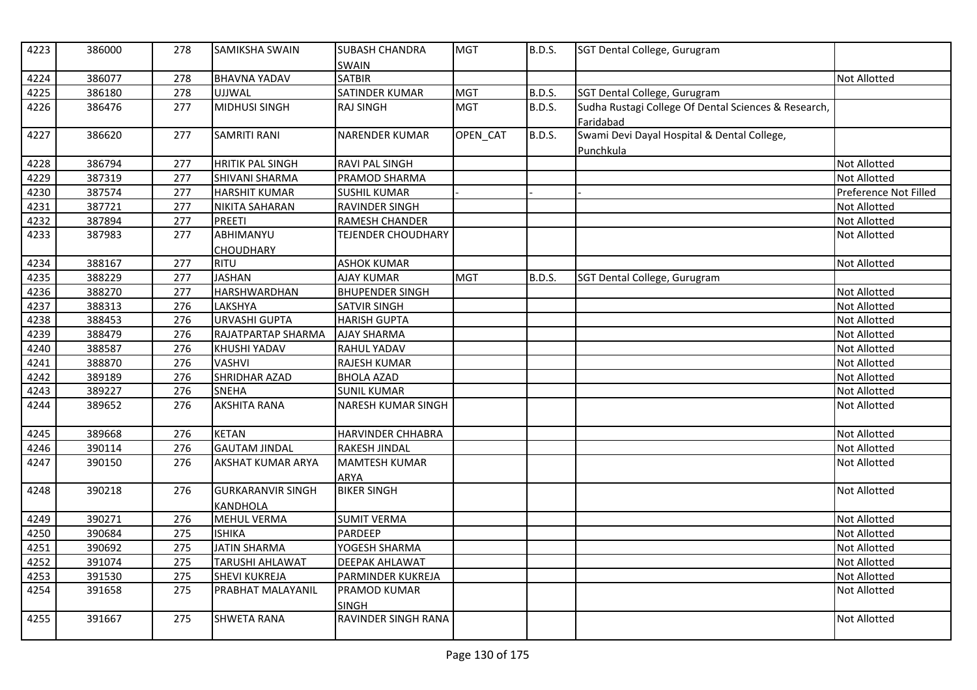| 4223 | 386000 | 278 | <b>SAMIKSHA SWAIN</b>    | <b>SUBASH CHANDRA</b><br>SWAIN      | <b>MGT</b> | <b>B.D.S.</b> | SGT Dental College, Gurugram                         |                       |
|------|--------|-----|--------------------------|-------------------------------------|------------|---------------|------------------------------------------------------|-----------------------|
| 4224 | 386077 | 278 | <b>BHAVNA YADAV</b>      | <b>SATBIR</b>                       |            |               |                                                      | <b>Not Allotted</b>   |
| 4225 | 386180 | 278 | <b>UJJWAL</b>            | SATINDER KUMAR                      | <b>MGT</b> | B.D.S.        | SGT Dental College, Gurugram                         |                       |
| 4226 | 386476 | 277 | <b>MIDHUSI SINGH</b>     | <b>RAJ SINGH</b>                    | <b>MGT</b> | B.D.S.        | Sudha Rustagi College Of Dental Sciences & Research, |                       |
|      |        |     |                          |                                     |            |               | Faridabad                                            |                       |
| 4227 | 386620 | 277 | <b>SAMRITI RANI</b>      | <b>NARENDER KUMAR</b>               | OPEN CAT   | <b>B.D.S.</b> | Swami Devi Dayal Hospital & Dental College,          |                       |
|      |        |     |                          |                                     |            |               | Punchkula                                            |                       |
| 4228 | 386794 | 277 | <b>HRITIK PAL SINGH</b>  | <b>RAVI PAL SINGH</b>               |            |               |                                                      | Not Allotted          |
| 4229 | 387319 | 277 | <b>SHIVANI SHARMA</b>    | PRAMOD SHARMA                       |            |               |                                                      | <b>Not Allotted</b>   |
| 4230 | 387574 | 277 | <b>HARSHIT KUMAR</b>     | <b>SUSHIL KUMAR</b>                 |            |               |                                                      | Preference Not Filled |
| 4231 | 387721 | 277 | NIKITA SAHARAN           | <b>RAVINDER SINGH</b>               |            |               |                                                      | <b>Not Allotted</b>   |
| 4232 | 387894 | 277 | <b>PREETI</b>            | RAMESH CHANDER                      |            |               |                                                      | Not Allotted          |
| 4233 | 387983 | 277 | ABHIMANYU                | <b>TEJENDER CHOUDHARY</b>           |            |               |                                                      | <b>Not Allotted</b>   |
|      |        |     | <b>CHOUDHARY</b>         |                                     |            |               |                                                      |                       |
| 4234 | 388167 | 277 | RITU                     | <b>ASHOK KUMAR</b>                  |            |               |                                                      | <b>Not Allotted</b>   |
| 4235 | 388229 | 277 | <b>JASHAN</b>            | <b>AJAY KUMAR</b>                   | <b>MGT</b> | B.D.S.        | SGT Dental College, Gurugram                         |                       |
| 4236 | 388270 | 277 | <b>HARSHWARDHAN</b>      | <b>BHUPENDER SINGH</b>              |            |               |                                                      | Not Allotted          |
| 4237 | 388313 | 276 | LAKSHYA                  | SATVIR SINGH                        |            |               |                                                      | Not Allotted          |
| 4238 | 388453 | 276 | <b>URVASHI GUPTA</b>     | <b>HARISH GUPTA</b>                 |            |               |                                                      | Not Allotted          |
| 4239 | 388479 | 276 | RAJATPARTAP SHARMA       | <b>AJAY SHARMA</b>                  |            |               |                                                      | <b>Not Allotted</b>   |
| 4240 | 388587 | 276 | KHUSHI YADAV             | RAHUL YADAV                         |            |               |                                                      | Not Allotted          |
| 4241 | 388870 | 276 | <b>VASHVI</b>            | <b>RAJESH KUMAR</b>                 |            |               |                                                      | Not Allotted          |
| 4242 | 389189 | 276 | SHRIDHAR AZAD            | <b>BHOLA AZAD</b>                   |            |               |                                                      | Not Allotted          |
| 4243 | 389227 | 276 | <b>SNEHA</b>             | <b>SUNIL KUMAR</b>                  |            |               |                                                      | <b>Not Allotted</b>   |
| 4244 | 389652 | 276 | <b>AKSHITA RANA</b>      | <b>NARESH KUMAR SINGH</b>           |            |               |                                                      | <b>Not Allotted</b>   |
| 4245 | 389668 | 276 | <b>KETAN</b>             | HARVINDER CHHABRA                   |            |               |                                                      | Not Allotted          |
| 4246 | 390114 | 276 | <b>GAUTAM JINDAL</b>     | <b>RAKESH JINDAL</b>                |            |               |                                                      | Not Allotted          |
| 4247 | 390150 | 276 | <b>AKSHAT KUMAR ARYA</b> | <b>MAMTESH KUMAR</b><br><b>ARYA</b> |            |               |                                                      | <b>Not Allotted</b>   |
| 4248 | 390218 | 276 | <b>GURKARANVIR SINGH</b> | <b>BIKER SINGH</b>                  |            |               |                                                      | Not Allotted          |
|      |        |     | <b>KANDHOLA</b>          |                                     |            |               |                                                      |                       |
| 4249 | 390271 | 276 | <b>MEHUL VERMA</b>       | <b>SUMIT VERMA</b>                  |            |               |                                                      | <b>Not Allotted</b>   |
| 4250 | 390684 | 275 | <b>ISHIKA</b>            | PARDEEP                             |            |               |                                                      | <b>Not Allotted</b>   |
| 4251 | 390692 | 275 | <b>JATIN SHARMA</b>      | YOGESH SHARMA                       |            |               |                                                      | Not Allotted          |
| 4252 | 391074 | 275 | TARUSHI AHLAWAT          | <b>DEEPAK AHLAWAT</b>               |            |               |                                                      | Not Allotted          |
| 4253 | 391530 | 275 | <b>SHEVI KUKREJA</b>     | PARMINDER KUKREJA                   |            |               |                                                      | Not Allotted          |
| 4254 | 391658 | 275 | PRABHAT MALAYANIL        | <b>PRAMOD KUMAR</b>                 |            |               |                                                      | <b>Not Allotted</b>   |
|      |        |     |                          | <b>SINGH</b>                        |            |               |                                                      |                       |
| 4255 | 391667 | 275 | <b>SHWETA RANA</b>       | RAVINDER SINGH RANA                 |            |               |                                                      | Not Allotted          |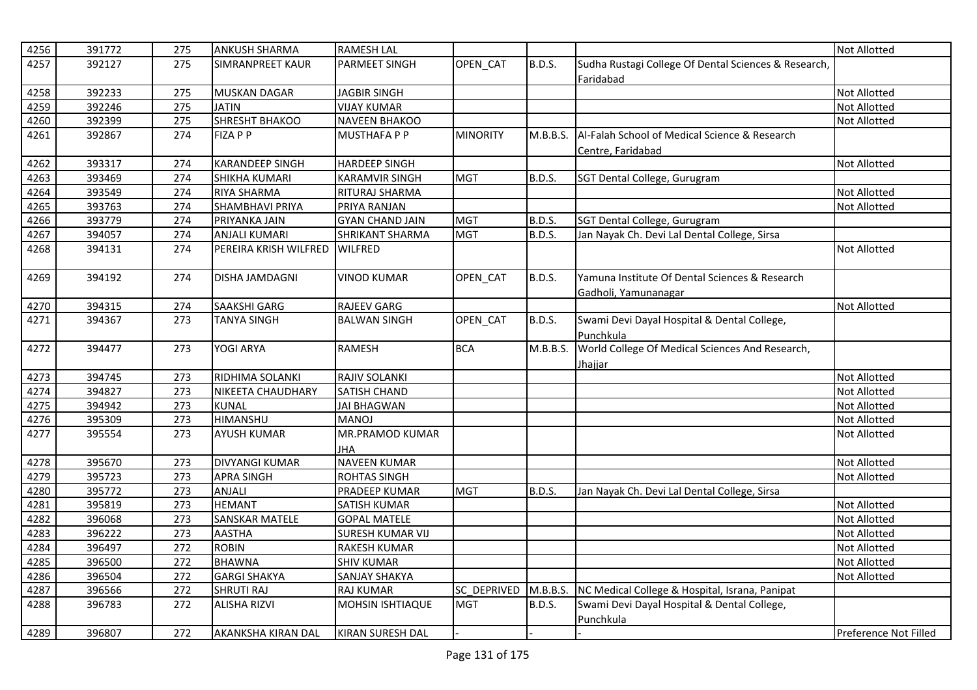| 4256 | 391772 | 275 | <b>ANKUSH SHARMA</b>      | <b>RAMESH LAL</b>       |                 |               |                                                      | <b>Not Allotted</b>   |
|------|--------|-----|---------------------------|-------------------------|-----------------|---------------|------------------------------------------------------|-----------------------|
| 4257 | 392127 | 275 | <b>SIMRANPREET KAUR</b>   | PARMEET SINGH           | OPEN_CAT        | B.D.S.        | Sudha Rustagi College Of Dental Sciences & Research, |                       |
|      |        |     |                           |                         |                 |               | Faridabad                                            |                       |
| 4258 | 392233 | 275 | <b>MUSKAN DAGAR</b>       | <b>JAGBIR SINGH</b>     |                 |               |                                                      | <b>Not Allotted</b>   |
| 4259 | 392246 | 275 | <b>JATIN</b>              | <b>VIJAY KUMAR</b>      |                 |               |                                                      | <b>Not Allotted</b>   |
| 4260 | 392399 | 275 | <b>SHRESHT BHAKOO</b>     | <b>NAVEEN BHAKOO</b>    |                 |               |                                                      | Not Allotted          |
| 4261 | 392867 | 274 | <b>FIZA P P</b>           | <b>MUSTHAFA P P</b>     | <b>MINORITY</b> | M.B.B.S.      | Al-Falah School of Medical Science & Research        |                       |
|      |        |     |                           |                         |                 |               | Centre, Faridabad                                    |                       |
| 4262 | 393317 | 274 | <b>KARANDEEP SINGH</b>    | <b>HARDEEP SINGH</b>    |                 |               |                                                      | <b>Not Allotted</b>   |
| 4263 | 393469 | 274 | <b>SHIKHA KUMARI</b>      | <b>KARAMVIR SINGH</b>   | <b>MGT</b>      | <b>B.D.S.</b> | SGT Dental College, Gurugram                         |                       |
| 4264 | 393549 | 274 | <b>RIYA SHARMA</b>        | RITURAJ SHARMA          |                 |               |                                                      | <b>Not Allotted</b>   |
| 4265 | 393763 | 274 | <b>SHAMBHAVI PRIYA</b>    | PRIYA RANJAN            |                 |               |                                                      | <b>Not Allotted</b>   |
| 4266 | 393779 | 274 | PRIYANKA JAIN             | <b>GYAN CHAND JAIN</b>  | <b>MGT</b>      | B.D.S.        | SGT Dental College, Gurugram                         |                       |
| 4267 | 394057 | 274 | <b>ANJALI KUMARI</b>      | SHRIKANT SHARMA         | <b>MGT</b>      | B.D.S.        | Jan Nayak Ch. Devi Lal Dental College, Sirsa         |                       |
| 4268 | 394131 | 274 | PEREIRA KRISH WILFRED     | <b>WILFRED</b>          |                 |               |                                                      | <b>Not Allotted</b>   |
|      |        |     |                           |                         |                 |               |                                                      |                       |
| 4269 | 394192 | 274 | <b>DISHA JAMDAGNI</b>     | <b>VINOD KUMAR</b>      | OPEN CAT        | B.D.S.        | Yamuna Institute Of Dental Sciences & Research       |                       |
|      |        |     |                           |                         |                 |               | Gadholi, Yamunanagar                                 |                       |
| 4270 | 394315 | 274 | <b>SAAKSHI GARG</b>       | <b>RAJEEV GARG</b>      |                 |               |                                                      | <b>Not Allotted</b>   |
| 4271 | 394367 | 273 | TANYA SINGH               | <b>BALWAN SINGH</b>     | OPEN_CAT        | <b>B.D.S.</b> | Swami Devi Dayal Hospital & Dental College,          |                       |
|      |        |     |                           |                         |                 |               | Punchkula                                            |                       |
| 4272 | 394477 | 273 | YOGI ARYA                 | <b>RAMESH</b>           | <b>BCA</b>      | M.B.B.S.      | World College Of Medical Sciences And Research,      |                       |
|      |        |     |                           |                         |                 |               | Jhajjar                                              |                       |
| 4273 | 394745 | 273 | <b>RIDHIMA SOLANKI</b>    | RAJIV SOLANKI           |                 |               |                                                      | <b>Not Allotted</b>   |
| 4274 | 394827 | 273 | NIKEETA CHAUDHARY         | <b>SATISH CHAND</b>     |                 |               |                                                      | <b>Not Allotted</b>   |
| 4275 | 394942 | 273 | <b>KUNAL</b>              | <b>JAI BHAGWAN</b>      |                 |               |                                                      | <b>Not Allotted</b>   |
| 4276 | 395309 | 273 | <b>HIMANSHU</b>           | <b>MANOJ</b>            |                 |               |                                                      | <b>Not Allotted</b>   |
| 4277 | 395554 | 273 | <b>AYUSH KUMAR</b>        | MR.PRAMOD KUMAR         |                 |               |                                                      | <b>Not Allotted</b>   |
|      |        |     |                           | <b>JHA</b>              |                 |               |                                                      |                       |
| 4278 | 395670 | 273 | <b>DIVYANGI KUMAR</b>     | <b>NAVEEN KUMAR</b>     |                 |               |                                                      | Not Allotted          |
| 4279 | 395723 | 273 | <b>APRA SINGH</b>         | <b>ROHTAS SINGH</b>     |                 |               |                                                      | <b>Not Allotted</b>   |
| 4280 | 395772 | 273 | ANJALI                    | PRADEEP KUMAR           | <b>MGT</b>      | B.D.S.        | Jan Nayak Ch. Devi Lal Dental College, Sirsa         |                       |
| 4281 | 395819 | 273 | <b>HEMANT</b>             | <b>SATISH KUMAR</b>     |                 |               |                                                      | <b>Not Allotted</b>   |
| 4282 | 396068 | 273 | <b>SANSKAR MATELE</b>     | <b>GOPAL MATELE</b>     |                 |               |                                                      | <b>Not Allotted</b>   |
| 4283 | 396222 | 273 | <b>AASTHA</b>             | <b>SURESH KUMAR VIJ</b> |                 |               |                                                      | <b>Not Allotted</b>   |
| 4284 | 396497 | 272 | <b>ROBIN</b>              | RAKESH KUMAR            |                 |               |                                                      | <b>Not Allotted</b>   |
| 4285 | 396500 | 272 | <b>BHAWNA</b>             | <b>SHIV KUMAR</b>       |                 |               |                                                      | <b>Not Allotted</b>   |
| 4286 | 396504 | 272 | <b>GARGI SHAKYA</b>       | SANJAY SHAKYA           |                 |               |                                                      | <b>Not Allotted</b>   |
| 4287 | 396566 | 272 | <b>SHRUTI RAJ</b>         | <b>RAJ KUMAR</b>        | SC DEPRIVED     | M.B.B.S.      | NC Medical College & Hospital, Israna, Panipat       |                       |
| 4288 | 396783 | 272 | <b>ALISHA RIZVI</b>       | MOHSIN ISHTIAQUE        | <b>MGT</b>      | <b>B.D.S.</b> | Swami Devi Dayal Hospital & Dental College,          |                       |
|      |        |     |                           |                         |                 |               | Punchkula                                            |                       |
| 4289 | 396807 | 272 | <b>AKANKSHA KIRAN DAL</b> | <b>KIRAN SURESH DAL</b> |                 |               |                                                      | Preference Not Filled |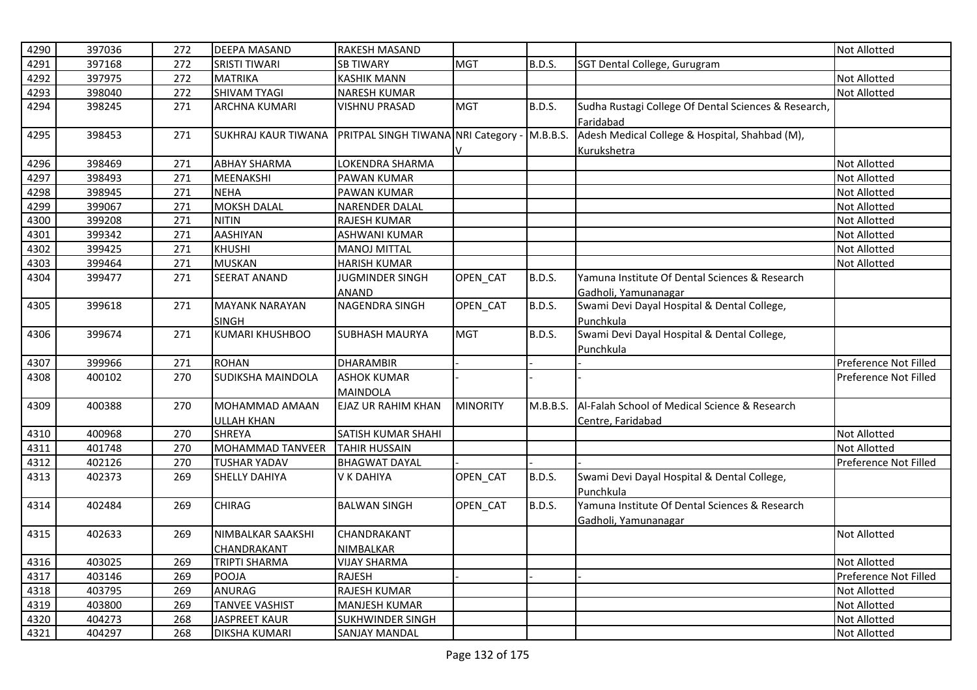| 4290 | 397036 | 272 | <b>DEEPA MASAND</b>      | <b>RAKESH MASAND</b>                         |                 |               |                                                      | <b>Not Allotted</b>   |
|------|--------|-----|--------------------------|----------------------------------------------|-----------------|---------------|------------------------------------------------------|-----------------------|
| 4291 | 397168 | 272 | <b>SRISTI TIWARI</b>     | <b>SB TIWARY</b>                             | <b>MGT</b>      | <b>B.D.S.</b> | SGT Dental College, Gurugram                         |                       |
| 4292 | 397975 | 272 | <b>MATRIKA</b>           | <b>KASHIK MANN</b>                           |                 |               |                                                      | <b>Not Allotted</b>   |
| 4293 | 398040 | 272 | <b>SHIVAM TYAGI</b>      | <b>NARESH KUMAR</b>                          |                 |               |                                                      | <b>Not Allotted</b>   |
| 4294 | 398245 | 271 | <b>ARCHNA KUMARI</b>     | <b>VISHNU PRASAD</b>                         | <b>MGT</b>      | <b>B.D.S.</b> | Sudha Rustagi College Of Dental Sciences & Research, |                       |
|      |        |     |                          |                                              |                 |               | Faridabad                                            |                       |
| 4295 | 398453 | 271 | SUKHRAJ KAUR TIWANA      | PRITPAL SINGH TIWANA NRI Category - M.B.B.S. |                 |               | Adesh Medical College & Hospital, Shahbad (M),       |                       |
|      |        |     |                          |                                              | V               |               | Kurukshetra                                          |                       |
| 4296 | 398469 | 271 | <b>ABHAY SHARMA</b>      | LOKENDRA SHARMA                              |                 |               |                                                      | <b>Not Allotted</b>   |
| 4297 | 398493 | 271 | MEENAKSHI                | PAWAN KUMAR                                  |                 |               |                                                      | Not Allotted          |
| 4298 | 398945 | 271 | <b>NEHA</b>              | <b>PAWAN KUMAR</b>                           |                 |               |                                                      | <b>Not Allotted</b>   |
| 4299 | 399067 | 271 | <b>MOKSH DALAL</b>       | <b>NARENDER DALAL</b>                        |                 |               |                                                      | <b>Not Allotted</b>   |
| 4300 | 399208 | 271 | <b>NITIN</b>             | RAJESH KUMAR                                 |                 |               |                                                      | <b>Not Allotted</b>   |
| 4301 | 399342 | 271 | <b>AASHIYAN</b>          | <b>ASHWANI KUMAR</b>                         |                 |               |                                                      | <b>Not Allotted</b>   |
| 4302 | 399425 | 271 | <b>KHUSHI</b>            | <b>MANOJ MITTAL</b>                          |                 |               |                                                      | Not Allotted          |
| 4303 | 399464 | 271 | <b>MUSKAN</b>            | <b>HARISH KUMAR</b>                          |                 |               |                                                      | Not Allotted          |
| 4304 | 399477 | 271 | <b>SEERAT ANAND</b>      | <b>JUGMINDER SINGH</b>                       | OPEN CAT        | <b>B.D.S.</b> | Yamuna Institute Of Dental Sciences & Research       |                       |
|      |        |     |                          | ANAND                                        |                 |               | Gadholi, Yamunanagar                                 |                       |
| 4305 | 399618 | 271 | <b>MAYANK NARAYAN</b>    | <b>NAGENDRA SINGH</b>                        | OPEN_CAT        | <b>B.D.S.</b> | Swami Devi Dayal Hospital & Dental College,          |                       |
|      |        |     | <b>SINGH</b>             |                                              |                 |               | Punchkula                                            |                       |
| 4306 | 399674 | 271 | <b>KUMARI KHUSHBOO</b>   | <b>SUBHASH MAURYA</b>                        | <b>MGT</b>      | B.D.S.        | Swami Devi Dayal Hospital & Dental College,          |                       |
|      |        |     |                          |                                              |                 |               | Punchkula                                            |                       |
| 4307 | 399966 | 271 | <b>ROHAN</b>             | <b>DHARAMBIR</b>                             |                 |               |                                                      | Preference Not Filled |
| 4308 | 400102 | 270 | <b>SUDIKSHA MAINDOLA</b> | <b>ASHOK KUMAR</b>                           |                 |               |                                                      | Preference Not Filled |
|      |        |     |                          | <b>MAINDOLA</b>                              |                 |               |                                                      |                       |
| 4309 | 400388 | 270 | MOHAMMAD AMAAN           | <b>EJAZ UR RAHIM KHAN</b>                    | <b>MINORITY</b> | M.B.B.S.      | Al-Falah School of Medical Science & Research        |                       |
|      |        |     | <b>ULLAH KHAN</b>        |                                              |                 |               | Centre, Faridabad                                    |                       |
| 4310 | 400968 | 270 | <b>SHREYA</b>            | SATISH KUMAR SHAHI                           |                 |               |                                                      | <b>Not Allotted</b>   |
| 4311 | 401748 | 270 | MOHAMMAD TANVEER         | <b>TAHIR HUSSAIN</b>                         |                 |               |                                                      | <b>Not Allotted</b>   |
| 4312 | 402126 | 270 | <b>TUSHAR YADAV</b>      | <b>BHAGWAT DAYAL</b>                         |                 |               |                                                      | Preference Not Filled |
| 4313 | 402373 | 269 | <b>SHELLY DAHIYA</b>     | V K DAHIYA                                   | OPEN_CAT        | <b>B.D.S.</b> | Swami Devi Dayal Hospital & Dental College,          |                       |
|      |        |     |                          |                                              |                 |               | Punchkula                                            |                       |
| 4314 | 402484 | 269 | <b>CHIRAG</b>            | <b>BALWAN SINGH</b>                          | OPEN_CAT        | B.D.S.        | Yamuna Institute Of Dental Sciences & Research       |                       |
|      |        |     |                          |                                              |                 |               | Gadholi, Yamunanagar                                 |                       |
| 4315 | 402633 | 269 | NIMBALKAR SAAKSHI        | CHANDRAKANT                                  |                 |               |                                                      | <b>Not Allotted</b>   |
|      |        |     | CHANDRAKANT              | NIMBALKAR                                    |                 |               |                                                      |                       |
| 4316 | 403025 | 269 | <b>TRIPTI SHARMA</b>     | <b>VIJAY SHARMA</b>                          |                 |               |                                                      | <b>Not Allotted</b>   |
| 4317 | 403146 | 269 | POOJA                    | <b>RAJESH</b>                                |                 |               |                                                      | Preference Not Filled |
| 4318 | 403795 | 269 | <b>ANURAG</b>            | RAJESH KUMAR                                 |                 |               |                                                      | Not Allotted          |
| 4319 | 403800 | 269 | <b>TANVEE VASHIST</b>    | <b>MANJESH KUMAR</b>                         |                 |               |                                                      | Not Allotted          |
| 4320 | 404273 | 268 | <b>JASPREET KAUR</b>     | SUKHWINDER SINGH                             |                 |               |                                                      | Not Allotted          |
| 4321 | 404297 | 268 | <b>DIKSHA KUMARI</b>     | <b>SANJAY MANDAL</b>                         |                 |               |                                                      | <b>Not Allotted</b>   |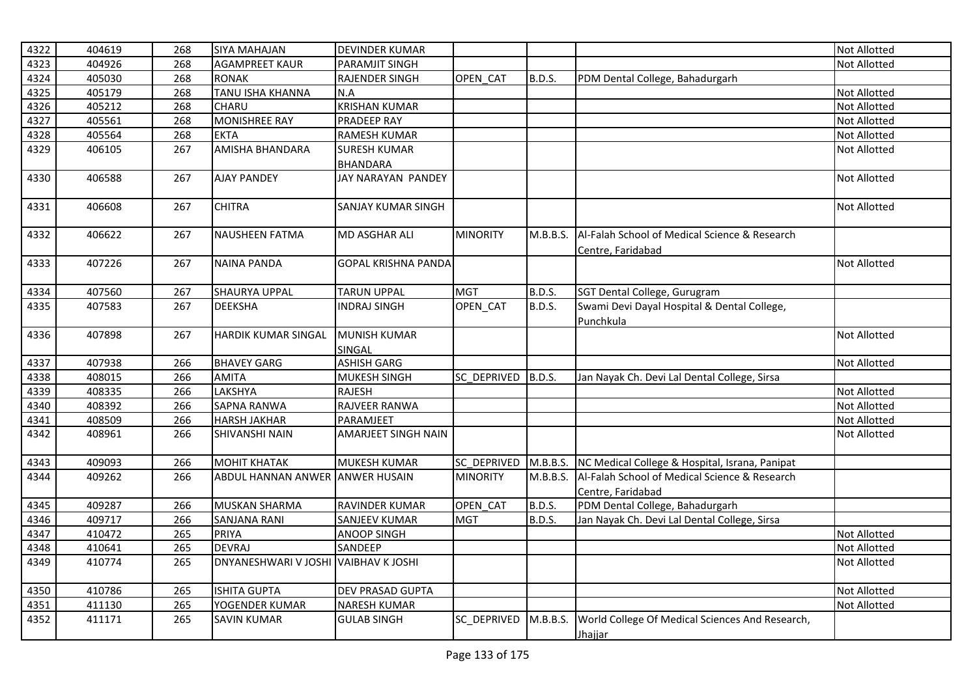| 4322 | 404619 | 268 | <b>SIYA MAHAJAN</b>                  | <b>DEVINDER KUMAR</b>      |                    |               |                                                 | <b>Not Allotted</b> |
|------|--------|-----|--------------------------------------|----------------------------|--------------------|---------------|-------------------------------------------------|---------------------|
| 4323 | 404926 | 268 | <b>AGAMPREET KAUR</b>                | <b>PARAMJIT SINGH</b>      |                    |               |                                                 | Not Allotted        |
| 4324 | 405030 | 268 | <b>RONAK</b>                         | RAJENDER SINGH             | OPEN CAT           | B.D.S.        | PDM Dental College, Bahadurgarh                 |                     |
| 4325 | 405179 | 268 | TANU ISHA KHANNA                     | N.A                        |                    |               |                                                 | Not Allotted        |
| 4326 | 405212 | 268 | CHARU                                | <b>KRISHAN KUMAR</b>       |                    |               |                                                 | Not Allotted        |
| 4327 | 405561 | 268 | <b>MONISHREE RAY</b>                 | PRADEEP RAY                |                    |               |                                                 | Not Allotted        |
| 4328 | 405564 | 268 | <b>EKTA</b>                          | <b>RAMESH KUMAR</b>        |                    |               |                                                 | Not Allotted        |
| 4329 | 406105 | 267 | AMISHA BHANDARA                      | <b>SURESH KUMAR</b>        |                    |               |                                                 | <b>Not Allotted</b> |
|      |        |     |                                      | <b>BHANDARA</b>            |                    |               |                                                 |                     |
| 4330 | 406588 | 267 | <b>AJAY PANDEY</b>                   | JAY NARAYAN PANDEY         |                    |               |                                                 | Not Allotted        |
| 4331 | 406608 | 267 | <b>CHITRA</b>                        | <b>SANJAY KUMAR SINGH</b>  |                    |               |                                                 | <b>Not Allotted</b> |
| 4332 | 406622 | 267 | <b>NAUSHEEN FATMA</b>                | MD ASGHAR ALI              | <b>MINORITY</b>    | M.B.B.S.      | Al-Falah School of Medical Science & Research   |                     |
|      |        |     |                                      |                            |                    |               | Centre, Faridabad                               |                     |
| 4333 | 407226 | 267 | <b>NAINA PANDA</b>                   | <b>GOPAL KRISHNA PANDA</b> |                    |               |                                                 | <b>Not Allotted</b> |
| 4334 | 407560 | 267 | <b>SHAURYA UPPAL</b>                 | <b>TARUN UPPAL</b>         | <b>MGT</b>         | B.D.S.        | SGT Dental College, Gurugram                    |                     |
| 4335 | 407583 | 267 | <b>DEEKSHA</b>                       | <b>INDRAJ SINGH</b>        | OPEN_CAT           | B.D.S.        | Swami Devi Dayal Hospital & Dental College,     |                     |
|      |        |     |                                      |                            |                    |               | Punchkula                                       |                     |
| 4336 | 407898 | 267 | <b>HARDIK KUMAR SINGAL</b>           | MUNISH KUMAR               |                    |               |                                                 | <b>Not Allotted</b> |
|      |        |     |                                      | <b>SINGAL</b>              |                    |               |                                                 |                     |
| 4337 | 407938 | 266 | <b>BHAVEY GARG</b>                   | <b>ASHISH GARG</b>         |                    |               |                                                 | Not Allotted        |
| 4338 | 408015 | 266 | <b>AMITA</b>                         | <b>MUKESH SINGH</b>        | SC DEPRIVED        | B.D.S.        | Jan Nayak Ch. Devi Lal Dental College, Sirsa    |                     |
| 4339 | 408335 | 266 | LAKSHYA                              | <b>RAJESH</b>              |                    |               |                                                 | Not Allotted        |
| 4340 | 408392 | 266 | <b>SAPNA RANWA</b>                   | RAJVEER RANWA              |                    |               |                                                 | Not Allotted        |
| 4341 | 408509 | 266 | <b>HARSH JAKHAR</b>                  | PARAMJEET                  |                    |               |                                                 | <b>Not Allotted</b> |
| 4342 | 408961 | 266 | SHIVANSHI NAIN                       | AMARJEET SINGH NAIN        |                    |               |                                                 | Not Allotted        |
| 4343 | 409093 | 266 | <b>MOHIT KHATAK</b>                  | <b>MUKESH KUMAR</b>        | <b>SC DEPRIVED</b> | M.B.B.S.      | NC Medical College & Hospital, Israna, Panipat  |                     |
| 4344 | 409262 | 266 | ABDUL HANNAN ANWER                   | <b>ANWER HUSAIN</b>        | <b>MINORITY</b>    | M.B.B.S.      | Al-Falah School of Medical Science & Research   |                     |
|      |        |     |                                      |                            |                    |               | Centre, Faridabad                               |                     |
| 4345 | 409287 | 266 | <b>MUSKAN SHARMA</b>                 | RAVINDER KUMAR             | OPEN CAT           | <b>B.D.S.</b> | PDM Dental College, Bahadurgarh                 |                     |
| 4346 | 409717 | 266 | <b>SANJANA RANI</b>                  | <b>SANJEEV KUMAR</b>       | <b>MGT</b>         | B.D.S.        | Jan Nayak Ch. Devi Lal Dental College, Sirsa    |                     |
| 4347 | 410472 | 265 | <b>PRIYA</b>                         | <b>ANOOP SINGH</b>         |                    |               |                                                 | Not Allotted        |
| 4348 | 410641 | 265 | <b>DEVRAJ</b>                        | SANDEEP                    |                    |               |                                                 | Not Allotted        |
| 4349 | 410774 | 265 | DNYANESHWARI V JOSHI VAIBHAV K JOSHI |                            |                    |               |                                                 | Not Allotted        |
| 4350 | 410786 | 265 | <b>ISHITA GUPTA</b>                  | DEV PRASAD GUPTA           |                    |               |                                                 | Not Allotted        |
| 4351 | 411130 | 265 | YOGENDER KUMAR                       | <b>NARESH KUMAR</b>        |                    |               |                                                 | Not Allotted        |
| 4352 | 411171 | 265 | <b>SAVIN KUMAR</b>                   | <b>GULAB SINGH</b>         | SC DEPRIVED        | M.B.B.S.      | World College Of Medical Sciences And Research, |                     |
|      |        |     |                                      |                            |                    |               | Jhajjar                                         |                     |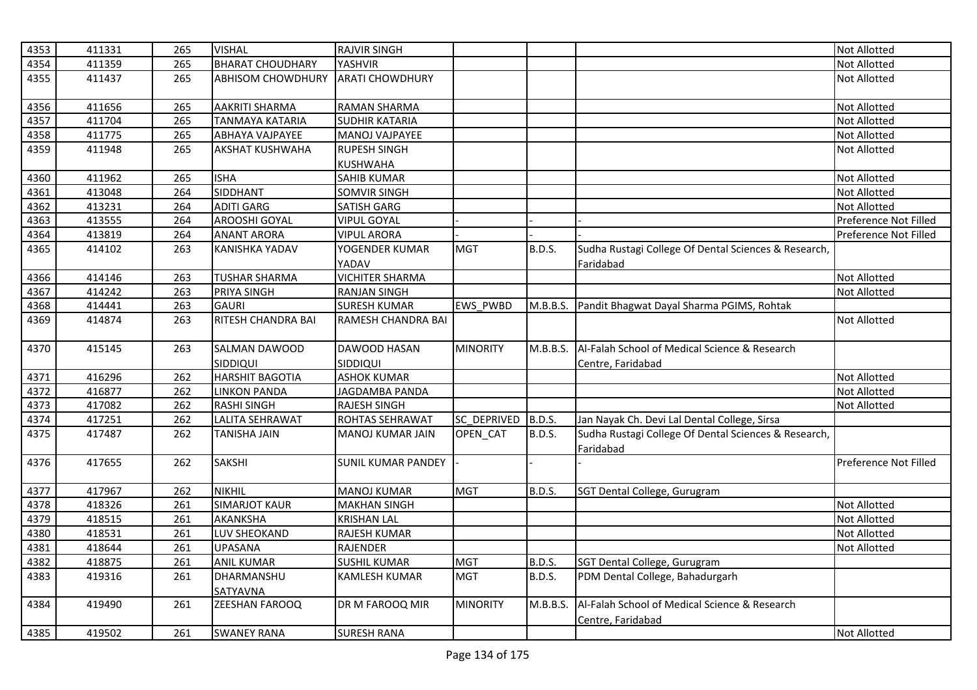| <b>BHARAT CHOUDHARY</b><br>4354<br>411359<br>265<br>YASHVIR<br>Not Allotted<br>4355<br>411437<br>265<br><b>ABHISOM CHOWDHURY</b><br><b>ARATI CHOWDHURY</b><br><b>Not Allotted</b><br>4356<br>411656<br>AAKRITI SHARMA<br>Not Allotted<br>265<br>RAMAN SHARMA<br>4357<br>411704<br>265<br>Not Allotted<br><b>TANMAYA KATARIA</b><br><b>SUDHIR KATARIA</b><br>4358<br>411775<br>265<br><b>ABHAYA VAJPAYEE</b><br>MANOJ VAJPAYEE<br><b>Not Allotted</b><br>4359<br>411948<br>265<br>AKSHAT KUSHWAHA<br><b>RUPESH SINGH</b><br><b>Not Allotted</b><br><b>KUSHWAHA</b><br>411962<br><b>ISHA</b><br>4360<br>265<br>Not Allotted<br><b>SAHIB KUMAR</b><br>SIDDHANT<br>413048<br>264<br>Not Allotted<br>4361<br><b>SOMVIR SINGH</b><br>4362<br><b>ADITI GARG</b><br>413231<br>264<br><b>SATISH GARG</b><br><b>Not Allotted</b><br>AROOSHI GOYAL<br>Preference Not Filled<br>4363<br>413555<br>264<br><b>VIPUL GOYAL</b><br>4364<br>413819<br>264<br>Preference Not Filled<br><b>ANANT ARORA</b><br><b>VIPUL ARORA</b><br>Sudha Rustagi College Of Dental Sciences & Research,<br>4365<br>414102<br>263<br><b>KANISHKA YADAV</b><br>YOGENDER KUMAR<br><b>MGT</b><br><b>B.D.S.</b><br>YADAV<br>Faridabad<br><b>VICHITER SHARMA</b><br>Not Allotted<br>4366<br>414146<br>263<br><b>TUSHAR SHARMA</b><br>4367<br>414242<br>263<br>PRIYA SINGH<br><b>RANJAN SINGH</b><br>Not Allotted<br><b>GAURI</b><br>4368<br>414441<br><b>SURESH KUMAR</b><br>EWS_PWBD<br>Pandit Bhagwat Dayal Sharma PGIMS, Rohtak<br>263<br>M.B.B.S.<br><b>RITESH CHANDRA BAI</b><br>4369<br>414874<br>263<br>RAMESH CHANDRA BAI<br><b>Not Allotted</b><br>4370<br>415145<br>SALMAN DAWOOD<br><b>MINORITY</b><br>Al-Falah School of Medical Science & Research<br>263<br>DAWOOD HASAN<br>M.B.B.S.<br>SIDDIQUI<br><b>SIDDIQUI</b><br>Centre, Faridabad<br>262<br><b>HARSHIT BAGOTIA</b><br><b>ASHOK KUMAR</b><br><b>Not Allotted</b><br>4371<br>416296<br>4372<br>416877<br>JAGDAMBA PANDA<br>Not Allotted<br>262<br><b>LINKON PANDA</b><br>4373<br>417082<br>262<br><b>RASHI SINGH</b><br><b>RAJESH SINGH</b><br>Not Allotted<br>4374<br>262<br>B.D.S.<br>417251<br><b>LALITA SEHRAWAT</b><br>ROHTAS SEHRAWAT<br>SC DEPRIVED<br>Jan Nayak Ch. Devi Lal Dental College, Sirsa<br>4375<br><b>TANISHA JAIN</b><br><b>B.D.S.</b><br>Sudha Rustagi College Of Dental Sciences & Research,<br>417487<br>262<br>MANOJ KUMAR JAIN<br>OPEN_CAT<br>Faridabad<br><b>SAKSHI</b><br>4376<br>Preference Not Filled<br>417655<br>262<br>SUNIL KUMAR PANDEY<br><b>NIKHIL</b><br>4377<br>417967<br>262<br><b>MANOJ KUMAR</b><br><b>MGT</b><br><b>B.D.S.</b><br>SGT Dental College, Gurugram<br><b>SIMARJOT KAUR</b><br>4378<br>418326<br>261<br><b>MAKHAN SINGH</b><br>Not Allotted<br>4379<br>418515<br>AKANKSHA<br>Not Allotted<br>261<br><b>KRISHAN LAL</b><br>4380<br>418531<br>261<br>LUV SHEOKAND<br>RAJESH KUMAR<br>Not Allotted<br>4381<br>418644<br>261<br><b>UPASANA</b><br>RAJENDER<br>Not Allotted<br>4382<br>261<br><b>ANIL KUMAR</b><br><b>SUSHIL KUMAR</b><br><b>MGT</b><br>SGT Dental College, Gurugram<br>418875<br>B.D.S.<br>4383<br>DHARMANSHU<br>419316<br>261<br><b>MGT</b><br><b>B.D.S.</b><br>PDM Dental College, Bahadurgarh<br>KAMLESH KUMAR<br><b>SATYAVNA</b><br>Al-Falah School of Medical Science & Research<br>4384<br>419490<br>261<br><b>ZEESHAN FAROOQ</b><br>DR M FAROOQ MIR<br><b>MINORITY</b><br>M.B.B.S.<br>Centre, Faridabad<br>261 | 4353 | 411331 | 265 | <b>VISHAL</b>      | <b>RAJVIR SINGH</b> |  | Not Allotted        |
|-------------------------------------------------------------------------------------------------------------------------------------------------------------------------------------------------------------------------------------------------------------------------------------------------------------------------------------------------------------------------------------------------------------------------------------------------------------------------------------------------------------------------------------------------------------------------------------------------------------------------------------------------------------------------------------------------------------------------------------------------------------------------------------------------------------------------------------------------------------------------------------------------------------------------------------------------------------------------------------------------------------------------------------------------------------------------------------------------------------------------------------------------------------------------------------------------------------------------------------------------------------------------------------------------------------------------------------------------------------------------------------------------------------------------------------------------------------------------------------------------------------------------------------------------------------------------------------------------------------------------------------------------------------------------------------------------------------------------------------------------------------------------------------------------------------------------------------------------------------------------------------------------------------------------------------------------------------------------------------------------------------------------------------------------------------------------------------------------------------------------------------------------------------------------------------------------------------------------------------------------------------------------------------------------------------------------------------------------------------------------------------------------------------------------------------------------------------------------------------------------------------------------------------------------------------------------------------------------------------------------------------------------------------------------------------------------------------------------------------------------------------------------------------------------------------------------------------------------------------------------------------------------------------------------------------------------------------------------------------------------------------------------------------------------------------------------------------------------------------------------------------------------------------------------------------------------------------------------------------------------------------------------------------------------------------------------------------------------------------------------------------------------------------------|------|--------|-----|--------------------|---------------------|--|---------------------|
|                                                                                                                                                                                                                                                                                                                                                                                                                                                                                                                                                                                                                                                                                                                                                                                                                                                                                                                                                                                                                                                                                                                                                                                                                                                                                                                                                                                                                                                                                                                                                                                                                                                                                                                                                                                                                                                                                                                                                                                                                                                                                                                                                                                                                                                                                                                                                                                                                                                                                                                                                                                                                                                                                                                                                                                                                                                                                                                                                                                                                                                                                                                                                                                                                                                                                                                                                                                                                   |      |        |     |                    |                     |  |                     |
|                                                                                                                                                                                                                                                                                                                                                                                                                                                                                                                                                                                                                                                                                                                                                                                                                                                                                                                                                                                                                                                                                                                                                                                                                                                                                                                                                                                                                                                                                                                                                                                                                                                                                                                                                                                                                                                                                                                                                                                                                                                                                                                                                                                                                                                                                                                                                                                                                                                                                                                                                                                                                                                                                                                                                                                                                                                                                                                                                                                                                                                                                                                                                                                                                                                                                                                                                                                                                   |      |        |     |                    |                     |  |                     |
|                                                                                                                                                                                                                                                                                                                                                                                                                                                                                                                                                                                                                                                                                                                                                                                                                                                                                                                                                                                                                                                                                                                                                                                                                                                                                                                                                                                                                                                                                                                                                                                                                                                                                                                                                                                                                                                                                                                                                                                                                                                                                                                                                                                                                                                                                                                                                                                                                                                                                                                                                                                                                                                                                                                                                                                                                                                                                                                                                                                                                                                                                                                                                                                                                                                                                                                                                                                                                   |      |        |     |                    |                     |  |                     |
|                                                                                                                                                                                                                                                                                                                                                                                                                                                                                                                                                                                                                                                                                                                                                                                                                                                                                                                                                                                                                                                                                                                                                                                                                                                                                                                                                                                                                                                                                                                                                                                                                                                                                                                                                                                                                                                                                                                                                                                                                                                                                                                                                                                                                                                                                                                                                                                                                                                                                                                                                                                                                                                                                                                                                                                                                                                                                                                                                                                                                                                                                                                                                                                                                                                                                                                                                                                                                   |      |        |     |                    |                     |  |                     |
|                                                                                                                                                                                                                                                                                                                                                                                                                                                                                                                                                                                                                                                                                                                                                                                                                                                                                                                                                                                                                                                                                                                                                                                                                                                                                                                                                                                                                                                                                                                                                                                                                                                                                                                                                                                                                                                                                                                                                                                                                                                                                                                                                                                                                                                                                                                                                                                                                                                                                                                                                                                                                                                                                                                                                                                                                                                                                                                                                                                                                                                                                                                                                                                                                                                                                                                                                                                                                   |      |        |     |                    |                     |  |                     |
|                                                                                                                                                                                                                                                                                                                                                                                                                                                                                                                                                                                                                                                                                                                                                                                                                                                                                                                                                                                                                                                                                                                                                                                                                                                                                                                                                                                                                                                                                                                                                                                                                                                                                                                                                                                                                                                                                                                                                                                                                                                                                                                                                                                                                                                                                                                                                                                                                                                                                                                                                                                                                                                                                                                                                                                                                                                                                                                                                                                                                                                                                                                                                                                                                                                                                                                                                                                                                   |      |        |     |                    |                     |  |                     |
|                                                                                                                                                                                                                                                                                                                                                                                                                                                                                                                                                                                                                                                                                                                                                                                                                                                                                                                                                                                                                                                                                                                                                                                                                                                                                                                                                                                                                                                                                                                                                                                                                                                                                                                                                                                                                                                                                                                                                                                                                                                                                                                                                                                                                                                                                                                                                                                                                                                                                                                                                                                                                                                                                                                                                                                                                                                                                                                                                                                                                                                                                                                                                                                                                                                                                                                                                                                                                   |      |        |     |                    |                     |  |                     |
|                                                                                                                                                                                                                                                                                                                                                                                                                                                                                                                                                                                                                                                                                                                                                                                                                                                                                                                                                                                                                                                                                                                                                                                                                                                                                                                                                                                                                                                                                                                                                                                                                                                                                                                                                                                                                                                                                                                                                                                                                                                                                                                                                                                                                                                                                                                                                                                                                                                                                                                                                                                                                                                                                                                                                                                                                                                                                                                                                                                                                                                                                                                                                                                                                                                                                                                                                                                                                   |      |        |     |                    |                     |  |                     |
|                                                                                                                                                                                                                                                                                                                                                                                                                                                                                                                                                                                                                                                                                                                                                                                                                                                                                                                                                                                                                                                                                                                                                                                                                                                                                                                                                                                                                                                                                                                                                                                                                                                                                                                                                                                                                                                                                                                                                                                                                                                                                                                                                                                                                                                                                                                                                                                                                                                                                                                                                                                                                                                                                                                                                                                                                                                                                                                                                                                                                                                                                                                                                                                                                                                                                                                                                                                                                   |      |        |     |                    |                     |  |                     |
|                                                                                                                                                                                                                                                                                                                                                                                                                                                                                                                                                                                                                                                                                                                                                                                                                                                                                                                                                                                                                                                                                                                                                                                                                                                                                                                                                                                                                                                                                                                                                                                                                                                                                                                                                                                                                                                                                                                                                                                                                                                                                                                                                                                                                                                                                                                                                                                                                                                                                                                                                                                                                                                                                                                                                                                                                                                                                                                                                                                                                                                                                                                                                                                                                                                                                                                                                                                                                   |      |        |     |                    |                     |  |                     |
|                                                                                                                                                                                                                                                                                                                                                                                                                                                                                                                                                                                                                                                                                                                                                                                                                                                                                                                                                                                                                                                                                                                                                                                                                                                                                                                                                                                                                                                                                                                                                                                                                                                                                                                                                                                                                                                                                                                                                                                                                                                                                                                                                                                                                                                                                                                                                                                                                                                                                                                                                                                                                                                                                                                                                                                                                                                                                                                                                                                                                                                                                                                                                                                                                                                                                                                                                                                                                   |      |        |     |                    |                     |  |                     |
|                                                                                                                                                                                                                                                                                                                                                                                                                                                                                                                                                                                                                                                                                                                                                                                                                                                                                                                                                                                                                                                                                                                                                                                                                                                                                                                                                                                                                                                                                                                                                                                                                                                                                                                                                                                                                                                                                                                                                                                                                                                                                                                                                                                                                                                                                                                                                                                                                                                                                                                                                                                                                                                                                                                                                                                                                                                                                                                                                                                                                                                                                                                                                                                                                                                                                                                                                                                                                   |      |        |     |                    |                     |  |                     |
|                                                                                                                                                                                                                                                                                                                                                                                                                                                                                                                                                                                                                                                                                                                                                                                                                                                                                                                                                                                                                                                                                                                                                                                                                                                                                                                                                                                                                                                                                                                                                                                                                                                                                                                                                                                                                                                                                                                                                                                                                                                                                                                                                                                                                                                                                                                                                                                                                                                                                                                                                                                                                                                                                                                                                                                                                                                                                                                                                                                                                                                                                                                                                                                                                                                                                                                                                                                                                   |      |        |     |                    |                     |  |                     |
|                                                                                                                                                                                                                                                                                                                                                                                                                                                                                                                                                                                                                                                                                                                                                                                                                                                                                                                                                                                                                                                                                                                                                                                                                                                                                                                                                                                                                                                                                                                                                                                                                                                                                                                                                                                                                                                                                                                                                                                                                                                                                                                                                                                                                                                                                                                                                                                                                                                                                                                                                                                                                                                                                                                                                                                                                                                                                                                                                                                                                                                                                                                                                                                                                                                                                                                                                                                                                   |      |        |     |                    |                     |  |                     |
|                                                                                                                                                                                                                                                                                                                                                                                                                                                                                                                                                                                                                                                                                                                                                                                                                                                                                                                                                                                                                                                                                                                                                                                                                                                                                                                                                                                                                                                                                                                                                                                                                                                                                                                                                                                                                                                                                                                                                                                                                                                                                                                                                                                                                                                                                                                                                                                                                                                                                                                                                                                                                                                                                                                                                                                                                                                                                                                                                                                                                                                                                                                                                                                                                                                                                                                                                                                                                   |      |        |     |                    |                     |  |                     |
|                                                                                                                                                                                                                                                                                                                                                                                                                                                                                                                                                                                                                                                                                                                                                                                                                                                                                                                                                                                                                                                                                                                                                                                                                                                                                                                                                                                                                                                                                                                                                                                                                                                                                                                                                                                                                                                                                                                                                                                                                                                                                                                                                                                                                                                                                                                                                                                                                                                                                                                                                                                                                                                                                                                                                                                                                                                                                                                                                                                                                                                                                                                                                                                                                                                                                                                                                                                                                   |      |        |     |                    |                     |  |                     |
|                                                                                                                                                                                                                                                                                                                                                                                                                                                                                                                                                                                                                                                                                                                                                                                                                                                                                                                                                                                                                                                                                                                                                                                                                                                                                                                                                                                                                                                                                                                                                                                                                                                                                                                                                                                                                                                                                                                                                                                                                                                                                                                                                                                                                                                                                                                                                                                                                                                                                                                                                                                                                                                                                                                                                                                                                                                                                                                                                                                                                                                                                                                                                                                                                                                                                                                                                                                                                   |      |        |     |                    |                     |  |                     |
|                                                                                                                                                                                                                                                                                                                                                                                                                                                                                                                                                                                                                                                                                                                                                                                                                                                                                                                                                                                                                                                                                                                                                                                                                                                                                                                                                                                                                                                                                                                                                                                                                                                                                                                                                                                                                                                                                                                                                                                                                                                                                                                                                                                                                                                                                                                                                                                                                                                                                                                                                                                                                                                                                                                                                                                                                                                                                                                                                                                                                                                                                                                                                                                                                                                                                                                                                                                                                   |      |        |     |                    |                     |  |                     |
|                                                                                                                                                                                                                                                                                                                                                                                                                                                                                                                                                                                                                                                                                                                                                                                                                                                                                                                                                                                                                                                                                                                                                                                                                                                                                                                                                                                                                                                                                                                                                                                                                                                                                                                                                                                                                                                                                                                                                                                                                                                                                                                                                                                                                                                                                                                                                                                                                                                                                                                                                                                                                                                                                                                                                                                                                                                                                                                                                                                                                                                                                                                                                                                                                                                                                                                                                                                                                   |      |        |     |                    |                     |  |                     |
|                                                                                                                                                                                                                                                                                                                                                                                                                                                                                                                                                                                                                                                                                                                                                                                                                                                                                                                                                                                                                                                                                                                                                                                                                                                                                                                                                                                                                                                                                                                                                                                                                                                                                                                                                                                                                                                                                                                                                                                                                                                                                                                                                                                                                                                                                                                                                                                                                                                                                                                                                                                                                                                                                                                                                                                                                                                                                                                                                                                                                                                                                                                                                                                                                                                                                                                                                                                                                   |      |        |     |                    |                     |  |                     |
|                                                                                                                                                                                                                                                                                                                                                                                                                                                                                                                                                                                                                                                                                                                                                                                                                                                                                                                                                                                                                                                                                                                                                                                                                                                                                                                                                                                                                                                                                                                                                                                                                                                                                                                                                                                                                                                                                                                                                                                                                                                                                                                                                                                                                                                                                                                                                                                                                                                                                                                                                                                                                                                                                                                                                                                                                                                                                                                                                                                                                                                                                                                                                                                                                                                                                                                                                                                                                   |      |        |     |                    |                     |  |                     |
|                                                                                                                                                                                                                                                                                                                                                                                                                                                                                                                                                                                                                                                                                                                                                                                                                                                                                                                                                                                                                                                                                                                                                                                                                                                                                                                                                                                                                                                                                                                                                                                                                                                                                                                                                                                                                                                                                                                                                                                                                                                                                                                                                                                                                                                                                                                                                                                                                                                                                                                                                                                                                                                                                                                                                                                                                                                                                                                                                                                                                                                                                                                                                                                                                                                                                                                                                                                                                   |      |        |     |                    |                     |  |                     |
|                                                                                                                                                                                                                                                                                                                                                                                                                                                                                                                                                                                                                                                                                                                                                                                                                                                                                                                                                                                                                                                                                                                                                                                                                                                                                                                                                                                                                                                                                                                                                                                                                                                                                                                                                                                                                                                                                                                                                                                                                                                                                                                                                                                                                                                                                                                                                                                                                                                                                                                                                                                                                                                                                                                                                                                                                                                                                                                                                                                                                                                                                                                                                                                                                                                                                                                                                                                                                   |      |        |     |                    |                     |  |                     |
|                                                                                                                                                                                                                                                                                                                                                                                                                                                                                                                                                                                                                                                                                                                                                                                                                                                                                                                                                                                                                                                                                                                                                                                                                                                                                                                                                                                                                                                                                                                                                                                                                                                                                                                                                                                                                                                                                                                                                                                                                                                                                                                                                                                                                                                                                                                                                                                                                                                                                                                                                                                                                                                                                                                                                                                                                                                                                                                                                                                                                                                                                                                                                                                                                                                                                                                                                                                                                   |      |        |     |                    |                     |  |                     |
|                                                                                                                                                                                                                                                                                                                                                                                                                                                                                                                                                                                                                                                                                                                                                                                                                                                                                                                                                                                                                                                                                                                                                                                                                                                                                                                                                                                                                                                                                                                                                                                                                                                                                                                                                                                                                                                                                                                                                                                                                                                                                                                                                                                                                                                                                                                                                                                                                                                                                                                                                                                                                                                                                                                                                                                                                                                                                                                                                                                                                                                                                                                                                                                                                                                                                                                                                                                                                   |      |        |     |                    |                     |  |                     |
|                                                                                                                                                                                                                                                                                                                                                                                                                                                                                                                                                                                                                                                                                                                                                                                                                                                                                                                                                                                                                                                                                                                                                                                                                                                                                                                                                                                                                                                                                                                                                                                                                                                                                                                                                                                                                                                                                                                                                                                                                                                                                                                                                                                                                                                                                                                                                                                                                                                                                                                                                                                                                                                                                                                                                                                                                                                                                                                                                                                                                                                                                                                                                                                                                                                                                                                                                                                                                   |      |        |     |                    |                     |  |                     |
|                                                                                                                                                                                                                                                                                                                                                                                                                                                                                                                                                                                                                                                                                                                                                                                                                                                                                                                                                                                                                                                                                                                                                                                                                                                                                                                                                                                                                                                                                                                                                                                                                                                                                                                                                                                                                                                                                                                                                                                                                                                                                                                                                                                                                                                                                                                                                                                                                                                                                                                                                                                                                                                                                                                                                                                                                                                                                                                                                                                                                                                                                                                                                                                                                                                                                                                                                                                                                   |      |        |     |                    |                     |  |                     |
|                                                                                                                                                                                                                                                                                                                                                                                                                                                                                                                                                                                                                                                                                                                                                                                                                                                                                                                                                                                                                                                                                                                                                                                                                                                                                                                                                                                                                                                                                                                                                                                                                                                                                                                                                                                                                                                                                                                                                                                                                                                                                                                                                                                                                                                                                                                                                                                                                                                                                                                                                                                                                                                                                                                                                                                                                                                                                                                                                                                                                                                                                                                                                                                                                                                                                                                                                                                                                   |      |        |     |                    |                     |  |                     |
|                                                                                                                                                                                                                                                                                                                                                                                                                                                                                                                                                                                                                                                                                                                                                                                                                                                                                                                                                                                                                                                                                                                                                                                                                                                                                                                                                                                                                                                                                                                                                                                                                                                                                                                                                                                                                                                                                                                                                                                                                                                                                                                                                                                                                                                                                                                                                                                                                                                                                                                                                                                                                                                                                                                                                                                                                                                                                                                                                                                                                                                                                                                                                                                                                                                                                                                                                                                                                   |      |        |     |                    |                     |  |                     |
|                                                                                                                                                                                                                                                                                                                                                                                                                                                                                                                                                                                                                                                                                                                                                                                                                                                                                                                                                                                                                                                                                                                                                                                                                                                                                                                                                                                                                                                                                                                                                                                                                                                                                                                                                                                                                                                                                                                                                                                                                                                                                                                                                                                                                                                                                                                                                                                                                                                                                                                                                                                                                                                                                                                                                                                                                                                                                                                                                                                                                                                                                                                                                                                                                                                                                                                                                                                                                   |      |        |     |                    |                     |  |                     |
|                                                                                                                                                                                                                                                                                                                                                                                                                                                                                                                                                                                                                                                                                                                                                                                                                                                                                                                                                                                                                                                                                                                                                                                                                                                                                                                                                                                                                                                                                                                                                                                                                                                                                                                                                                                                                                                                                                                                                                                                                                                                                                                                                                                                                                                                                                                                                                                                                                                                                                                                                                                                                                                                                                                                                                                                                                                                                                                                                                                                                                                                                                                                                                                                                                                                                                                                                                                                                   |      |        |     |                    |                     |  |                     |
|                                                                                                                                                                                                                                                                                                                                                                                                                                                                                                                                                                                                                                                                                                                                                                                                                                                                                                                                                                                                                                                                                                                                                                                                                                                                                                                                                                                                                                                                                                                                                                                                                                                                                                                                                                                                                                                                                                                                                                                                                                                                                                                                                                                                                                                                                                                                                                                                                                                                                                                                                                                                                                                                                                                                                                                                                                                                                                                                                                                                                                                                                                                                                                                                                                                                                                                                                                                                                   |      |        |     |                    |                     |  |                     |
|                                                                                                                                                                                                                                                                                                                                                                                                                                                                                                                                                                                                                                                                                                                                                                                                                                                                                                                                                                                                                                                                                                                                                                                                                                                                                                                                                                                                                                                                                                                                                                                                                                                                                                                                                                                                                                                                                                                                                                                                                                                                                                                                                                                                                                                                                                                                                                                                                                                                                                                                                                                                                                                                                                                                                                                                                                                                                                                                                                                                                                                                                                                                                                                                                                                                                                                                                                                                                   |      |        |     |                    |                     |  |                     |
|                                                                                                                                                                                                                                                                                                                                                                                                                                                                                                                                                                                                                                                                                                                                                                                                                                                                                                                                                                                                                                                                                                                                                                                                                                                                                                                                                                                                                                                                                                                                                                                                                                                                                                                                                                                                                                                                                                                                                                                                                                                                                                                                                                                                                                                                                                                                                                                                                                                                                                                                                                                                                                                                                                                                                                                                                                                                                                                                                                                                                                                                                                                                                                                                                                                                                                                                                                                                                   |      |        |     |                    |                     |  |                     |
|                                                                                                                                                                                                                                                                                                                                                                                                                                                                                                                                                                                                                                                                                                                                                                                                                                                                                                                                                                                                                                                                                                                                                                                                                                                                                                                                                                                                                                                                                                                                                                                                                                                                                                                                                                                                                                                                                                                                                                                                                                                                                                                                                                                                                                                                                                                                                                                                                                                                                                                                                                                                                                                                                                                                                                                                                                                                                                                                                                                                                                                                                                                                                                                                                                                                                                                                                                                                                   |      |        |     |                    |                     |  |                     |
|                                                                                                                                                                                                                                                                                                                                                                                                                                                                                                                                                                                                                                                                                                                                                                                                                                                                                                                                                                                                                                                                                                                                                                                                                                                                                                                                                                                                                                                                                                                                                                                                                                                                                                                                                                                                                                                                                                                                                                                                                                                                                                                                                                                                                                                                                                                                                                                                                                                                                                                                                                                                                                                                                                                                                                                                                                                                                                                                                                                                                                                                                                                                                                                                                                                                                                                                                                                                                   | 4385 | 419502 |     | <b>SWANEY RANA</b> | <b>SURESH RANA</b>  |  | <b>Not Allotted</b> |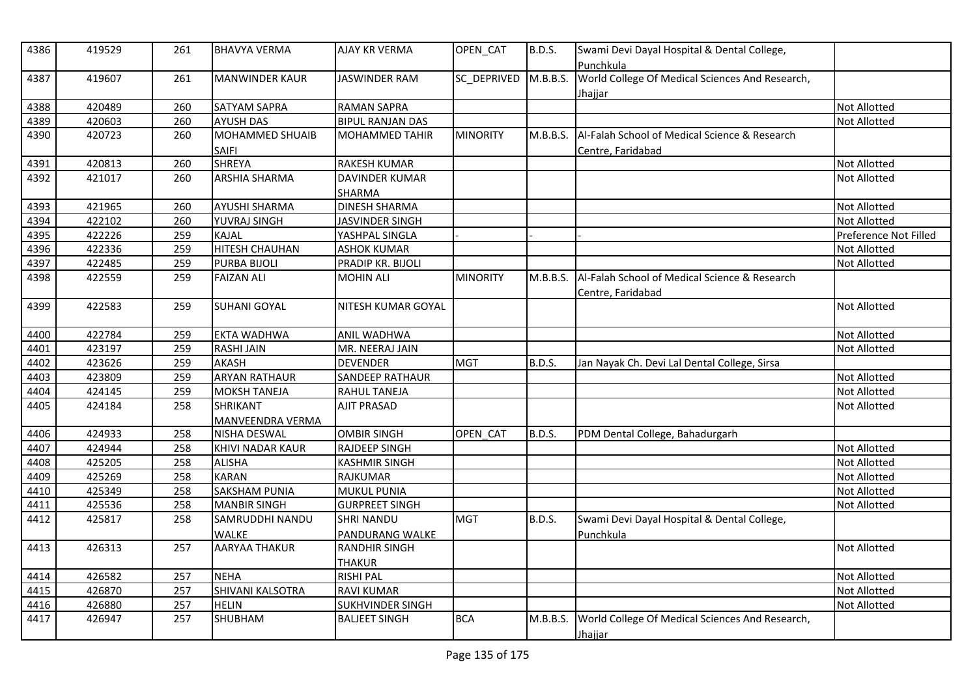| 4386 | 419529 | 261 | <b>BHAVYA VERMA</b>    | <b>AJAY KR VERMA</b>    | OPEN_CAT        | <b>B.D.S.</b> | Swami Devi Dayal Hospital & Dental College,<br>Punchkula   |                       |
|------|--------|-----|------------------------|-------------------------|-----------------|---------------|------------------------------------------------------------|-----------------------|
| 4387 | 419607 | 261 | <b>MANWINDER KAUR</b>  | <b>JASWINDER RAM</b>    | SC_DEPRIVED     | M.B.B.S.      | World College Of Medical Sciences And Research,<br>Jhajjar |                       |
| 4388 | 420489 | 260 | SATYAM SAPRA           | <b>RAMAN SAPRA</b>      |                 |               |                                                            | <b>Not Allotted</b>   |
| 4389 | 420603 | 260 | <b>AYUSH DAS</b>       | <b>BIPUL RANJAN DAS</b> |                 |               |                                                            | Not Allotted          |
| 4390 | 420723 | 260 | <b>MOHAMMED SHUAIB</b> | <b>MOHAMMED TAHIR</b>   | <b>MINORITY</b> | M.B.B.S.      | Al-Falah School of Medical Science & Research              |                       |
|      |        |     | <b>SAIFI</b>           |                         |                 |               | Centre, Faridabad                                          |                       |
| 4391 | 420813 | 260 | <b>SHREYA</b>          | <b>RAKESH KUMAR</b>     |                 |               |                                                            | <b>Not Allotted</b>   |
| 4392 | 421017 | 260 | <b>ARSHIA SHARMA</b>   | <b>DAVINDER KUMAR</b>   |                 |               |                                                            | <b>Not Allotted</b>   |
|      |        |     |                        | <b>SHARMA</b>           |                 |               |                                                            |                       |
| 4393 | 421965 | 260 | <b>AYUSHI SHARMA</b>   | <b>DINESH SHARMA</b>    |                 |               |                                                            | <b>Not Allotted</b>   |
| 4394 | 422102 | 260 | YUVRAJ SINGH           | JASVINDER SINGH         |                 |               |                                                            | <b>Not Allotted</b>   |
| 4395 | 422226 | 259 | KAJAL                  | YASHPAL SINGLA          |                 |               |                                                            | Preference Not Filled |
| 4396 | 422336 | 259 | <b>HITESH CHAUHAN</b>  | <b>ASHOK KUMAR</b>      |                 |               |                                                            | <b>Not Allotted</b>   |
| 4397 | 422485 | 259 | PURBA BIJOLI           | PRADIP KR. BIJOLI       |                 |               |                                                            | <b>Not Allotted</b>   |
| 4398 | 422559 | 259 | <b>FAIZAN ALI</b>      | <b>MOHIN ALI</b>        | <b>MINORITY</b> | M.B.B.S.      | Al-Falah School of Medical Science & Research              |                       |
|      |        |     |                        |                         |                 |               | Centre, Faridabad                                          |                       |
| 4399 | 422583 | 259 | <b>SUHANI GOYAL</b>    | NITESH KUMAR GOYAL      |                 |               |                                                            | <b>Not Allotted</b>   |
| 4400 | 422784 | 259 | <b>EKTA WADHWA</b>     | <b>ANIL WADHWA</b>      |                 |               |                                                            | <b>Not Allotted</b>   |
| 4401 | 423197 | 259 | <b>RASHI JAIN</b>      | MR. NEERAJ JAIN         |                 |               |                                                            | <b>Not Allotted</b>   |
| 4402 | 423626 | 259 | <b>AKASH</b>           | <b>DEVENDER</b>         | <b>MGT</b>      | B.D.S.        | Jan Nayak Ch. Devi Lal Dental College, Sirsa               |                       |
| 4403 | 423809 | 259 | <b>ARYAN RATHAUR</b>   | <b>SANDEEP RATHAUR</b>  |                 |               |                                                            | <b>Not Allotted</b>   |
| 4404 | 424145 | 259 | <b>MOKSH TANEJA</b>    | <b>RAHUL TANEJA</b>     |                 |               |                                                            | <b>Not Allotted</b>   |
| 4405 | 424184 | 258 | <b>SHRIKANT</b>        | <b>AJIT PRASAD</b>      |                 |               |                                                            | <b>Not Allotted</b>   |
|      |        |     | MANVEENDRA VERMA       |                         |                 |               |                                                            |                       |
| 4406 | 424933 | 258 | NISHA DESWAL           | <b>OMBIR SINGH</b>      | OPEN CAT        | <b>B.D.S.</b> | PDM Dental College, Bahadurgarh                            |                       |
| 4407 | 424944 | 258 | KHIVI NADAR KAUR       | <b>RAJDEEP SINGH</b>    |                 |               |                                                            | <b>Not Allotted</b>   |
| 4408 | 425205 | 258 | <b>ALISHA</b>          | <b>KASHMIR SINGH</b>    |                 |               |                                                            | <b>Not Allotted</b>   |
| 4409 | 425269 | 258 | <b>KARAN</b>           | <b>RAJKUMAR</b>         |                 |               |                                                            | <b>Not Allotted</b>   |
| 4410 | 425349 | 258 | SAKSHAM PUNIA          | <b>MUKUL PUNIA</b>      |                 |               |                                                            | Not Allotted          |
| 4411 | 425536 | 258 | <b>MANBIR SINGH</b>    | <b>GURPREET SINGH</b>   |                 |               |                                                            | Not Allotted          |
| 4412 | 425817 | 258 | SAMRUDDHI NANDU        | <b>SHRI NANDU</b>       | <b>MGT</b>      | <b>B.D.S.</b> | Swami Devi Dayal Hospital & Dental College,                |                       |
|      |        |     | <b>WALKE</b>           | PANDURANG WALKE         |                 |               | Punchkula                                                  |                       |
| 4413 | 426313 | 257 | <b>AARYAA THAKUR</b>   | <b>RANDHIR SINGH</b>    |                 |               |                                                            | <b>Not Allotted</b>   |
|      |        |     |                        | <b>THAKUR</b>           |                 |               |                                                            |                       |
| 4414 | 426582 | 257 | <b>NEHA</b>            | <b>RISHI PAL</b>        |                 |               |                                                            | <b>Not Allotted</b>   |
| 4415 | 426870 | 257 | SHIVANI KALSOTRA       | <b>RAVI KUMAR</b>       |                 |               |                                                            | <b>Not Allotted</b>   |
| 4416 | 426880 | 257 | <b>HELIN</b>           | <b>SUKHVINDER SINGH</b> |                 |               |                                                            | <b>Not Allotted</b>   |
| 4417 | 426947 | 257 | SHUBHAM                | <b>BALJEET SINGH</b>    | <b>BCA</b>      | M.B.B.S.      | World College Of Medical Sciences And Research,            |                       |
|      |        |     |                        |                         |                 |               | Jhajjar                                                    |                       |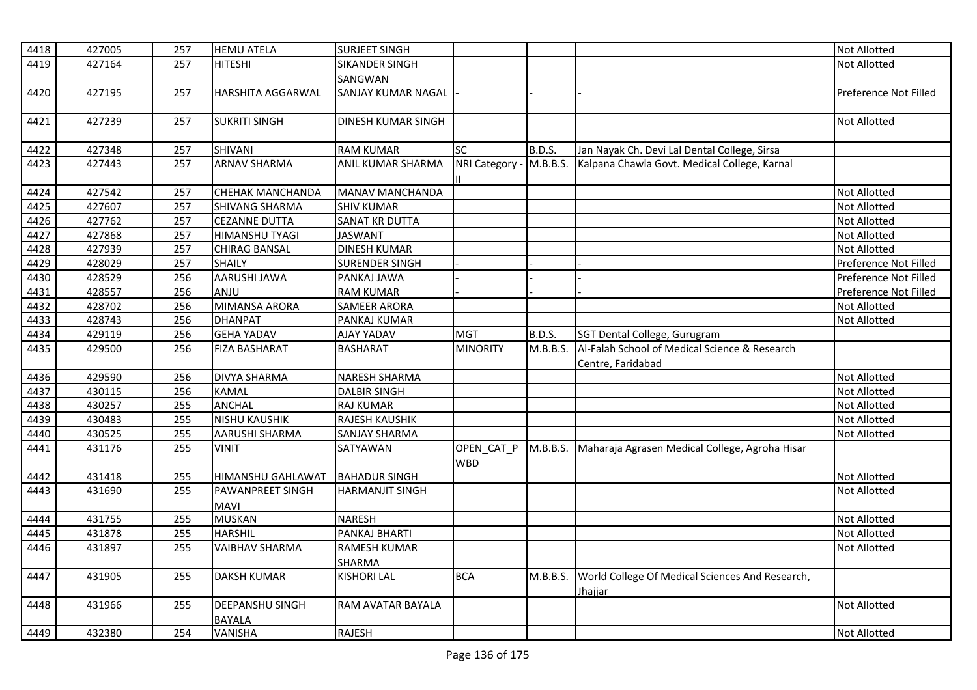| 4418 | 427005 | 257 | <b>HEMU ATELA</b>        | <b>SURJEET SINGH</b>      |                 |               |                                                 | <b>Not Allotted</b>   |
|------|--------|-----|--------------------------|---------------------------|-----------------|---------------|-------------------------------------------------|-----------------------|
| 4419 | 427164 | 257 | <b>HITESHI</b>           | <b>SIKANDER SINGH</b>     |                 |               |                                                 | <b>Not Allotted</b>   |
|      |        |     |                          | SANGWAN                   |                 |               |                                                 |                       |
| 4420 | 427195 | 257 | <b>HARSHITA AGGARWAL</b> | <b>SANJAY KUMAR NAGAL</b> |                 |               |                                                 | Preference Not Filled |
|      |        |     |                          |                           |                 |               |                                                 |                       |
| 4421 | 427239 | 257 | <b>SUKRITI SINGH</b>     | <b>DINESH KUMAR SINGH</b> |                 |               |                                                 | <b>Not Allotted</b>   |
|      |        |     |                          |                           |                 |               |                                                 |                       |
| 4422 | 427348 | 257 | SHIVANI                  | <b>RAM KUMAR</b>          | $\overline{SC}$ | <b>B.D.S.</b> | Jan Nayak Ch. Devi Lal Dental College, Sirsa    |                       |
| 4423 | 427443 | 257 | <b>ARNAV SHARMA</b>      | ANIL KUMAR SHARMA         | NRI Category -  | M.B.B.S.      | Kalpana Chawla Govt. Medical College, Karnal    |                       |
|      |        |     |                          |                           |                 |               |                                                 |                       |
| 4424 | 427542 | 257 | <b>CHEHAK MANCHANDA</b>  | <b>MANAV MANCHANDA</b>    |                 |               |                                                 | <b>Not Allotted</b>   |
| 4425 | 427607 | 257 | <b>SHIVANG SHARMA</b>    | <b>SHIV KUMAR</b>         |                 |               |                                                 | <b>Not Allotted</b>   |
| 4426 | 427762 | 257 | <b>CEZANNE DUTTA</b>     | <b>SANAT KR DUTTA</b>     |                 |               |                                                 | <b>Not Allotted</b>   |
| 4427 | 427868 | 257 | <b>HIMANSHU TYAGI</b>    | <b>JASWANT</b>            |                 |               |                                                 | Not Allotted          |
| 4428 | 427939 | 257 | <b>CHIRAG BANSAL</b>     | <b>DINESH KUMAR</b>       |                 |               |                                                 | <b>Not Allotted</b>   |
| 4429 | 428029 | 257 | <b>SHAILY</b>            | <b>SURENDER SINGH</b>     |                 |               |                                                 | Preference Not Filled |
| 4430 | 428529 | 256 | AARUSHI JAWA             | PANKAJ JAWA               |                 |               |                                                 | Preference Not Filled |
| 4431 | 428557 | 256 | ANJU                     | <b>RAM KUMAR</b>          |                 |               |                                                 | Preference Not Filled |
| 4432 | 428702 | 256 | MIMANSA ARORA            | <b>SAMEER ARORA</b>       |                 |               |                                                 | Not Allotted          |
| 4433 | 428743 | 256 | <b>DHANPAT</b>           | PANKAJ KUMAR              |                 |               |                                                 | <b>Not Allotted</b>   |
| 4434 | 429119 | 256 | <b>GEHA YADAV</b>        | <b>AJAY YADAV</b>         | <b>MGT</b>      | <b>B.D.S.</b> | SGT Dental College, Gurugram                    |                       |
| 4435 | 429500 | 256 | <b>FIZA BASHARAT</b>     | <b>BASHARAT</b>           | <b>MINORITY</b> | M.B.B.S.      | Al-Falah School of Medical Science & Research   |                       |
|      |        |     |                          |                           |                 |               | Centre, Faridabad                               |                       |
| 4436 | 429590 | 256 | <b>DIVYA SHARMA</b>      | <b>NARESH SHARMA</b>      |                 |               |                                                 | <b>Not Allotted</b>   |
| 4437 | 430115 | 256 | <b>KAMAL</b>             | <b>DALBIR SINGH</b>       |                 |               |                                                 | <b>Not Allotted</b>   |
| 4438 | 430257 | 255 | <b>ANCHAL</b>            | <b>RAJ KUMAR</b>          |                 |               |                                                 | <b>Not Allotted</b>   |
| 4439 | 430483 | 255 | <b>NISHU KAUSHIK</b>     | RAJESH KAUSHIK            |                 |               |                                                 | Not Allotted          |
| 4440 | 430525 | 255 | <b>AARUSHI SHARMA</b>    | <b>SANJAY SHARMA</b>      |                 |               |                                                 | Not Allotted          |
| 4441 | 431176 | 255 | VINIT                    | SATYAWAN                  | OPEN_CAT_P      | M.B.B.S.      | Maharaja Agrasen Medical College, Agroha Hisar  |                       |
|      |        |     |                          |                           | <b>WBD</b>      |               |                                                 |                       |
| 4442 | 431418 | 255 | <b>HIMANSHU GAHLAWAT</b> | <b>BAHADUR SINGH</b>      |                 |               |                                                 | Not Allotted          |
| 4443 | 431690 | 255 | <b>PAWANPREET SINGH</b>  | <b>HARMANJIT SINGH</b>    |                 |               |                                                 | <b>Not Allotted</b>   |
|      |        |     | <b>MAVI</b>              |                           |                 |               |                                                 |                       |
| 4444 | 431755 | 255 | <b>MUSKAN</b>            | <b>NARESH</b>             |                 |               |                                                 | <b>Not Allotted</b>   |
| 4445 | 431878 | 255 | <b>HARSHIL</b>           | PANKAJ BHARTI             |                 |               |                                                 | Not Allotted          |
| 4446 | 431897 | 255 | <b>VAIBHAV SHARMA</b>    | <b>RAMESH KUMAR</b>       |                 |               |                                                 | <b>Not Allotted</b>   |
|      |        |     |                          | <b>SHARMA</b>             |                 |               |                                                 |                       |
| 4447 | 431905 | 255 | <b>DAKSH KUMAR</b>       | <b>KISHORI LAL</b>        | <b>BCA</b>      | M.B.B.S.      | World College Of Medical Sciences And Research, |                       |
|      |        |     |                          |                           |                 |               | Jhajjar                                         |                       |
| 4448 | 431966 | 255 | <b>DEEPANSHU SINGH</b>   | RAM AVATAR BAYALA         |                 |               |                                                 | <b>Not Allotted</b>   |
|      |        |     | <b>BAYALA</b>            |                           |                 |               |                                                 |                       |
| 4449 | 432380 | 254 | VANISHA                  | <b>RAJESH</b>             |                 |               |                                                 | Not Allotted          |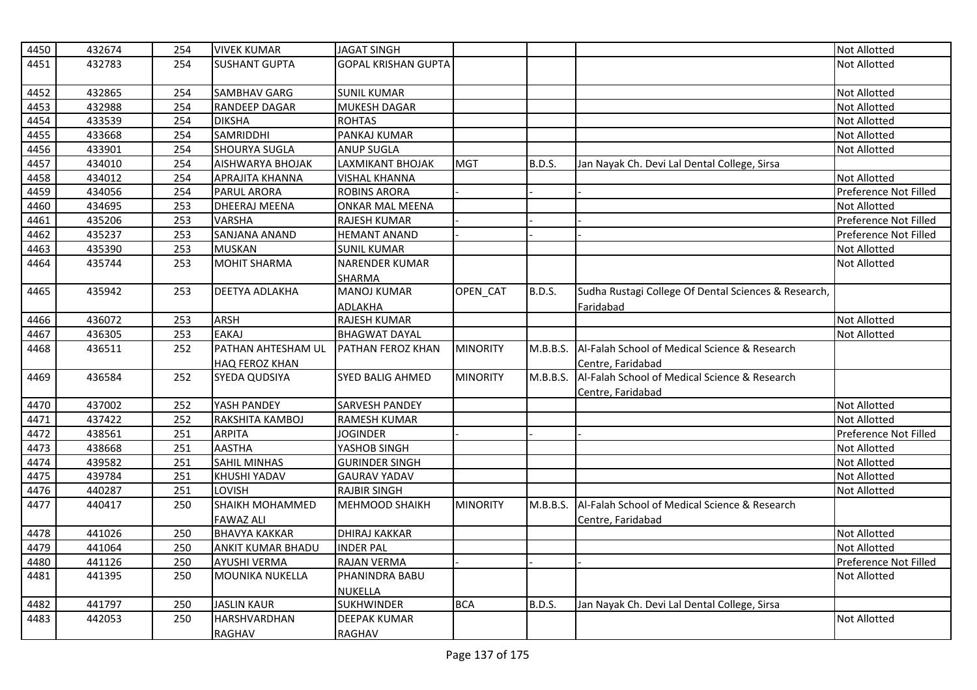| 4450 | 432674 | 254 | <b>VIVEK KUMAR</b>     | <b>JAGAT SINGH</b>         |                 |               |                                                      | Not Allotted          |
|------|--------|-----|------------------------|----------------------------|-----------------|---------------|------------------------------------------------------|-----------------------|
| 4451 | 432783 | 254 | <b>SUSHANT GUPTA</b>   | <b>GOPAL KRISHAN GUPTA</b> |                 |               |                                                      | Not Allotted          |
|      |        |     |                        |                            |                 |               |                                                      |                       |
| 4452 | 432865 | 254 | <b>SAMBHAV GARG</b>    | <b>SUNIL KUMAR</b>         |                 |               |                                                      | Not Allotted          |
| 4453 | 432988 | 254 | <b>RANDEEP DAGAR</b>   | <b>MUKESH DAGAR</b>        |                 |               |                                                      | Not Allotted          |
| 4454 | 433539 | 254 | <b>DIKSHA</b>          | <b>ROHTAS</b>              |                 |               |                                                      | Not Allotted          |
| 4455 | 433668 | 254 | SAMRIDDHI              | PANKAJ KUMAR               |                 |               |                                                      | Not Allotted          |
| 4456 | 433901 | 254 | <b>SHOURYA SUGLA</b>   | <b>ANUP SUGLA</b>          |                 |               |                                                      | Not Allotted          |
| 4457 | 434010 | 254 | AISHWARYA BHOJAK       | LAXMIKANT BHOJAK           | <b>MGT</b>      | B.D.S.        | Jan Nayak Ch. Devi Lal Dental College, Sirsa         |                       |
| 4458 | 434012 | 254 | <b>APRAJITA KHANNA</b> | <b>VISHAL KHANNA</b>       |                 |               |                                                      | Not Allotted          |
| 4459 | 434056 | 254 | PARUL ARORA            | <b>ROBINS ARORA</b>        |                 |               |                                                      | Preference Not Filled |
| 4460 | 434695 | 253 | <b>DHEERAJ MEENA</b>   | <b>ONKAR MAL MEENA</b>     |                 |               |                                                      | Not Allotted          |
| 4461 | 435206 | 253 | <b>VARSHA</b>          | <b>RAJESH KUMAR</b>        |                 |               |                                                      | Preference Not Filled |
| 4462 | 435237 | 253 | SANJANA ANAND          | <b>HEMANT ANAND</b>        |                 |               |                                                      | Preference Not Filled |
| 4463 | 435390 | 253 | <b>MUSKAN</b>          | <b>SUNIL KUMAR</b>         |                 |               |                                                      | Not Allotted          |
| 4464 | 435744 | 253 | <b>MOHIT SHARMA</b>    | <b>NARENDER KUMAR</b>      |                 |               |                                                      | <b>Not Allotted</b>   |
|      |        |     |                        | SHARMA                     |                 |               |                                                      |                       |
| 4465 | 435942 | 253 | <b>DEETYA ADLAKHA</b>  | <b>MANOJ KUMAR</b>         | OPEN_CAT        | <b>B.D.S.</b> | Sudha Rustagi College Of Dental Sciences & Research, |                       |
|      |        |     |                        | ADLAKHA                    |                 |               | Faridabad                                            |                       |
| 4466 | 436072 | 253 | <b>ARSH</b>            | <b>RAJESH KUMAR</b>        |                 |               |                                                      | Not Allotted          |
| 4467 | 436305 | 253 | <b>EAKAJ</b>           | <b>BHAGWAT DAYAL</b>       |                 |               |                                                      | Not Allotted          |
| 4468 | 436511 | 252 | PATHAN AHTESHAM UL     | PATHAN FEROZ KHAN          | <b>MINORITY</b> | M.B.B.S.      | Al-Falah School of Medical Science & Research        |                       |
|      |        |     | HAQ FEROZ KHAN         |                            |                 |               | Centre, Faridabad                                    |                       |
| 4469 | 436584 | 252 | <b>SYEDA QUDSIYA</b>   | <b>SYED BALIG AHMED</b>    | <b>MINORITY</b> | M.B.B.S.      | Al-Falah School of Medical Science & Research        |                       |
|      |        |     |                        |                            |                 |               | Centre, Faridabad                                    |                       |
| 4470 | 437002 | 252 | YASH PANDEY            | <b>SARVESH PANDEY</b>      |                 |               |                                                      | Not Allotted          |
| 4471 | 437422 | 252 | RAKSHITA KAMBOJ        | <b>RAMESH KUMAR</b>        |                 |               |                                                      | Not Allotted          |
| 4472 | 438561 | 251 | ARPITA                 | <b>JOGINDER</b>            |                 |               |                                                      | Preference Not Filled |
| 4473 | 438668 | 251 | <b>AASTHA</b>          | YASHOB SINGH               |                 |               |                                                      | Not Allotted          |
| 4474 | 439582 | 251 | <b>SAHIL MINHAS</b>    | <b>GURINDER SINGH</b>      |                 |               |                                                      | Not Allotted          |
| 4475 | 439784 | 251 | <b>KHUSHI YADAV</b>    | <b>GAURAV YADAV</b>        |                 |               |                                                      | Not Allotted          |
| 4476 | 440287 | 251 | LOVISH                 | <b>RAJBIR SINGH</b>        |                 |               |                                                      | Not Allotted          |
| 4477 | 440417 | 250 | <b>SHAIKH MOHAMMED</b> | <b>MEHMOOD SHAIKH</b>      | <b>MINORITY</b> | M.B.B.S.      | Al-Falah School of Medical Science & Research        |                       |
|      |        |     | <b>FAWAZ ALI</b>       |                            |                 |               | Centre, Faridabad                                    |                       |
| 4478 | 441026 | 250 | <b>BHAVYA KAKKAR</b>   | <b>DHIRAJ KAKKAR</b>       |                 |               |                                                      | Not Allotted          |
| 4479 | 441064 | 250 | ANKIT KUMAR BHADU      | <b>INDER PAL</b>           |                 |               |                                                      | Not Allotted          |
| 4480 | 441126 | 250 | <b>AYUSHI VERMA</b>    | RAJAN VERMA                |                 |               |                                                      | Preference Not Filled |
| 4481 | 441395 | 250 | <b>MOUNIKA NUKELLA</b> | PHANINDRA BABU             |                 |               |                                                      | Not Allotted          |
|      |        |     |                        | <b>NUKELLA</b>             |                 |               |                                                      |                       |
| 4482 | 441797 | 250 | <b>JASLIN KAUR</b>     | <b>SUKHWINDER</b>          | <b>BCA</b>      | B.D.S.        | Jan Nayak Ch. Devi Lal Dental College, Sirsa         |                       |
| 4483 | 442053 | 250 | <b>HARSHVARDHAN</b>    | <b>DEEPAK KUMAR</b>        |                 |               |                                                      | Not Allotted          |
|      |        |     | RAGHAV                 | <b>RAGHAV</b>              |                 |               |                                                      |                       |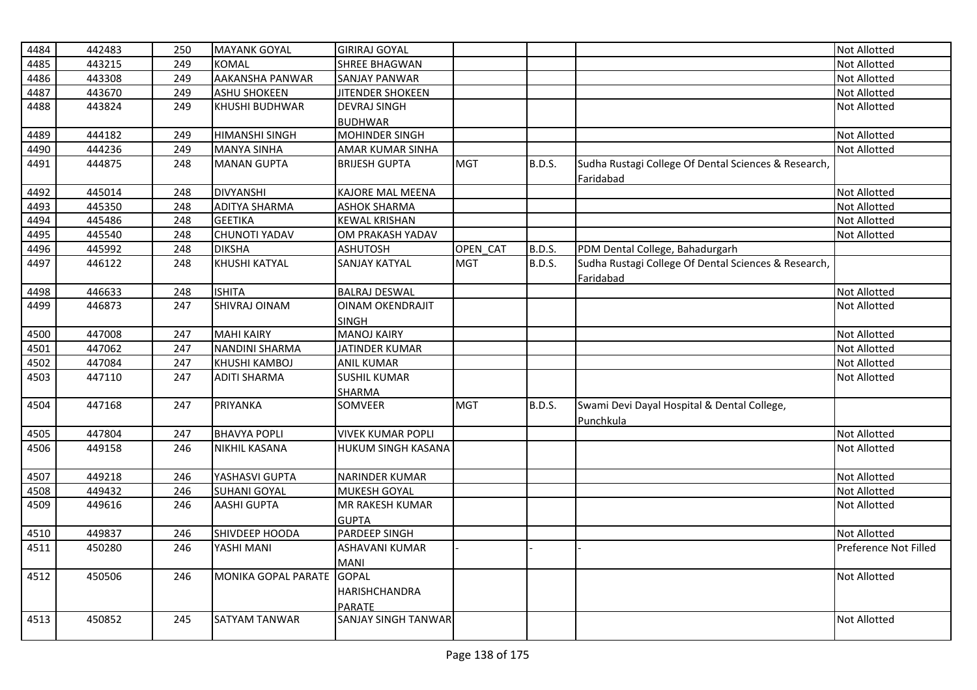| 4484 | 442483 | 250 | <b>MAYANK GOYAL</b>       | <b>GIRIRAJ GOYAL</b>      |            |               |                                                          | Not Allotted          |
|------|--------|-----|---------------------------|---------------------------|------------|---------------|----------------------------------------------------------|-----------------------|
| 4485 | 443215 | 249 | <b>KOMAL</b>              | <b>SHREE BHAGWAN</b>      |            |               |                                                          | Not Allotted          |
| 4486 | 443308 | 249 | AAKANSHA PANWAR           | <b>SANJAY PANWAR</b>      |            |               |                                                          | Not Allotted          |
| 4487 | 443670 | 249 | <b>ASHU SHOKEEN</b>       | JITENDER SHOKEEN          |            |               |                                                          | Not Allotted          |
| 4488 | 443824 | 249 | KHUSHI BUDHWAR            | <b>DEVRAJ SINGH</b>       |            |               |                                                          | Not Allotted          |
|      |        |     |                           | <b>BUDHWAR</b>            |            |               |                                                          |                       |
| 4489 | 444182 | 249 | <b>HIMANSHI SINGH</b>     | <b>MOHINDER SINGH</b>     |            |               |                                                          | Not Allotted          |
| 4490 | 444236 | 249 | <b>MANYA SINHA</b>        | AMAR KUMAR SINHA          |            |               |                                                          | Not Allotted          |
| 4491 | 444875 | 248 | <b>MANAN GUPTA</b>        | <b>BRIJESH GUPTA</b>      | <b>MGT</b> | <b>B.D.S.</b> | Sudha Rustagi College Of Dental Sciences & Research,     |                       |
|      |        |     |                           |                           |            |               | Faridabad                                                |                       |
| 4492 | 445014 | 248 | <b>DIVYANSHI</b>          | KAJORE MAL MEENA          |            |               |                                                          | Not Allotted          |
| 4493 | 445350 | 248 | <b>ADITYA SHARMA</b>      | <b>ASHOK SHARMA</b>       |            |               |                                                          | Not Allotted          |
| 4494 | 445486 | 248 | <b>GEETIKA</b>            | <b>KEWAL KRISHAN</b>      |            |               |                                                          | Not Allotted          |
| 4495 | 445540 | 248 | <b>CHUNOTI YADAV</b>      | OM PRAKASH YADAV          |            |               |                                                          | Not Allotted          |
| 4496 | 445992 | 248 | <b>DIKSHA</b>             | <b>ASHUTOSH</b>           | OPEN CAT   | <b>B.D.S.</b> | PDM Dental College, Bahadurgarh                          |                       |
| 4497 | 446122 | 248 | <b>KHUSHI KATYAL</b>      | <b>SANJAY KATYAL</b>      | <b>MGT</b> | <b>B.D.S.</b> | Sudha Rustagi College Of Dental Sciences & Research,     |                       |
|      |        |     |                           |                           |            |               | Faridabad                                                |                       |
| 4498 | 446633 | 248 | <b>ISHITA</b>             | <b>BALRAJ DESWAL</b>      |            |               |                                                          | Not Allotted          |
| 4499 | 446873 | 247 | <b>SHIVRAJ OINAM</b>      | <b>OINAM OKENDRAJIT</b>   |            |               |                                                          | Not Allotted          |
|      |        |     |                           | <b>SINGH</b>              |            |               |                                                          |                       |
| 4500 | 447008 | 247 | <b>MAHI KAIRY</b>         | <b>MANOJ KAIRY</b>        |            |               |                                                          | Not Allotted          |
| 4501 | 447062 | 247 | <b>NANDINI SHARMA</b>     | JATINDER KUMAR            |            |               |                                                          | Not Allotted          |
| 4502 | 447084 | 247 | KHUSHI KAMBOJ             | <b>ANIL KUMAR</b>         |            |               |                                                          | Not Allotted          |
| 4503 | 447110 | 247 | <b>ADITI SHARMA</b>       | <b>SUSHIL KUMAR</b>       |            |               |                                                          | Not Allotted          |
|      |        |     |                           | SHARMA                    |            |               |                                                          |                       |
| 4504 | 447168 | 247 | PRIYANKA                  | SOMVEER                   | <b>MGT</b> | <b>B.D.S.</b> | Swami Devi Dayal Hospital & Dental College,<br>Punchkula |                       |
| 4505 | 447804 | 247 | <b>BHAVYA POPLI</b>       | <b>VIVEK KUMAR POPLI</b>  |            |               |                                                          | Not Allotted          |
| 4506 | 449158 | 246 | <b>NIKHIL KASANA</b>      | <b>HUKUM SINGH KASANA</b> |            |               |                                                          | Not Allotted          |
|      |        |     |                           |                           |            |               |                                                          |                       |
| 4507 | 449218 | 246 | YASHASVI GUPTA            | <b>NARINDER KUMAR</b>     |            |               |                                                          | Not Allotted          |
| 4508 | 449432 | 246 | <b>SUHANI GOYAL</b>       | MUKESH GOYAL              |            |               |                                                          | Not Allotted          |
| 4509 | 449616 | 246 | <b>AASHI GUPTA</b>        | MR RAKESH KUMAR           |            |               |                                                          | Not Allotted          |
|      |        |     |                           | <b>GUPTA</b>              |            |               |                                                          |                       |
| 4510 | 449837 | 246 | SHIVDEEP HOODA            | PARDEEP SINGH             |            |               |                                                          | Not Allotted          |
| 4511 | 450280 | 246 | YASHI MANI                | ASHAVANI KUMAR            |            |               |                                                          | Preference Not Filled |
|      |        |     |                           | <b>MANI</b>               |            |               |                                                          |                       |
| 4512 | 450506 | 246 | MONIKA GOPAL PARATE GOPAL |                           |            |               |                                                          | Not Allotted          |
|      |        |     |                           | <b>HARISHCHANDRA</b>      |            |               |                                                          |                       |
|      |        |     |                           | <b>PARATE</b>             |            |               |                                                          |                       |
| 4513 | 450852 | 245 | <b>SATYAM TANWAR</b>      | SANJAY SINGH TANWAR       |            |               |                                                          | Not Allotted          |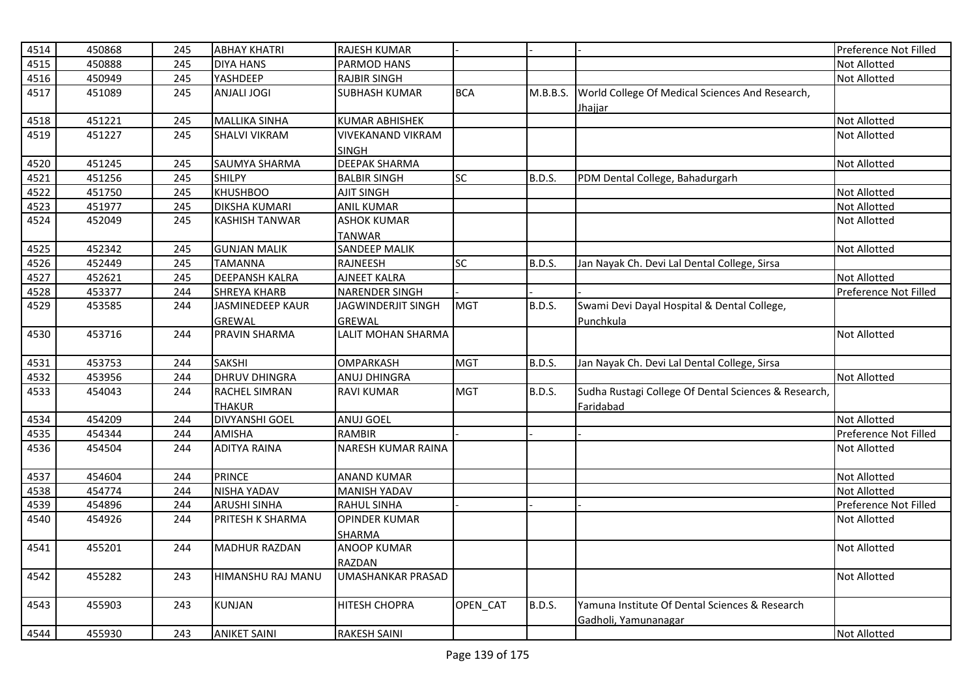| 4514 | 450868 | 245 | <b>ABHAY KHATRI</b>   | <b>RAJESH KUMAR</b>       |            |               |                                                                   | Preference Not Filled |
|------|--------|-----|-----------------------|---------------------------|------------|---------------|-------------------------------------------------------------------|-----------------------|
| 4515 | 450888 | 245 | <b>DIYA HANS</b>      | PARMOD HANS               |            |               |                                                                   | <b>Not Allotted</b>   |
| 4516 | 450949 | 245 | YASHDEEP              | <b>RAJBIR SINGH</b>       |            |               |                                                                   | <b>Not Allotted</b>   |
| 4517 | 451089 | 245 | <b>ANJALI JOGI</b>    | <b>SUBHASH KUMAR</b>      | <b>BCA</b> | M.B.B.S.      | World College Of Medical Sciences And Research,<br><u>Jhajjar</u> |                       |
| 4518 | 451221 | 245 | MALLIKA SINHA         | <b>KUMAR ABHISHEK</b>     |            |               |                                                                   | <b>Not Allotted</b>   |
| 4519 | 451227 | 245 | <b>SHALVI VIKRAM</b>  | <b>VIVEKANAND VIKRAM</b>  |            |               |                                                                   | <b>Not Allotted</b>   |
|      |        |     |                       | <b>SINGH</b>              |            |               |                                                                   |                       |
| 4520 | 451245 | 245 | SAUMYA SHARMA         | <b>DEEPAK SHARMA</b>      |            |               |                                                                   | Not Allotted          |
| 4521 | 451256 | 245 | <b>SHILPY</b>         | <b>BALBIR SINGH</b>       | SC         | B.D.S.        | PDM Dental College, Bahadurgarh                                   |                       |
| 4522 | 451750 | 245 | <b>KHUSHBOO</b>       | <b>AJIT SINGH</b>         |            |               |                                                                   | <b>Not Allotted</b>   |
| 4523 | 451977 | 245 | DIKSHA KUMARI         | <b>ANIL KUMAR</b>         |            |               |                                                                   | <b>Not Allotted</b>   |
| 4524 | 452049 | 245 | KASHISH TANWAR        | <b>ASHOK KUMAR</b>        |            |               |                                                                   | <b>Not Allotted</b>   |
|      |        |     |                       | <b>TANWAR</b>             |            |               |                                                                   |                       |
| 4525 | 452342 | 245 | <b>GUNJAN MALIK</b>   | SANDEEP MALIK             |            |               |                                                                   | Not Allotted          |
| 4526 | 452449 | 245 | <b>TAMANNA</b>        | RAJNEESH                  | SC         | B.D.S.        | Jan Nayak Ch. Devi Lal Dental College, Sirsa                      |                       |
| 4527 | 452621 | 245 | <b>DEEPANSH KALRA</b> | AJNEET KALRA              |            |               |                                                                   | <b>Not Allotted</b>   |
| 4528 | 453377 | 244 | <b>SHREYA KHARB</b>   | NARENDER SINGH            |            |               |                                                                   | Preference Not Filled |
| 4529 | 453585 | 244 | JASMINEDEEP KAUR      | <b>JAGWINDERJIT SINGH</b> | <b>MGT</b> | B.D.S.        | Swami Devi Dayal Hospital & Dental College,                       |                       |
|      |        |     | <b>GREWAL</b>         | <b>GREWAL</b>             |            |               | Punchkula                                                         |                       |
| 4530 | 453716 | 244 | PRAVIN SHARMA         | LALIT MOHAN SHARMA        |            |               |                                                                   | Not Allotted          |
| 4531 | 453753 | 244 | <b>SAKSHI</b>         | <b>OMPARKASH</b>          | <b>MGT</b> | <b>B.D.S.</b> | Jan Nayak Ch. Devi Lal Dental College, Sirsa                      |                       |
| 4532 | 453956 | 244 | <b>DHRUV DHINGRA</b>  | ANUJ DHINGRA              |            |               |                                                                   | <b>Not Allotted</b>   |
| 4533 | 454043 | 244 | RACHEL SIMRAN         | <b>RAVI KUMAR</b>         | <b>MGT</b> | <b>B.D.S.</b> | Sudha Rustagi College Of Dental Sciences & Research,              |                       |
|      |        |     | <b>THAKUR</b>         |                           |            |               | Faridabad                                                         |                       |
| 4534 | 454209 | 244 | DIVYANSHI GOEL        | ANUJ GOEL                 |            |               |                                                                   | <b>Not Allotted</b>   |
| 4535 | 454344 | 244 | <b>AMISHA</b>         | <b>RAMBIR</b>             |            |               |                                                                   | Preference Not Filled |
| 4536 | 454504 | 244 | <b>ADITYA RAINA</b>   | <b>NARESH KUMAR RAINA</b> |            |               |                                                                   | <b>Not Allotted</b>   |
| 4537 | 454604 | 244 | <b>PRINCE</b>         | <b>ANAND KUMAR</b>        |            |               |                                                                   | <b>Not Allotted</b>   |
| 4538 | 454774 | 244 | NISHA YADAV           | <b>MANISH YADAV</b>       |            |               |                                                                   | <b>Not Allotted</b>   |
| 4539 | 454896 | 244 | <b>ARUSHI SINHA</b>   | <b>RAHUL SINHA</b>        |            |               |                                                                   | Preference Not Filled |
| 4540 | 454926 | 244 | PRITESH K SHARMA      | <b>OPINDER KUMAR</b>      |            |               |                                                                   | Not Allotted          |
|      |        |     |                       | SHARMA                    |            |               |                                                                   |                       |
| 4541 | 455201 | 244 | <b>MADHUR RAZDAN</b>  | <b>ANOOP KUMAR</b>        |            |               |                                                                   | Not Allotted          |
|      |        |     |                       | RAZDAN                    |            |               |                                                                   |                       |
| 4542 | 455282 | 243 | HIMANSHU RAJ MANU     | <b>UMASHANKAR PRASAD</b>  |            |               |                                                                   | <b>Not Allotted</b>   |
| 4543 | 455903 | 243 | KUNJAN                | <b>HITESH CHOPRA</b>      | OPEN_CAT   | <b>B.D.S.</b> | Yamuna Institute Of Dental Sciences & Research                    |                       |
|      |        |     |                       |                           |            |               | Gadholi, Yamunanagar                                              |                       |
| 4544 | 455930 | 243 | <b>ANIKET SAINI</b>   | <b>RAKESH SAINI</b>       |            |               |                                                                   | <b>Not Allotted</b>   |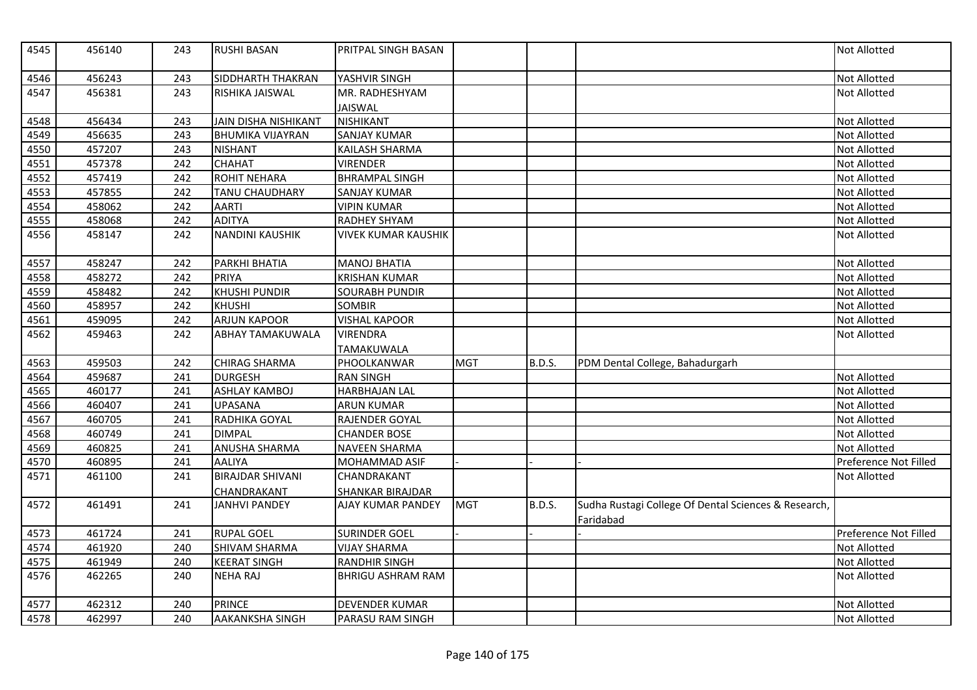| 4545 | 456140 | 243 | <b>RUSHI BASAN</b>          | PRITPAL SINGH BASAN        |            |               |                                                                   | <b>Not Allotted</b>   |
|------|--------|-----|-----------------------------|----------------------------|------------|---------------|-------------------------------------------------------------------|-----------------------|
| 4546 | 456243 | 243 | <b>SIDDHARTH THAKRAN</b>    | YASHVIR SINGH              |            |               |                                                                   | <b>Not Allotted</b>   |
| 4547 | 456381 | 243 | RISHIKA JAISWAL             | MR. RADHESHYAM             |            |               |                                                                   | <b>Not Allotted</b>   |
|      |        |     |                             | <b>JAISWAL</b>             |            |               |                                                                   |                       |
| 4548 | 456434 | 243 | <b>JAIN DISHA NISHIKANT</b> | <b>NISHIKANT</b>           |            |               |                                                                   | Not Allotted          |
| 4549 | 456635 | 243 | <b>BHUMIKA VIJAYRAN</b>     | <b>SANJAY KUMAR</b>        |            |               |                                                                   | Not Allotted          |
| 4550 | 457207 | 243 | <b>NISHANT</b>              | <b>KAILASH SHARMA</b>      |            |               |                                                                   | Not Allotted          |
| 4551 | 457378 | 242 | <b>CHAHAT</b>               | <b>VIRENDER</b>            |            |               |                                                                   | Not Allotted          |
| 4552 | 457419 | 242 | <b>ROHIT NEHARA</b>         | <b>BHRAMPAL SINGH</b>      |            |               |                                                                   | Not Allotted          |
| 4553 | 457855 | 242 | TANU CHAUDHARY              | <b>SANJAY KUMAR</b>        |            |               |                                                                   | Not Allotted          |
| 4554 | 458062 | 242 | <b>AARTI</b>                | <b>VIPIN KUMAR</b>         |            |               |                                                                   | Not Allotted          |
| 4555 | 458068 | 242 | <b>ADITYA</b>               | <b>RADHEY SHYAM</b>        |            |               |                                                                   | <b>Not Allotted</b>   |
| 4556 | 458147 | 242 | <b>NANDINI KAUSHIK</b>      | <b>VIVEK KUMAR KAUSHIK</b> |            |               |                                                                   | <b>Not Allotted</b>   |
| 4557 | 458247 | 242 | PARKHI BHATIA               | <b>MANOJ BHATIA</b>        |            |               |                                                                   | Not Allotted          |
| 4558 | 458272 | 242 | PRIYA                       | <b>KRISHAN KUMAR</b>       |            |               |                                                                   | Not Allotted          |
| 4559 | 458482 | 242 | <b>KHUSHI PUNDIR</b>        | <b>SOURABH PUNDIR</b>      |            |               |                                                                   | <b>Not Allotted</b>   |
| 4560 | 458957 | 242 | <b>KHUSHI</b>               | <b>SOMBIR</b>              |            |               |                                                                   | <b>Not Allotted</b>   |
| 4561 | 459095 | 242 | <b>ARJUN KAPOOR</b>         | <b>VISHAL KAPOOR</b>       |            |               |                                                                   | Not Allotted          |
| 4562 | 459463 | 242 | <b>ABHAY TAMAKUWALA</b>     | <b>VIRENDRA</b>            |            |               |                                                                   | Not Allotted          |
|      |        |     |                             | TAMAKUWALA                 |            |               |                                                                   |                       |
| 4563 | 459503 | 242 | <b>CHIRAG SHARMA</b>        | PHOOLKANWAR                | <b>MGT</b> | B.D.S.        | PDM Dental College, Bahadurgarh                                   |                       |
| 4564 | 459687 | 241 | <b>DURGESH</b>              | <b>RAN SINGH</b>           |            |               |                                                                   | Not Allotted          |
| 4565 | 460177 | 241 | <b>ASHLAY KAMBOJ</b>        | HARBHAJAN LAL              |            |               |                                                                   | Not Allotted          |
| 4566 | 460407 | 241 | <b>UPASANA</b>              | <b>ARUN KUMAR</b>          |            |               |                                                                   | Not Allotted          |
| 4567 | 460705 | 241 | RADHIKA GOYAL               | RAJENDER GOYAL             |            |               |                                                                   | Not Allotted          |
| 4568 | 460749 | 241 | <b>DIMPAL</b>               | <b>CHANDER BOSE</b>        |            |               |                                                                   | <b>Not Allotted</b>   |
| 4569 | 460825 | 241 | <b>ANUSHA SHARMA</b>        | <b>NAVEEN SHARMA</b>       |            |               |                                                                   | <b>Not Allotted</b>   |
| 4570 | 460895 | 241 | <b>AALIYA</b>               | MOHAMMAD ASIF              |            |               |                                                                   | Preference Not Filled |
| 4571 | 461100 | 241 | <b>BIRAJDAR SHIVANI</b>     | CHANDRAKANT                |            |               |                                                                   | <b>Not Allotted</b>   |
|      |        |     | CHANDRAKANT                 | <b>SHANKAR BIRAJDAR</b>    |            |               |                                                                   |                       |
| 4572 | 461491 | 241 | <b>JANHVI PANDEY</b>        | AJAY KUMAR PANDEY          | <b>MGT</b> | <b>B.D.S.</b> | Sudha Rustagi College Of Dental Sciences & Research,<br>Faridabad |                       |
| 4573 | 461724 | 241 | <b>RUPAL GOEL</b>           | <b>SURINDER GOEL</b>       |            |               |                                                                   | Preference Not Filled |
| 4574 | 461920 | 240 | <b>SHIVAM SHARMA</b>        | <b>VIJAY SHARMA</b>        |            |               |                                                                   | Not Allotted          |
| 4575 | 461949 | 240 | <b>KEERAT SINGH</b>         | <b>RANDHIR SINGH</b>       |            |               |                                                                   | Not Allotted          |
| 4576 | 462265 | 240 | <b>NEHA RAJ</b>             | <b>BHRIGU ASHRAM RAM</b>   |            |               |                                                                   | Not Allotted          |
| 4577 | 462312 | 240 | <b>PRINCE</b>               | <b>DEVENDER KUMAR</b>      |            |               |                                                                   | <b>Not Allotted</b>   |
| 4578 | 462997 | 240 | <b>AAKANKSHA SINGH</b>      | PARASU RAM SINGH           |            |               |                                                                   | Not Allotted          |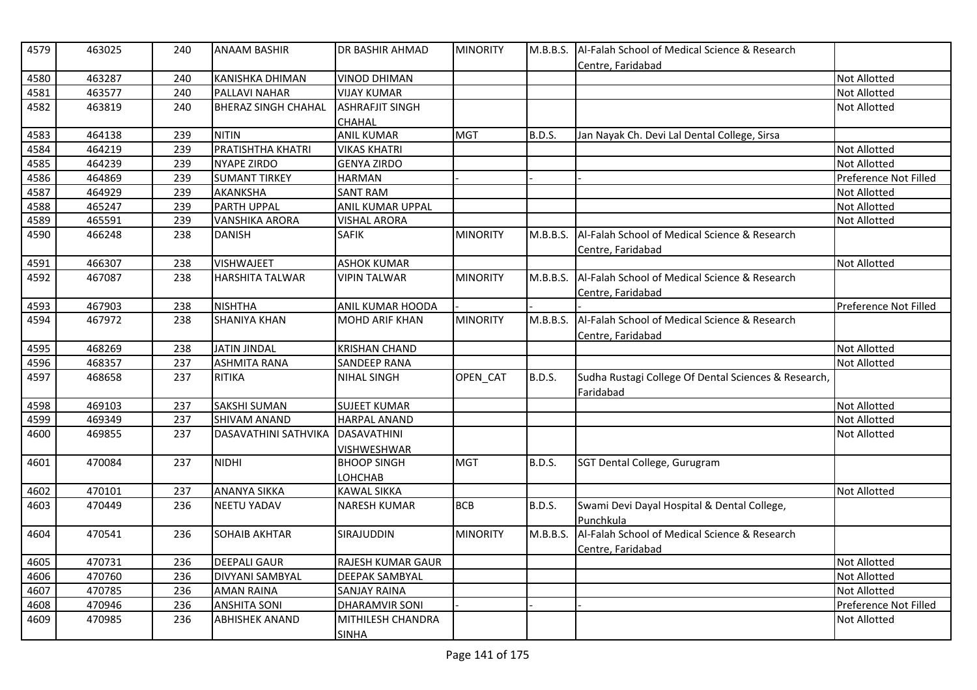| 4579 | 463025 | 240 | <b>ANAAM BASHIR</b>         | DR BASHIR AHMAD         | <b>MINORITY</b> |               | M.B.B.S.   Al-Falah School of Medical Science & Research<br>Centre. Faridabad |                       |
|------|--------|-----|-----------------------------|-------------------------|-----------------|---------------|-------------------------------------------------------------------------------|-----------------------|
| 4580 | 463287 | 240 | KANISHKA DHIMAN             | <b>VINOD DHIMAN</b>     |                 |               |                                                                               | <b>Not Allotted</b>   |
| 4581 | 463577 | 240 | PALLAVI NAHAR               | <b>VIJAY KUMAR</b>      |                 |               |                                                                               | <b>Not Allotted</b>   |
| 4582 | 463819 | 240 | <b>BHERAZ SINGH CHAHAL</b>  | <b>ASHRAFJIT SINGH</b>  |                 |               |                                                                               | <b>Not Allotted</b>   |
|      |        |     |                             | CHAHAL                  |                 |               |                                                                               |                       |
| 4583 | 464138 | 239 | <b>NITIN</b>                | <b>ANIL KUMAR</b>       | <b>MGT</b>      | <b>B.D.S.</b> | Jan Nayak Ch. Devi Lal Dental College, Sirsa                                  |                       |
| 4584 | 464219 | 239 | PRATISHTHA KHATRI           | <b>VIKAS KHATRI</b>     |                 |               |                                                                               | <b>Not Allotted</b>   |
| 4585 | 464239 | 239 | <b>NYAPE ZIRDO</b>          | <b>GENYA ZIRDO</b>      |                 |               |                                                                               | <b>Not Allotted</b>   |
| 4586 | 464869 | 239 | <b>SUMANT TIRKEY</b>        | <b>HARMAN</b>           |                 |               |                                                                               | Preference Not Filled |
| 4587 | 464929 | 239 | AKANKSHA                    | <b>SANT RAM</b>         |                 |               |                                                                               | <b>Not Allotted</b>   |
| 4588 | 465247 | 239 | <b>PARTH UPPAL</b>          | <b>ANIL KUMAR UPPAL</b> |                 |               |                                                                               | Not Allotted          |
| 4589 | 465591 | 239 | <b>VANSHIKA ARORA</b>       | <b>VISHAL ARORA</b>     |                 |               |                                                                               | Not Allotted          |
| 4590 | 466248 | 238 | <b>DANISH</b>               | <b>SAFIK</b>            | <b>MINORITY</b> | M.B.B.S.      | Al-Falah School of Medical Science & Research                                 |                       |
|      |        |     |                             |                         |                 |               | Centre, Faridabad                                                             |                       |
| 4591 | 466307 | 238 | <b>VISHWAJEET</b>           | <b>ASHOK KUMAR</b>      |                 |               |                                                                               | <b>Not Allotted</b>   |
| 4592 | 467087 | 238 | <b>HARSHITA TALWAR</b>      | <b>VIPIN TALWAR</b>     | <b>MINORITY</b> | M.B.B.S.      | Al-Falah School of Medical Science & Research                                 |                       |
|      |        |     |                             |                         |                 |               | Centre, Faridabad                                                             |                       |
| 4593 | 467903 | 238 | <b>NISHTHA</b>              | ANIL KUMAR HOODA        |                 |               |                                                                               | Preference Not Filled |
| 4594 | 467972 | 238 | <b>SHANIYA KHAN</b>         | <b>MOHD ARIF KHAN</b>   | <b>MINORITY</b> | M.B.B.S.      | Al-Falah School of Medical Science & Research                                 |                       |
|      |        |     |                             |                         |                 |               | Centre, Faridabad                                                             |                       |
| 4595 | 468269 | 238 | <b>JATIN JINDAL</b>         | <b>KRISHAN CHAND</b>    |                 |               |                                                                               | <b>Not Allotted</b>   |
| 4596 | 468357 | 237 | <b>ASHMITA RANA</b>         | SANDEEP RANA            |                 |               |                                                                               | <b>Not Allotted</b>   |
| 4597 | 468658 | 237 | <b>RITIKA</b>               | <b>NIHAL SINGH</b>      | OPEN CAT        | B.D.S.        | Sudha Rustagi College Of Dental Sciences & Research,                          |                       |
|      |        |     |                             |                         |                 |               | Faridabad                                                                     |                       |
| 4598 | 469103 | 237 | <b>SAKSHI SUMAN</b>         | <b>SUJEET KUMAR</b>     |                 |               |                                                                               | <b>Not Allotted</b>   |
| 4599 | 469349 | 237 | <b>SHIVAM ANAND</b>         | <b>HARPAL ANAND</b>     |                 |               |                                                                               | <b>Not Allotted</b>   |
| 4600 | 469855 | 237 | <b>DASAVATHINI SATHVIKA</b> | <b>DASAVATHINI</b>      |                 |               |                                                                               | <b>Not Allotted</b>   |
|      |        |     |                             | VISHWESHWAR             |                 |               |                                                                               |                       |
| 4601 | 470084 | 237 | <b>NIDHI</b>                | <b>BHOOP SINGH</b>      | <b>MGT</b>      | <b>B.D.S.</b> | SGT Dental College, Gurugram                                                  |                       |
|      |        |     |                             | LOHCHAB                 |                 |               |                                                                               |                       |
| 4602 | 470101 | 237 | <b>ANANYA SIKKA</b>         | <b>KAWAL SIKKA</b>      |                 |               |                                                                               | <b>Not Allotted</b>   |
| 4603 | 470449 | 236 | <b>NEETU YADAV</b>          | <b>NARESH KUMAR</b>     | <b>BCB</b>      | <b>B.D.S.</b> | Swami Devi Dayal Hospital & Dental College,                                   |                       |
|      |        |     |                             |                         |                 |               | Punchkula                                                                     |                       |
| 4604 | 470541 | 236 | <b>SOHAIB AKHTAR</b>        | SIRAJUDDIN              | <b>MINORITY</b> | M.B.B.S.      | Al-Falah School of Medical Science & Research                                 |                       |
|      |        |     |                             |                         |                 |               | Centre, Faridabad                                                             |                       |
| 4605 | 470731 | 236 | <b>DEEPALI GAUR</b>         | RAJESH KUMAR GAUR       |                 |               |                                                                               | Not Allotted          |
| 4606 | 470760 | 236 | <b>DIVYANI SAMBYAL</b>      | DEEPAK SAMBYAL          |                 |               |                                                                               | Not Allotted          |
| 4607 | 470785 | 236 | <b>AMAN RAINA</b>           | <b>SANJAY RAINA</b>     |                 |               |                                                                               | <b>Not Allotted</b>   |
| 4608 | 470946 | 236 | <b>ANSHITA SONI</b>         | <b>DHARAMVIR SONI</b>   |                 |               |                                                                               | Preference Not Filled |
| 4609 | 470985 | 236 | <b>ABHISHEK ANAND</b>       | MITHILESH CHANDRA       |                 |               |                                                                               | <b>Not Allotted</b>   |
|      |        |     |                             | <b>SINHA</b>            |                 |               |                                                                               |                       |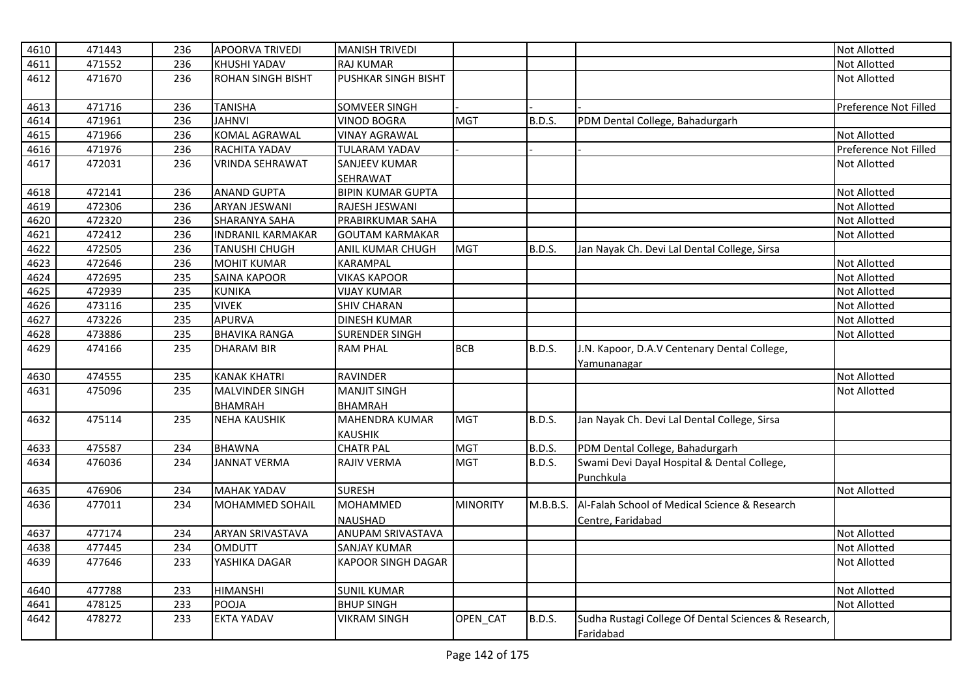| 4610 | 471443 | 236 | <b>APOORVA TRIVEDI</b>   | <b>MANISH TRIVEDI</b>                   |                 |               |                                                                   | Not Allotted          |
|------|--------|-----|--------------------------|-----------------------------------------|-----------------|---------------|-------------------------------------------------------------------|-----------------------|
| 4611 | 471552 | 236 | <b>KHUSHI YADAV</b>      | <b>RAJ KUMAR</b>                        |                 |               |                                                                   | <b>Not Allotted</b>   |
| 4612 | 471670 | 236 | <b>ROHAN SINGH BISHT</b> | PUSHKAR SINGH BISHT                     |                 |               |                                                                   | <b>Not Allotted</b>   |
| 4613 | 471716 | 236 | <b>TANISHA</b>           | SOMVEER SINGH                           |                 |               |                                                                   | Preference Not Filled |
| 4614 | 471961 | 236 | <b>JAHNVI</b>            | <b>VINOD BOGRA</b>                      | <b>MGT</b>      | B.D.S.        | PDM Dental College, Bahadurgarh                                   |                       |
| 4615 | 471966 | 236 | <b>KOMAL AGRAWAL</b>     | <b>VINAY AGRAWAL</b>                    |                 |               |                                                                   | Not Allotted          |
| 4616 | 471976 | 236 | RACHITA YADAV            | <b>TULARAM YADAV</b>                    |                 |               |                                                                   | Preference Not Filled |
| 4617 | 472031 | 236 | <b>VRINDA SEHRAWAT</b>   | <b>SANJEEV KUMAR</b>                    |                 |               |                                                                   | <b>Not Allotted</b>   |
|      |        |     |                          | SEHRAWAT                                |                 |               |                                                                   |                       |
| 4618 | 472141 | 236 | <b>ANAND GUPTA</b>       | <b>BIPIN KUMAR GUPTA</b>                |                 |               |                                                                   | Not Allotted          |
| 4619 | 472306 | 236 | <b>ARYAN JESWANI</b>     | RAJESH JESWANI                          |                 |               |                                                                   | Not Allotted          |
| 4620 | 472320 | 236 | SHARANYA SAHA            | PRABIRKUMAR SAHA                        |                 |               |                                                                   | Not Allotted          |
| 4621 | 472412 | 236 | <b>INDRANIL KARMAKAR</b> | <b>GOUTAM KARMAKAR</b>                  |                 |               |                                                                   | Not Allotted          |
| 4622 | 472505 | 236 | TANUSHI CHUGH            | ANIL KUMAR CHUGH                        | <b>MGT</b>      | <b>B.D.S.</b> | Jan Nayak Ch. Devi Lal Dental College, Sirsa                      |                       |
| 4623 | 472646 | 236 | <b>MOHIT KUMAR</b>       | <b>KARAMPAL</b>                         |                 |               |                                                                   | Not Allotted          |
| 4624 | 472695 | 235 | SAINA KAPOOR             | <b>VIKAS KAPOOR</b>                     |                 |               |                                                                   | Not Allotted          |
| 4625 | 472939 | 235 | <b>KUNIKA</b>            | <b>VIJAY KUMAR</b>                      |                 |               |                                                                   | <b>Not Allotted</b>   |
| 4626 | 473116 | 235 | <b>VIVEK</b>             | <b>SHIV CHARAN</b>                      |                 |               |                                                                   | Not Allotted          |
| 4627 | 473226 | 235 | <b>APURVA</b>            | <b>DINESH KUMAR</b>                     |                 |               |                                                                   | Not Allotted          |
| 4628 | 473886 | 235 | <b>BHAVIKA RANGA</b>     | <b>SURENDER SINGH</b>                   |                 |               |                                                                   | Not Allotted          |
| 4629 | 474166 | 235 | <b>DHARAM BIR</b>        | <b>RAM PHAL</b>                         | <b>BCB</b>      | <b>B.D.S.</b> | J.N. Kapoor, D.A.V Centenary Dental College,<br>Yamunanagar       |                       |
| 4630 | 474555 | 235 | <b>KANAK KHATRI</b>      | <b>RAVINDER</b>                         |                 |               |                                                                   | Not Allotted          |
| 4631 | 475096 | 235 | MALVINDER SINGH          | <b>MANJIT SINGH</b>                     |                 |               |                                                                   | Not Allotted          |
|      |        |     | <b>BHAMRAH</b>           | <b>BHAMRAH</b>                          |                 |               |                                                                   |                       |
| 4632 | 475114 | 235 | <b>NEHA KAUSHIK</b>      | <b>MAHENDRA KUMAR</b><br><b>KAUSHIK</b> | <b>MGT</b>      | <b>B.D.S.</b> | Jan Nayak Ch. Devi Lal Dental College, Sirsa                      |                       |
| 4633 | 475587 | 234 | <b>BHAWNA</b>            | <b>CHATR PAL</b>                        | <b>MGT</b>      | <b>B.D.S.</b> | PDM Dental College, Bahadurgarh                                   |                       |
| 4634 | 476036 | 234 | <b>JANNAT VERMA</b>      | RAJIV VERMA                             | <b>MGT</b>      | <b>B.D.S.</b> | Swami Devi Dayal Hospital & Dental College,                       |                       |
|      |        |     |                          |                                         |                 |               | Punchkula                                                         |                       |
| 4635 | 476906 | 234 | <b>MAHAK YADAV</b>       | <b>SURESH</b>                           |                 |               |                                                                   | Not Allotted          |
| 4636 | 477011 | 234 | <b>MOHAMMED SOHAIL</b>   | <b>MOHAMMED</b>                         | <b>MINORITY</b> | M.B.B.S.      | Al-Falah School of Medical Science & Research                     |                       |
|      |        |     |                          | <b>NAUSHAD</b>                          |                 |               | Centre, Faridabad                                                 |                       |
| 4637 | 477174 | 234 | <b>ARYAN SRIVASTAVA</b>  | ANUPAM SRIVASTAVA                       |                 |               |                                                                   | Not Allotted          |
| 4638 | 477445 | 234 | <b>OMDUTT</b>            | <b>SANJAY KUMAR</b>                     |                 |               |                                                                   | Not Allotted          |
| 4639 | 477646 | 233 | YASHIKA DAGAR            | <b>KAPOOR SINGH DAGAR</b>               |                 |               |                                                                   | Not Allotted          |
| 4640 | 477788 | 233 | <b>HIMANSHI</b>          | <b>SUNIL KUMAR</b>                      |                 |               |                                                                   | Not Allotted          |
| 4641 | 478125 | 233 | POOJA                    | <b>BHUP SINGH</b>                       |                 |               |                                                                   | Not Allotted          |
| 4642 | 478272 | 233 | <b>EKTA YADAV</b>        | VIKRAM SINGH                            | OPEN_CAT        | <b>B.D.S.</b> | Sudha Rustagi College Of Dental Sciences & Research,<br>Faridabad |                       |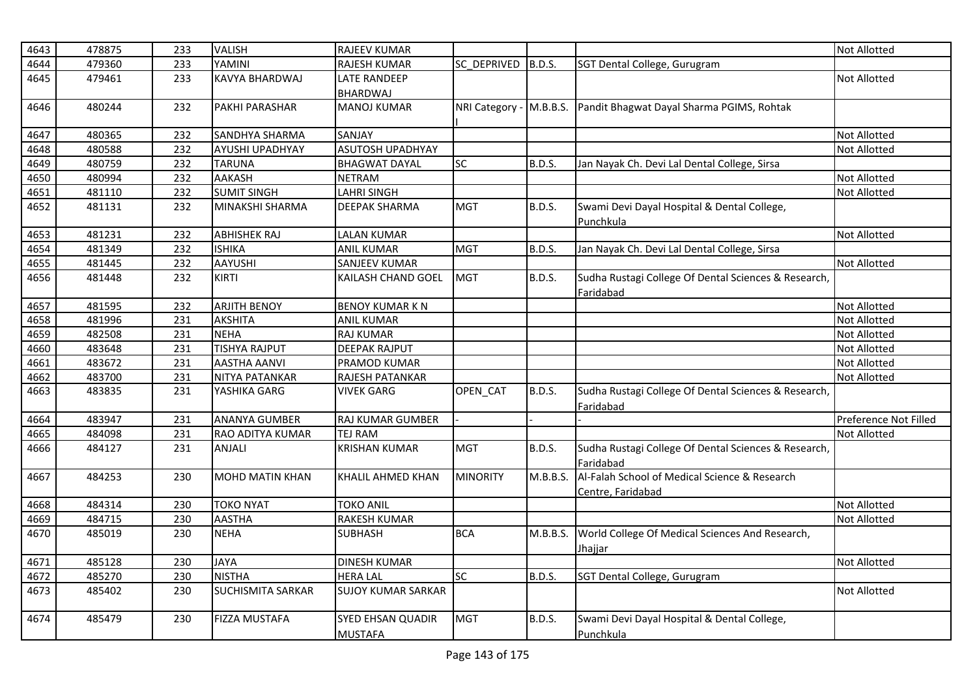| 4643 | 478875 | 233 | <b>VALISH</b>            | RAJEEV KUMAR                        |                         |               |                                                                    | <b>Not Allotted</b>   |
|------|--------|-----|--------------------------|-------------------------------------|-------------------------|---------------|--------------------------------------------------------------------|-----------------------|
| 4644 | 479360 | 233 | YAMINI                   | RAJESH KUMAR                        | SC_DEPRIVED             | B.D.S.        | SGT Dental College, Gurugram                                       |                       |
| 4645 | 479461 | 233 | <b>KAVYA BHARDWAJ</b>    | <b>LATE RANDEEP</b>                 |                         |               |                                                                    | <b>Not Allotted</b>   |
|      |        |     |                          | <b>BHARDWAJ</b>                     |                         |               |                                                                    |                       |
| 4646 | 480244 | 232 | PAKHI PARASHAR           | <b>MANOJ KUMAR</b>                  | NRI Category - M.B.B.S. |               | Pandit Bhagwat Dayal Sharma PGIMS, Rohtak                          |                       |
| 4647 | 480365 | 232 | <b>SANDHYA SHARMA</b>    | SANJAY                              |                         |               |                                                                    | <b>Not Allotted</b>   |
| 4648 | 480588 | 232 | AYUSHI UPADHYAY          | <b>ASUTOSH UPADHYAY</b>             |                         |               |                                                                    | <b>Not Allotted</b>   |
| 4649 | 480759 | 232 | <b>TARUNA</b>            | <b>BHAGWAT DAYAL</b>                | SC                      | <b>B.D.S.</b> | Jan Nayak Ch. Devi Lal Dental College, Sirsa                       |                       |
| 4650 | 480994 | 232 | <b>AAKASH</b>            | <b>NETRAM</b>                       |                         |               |                                                                    | Not Allotted          |
| 4651 | 481110 | 232 | <b>SUMIT SINGH</b>       | <b>LAHRI SINGH</b>                  |                         |               |                                                                    | <b>Not Allotted</b>   |
| 4652 | 481131 | 232 | MINAKSHI SHARMA          | DEEPAK SHARMA                       | <b>MGT</b>              | <b>B.D.S.</b> | Swami Devi Dayal Hospital & Dental College,<br>Punchkula           |                       |
| 4653 | 481231 | 232 | <b>ABHISHEK RAJ</b>      | <b>LALAN KUMAR</b>                  |                         |               |                                                                    | <b>Not Allotted</b>   |
| 4654 | 481349 | 232 | <b>ISHIKA</b>            | <b>ANIL KUMAR</b>                   | <b>MGT</b>              | <b>B.D.S.</b> | Jan Nayak Ch. Devi Lal Dental College, Sirsa                       |                       |
| 4655 | 481445 | 232 | <b>AAYUSHI</b>           | <b>SANJEEV KUMAR</b>                |                         |               |                                                                    | <b>Not Allotted</b>   |
| 4656 | 481448 | 232 | KIRTI                    | KAILASH CHAND GOEL                  | <b>MGT</b>              | <b>B.D.S.</b> | Sudha Rustagi College Of Dental Sciences & Research,<br>Faridabad  |                       |
| 4657 | 481595 | 232 | <b>ARJITH BENOY</b>      | <b>BENOY KUMAR K N</b>              |                         |               |                                                                    | Not Allotted          |
| 4658 | 481996 | 231 | <b>AKSHITA</b>           | <b>ANIL KUMAR</b>                   |                         |               |                                                                    | <b>Not Allotted</b>   |
| 4659 | 482508 | 231 | <b>NEHA</b>              | <b>RAJ KUMAR</b>                    |                         |               |                                                                    | Not Allotted          |
| 4660 | 483648 | 231 | <b>TISHYA RAJPUT</b>     | <b>DEEPAK RAJPUT</b>                |                         |               |                                                                    | <b>Not Allotted</b>   |
| 4661 | 483672 | 231 | <b>AASTHA AANVI</b>      | PRAMOD KUMAR                        |                         |               |                                                                    | Not Allotted          |
| 4662 | 483700 | 231 | NITYA PATANKAR           | RAJESH PATANKAR                     |                         |               |                                                                    | Not Allotted          |
| 4663 | 483835 | 231 | YASHIKA GARG             | <b>VIVEK GARG</b>                   | OPEN_CAT                | <b>B.D.S.</b> | Sudha Rustagi College Of Dental Sciences & Research,<br>Faridabad  |                       |
| 4664 | 483947 | 231 | <b>ANANYA GUMBER</b>     | RAJ KUMAR GUMBER                    |                         |               |                                                                    | Preference Not Filled |
| 4665 | 484098 | 231 | RAO ADITYA KUMAR         | <b>TEJ RAM</b>                      |                         |               |                                                                    | <b>Not Allotted</b>   |
| 4666 | 484127 | 231 | <b>ANJALI</b>            | <b>KRISHAN KUMAR</b>                | <b>MGT</b>              | <b>B.D.S.</b> | Sudha Rustagi College Of Dental Sciences & Research,<br>Faridabad  |                       |
| 4667 | 484253 | 230 | <b>MOHD MATIN KHAN</b>   | KHALIL AHMED KHAN                   | <b>MINORITY</b>         | M.B.B.S.      | Al-Falah School of Medical Science & Research<br>Centre, Faridabad |                       |
| 4668 | 484314 | 230 | <b>TOKO NYAT</b>         | <b>TOKO ANIL</b>                    |                         |               |                                                                    | <b>Not Allotted</b>   |
| 4669 | 484715 | 230 | <b>AASTHA</b>            | <b>RAKESH KUMAR</b>                 |                         |               |                                                                    | <b>Not Allotted</b>   |
| 4670 | 485019 | 230 | <b>NEHA</b>              | SUBHASH                             | <b>BCA</b>              | M.B.B.S.      | World College Of Medical Sciences And Research,                    |                       |
|      |        |     |                          |                                     |                         |               | Jhajjar                                                            |                       |
| 4671 | 485128 | 230 | <b>JAYA</b>              | <b>DINESH KUMAR</b>                 |                         |               |                                                                    | Not Allotted          |
| 4672 | 485270 | 230 | <b>NISTHA</b>            | <b>HERA LAL</b>                     | <b>SC</b>               | B.D.S.        | SGT Dental College, Gurugram                                       |                       |
| 4673 | 485402 | 230 | <b>SUCHISMITA SARKAR</b> | <b>SUJOY KUMAR SARKAR</b>           |                         |               |                                                                    | <b>Not Allotted</b>   |
| 4674 | 485479 | 230 | <b>FIZZA MUSTAFA</b>     | SYED EHSAN QUADIR<br><b>MUSTAFA</b> | <b>MGT</b>              | <b>B.D.S.</b> | Swami Devi Dayal Hospital & Dental College,<br>Punchkula           |                       |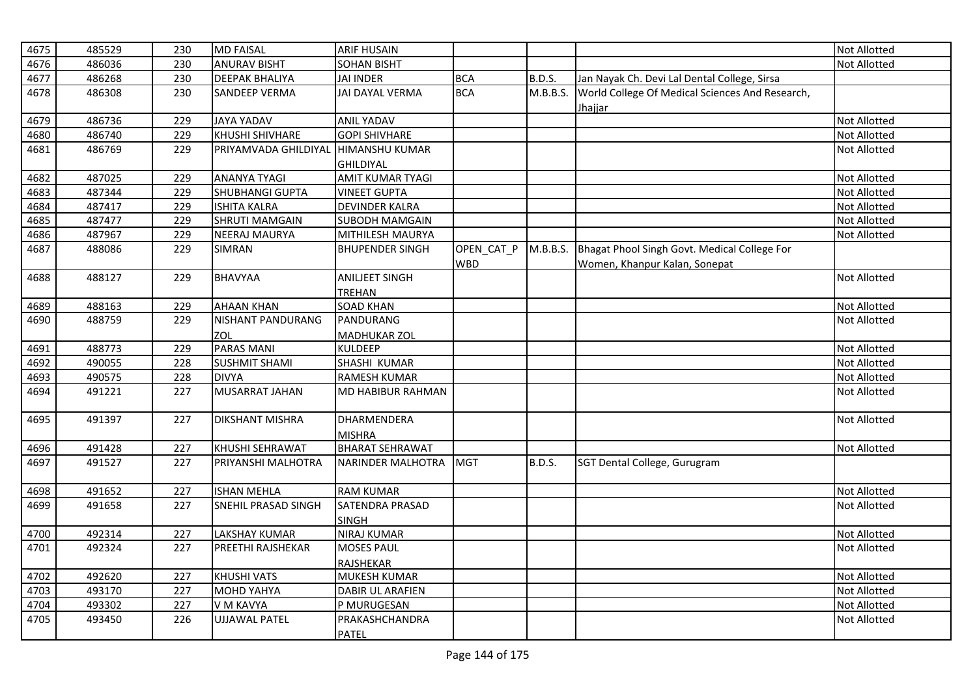| 4675 |        |     |                          |                                  |            |               |                                                 |                     |
|------|--------|-----|--------------------------|----------------------------------|------------|---------------|-------------------------------------------------|---------------------|
|      | 485529 | 230 | <b>MD FAISAL</b>         | <b>ARIF HUSAIN</b>               |            |               |                                                 | <b>Not Allotted</b> |
| 4676 | 486036 | 230 | <b>ANURAV BISHT</b>      | <b>SOHAN BISHT</b>               |            |               |                                                 | <b>Not Allotted</b> |
| 4677 | 486268 | 230 | <b>DEEPAK BHALIYA</b>    | <b>JAI INDER</b>                 | <b>BCA</b> | <b>B.D.S.</b> | Jan Nayak Ch. Devi Lal Dental College, Sirsa    |                     |
| 4678 | 486308 | 230 | <b>SANDEEP VERMA</b>     | JAI DAYAL VERMA                  | <b>BCA</b> | M.B.B.S.      | World College Of Medical Sciences And Research, |                     |
|      |        |     |                          |                                  |            |               | Jhajjar                                         |                     |
| 4679 | 486736 | 229 | <b>JAYA YADAV</b>        | <b>ANIL YADAV</b>                |            |               |                                                 | <b>Not Allotted</b> |
| 4680 | 486740 | 229 | <b>KHUSHI SHIVHARE</b>   | <b>GOPI SHIVHARE</b>             |            |               |                                                 | <b>Not Allotted</b> |
| 4681 | 486769 | 229 | PRIYAMVADA GHILDIYAL     | <b>HIMANSHU KUMAR</b>            |            |               |                                                 | <b>Not Allotted</b> |
|      |        |     |                          | <b>GHILDIYAL</b>                 |            |               |                                                 |                     |
| 4682 | 487025 | 229 | <b>ANANYA TYAGI</b>      | <b>AMIT KUMAR TYAGI</b>          |            |               |                                                 | Not Allotted        |
| 4683 | 487344 | 229 | <b>SHUBHANGI GUPTA</b>   | <b>VINEET GUPTA</b>              |            |               |                                                 | <b>Not Allotted</b> |
| 4684 | 487417 | 229 | <b>ISHITA KALRA</b>      | <b>DEVINDER KALRA</b>            |            |               |                                                 | <b>Not Allotted</b> |
| 4685 | 487477 | 229 | <b>SHRUTI MAMGAIN</b>    | <b>SUBODH MAMGAIN</b>            |            |               |                                                 | <b>Not Allotted</b> |
| 4686 | 487967 | 229 | <b>NEERAJ MAURYA</b>     | MITHILESH MAURYA                 |            |               |                                                 | <b>Not Allotted</b> |
| 4687 | 488086 | 229 | SIMRAN                   | <b>BHUPENDER SINGH</b>           | OPEN_CAT_P | M.B.B.S.      | Bhagat Phool Singh Govt. Medical College For    |                     |
|      |        |     |                          |                                  | <b>WBD</b> |               | Women, Khanpur Kalan, Sonepat                   |                     |
| 4688 | 488127 | 229 | <b>BHAVYAA</b>           | <b>ANILJEET SINGH</b>            |            |               |                                                 | <b>Not Allotted</b> |
|      |        |     |                          | TREHAN                           |            |               |                                                 |                     |
| 4689 | 488163 | 229 | <b>AHAAN KHAN</b>        | <b>SOAD KHAN</b>                 |            |               |                                                 | Not Allotted        |
| 4690 | 488759 | 229 | <b>NISHANT PANDURANG</b> | PANDURANG                        |            |               |                                                 | <b>Not Allotted</b> |
|      |        |     | ZOL                      | <b>MADHUKAR ZOL</b>              |            |               |                                                 |                     |
| 4691 | 488773 | 229 | <b>PARAS MANI</b>        | KULDEEP                          |            |               |                                                 | <b>Not Allotted</b> |
| 4692 | 490055 | 228 | <b>SUSHMIT SHAMI</b>     | SHASHI KUMAR                     |            |               |                                                 | <b>Not Allotted</b> |
| 4693 | 490575 | 228 | <b>DIVYA</b>             | <b>RAMESH KUMAR</b>              |            |               |                                                 | Not Allotted        |
| 4694 | 491221 | 227 | <b>MUSARRAT JAHAN</b>    | <b>MD HABIBUR RAHMAN</b>         |            |               |                                                 | <b>Not Allotted</b> |
|      |        |     |                          |                                  |            |               |                                                 |                     |
| 4695 | 491397 | 227 | <b>DIKSHANT MISHRA</b>   | <b>DHARMENDERA</b>               |            |               |                                                 | <b>Not Allotted</b> |
|      |        |     |                          | <b>MISHRA</b>                    |            |               |                                                 |                     |
| 4696 | 491428 | 227 | KHUSHI SEHRAWAT          | <b>BHARAT SEHRAWAT</b>           |            |               |                                                 | Not Allotted        |
| 4697 | 491527 | 227 | PRIYANSHI MALHOTRA       | NARINDER MALHOTRA                | <b>MGT</b> | <b>B.D.S.</b> | SGT Dental College, Gurugram                    |                     |
|      |        |     |                          |                                  |            |               |                                                 |                     |
| 4698 | 491652 | 227 | <b>ISHAN MEHLA</b>       | <b>RAM KUMAR</b>                 |            |               |                                                 | <b>Not Allotted</b> |
| 4699 | 491658 | 227 | SNEHIL PRASAD SINGH      | SATENDRA PRASAD                  |            |               |                                                 | <b>Not Allotted</b> |
|      |        |     |                          | <b>SINGH</b>                     |            |               |                                                 |                     |
| 4700 | 492314 | 227 | <b>LAKSHAY KUMAR</b>     | <b>NIRAJ KUMAR</b>               |            |               |                                                 | Not Allotted        |
| 4701 | 492324 | 227 | PREETHI RAJSHEKAR        | <b>MOSES PAUL</b>                |            |               |                                                 | <b>Not Allotted</b> |
|      |        |     |                          |                                  |            |               |                                                 |                     |
|      | 492620 | 227 | <b>KHUSHI VATS</b>       | <b>RAJSHEKAR</b><br>MUKESH KUMAR |            |               |                                                 |                     |
| 4702 |        |     |                          |                                  |            |               |                                                 | Not Allotted        |
| 4703 | 493170 | 227 | <b>MOHD YAHYA</b>        | <b>DABIR UL ARAFIEN</b>          |            |               |                                                 | <b>Not Allotted</b> |
| 4704 | 493302 | 227 | V M KAVYA                | P MURUGESAN                      |            |               |                                                 | Not Allotted        |
| 4705 | 493450 | 226 | <b>UJJAWAL PATEL</b>     | PRAKASHCHANDRA                   |            |               |                                                 | <b>Not Allotted</b> |
|      |        |     |                          | <b>PATEL</b>                     |            |               |                                                 |                     |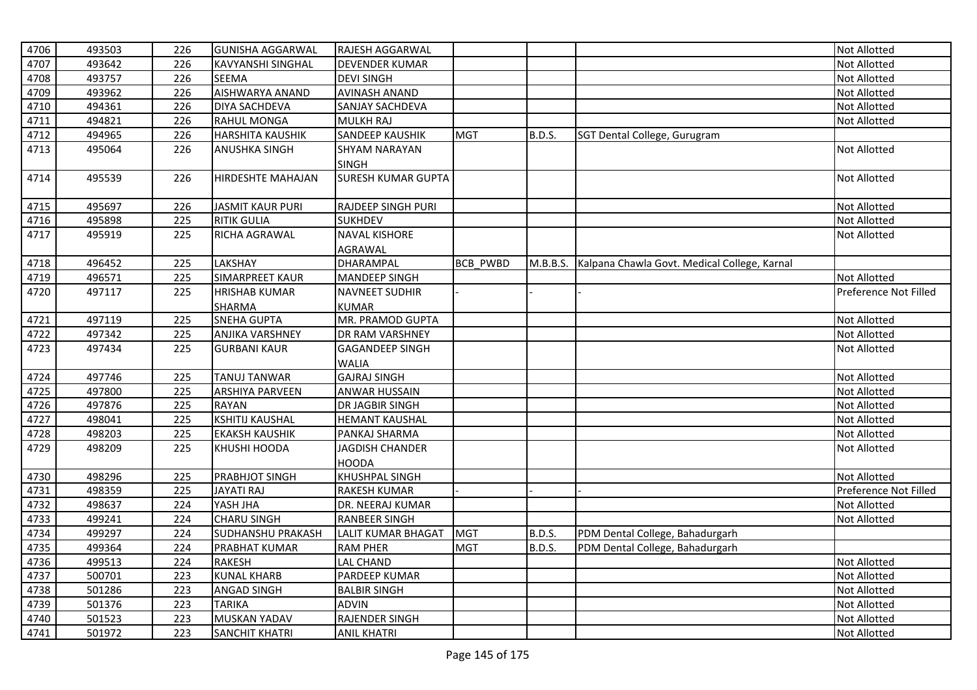| 4706 | 493503 | 226 | <b>GUNISHA AGGARWAL</b>  | RAJESH AGGARWAL                      |                 |               |                                                       | Not Allotted          |
|------|--------|-----|--------------------------|--------------------------------------|-----------------|---------------|-------------------------------------------------------|-----------------------|
| 4707 | 493642 | 226 | <b>KAVYANSHI SINGHAL</b> | <b>DEVENDER KUMAR</b>                |                 |               |                                                       | Not Allotted          |
| 4708 | 493757 | 226 | <b>SEEMA</b>             | <b>DEVI SINGH</b>                    |                 |               |                                                       | Not Allotted          |
| 4709 | 493962 | 226 | AISHWARYA ANAND          | <b>AVINASH ANAND</b>                 |                 |               |                                                       | Not Allotted          |
| 4710 | 494361 | 226 | DIYA SACHDEVA            | SANJAY SACHDEVA                      |                 |               |                                                       | Not Allotted          |
| 4711 | 494821 | 226 | <b>RAHUL MONGA</b>       | <b>MULKH RAJ</b>                     |                 |               |                                                       | Not Allotted          |
| 4712 | 494965 | 226 | <b>HARSHITA KAUSHIK</b>  | SANDEEP KAUSHIK                      | <b>MGT</b>      | <b>B.D.S.</b> | SGT Dental College, Gurugram                          |                       |
| 4713 | 495064 | 226 | <b>ANUSHKA SINGH</b>     | <b>SHYAM NARAYAN</b><br><b>SINGH</b> |                 |               |                                                       | Not Allotted          |
| 4714 | 495539 | 226 | <b>HIRDESHTE MAHAJAN</b> | <b>SURESH KUMAR GUPTA</b>            |                 |               |                                                       | Not Allotted          |
| 4715 | 495697 | 226 | <b>JASMIT KAUR PURI</b>  | RAJDEEP SINGH PURI                   |                 |               |                                                       | Not Allotted          |
| 4716 | 495898 | 225 | <b>RITIK GULIA</b>       | <b>SUKHDEV</b>                       |                 |               |                                                       | Not Allotted          |
| 4717 | 495919 | 225 | RICHA AGRAWAL            | <b>NAVAL KISHORE</b>                 |                 |               |                                                       | Not Allotted          |
|      |        |     |                          | <b>AGRAWAL</b>                       |                 |               |                                                       |                       |
| 4718 | 496452 | 225 | LAKSHAY                  | <b>DHARAMPAL</b>                     | <b>BCB PWBD</b> |               | M.B.B.S. Kalpana Chawla Govt. Medical College, Karnal |                       |
| 4719 | 496571 | 225 | SIMARPREET KAUR          | <b>MANDEEP SINGH</b>                 |                 |               |                                                       | Not Allotted          |
| 4720 | 497117 | 225 | <b>HRISHAB KUMAR</b>     | <b>NAVNEET SUDHIR</b>                |                 |               |                                                       | Preference Not Filled |
|      |        |     | <b>SHARMA</b>            | <b>KUMAR</b>                         |                 |               |                                                       |                       |
| 4721 | 497119 | 225 | <b>SNEHA GUPTA</b>       | MR. PRAMOD GUPTA                     |                 |               |                                                       | Not Allotted          |
| 4722 | 497342 | 225 | <b>ANJIKA VARSHNEY</b>   | DR RAM VARSHNEY                      |                 |               |                                                       | Not Allotted          |
| 4723 | 497434 | 225 | <b>GURBANI KAUR</b>      | <b>GAGANDEEP SINGH</b>               |                 |               |                                                       | Not Allotted          |
|      |        |     |                          | <b>WALIA</b>                         |                 |               |                                                       |                       |
| 4724 | 497746 | 225 | <b>TANUJ TANWAR</b>      | <b>GAJRAJ SINGH</b>                  |                 |               |                                                       | Not Allotted          |
| 4725 | 497800 | 225 | <b>ARSHIYA PARVEEN</b>   | <b>ANWAR HUSSAIN</b>                 |                 |               |                                                       | Not Allotted          |
| 4726 | 497876 | 225 | <b>RAYAN</b>             | DR JAGBIR SINGH                      |                 |               |                                                       | Not Allotted          |
| 4727 | 498041 | 225 | <b>KSHITIJ KAUSHAL</b>   | <b>HEMANT KAUSHAL</b>                |                 |               |                                                       | Not Allotted          |
| 4728 | 498203 | 225 | <b>EKAKSH KAUSHIK</b>    | PANKAJ SHARMA                        |                 |               |                                                       | Not Allotted          |
| 4729 | 498209 | 225 | KHUSHI HOODA             | <b>JAGDISH CHANDER</b>               |                 |               |                                                       | Not Allotted          |
|      |        |     |                          | <b>HOODA</b>                         |                 |               |                                                       |                       |
| 4730 | 498296 | 225 | <b>PRABHJOT SINGH</b>    | KHUSHPAL SINGH                       |                 |               |                                                       | Not Allotted          |
| 4731 | 498359 | 225 | <b>JAYATI RAJ</b>        | <b>RAKESH KUMAR</b>                  |                 |               |                                                       | Preference Not Filled |
| 4732 | 498637 | 224 | YASH JHA                 | DR. NEERAJ KUMAR                     |                 |               |                                                       | Not Allotted          |
| 4733 | 499241 | 224 | <b>CHARU SINGH</b>       | <b>RANBEER SINGH</b>                 |                 |               |                                                       | Not Allotted          |
| 4734 | 499297 | 224 | <b>SUDHANSHU PRAKASH</b> | LALIT KUMAR BHAGAT                   | <b>MGT</b>      | <b>B.D.S.</b> | PDM Dental College, Bahadurgarh                       |                       |
| 4735 | 499364 | 224 | PRABHAT KUMAR            | <b>RAM PHER</b>                      | <b>MGT</b>      | <b>B.D.S.</b> | PDM Dental College, Bahadurgarh                       |                       |
| 4736 | 499513 | 224 | <b>RAKESH</b>            | <b>LAL CHAND</b>                     |                 |               |                                                       | Not Allotted          |
| 4737 | 500701 | 223 | <b>KUNAL KHARB</b>       | PARDEEP KUMAR                        |                 |               |                                                       | Not Allotted          |
| 4738 | 501286 | 223 | <b>ANGAD SINGH</b>       | <b>BALBIR SINGH</b>                  |                 |               |                                                       | Not Allotted          |
| 4739 | 501376 | 223 | <b>TARIKA</b>            | <b>ADVIN</b>                         |                 |               |                                                       | Not Allotted          |
| 4740 | 501523 | 223 | <b>MUSKAN YADAV</b>      | RAJENDER SINGH                       |                 |               |                                                       | Not Allotted          |
| 4741 | 501972 | 223 | <b>SANCHIT KHATRI</b>    | <b>ANIL KHATRI</b>                   |                 |               |                                                       | <b>Not Allotted</b>   |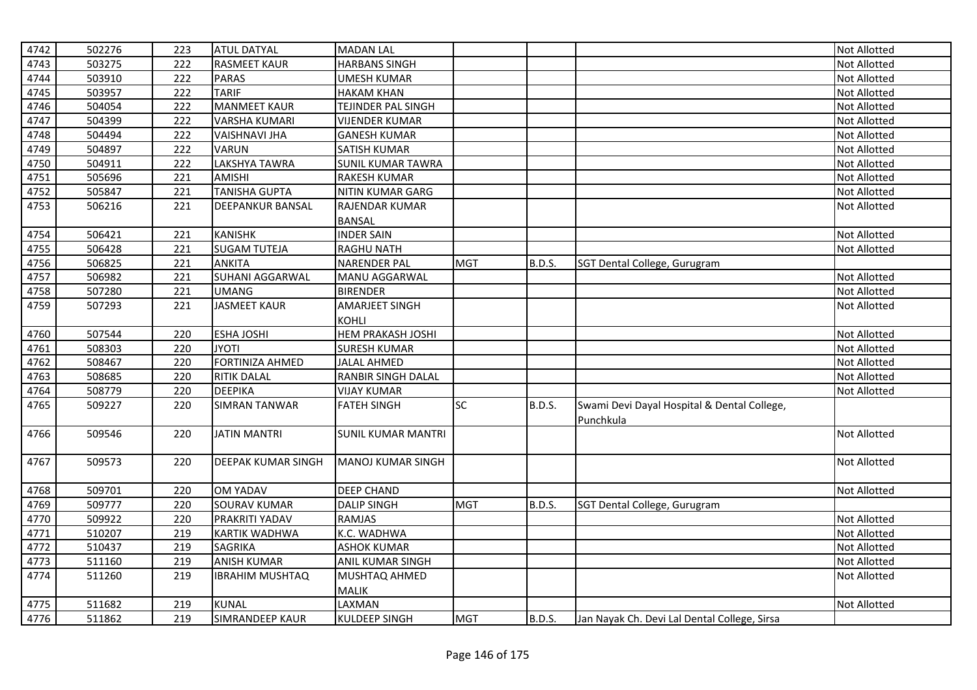| 4742 | 502276 | 223 | <b>ATUL DATYAL</b>        | <b>MADAN LAL</b>          |            |               |                                                          | Not Allotted        |
|------|--------|-----|---------------------------|---------------------------|------------|---------------|----------------------------------------------------------|---------------------|
| 4743 | 503275 | 222 | <b>RASMEET KAUR</b>       | <b>HARBANS SINGH</b>      |            |               |                                                          | Not Allotted        |
| 4744 | 503910 | 222 | <b>PARAS</b>              | <b>UMESH KUMAR</b>        |            |               |                                                          | Not Allotted        |
| 4745 | 503957 | 222 | <b>TARIF</b>              | <b>HAKAM KHAN</b>         |            |               |                                                          | Not Allotted        |
| 4746 | 504054 | 222 | <b>MANMEET KAUR</b>       | TEJINDER PAL SINGH        |            |               |                                                          | Not Allotted        |
| 4747 | 504399 | 222 | <b>VARSHA KUMARI</b>      | <b>VIJENDER KUMAR</b>     |            |               |                                                          | Not Allotted        |
| 4748 | 504494 | 222 | <b>VAISHNAVI JHA</b>      | <b>GANESH KUMAR</b>       |            |               |                                                          | Not Allotted        |
| 4749 | 504897 | 222 | <b>VARUN</b>              | <b>SATISH KUMAR</b>       |            |               |                                                          | Not Allotted        |
| 4750 | 504911 | 222 | LAKSHYA TAWRA             | <b>SUNIL KUMAR TAWRA</b>  |            |               |                                                          | Not Allotted        |
| 4751 | 505696 | 221 | <b>AMISHI</b>             | <b>RAKESH KUMAR</b>       |            |               |                                                          | Not Allotted        |
| 4752 | 505847 | 221 | <b>TANISHA GUPTA</b>      | <b>NITIN KUMAR GARG</b>   |            |               |                                                          | Not Allotted        |
| 4753 | 506216 | 221 | <b>DEEPANKUR BANSAL</b>   | RAJENDAR KUMAR            |            |               |                                                          | Not Allotted        |
|      |        |     |                           | <b>BANSAL</b>             |            |               |                                                          |                     |
| 4754 | 506421 | 221 | <b>KANISHK</b>            | <b>INDER SAIN</b>         |            |               |                                                          | Not Allotted        |
| 4755 | 506428 | 221 | <b>SUGAM TUTEJA</b>       | <b>RAGHU NATH</b>         |            |               |                                                          | Not Allotted        |
| 4756 | 506825 | 221 | <b>ANKITA</b>             | <b>NARENDER PAL</b>       | <b>MGT</b> | <b>B.D.S.</b> | SGT Dental College, Gurugram                             |                     |
| 4757 | 506982 | 221 | SUHANI AGGARWAL           | MANU AGGARWAL             |            |               |                                                          | Not Allotted        |
| 4758 | 507280 | 221 | <b>UMANG</b>              | <b>BIRENDER</b>           |            |               |                                                          | Not Allotted        |
| 4759 | 507293 | 221 | <b>JASMEET KAUR</b>       | <b>AMARJEET SINGH</b>     |            |               |                                                          | <b>Not Allotted</b> |
|      |        |     |                           | <b>KOHLI</b>              |            |               |                                                          |                     |
| 4760 | 507544 | 220 | <b>ESHA JOSHI</b>         | <b>HEM PRAKASH JOSHI</b>  |            |               |                                                          | Not Allotted        |
| 4761 | 508303 | 220 | <b>JYOTI</b>              | <b>SURESH KUMAR</b>       |            |               |                                                          | Not Allotted        |
| 4762 | 508467 | 220 | <b>FORTINIZA AHMED</b>    | <b>JALAL AHMED</b>        |            |               |                                                          | Not Allotted        |
| 4763 | 508685 | 220 | <b>RITIK DALAL</b>        | RANBIR SINGH DALAL        |            |               |                                                          | Not Allotted        |
| 4764 | 508779 | 220 | <b>DEEPIKA</b>            | <b>VIJAY KUMAR</b>        |            |               |                                                          | Not Allotted        |
| 4765 | 509227 | 220 | <b>SIMRAN TANWAR</b>      | <b>FATEH SINGH</b>        | <b>SC</b>  | <b>B.D.S.</b> | Swami Devi Dayal Hospital & Dental College,<br>Punchkula |                     |
| 4766 | 509546 | 220 | <b>JATIN MANTRI</b>       | <b>SUNIL KUMAR MANTRI</b> |            |               |                                                          | Not Allotted        |
| 4767 | 509573 | 220 | <b>DEEPAK KUMAR SINGH</b> | <b>MANOJ KUMAR SINGH</b>  |            |               |                                                          | Not Allotted        |
| 4768 | 509701 | 220 | <b>OM YADAV</b>           | <b>DEEP CHAND</b>         |            |               |                                                          | Not Allotted        |
| 4769 | 509777 | 220 | <b>SOURAV KUMAR</b>       | <b>DALIP SINGH</b>        | <b>MGT</b> | <b>B.D.S.</b> | SGT Dental College, Gurugram                             |                     |
| 4770 | 509922 | 220 | PRAKRITI YADAV            | <b>RAMJAS</b>             |            |               |                                                          | Not Allotted        |
| 4771 | 510207 | 219 | <b>KARTIK WADHWA</b>      | K.C. WADHWA               |            |               |                                                          | Not Allotted        |
| 4772 | 510437 | 219 | <b>SAGRIKA</b>            | <b>ASHOK KUMAR</b>        |            |               |                                                          | Not Allotted        |
| 4773 | 511160 | 219 | <b>ANISH KUMAR</b>        | ANIL KUMAR SINGH          |            |               |                                                          | Not Allotted        |
| 4774 | 511260 | 219 | <b>IBRAHIM MUSHTAQ</b>    | MUSHTAQ AHMED             |            |               |                                                          | Not Allotted        |
|      |        |     |                           | <b>MALIK</b>              |            |               |                                                          |                     |
| 4775 | 511682 | 219 | <b>KUNAL</b>              | LAXMAN                    |            |               |                                                          | <b>Not Allotted</b> |
| 4776 | 511862 | 219 | SIMRANDEEP KAUR           | <b>KULDEEP SINGH</b>      | <b>MGT</b> | B.D.S.        | Jan Nayak Ch. Devi Lal Dental College, Sirsa             |                     |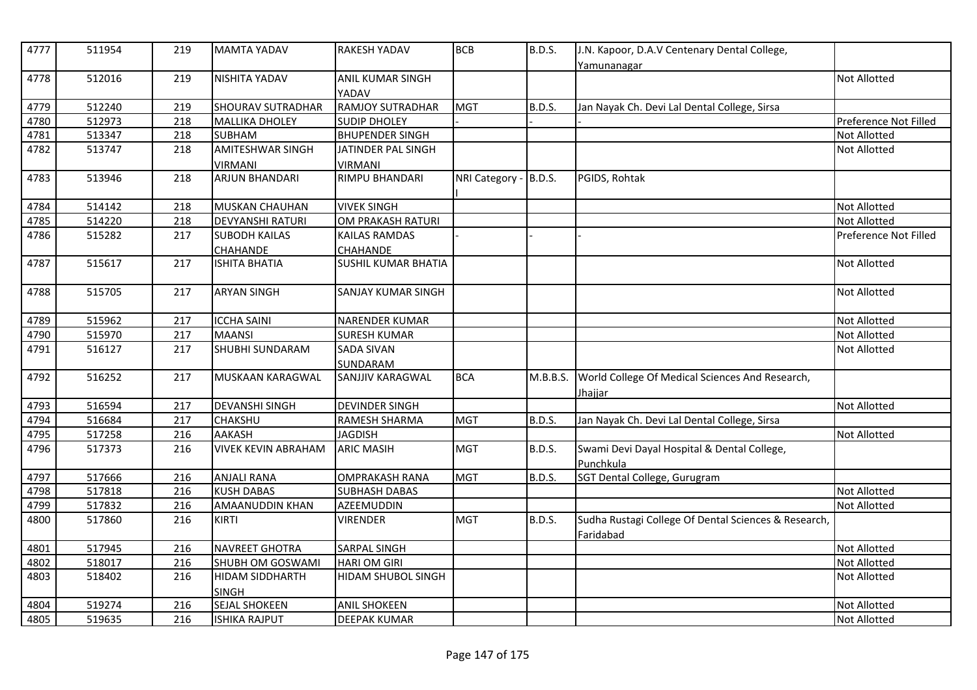| 4777 | 511954 | 219 | <b>MAMTA YADAV</b>         | <b>RAKESH YADAV</b>              | <b>BCB</b>            | <b>B.D.S.</b> | J.N. Kapoor, D.A.V Centenary Dental College,<br>Yamunanagar       |                       |
|------|--------|-----|----------------------------|----------------------------------|-----------------------|---------------|-------------------------------------------------------------------|-----------------------|
| 4778 | 512016 | 219 | <b>NISHITA YADAV</b>       | <b>ANIL KUMAR SINGH</b><br>YADAV |                       |               |                                                                   | <b>Not Allotted</b>   |
| 4779 | 512240 | 219 | <b>SHOURAV SUTRADHAR</b>   | <b>RAMJOY SUTRADHAR</b>          | <b>MGT</b>            | <b>B.D.S.</b> | Jan Nayak Ch. Devi Lal Dental College, Sirsa                      |                       |
| 4780 | 512973 | 218 | <b>MALLIKA DHOLEY</b>      | <b>SUDIP DHOLEY</b>              |                       |               |                                                                   | Preference Not Filled |
| 4781 | 513347 | 218 | <b>SUBHAM</b>              | <b>BHUPENDER SINGH</b>           |                       |               |                                                                   | Not Allotted          |
| 4782 | 513747 | 218 | <b>AMITESHWAR SINGH</b>    | JATINDER PAL SINGH               |                       |               |                                                                   | Not Allotted          |
|      |        |     | <b>VIRMANI</b>             | <b>VIRMANI</b>                   |                       |               |                                                                   |                       |
| 4783 | 513946 | 218 | <b>ARJUN BHANDARI</b>      | <b>RIMPU BHANDARI</b>            | NRI Category - B.D.S. |               | PGIDS, Rohtak                                                     |                       |
| 4784 | 514142 | 218 | MUSKAN CHAUHAN             | <b>VIVEK SINGH</b>               |                       |               |                                                                   | Not Allotted          |
| 4785 | 514220 | 218 | <b>DEVYANSHI RATURI</b>    | OM PRAKASH RATURI                |                       |               |                                                                   | Not Allotted          |
| 4786 | 515282 | 217 | <b>SUBODH KAILAS</b>       | <b>KAILAS RAMDAS</b>             |                       |               |                                                                   | Preference Not Filled |
|      |        |     | <b>CHAHANDE</b>            | <b>CHAHANDE</b>                  |                       |               |                                                                   |                       |
| 4787 | 515617 | 217 | <b>ISHITA BHATIA</b>       | SUSHIL KUMAR BHATIA              |                       |               |                                                                   | Not Allotted          |
| 4788 | 515705 | 217 | <b>ARYAN SINGH</b>         | <b>SANJAY KUMAR SINGH</b>        |                       |               |                                                                   | Not Allotted          |
| 4789 | 515962 | 217 | <b>ICCHA SAINI</b>         | <b>NARENDER KUMAR</b>            |                       |               |                                                                   | Not Allotted          |
| 4790 | 515970 | 217 | <b>MAANSI</b>              | <b>SURESH KUMAR</b>              |                       |               |                                                                   | Not Allotted          |
| 4791 | 516127 | 217 | SHUBHI SUNDARAM            | <b>SADA SIVAN</b>                |                       |               |                                                                   | <b>Not Allotted</b>   |
|      |        |     |                            | SUNDARAM                         |                       |               |                                                                   |                       |
| 4792 | 516252 | 217 | <b>MUSKAAN KARAGWAL</b>    | SANJJIV KARAGWAL                 | <b>BCA</b>            | M.B.B.S.      | World College Of Medical Sciences And Research,<br>Jhajjar        |                       |
| 4793 | 516594 | 217 | <b>DEVANSHI SINGH</b>      | <b>DEVINDER SINGH</b>            |                       |               |                                                                   | Not Allotted          |
| 4794 | 516684 | 217 | <b>CHAKSHU</b>             | RAMESH SHARMA                    | <b>MGT</b>            | <b>B.D.S.</b> | Jan Nayak Ch. Devi Lal Dental College, Sirsa                      |                       |
| 4795 | 517258 | 216 | AAKASH                     | <b>JAGDISH</b>                   |                       |               |                                                                   | Not Allotted          |
| 4796 | 517373 | 216 | <b>VIVEK KEVIN ABRAHAM</b> | <b>ARIC MASIH</b>                | <b>MGT</b>            | <b>B.D.S.</b> | Swami Devi Dayal Hospital & Dental College,<br>Punchkula          |                       |
| 4797 | 517666 | 216 | <b>ANJALI RANA</b>         | <b>OMPRAKASH RANA</b>            | <b>MGT</b>            | <b>B.D.S.</b> | SGT Dental College, Gurugram                                      |                       |
| 4798 | 517818 | 216 | <b>KUSH DABAS</b>          | <b>SUBHASH DABAS</b>             |                       |               |                                                                   | Not Allotted          |
| 4799 | 517832 | 216 | AMAANUDDIN KHAN            | AZEEMUDDIN                       |                       |               |                                                                   | Not Allotted          |
| 4800 | 517860 | 216 | KIRTI                      | <b>VIRENDER</b>                  | <b>MGT</b>            | B.D.S.        | Sudha Rustagi College Of Dental Sciences & Research,<br>Faridabad |                       |
| 4801 | 517945 | 216 | <b>NAVREET GHOTRA</b>      | <b>SARPAL SINGH</b>              |                       |               |                                                                   | Not Allotted          |
| 4802 | 518017 | 216 | SHUBH OM GOSWAMI           | <b>HARI OM GIRI</b>              |                       |               |                                                                   | Not Allotted          |
| 4803 | 518402 | 216 | HIDAM SIDDHARTH            | HIDAM SHUBOL SINGH               |                       |               |                                                                   | Not Allotted          |
|      |        |     | <b>SINGH</b>               |                                  |                       |               |                                                                   |                       |
| 4804 | 519274 | 216 | <b>SEJAL SHOKEEN</b>       | <b>ANIL SHOKEEN</b>              |                       |               |                                                                   | Not Allotted          |
| 4805 | 519635 | 216 | <b>ISHIKA RAJPUT</b>       | <b>DEEPAK KUMAR</b>              |                       |               |                                                                   | <b>Not Allotted</b>   |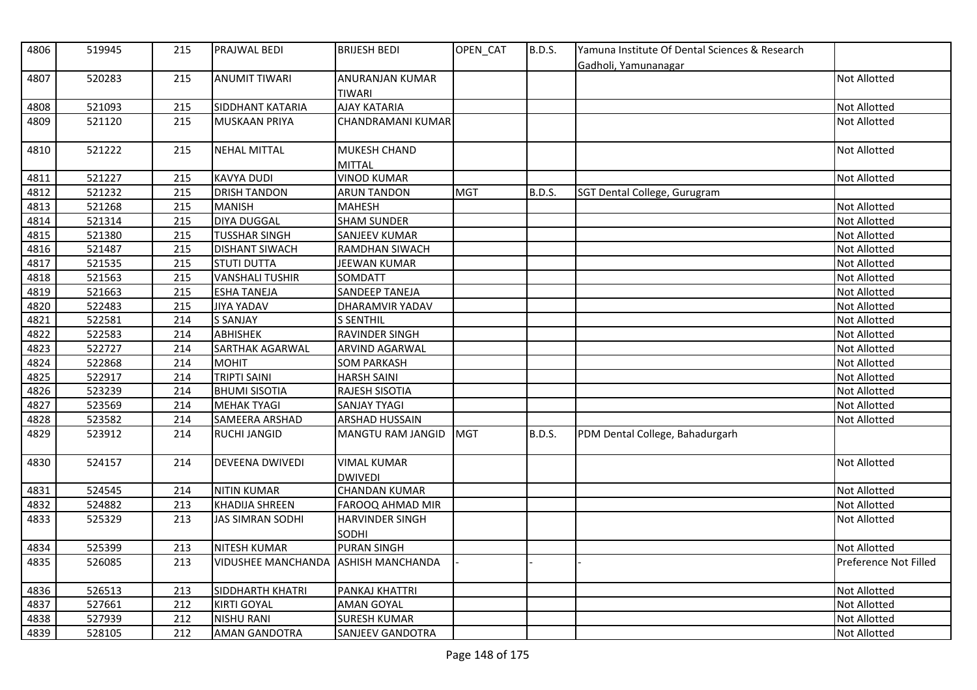| 4806 | 519945 | 215 | PRAJWAL BEDI                        | <b>BRIJESH BEDI</b>                  | OPEN_CAT   | <b>B.D.S.</b> | Yamuna Institute Of Dental Sciences & Research<br>Gadholi, Yamunanagar |                       |
|------|--------|-----|-------------------------------------|--------------------------------------|------------|---------------|------------------------------------------------------------------------|-----------------------|
| 4807 | 520283 | 215 | <b>ANUMIT TIWARI</b>                | ANURANJAN KUMAR<br>TIWARI            |            |               |                                                                        | <b>Not Allotted</b>   |
| 4808 | 521093 | 215 | SIDDHANT KATARIA                    | <b>AJAY KATARIA</b>                  |            |               |                                                                        | Not Allotted          |
| 4809 | 521120 | 215 | <b>MUSKAAN PRIYA</b>                | CHANDRAMANI KUMAR                    |            |               |                                                                        | <b>Not Allotted</b>   |
| 4810 | 521222 | 215 | <b>NEHAL MITTAL</b>                 | <b>MUKESH CHAND</b><br><b>MITTAL</b> |            |               |                                                                        | Not Allotted          |
| 4811 | 521227 | 215 | <b>KAVYA DUDI</b>                   | <b>VINOD KUMAR</b>                   |            |               |                                                                        | Not Allotted          |
| 4812 | 521232 | 215 | <b>DRISH TANDON</b>                 | <b>ARUN TANDON</b>                   | <b>MGT</b> | <b>B.D.S.</b> | SGT Dental College, Gurugram                                           |                       |
| 4813 | 521268 | 215 | <b>MANISH</b>                       | <b>MAHESH</b>                        |            |               |                                                                        | Not Allotted          |
| 4814 | 521314 | 215 | <b>DIYA DUGGAL</b>                  | <b>SHAM SUNDER</b>                   |            |               |                                                                        | <b>Not Allotted</b>   |
| 4815 | 521380 | 215 | <b>TUSSHAR SINGH</b>                | SANJEEV KUMAR                        |            |               |                                                                        | <b>Not Allotted</b>   |
| 4816 | 521487 | 215 | <b>DISHANT SIWACH</b>               | RAMDHAN SIWACH                       |            |               |                                                                        | Not Allotted          |
| 4817 | 521535 | 215 | <b>STUTI DUTTA</b>                  | JEEWAN KUMAR                         |            |               |                                                                        | <b>Not Allotted</b>   |
| 4818 | 521563 | 215 | <b>VANSHALI TUSHIR</b>              | SOMDATT                              |            |               |                                                                        | Not Allotted          |
| 4819 | 521663 | 215 | <b>ESHA TANEJA</b>                  | SANDEEP TANEJA                       |            |               |                                                                        | <b>Not Allotted</b>   |
| 4820 | 522483 | 215 | <b>JIYA YADAV</b>                   | DHARAMVIR YADAV                      |            |               |                                                                        | <b>Not Allotted</b>   |
| 4821 | 522581 | 214 | <b>S SANJAY</b>                     | <b>S SENTHIL</b>                     |            |               |                                                                        | <b>Not Allotted</b>   |
| 4822 | 522583 | 214 | <b>ABHISHEK</b>                     | <b>RAVINDER SINGH</b>                |            |               |                                                                        | <b>Not Allotted</b>   |
| 4823 | 522727 | 214 | <b>SARTHAK AGARWAL</b>              | ARVIND AGARWAL                       |            |               |                                                                        | <b>Not Allotted</b>   |
| 4824 | 522868 | 214 | <b>MOHIT</b>                        | <b>SOM PARKASH</b>                   |            |               |                                                                        | Not Allotted          |
| 4825 | 522917 | 214 | <b>TRIPTI SAINI</b>                 | <b>HARSH SAINI</b>                   |            |               |                                                                        | <b>Not Allotted</b>   |
| 4826 | 523239 | 214 | <b>BHUMI SISOTIA</b>                | RAJESH SISOTIA                       |            |               |                                                                        | Not Allotted          |
| 4827 | 523569 | 214 | <b>MEHAK TYAGI</b>                  | SANJAY TYAGI                         |            |               |                                                                        | <b>Not Allotted</b>   |
| 4828 | 523582 | 214 | SAMEERA ARSHAD                      | ARSHAD HUSSAIN                       |            |               |                                                                        | Not Allotted          |
| 4829 | 523912 | 214 | <b>RUCHI JANGID</b>                 | MANGTU RAM JANGID                    | <b>MGT</b> | <b>B.D.S.</b> | PDM Dental College, Bahadurgarh                                        |                       |
| 4830 | 524157 | 214 | <b>DEVEENA DWIVEDI</b>              | <b>VIMAL KUMAR</b><br><b>DWIVEDI</b> |            |               |                                                                        | <b>Not Allotted</b>   |
| 4831 | 524545 | 214 | <b>NITIN KUMAR</b>                  | <b>CHANDAN KUMAR</b>                 |            |               |                                                                        | <b>Not Allotted</b>   |
| 4832 | 524882 | 213 | <b>KHADIJA SHREEN</b>               | FAROOQ AHMAD MIR                     |            |               |                                                                        | <b>Not Allotted</b>   |
| 4833 | 525329 | 213 | <b>JAS SIMRAN SODHI</b>             | <b>HARVINDER SINGH</b><br>SODHI      |            |               |                                                                        | <b>Not Allotted</b>   |
| 4834 | 525399 | 213 | <b>NITESH KUMAR</b>                 | <b>PURAN SINGH</b>                   |            |               |                                                                        | <b>Not Allotted</b>   |
| 4835 | 526085 | 213 | VIDUSHEE MANCHANDA ASHISH MANCHANDA |                                      |            |               |                                                                        | Preference Not Filled |
| 4836 | 526513 | 213 | SIDDHARTH KHATRI                    | PANKAJ KHATTRI                       |            |               |                                                                        | <b>Not Allotted</b>   |
| 4837 | 527661 | 212 | <b>KIRTI GOYAL</b>                  | <b>AMAN GOYAL</b>                    |            |               |                                                                        | Not Allotted          |
| 4838 | 527939 | 212 | <b>NISHU RANI</b>                   | <b>SURESH KUMAR</b>                  |            |               |                                                                        | <b>Not Allotted</b>   |
| 4839 | 528105 | 212 | <b>AMAN GANDOTRA</b>                | SANJEEV GANDOTRA                     |            |               |                                                                        | <b>Not Allotted</b>   |
|      |        |     |                                     |                                      |            |               |                                                                        |                       |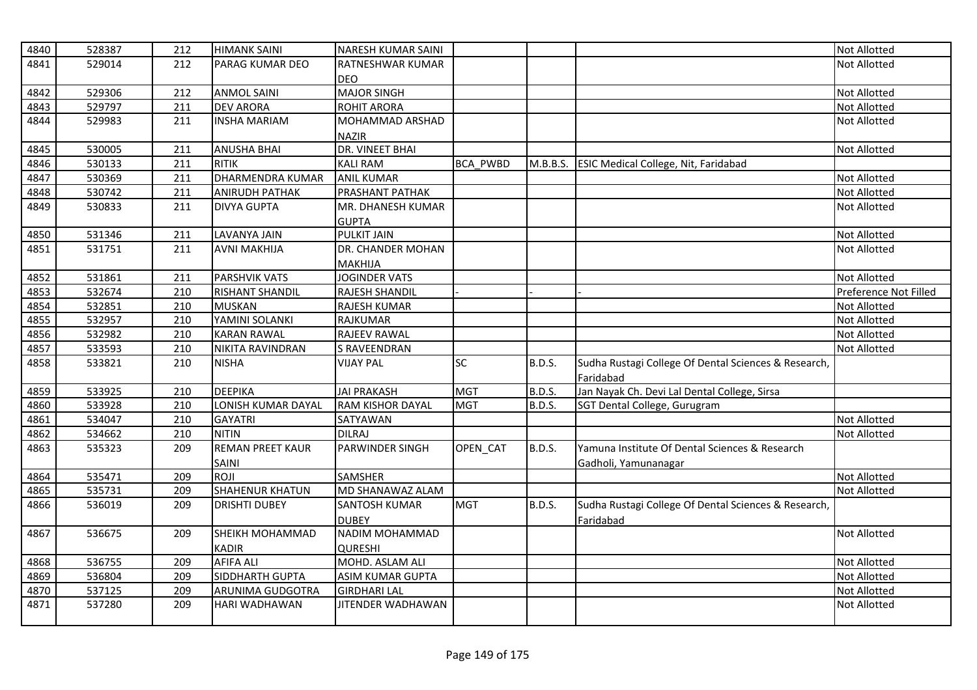| 4840 | 528387 | 212 | <b>HIMANK SAINI</b>       | NARESH KUMAR SAINI      |                 |               |                                                      | <b>Not Allotted</b>   |
|------|--------|-----|---------------------------|-------------------------|-----------------|---------------|------------------------------------------------------|-----------------------|
| 4841 | 529014 | 212 | <b>PARAG KUMAR DEO</b>    | RATNESHWAR KUMAR        |                 |               |                                                      | <b>Not Allotted</b>   |
|      |        |     |                           | <b>DEO</b>              |                 |               |                                                      |                       |
| 4842 | 529306 | 212 | <b>ANMOL SAINI</b>        | <b>MAJOR SINGH</b>      |                 |               |                                                      | <b>Not Allotted</b>   |
| 4843 | 529797 | 211 | <b>DEV ARORA</b>          | <b>ROHIT ARORA</b>      |                 |               |                                                      | <b>Not Allotted</b>   |
| 4844 | 529983 | 211 | <b>INSHA MARIAM</b>       | MOHAMMAD ARSHAD         |                 |               |                                                      | <b>Not Allotted</b>   |
|      |        |     |                           | <b>NAZIR</b>            |                 |               |                                                      |                       |
| 4845 | 530005 | 211 | <b>ANUSHA BHAI</b>        | <b>DR. VINEET BHAI</b>  |                 |               |                                                      | <b>Not Allotted</b>   |
| 4846 | 530133 | 211 | <b>RITIK</b>              | <b>KALI RAM</b>         | <b>BCA PWBD</b> |               | M.B.B.S. ESIC Medical College, Nit, Faridabad        |                       |
| 4847 | 530369 | 211 | <b>DHARMENDRA KUMAR</b>   | <b>ANIL KUMAR</b>       |                 |               |                                                      | <b>Not Allotted</b>   |
| 4848 | 530742 | 211 | <b>ANIRUDH PATHAK</b>     | PRASHANT PATHAK         |                 |               |                                                      | <b>Not Allotted</b>   |
| 4849 | 530833 | 211 | <b>DIVYA GUPTA</b>        | MR. DHANESH KUMAR       |                 |               |                                                      | <b>Not Allotted</b>   |
|      |        |     |                           | <b>GUPTA</b>            |                 |               |                                                      |                       |
| 4850 | 531346 | 211 | LAVANYA JAIN              | <b>PULKIT JAIN</b>      |                 |               |                                                      | <b>Not Allotted</b>   |
| 4851 | 531751 | 211 | <b>AVNI MAKHIJA</b>       | DR. CHANDER MOHAN       |                 |               |                                                      | <b>Not Allotted</b>   |
|      |        |     |                           | <b>MAKHIJA</b>          |                 |               |                                                      |                       |
| 4852 | 531861 | 211 | <b>PARSHVIK VATS</b>      | <b>JOGINDER VATS</b>    |                 |               |                                                      | <b>Not Allotted</b>   |
| 4853 | 532674 | 210 | <b>RISHANT SHANDIL</b>    | RAJESH SHANDIL          |                 |               |                                                      | Preference Not Filled |
| 4854 | 532851 | 210 | <b>MUSKAN</b>             | RAJESH KUMAR            |                 |               |                                                      | <b>Not Allotted</b>   |
| 4855 | 532957 | 210 | YAMINI SOLANKI            | <b>RAJKUMAR</b>         |                 |               |                                                      | <b>Not Allotted</b>   |
| 4856 | 532982 | 210 | <b>KARAN RAWAL</b>        | <b>RAJEEV RAWAL</b>     |                 |               |                                                      | <b>Not Allotted</b>   |
| 4857 | 533593 | 210 | NIKITA RAVINDRAN          | <b>S RAVEENDRAN</b>     |                 |               |                                                      | <b>Not Allotted</b>   |
| 4858 | 533821 | 210 | <b>NISHA</b>              | <b>VIJAY PAL</b>        | <b>SC</b>       | <b>B.D.S.</b> | Sudha Rustagi College Of Dental Sciences & Research, |                       |
|      |        |     |                           |                         |                 |               | Faridabad                                            |                       |
| 4859 | 533925 | 210 | <b>DEEPIKA</b>            | <b>JAI PRAKASH</b>      | <b>MGT</b>      | <b>B.D.S.</b> | Jan Nayak Ch. Devi Lal Dental College, Sirsa         |                       |
| 4860 | 533928 | 210 | <b>LONISH KUMAR DAYAL</b> | <b>RAM KISHOR DAYAL</b> | <b>MGT</b>      | B.D.S.        | SGT Dental College, Gurugram                         |                       |
| 4861 | 534047 | 210 | <b>GAYATRI</b>            | SATYAWAN                |                 |               |                                                      | <b>Not Allotted</b>   |
| 4862 | 534662 | 210 | <b>NITIN</b>              | <b>DILRAJ</b>           |                 |               |                                                      | <b>Not Allotted</b>   |
| 4863 | 535323 | 209 | <b>REMAN PREET KAUR</b>   | PARWINDER SINGH         | OPEN CAT        | <b>B.D.S.</b> | Yamuna Institute Of Dental Sciences & Research       |                       |
|      |        |     | <b>SAINL</b>              |                         |                 |               | Gadholi, Yamunanagar                                 |                       |
| 4864 | 535471 | 209 | ROJI                      | <b>SAMSHER</b>          |                 |               |                                                      | <b>Not Allotted</b>   |
| 4865 | 535731 | 209 | <b>SHAHENUR KHATUN</b>    | MD SHANAWAZ ALAM        |                 |               |                                                      | <b>Not Allotted</b>   |
| 4866 | 536019 | 209 | <b>DRISHTI DUBEY</b>      | <b>SANTOSH KUMAR</b>    | <b>MGT</b>      | B.D.S.        | Sudha Rustagi College Of Dental Sciences & Research, |                       |
|      |        |     |                           | <b>DUBEY</b>            |                 |               | Faridabad                                            |                       |
| 4867 | 536675 | 209 | SHEIKH MOHAMMAD           | NADIM MOHAMMAD          |                 |               |                                                      | <b>Not Allotted</b>   |
|      |        |     | <b>KADIR</b>              | <b>QURESHI</b>          |                 |               |                                                      |                       |
| 4868 | 536755 | 209 | <b>AFIFA ALI</b>          | MOHD. ASLAM ALI         |                 |               |                                                      | <b>Not Allotted</b>   |
| 4869 | 536804 | 209 | SIDDHARTH GUPTA           | <b>ASIM KUMAR GUPTA</b> |                 |               |                                                      | <b>Not Allotted</b>   |
| 4870 | 537125 | 209 | ARUNIMA GUDGOTRA          | <b>GIRDHARI LAL</b>     |                 |               |                                                      | <b>Not Allotted</b>   |
| 4871 | 537280 | 209 | HARI WADHAWAN             | JITENDER WADHAWAN       |                 |               |                                                      | <b>Not Allotted</b>   |
|      |        |     |                           |                         |                 |               |                                                      |                       |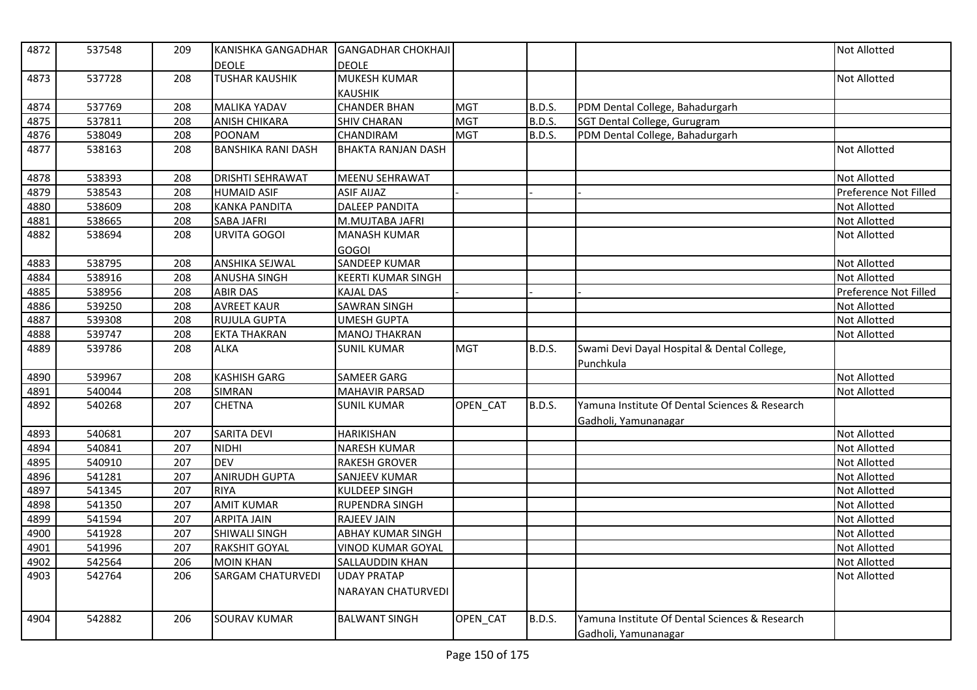| 4872 | 537548 | 209 | KANISHKA GANGADHAR        | <b>GANGADHAR CHOKHAJI</b>             |            |               |                                                                        | Not Allotted          |
|------|--------|-----|---------------------------|---------------------------------------|------------|---------------|------------------------------------------------------------------------|-----------------------|
|      |        |     | <b>DEOLE</b>              | <b>DEOLE</b>                          |            |               |                                                                        |                       |
| 4873 | 537728 | 208 | <b>TUSHAR KAUSHIK</b>     | <b>MUKESH KUMAR</b><br><b>KAUSHIK</b> |            |               |                                                                        | <b>Not Allotted</b>   |
| 4874 | 537769 | 208 | <b>MALIKA YADAV</b>       | <b>CHANDER BHAN</b>                   | <b>MGT</b> | <b>B.D.S.</b> | PDM Dental College, Bahadurgarh                                        |                       |
| 4875 | 537811 | 208 | <b>ANISH CHIKARA</b>      | <b>SHIV CHARAN</b>                    | <b>MGT</b> | <b>B.D.S.</b> | SGT Dental College, Gurugram                                           |                       |
| 4876 | 538049 | 208 | <b>POONAM</b>             | CHANDIRAM                             | <b>MGT</b> | B.D.S.        | PDM Dental College, Bahadurgarh                                        |                       |
| 4877 | 538163 | 208 | <b>BANSHIKA RANI DASH</b> | <b>BHAKTA RANJAN DASH</b>             |            |               |                                                                        | Not Allotted          |
|      |        |     |                           |                                       |            |               |                                                                        |                       |
| 4878 | 538393 | 208 | <b>DRISHTI SEHRAWAT</b>   | MEENU SEHRAWAT                        |            |               |                                                                        | Not Allotted          |
| 4879 | 538543 | 208 | <b>HUMAID ASIF</b>        | <b>ASIF AIJAZ</b>                     |            |               |                                                                        | Preference Not Filled |
| 4880 | 538609 | 208 | <b>KANKA PANDITA</b>      | <b>DALEEP PANDITA</b>                 |            |               |                                                                        | Not Allotted          |
| 4881 | 538665 | 208 | <b>SABA JAFRI</b>         | M.MUJTABA JAFRI                       |            |               |                                                                        | Not Allotted          |
| 4882 | 538694 | 208 | URVITA GOGOI              | <b>MANASH KUMAR</b>                   |            |               |                                                                        | Not Allotted          |
|      |        |     |                           | <b>GOGOI</b>                          |            |               |                                                                        |                       |
| 4883 | 538795 | 208 | <b>ANSHIKA SEJWAL</b>     | <b>SANDEEP KUMAR</b>                  |            |               |                                                                        | Not Allotted          |
| 4884 | 538916 | 208 | <b>ANUSHA SINGH</b>       | <b>KEERTI KUMAR SINGH</b>             |            |               |                                                                        | Not Allotted          |
| 4885 | 538956 | 208 | <b>ABIR DAS</b>           | <b>KAJAL DAS</b>                      |            |               |                                                                        | Preference Not Filled |
| 4886 | 539250 | 208 | <b>AVREET KAUR</b>        | <b>SAWRAN SINGH</b>                   |            |               |                                                                        | Not Allotted          |
| 4887 | 539308 | 208 | <b>RUJULA GUPTA</b>       | <b>UMESH GUPTA</b>                    |            |               |                                                                        | Not Allotted          |
| 4888 | 539747 | 208 | <b>EKTA THAKRAN</b>       | <b>MANOJ THAKRAN</b>                  |            |               |                                                                        | <b>Not Allotted</b>   |
| 4889 | 539786 | 208 | <b>ALKA</b>               | <b>SUNIL KUMAR</b>                    | <b>MGT</b> | B.D.S.        | Swami Devi Dayal Hospital & Dental College,<br>Punchkula               |                       |
| 4890 | 539967 | 208 | <b>KASHISH GARG</b>       | <b>SAMEER GARG</b>                    |            |               |                                                                        | Not Allotted          |
| 4891 | 540044 | 208 | <b>SIMRAN</b>             | <b>MAHAVIR PARSAD</b>                 |            |               |                                                                        | Not Allotted          |
| 4892 | 540268 | 207 | <b>CHETNA</b>             | <b>SUNIL KUMAR</b>                    | OPEN_CAT   | <b>B.D.S.</b> | Yamuna Institute Of Dental Sciences & Research<br>Gadholi, Yamunanagar |                       |
| 4893 | 540681 | 207 | <b>SARITA DEVI</b>        | HARIKISHAN                            |            |               |                                                                        | Not Allotted          |
| 4894 | 540841 | 207 | <b>NIDHI</b>              | <b>NARESH KUMAR</b>                   |            |               |                                                                        | Not Allotted          |
| 4895 | 540910 | 207 | <b>DEV</b>                | <b>RAKESH GROVER</b>                  |            |               |                                                                        | Not Allotted          |
| 4896 | 541281 | 207 | <b>ANIRUDH GUPTA</b>      | <b>SANJEEV KUMAR</b>                  |            |               |                                                                        | Not Allotted          |
| 4897 | 541345 | 207 | <b>RIYA</b>               | <b>KULDEEP SINGH</b>                  |            |               |                                                                        | Not Allotted          |
| 4898 | 541350 | 207 | <b>AMIT KUMAR</b>         | RUPENDRA SINGH                        |            |               |                                                                        | Not Allotted          |
| 4899 | 541594 | 207 | <b>ARPITA JAIN</b>        | RAJEEV JAIN                           |            |               |                                                                        | Not Allotted          |
| 4900 | 541928 | 207 | <b>SHIWALI SINGH</b>      | <b>ABHAY KUMAR SINGH</b>              |            |               |                                                                        | Not Allotted          |
| 4901 | 541996 | 207 | <b>RAKSHIT GOYAL</b>      | <b>VINOD KUMAR GOYAL</b>              |            |               |                                                                        | Not Allotted          |
| 4902 | 542564 | 206 | <b>MOIN KHAN</b>          | SALLAUDDIN KHAN                       |            |               |                                                                        | Not Allotted          |
| 4903 | 542764 | 206 | <b>SARGAM CHATURVEDI</b>  | <b>UDAY PRATAP</b>                    |            |               |                                                                        | Not Allotted          |
|      |        |     |                           | <b>NARAYAN CHATURVEDI</b>             |            |               |                                                                        |                       |
| 4904 | 542882 | 206 | <b>SOURAV KUMAR</b>       | <b>BALWANT SINGH</b>                  | OPEN_CAT   | <b>B.D.S.</b> | Yamuna Institute Of Dental Sciences & Research<br>Gadholi, Yamunanagar |                       |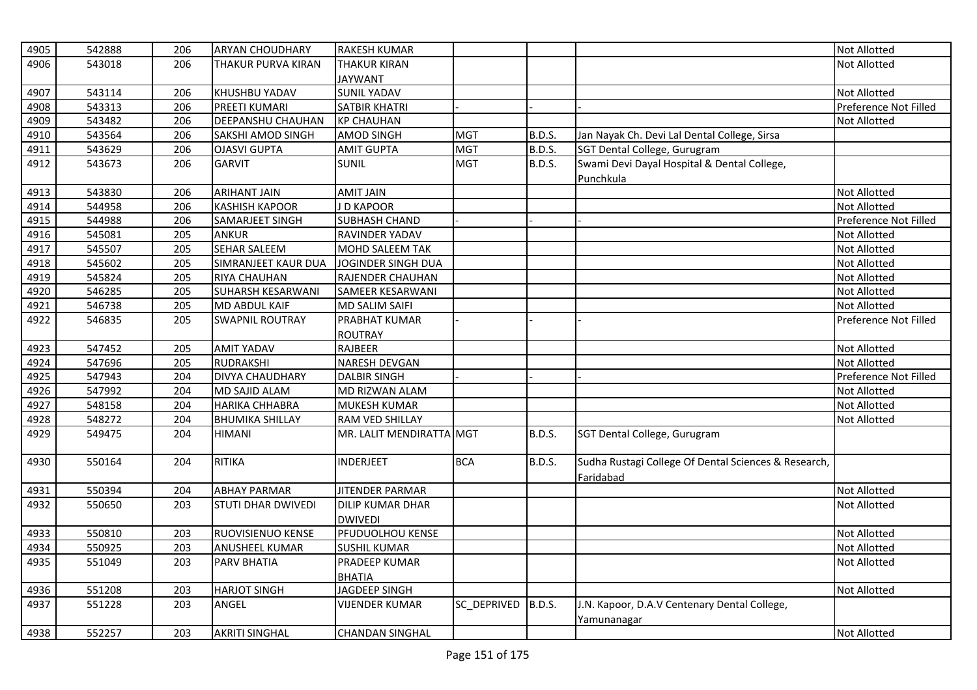| 4905 | 542888 | 206 | <b>ARYAN CHOUDHARY</b>    | <b>RAKESH KUMAR</b>      |             |               |                                                      | <b>Not Allotted</b>   |
|------|--------|-----|---------------------------|--------------------------|-------------|---------------|------------------------------------------------------|-----------------------|
| 4906 | 543018 | 206 | <b>THAKUR PURVA KIRAN</b> | <b>THAKUR KIRAN</b>      |             |               |                                                      | <b>Not Allotted</b>   |
|      |        |     |                           | <b>JAYWANT</b>           |             |               |                                                      |                       |
| 4907 | 543114 | 206 | KHUSHBU YADAV             | <b>SUNIL YADAV</b>       |             |               |                                                      | <b>Not Allotted</b>   |
| 4908 | 543313 | 206 | <b>PREETI KUMARI</b>      | SATBIR KHATRI            |             |               |                                                      | Preference Not Filled |
| 4909 | 543482 | 206 | <b>DEEPANSHU CHAUHAN</b>  | <b>KP CHAUHAN</b>        |             |               |                                                      | <b>Not Allotted</b>   |
| 4910 | 543564 | 206 | <b>SAKSHI AMOD SINGH</b>  | <b>AMOD SINGH</b>        | <b>MGT</b>  | <b>B.D.S.</b> | Jan Nayak Ch. Devi Lal Dental College, Sirsa         |                       |
| 4911 | 543629 | 206 | <b>OJASVI GUPTA</b>       | <b>AMIT GUPTA</b>        | <b>MGT</b>  | <b>B.D.S.</b> | SGT Dental College, Gurugram                         |                       |
| 4912 | 543673 | 206 | <b>GARVIT</b>             | <b>SUNIL</b>             | <b>MGT</b>  | <b>B.D.S.</b> | Swami Devi Dayal Hospital & Dental College,          |                       |
|      |        |     |                           |                          |             |               | Punchkula                                            |                       |
| 4913 | 543830 | 206 | <b>ARIHANT JAIN</b>       | <b>AMIT JAIN</b>         |             |               |                                                      | <b>Not Allotted</b>   |
| 4914 | 544958 | 206 | <b>KASHISH KAPOOR</b>     | J D KAPOOR               |             |               |                                                      | <b>Not Allotted</b>   |
| 4915 | 544988 | 206 | SAMARJEET SINGH           | <b>SUBHASH CHAND</b>     |             |               |                                                      | Preference Not Filled |
| 4916 | 545081 | 205 | <b>ANKUR</b>              | RAVINDER YADAV           |             |               |                                                      | Not Allotted          |
| 4917 | 545507 | 205 | <b>SEHAR SALEEM</b>       | MOHD SALEEM TAK          |             |               |                                                      | <b>Not Allotted</b>   |
| 4918 | 545602 | 205 | SIMRANJEET KAUR DUA       | JOGINDER SINGH DUA       |             |               |                                                      | <b>Not Allotted</b>   |
| 4919 | 545824 | 205 | <b>RIYA CHAUHAN</b>       | RAJENDER CHAUHAN         |             |               |                                                      | <b>Not Allotted</b>   |
| 4920 | 546285 | 205 | <b>SUHARSH KESARWANI</b>  | SAMEER KESARWANI         |             |               |                                                      | <b>Not Allotted</b>   |
| 4921 | 546738 | 205 | <b>MD ABDUL KAIF</b>      | <b>MD SALIM SAIFI</b>    |             |               |                                                      | <b>Not Allotted</b>   |
| 4922 | 546835 | 205 | <b>SWAPNIL ROUTRAY</b>    | PRABHAT KUMAR            |             |               |                                                      | Preference Not Filled |
|      |        |     |                           | <b>ROUTRAY</b>           |             |               |                                                      |                       |
| 4923 | 547452 | 205 | <b>AMIT YADAV</b>         | <b>RAJBEER</b>           |             |               |                                                      | <b>Not Allotted</b>   |
| 4924 | 547696 | 205 | RUDRAKSHI                 | <b>NARESH DEVGAN</b>     |             |               |                                                      | <b>Not Allotted</b>   |
| 4925 | 547943 | 204 | <b>DIVYA CHAUDHARY</b>    | <b>DALBIR SINGH</b>      |             |               |                                                      | Preference Not Filled |
| 4926 | 547992 | 204 | <b>MD SAJID ALAM</b>      | MD RIZWAN ALAM           |             |               |                                                      | <b>Not Allotted</b>   |
| 4927 | 548158 | 204 | <b>HARIKA CHHABRA</b>     | MUKESH KUMAR             |             |               |                                                      | <b>Not Allotted</b>   |
| 4928 | 548272 | 204 | <b>BHUMIKA SHILLAY</b>    | RAM VED SHILLAY          |             |               |                                                      | Not Allotted          |
| 4929 | 549475 | 204 | <b>HIMANI</b>             | MR. LALIT MENDIRATTA MGT |             | <b>B.D.S.</b> | SGT Dental College, Gurugram                         |                       |
| 4930 | 550164 | 204 | <b>RITIKA</b>             | <b>INDERJEET</b>         | <b>BCA</b>  | B.D.S.        | Sudha Rustagi College Of Dental Sciences & Research, |                       |
|      |        |     |                           |                          |             |               | Faridabad                                            |                       |
| 4931 | 550394 | 204 | <b>ABHAY PARMAR</b>       | <b>JITENDER PARMAR</b>   |             |               |                                                      | <b>Not Allotted</b>   |
| 4932 | 550650 | 203 | ISTUTI DHAR DWIVEDI       | <b>DILIP KUMAR DHAR</b>  |             |               |                                                      | <b>Not Allotted</b>   |
|      |        |     |                           | <b>DWIVEDI</b>           |             |               |                                                      |                       |
| 4933 | 550810 | 203 | <b>RUOVISIENUO KENSE</b>  | PFUDUOLHOU KENSE         |             |               |                                                      | <b>Not Allotted</b>   |
| 4934 | 550925 | 203 | <b>ANUSHEEL KUMAR</b>     | <b>SUSHIL KUMAR</b>      |             |               |                                                      | Not Allotted          |
| 4935 | 551049 | 203 | <b>PARV BHATIA</b>        | <b>PRADEEP KUMAR</b>     |             |               |                                                      | <b>Not Allotted</b>   |
|      |        |     |                           | <b>BHATIA</b>            |             |               |                                                      |                       |
| 4936 | 551208 | 203 | <b>HARJOT SINGH</b>       | JAGDEEP SINGH            |             |               |                                                      | Not Allotted          |
| 4937 | 551228 | 203 | ANGEL                     | <b>VIJENDER KUMAR</b>    | SC_DEPRIVED | <b>B.D.S.</b> | J.N. Kapoor, D.A.V Centenary Dental College,         |                       |
|      |        |     |                           |                          |             |               | Yamunanagar                                          |                       |
| 4938 | 552257 | 203 | <b>AKRITI SINGHAL</b>     | <b>CHANDAN SINGHAL</b>   |             |               |                                                      | <b>Not Allotted</b>   |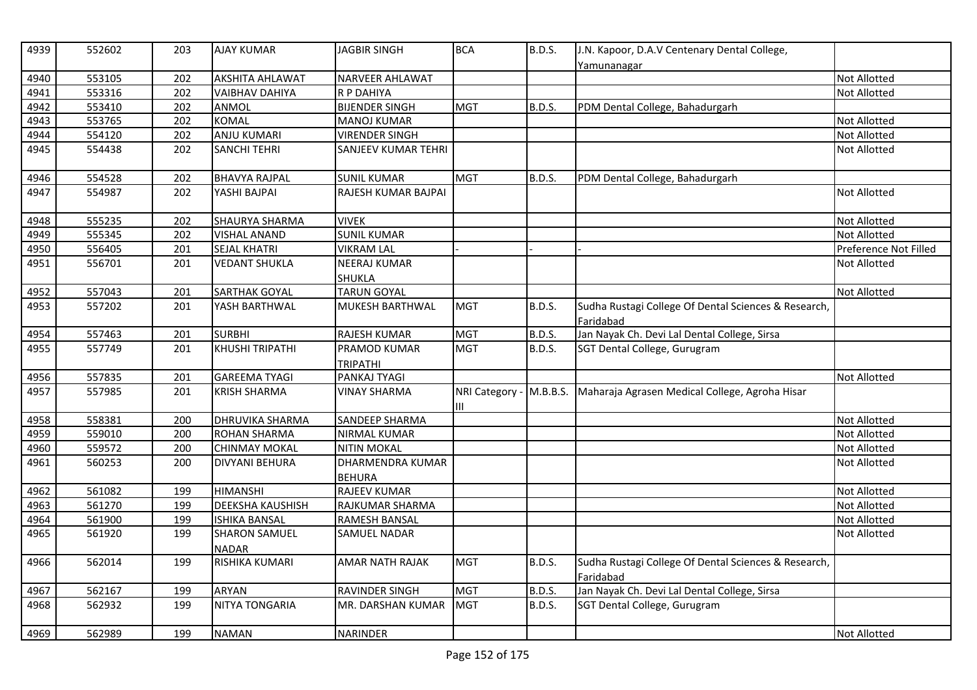| 4939 | 552602 | 203 | <b>AJAY KUMAR</b>      | <b>JAGBIR SINGH</b>        | <b>BCA</b>                   | <b>B.D.S.</b> | J.N. Kapoor, D.A.V Centenary Dental College,                      |                       |
|------|--------|-----|------------------------|----------------------------|------------------------------|---------------|-------------------------------------------------------------------|-----------------------|
| 4940 | 553105 | 202 | <b>AKSHITA AHLAWAT</b> | <b>NARVEER AHLAWAT</b>     |                              |               | Yamunanagar                                                       | Not Allotted          |
| 4941 | 553316 | 202 | <b>VAIBHAV DAHIYA</b>  | R P DAHIYA                 |                              |               |                                                                   | Not Allotted          |
| 4942 | 553410 | 202 | ANMOL                  | <b>BIJENDER SINGH</b>      | <b>MGT</b>                   | <b>B.D.S.</b> | PDM Dental College, Bahadurgarh                                   |                       |
| 4943 | 553765 | 202 | <b>KOMAL</b>           | <b>MANOJ KUMAR</b>         |                              |               |                                                                   | Not Allotted          |
| 4944 | 554120 | 202 | <b>ANJU KUMARI</b>     | <b>VIRENDER SINGH</b>      |                              |               |                                                                   | Not Allotted          |
| 4945 | 554438 | 202 | <b>SANCHI TEHRI</b>    | <b>SANJEEV KUMAR TEHRI</b> |                              |               |                                                                   | Not Allotted          |
|      |        |     |                        |                            |                              |               |                                                                   |                       |
| 4946 | 554528 | 202 | <b>BHAVYA RAJPAL</b>   | <b>SUNIL KUMAR</b>         | <b>MGT</b>                   | <b>B.D.S.</b> | PDM Dental College, Bahadurgarh                                   |                       |
| 4947 | 554987 | 202 | YASHI BAJPAI           | RAJESH KUMAR BAJPAI        |                              |               |                                                                   | Not Allotted          |
| 4948 | 555235 | 202 | SHAURYA SHARMA         | <b>VIVEK</b>               |                              |               |                                                                   | Not Allotted          |
| 4949 | 555345 | 202 | <b>VISHAL ANAND</b>    | <b>SUNIL KUMAR</b>         |                              |               |                                                                   | Not Allotted          |
| 4950 | 556405 | 201 | <b>SEJAL KHATRI</b>    | <b>VIKRAM LAL</b>          |                              |               |                                                                   | Preference Not Filled |
| 4951 | 556701 | 201 | <b>VEDANT SHUKLA</b>   | <b>NEERAJ KUMAR</b>        |                              |               |                                                                   | Not Allotted          |
|      |        |     |                        | <b>SHUKLA</b>              |                              |               |                                                                   |                       |
| 4952 | 557043 | 201 | <b>SARTHAK GOYAL</b>   | <b>TARUN GOYAL</b>         |                              |               |                                                                   | Not Allotted          |
| 4953 | 557202 | 201 | YASH BARTHWAL          | <b>MUKESH BARTHWAL</b>     | <b>MGT</b>                   | <b>B.D.S.</b> | Sudha Rustagi College Of Dental Sciences & Research,<br>Faridabad |                       |
| 4954 | 557463 | 201 | <b>SURBHI</b>          | <b>RAJESH KUMAR</b>        | <b>MGT</b>                   | <b>B.D.S.</b> | Jan Nayak Ch. Devi Lal Dental College, Sirsa                      |                       |
| 4955 | 557749 | 201 | KHUSHI TRIPATHI        | PRAMOD KUMAR               | <b>MGT</b>                   | <b>B.D.S.</b> | SGT Dental College, Gurugram                                      |                       |
|      |        |     |                        | <b>TRIPATHI</b>            |                              |               |                                                                   |                       |
| 4956 | 557835 | 201 | <b>GAREEMA TYAGI</b>   | PANKAJ TYAGI               |                              |               |                                                                   | <b>Not Allotted</b>   |
| 4957 | 557985 | 201 | <b>KRISH SHARMA</b>    | <b>VINAY SHARMA</b>        | NRI Category - M.B.B.S.<br>Ш |               | Maharaja Agrasen Medical College, Agroha Hisar                    |                       |
| 4958 | 558381 | 200 | DHRUVIKA SHARMA        | SANDEEP SHARMA             |                              |               |                                                                   | Not Allotted          |
| 4959 | 559010 | 200 | <b>ROHAN SHARMA</b>    | <b>NIRMAL KUMAR</b>        |                              |               |                                                                   | Not Allotted          |
| 4960 | 559572 | 200 | <b>CHINMAY MOKAL</b>   | <b>NITIN MOKAL</b>         |                              |               |                                                                   | Not Allotted          |
| 4961 | 560253 | 200 | DIVYANI BEHURA         | DHARMENDRA KUMAR           |                              |               |                                                                   | Not Allotted          |
|      |        |     |                        | <b>BEHURA</b>              |                              |               |                                                                   |                       |
| 4962 | 561082 | 199 | <b>HIMANSHI</b>        | <b>RAJEEV KUMAR</b>        |                              |               |                                                                   | Not Allotted          |
| 4963 | 561270 | 199 | DEEKSHA KAUSHISH       | RAJKUMAR SHARMA            |                              |               |                                                                   | Not Allotted          |
| 4964 | 561900 | 199 | <b>ISHIKA BANSAL</b>   | <b>RAMESH BANSAL</b>       |                              |               |                                                                   | Not Allotted          |
| 4965 | 561920 | 199 | <b>SHARON SAMUEL</b>   | <b>SAMUEL NADAR</b>        |                              |               |                                                                   | Not Allotted          |
|      |        |     | <b>NADAR</b>           |                            |                              |               |                                                                   |                       |
| 4966 | 562014 | 199 | RISHIKA KUMARI         | <b>AMAR NATH RAJAK</b>     | <b>MGT</b>                   | <b>B.D.S.</b> | Sudha Rustagi College Of Dental Sciences & Research,<br>Faridabad |                       |
| 4967 | 562167 | 199 | <b>ARYAN</b>           | <b>RAVINDER SINGH</b>      | <b>MGT</b>                   | <b>B.D.S.</b> | Jan Nayak Ch. Devi Lal Dental College, Sirsa                      |                       |
| 4968 | 562932 | 199 | <b>NITYA TONGARIA</b>  | MR. DARSHAN KUMAR          | <b>MGT</b>                   | <b>B.D.S.</b> | SGT Dental College, Gurugram                                      |                       |
|      |        |     |                        |                            |                              |               |                                                                   |                       |
| 4969 | 562989 | 199 | <b>NAMAN</b>           | <b>NARINDER</b>            |                              |               |                                                                   | Not Allotted          |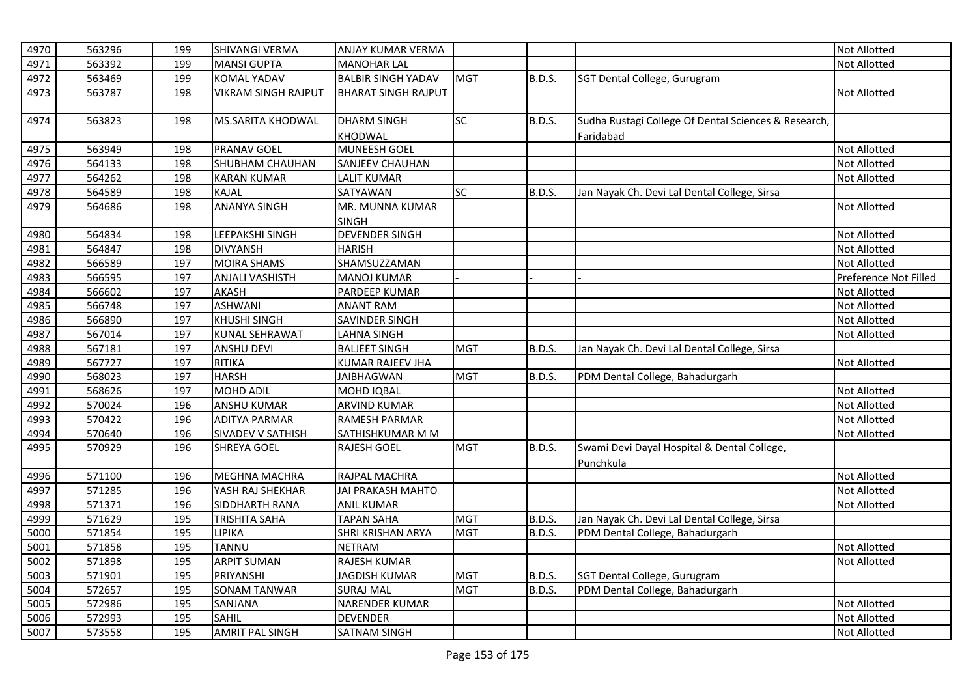| 4970 | 563296 | 199 | SHIVANGI VERMA             | <b>ANJAY KUMAR VERMA</b>   |            |               |                                                      | <b>Not Allotted</b>   |
|------|--------|-----|----------------------------|----------------------------|------------|---------------|------------------------------------------------------|-----------------------|
| 4971 | 563392 | 199 | <b>MANSI GUPTA</b>         | <b>MANOHAR LAL</b>         |            |               |                                                      | <b>Not Allotted</b>   |
| 4972 | 563469 | 199 | <b>KOMAL YADAV</b>         | <b>BALBIR SINGH YADAV</b>  | <b>MGT</b> | <b>B.D.S.</b> | SGT Dental College, Gurugram                         |                       |
| 4973 | 563787 | 198 | <b>VIKRAM SINGH RAJPUT</b> | <b>BHARAT SINGH RAJPUT</b> |            |               |                                                      | <b>Not Allotted</b>   |
| 4974 | 563823 | 198 | <b>MS.SARITA KHODWAL</b>   | <b>DHARM SINGH</b>         | SC         | B.D.S.        | Sudha Rustagi College Of Dental Sciences & Research, |                       |
|      |        |     |                            | KHODWAL                    |            |               | Faridabad                                            |                       |
| 4975 | 563949 | 198 | <b>PRANAV GOEL</b>         | <b>MUNEESH GOEL</b>        |            |               |                                                      | Not Allotted          |
| 4976 | 564133 | 198 | SHUBHAM CHAUHAN            | SANJEEV CHAUHAN            |            |               |                                                      | Not Allotted          |
| 4977 | 564262 | 198 | <b>KARAN KUMAR</b>         | <b>LALIT KUMAR</b>         |            |               |                                                      | Not Allotted          |
| 4978 | 564589 | 198 | <b>KAJAL</b>               | SATYAWAN                   | SC         | B.D.S.        | Jan Nayak Ch. Devi Lal Dental College, Sirsa         |                       |
| 4979 | 564686 | 198 | <b>ANANYA SINGH</b>        | MR. MUNNA KUMAR            |            |               |                                                      | <b>Not Allotted</b>   |
|      |        |     |                            | <b>SINGH</b>               |            |               |                                                      |                       |
| 4980 | 564834 | 198 | LEEPAKSHI SINGH            | <b>DEVENDER SINGH</b>      |            |               |                                                      | Not Allotted          |
| 4981 | 564847 | 198 | <b>DIVYANSH</b>            | <b>HARISH</b>              |            |               |                                                      | Not Allotted          |
| 4982 | 566589 | 197 | <b>MOIRA SHAMS</b>         | SHAMSUZZAMAN               |            |               |                                                      | <b>Not Allotted</b>   |
| 4983 | 566595 | 197 | <b>ANJALI VASHISTH</b>     | <b>MANOJ KUMAR</b>         |            |               |                                                      | Preference Not Filled |
| 4984 | 566602 | 197 | AKASH                      | PARDEEP KUMAR              |            |               |                                                      | Not Allotted          |
| 4985 | 566748 | 197 | <b>ASHWANI</b>             | <b>ANANT RAM</b>           |            |               |                                                      | Not Allotted          |
| 4986 | 566890 | 197 | <b>KHUSHI SINGH</b>        | SAVINDER SINGH             |            |               |                                                      | <b>Not Allotted</b>   |
| 4987 | 567014 | 197 | <b>KUNAL SEHRAWAT</b>      | <b>LAHNA SINGH</b>         |            |               |                                                      | Not Allotted          |
| 4988 | 567181 | 197 | <b>ANSHU DEVI</b>          | <b>BALJEET SINGH</b>       | <b>MGT</b> | <b>B.D.S.</b> | Jan Nayak Ch. Devi Lal Dental College, Sirsa         |                       |
| 4989 | 567727 | 197 | <b>RITIKA</b>              | <b>KUMAR RAJEEV JHA</b>    |            |               |                                                      | Not Allotted          |
| 4990 | 568023 | 197 | <b>HARSH</b>               | <b>JAIBHAGWAN</b>          | <b>MGT</b> | B.D.S.        | PDM Dental College, Bahadurgarh                      |                       |
| 4991 | 568626 | 197 | <b>MOHD ADIL</b>           | MOHD IQBAL                 |            |               |                                                      | Not Allotted          |
| 4992 | 570024 | 196 | <b>ANSHU KUMAR</b>         | <b>ARVIND KUMAR</b>        |            |               |                                                      | Not Allotted          |
| 4993 | 570422 | 196 | <b>ADITYA PARMAR</b>       | RAMESH PARMAR              |            |               |                                                      | Not Allotted          |
| 4994 | 570640 | 196 | SIVADEV V SATHISH          | SATHISHKUMAR M M           |            |               |                                                      | <b>Not Allotted</b>   |
| 4995 | 570929 | 196 | <b>SHREYA GOEL</b>         | <b>RAJESH GOEL</b>         | <b>MGT</b> | B.D.S.        | Swami Devi Dayal Hospital & Dental College,          |                       |
|      |        |     |                            |                            |            |               | Punchkula                                            |                       |
| 4996 | 571100 | 196 | MEGHNA MACHRA              | RAJPAL MACHRA              |            |               |                                                      | Not Allotted          |
| 4997 | 571285 | 196 | YASH RAJ SHEKHAR           | <b>JAI PRAKASH MAHTO</b>   |            |               |                                                      | Not Allotted          |
| 4998 | 571371 | 196 | SIDDHARTH RANA             | <b>ANIL KUMAR</b>          |            |               |                                                      | <b>Not Allotted</b>   |
| 4999 | 571629 | 195 | <b>TRISHITA SAHA</b>       | <b>TAPAN SAHA</b>          | <b>MGT</b> | <b>B.D.S.</b> | Jan Nayak Ch. Devi Lal Dental College, Sirsa         |                       |
| 5000 | 571854 | 195 | LIPIKA                     | SHRI KRISHAN ARYA          | <b>MGT</b> | <b>B.D.S.</b> | PDM Dental College, Bahadurgarh                      |                       |
| 5001 | 571858 | 195 | TANNU                      | <b>NETRAM</b>              |            |               |                                                      | Not Allotted          |
| 5002 | 571898 | 195 | <b>ARPIT SUMAN</b>         | RAJESH KUMAR               |            |               |                                                      | <b>Not Allotted</b>   |
| 5003 | 571901 | 195 | PRIYANSHI                  | <b>JAGDISH KUMAR</b>       | <b>MGT</b> | <b>B.D.S.</b> | SGT Dental College, Gurugram                         |                       |
| 5004 | 572657 | 195 | <b>SONAM TANWAR</b>        | <b>SURAJ MAL</b>           | <b>MGT</b> | <b>B.D.S.</b> | PDM Dental College, Bahadurgarh                      |                       |
| 5005 | 572986 | 195 | SANJANA                    | NARENDER KUMAR             |            |               |                                                      | Not Allotted          |
| 5006 | 572993 | 195 | <b>SAHIL</b>               | <b>DEVENDER</b>            |            |               |                                                      | <b>Not Allotted</b>   |
| 5007 | 573558 | 195 | <b>AMRIT PAL SINGH</b>     | <b>SATNAM SINGH</b>        |            |               |                                                      | <b>Not Allotted</b>   |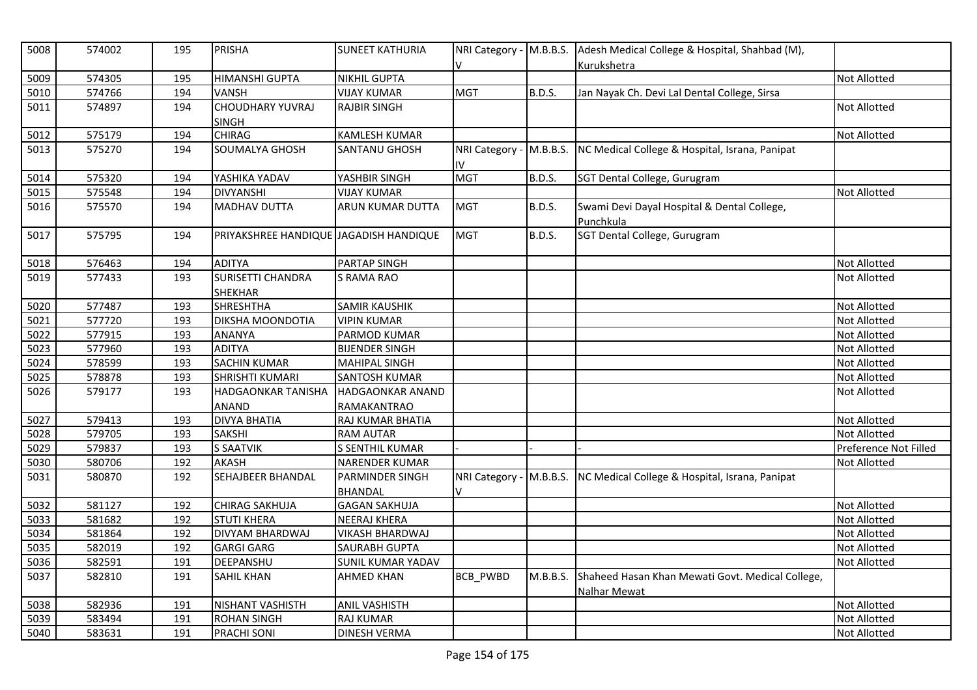| 5008 | 574002 | 195 | <b>PRISHA</b>                          | <b>SUNEET KATHURIA</b>   | V                              |               | NRI Category - M.B.B.S. Adesh Medical College & Hospital, Shahbad (M),<br>Kurukshetra |                       |
|------|--------|-----|----------------------------------------|--------------------------|--------------------------------|---------------|---------------------------------------------------------------------------------------|-----------------------|
| 5009 | 574305 | 195 | <b>HIMANSHI GUPTA</b>                  | <b>NIKHIL GUPTA</b>      |                                |               |                                                                                       | <b>Not Allotted</b>   |
| 5010 | 574766 | 194 | <b>VANSH</b>                           | <b>VIJAY KUMAR</b>       | <b>MGT</b>                     | <b>B.D.S.</b> | Jan Nayak Ch. Devi Lal Dental College, Sirsa                                          |                       |
| 5011 | 574897 | 194 | <b>CHOUDHARY YUVRAJ</b>                | <b>RAJBIR SINGH</b>      |                                |               |                                                                                       | Not Allotted          |
|      |        |     | <b>SINGH</b>                           |                          |                                |               |                                                                                       |                       |
| 5012 | 575179 | 194 | <b>CHIRAG</b>                          | <b>KAMLESH KUMAR</b>     |                                |               |                                                                                       | <b>Not Allotted</b>   |
| 5013 | 575270 | 194 | SOUMALYA GHOSH                         | <b>SANTANU GHOSH</b>     | NRI Category - M.B.B.S.<br>IV. |               | NC Medical College & Hospital, Israna, Panipat                                        |                       |
| 5014 | 575320 | 194 | YASHIKA YADAV                          | YASHBIR SINGH            | <b>MGT</b>                     | B.D.S.        | SGT Dental College, Gurugram                                                          |                       |
| 5015 | 575548 | 194 | <b>DIVYANSHI</b>                       | <b>VIJAY KUMAR</b>       |                                |               |                                                                                       | Not Allotted          |
| 5016 | 575570 | 194 | <b>MADHAV DUTTA</b>                    | <b>ARUN KUMAR DUTTA</b>  | <b>MGT</b>                     | <b>B.D.S.</b> | Swami Devi Dayal Hospital & Dental College,                                           |                       |
|      |        |     |                                        |                          |                                |               | Punchkula                                                                             |                       |
| 5017 | 575795 | 194 | PRIYAKSHREE HANDIQUE JAGADISH HANDIQUE |                          | <b>MGT</b>                     | <b>B.D.S.</b> | SGT Dental College, Gurugram                                                          |                       |
| 5018 | 576463 | 194 | <b>ADITYA</b>                          | <b>PARTAP SINGH</b>      |                                |               |                                                                                       | <b>Not Allotted</b>   |
| 5019 | 577433 | 193 | <b>SURISETTI CHANDRA</b>               | <b>S RAMA RAO</b>        |                                |               |                                                                                       | <b>Not Allotted</b>   |
|      |        |     | <b>SHEKHAR</b>                         |                          |                                |               |                                                                                       |                       |
| 5020 | 577487 | 193 | <b>SHRESHTHA</b>                       | <b>SAMIR KAUSHIK</b>     |                                |               |                                                                                       | Not Allotted          |
| 5021 | 577720 | 193 | <b>DIKSHA MOONDOTIA</b>                | <b>VIPIN KUMAR</b>       |                                |               |                                                                                       | Not Allotted          |
| 5022 | 577915 | 193 | ANANYA                                 | PARMOD KUMAR             |                                |               |                                                                                       | <b>Not Allotted</b>   |
| 5023 | 577960 | 193 | <b>ADITYA</b>                          | <b>BIJENDER SINGH</b>    |                                |               |                                                                                       | Not Allotted          |
| 5024 | 578599 | 193 | <b>SACHIN KUMAR</b>                    | <b>MAHIPAL SINGH</b>     |                                |               |                                                                                       | Not Allotted          |
| 5025 | 578878 | 193 | <b>SHRISHTI KUMARI</b>                 | <b>SANTOSH KUMAR</b>     |                                |               |                                                                                       | Not Allotted          |
| 5026 | 579177 | 193 | <b>HADGAONKAR TANISHA</b>              | <b>HADGAONKAR ANAND</b>  |                                |               |                                                                                       | <b>Not Allotted</b>   |
|      |        |     | ANAND                                  | RAMAKANTRAO              |                                |               |                                                                                       |                       |
| 5027 | 579413 | 193 | <b>DIVYA BHATIA</b>                    | RAJ KUMAR BHATIA         |                                |               |                                                                                       | Not Allotted          |
| 5028 | 579705 | 193 | <b>SAKSHI</b>                          | <b>RAM AUTAR</b>         |                                |               |                                                                                       | <b>Not Allotted</b>   |
| 5029 | 579837 | 193 | <b>S SAATVIK</b>                       | S SENTHIL KUMAR          |                                |               |                                                                                       | Preference Not Filled |
| 5030 | 580706 | 192 | <b>AKASH</b>                           | <b>NARENDER KUMAR</b>    |                                |               |                                                                                       | Not Allotted          |
| 5031 | 580870 | 192 | SEHAJBEER BHANDAL                      | PARMINDER SINGH          |                                |               | NRI Category - M.B.B.S. NC Medical College & Hospital, Israna, Panipat                |                       |
|      |        |     |                                        | <b>BHANDAL</b>           | v                              |               |                                                                                       |                       |
| 5032 | 581127 | 192 | <b>CHIRAG SAKHUJA</b>                  | <b>GAGAN SAKHUJA</b>     |                                |               |                                                                                       | Not Allotted          |
| 5033 | 581682 | 192 | <b>STUTI KHERA</b>                     | <b>NEERAJ KHERA</b>      |                                |               |                                                                                       | Not Allotted          |
| 5034 | 581864 | 192 | <b>DIVYAM BHARDWAJ</b>                 | VIKASH BHARDWAJ          |                                |               |                                                                                       | Not Allotted          |
| 5035 | 582019 | 192 | <b>GARGI GARG</b>                      | <b>SAURABH GUPTA</b>     |                                |               |                                                                                       | <b>Not Allotted</b>   |
| 5036 | 582591 | 191 | DEEPANSHU                              | <b>SUNIL KUMAR YADAV</b> |                                |               |                                                                                       | <b>Not Allotted</b>   |
| 5037 | 582810 | 191 | <b>SAHIL KHAN</b>                      | AHMED KHAN               | BCB_PWBD                       | M.B.B.S.      | Shaheed Hasan Khan Mewati Govt. Medical College,<br>Nalhar Mewat                      |                       |
| 5038 | 582936 | 191 | NISHANT VASHISTH                       | <b>ANIL VASHISTH</b>     |                                |               |                                                                                       | Not Allotted          |
| 5039 | 583494 | 191 | <b>ROHAN SINGH</b>                     | <b>RAJ KUMAR</b>         |                                |               |                                                                                       | Not Allotted          |
| 5040 | 583631 | 191 | <b>PRACHI SONI</b>                     | <b>DINESH VERMA</b>      |                                |               |                                                                                       | <b>Not Allotted</b>   |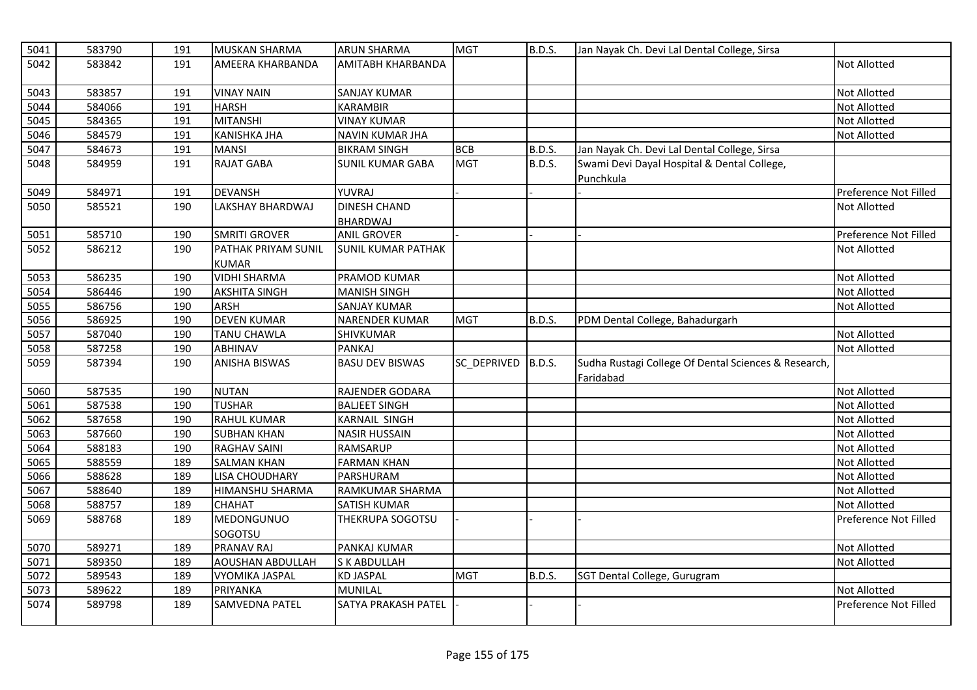| 5041 | 583790 | 191 | <b>MUSKAN SHARMA</b>                | <b>ARUN SHARMA</b>              | <b>MGT</b>  | B.D.S.        | Jan Nayak Ch. Devi Lal Dental College, Sirsa                      |                       |
|------|--------|-----|-------------------------------------|---------------------------------|-------------|---------------|-------------------------------------------------------------------|-----------------------|
| 5042 | 583842 | 191 | AMEERA KHARBANDA                    | AMITABH KHARBANDA               |             |               |                                                                   | Not Allotted          |
| 5043 | 583857 | 191 | <b>VINAY NAIN</b>                   | SANJAY KUMAR                    |             |               |                                                                   | <b>Not Allotted</b>   |
| 5044 | 584066 | 191 | <b>HARSH</b>                        | <b>KARAMBIR</b>                 |             |               |                                                                   | <b>Not Allotted</b>   |
| 5045 | 584365 | 191 | <b>MITANSHI</b>                     | <b>VINAY KUMAR</b>              |             |               |                                                                   | <b>Not Allotted</b>   |
| 5046 | 584579 | 191 | <b>KANISHKA JHA</b>                 | NAVIN KUMAR JHA                 |             |               |                                                                   | Not Allotted          |
| 5047 | 584673 | 191 | <b>MANSI</b>                        | <b>BIKRAM SINGH</b>             | <b>BCB</b>  | <b>B.D.S.</b> | Jan Nayak Ch. Devi Lal Dental College, Sirsa                      |                       |
| 5048 | 584959 | 191 | <b>RAJAT GABA</b>                   | SUNIL KUMAR GABA                | <b>MGT</b>  | <b>B.D.S.</b> | Swami Devi Dayal Hospital & Dental College,<br>Punchkula          |                       |
| 5049 | 584971 | 191 | <b>DEVANSH</b>                      | YUVRAJ                          |             |               |                                                                   | Preference Not Filled |
| 5050 | 585521 | 190 | LAKSHAY BHARDWAJ                    | <b>DINESH CHAND</b><br>BHARDWAJ |             |               |                                                                   | <b>Not Allotted</b>   |
| 5051 | 585710 | 190 | <b>SMRITI GROVER</b>                | <b>ANIL GROVER</b>              |             |               |                                                                   | Preference Not Filled |
| 5052 | 586212 | 190 | PATHAK PRIYAM SUNIL<br><b>KUMAR</b> | <b>SUNIL KUMAR PATHAK</b>       |             |               |                                                                   | <b>Not Allotted</b>   |
| 5053 | 586235 | 190 | <b>VIDHI SHARMA</b>                 | PRAMOD KUMAR                    |             |               |                                                                   | <b>Not Allotted</b>   |
| 5054 | 586446 | 190 | <b>AKSHITA SINGH</b>                | <b>MANISH SINGH</b>             |             |               |                                                                   | Not Allotted          |
| 5055 | 586756 | 190 | ARSH                                | <b>SANJAY KUMAR</b>             |             |               |                                                                   | <b>Not Allotted</b>   |
| 5056 | 586925 | 190 | <b>DEVEN KUMAR</b>                  | <b>NARENDER KUMAR</b>           | <b>MGT</b>  | <b>B.D.S.</b> | PDM Dental College, Bahadurgarh                                   |                       |
| 5057 | 587040 | 190 | <b>TANU CHAWLA</b>                  | SHIVKUMAR                       |             |               |                                                                   | Not Allotted          |
| 5058 | 587258 | 190 | <b>ABHINAV</b>                      | <b>PANKAJ</b>                   |             |               |                                                                   | <b>Not Allotted</b>   |
| 5059 | 587394 | 190 | <b>ANISHA BISWAS</b>                | <b>BASU DEV BISWAS</b>          | SC_DEPRIVED | B.D.S.        | Sudha Rustagi College Of Dental Sciences & Research,<br>Faridabad |                       |
| 5060 | 587535 | 190 | <b>NUTAN</b>                        | RAJENDER GODARA                 |             |               |                                                                   | <b>Not Allotted</b>   |
| 5061 | 587538 | 190 | <b>TUSHAR</b>                       | <b>BALJEET SINGH</b>            |             |               |                                                                   | <b>Not Allotted</b>   |
| 5062 | 587658 | 190 | <b>RAHUL KUMAR</b>                  | KARNAIL SINGH                   |             |               |                                                                   | <b>Not Allotted</b>   |
| 5063 | 587660 | 190 | <b>SUBHAN KHAN</b>                  | <b>NASIR HUSSAIN</b>            |             |               |                                                                   | <b>Not Allotted</b>   |
| 5064 | 588183 | 190 | <b>RAGHAV SAINI</b>                 | RAMSARUP                        |             |               |                                                                   | <b>Not Allotted</b>   |
| 5065 | 588559 | 189 | <b>SALMAN KHAN</b>                  | <b>FARMAN KHAN</b>              |             |               |                                                                   | Not Allotted          |
| 5066 | 588628 | 189 | <b>LISA CHOUDHARY</b>               | PARSHURAM                       |             |               |                                                                   | <b>Not Allotted</b>   |
| 5067 | 588640 | 189 | HIMANSHU SHARMA                     | RAMKUMAR SHARMA                 |             |               |                                                                   | <b>Not Allotted</b>   |
| 5068 | 588757 | 189 | <b>CHAHAT</b>                       | <b>SATISH KUMAR</b>             |             |               |                                                                   | <b>Not Allotted</b>   |
| 5069 | 588768 | 189 | MEDONGUNUO<br>SOGOTSU               | THEKRUPA SOGOTSU                |             |               |                                                                   | Preference Not Filled |
| 5070 | 589271 | 189 | <b>PRANAV RAJ</b>                   | PANKAJ KUMAR                    |             |               |                                                                   | <b>Not Allotted</b>   |
| 5071 | 589350 | 189 | <b>AOUSHAN ABDULLAH</b>             | S K ABDULLAH                    |             |               |                                                                   | <b>Not Allotted</b>   |
| 5072 | 589543 | 189 | <b>VYOMIKA JASPAL</b>               | <b>KD JASPAL</b>                | <b>MGT</b>  | <b>B.D.S.</b> | SGT Dental College, Gurugram                                      |                       |
| 5073 | 589622 | 189 | PRIYANKA                            | <b>MUNILAL</b>                  |             |               |                                                                   | <b>Not Allotted</b>   |
| 5074 | 589798 | 189 | <b>SAMVEDNA PATEL</b>               | SATYA PRAKASH PATEL             |             |               |                                                                   | Preference Not Filled |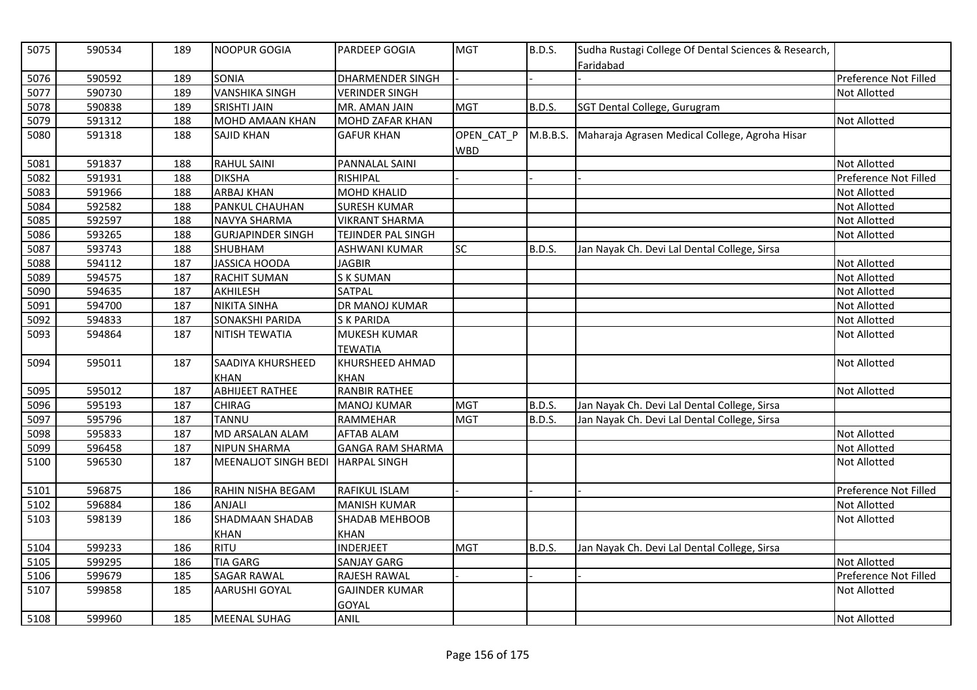| 5076<br>590592<br><b>SONIA</b><br><b>DHARMENDER SINGH</b><br>189<br>Preference Not Filled<br>5077<br><b>VANSHIKA SINGH</b><br>590730<br>189<br><b>VERINDER SINGH</b><br>Not Allotted<br>5078<br>590838<br>189<br><b>SRISHTI JAIN</b><br>MR. AMAN JAIN<br><b>MGT</b><br>B.D.S.<br>SGT Dental College, Gurugram<br>5079<br>591312<br><b>MOHD AMAAN KHAN</b><br><b>MOHD ZAFAR KHAN</b><br>Not Allotted<br>188<br>5080<br>591318<br>188<br>OPEN_CAT_P<br>M.B.B.S. Maharaja Agrasen Medical College, Agroha Hisar<br><b>SAJID KHAN</b><br><b>GAFUR KHAN</b><br><b>WBD</b><br>5081<br>591837<br><b>RAHUL SAINI</b><br>PANNALAL SAINI<br>188<br><b>Not Allotted</b><br>5082<br><b>DIKSHA</b><br>Preference Not Filled<br>591931<br>RISHIPAL<br>188<br>5083<br>591966<br><b>ARBAJ KHAN</b><br><b>MOHD KHALID</b><br>188<br>Not Allotted<br>5084<br>592582<br>188<br>PANKUL CHAUHAN<br><b>SURESH KUMAR</b><br>Not Allotted<br>Not Allotted<br>5085<br>592597<br>188<br><b>NAVYA SHARMA</b><br><b>VIKRANT SHARMA</b><br>5086<br>593265<br>188<br><b>GURJAPINDER SINGH</b><br>TEJINDER PAL SINGH<br><b>Not Allotted</b><br>5087<br>593743<br>SHUBHAM<br><b>SC</b><br>188<br>ASHWANI KUMAR<br>B.D.S.<br>Jan Nayak Ch. Devi Lal Dental College, Sirsa<br>5088<br>594112<br><b>JASSICA HOODA</b><br>Not Allotted<br>187<br><b>JAGBIR</b><br>5089<br>594575<br><b>RACHIT SUMAN</b><br><b>SK SUMAN</b><br>Not Allotted<br>187<br>5090<br>594635<br>187<br>AKHILESH<br><b>SATPAL</b><br><b>Not Allotted</b><br>5091<br>DR MANOJ KUMAR<br>594700<br>187<br><b>NIKITA SINHA</b><br><b>Not Allotted</b><br>5092<br>594833<br>187<br><b>SONAKSHI PARIDA</b><br>Not Allotted<br><b>SK PARIDA</b><br>5093<br><b>MUKESH KUMAR</b><br>594864<br>187<br>NITISH TEWATIA<br><b>Not Allotted</b><br><b>TEWATIA</b><br>5094<br>KHURSHEED AHMAD<br>Not Allotted<br>595011<br>187<br>SAADIYA KHURSHEED<br><b>KHAN</b><br><b>KHAN</b><br><b>RANBIR RATHEE</b><br>5095<br>187<br><b>ABHIJEET RATHEE</b><br>595012<br>Not Allotted<br>5096<br>595193<br>187<br><b>CHIRAG</b><br><b>MGT</b><br>B.D.S.<br>Jan Nayak Ch. Devi Lal Dental College, Sirsa<br><b>MANOJ KUMAR</b><br>5097<br>595796<br><b>TANNU</b><br>RAMMEHAR<br><b>MGT</b><br><b>B.D.S.</b><br>187<br>Jan Nayak Ch. Devi Lal Dental College, Sirsa<br>5098<br>595833<br>MD ARSALAN ALAM<br>187<br><b>AFTAB ALAM</b><br>Not Allotted<br>5099<br>596458<br>187<br><b>NIPUN SHARMA</b><br>Not Allotted<br><b>GANGA RAM SHARMA</b><br>5100<br>596530<br>187<br><b>MEENALIOT SINGH BEDI</b><br><b>HARPAL SINGH</b><br><b>Not Allotted</b><br>5101<br>596875<br>RAHIN NISHA BEGAM<br>RAFIKUL ISLAM<br>Preference Not Filled<br>186<br>5102<br>596884<br>186<br><b>ANJALI</b><br><b>MANISH KUMAR</b><br>Not Allotted<br><b>SHADMAAN SHADAB</b><br>5103<br>598139<br><b>Not Allotted</b><br>186<br><b>SHADAB MEHBOOB</b><br><b>KHAN</b><br><b>KHAN</b><br><b>RITU</b><br>5104<br>599233<br>186<br><b>INDERJEET</b><br><b>MGT</b><br>B.D.S.<br>Jan Nayak Ch. Devi Lal Dental College, Sirsa<br><b>Not Allotted</b><br>5105<br>599295<br><b>TIA GARG</b><br><b>SANJAY GARG</b><br>186<br>5106<br>599679<br><b>SAGAR RAWAL</b><br>RAJESH RAWAL<br>Preference Not Filled<br>185<br>5107<br>599858<br>185<br><b>AARUSHI GOYAL</b><br><b>GAJINDER KUMAR</b><br><b>Not Allotted</b><br>GOYAL | 5075 | 590534 | 189 | <b>NOOPUR GOGIA</b> | <b>PARDEEP GOGIA</b> | <b>MGT</b> | <b>B.D.S.</b> | Sudha Rustagi College Of Dental Sciences & Research,<br>Faridabad |              |
|--------------------------------------------------------------------------------------------------------------------------------------------------------------------------------------------------------------------------------------------------------------------------------------------------------------------------------------------------------------------------------------------------------------------------------------------------------------------------------------------------------------------------------------------------------------------------------------------------------------------------------------------------------------------------------------------------------------------------------------------------------------------------------------------------------------------------------------------------------------------------------------------------------------------------------------------------------------------------------------------------------------------------------------------------------------------------------------------------------------------------------------------------------------------------------------------------------------------------------------------------------------------------------------------------------------------------------------------------------------------------------------------------------------------------------------------------------------------------------------------------------------------------------------------------------------------------------------------------------------------------------------------------------------------------------------------------------------------------------------------------------------------------------------------------------------------------------------------------------------------------------------------------------------------------------------------------------------------------------------------------------------------------------------------------------------------------------------------------------------------------------------------------------------------------------------------------------------------------------------------------------------------------------------------------------------------------------------------------------------------------------------------------------------------------------------------------------------------------------------------------------------------------------------------------------------------------------------------------------------------------------------------------------------------------------------------------------------------------------------------------------------------------------------------------------------------------------------------------------------------------------------------------------------------------------------------------------------------------------------------------------------------------------------------------------------------------------------------------------------------------------------------------------------------------------------------------------------------------------------------------------------------------------------------------------|------|--------|-----|---------------------|----------------------|------------|---------------|-------------------------------------------------------------------|--------------|
|                                                                                                                                                                                                                                                                                                                                                                                                                                                                                                                                                                                                                                                                                                                                                                                                                                                                                                                                                                                                                                                                                                                                                                                                                                                                                                                                                                                                                                                                                                                                                                                                                                                                                                                                                                                                                                                                                                                                                                                                                                                                                                                                                                                                                                                                                                                                                                                                                                                                                                                                                                                                                                                                                                                                                                                                                                                                                                                                                                                                                                                                                                                                                                                                                                                                                                        |      |        |     |                     |                      |            |               |                                                                   |              |
|                                                                                                                                                                                                                                                                                                                                                                                                                                                                                                                                                                                                                                                                                                                                                                                                                                                                                                                                                                                                                                                                                                                                                                                                                                                                                                                                                                                                                                                                                                                                                                                                                                                                                                                                                                                                                                                                                                                                                                                                                                                                                                                                                                                                                                                                                                                                                                                                                                                                                                                                                                                                                                                                                                                                                                                                                                                                                                                                                                                                                                                                                                                                                                                                                                                                                                        |      |        |     |                     |                      |            |               |                                                                   |              |
|                                                                                                                                                                                                                                                                                                                                                                                                                                                                                                                                                                                                                                                                                                                                                                                                                                                                                                                                                                                                                                                                                                                                                                                                                                                                                                                                                                                                                                                                                                                                                                                                                                                                                                                                                                                                                                                                                                                                                                                                                                                                                                                                                                                                                                                                                                                                                                                                                                                                                                                                                                                                                                                                                                                                                                                                                                                                                                                                                                                                                                                                                                                                                                                                                                                                                                        |      |        |     |                     |                      |            |               |                                                                   |              |
|                                                                                                                                                                                                                                                                                                                                                                                                                                                                                                                                                                                                                                                                                                                                                                                                                                                                                                                                                                                                                                                                                                                                                                                                                                                                                                                                                                                                                                                                                                                                                                                                                                                                                                                                                                                                                                                                                                                                                                                                                                                                                                                                                                                                                                                                                                                                                                                                                                                                                                                                                                                                                                                                                                                                                                                                                                                                                                                                                                                                                                                                                                                                                                                                                                                                                                        |      |        |     |                     |                      |            |               |                                                                   |              |
|                                                                                                                                                                                                                                                                                                                                                                                                                                                                                                                                                                                                                                                                                                                                                                                                                                                                                                                                                                                                                                                                                                                                                                                                                                                                                                                                                                                                                                                                                                                                                                                                                                                                                                                                                                                                                                                                                                                                                                                                                                                                                                                                                                                                                                                                                                                                                                                                                                                                                                                                                                                                                                                                                                                                                                                                                                                                                                                                                                                                                                                                                                                                                                                                                                                                                                        |      |        |     |                     |                      |            |               |                                                                   |              |
|                                                                                                                                                                                                                                                                                                                                                                                                                                                                                                                                                                                                                                                                                                                                                                                                                                                                                                                                                                                                                                                                                                                                                                                                                                                                                                                                                                                                                                                                                                                                                                                                                                                                                                                                                                                                                                                                                                                                                                                                                                                                                                                                                                                                                                                                                                                                                                                                                                                                                                                                                                                                                                                                                                                                                                                                                                                                                                                                                                                                                                                                                                                                                                                                                                                                                                        |      |        |     |                     |                      |            |               |                                                                   |              |
|                                                                                                                                                                                                                                                                                                                                                                                                                                                                                                                                                                                                                                                                                                                                                                                                                                                                                                                                                                                                                                                                                                                                                                                                                                                                                                                                                                                                                                                                                                                                                                                                                                                                                                                                                                                                                                                                                                                                                                                                                                                                                                                                                                                                                                                                                                                                                                                                                                                                                                                                                                                                                                                                                                                                                                                                                                                                                                                                                                                                                                                                                                                                                                                                                                                                                                        |      |        |     |                     |                      |            |               |                                                                   |              |
|                                                                                                                                                                                                                                                                                                                                                                                                                                                                                                                                                                                                                                                                                                                                                                                                                                                                                                                                                                                                                                                                                                                                                                                                                                                                                                                                                                                                                                                                                                                                                                                                                                                                                                                                                                                                                                                                                                                                                                                                                                                                                                                                                                                                                                                                                                                                                                                                                                                                                                                                                                                                                                                                                                                                                                                                                                                                                                                                                                                                                                                                                                                                                                                                                                                                                                        |      |        |     |                     |                      |            |               |                                                                   |              |
|                                                                                                                                                                                                                                                                                                                                                                                                                                                                                                                                                                                                                                                                                                                                                                                                                                                                                                                                                                                                                                                                                                                                                                                                                                                                                                                                                                                                                                                                                                                                                                                                                                                                                                                                                                                                                                                                                                                                                                                                                                                                                                                                                                                                                                                                                                                                                                                                                                                                                                                                                                                                                                                                                                                                                                                                                                                                                                                                                                                                                                                                                                                                                                                                                                                                                                        |      |        |     |                     |                      |            |               |                                                                   |              |
|                                                                                                                                                                                                                                                                                                                                                                                                                                                                                                                                                                                                                                                                                                                                                                                                                                                                                                                                                                                                                                                                                                                                                                                                                                                                                                                                                                                                                                                                                                                                                                                                                                                                                                                                                                                                                                                                                                                                                                                                                                                                                                                                                                                                                                                                                                                                                                                                                                                                                                                                                                                                                                                                                                                                                                                                                                                                                                                                                                                                                                                                                                                                                                                                                                                                                                        |      |        |     |                     |                      |            |               |                                                                   |              |
|                                                                                                                                                                                                                                                                                                                                                                                                                                                                                                                                                                                                                                                                                                                                                                                                                                                                                                                                                                                                                                                                                                                                                                                                                                                                                                                                                                                                                                                                                                                                                                                                                                                                                                                                                                                                                                                                                                                                                                                                                                                                                                                                                                                                                                                                                                                                                                                                                                                                                                                                                                                                                                                                                                                                                                                                                                                                                                                                                                                                                                                                                                                                                                                                                                                                                                        |      |        |     |                     |                      |            |               |                                                                   |              |
|                                                                                                                                                                                                                                                                                                                                                                                                                                                                                                                                                                                                                                                                                                                                                                                                                                                                                                                                                                                                                                                                                                                                                                                                                                                                                                                                                                                                                                                                                                                                                                                                                                                                                                                                                                                                                                                                                                                                                                                                                                                                                                                                                                                                                                                                                                                                                                                                                                                                                                                                                                                                                                                                                                                                                                                                                                                                                                                                                                                                                                                                                                                                                                                                                                                                                                        |      |        |     |                     |                      |            |               |                                                                   |              |
|                                                                                                                                                                                                                                                                                                                                                                                                                                                                                                                                                                                                                                                                                                                                                                                                                                                                                                                                                                                                                                                                                                                                                                                                                                                                                                                                                                                                                                                                                                                                                                                                                                                                                                                                                                                                                                                                                                                                                                                                                                                                                                                                                                                                                                                                                                                                                                                                                                                                                                                                                                                                                                                                                                                                                                                                                                                                                                                                                                                                                                                                                                                                                                                                                                                                                                        |      |        |     |                     |                      |            |               |                                                                   |              |
|                                                                                                                                                                                                                                                                                                                                                                                                                                                                                                                                                                                                                                                                                                                                                                                                                                                                                                                                                                                                                                                                                                                                                                                                                                                                                                                                                                                                                                                                                                                                                                                                                                                                                                                                                                                                                                                                                                                                                                                                                                                                                                                                                                                                                                                                                                                                                                                                                                                                                                                                                                                                                                                                                                                                                                                                                                                                                                                                                                                                                                                                                                                                                                                                                                                                                                        |      |        |     |                     |                      |            |               |                                                                   |              |
|                                                                                                                                                                                                                                                                                                                                                                                                                                                                                                                                                                                                                                                                                                                                                                                                                                                                                                                                                                                                                                                                                                                                                                                                                                                                                                                                                                                                                                                                                                                                                                                                                                                                                                                                                                                                                                                                                                                                                                                                                                                                                                                                                                                                                                                                                                                                                                                                                                                                                                                                                                                                                                                                                                                                                                                                                                                                                                                                                                                                                                                                                                                                                                                                                                                                                                        |      |        |     |                     |                      |            |               |                                                                   |              |
|                                                                                                                                                                                                                                                                                                                                                                                                                                                                                                                                                                                                                                                                                                                                                                                                                                                                                                                                                                                                                                                                                                                                                                                                                                                                                                                                                                                                                                                                                                                                                                                                                                                                                                                                                                                                                                                                                                                                                                                                                                                                                                                                                                                                                                                                                                                                                                                                                                                                                                                                                                                                                                                                                                                                                                                                                                                                                                                                                                                                                                                                                                                                                                                                                                                                                                        |      |        |     |                     |                      |            |               |                                                                   |              |
|                                                                                                                                                                                                                                                                                                                                                                                                                                                                                                                                                                                                                                                                                                                                                                                                                                                                                                                                                                                                                                                                                                                                                                                                                                                                                                                                                                                                                                                                                                                                                                                                                                                                                                                                                                                                                                                                                                                                                                                                                                                                                                                                                                                                                                                                                                                                                                                                                                                                                                                                                                                                                                                                                                                                                                                                                                                                                                                                                                                                                                                                                                                                                                                                                                                                                                        |      |        |     |                     |                      |            |               |                                                                   |              |
|                                                                                                                                                                                                                                                                                                                                                                                                                                                                                                                                                                                                                                                                                                                                                                                                                                                                                                                                                                                                                                                                                                                                                                                                                                                                                                                                                                                                                                                                                                                                                                                                                                                                                                                                                                                                                                                                                                                                                                                                                                                                                                                                                                                                                                                                                                                                                                                                                                                                                                                                                                                                                                                                                                                                                                                                                                                                                                                                                                                                                                                                                                                                                                                                                                                                                                        |      |        |     |                     |                      |            |               |                                                                   |              |
|                                                                                                                                                                                                                                                                                                                                                                                                                                                                                                                                                                                                                                                                                                                                                                                                                                                                                                                                                                                                                                                                                                                                                                                                                                                                                                                                                                                                                                                                                                                                                                                                                                                                                                                                                                                                                                                                                                                                                                                                                                                                                                                                                                                                                                                                                                                                                                                                                                                                                                                                                                                                                                                                                                                                                                                                                                                                                                                                                                                                                                                                                                                                                                                                                                                                                                        |      |        |     |                     |                      |            |               |                                                                   |              |
|                                                                                                                                                                                                                                                                                                                                                                                                                                                                                                                                                                                                                                                                                                                                                                                                                                                                                                                                                                                                                                                                                                                                                                                                                                                                                                                                                                                                                                                                                                                                                                                                                                                                                                                                                                                                                                                                                                                                                                                                                                                                                                                                                                                                                                                                                                                                                                                                                                                                                                                                                                                                                                                                                                                                                                                                                                                                                                                                                                                                                                                                                                                                                                                                                                                                                                        |      |        |     |                     |                      |            |               |                                                                   |              |
|                                                                                                                                                                                                                                                                                                                                                                                                                                                                                                                                                                                                                                                                                                                                                                                                                                                                                                                                                                                                                                                                                                                                                                                                                                                                                                                                                                                                                                                                                                                                                                                                                                                                                                                                                                                                                                                                                                                                                                                                                                                                                                                                                                                                                                                                                                                                                                                                                                                                                                                                                                                                                                                                                                                                                                                                                                                                                                                                                                                                                                                                                                                                                                                                                                                                                                        |      |        |     |                     |                      |            |               |                                                                   |              |
|                                                                                                                                                                                                                                                                                                                                                                                                                                                                                                                                                                                                                                                                                                                                                                                                                                                                                                                                                                                                                                                                                                                                                                                                                                                                                                                                                                                                                                                                                                                                                                                                                                                                                                                                                                                                                                                                                                                                                                                                                                                                                                                                                                                                                                                                                                                                                                                                                                                                                                                                                                                                                                                                                                                                                                                                                                                                                                                                                                                                                                                                                                                                                                                                                                                                                                        |      |        |     |                     |                      |            |               |                                                                   |              |
|                                                                                                                                                                                                                                                                                                                                                                                                                                                                                                                                                                                                                                                                                                                                                                                                                                                                                                                                                                                                                                                                                                                                                                                                                                                                                                                                                                                                                                                                                                                                                                                                                                                                                                                                                                                                                                                                                                                                                                                                                                                                                                                                                                                                                                                                                                                                                                                                                                                                                                                                                                                                                                                                                                                                                                                                                                                                                                                                                                                                                                                                                                                                                                                                                                                                                                        |      |        |     |                     |                      |            |               |                                                                   |              |
|                                                                                                                                                                                                                                                                                                                                                                                                                                                                                                                                                                                                                                                                                                                                                                                                                                                                                                                                                                                                                                                                                                                                                                                                                                                                                                                                                                                                                                                                                                                                                                                                                                                                                                                                                                                                                                                                                                                                                                                                                                                                                                                                                                                                                                                                                                                                                                                                                                                                                                                                                                                                                                                                                                                                                                                                                                                                                                                                                                                                                                                                                                                                                                                                                                                                                                        |      |        |     |                     |                      |            |               |                                                                   |              |
|                                                                                                                                                                                                                                                                                                                                                                                                                                                                                                                                                                                                                                                                                                                                                                                                                                                                                                                                                                                                                                                                                                                                                                                                                                                                                                                                                                                                                                                                                                                                                                                                                                                                                                                                                                                                                                                                                                                                                                                                                                                                                                                                                                                                                                                                                                                                                                                                                                                                                                                                                                                                                                                                                                                                                                                                                                                                                                                                                                                                                                                                                                                                                                                                                                                                                                        |      |        |     |                     |                      |            |               |                                                                   |              |
|                                                                                                                                                                                                                                                                                                                                                                                                                                                                                                                                                                                                                                                                                                                                                                                                                                                                                                                                                                                                                                                                                                                                                                                                                                                                                                                                                                                                                                                                                                                                                                                                                                                                                                                                                                                                                                                                                                                                                                                                                                                                                                                                                                                                                                                                                                                                                                                                                                                                                                                                                                                                                                                                                                                                                                                                                                                                                                                                                                                                                                                                                                                                                                                                                                                                                                        |      |        |     |                     |                      |            |               |                                                                   |              |
|                                                                                                                                                                                                                                                                                                                                                                                                                                                                                                                                                                                                                                                                                                                                                                                                                                                                                                                                                                                                                                                                                                                                                                                                                                                                                                                                                                                                                                                                                                                                                                                                                                                                                                                                                                                                                                                                                                                                                                                                                                                                                                                                                                                                                                                                                                                                                                                                                                                                                                                                                                                                                                                                                                                                                                                                                                                                                                                                                                                                                                                                                                                                                                                                                                                                                                        |      |        |     |                     |                      |            |               |                                                                   |              |
|                                                                                                                                                                                                                                                                                                                                                                                                                                                                                                                                                                                                                                                                                                                                                                                                                                                                                                                                                                                                                                                                                                                                                                                                                                                                                                                                                                                                                                                                                                                                                                                                                                                                                                                                                                                                                                                                                                                                                                                                                                                                                                                                                                                                                                                                                                                                                                                                                                                                                                                                                                                                                                                                                                                                                                                                                                                                                                                                                                                                                                                                                                                                                                                                                                                                                                        |      |        |     |                     |                      |            |               |                                                                   |              |
|                                                                                                                                                                                                                                                                                                                                                                                                                                                                                                                                                                                                                                                                                                                                                                                                                                                                                                                                                                                                                                                                                                                                                                                                                                                                                                                                                                                                                                                                                                                                                                                                                                                                                                                                                                                                                                                                                                                                                                                                                                                                                                                                                                                                                                                                                                                                                                                                                                                                                                                                                                                                                                                                                                                                                                                                                                                                                                                                                                                                                                                                                                                                                                                                                                                                                                        |      |        |     |                     |                      |            |               |                                                                   |              |
|                                                                                                                                                                                                                                                                                                                                                                                                                                                                                                                                                                                                                                                                                                                                                                                                                                                                                                                                                                                                                                                                                                                                                                                                                                                                                                                                                                                                                                                                                                                                                                                                                                                                                                                                                                                                                                                                                                                                                                                                                                                                                                                                                                                                                                                                                                                                                                                                                                                                                                                                                                                                                                                                                                                                                                                                                                                                                                                                                                                                                                                                                                                                                                                                                                                                                                        |      |        |     |                     |                      |            |               |                                                                   |              |
|                                                                                                                                                                                                                                                                                                                                                                                                                                                                                                                                                                                                                                                                                                                                                                                                                                                                                                                                                                                                                                                                                                                                                                                                                                                                                                                                                                                                                                                                                                                                                                                                                                                                                                                                                                                                                                                                                                                                                                                                                                                                                                                                                                                                                                                                                                                                                                                                                                                                                                                                                                                                                                                                                                                                                                                                                                                                                                                                                                                                                                                                                                                                                                                                                                                                                                        |      |        |     |                     |                      |            |               |                                                                   |              |
|                                                                                                                                                                                                                                                                                                                                                                                                                                                                                                                                                                                                                                                                                                                                                                                                                                                                                                                                                                                                                                                                                                                                                                                                                                                                                                                                                                                                                                                                                                                                                                                                                                                                                                                                                                                                                                                                                                                                                                                                                                                                                                                                                                                                                                                                                                                                                                                                                                                                                                                                                                                                                                                                                                                                                                                                                                                                                                                                                                                                                                                                                                                                                                                                                                                                                                        |      |        |     |                     |                      |            |               |                                                                   |              |
|                                                                                                                                                                                                                                                                                                                                                                                                                                                                                                                                                                                                                                                                                                                                                                                                                                                                                                                                                                                                                                                                                                                                                                                                                                                                                                                                                                                                                                                                                                                                                                                                                                                                                                                                                                                                                                                                                                                                                                                                                                                                                                                                                                                                                                                                                                                                                                                                                                                                                                                                                                                                                                                                                                                                                                                                                                                                                                                                                                                                                                                                                                                                                                                                                                                                                                        |      |        |     |                     |                      |            |               |                                                                   |              |
|                                                                                                                                                                                                                                                                                                                                                                                                                                                                                                                                                                                                                                                                                                                                                                                                                                                                                                                                                                                                                                                                                                                                                                                                                                                                                                                                                                                                                                                                                                                                                                                                                                                                                                                                                                                                                                                                                                                                                                                                                                                                                                                                                                                                                                                                                                                                                                                                                                                                                                                                                                                                                                                                                                                                                                                                                                                                                                                                                                                                                                                                                                                                                                                                                                                                                                        |      |        |     |                     |                      |            |               |                                                                   |              |
|                                                                                                                                                                                                                                                                                                                                                                                                                                                                                                                                                                                                                                                                                                                                                                                                                                                                                                                                                                                                                                                                                                                                                                                                                                                                                                                                                                                                                                                                                                                                                                                                                                                                                                                                                                                                                                                                                                                                                                                                                                                                                                                                                                                                                                                                                                                                                                                                                                                                                                                                                                                                                                                                                                                                                                                                                                                                                                                                                                                                                                                                                                                                                                                                                                                                                                        |      |        |     |                     |                      |            |               |                                                                   |              |
|                                                                                                                                                                                                                                                                                                                                                                                                                                                                                                                                                                                                                                                                                                                                                                                                                                                                                                                                                                                                                                                                                                                                                                                                                                                                                                                                                                                                                                                                                                                                                                                                                                                                                                                                                                                                                                                                                                                                                                                                                                                                                                                                                                                                                                                                                                                                                                                                                                                                                                                                                                                                                                                                                                                                                                                                                                                                                                                                                                                                                                                                                                                                                                                                                                                                                                        | 5108 | 599960 | 185 | MEENAL SUHAG        | ANIL                 |            |               |                                                                   | Not Allotted |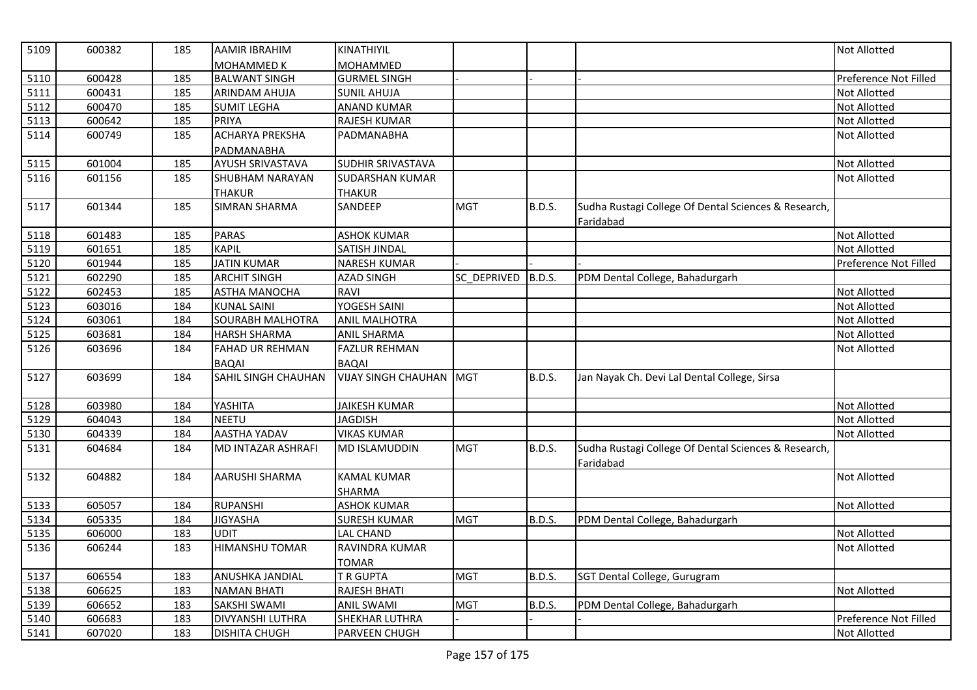| 5109 | 600382 | 185 | <b>AAMIR IBRAHIM</b>    | KINATHIYIL              |                    |               |                                                      | Not Allotted          |
|------|--------|-----|-------------------------|-------------------------|--------------------|---------------|------------------------------------------------------|-----------------------|
|      |        |     | <b>MOHAMMED K</b>       | MOHAMMED                |                    |               |                                                      |                       |
| 5110 | 600428 | 185 | <b>BALWANT SINGH</b>    | <b>GURMEL SINGH</b>     |                    |               |                                                      | Preference Not Filled |
| 5111 | 600431 | 185 | <b>ARINDAM AHUJA</b>    | <b>SUNIL AHUJA</b>      |                    |               |                                                      | Not Allotted          |
| 5112 | 600470 | 185 | <b>SUMIT LEGHA</b>      | <b>ANAND KUMAR</b>      |                    |               |                                                      | Not Allotted          |
| 5113 | 600642 | 185 | <b>PRIYA</b>            | RAJESH KUMAR            |                    |               |                                                      | Not Allotted          |
| 5114 | 600749 | 185 | <b>ACHARYA PREKSHA</b>  | PADMANABHA              |                    |               |                                                      | Not Allotted          |
|      |        |     | PADMANABHA              |                         |                    |               |                                                      |                       |
| 5115 | 601004 | 185 | AYUSH SRIVASTAVA        | SUDHIR SRIVASTAVA       |                    |               |                                                      | Not Allotted          |
| 5116 | 601156 | 185 | <b>SHUBHAM NARAYAN</b>  | <b>SUDARSHAN KUMAR</b>  |                    |               |                                                      | Not Allotted          |
|      |        |     | <b>THAKUR</b>           | <b>THAKUR</b>           |                    |               |                                                      |                       |
| 5117 | 601344 | 185 | <b>SIMRAN SHARMA</b>    | SANDEEP                 | <b>MGT</b>         | <b>B.D.S.</b> | Sudha Rustagi College Of Dental Sciences & Research, |                       |
|      |        |     |                         |                         |                    |               | Faridabad                                            |                       |
| 5118 | 601483 | 185 | <b>PARAS</b>            | <b>ASHOK KUMAR</b>      |                    |               |                                                      | Not Allotted          |
| 5119 | 601651 | 185 | <b>KAPIL</b>            | SATISH JINDAL           |                    |               |                                                      | Not Allotted          |
| 5120 | 601944 | 185 | <b>JATIN KUMAR</b>      | <b>NARESH KUMAR</b>     |                    |               |                                                      | Preference Not Filled |
| 5121 | 602290 | 185 | <b>ARCHIT SINGH</b>     | <b>AZAD SINGH</b>       | SC_DEPRIVED B.D.S. |               | PDM Dental College, Bahadurgarh                      |                       |
| 5122 | 602453 | 185 | <b>ASTHA MANOCHA</b>    | RAVI                    |                    |               |                                                      | Not Allotted          |
| 5123 | 603016 | 184 | <b>KUNAL SAINI</b>      | YOGESH SAINI            |                    |               |                                                      | <b>Not Allotted</b>   |
| 5124 | 603061 | 184 | <b>SOURABH MALHOTRA</b> | <b>ANIL MALHOTRA</b>    |                    |               |                                                      | Not Allotted          |
| 5125 | 603681 | 184 | <b>HARSH SHARMA</b>     | <b>ANIL SHARMA</b>      |                    |               |                                                      | Not Allotted          |
| 5126 | 603696 | 184 | <b>FAHAD UR REHMAN</b>  | <b>FAZLUR REHMAN</b>    |                    |               |                                                      | Not Allotted          |
|      |        |     | <b>BAQAI</b>            | <b>BAQAI</b>            |                    |               |                                                      |                       |
| 5127 | 603699 | 184 | SAHIL SINGH CHAUHAN     | VIJAY SINGH CHAUHAN MGT |                    | <b>B.D.S.</b> | Jan Nayak Ch. Devi Lal Dental College, Sirsa         |                       |
| 5128 | 603980 | 184 | YASHITA                 | <b>JAIKESH KUMAR</b>    |                    |               |                                                      | Not Allotted          |
| 5129 | 604043 | 184 | <b>NEETU</b>            | <b>JAGDISH</b>          |                    |               |                                                      | Not Allotted          |
| 5130 | 604339 | 184 | <b>AASTHA YADAV</b>     | <b>VIKAS KUMAR</b>      |                    |               |                                                      | Not Allotted          |
| 5131 | 604684 | 184 | MD INTAZAR ASHRAFI      | <b>MD ISLAMUDDIN</b>    | <b>MGT</b>         | <b>B.D.S.</b> | Sudha Rustagi College Of Dental Sciences & Research, |                       |
|      |        |     |                         |                         |                    |               | Faridabad                                            |                       |
| 5132 | 604882 | 184 | <b>AARUSHI SHARMA</b>   | <b>KAMAL KUMAR</b>      |                    |               |                                                      | Not Allotted          |
|      |        |     |                         | SHARMA                  |                    |               |                                                      |                       |
| 5133 | 605057 | 184 | <b>RUPANSHI</b>         | <b>ASHOK KUMAR</b>      |                    |               |                                                      | Not Allotted          |
| 5134 | 605335 | 184 | <b>JIGYASHA</b>         | <b>SURESH KUMAR</b>     | <b>MGT</b>         | B.D.S.        | PDM Dental College, Bahadurgarh                      |                       |
| 5135 | 606000 | 183 | UDIT                    | <b>LAL CHAND</b>        |                    |               |                                                      | Not Allotted          |
| 5136 | 606244 | 183 | <b>HIMANSHU TOMAR</b>   | RAVINDRA KUMAR          |                    |               |                                                      | Not Allotted          |
|      |        |     |                         | TOMAR                   |                    |               |                                                      |                       |
| 5137 | 606554 | 183 | ANUSHKA JANDIAL         | T R GUPTA               | <b>MGT</b>         | B.D.S.        | SGT Dental College, Gurugram                         |                       |
| 5138 | 606625 | 183 | <b>NAMAN BHATI</b>      | <b>RAJESH BHATI</b>     |                    |               |                                                      | Not Allotted          |
| 5139 | 606652 | 183 | SAKSHI SWAMI            | <b>ANIL SWAMI</b>       | <b>MGT</b>         | <b>B.D.S.</b> | PDM Dental College, Bahadurgarh                      |                       |
| 5140 | 606683 | 183 | <b>DIVYANSHI LUTHRA</b> | SHEKHAR LUTHRA          |                    |               |                                                      | Preference Not Filled |
| 5141 | 607020 | 183 | <b>DISHITA CHUGH</b>    | PARVEEN CHUGH           |                    |               |                                                      | Not Allotted          |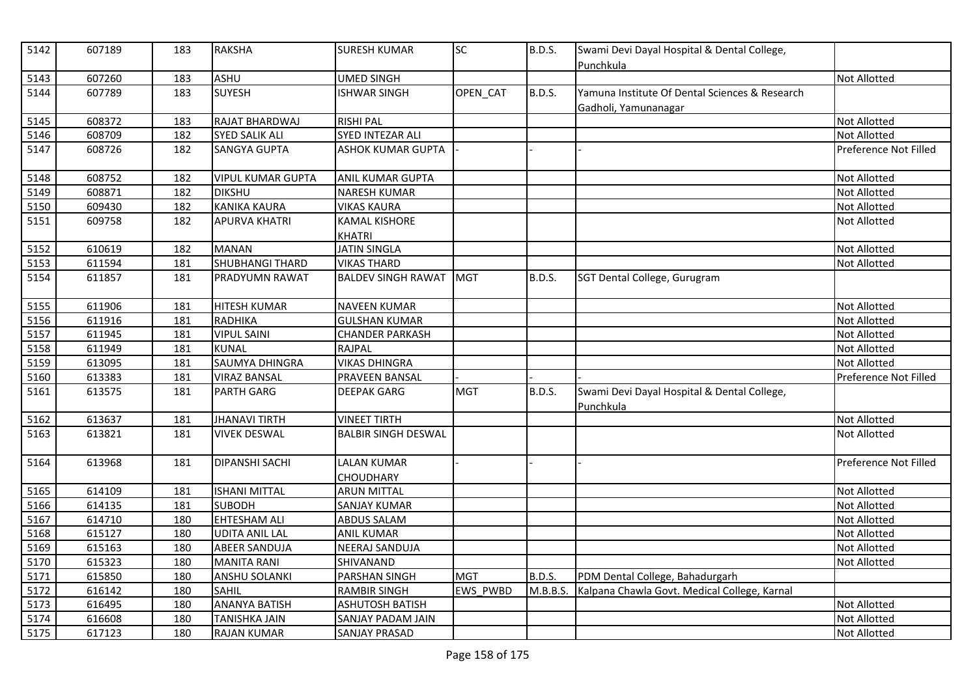| $\overline{5142}$ | 607189 | 183 | <b>RAKSHA</b>            | <b>SURESH KUMAR</b>                    | <b>SC</b>       | <b>B.D.S.</b> | Swami Devi Dayal Hospital & Dental College,<br>Punchkula               |                       |
|-------------------|--------|-----|--------------------------|----------------------------------------|-----------------|---------------|------------------------------------------------------------------------|-----------------------|
| 5143              | 607260 | 183 | <b>ASHU</b>              | <b>UMED SINGH</b>                      |                 |               |                                                                        | <b>Not Allotted</b>   |
| 5144              | 607789 | 183 | <b>SUYESH</b>            | <b>ISHWAR SINGH</b>                    | OPEN_CAT        | <b>B.D.S.</b> | Yamuna Institute Of Dental Sciences & Research<br>Gadholi, Yamunanagar |                       |
| 5145              | 608372 | 183 | RAJAT BHARDWAJ           | <b>RISHI PAL</b>                       |                 |               |                                                                        | <b>Not Allotted</b>   |
| 5146              | 608709 | 182 | <b>SYED SALIK ALI</b>    | SYED INTEZAR ALI                       |                 |               |                                                                        | <b>Not Allotted</b>   |
| 5147              | 608726 | 182 | <b>SANGYA GUPTA</b>      | <b>ASHOK KUMAR GUPTA</b>               |                 |               |                                                                        | Preference Not Filled |
| 5148              | 608752 | 182 | <b>VIPUL KUMAR GUPTA</b> | ANIL KUMAR GUPTA                       |                 |               |                                                                        | Not Allotted          |
| 5149              | 608871 | 182 | <b>DIKSHU</b>            | <b>NARESH KUMAR</b>                    |                 |               |                                                                        | <b>Not Allotted</b>   |
| 5150              | 609430 | 182 | <b>KANIKA KAURA</b>      | <b>VIKAS KAURA</b>                     |                 |               |                                                                        | <b>Not Allotted</b>   |
| 5151              | 609758 | 182 | <b>APURVA KHATRI</b>     | <b>KAMAL KISHORE</b><br><b>KHATRI</b>  |                 |               |                                                                        | Not Allotted          |
| 5152              | 610619 | 182 | <b>MANAN</b>             | <b>JATIN SINGLA</b>                    |                 |               |                                                                        | Not Allotted          |
| 5153              | 611594 | 181 | <b>SHUBHANGI THARD</b>   | <b>VIKAS THARD</b>                     |                 |               |                                                                        | <b>Not Allotted</b>   |
| 5154              | 611857 | 181 | PRADYUMN RAWAT           | <b>BALDEV SINGH RAWAT</b>              | <b>MGT</b>      | <b>B.D.S.</b> | SGT Dental College, Gurugram                                           |                       |
| 5155              | 611906 | 181 | <b>HITESH KUMAR</b>      | <b>NAVEEN KUMAR</b>                    |                 |               |                                                                        | <b>Not Allotted</b>   |
| 5156              | 611916 | 181 | <b>RADHIKA</b>           | <b>GULSHAN KUMAR</b>                   |                 |               |                                                                        | <b>Not Allotted</b>   |
| 5157              | 611945 | 181 | <b>VIPUL SAINI</b>       | <b>CHANDER PARKASH</b>                 |                 |               |                                                                        | <b>Not Allotted</b>   |
| 5158              | 611949 | 181 | <b>KUNAL</b>             | RAJPAL                                 |                 |               |                                                                        | <b>Not Allotted</b>   |
| 5159              | 613095 | 181 | SAUMYA DHINGRA           | <b>VIKAS DHINGRA</b>                   |                 |               |                                                                        | <b>Not Allotted</b>   |
| 5160              | 613383 | 181 | <b>VIRAZ BANSAL</b>      | PRAVEEN BANSAL                         |                 |               |                                                                        | Preference Not Filled |
| 5161              | 613575 | 181 | <b>PARTH GARG</b>        | <b>DEEPAK GARG</b>                     | <b>MGT</b>      | B.D.S.        | Swami Devi Dayal Hospital & Dental College,<br>Punchkula               |                       |
| 5162              | 613637 | 181 | <b>JHANAVI TIRTH</b>     | <b>VINEET TIRTH</b>                    |                 |               |                                                                        | <b>Not Allotted</b>   |
| 5163              | 613821 | 181 | <b>VIVEK DESWAL</b>      | <b>BALBIR SINGH DESWAL</b>             |                 |               |                                                                        | <b>Not Allotted</b>   |
| 5164              | 613968 | 181 | <b>DIPANSHI SACHI</b>    | <b>LALAN KUMAR</b><br><b>CHOUDHARY</b> |                 |               |                                                                        | Preference Not Filled |
| 5165              | 614109 | 181 | <b>ISHANI MITTAL</b>     | <b>ARUN MITTAL</b>                     |                 |               |                                                                        | <b>Not Allotted</b>   |
| 5166              | 614135 | 181 | <b>SUBODH</b>            | SANJAY KUMAR                           |                 |               |                                                                        | <b>Not Allotted</b>   |
| 5167              | 614710 | 180 | <b>EHTESHAM ALI</b>      | <b>ABDUS SALAM</b>                     |                 |               |                                                                        | <b>Not Allotted</b>   |
| 5168              | 615127 | 180 | <b>UDITA ANIL LAL</b>    | <b>ANIL KUMAR</b>                      |                 |               |                                                                        | Not Allotted          |
| 5169              | 615163 | 180 | <b>ABEER SANDUJA</b>     | NEERAJ SANDUJA                         |                 |               |                                                                        | Not Allotted          |
| 5170              | 615323 | 180 | <b>MANITA RANI</b>       | SHIVANAND                              |                 |               |                                                                        | <b>Not Allotted</b>   |
| 5171              | 615850 | 180 | <b>ANSHU SOLANKI</b>     | PARSHAN SINGH                          | <b>MGT</b>      | B.D.S.        | PDM Dental College, Bahadurgarh                                        |                       |
| 5172              | 616142 | 180 | <b>SAHIL</b>             | <b>RAMBIR SINGH</b>                    | <b>EWS PWBD</b> | M.B.B.S.      | Kalpana Chawla Govt. Medical College, Karnal                           |                       |
| 5173              | 616495 | 180 | <b>ANANYA BATISH</b>     | <b>ASHUTOSH BATISH</b>                 |                 |               |                                                                        | Not Allotted          |
| 5174              | 616608 | 180 | <b>TANISHKA JAIN</b>     | SANJAY PADAM JAIN                      |                 |               |                                                                        | <b>Not Allotted</b>   |
| 5175              | 617123 | 180 | <b>RAJAN KUMAR</b>       | <b>SANJAY PRASAD</b>                   |                 |               |                                                                        | Not Allotted          |
|                   |        |     |                          |                                        |                 |               |                                                                        |                       |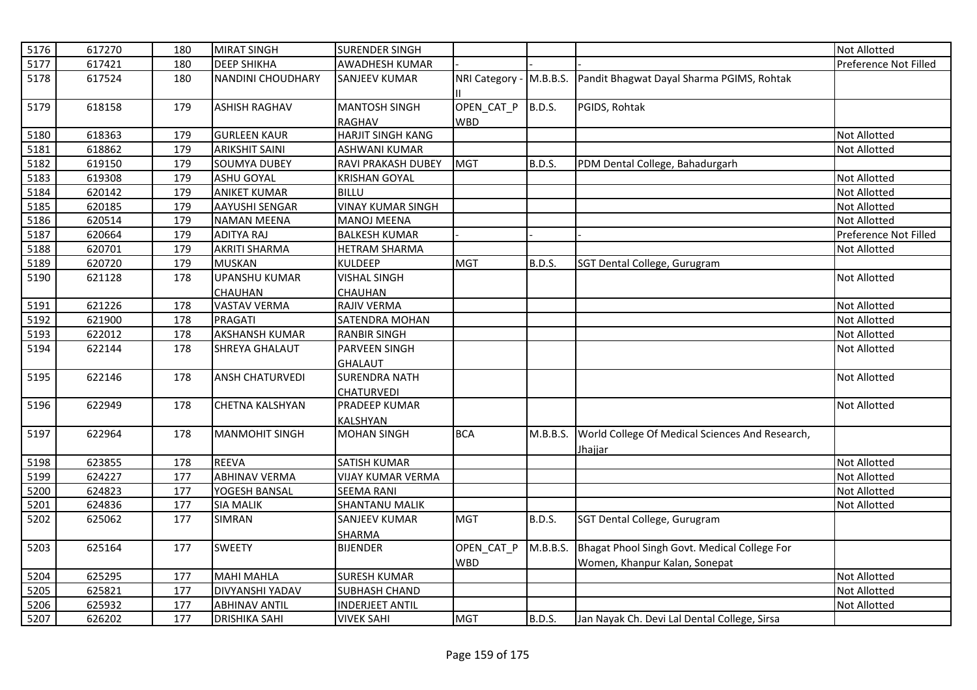| 5176 | 617270 | 180 | <b>MIRAT SINGH</b>       | <b>SURENDER SINGH</b>                 |                          |               |                                                 | <b>Not Allotted</b>   |
|------|--------|-----|--------------------------|---------------------------------------|--------------------------|---------------|-------------------------------------------------|-----------------------|
| 5177 | 617421 | 180 | <b>DEEP SHIKHA</b>       | AWADHESH KUMAR                        |                          |               |                                                 | Preference Not Filled |
| 5178 | 617524 | 180 | <b>NANDINI CHOUDHARY</b> | <b>SANJEEV KUMAR</b>                  | NRI Category - M.B.B.S.  |               | Pandit Bhagwat Dayal Sharma PGIMS, Rohtak       |                       |
| 5179 | 618158 | 179 | <b>ASHISH RAGHAV</b>     | <b>MANTOSH SINGH</b><br><b>RAGHAV</b> | OPEN CAT P<br><b>WBD</b> | B.D.S.        | PGIDS, Rohtak                                   |                       |
| 5180 | 618363 | 179 | <b>GURLEEN KAUR</b>      | <b>HARJIT SINGH KANG</b>              |                          |               |                                                 | <b>Not Allotted</b>   |
| 5181 | 618862 | 179 | <b>ARIKSHIT SAINI</b>    | <b>ASHWANI KUMAR</b>                  |                          |               |                                                 | Not Allotted          |
| 5182 | 619150 | 179 | <b>SOUMYA DUBEY</b>      | RAVI PRAKASH DUBEY                    | <b>MGT</b>               | <b>B.D.S.</b> | PDM Dental College, Bahadurgarh                 |                       |
| 5183 | 619308 | 179 | <b>ASHU GOYAL</b>        | <b>KRISHAN GOYAL</b>                  |                          |               |                                                 | <b>Not Allotted</b>   |
| 5184 | 620142 | 179 | <b>ANIKET KUMAR</b>      | <b>BILLU</b>                          |                          |               |                                                 | <b>Not Allotted</b>   |
| 5185 | 620185 | 179 | <b>AAYUSHI SENGAR</b>    | <b>VINAY KUMAR SINGH</b>              |                          |               |                                                 | Not Allotted          |
| 5186 | 620514 | 179 | <b>NAMAN MEENA</b>       | <b>MANOJ MEENA</b>                    |                          |               |                                                 | <b>Not Allotted</b>   |
| 5187 | 620664 | 179 | <b>ADITYA RAJ</b>        | <b>BALKESH KUMAR</b>                  |                          |               |                                                 | Preference Not Filled |
| 5188 | 620701 | 179 | <b>AKRITI SHARMA</b>     | HETRAM SHARMA                         |                          |               |                                                 | <b>Not Allotted</b>   |
| 5189 | 620720 | 179 | <b>MUSKAN</b>            | KULDEEP                               | <b>MGT</b>               | <b>B.D.S.</b> | SGT Dental College, Gurugram                    |                       |
| 5190 | 621128 | 178 | <b>UPANSHU KUMAR</b>     | <b>VISHAL SINGH</b>                   |                          |               |                                                 | Not Allotted          |
|      |        |     | <b>CHAUHAN</b>           | <b>CHAUHAN</b>                        |                          |               |                                                 |                       |
| 5191 | 621226 | 178 | <b>VASTAV VERMA</b>      | RAJIV VERMA                           |                          |               |                                                 | <b>Not Allotted</b>   |
| 5192 | 621900 | 178 | <b>PRAGATI</b>           | SATENDRA MOHAN                        |                          |               |                                                 | <b>Not Allotted</b>   |
| 5193 | 622012 | 178 | <b>AKSHANSH KUMAR</b>    | <b>RANBIR SINGH</b>                   |                          |               |                                                 | <b>Not Allotted</b>   |
| 5194 | 622144 | 178 | SHREYA GHALAUT           | PARVEEN SINGH                         |                          |               |                                                 | Not Allotted          |
|      |        |     |                          | <b>GHALAUT</b>                        |                          |               |                                                 |                       |
| 5195 | 622146 | 178 | <b>ANSH CHATURVEDI</b>   | <b>SURENDRA NATH</b>                  |                          |               |                                                 | <b>Not Allotted</b>   |
|      |        |     |                          | CHATURVEDI                            |                          |               |                                                 |                       |
| 5196 | 622949 | 178 | <b>CHETNA KALSHYAN</b>   | <b>PRADEEP KUMAR</b>                  |                          |               |                                                 | <b>Not Allotted</b>   |
|      |        |     |                          | <b>KALSHYAN</b>                       |                          |               |                                                 |                       |
| 5197 | 622964 | 178 | <b>MANMOHIT SINGH</b>    | <b>MOHAN SINGH</b>                    | <b>BCA</b>               | M.B.B.S.      | World College Of Medical Sciences And Research, |                       |
|      |        |     |                          |                                       |                          |               | Jhajjar                                         |                       |
| 5198 | 623855 | 178 | <b>REEVA</b>             | <b>SATISH KUMAR</b>                   |                          |               |                                                 | <b>Not Allotted</b>   |
| 5199 | 624227 | 177 | <b>ABHINAV VERMA</b>     | <b>VIJAY KUMAR VERMA</b>              |                          |               |                                                 | <b>Not Allotted</b>   |
| 5200 | 624823 | 177 | YOGESH BANSAL            | <b>SEEMA RANI</b>                     |                          |               |                                                 | <b>Not Allotted</b>   |
| 5201 | 624836 | 177 | <b>SIA MALIK</b>         | SHANTANU MALIK                        |                          |               |                                                 | Not Allotted          |
| 5202 | 625062 | 177 | <b>SIMRAN</b>            | <b>SANJEEV KUMAR</b><br>SHARMA        | <b>MGT</b>               | <b>B.D.S.</b> | SGT Dental College, Gurugram                    |                       |
| 5203 | 625164 | 177 | <b>SWEETY</b>            | <b>BIJENDER</b>                       | OPEN_CAT_P               | M.B.B.S.      | Bhagat Phool Singh Govt. Medical College For    |                       |
|      |        |     |                          |                                       | <b>WBD</b>               |               | Women, Khanpur Kalan, Sonepat                   |                       |
| 5204 | 625295 | 177 | <b>MAHI MAHLA</b>        | <b>SURESH KUMAR</b>                   |                          |               |                                                 | <b>Not Allotted</b>   |
| 5205 | 625821 | 177 | <b>DIVYANSHI YADAV</b>   | <b>SUBHASH CHAND</b>                  |                          |               |                                                 | Not Allotted          |
| 5206 | 625932 | 177 | <b>ABHINAV ANTIL</b>     | <b>INDERJEET ANTIL</b>                |                          |               |                                                 | Not Allotted          |
| 5207 | 626202 | 177 | <b>DRISHIKA SAHI</b>     | <b>VIVEK SAHI</b>                     | <b>MGT</b>               | <b>B.D.S.</b> | Jan Nayak Ch. Devi Lal Dental College, Sirsa    |                       |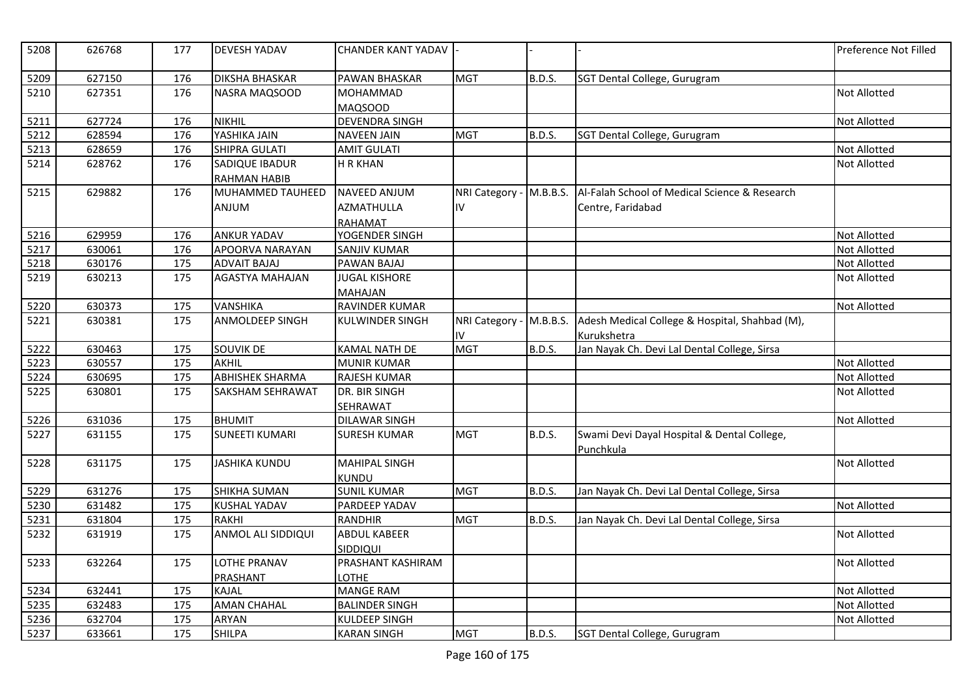| 5208 | 626768 | 177 | <b>DEVESH YADAV</b>    | <b>CHANDER KANT YADAV</b> |                         |               |                                                | Preference Not Filled |
|------|--------|-----|------------------------|---------------------------|-------------------------|---------------|------------------------------------------------|-----------------------|
| 5209 | 627150 | 176 | <b>DIKSHA BHASKAR</b>  | PAWAN BHASKAR             | <b>MGT</b>              | <b>B.D.S.</b> | SGT Dental College, Gurugram                   |                       |
| 5210 | 627351 | 176 | NASRA MAQSOOD          | <b>MOHAMMAD</b>           |                         |               |                                                | Not Allotted          |
|      |        |     |                        | <b>MAQSOOD</b>            |                         |               |                                                |                       |
| 5211 | 627724 | 176 | <b>NIKHIL</b>          | <b>DEVENDRA SINGH</b>     |                         |               |                                                | Not Allotted          |
| 5212 | 628594 | 176 | YASHIKA JAIN           | <b>NAVEEN JAIN</b>        | <b>MGT</b>              | <b>B.D.S.</b> | SGT Dental College, Gurugram                   |                       |
| 5213 | 628659 | 176 | SHIPRA GULATI          | <b>AMIT GULATI</b>        |                         |               |                                                | Not Allotted          |
| 5214 | 628762 | 176 | <b>SADIQUE IBADUR</b>  | <b>H R KHAN</b>           |                         |               |                                                | <b>Not Allotted</b>   |
|      |        |     | <b>RAHMAN HABIB</b>    |                           |                         |               |                                                |                       |
| 5215 | 629882 | 176 | MUHAMMED TAUHEED       | NAVEED ANJUM              | NRI Category - M.B.B.S. |               | Al-Falah School of Medical Science & Research  |                       |
|      |        |     | <b>ANJUM</b>           | <b>AZMATHULLA</b>         | IV                      |               | Centre, Faridabad                              |                       |
|      |        |     |                        | RAHAMAT                   |                         |               |                                                |                       |
| 5216 | 629959 | 176 | <b>ANKUR YADAV</b>     | YOGENDER SINGH            |                         |               |                                                | <b>Not Allotted</b>   |
| 5217 | 630061 | 176 | APOORVA NARAYAN        | SANJIV KUMAR              |                         |               |                                                | Not Allotted          |
| 5218 | 630176 | 175 | <b>ADVAIT BAJAJ</b>    | PAWAN BAJAJ               |                         |               |                                                | Not Allotted          |
| 5219 | 630213 | 175 | AGASTYA MAHAJAN        | <b>JUGAL KISHORE</b>      |                         |               |                                                | <b>Not Allotted</b>   |
|      |        |     |                        | <b>MAHAJAN</b>            |                         |               |                                                |                       |
| 5220 | 630373 | 175 | <b>VANSHIKA</b>        | RAVINDER KUMAR            |                         |               |                                                | <b>Not Allotted</b>   |
| 5221 | 630381 | 175 | ANMOLDEEP SINGH        | <b>KULWINDER SINGH</b>    | NRI Category - M.B.B.S. |               | Adesh Medical College & Hospital, Shahbad (M), |                       |
|      |        |     |                        |                           | IV.                     |               | Kurukshetra                                    |                       |
| 5222 | 630463 | 175 | <b>SOUVIK DE</b>       | <b>KAMAL NATH DE</b>      | <b>MGT</b>              | <b>B.D.S.</b> | Jan Nayak Ch. Devi Lal Dental College, Sirsa   |                       |
| 5223 | 630557 | 175 | AKHIL                  | <b>MUNIR KUMAR</b>        |                         |               |                                                | Not Allotted          |
| 5224 | 630695 | 175 | <b>ABHISHEK SHARMA</b> | <b>RAJESH KUMAR</b>       |                         |               |                                                | Not Allotted          |
| 5225 | 630801 | 175 | SAKSHAM SEHRAWAT       | DR. BIR SINGH             |                         |               |                                                | <b>Not Allotted</b>   |
|      |        |     |                        | <b>SEHRAWAT</b>           |                         |               |                                                |                       |
| 5226 | 631036 | 175 | <b>BHUMIT</b>          | <b>DILAWAR SINGH</b>      |                         |               |                                                | Not Allotted          |
| 5227 | 631155 | 175 | <b>SUNEETI KUMARI</b>  | <b>SURESH KUMAR</b>       | <b>MGT</b>              | <b>B.D.S.</b> | Swami Devi Dayal Hospital & Dental College,    |                       |
|      |        |     |                        |                           |                         |               | Punchkula                                      |                       |
| 5228 | 631175 | 175 | <b>JASHIKA KUNDU</b>   | <b>MAHIPAL SINGH</b>      |                         |               |                                                | <b>Not Allotted</b>   |
|      |        |     |                        | KUNDU                     |                         |               |                                                |                       |
| 5229 | 631276 | 175 | <b>SHIKHA SUMAN</b>    | <b>SUNIL KUMAR</b>        | <b>MGT</b>              | <b>B.D.S.</b> | Jan Nayak Ch. Devi Lal Dental College, Sirsa   |                       |
| 5230 | 631482 | 175 | <b>KUSHAL YADAV</b>    | PARDEEP YADAV             |                         |               |                                                | <b>Not Allotted</b>   |
| 5231 | 631804 | 175 | <b>RAKHI</b>           | <b>RANDHIR</b>            | <b>MGT</b>              | B.D.S.        | Jan Nayak Ch. Devi Lal Dental College, Sirsa   |                       |
| 5232 | 631919 | 175 | ANMOL ALI SIDDIQUI     | <b>ABDUL KABEER</b>       |                         |               |                                                | Not Allotted          |
|      |        |     |                        | SIDDIQUI                  |                         |               |                                                |                       |
| 5233 | 632264 | 175 | LOTHE PRANAV           | PRASHANT KASHIRAM         |                         |               |                                                | <b>Not Allotted</b>   |
|      |        |     | <b>PRASHANT</b>        | LOTHE                     |                         |               |                                                |                       |
| 5234 | 632441 | 175 | <b>KAJAL</b>           | <b>MANGE RAM</b>          |                         |               |                                                | Not Allotted          |
| 5235 | 632483 | 175 | <b>AMAN CHAHAL</b>     | <b>BALINDER SINGH</b>     |                         |               |                                                | Not Allotted          |
| 5236 | 632704 | 175 | <b>ARYAN</b>           | <b>KULDEEP SINGH</b>      |                         |               |                                                | <b>Not Allotted</b>   |
| 5237 | 633661 | 175 | <b>SHILPA</b>          | <b>KARAN SINGH</b>        | <b>MGT</b>              | B.D.S.        | SGT Dental College, Gurugram                   |                       |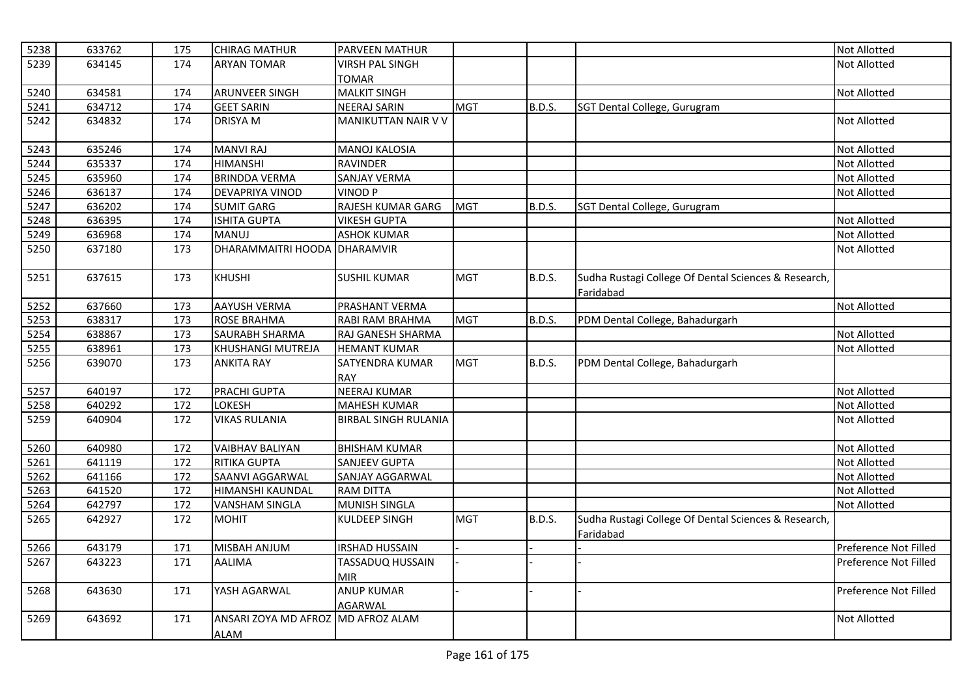| 5238 | 633762 | 175 | <b>CHIRAG MATHUR</b>               | PARVEEN MATHUR              |            |               |                                                      | <b>Not Allotted</b>   |
|------|--------|-----|------------------------------------|-----------------------------|------------|---------------|------------------------------------------------------|-----------------------|
| 5239 | 634145 | 174 | <b>ARYAN TOMAR</b>                 | <b>VIRSH PAL SINGH</b>      |            |               |                                                      | <b>Not Allotted</b>   |
|      |        |     |                                    | <b>TOMAR</b>                |            |               |                                                      |                       |
| 5240 | 634581 | 174 | <b>ARUNVEER SINGH</b>              | <b>MALKIT SINGH</b>         |            |               |                                                      | Not Allotted          |
| 5241 | 634712 | 174 | <b>GEET SARIN</b>                  | <b>NEERAJ SARIN</b>         | <b>MGT</b> | B.D.S.        | SGT Dental College, Gurugram                         |                       |
| 5242 | 634832 | 174 | <b>DRISYA M</b>                    | <b>MANIKUTTAN NAIR V V</b>  |            |               |                                                      | <b>Not Allotted</b>   |
|      |        |     |                                    |                             |            |               |                                                      |                       |
| 5243 | 635246 | 174 | <b>MANVI RAJ</b>                   | <b>MANOJ KALOSIA</b>        |            |               |                                                      | <b>Not Allotted</b>   |
| 5244 | 635337 | 174 | <b>HIMANSHI</b>                    | <b>RAVINDER</b>             |            |               |                                                      | <b>Not Allotted</b>   |
| 5245 | 635960 | 174 | <b>BRINDDA VERMA</b>               | SANJAY VERMA                |            |               |                                                      | Not Allotted          |
| 5246 | 636137 | 174 | DEVAPRIYA VINOD                    | <b>VINOD P</b>              |            |               |                                                      | Not Allotted          |
| 5247 | 636202 | 174 | <b>SUMIT GARG</b>                  | RAJESH KUMAR GARG           | <b>MGT</b> | B.D.S.        | SGT Dental College, Gurugram                         |                       |
| 5248 | 636395 | 174 | <b>ISHITA GUPTA</b>                | <b>VIKESH GUPTA</b>         |            |               |                                                      | <b>Not Allotted</b>   |
| 5249 | 636968 | 174 | MANUJ                              | <b>ASHOK KUMAR</b>          |            |               |                                                      | Not Allotted          |
| 5250 | 637180 | 173 | DHARAMMAITRI HOODA DHARAMVIR       |                             |            |               |                                                      | Not Allotted          |
|      |        |     |                                    |                             |            |               |                                                      |                       |
| 5251 | 637615 | 173 | <b>KHUSHI</b>                      | <b>SUSHIL KUMAR</b>         | <b>MGT</b> | <b>B.D.S.</b> | Sudha Rustagi College Of Dental Sciences & Research, |                       |
|      |        |     |                                    |                             |            |               | Faridabad                                            |                       |
| 5252 | 637660 | 173 | AAYUSH VERMA                       | PRASHANT VERMA              |            |               |                                                      | Not Allotted          |
| 5253 | 638317 | 173 | <b>ROSE BRAHMA</b>                 | RABI RAM BRAHMA             | <b>MGT</b> | B.D.S.        | PDM Dental College, Bahadurgarh                      |                       |
| 5254 | 638867 | 173 | SAURABH SHARMA                     | RAJ GANESH SHARMA           |            |               |                                                      | Not Allotted          |
| 5255 | 638961 | 173 | <b>KHUSHANGI MUTREJA</b>           | <b>HEMANT KUMAR</b>         |            |               |                                                      | Not Allotted          |
| 5256 | 639070 | 173 | <b>ANKITA RAY</b>                  | SATYENDRA KUMAR             | <b>MGT</b> | <b>B.D.S.</b> | PDM Dental College, Bahadurgarh                      |                       |
|      |        |     |                                    | RAY                         |            |               |                                                      |                       |
| 5257 | 640197 | 172 | PRACHI GUPTA                       | <b>NEERAJ KUMAR</b>         |            |               |                                                      | <b>Not Allotted</b>   |
| 5258 | 640292 | 172 | LOKESH                             | <b>MAHESH KUMAR</b>         |            |               |                                                      | <b>Not Allotted</b>   |
| 5259 | 640904 | 172 | <b>VIKAS RULANIA</b>               | <b>BIRBAL SINGH RULANIA</b> |            |               |                                                      | <b>Not Allotted</b>   |
|      |        |     |                                    |                             |            |               |                                                      |                       |
| 5260 | 640980 | 172 | <b>VAIBHAV BALIYAN</b>             | <b>BHISHAM KUMAR</b>        |            |               |                                                      | <b>Not Allotted</b>   |
| 5261 | 641119 | 172 | <b>RITIKA GUPTA</b>                | <b>SANJEEV GUPTA</b>        |            |               |                                                      | <b>Not Allotted</b>   |
| 5262 | 641166 | 172 | SAANVI AGGARWAL                    | SANJAY AGGARWAL             |            |               |                                                      | Not Allotted          |
| 5263 | 641520 | 172 | HIMANSHI KAUNDAL                   | <b>RAM DITTA</b>            |            |               |                                                      | Not Allotted          |
| 5264 | 642797 | 172 | <b>VANSHAM SINGLA</b>              | MUNISH SINGLA               |            |               |                                                      | Not Allotted          |
| 5265 | 642927 | 172 | <b>MOHIT</b>                       | <b>KULDEEP SINGH</b>        | <b>MGT</b> | <b>B.D.S.</b> | Sudha Rustagi College Of Dental Sciences & Research, |                       |
|      |        |     |                                    |                             |            |               | Faridabad                                            |                       |
| 5266 | 643179 | 171 | MISBAH ANJUM                       | <b>IRSHAD HUSSAIN</b>       |            |               |                                                      | Preference Not Filled |
| 5267 | 643223 | 171 | AALIMA                             | TASSADUQ HUSSAIN            |            |               |                                                      | Preference Not Filled |
|      |        |     |                                    | <b>MIR</b>                  |            |               |                                                      |                       |
| 5268 | 643630 | 171 | YASH AGARWAL                       | <b>ANUP KUMAR</b>           |            |               |                                                      | Preference Not Filled |
|      |        |     |                                    | <b>AGARWAL</b>              |            |               |                                                      |                       |
| 5269 | 643692 | 171 | ANSARI ZOYA MD AFROZ MD AFROZ ALAM |                             |            |               |                                                      | <b>Not Allotted</b>   |
|      |        |     | ALAM                               |                             |            |               |                                                      |                       |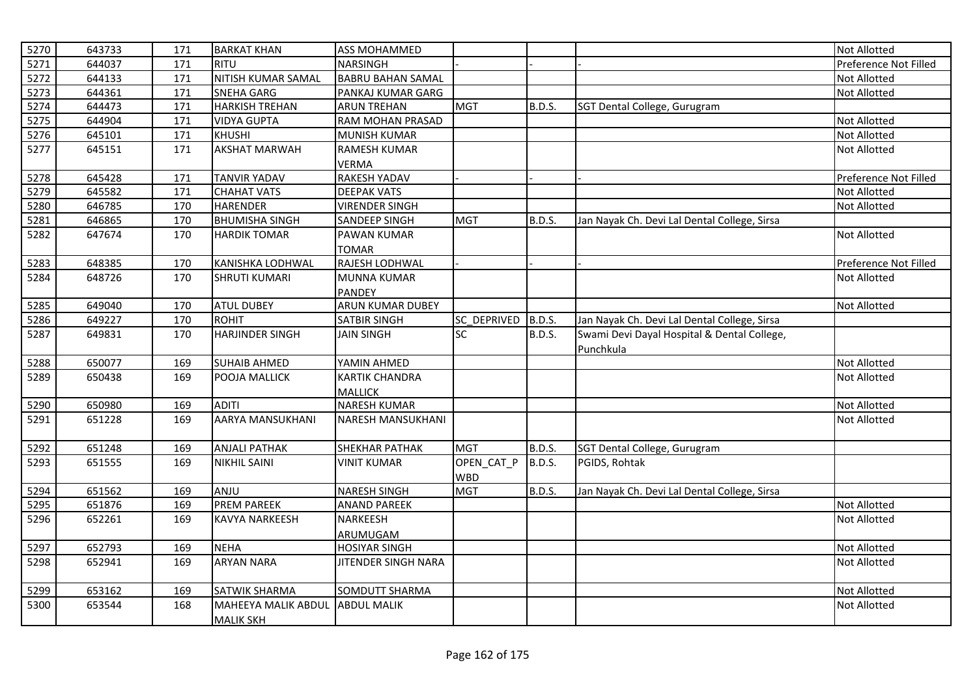| 5270 | 643733 | 171 | <b>BARKAT KHAN</b>         | <b>ASS MOHAMMED</b>        |             |               |                                              | <b>Not Allotted</b>   |
|------|--------|-----|----------------------------|----------------------------|-------------|---------------|----------------------------------------------|-----------------------|
| 5271 | 644037 | 171 | <b>RITU</b>                | <b>NARSINGH</b>            |             |               |                                              | Preference Not Filled |
| 5272 | 644133 | 171 | <b>NITISH KUMAR SAMAL</b>  | <b>BABRU BAHAN SAMAL</b>   |             |               |                                              | <b>Not Allotted</b>   |
| 5273 | 644361 | 171 | <b>SNEHA GARG</b>          | PANKAJ KUMAR GARG          |             |               |                                              | <b>Not Allotted</b>   |
| 5274 | 644473 | 171 | <b>HARKISH TREHAN</b>      | <b>ARUN TREHAN</b>         | <b>MGT</b>  | <b>B.D.S.</b> | SGT Dental College, Gurugram                 |                       |
| 5275 | 644904 | 171 | <b>VIDYA GUPTA</b>         | RAM MOHAN PRASAD           |             |               |                                              | <b>Not Allotted</b>   |
| 5276 | 645101 | 171 | <b>KHUSHI</b>              | MUNISH KUMAR               |             |               |                                              | Not Allotted          |
| 5277 | 645151 | 171 | <b>AKSHAT MARWAH</b>       | <b>RAMESH KUMAR</b>        |             |               |                                              | <b>Not Allotted</b>   |
|      |        |     |                            | <b>VERMA</b>               |             |               |                                              |                       |
| 5278 | 645428 | 171 | <b>TANVIR YADAV</b>        | <b>RAKESH YADAV</b>        |             |               |                                              | Preference Not Filled |
| 5279 | 645582 | 171 | <b>CHAHAT VATS</b>         | <b>DEEPAK VATS</b>         |             |               |                                              | <b>Not Allotted</b>   |
| 5280 | 646785 | 170 | <b>HARENDER</b>            | <b>VIRENDER SINGH</b>      |             |               |                                              | Not Allotted          |
| 5281 | 646865 | 170 | <b>BHUMISHA SINGH</b>      | <b>SANDEEP SINGH</b>       | <b>MGT</b>  | B.D.S.        | Jan Nayak Ch. Devi Lal Dental College, Sirsa |                       |
| 5282 | 647674 | 170 | <b>HARDIK TOMAR</b>        | PAWAN KUMAR                |             |               |                                              | <b>Not Allotted</b>   |
|      |        |     |                            | <b>TOMAR</b>               |             |               |                                              |                       |
| 5283 | 648385 | 170 | KANISHKA LODHWAL           | RAJESH LODHWAL             |             |               |                                              | Preference Not Filled |
| 5284 | 648726 | 170 | <b>SHRUTI KUMARI</b>       | <b>MUNNA KUMAR</b>         |             |               |                                              | <b>Not Allotted</b>   |
|      |        |     |                            | <b>PANDEY</b>              |             |               |                                              |                       |
| 5285 | 649040 | 170 | <b>ATUL DUBEY</b>          | <b>ARUN KUMAR DUBEY</b>    |             |               |                                              | <b>Not Allotted</b>   |
| 5286 | 649227 | 170 | <b>ROHIT</b>               | SATBIR SINGH               | SC DEPRIVED | <b>B.D.S.</b> | Jan Nayak Ch. Devi Lal Dental College, Sirsa |                       |
| 5287 | 649831 | 170 | <b>HARJINDER SINGH</b>     | <b>JAIN SINGH</b>          | <b>SC</b>   | B.D.S.        | Swami Devi Dayal Hospital & Dental College,  |                       |
|      |        |     |                            |                            |             |               | Punchkula                                    |                       |
| 5288 | 650077 | 169 | <b>SUHAIB AHMED</b>        | YAMIN AHMED                |             |               |                                              | Not Allotted          |
| 5289 | 650438 | 169 | POOJA MALLICK              | <b>KARTIK CHANDRA</b>      |             |               |                                              | <b>Not Allotted</b>   |
|      |        |     |                            | <b>MALLICK</b>             |             |               |                                              |                       |
| 5290 | 650980 | 169 | <b>ADITI</b>               | <b>NARESH KUMAR</b>        |             |               |                                              | Not Allotted          |
| 5291 | 651228 | 169 | AARYA MANSUKHANI           | <b>NARESH MANSUKHANI</b>   |             |               |                                              | <b>Not Allotted</b>   |
| 5292 | 651248 | 169 | <b>ANJALI PATHAK</b>       | <b>SHEKHAR PATHAK</b>      | <b>MGT</b>  | B.D.S.        | SGT Dental College, Gurugram                 |                       |
| 5293 | 651555 | 169 | <b>NIKHIL SAINI</b>        | <b>VINIT KUMAR</b>         | OPEN_CAT_P  | B.D.S.        | PGIDS, Rohtak                                |                       |
|      |        |     |                            |                            | <b>WBD</b>  |               |                                              |                       |
| 5294 | 651562 | 169 | ANJU                       | <b>NARESH SINGH</b>        | <b>MGT</b>  | B.D.S.        | Jan Nayak Ch. Devi Lal Dental College, Sirsa |                       |
| 5295 | 651876 | 169 | <b>PREM PAREEK</b>         | <b>ANAND PAREEK</b>        |             |               |                                              | <b>Not Allotted</b>   |
| 5296 | 652261 | 169 | KAVYA NARKEESH             | <b>NARKEESH</b>            |             |               |                                              | Not Allotted          |
|      |        |     |                            | ARUMUGAM                   |             |               |                                              |                       |
| 5297 | 652793 | 169 | <b>NEHA</b>                | <b>HOSIYAR SINGH</b>       |             |               |                                              | <b>Not Allotted</b>   |
| 5298 | 652941 | 169 | <b>ARYAN NARA</b>          | <b>JITENDER SINGH NARA</b> |             |               |                                              | <b>Not Allotted</b>   |
| 5299 | 653162 | 169 | SATWIK SHARMA              | SOMDUTT SHARMA             |             |               |                                              | <b>Not Allotted</b>   |
| 5300 | 653544 | 168 | <b>MAHEEYA MALIK ABDUL</b> | <b>ABDUL MALIK</b>         |             |               |                                              | Not Allotted          |
|      |        |     | <b>MALIK SKH</b>           |                            |             |               |                                              |                       |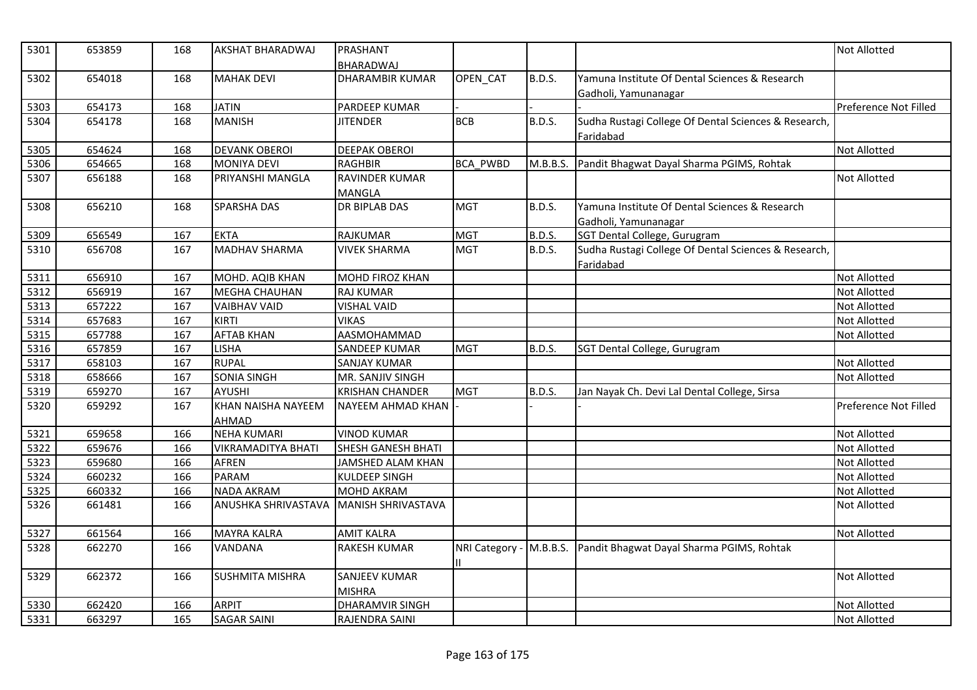| 5301 | 653859 | 168 | AKSHAT BHARADWAJ          | PRASHANT<br>BHARADWAJ     |                 |               |                                                                   | <b>Not Allotted</b>   |
|------|--------|-----|---------------------------|---------------------------|-----------------|---------------|-------------------------------------------------------------------|-----------------------|
| 5302 | 654018 | 168 | <b>MAHAK DEVI</b>         | <b>DHARAMBIR KUMAR</b>    | OPEN_CAT        | <b>B.D.S.</b> | Yamuna Institute Of Dental Sciences & Research                    |                       |
|      |        |     |                           |                           |                 |               | Gadholi, Yamunanagar                                              |                       |
| 5303 | 654173 | 168 | <b>JATIN</b>              | PARDEEP KUMAR             |                 |               |                                                                   | Preference Not Filled |
| 5304 | 654178 | 168 | <b>MANISH</b>             | <b>JITENDER</b>           | <b>BCB</b>      | <b>B.D.S.</b> | Sudha Rustagi College Of Dental Sciences & Research,              |                       |
|      |        |     |                           |                           |                 |               | Faridabad                                                         |                       |
| 5305 | 654624 | 168 | <b>DEVANK OBEROI</b>      | <b>DEEPAK OBEROI</b>      |                 |               |                                                                   | <b>Not Allotted</b>   |
| 5306 | 654665 | 168 | <b>MONIYA DEVI</b>        | <b>RAGHBIR</b>            | <b>BCA PWBD</b> |               | M.B.B.S. Pandit Bhagwat Dayal Sharma PGIMS, Rohtak                |                       |
| 5307 | 656188 | 168 | PRIYANSHI MANGLA          | <b>RAVINDER KUMAR</b>     |                 |               |                                                                   | <b>Not Allotted</b>   |
|      |        |     |                           | <b>MANGLA</b>             |                 |               |                                                                   |                       |
| 5308 | 656210 | 168 | <b>SPARSHA DAS</b>        | DR BIPLAB DAS             | <b>MGT</b>      | <b>B.D.S.</b> | Yamuna Institute Of Dental Sciences & Research                    |                       |
|      |        |     |                           |                           |                 |               | Gadholi, Yamunanagar                                              |                       |
| 5309 | 656549 | 167 | <b>EKTA</b>               | <b>RAJKUMAR</b>           | <b>MGT</b>      | <b>B.D.S.</b> | SGT Dental College, Gurugram                                      |                       |
| 5310 | 656708 | 167 | <b>MADHAV SHARMA</b>      | <b>VIVEK SHARMA</b>       | <b>MGT</b>      | <b>B.D.S.</b> | Sudha Rustagi College Of Dental Sciences & Research,<br>Faridabad |                       |
| 5311 | 656910 | 167 | MOHD. AQIB KHAN           | <b>MOHD FIROZ KHAN</b>    |                 |               |                                                                   | <b>Not Allotted</b>   |
| 5312 | 656919 | 167 | <b>MEGHA CHAUHAN</b>      | <b>RAJ KUMAR</b>          |                 |               |                                                                   | <b>Not Allotted</b>   |
| 5313 | 657222 | 167 | <b>VAIBHAV VAID</b>       | <b>VISHAL VAID</b>        |                 |               |                                                                   | Not Allotted          |
| 5314 | 657683 | 167 | <b>KIRTI</b>              | <b>VIKAS</b>              |                 |               |                                                                   | <b>Not Allotted</b>   |
| 5315 | 657788 | 167 | <b>AFTAB KHAN</b>         | AASMOHAMMAD               |                 |               |                                                                   | <b>Not Allotted</b>   |
| 5316 | 657859 | 167 | <b>LISHA</b>              | <b>SANDEEP KUMAR</b>      | <b>MGT</b>      | <b>B.D.S.</b> | SGT Dental College, Gurugram                                      |                       |
| 5317 | 658103 | 167 | <b>RUPAL</b>              | SANJAY KUMAR              |                 |               |                                                                   | Not Allotted          |
| 5318 | 658666 | 167 | <b>SONIA SINGH</b>        | MR. SANJIV SINGH          |                 |               |                                                                   | <b>Not Allotted</b>   |
| 5319 | 659270 | 167 | <b>AYUSHI</b>             | <b>KRISHAN CHANDER</b>    | <b>MGT</b>      | B.D.S.        | Jan Nayak Ch. Devi Lal Dental College, Sirsa                      |                       |
| 5320 | 659292 | 167 | <b>KHAN NAISHA NAYEEM</b> | NAYEEM AHMAD KHAN         |                 |               |                                                                   | Preference Not Filled |
|      |        |     | AHMAD                     |                           |                 |               |                                                                   |                       |
| 5321 | 659658 | 166 | <b>NEHA KUMARI</b>        | <b>VINOD KUMAR</b>        |                 |               |                                                                   | Not Allotted          |
| 5322 | 659676 | 166 | <b>VIKRAMADITYA BHATI</b> | <b>SHESH GANESH BHATI</b> |                 |               |                                                                   | <b>Not Allotted</b>   |
| 5323 | 659680 | 166 | <b>AFREN</b>              | JAMSHED ALAM KHAN         |                 |               |                                                                   | <b>Not Allotted</b>   |
| 5324 | 660232 | 166 | <b>PARAM</b>              | KULDEEP SINGH             |                 |               |                                                                   | Not Allotted          |
| 5325 | 660332 | 166 | <b>NADA AKRAM</b>         | <b>MOHD AKRAM</b>         |                 |               |                                                                   | <b>Not Allotted</b>   |
| 5326 | 661481 | 166 | ANUSHKA SHRIVASTAVA       | <b>MANISH SHRIVASTAVA</b> |                 |               |                                                                   | <b>Not Allotted</b>   |
| 5327 | 661564 | 166 | <b>MAYRA KALRA</b>        | <b>AMIT KALRA</b>         |                 |               |                                                                   | <b>Not Allotted</b>   |
| 5328 | 662270 | 166 | <b>VANDANA</b>            | <b>RAKESH KUMAR</b>       |                 |               | NRI Category - M.B.B.S. Pandit Bhagwat Dayal Sharma PGIMS, Rohtak |                       |
|      |        |     |                           |                           |                 |               |                                                                   |                       |
| 5329 | 662372 | 166 | <b>SUSHMITA MISHRA</b>    | SANJEEV KUMAR             |                 |               |                                                                   | <b>Not Allotted</b>   |
|      |        |     |                           | <b>MISHRA</b>             |                 |               |                                                                   |                       |
| 5330 | 662420 | 166 | <b>ARPIT</b>              | <b>DHARAMVIR SINGH</b>    |                 |               |                                                                   | Not Allotted          |
| 5331 | 663297 | 165 | <b>SAGAR SAINI</b>        | RAJENDRA SAINI            |                 |               |                                                                   | <b>Not Allotted</b>   |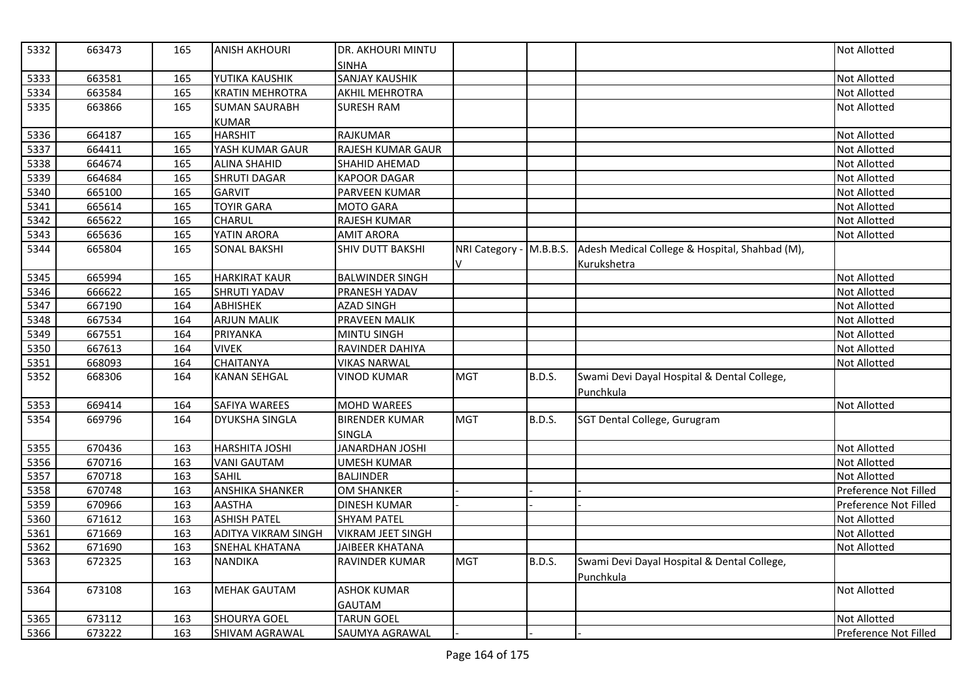| 5332 | 663473 | 165 | <b>ANISH AKHOURI</b>       | DR. AKHOURI MINTU<br><b>SINHA</b> |            |               |                                                                        | <b>Not Allotted</b>   |
|------|--------|-----|----------------------------|-----------------------------------|------------|---------------|------------------------------------------------------------------------|-----------------------|
| 5333 | 663581 | 165 | YUTIKA KAUSHIK             | <b>SANJAY KAUSHIK</b>             |            |               |                                                                        | <b>Not Allotted</b>   |
| 5334 | 663584 | 165 | <b>KRATIN MEHROTRA</b>     | <b>AKHIL MEHROTRA</b>             |            |               |                                                                        | <b>Not Allotted</b>   |
| 5335 | 663866 | 165 | <b>SUMAN SAURABH</b>       | SURESH RAM                        |            |               |                                                                        | <b>Not Allotted</b>   |
|      |        |     | <b>KUMAR</b>               |                                   |            |               |                                                                        |                       |
| 5336 | 664187 | 165 | <b>HARSHIT</b>             | <b>RAJKUMAR</b>                   |            |               |                                                                        | <b>Not Allotted</b>   |
| 5337 | 664411 | 165 | YASH KUMAR GAUR            | RAJESH KUMAR GAUR                 |            |               |                                                                        | <b>Not Allotted</b>   |
| 5338 | 664674 | 165 | <b>ALINA SHAHID</b>        | SHAHID AHEMAD                     |            |               |                                                                        | <b>Not Allotted</b>   |
| 5339 | 664684 | 165 | <b>SHRUTI DAGAR</b>        | <b>KAPOOR DAGAR</b>               |            |               |                                                                        | <b>Not Allotted</b>   |
| 5340 | 665100 | 165 | <b>GARVIT</b>              | PARVEEN KUMAR                     |            |               |                                                                        | <b>Not Allotted</b>   |
| 5341 | 665614 | 165 | <b>TOYIR GARA</b>          | <b>MOTO GARA</b>                  |            |               |                                                                        | <b>Not Allotted</b>   |
| 5342 | 665622 | 165 | <b>CHARUL</b>              | <b>RAJESH KUMAR</b>               |            |               |                                                                        | <b>Not Allotted</b>   |
| 5343 | 665636 | 165 | YATIN ARORA                | <b>AMIT ARORA</b>                 |            |               |                                                                        | Not Allotted          |
| 5344 | 665804 | 165 | <b>SONAL BAKSHI</b>        | <b>SHIV DUTT BAKSHI</b>           |            |               | NRI Category - M.B.B.S. Adesh Medical College & Hospital, Shahbad (M), |                       |
|      |        |     |                            |                                   |            |               | Kurukshetra                                                            |                       |
| 5345 | 665994 | 165 | <b>HARKIRAT KAUR</b>       | <b>BALWINDER SINGH</b>            |            |               |                                                                        | <b>Not Allotted</b>   |
| 5346 | 666622 | 165 | <b>SHRUTI YADAV</b>        | PRANESH YADAV                     |            |               |                                                                        | <b>Not Allotted</b>   |
| 5347 | 667190 | 164 | <b>ABHISHEK</b>            | <b>AZAD SINGH</b>                 |            |               |                                                                        | Not Allotted          |
| 5348 | 667534 | 164 | <b>ARJUN MALIK</b>         | PRAVEEN MALIK                     |            |               |                                                                        | <b>Not Allotted</b>   |
| 5349 | 667551 | 164 | PRIYANKA                   | <b>MINTU SINGH</b>                |            |               |                                                                        | <b>Not Allotted</b>   |
| 5350 | 667613 | 164 | <b>VIVEK</b>               | RAVINDER DAHIYA                   |            |               |                                                                        | <b>Not Allotted</b>   |
| 5351 | 668093 | 164 | <b>CHAITANYA</b>           | <b>VIKAS NARWAL</b>               |            |               |                                                                        | Not Allotted          |
| 5352 | 668306 | 164 | <b>KANAN SEHGAL</b>        | <b>VINOD KUMAR</b>                | <b>MGT</b> | <b>B.D.S.</b> | Swami Devi Dayal Hospital & Dental College,<br>Punchkula               |                       |
| 5353 | 669414 | 164 | SAFIYA WAREES              | <b>MOHD WAREES</b>                |            |               |                                                                        | Not Allotted          |
| 5354 | 669796 | 164 | <b>DYUKSHA SINGLA</b>      | <b>BIRENDER KUMAR</b>             | <b>MGT</b> | B.D.S.        | SGT Dental College, Gurugram                                           |                       |
|      |        |     |                            | SINGLA                            |            |               |                                                                        |                       |
| 5355 | 670436 | 163 | HARSHITA JOSHI             | <b>JANARDHAN JOSHI</b>            |            |               |                                                                        | <b>Not Allotted</b>   |
| 5356 | 670716 | 163 | <b>VANI GAUTAM</b>         | <b>UMESH KUMAR</b>                |            |               |                                                                        | <b>Not Allotted</b>   |
| 5357 | 670718 | 163 | <b>SAHIL</b>               | <b>BALJINDER</b>                  |            |               |                                                                        | <b>Not Allotted</b>   |
| 5358 | 670748 | 163 | <b>ANSHIKA SHANKER</b>     | <b>OM SHANKER</b>                 |            |               |                                                                        | Preference Not Filled |
| 5359 | 670966 | 163 | <b>AASTHA</b>              | <b>DINESH KUMAR</b>               |            |               |                                                                        | Preference Not Filled |
| 5360 | 671612 | 163 | <b>ASHISH PATEL</b>        | <b>SHYAM PATEL</b>                |            |               |                                                                        | Not Allotted          |
| 5361 | 671669 | 163 | <b>ADITYA VIKRAM SINGH</b> | <b>VIKRAM JEET SINGH</b>          |            |               |                                                                        | <b>Not Allotted</b>   |
| 5362 | 671690 | 163 | <b>SNEHAL KHATANA</b>      | JAIBEER KHATANA                   |            |               |                                                                        | Not Allotted          |
| 5363 | 672325 | 163 | <b>NANDIKA</b>             | <b>RAVINDER KUMAR</b>             | <b>MGT</b> | <b>B.D.S.</b> | Swami Devi Dayal Hospital & Dental College,<br>Punchkula               |                       |
| 5364 | 673108 | 163 | <b>MEHAK GAUTAM</b>        | <b>ASHOK KUMAR</b>                |            |               |                                                                        | Not Allotted          |
|      |        |     |                            | <b>GAUTAM</b>                     |            |               |                                                                        |                       |
| 5365 | 673112 | 163 | <b>SHOURYA GOEL</b>        | <b>TARUN GOEL</b>                 |            |               |                                                                        | <b>Not Allotted</b>   |
| 5366 | 673222 | 163 | SHIVAM AGRAWAL             | SAUMYA AGRAWAL                    |            |               |                                                                        | Preference Not Filled |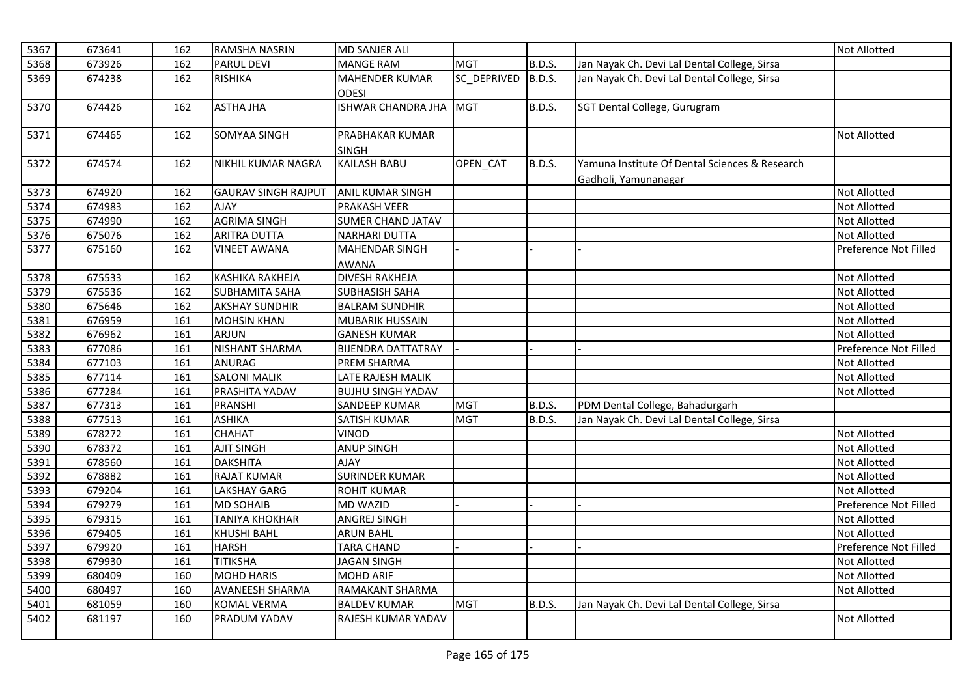| 5367 | 673641 | 162 | <b>RAMSHA NASRIN</b>       | <b>MD SANJER ALI</b>                  |             |               |                                                                        | <b>Not Allotted</b>   |
|------|--------|-----|----------------------------|---------------------------------------|-------------|---------------|------------------------------------------------------------------------|-----------------------|
| 5368 | 673926 | 162 | <b>PARUL DEVI</b>          | <b>MANGE RAM</b>                      | <b>MGT</b>  | B.D.S.        | Jan Nayak Ch. Devi Lal Dental College, Sirsa                           |                       |
| 5369 | 674238 | 162 | <b>RISHIKA</b>             | <b>MAHENDER KUMAR</b><br><b>ODESI</b> | SC_DEPRIVED | B.D.S.        | Jan Nayak Ch. Devi Lal Dental College, Sirsa                           |                       |
| 5370 | 674426 | 162 | <b>ASTHA JHA</b>           | <b>ISHWAR CHANDRA JHA</b>             | <b>MGT</b>  | <b>B.D.S.</b> | SGT Dental College, Gurugram                                           |                       |
| 5371 | 674465 | 162 | <b>SOMYAA SINGH</b>        | PRABHAKAR KUMAR<br><b>SINGH</b>       |             |               |                                                                        | <b>Not Allotted</b>   |
| 5372 | 674574 | 162 | NIKHIL KUMAR NAGRA         | <b>KAILASH BABU</b>                   | OPEN CAT    | <b>B.D.S.</b> | Yamuna Institute Of Dental Sciences & Research<br>Gadholi, Yamunanagar |                       |
| 5373 | 674920 | 162 | <b>GAURAV SINGH RAJPUT</b> | <b>ANIL KUMAR SINGH</b>               |             |               |                                                                        | Not Allotted          |
| 5374 | 674983 | 162 | <b>AJAY</b>                | <b>PRAKASH VEER</b>                   |             |               |                                                                        | <b>Not Allotted</b>   |
| 5375 | 674990 | 162 | <b>AGRIMA SINGH</b>        | <b>SUMER CHAND JATAV</b>              |             |               |                                                                        | <b>Not Allotted</b>   |
| 5376 | 675076 | 162 | <b>ARITRA DUTTA</b>        | <b>NARHARI DUTTA</b>                  |             |               |                                                                        | <b>Not Allotted</b>   |
| 5377 | 675160 | 162 | <b>VINEET AWANA</b>        | <b>MAHENDAR SINGH</b><br><b>AWANA</b> |             |               |                                                                        | Preference Not Filled |
| 5378 | 675533 | 162 | <b>KASHIKA RAKHEJA</b>     | <b>DIVESH RAKHEJA</b>                 |             |               |                                                                        | Not Allotted          |
| 5379 | 675536 | 162 | <b>SUBHAMITA SAHA</b>      | <b>SUBHASISH SAHA</b>                 |             |               |                                                                        | <b>Not Allotted</b>   |
| 5380 | 675646 | 162 | <b>AKSHAY SUNDHIR</b>      | <b>BALRAM SUNDHIR</b>                 |             |               |                                                                        | <b>Not Allotted</b>   |
| 5381 | 676959 | 161 | <b>MOHSIN KHAN</b>         | <b>MUBARIK HUSSAIN</b>                |             |               |                                                                        | Not Allotted          |
| 5382 | 676962 | 161 | ARJUN                      | <b>GANESH KUMAR</b>                   |             |               |                                                                        | <b>Not Allotted</b>   |
| 5383 | 677086 | 161 | <b>NISHANT SHARMA</b>      | <b>BIJENDRA DATTATRAY</b>             |             |               |                                                                        | Preference Not Filled |
| 5384 | 677103 | 161 | <b>ANURAG</b>              | PREM SHARMA                           |             |               |                                                                        | <b>Not Allotted</b>   |
| 5385 | 677114 | 161 | <b>SALONI MALIK</b>        | LATE RAJESH MALIK                     |             |               |                                                                        | <b>Not Allotted</b>   |
| 5386 | 677284 | 161 | PRASHITA YADAV             | <b>BUJHU SINGH YADAV</b>              |             |               |                                                                        | Not Allotted          |
| 5387 | 677313 | 161 | <b>PRANSHI</b>             | <b>SANDEEP KUMAR</b>                  | <b>MGT</b>  | B.D.S.        | PDM Dental College, Bahadurgarh                                        |                       |
| 5388 | 677513 | 161 | <b>ASHIKA</b>              | SATISH KUMAR                          | <b>MGT</b>  | B.D.S.        | Jan Nayak Ch. Devi Lal Dental College, Sirsa                           |                       |
| 5389 | 678272 | 161 | CHAHAT                     | <b>VINOD</b>                          |             |               |                                                                        | <b>Not Allotted</b>   |
| 5390 | 678372 | 161 | <b>AJIT SINGH</b>          | <b>ANUP SINGH</b>                     |             |               |                                                                        | <b>Not Allotted</b>   |
| 5391 | 678560 | 161 | <b>DAKSHITA</b>            | <b>AJAY</b>                           |             |               |                                                                        | <b>Not Allotted</b>   |
| 5392 | 678882 | 161 | <b>RAJAT KUMAR</b>         | <b>SURINDER KUMAR</b>                 |             |               |                                                                        | Not Allotted          |
| 5393 | 679204 | 161 | <b>LAKSHAY GARG</b>        | <b>ROHIT KUMAR</b>                    |             |               |                                                                        | <b>Not Allotted</b>   |
| 5394 | 679279 | 161 | <b>MD SOHAIB</b>           | MD WAZID                              |             |               |                                                                        | Preference Not Filled |
| 5395 | 679315 | 161 | <b>TANIYA KHOKHAR</b>      | <b>ANGREJ SINGH</b>                   |             |               |                                                                        | <b>Not Allotted</b>   |
| 5396 | 679405 | 161 | <b>KHUSHI BAHL</b>         | <b>ARUN BAHL</b>                      |             |               |                                                                        | <b>Not Allotted</b>   |
| 5397 | 679920 | 161 | <b>HARSH</b>               | <b>TARA CHAND</b>                     |             |               |                                                                        | Preference Not Filled |
| 5398 | 679930 | 161 | <b>TITIKSHA</b>            | <b>JAGAN SINGH</b>                    |             |               |                                                                        | Not Allotted          |
| 5399 | 680409 | 160 | <b>MOHD HARIS</b>          | <b>MOHD ARIF</b>                      |             |               |                                                                        | <b>Not Allotted</b>   |
| 5400 | 680497 | 160 | <b>AVANEESH SHARMA</b>     | RAMAKANT SHARMA                       |             |               |                                                                        | <b>Not Allotted</b>   |
| 5401 | 681059 | 160 | <b>KOMAL VERMA</b>         | <b>BALDEV KUMAR</b>                   | <b>MGT</b>  | B.D.S.        | Jan Nayak Ch. Devi Lal Dental College, Sirsa                           |                       |
| 5402 | 681197 | 160 | PRADUM YADAV               | RAJESH KUMAR YADAV                    |             |               |                                                                        | <b>Not Allotted</b>   |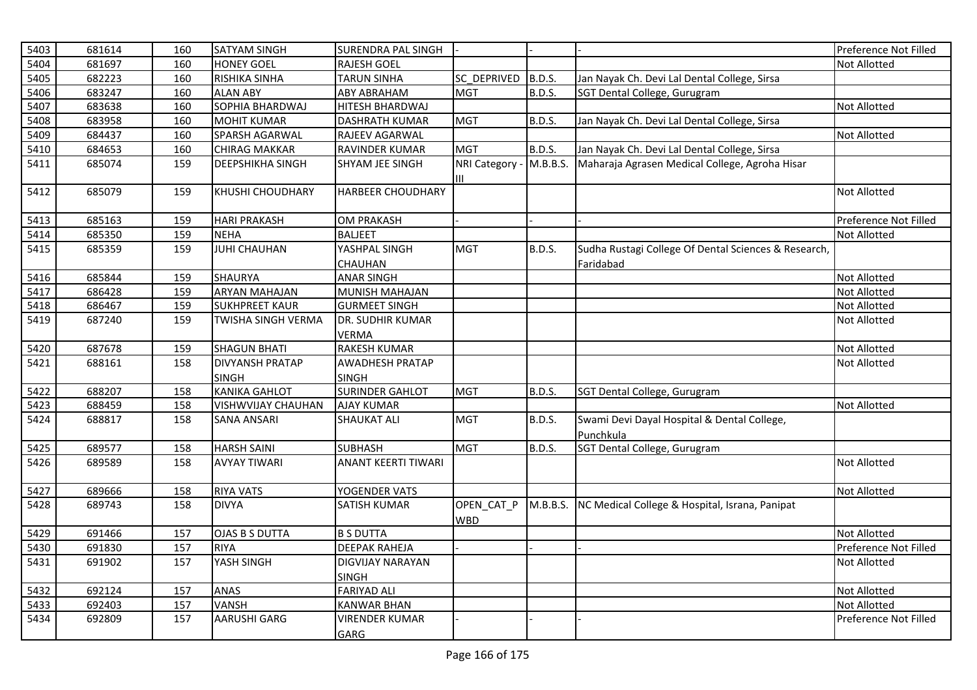| 5403 | 681614 | 160 | <b>SATYAM SINGH</b>       | <b>SURENDRA PAL SINGH</b>       |                          |               |                                                                   | Preference Not Filled |
|------|--------|-----|---------------------------|---------------------------------|--------------------------|---------------|-------------------------------------------------------------------|-----------------------|
| 5404 | 681697 | 160 | <b>HONEY GOEL</b>         | <b>RAJESH GOEL</b>              |                          |               |                                                                   | Not Allotted          |
| 5405 | 682223 | 160 | <b>RISHIKA SINHA</b>      | <b>TARUN SINHA</b>              | SC DEPRIVED              | B.D.S.        | Jan Nayak Ch. Devi Lal Dental College, Sirsa                      |                       |
| 5406 | 683247 | 160 | <b>ALAN ABY</b>           | <b>ABY ABRAHAM</b>              | <b>MGT</b>               | <b>B.D.S.</b> | SGT Dental College, Gurugram                                      |                       |
| 5407 | 683638 | 160 | SOPHIA BHARDWAJ           | HITESH BHARDWAJ                 |                          |               |                                                                   | <b>Not Allotted</b>   |
| 5408 | 683958 | 160 | <b>MOHIT KUMAR</b>        | <b>DASHRATH KUMAR</b>           | <b>MGT</b>               | B.D.S.        | Jan Nayak Ch. Devi Lal Dental College, Sirsa                      |                       |
| 5409 | 684437 | 160 | SPARSH AGARWAL            | RAJEEV AGARWAL                  |                          |               |                                                                   | Not Allotted          |
| 5410 | 684653 | 160 | <b>CHIRAG MAKKAR</b>      | RAVINDER KUMAR                  | <b>MGT</b>               | B.D.S.        | Jan Nayak Ch. Devi Lal Dental College, Sirsa                      |                       |
| 5411 | 685074 | 159 | <b>DEEPSHIKHA SINGH</b>   | SHYAM JEE SINGH                 | NRI Category -<br>Ш      | M.B.B.S.      | Maharaja Agrasen Medical College, Agroha Hisar                    |                       |
| 5412 | 685079 | 159 | <b>KHUSHI CHOUDHARY</b>   | <b>HARBEER CHOUDHARY</b>        |                          |               |                                                                   | <b>Not Allotted</b>   |
| 5413 | 685163 | 159 | <b>HARI PRAKASH</b>       | <b>OM PRAKASH</b>               |                          |               |                                                                   | Preference Not Filled |
| 5414 | 685350 | 159 | <b>NEHA</b>               | <b>BALJEET</b>                  |                          |               |                                                                   | <b>Not Allotted</b>   |
| 5415 | 685359 | 159 | <b>JUHI CHAUHAN</b>       | YASHPAL SINGH<br><b>CHAUHAN</b> | <b>MGT</b>               | <b>B.D.S.</b> | Sudha Rustagi College Of Dental Sciences & Research,<br>Faridabad |                       |
| 5416 | 685844 | 159 | <b>SHAURYA</b>            | <b>ANAR SINGH</b>               |                          |               |                                                                   | Not Allotted          |
| 5417 | 686428 | 159 | <b>ARYAN MAHAJAN</b>      | MUNISH MAHAJAN                  |                          |               |                                                                   | Not Allotted          |
| 5418 | 686467 | 159 | <b>SUKHPREET KAUR</b>     | <b>GURMEET SINGH</b>            |                          |               |                                                                   | Not Allotted          |
| 5419 | 687240 | 159 | <b>TWISHA SINGH VERMA</b> | DR. SUDHIR KUMAR                |                          |               |                                                                   | <b>Not Allotted</b>   |
|      |        |     |                           | <b>VERMA</b>                    |                          |               |                                                                   |                       |
| 5420 | 687678 | 159 | <b>SHAGUN BHATI</b>       | <b>RAKESH KUMAR</b>             |                          |               |                                                                   | Not Allotted          |
| 5421 | 688161 | 158 | <b>DIVYANSH PRATAP</b>    | <b>AWADHESH PRATAP</b>          |                          |               |                                                                   | Not Allotted          |
|      |        |     | <b>SINGH</b>              | <b>SINGH</b>                    |                          |               |                                                                   |                       |
| 5422 | 688207 | 158 | <b>KANIKA GAHLOT</b>      | <b>SURINDER GAHLOT</b>          | <b>MGT</b>               | B.D.S.        | SGT Dental College, Gurugram                                      |                       |
| 5423 | 688459 | 158 | <b>VISHWVIJAY CHAUHAN</b> | <b>AJAY KUMAR</b>               |                          |               |                                                                   | <b>Not Allotted</b>   |
| 5424 | 688817 | 158 | <b>SANA ANSARI</b>        | <b>SHAUKAT ALI</b>              | <b>MGT</b>               | <b>B.D.S.</b> | Swami Devi Dayal Hospital & Dental College,                       |                       |
|      |        |     |                           |                                 |                          |               | Punchkula                                                         |                       |
| 5425 | 689577 | 158 | <b>HARSH SAINI</b>        | <b>SUBHASH</b>                  | <b>MGT</b>               | B.D.S.        | SGT Dental College, Gurugram                                      |                       |
| 5426 | 689589 | 158 | <b>AVYAY TIWARI</b>       | <b>ANANT KEERTI TIWARI</b>      |                          |               |                                                                   | <b>Not Allotted</b>   |
| 5427 | 689666 | 158 | <b>RIYA VATS</b>          | YOGENDER VATS                   |                          |               |                                                                   | <b>Not Allotted</b>   |
| 5428 | 689743 | 158 | <b>DIVYA</b>              | <b>SATISH KUMAR</b>             | OPEN_CAT_P<br><b>WBD</b> | M.B.B.S.      | NC Medical College & Hospital, Israna, Panipat                    |                       |
| 5429 | 691466 | 157 | <b>OJAS B S DUTTA</b>     | <b>B S DUTTA</b>                |                          |               |                                                                   | <b>Not Allotted</b>   |
| 5430 | 691830 | 157 | <b>RIYA</b>               | <b>DEEPAK RAHEJA</b>            |                          |               |                                                                   | Preference Not Filled |
| 5431 | 691902 | 157 | YASH SINGH                | DIGVIJAY NARAYAN                |                          |               |                                                                   | Not Allotted          |
|      |        |     |                           | <b>SINGH</b>                    |                          |               |                                                                   |                       |
| 5432 | 692124 | 157 | <b>ANAS</b>               | <b>FARIYAD ALI</b>              |                          |               |                                                                   | Not Allotted          |
| 5433 | 692403 | 157 | <b>VANSH</b>              | <b>KANWAR BHAN</b>              |                          |               |                                                                   | <b>Not Allotted</b>   |
| 5434 | 692809 | 157 | <b>AARUSHI GARG</b>       | <b>VIRENDER KUMAR</b>           |                          |               |                                                                   | Preference Not Filled |
|      |        |     |                           | <b>GARG</b>                     |                          |               |                                                                   |                       |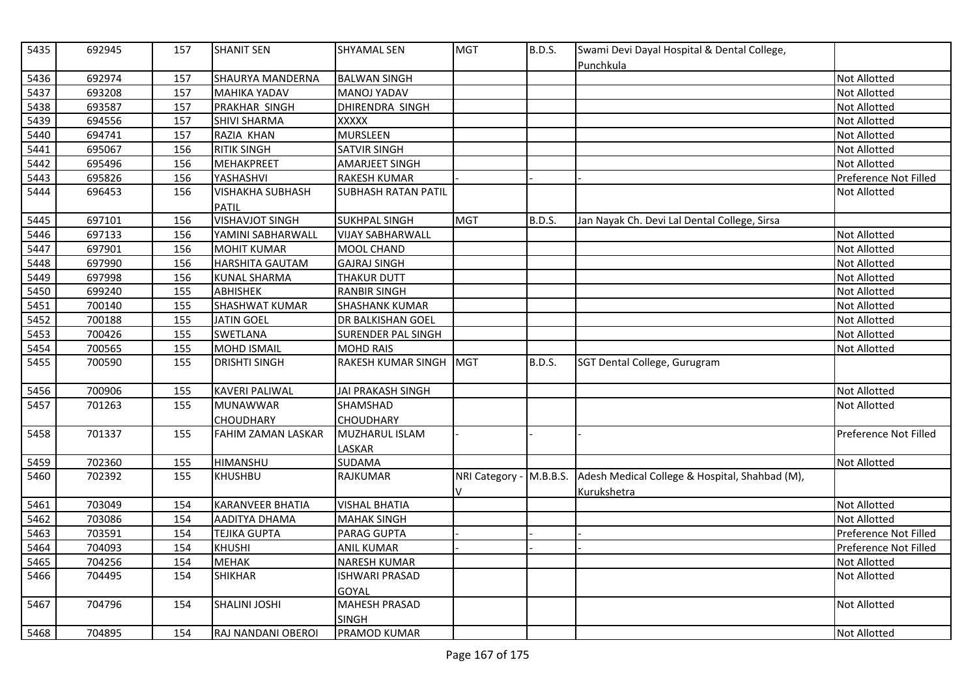| 5435 | 692945 | 157 | <b>SHANIT SEN</b>         | <b>SHYAMAL SEN</b>         | <b>MGT</b>                   | <b>B.D.S.</b> | Swami Devi Dayal Hospital & Dental College,<br>Punchkula      |                       |
|------|--------|-----|---------------------------|----------------------------|------------------------------|---------------|---------------------------------------------------------------|-----------------------|
| 5436 | 692974 | 157 | <b>SHAURYA MANDERNA</b>   | <b>BALWAN SINGH</b>        |                              |               |                                                               | Not Allotted          |
| 5437 | 693208 | 157 | <b>MAHIKA YADAV</b>       | <b>MANOJ YADAV</b>         |                              |               |                                                               | Not Allotted          |
| 5438 | 693587 | 157 | PRAKHAR SINGH             | DHIRENDRA SINGH            |                              |               |                                                               | Not Allotted          |
| 5439 | 694556 | 157 | <b>SHIVI SHARMA</b>       | XXXXX                      |                              |               |                                                               | Not Allotted          |
| 5440 | 694741 | 157 | RAZIA KHAN                | <b>MURSLEEN</b>            |                              |               |                                                               | Not Allotted          |
| 5441 | 695067 | 156 | <b>RITIK SINGH</b>        | <b>SATVIR SINGH</b>        |                              |               |                                                               | Not Allotted          |
| 5442 | 695496 | 156 | MEHAKPREET                | <b>AMARJEET SINGH</b>      |                              |               |                                                               | <b>Not Allotted</b>   |
| 5443 | 695826 | 156 | YASHASHVI                 | RAKESH KUMAR               |                              |               |                                                               | Preference Not Filled |
| 5444 | 696453 | 156 | <b>VISHAKHA SUBHASH</b>   | <b>SUBHASH RATAN PATIL</b> |                              |               |                                                               | <b>Not Allotted</b>   |
|      |        |     | PATIL                     |                            |                              |               |                                                               |                       |
| 5445 | 697101 | 156 | <b>VISHAVJOT SINGH</b>    | <b>SUKHPAL SINGH</b>       | <b>MGT</b>                   | <b>B.D.S.</b> | Jan Nayak Ch. Devi Lal Dental College, Sirsa                  |                       |
| 5446 | 697133 | 156 | YAMINI SABHARWALL         | <b>VIJAY SABHARWALL</b>    |                              |               |                                                               | Not Allotted          |
| 5447 | 697901 | 156 | <b>MOHIT KUMAR</b>        | MOOL CHAND                 |                              |               |                                                               | Not Allotted          |
| 5448 | 697990 | 156 | HARSHITA GAUTAM           | <b>GAJRAJ SINGH</b>        |                              |               |                                                               | <b>Not Allotted</b>   |
| 5449 | 697998 | 156 | <b>KUNAL SHARMA</b>       | <b>THAKUR DUTT</b>         |                              |               |                                                               | <b>Not Allotted</b>   |
| 5450 | 699240 | 155 | ABHISHEK                  | <b>RANBIR SINGH</b>        |                              |               |                                                               | Not Allotted          |
| 5451 | 700140 | 155 | <b>SHASHWAT KUMAR</b>     | <b>SHASHANK KUMAR</b>      |                              |               |                                                               | <b>Not Allotted</b>   |
| 5452 | 700188 | 155 | <b>JATIN GOEL</b>         | DR BALKISHAN GOEL          |                              |               |                                                               | Not Allotted          |
| 5453 | 700426 | 155 | SWETLANA                  | SURENDER PAL SINGH         |                              |               |                                                               | <b>Not Allotted</b>   |
| 5454 | 700565 | 155 | <b>MOHD ISMAIL</b>        | <b>MOHD RAIS</b>           |                              |               |                                                               | <b>Not Allotted</b>   |
| 5455 | 700590 | 155 | <b>DRISHTI SINGH</b>      | RAKESH KUMAR SINGH MGT     |                              | <b>B.D.S.</b> | SGT Dental College, Gurugram                                  |                       |
| 5456 | 700906 | 155 | <b>KAVERI PALIWAL</b>     | <b>JAI PRAKASH SINGH</b>   |                              |               |                                                               | Not Allotted          |
| 5457 | 701263 | 155 | <b>MUNAWWAR</b>           | <b>SHAMSHAD</b>            |                              |               |                                                               | Not Allotted          |
|      |        |     | CHOUDHARY                 | <b>CHOUDHARY</b>           |                              |               |                                                               |                       |
| 5458 | 701337 | 155 | <b>FAHIM ZAMAN LASKAR</b> | MUZHARUL ISLAM             |                              |               |                                                               | Preference Not Filled |
|      |        |     |                           | LASKAR                     |                              |               |                                                               |                       |
| 5459 | 702360 | 155 | <b>HIMANSHU</b>           | <b>SUDAMA</b>              |                              |               |                                                               | <b>Not Allotted</b>   |
| 5460 | 702392 | 155 | <b>KHUSHBU</b>            | RAJKUMAR                   | NRI Category - M.B.B.S.<br>v |               | Adesh Medical College & Hospital, Shahbad (M),<br>Kurukshetra |                       |
| 5461 | 703049 | 154 | <b>KARANVEER BHATIA</b>   | <b>VISHAL BHATIA</b>       |                              |               |                                                               | Not Allotted          |
| 5462 | 703086 | 154 | AADITYA DHAMA             | <b>MAHAK SINGH</b>         |                              |               |                                                               | <b>Not Allotted</b>   |
| 5463 | 703591 | 154 | <b>TEJIKA GUPTA</b>       | <b>PARAG GUPTA</b>         |                              |               |                                                               | Preference Not Filled |
| 5464 | 704093 | 154 | <b>KHUSHI</b>             | <b>ANIL KUMAR</b>          |                              |               |                                                               | Preference Not Filled |
| 5465 | 704256 | 154 | <b>MEHAK</b>              | <b>NARESH KUMAR</b>        |                              |               |                                                               | <b>Not Allotted</b>   |
| 5466 | 704495 | 154 | <b>SHIKHAR</b>            | <b>ISHWARI PRASAD</b>      |                              |               |                                                               | <b>Not Allotted</b>   |
|      |        |     |                           | <b>GOYAL</b>               |                              |               |                                                               |                       |
| 5467 | 704796 | 154 | <b>SHALINI JOSHI</b>      | <b>MAHESH PRASAD</b>       |                              |               |                                                               | Not Allotted          |
|      |        |     |                           | <b>SINGH</b>               |                              |               |                                                               |                       |
| 5468 | 704895 | 154 | RAJ NANDANI OBEROI        | PRAMOD KUMAR               |                              |               |                                                               | <b>Not Allotted</b>   |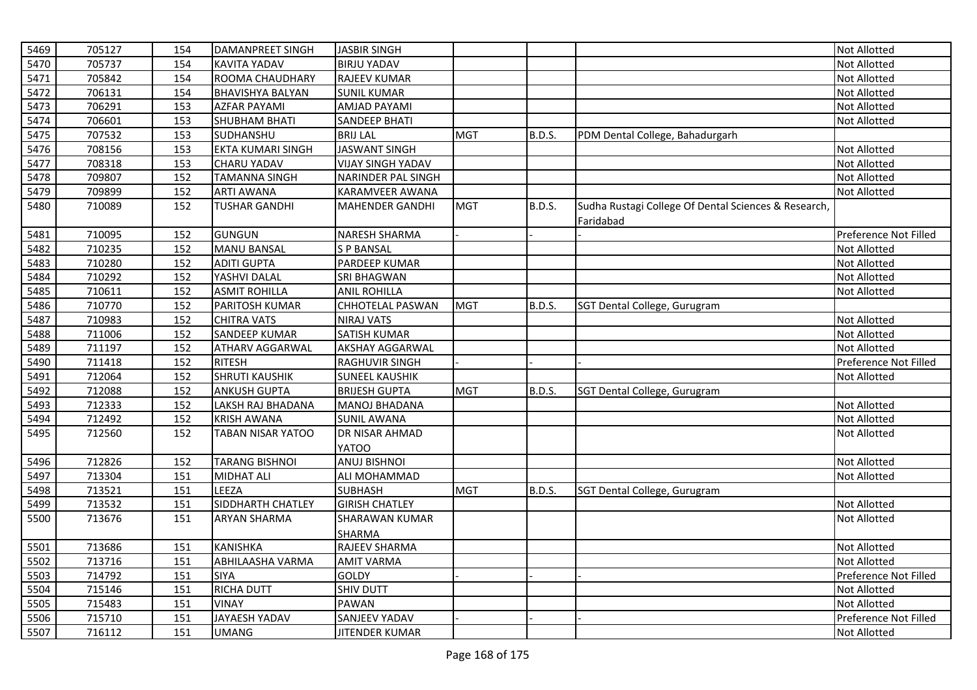| 5469 | 705127 | 154 | <b>DAMANPREET SINGH</b>  | <b>JASBIR SINGH</b>      |            |               |                                                                   | Not Allotted          |
|------|--------|-----|--------------------------|--------------------------|------------|---------------|-------------------------------------------------------------------|-----------------------|
| 5470 | 705737 | 154 | <b>KAVITA YADAV</b>      | <b>BIRJU YADAV</b>       |            |               |                                                                   | Not Allotted          |
| 5471 | 705842 | 154 | ROOMA CHAUDHARY          | RAJEEV KUMAR             |            |               |                                                                   | Not Allotted          |
| 5472 | 706131 | 154 | <b>BHAVISHYA BALYAN</b>  | <b>SUNIL KUMAR</b>       |            |               |                                                                   | Not Allotted          |
| 5473 | 706291 | 153 | <b>AZFAR PAYAMI</b>      | AMJAD PAYAMI             |            |               |                                                                   | Not Allotted          |
| 5474 | 706601 | 153 | <b>SHUBHAM BHATI</b>     | <b>SANDEEP BHATI</b>     |            |               |                                                                   | Not Allotted          |
| 5475 | 707532 | 153 | SUDHANSHU                | <b>BRIJ LAL</b>          | <b>MGT</b> | <b>B.D.S.</b> | PDM Dental College, Bahadurgarh                                   |                       |
| 5476 | 708156 | 153 | <b>EKTA KUMARI SINGH</b> | <b>JASWANT SINGH</b>     |            |               |                                                                   | Not Allotted          |
| 5477 | 708318 | 153 | <b>CHARU YADAV</b>       | <b>VIJAY SINGH YADAV</b> |            |               |                                                                   | Not Allotted          |
| 5478 | 709807 | 152 | <b>TAMANNA SINGH</b>     | NARINDER PAL SINGH       |            |               |                                                                   | Not Allotted          |
| 5479 | 709899 | 152 | <b>ARTI AWANA</b>        | <b>KARAMVEER AWANA</b>   |            |               |                                                                   | Not Allotted          |
| 5480 | 710089 | 152 | <b>TUSHAR GANDHI</b>     | <b>MAHENDER GANDHI</b>   | <b>MGT</b> | <b>B.D.S.</b> | Sudha Rustagi College Of Dental Sciences & Research,<br>Faridabad |                       |
| 5481 | 710095 | 152 | <b>GUNGUN</b>            | NARESH SHARMA            |            |               |                                                                   | Preference Not Filled |
| 5482 | 710235 | 152 | <b>MANU BANSAL</b>       | <b>SP BANSAL</b>         |            |               |                                                                   | Not Allotted          |
| 5483 | 710280 | 152 | <b>ADITI GUPTA</b>       | PARDEEP KUMAR            |            |               |                                                                   | Not Allotted          |
| 5484 | 710292 | 152 | YASHVI DALAL             | SRI BHAGWAN              |            |               |                                                                   | Not Allotted          |
| 5485 | 710611 | 152 | <b>ASMIT ROHILLA</b>     | <b>ANIL ROHILLA</b>      |            |               |                                                                   | Not Allotted          |
| 5486 | 710770 | 152 | PARITOSH KUMAR           | CHHOTELAL PASWAN         | <b>MGT</b> | B.D.S.        | SGT Dental College, Gurugram                                      |                       |
| 5487 | 710983 | 152 | <b>CHITRA VATS</b>       | <b>NIRAJ VATS</b>        |            |               |                                                                   | Not Allotted          |
| 5488 | 711006 | 152 | <b>SANDEEP KUMAR</b>     | SATISH KUMAR             |            |               |                                                                   | Not Allotted          |
| 5489 | 711197 | 152 | <b>ATHARV AGGARWAL</b>   | <b>AKSHAY AGGARWAL</b>   |            |               |                                                                   | Not Allotted          |
| 5490 | 711418 | 152 | <b>RITESH</b>            | RAGHUVIR SINGH           |            |               |                                                                   | Preference Not Filled |
| 5491 | 712064 | 152 | <b>SHRUTI KAUSHIK</b>    | <b>SUNEEL KAUSHIK</b>    |            |               |                                                                   | Not Allotted          |
| 5492 | 712088 | 152 | <b>ANKUSH GUPTA</b>      | <b>BRIJESH GUPTA</b>     | <b>MGT</b> | <b>B.D.S.</b> | SGT Dental College, Gurugram                                      |                       |
| 5493 | 712333 | 152 | LAKSH RAJ BHADANA        | MANOJ BHADANA            |            |               |                                                                   | Not Allotted          |
| 5494 | 712492 | 152 | <b>KRISH AWANA</b>       | <b>SUNIL AWANA</b>       |            |               |                                                                   | Not Allotted          |
| 5495 | 712560 | 152 | <b>TABAN NISAR YATOO</b> | DR NISAR AHMAD           |            |               |                                                                   | Not Allotted          |
|      |        |     |                          | YATOO                    |            |               |                                                                   |                       |
| 5496 | 712826 | 152 | <b>TARANG BISHNOI</b>    | <b>ANUJ BISHNOI</b>      |            |               |                                                                   | Not Allotted          |
| 5497 | 713304 | 151 | <b>MIDHAT ALI</b>        | ALI MOHAMMAD             |            |               |                                                                   | Not Allotted          |
| 5498 | 713521 | 151 | LEEZA                    | <b>SUBHASH</b>           | <b>MGT</b> | <b>B.D.S.</b> | SGT Dental College, Gurugram                                      |                       |
| 5499 | 713532 | 151 | SIDDHARTH CHATLEY        | <b>GIRISH CHATLEY</b>    |            |               |                                                                   | Not Allotted          |
| 5500 | 713676 | 151 | <b>ARYAN SHARMA</b>      | <b>SHARAWAN KUMAR</b>    |            |               |                                                                   | Not Allotted          |
|      |        |     |                          | SHARMA                   |            |               |                                                                   |                       |
| 5501 | 713686 | 151 | <b>KANISHKA</b>          | RAJEEV SHARMA            |            |               |                                                                   | Not Allotted          |
| 5502 | 713716 | 151 | ABHILAASHA VARMA         | <b>AMIT VARMA</b>        |            |               |                                                                   | <b>Not Allotted</b>   |
| 5503 | 714792 | 151 | <b>SIYA</b>              | <b>GOLDY</b>             |            |               |                                                                   | Preference Not Filled |
| 5504 | 715146 | 151 | <b>RICHA DUTT</b>        | SHIV DUTT                |            |               |                                                                   | Not Allotted          |
| 5505 | 715483 | 151 | <b>VINAY</b>             | <b>PAWAN</b>             |            |               |                                                                   | Not Allotted          |
| 5506 | 715710 | 151 | <b>JAYAESH YADAV</b>     | SANJEEV YADAV            |            |               |                                                                   | Preference Not Filled |
| 5507 | 716112 | 151 | <b>UMANG</b>             | <b>JITENDER KUMAR</b>    |            |               |                                                                   | Not Allotted          |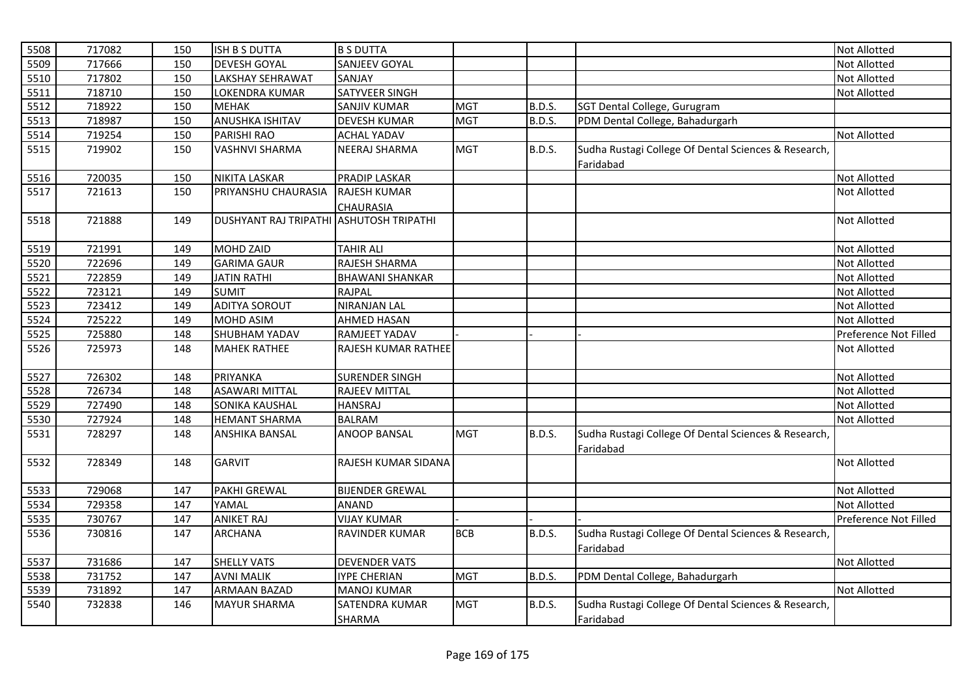| 5508 | 717082 | 150 | ISH B S DUTTA                           | <b>B S DUTTA</b>       |            |               |                                                                   | <b>Not Allotted</b>   |
|------|--------|-----|-----------------------------------------|------------------------|------------|---------------|-------------------------------------------------------------------|-----------------------|
| 5509 | 717666 | 150 | <b>DEVESH GOYAL</b>                     | SANJEEV GOYAL          |            |               |                                                                   | Not Allotted          |
| 5510 | 717802 | 150 | LAKSHAY SEHRAWAT                        | SANJAY                 |            |               |                                                                   | Not Allotted          |
| 5511 | 718710 | 150 | LOKENDRA KUMAR                          | SATYVEER SINGH         |            |               |                                                                   | Not Allotted          |
| 5512 | 718922 | 150 | <b>MEHAK</b>                            | <b>SANJIV KUMAR</b>    | <b>MGT</b> | <b>B.D.S.</b> | SGT Dental College, Gurugram                                      |                       |
| 5513 | 718987 | 150 | <b>ANUSHKA ISHITAV</b>                  | <b>DEVESH KUMAR</b>    | <b>MGT</b> | B.D.S.        | PDM Dental College, Bahadurgarh                                   |                       |
| 5514 | 719254 | 150 | PARISHI RAO                             | <b>ACHAL YADAV</b>     |            |               |                                                                   | Not Allotted          |
| 5515 | 719902 | 150 | <b>VASHNVI SHARMA</b>                   | <b>NEERAJ SHARMA</b>   | <b>MGT</b> | <b>B.D.S.</b> | Sudha Rustagi College Of Dental Sciences & Research,              |                       |
|      |        |     |                                         |                        |            |               | Faridabad                                                         |                       |
| 5516 | 720035 | 150 | <b>NIKITA LASKAR</b>                    | <b>PRADIP LASKAR</b>   |            |               |                                                                   | Not Allotted          |
| 5517 | 721613 | 150 | PRIYANSHU CHAURASIA                     | <b>RAJESH KUMAR</b>    |            |               |                                                                   | <b>Not Allotted</b>   |
|      |        |     |                                         | <b>CHAURASIA</b>       |            |               |                                                                   |                       |
| 5518 | 721888 | 149 | DUSHYANT RAJ TRIPATHI ASHUTOSH TRIPATHI |                        |            |               |                                                                   | <b>Not Allotted</b>   |
|      |        |     |                                         |                        |            |               |                                                                   |                       |
| 5519 | 721991 | 149 | MOHD ZAID                               | <b>TAHIR ALI</b>       |            |               |                                                                   | Not Allotted          |
| 5520 | 722696 | 149 | <b>GARIMA GAUR</b>                      | RAJESH SHARMA          |            |               |                                                                   | Not Allotted          |
| 5521 | 722859 | 149 | <b>JATIN RATHI</b>                      | <b>BHAWANI SHANKAR</b> |            |               |                                                                   | Not Allotted          |
| 5522 | 723121 | 149 | <b>SUMIT</b>                            | <b>RAJPAL</b>          |            |               |                                                                   | Not Allotted          |
| 5523 | 723412 | 149 | <b>ADITYA SOROUT</b>                    | <b>NIRANJAN LAL</b>    |            |               |                                                                   | Not Allotted          |
| 5524 | 725222 | 149 | MOHD ASIM                               | <b>AHMED HASAN</b>     |            |               |                                                                   | <b>Not Allotted</b>   |
| 5525 | 725880 | 148 | <b>SHUBHAM YADAV</b>                    | RAMJEET YADAV          |            |               |                                                                   | Preference Not Filled |
| 5526 | 725973 | 148 | <b>MAHEK RATHEE</b>                     | RAJESH KUMAR RATHEE    |            |               |                                                                   | <b>Not Allotted</b>   |
| 5527 | 726302 | 148 | PRIYANKA                                | <b>SURENDER SINGH</b>  |            |               |                                                                   | Not Allotted          |
| 5528 | 726734 | 148 | <b>ASAWARI MITTAL</b>                   | <b>RAJEEV MITTAL</b>   |            |               |                                                                   | <b>Not Allotted</b>   |
| 5529 | 727490 | 148 | <b>SONIKA KAUSHAL</b>                   | <b>HANSRAJ</b>         |            |               |                                                                   | Not Allotted          |
| 5530 | 727924 | 148 | <b>HEMANT SHARMA</b>                    | <b>BALRAM</b>          |            |               |                                                                   | <b>Not Allotted</b>   |
| 5531 | 728297 | 148 | ANSHIKA BANSAL                          | <b>ANOOP BANSAL</b>    | <b>MGT</b> | <b>B.D.S.</b> | Sudha Rustagi College Of Dental Sciences & Research,<br>Faridabad |                       |
| 5532 | 728349 | 148 | <b>GARVIT</b>                           | RAJESH KUMAR SIDANA    |            |               |                                                                   | <b>Not Allotted</b>   |
| 5533 | 729068 | 147 | <b>PAKHI GREWAL</b>                     | <b>BIJENDER GREWAL</b> |            |               |                                                                   | <b>Not Allotted</b>   |
| 5534 | 729358 | 147 | YAMAL                                   | <b>ANAND</b>           |            |               |                                                                   | Not Allotted          |
| 5535 | 730767 | 147 | <b>ANIKET RAJ</b>                       | <b>VIJAY KUMAR</b>     |            |               |                                                                   | Preference Not Filled |
| 5536 | 730816 | 147 | <b>ARCHANA</b>                          | RAVINDER KUMAR         | <b>BCB</b> | <b>B.D.S.</b> | Sudha Rustagi College Of Dental Sciences & Research,              |                       |
|      |        |     |                                         |                        |            |               | Faridabad                                                         |                       |
| 5537 | 731686 | 147 | <b>SHELLY VATS</b>                      | <b>DEVENDER VATS</b>   |            |               |                                                                   | Not Allotted          |
| 5538 | 731752 | 147 | <b>AVNI MALIK</b>                       | <b>IYPE CHERIAN</b>    | <b>MGT</b> | B.D.S.        | PDM Dental College, Bahadurgarh                                   |                       |
| 5539 | 731892 | 147 | ARMAAN BAZAD                            | <b>MANOJ KUMAR</b>     |            |               |                                                                   | Not Allotted          |
| 5540 | 732838 | 146 | <b>MAYUR SHARMA</b>                     | <b>SATENDRA KUMAR</b>  | <b>MGT</b> | <b>B.D.S.</b> | Sudha Rustagi College Of Dental Sciences & Research,              |                       |
|      |        |     |                                         | SHARMA                 |            |               | Faridabad                                                         |                       |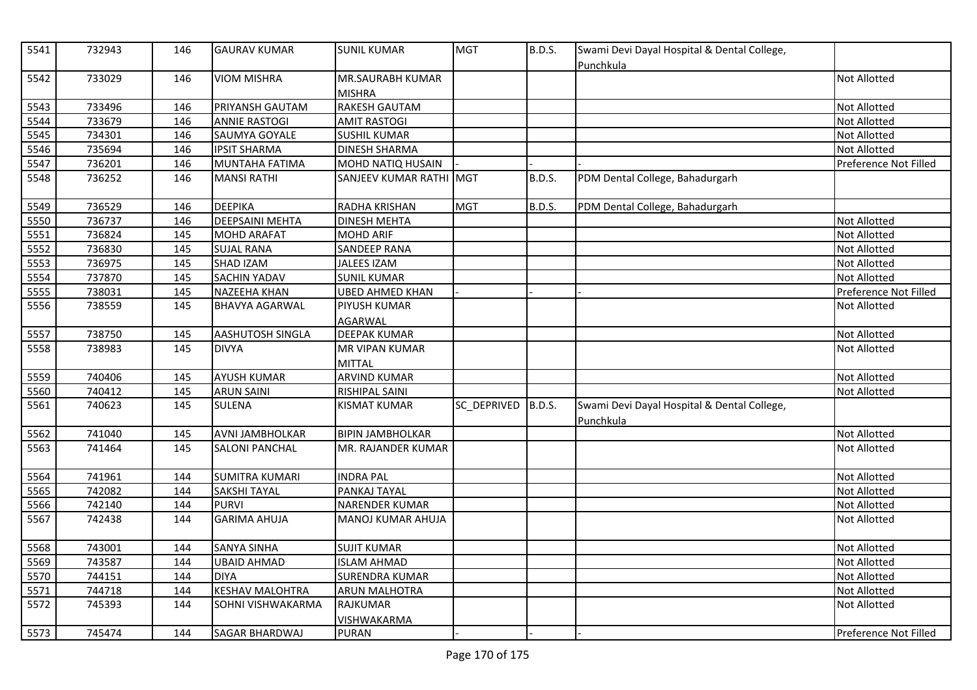| 5541 | 732943 | 146 | <b>GAURAV KUMAR</b>    | <b>SUNIL KUMAR</b>                       | <b>MGT</b>  | <b>B.D.S.</b> | Swami Devi Dayal Hospital & Dental College,<br>Punchkula |                       |
|------|--------|-----|------------------------|------------------------------------------|-------------|---------------|----------------------------------------------------------|-----------------------|
| 5542 | 733029 | 146 | <b>VIOM MISHRA</b>     | <b>MR.SAURABH KUMAR</b><br><b>MISHRA</b> |             |               |                                                          | Not Allotted          |
| 5543 | 733496 | 146 | PRIYANSH GAUTAM        | <b>RAKESH GAUTAM</b>                     |             |               |                                                          | Not Allotted          |
| 5544 | 733679 | 146 | <b>ANNIE RASTOGI</b>   | <b>AMIT RASTOGI</b>                      |             |               |                                                          | Not Allotted          |
| 5545 | 734301 | 146 | SAUMYA GOYALE          | <b>SUSHIL KUMAR</b>                      |             |               |                                                          | Not Allotted          |
| 5546 | 735694 | 146 | <b>IPSIT SHARMA</b>    | <b>DINESH SHARMA</b>                     |             |               |                                                          | Not Allotted          |
| 5547 | 736201 | 146 | <b>MUNTAHA FATIMA</b>  | MOHD NATIQ HUSAIN                        |             |               |                                                          | Preference Not Filled |
| 5548 | 736252 | 146 | <b>MANSI RATHI</b>     | SANJEEV KUMAR RATHI MGT                  |             | <b>B.D.S.</b> | PDM Dental College, Bahadurgarh                          |                       |
| 5549 | 736529 | 146 | <b>DEEPIKA</b>         | <b>RADHA KRISHAN</b>                     | <b>MGT</b>  | <b>B.D.S.</b> | PDM Dental College, Bahadurgarh                          |                       |
| 5550 | 736737 | 146 | <b>DEEPSAINI MEHTA</b> | <b>DINESH MEHTA</b>                      |             |               |                                                          | Not Allotted          |
| 5551 | 736824 | 145 | <b>MOHD ARAFAT</b>     | <b>MOHD ARIF</b>                         |             |               |                                                          | Not Allotted          |
| 5552 | 736830 | 145 | <b>SUJAL RANA</b>      | <b>SANDEEP RANA</b>                      |             |               |                                                          | Not Allotted          |
| 5553 | 736975 | 145 | SHAD IZAM              | <b>JALEES IZAM</b>                       |             |               |                                                          | Not Allotted          |
| 5554 | 737870 | 145 | <b>SACHIN YADAV</b>    | <b>SUNIL KUMAR</b>                       |             |               |                                                          | Not Allotted          |
| 5555 | 738031 | 145 | NAZEEHA KHAN           | UBED AHMED KHAN                          |             |               |                                                          | Preference Not Filled |
| 5556 | 738559 | 145 | <b>BHAVYA AGARWAL</b>  | PIYUSH KUMAR                             |             |               |                                                          | Not Allotted          |
|      |        |     |                        | <b>AGARWAL</b>                           |             |               |                                                          |                       |
| 5557 | 738750 | 145 | AASHUTOSH SINGLA       | <b>DEEPAK KUMAR</b>                      |             |               |                                                          | Not Allotted          |
| 5558 | 738983 | 145 | <b>DIVYA</b>           | MR VIPAN KUMAR                           |             |               |                                                          | Not Allotted          |
|      |        |     |                        | <b>MITTAL</b>                            |             |               |                                                          |                       |
| 5559 | 740406 | 145 | <b>AYUSH KUMAR</b>     | <b>ARVIND KUMAR</b>                      |             |               |                                                          | Not Allotted          |
| 5560 | 740412 | 145 | <b>ARUN SAINI</b>      | RISHIPAL SAINI                           |             |               |                                                          | Not Allotted          |
| 5561 | 740623 | 145 | <b>SULENA</b>          | <b>KISMAT KUMAR</b>                      | SC_DEPRIVED | <b>B.D.S.</b> | Swami Devi Dayal Hospital & Dental College,<br>Punchkula |                       |
| 5562 | 741040 | 145 | <b>AVNI JAMBHOLKAR</b> | <b>BIPIN JAMBHOLKAR</b>                  |             |               |                                                          | Not Allotted          |
| 5563 | 741464 | 145 | <b>SALONI PANCHAL</b>  | MR. RAJANDER KUMAR                       |             |               |                                                          | Not Allotted          |
| 5564 | 741961 | 144 | <b>SUMITRA KUMARI</b>  | <b>INDRA PAL</b>                         |             |               |                                                          | Not Allotted          |
| 5565 | 742082 | 144 | <b>SAKSHI TAYAL</b>    | PANKAJ TAYAL                             |             |               |                                                          | Not Allotted          |
| 5566 | 742140 | 144 | <b>PURVI</b>           | <b>NARENDER KUMAR</b>                    |             |               |                                                          | Not Allotted          |
| 5567 | 742438 | 144 | <b>GARIMA AHUJA</b>    | <b>MANOJ KUMAR AHUJA</b>                 |             |               |                                                          | Not Allotted          |
| 5568 | 743001 | 144 | <b>SANYA SINHA</b>     | <b>SUJIT KUMAR</b>                       |             |               |                                                          | Not Allotted          |
| 5569 | 743587 | 144 | <b>UBAID AHMAD</b>     | <b>ISLAM AHMAD</b>                       |             |               |                                                          | Not Allotted          |
| 5570 | 744151 | 144 | DIYA                   | <b>SURENDRA KUMAR</b>                    |             |               |                                                          | Not Allotted          |
| 5571 | 744718 | 144 | <b>KESHAV MALOHTRA</b> | <b>ARUN MALHOTRA</b>                     |             |               |                                                          | Not Allotted          |
| 5572 | 745393 | 144 | SOHNI VISHWAKARMA      | RAJKUMAR                                 |             |               |                                                          | Not Allotted          |
|      |        |     |                        | <b>VISHWAKARMA</b>                       |             |               |                                                          |                       |
| 5573 | 745474 | 144 | <b>SAGAR BHARDWAJ</b>  | <b>PURAN</b>                             |             |               |                                                          | Preference Not Filled |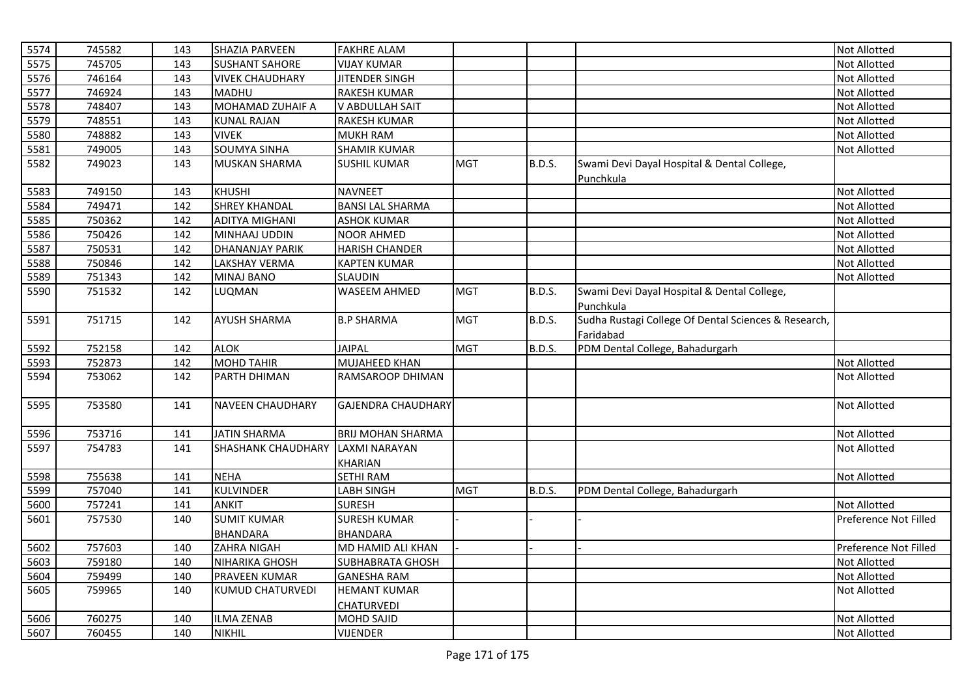| 5574 | 745582 | 143 | SHAZIA PARVEEN            | <b>FAKHRE ALAM</b>        |            |               |                                                                   | Not Allotted          |
|------|--------|-----|---------------------------|---------------------------|------------|---------------|-------------------------------------------------------------------|-----------------------|
| 5575 | 745705 | 143 | <b>SUSHANT SAHORE</b>     | <b>VIJAY KUMAR</b>        |            |               |                                                                   | Not Allotted          |
| 5576 | 746164 | 143 | <b>VIVEK CHAUDHARY</b>    | <b>JITENDER SINGH</b>     |            |               |                                                                   | <b>Not Allotted</b>   |
| 5577 | 746924 | 143 | <b>MADHU</b>              | <b>RAKESH KUMAR</b>       |            |               |                                                                   | Not Allotted          |
| 5578 | 748407 | 143 | MOHAMAD ZUHAIF A          | V ABDULLAH SAIT           |            |               |                                                                   | Not Allotted          |
| 5579 | 748551 | 143 | <b>KUNAL RAJAN</b>        | <b>RAKESH KUMAR</b>       |            |               |                                                                   | Not Allotted          |
| 5580 | 748882 | 143 | <b>VIVEK</b>              | <b>MUKH RAM</b>           |            |               |                                                                   | <b>Not Allotted</b>   |
| 5581 | 749005 | 143 | <b>SOUMYA SINHA</b>       | <b>SHAMIR KUMAR</b>       |            |               |                                                                   | Not Allotted          |
| 5582 | 749023 | 143 | <b>MUSKAN SHARMA</b>      | <b>SUSHIL KUMAR</b>       | <b>MGT</b> | B.D.S.        | Swami Devi Dayal Hospital & Dental College,<br>Punchkula          |                       |
| 5583 | 749150 | 143 | <b>KHUSHI</b>             | <b>NAVNEET</b>            |            |               |                                                                   | Not Allotted          |
| 5584 | 749471 | 142 | <b>SHREY KHANDAL</b>      | <b>BANSI LAL SHARMA</b>   |            |               |                                                                   | Not Allotted          |
| 5585 | 750362 | 142 | <b>ADITYA MIGHANI</b>     | <b>ASHOK KUMAR</b>        |            |               |                                                                   | Not Allotted          |
| 5586 | 750426 | 142 | MINHAAJ UDDIN             | <b>NOOR AHMED</b>         |            |               |                                                                   | Not Allotted          |
| 5587 | 750531 | 142 | <b>DHANANJAY PARIK</b>    | <b>HARISH CHANDER</b>     |            |               |                                                                   | Not Allotted          |
| 5588 | 750846 | 142 | <b>LAKSHAY VERMA</b>      | <b>KAPTEN KUMAR</b>       |            |               |                                                                   | Not Allotted          |
| 5589 | 751343 | 142 | MINAJ BANO                | SLAUDIN                   |            |               |                                                                   | Not Allotted          |
| 5590 | 751532 | 142 | LUQMAN                    | <b>WASEEM AHMED</b>       | <b>MGT</b> | <b>B.D.S.</b> | Swami Devi Dayal Hospital & Dental College,<br>Punchkula          |                       |
| 5591 | 751715 | 142 | <b>AYUSH SHARMA</b>       | <b>B.P SHARMA</b>         | <b>MGT</b> | <b>B.D.S.</b> | Sudha Rustagi College Of Dental Sciences & Research,<br>Faridabad |                       |
| 5592 | 752158 | 142 | <b>ALOK</b>               | <b>JAIPAL</b>             | <b>MGT</b> | <b>B.D.S.</b> | PDM Dental College, Bahadurgarh                                   |                       |
| 5593 | 752873 | 142 | <b>MOHD TAHIR</b>         | MUJAHEED KHAN             |            |               |                                                                   | Not Allotted          |
| 5594 | 753062 | 142 | <b>PARTH DHIMAN</b>       | <b>RAMSAROOP DHIMAN</b>   |            |               |                                                                   | <b>Not Allotted</b>   |
| 5595 | 753580 | 141 | <b>NAVEEN CHAUDHARY</b>   | <b>GAJENDRA CHAUDHARY</b> |            |               |                                                                   | Not Allotted          |
| 5596 | 753716 | 141 | <b>JATIN SHARMA</b>       | <b>BRIJ MOHAN SHARMA</b>  |            |               |                                                                   | Not Allotted          |
| 5597 | 754783 | 141 | <b>SHASHANK CHAUDHARY</b> | LAXMI NARAYAN             |            |               |                                                                   | <b>Not Allotted</b>   |
|      |        |     |                           | <b>KHARIAN</b>            |            |               |                                                                   |                       |
| 5598 | 755638 | 141 | <b>NEHA</b>               | SETHI RAM                 |            |               |                                                                   | Not Allotted          |
| 5599 | 757040 | 141 | KULVINDER                 | LABH SINGH                | <b>MGT</b> | <b>B.D.S.</b> | PDM Dental College, Bahadurgarh                                   |                       |
| 5600 | 757241 | 141 | <b>ANKIT</b>              | <b>SURESH</b>             |            |               |                                                                   | <b>Not Allotted</b>   |
| 5601 | 757530 | 140 | <b>SUMIT KUMAR</b>        | <b>SURESH KUMAR</b>       |            |               |                                                                   | Preference Not Filled |
|      |        |     | <b>BHANDARA</b>           | <b>BHANDARA</b>           |            |               |                                                                   |                       |
| 5602 | 757603 | 140 | <b>ZAHRA NIGAH</b>        | MD HAMID ALI KHAN         |            |               |                                                                   | Preference Not Filled |
| 5603 | 759180 | 140 | <b>NIHARIKA GHOSH</b>     | <b>SUBHABRATA GHOSH</b>   |            |               |                                                                   | Not Allotted          |
| 5604 | 759499 | 140 | <b>PRAVEEN KUMAR</b>      | <b>GANESHA RAM</b>        |            |               |                                                                   | Not Allotted          |
| 5605 | 759965 | 140 | KUMUD CHATURVEDI          | <b>HEMANT KUMAR</b>       |            |               |                                                                   | Not Allotted          |
|      | 760275 | 140 |                           | <b>CHATURVEDI</b>         |            |               |                                                                   |                       |
| 5606 |        |     | <b>ILMA ZENAB</b>         | <b>MOHD SAJID</b>         |            |               |                                                                   | Not Allotted          |
| 5607 | 760455 | 140 | <b>NIKHIL</b>             | <b>VIJENDER</b>           |            |               |                                                                   | <b>Not Allotted</b>   |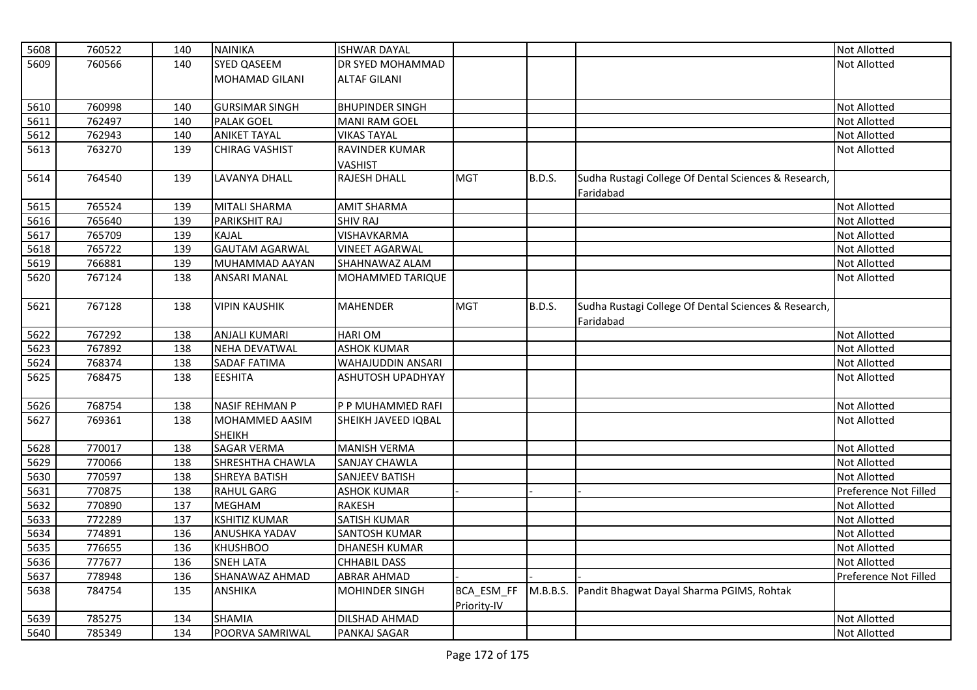| 5608 | 760522 | 140 | <b>NAINIKA</b>        | <b>ISHWAR DAYAL</b>      |             |               |                                                      | Not Allotted          |
|------|--------|-----|-----------------------|--------------------------|-------------|---------------|------------------------------------------------------|-----------------------|
| 5609 | 760566 | 140 | <b>SYED QASEEM</b>    | DR SYED MOHAMMAD         |             |               |                                                      | Not Allotted          |
|      |        |     | MOHAMAD GILANI        | <b>ALTAF GILANI</b>      |             |               |                                                      |                       |
|      |        |     |                       |                          |             |               |                                                      |                       |
| 5610 | 760998 | 140 | <b>GURSIMAR SINGH</b> | <b>BHUPINDER SINGH</b>   |             |               |                                                      | Not Allotted          |
| 5611 | 762497 | 140 | <b>PALAK GOEL</b>     | <b>MANI RAM GOEL</b>     |             |               |                                                      | Not Allotted          |
| 5612 | 762943 | 140 | <b>ANIKET TAYAL</b>   | <b>VIKAS TAYAL</b>       |             |               |                                                      | Not Allotted          |
| 5613 | 763270 | 139 | <b>CHIRAG VASHIST</b> | <b>RAVINDER KUMAR</b>    |             |               |                                                      | Not Allotted          |
|      |        |     |                       | <b>VASHIST</b>           |             |               |                                                      |                       |
| 5614 | 764540 | 139 | <b>LAVANYA DHALL</b>  | <b>RAJESH DHALL</b>      | <b>MGT</b>  | <b>B.D.S.</b> | Sudha Rustagi College Of Dental Sciences & Research, |                       |
|      |        |     |                       |                          |             |               | Faridabad                                            |                       |
| 5615 | 765524 | 139 | <b>MITALI SHARMA</b>  | <b>AMIT SHARMA</b>       |             |               |                                                      | Not Allotted          |
| 5616 | 765640 | 139 | <b>PARIKSHIT RAJ</b>  | <b>SHIV RAJ</b>          |             |               |                                                      | Not Allotted          |
| 5617 | 765709 | 139 | <b>KAJAL</b>          | VISHAVKARMA              |             |               |                                                      | Not Allotted          |
| 5618 | 765722 | 139 | <b>GAUTAM AGARWAL</b> | <b>VINEET AGARWAL</b>    |             |               |                                                      | Not Allotted          |
| 5619 | 766881 | 139 | MUHAMMAD AAYAN        | SHAHNAWAZ ALAM           |             |               |                                                      | Not Allotted          |
| 5620 | 767124 | 138 | <b>ANSARI MANAL</b>   | MOHAMMED TARIQUE         |             |               |                                                      | Not Allotted          |
|      |        |     |                       |                          |             |               |                                                      |                       |
| 5621 | 767128 | 138 | <b>VIPIN KAUSHIK</b>  | <b>MAHENDER</b>          | <b>MGT</b>  | <b>B.D.S.</b> | Sudha Rustagi College Of Dental Sciences & Research, |                       |
|      |        |     |                       |                          |             |               | Faridabad                                            |                       |
| 5622 | 767292 | 138 | <b>ANJALI KUMARI</b>  | <b>HARIOM</b>            |             |               |                                                      | Not Allotted          |
| 5623 | 767892 | 138 | <b>NEHA DEVATWAL</b>  | <b>ASHOK KUMAR</b>       |             |               |                                                      | Not Allotted          |
| 5624 | 768374 | 138 | <b>SADAF FATIMA</b>   | WAHAJUDDIN ANSARI        |             |               |                                                      | Not Allotted          |
| 5625 | 768475 | 138 | <b>EESHITA</b>        | <b>ASHUTOSH UPADHYAY</b> |             |               |                                                      | Not Allotted          |
|      |        |     |                       |                          |             |               |                                                      |                       |
| 5626 | 768754 | 138 | <b>NASIF REHMAN P</b> | P P MUHAMMED RAFI        |             |               |                                                      | Not Allotted          |
| 5627 | 769361 | 138 | MOHAMMED AASIM        | SHEIKH JAVEED IQBAL      |             |               |                                                      | Not Allotted          |
|      |        |     | <b>SHEIKH</b>         |                          |             |               |                                                      |                       |
| 5628 | 770017 | 138 | <b>SAGAR VERMA</b>    | <b>MANISH VERMA</b>      |             |               |                                                      | Not Allotted          |
| 5629 | 770066 | 138 | SHRESHTHA CHAWLA      | <b>SANJAY CHAWLA</b>     |             |               |                                                      | Not Allotted          |
| 5630 | 770597 | 138 | <b>SHREYA BATISH</b>  | SANJEEV BATISH           |             |               |                                                      | <b>Not Allotted</b>   |
| 5631 | 770875 | 138 | <b>RAHUL GARG</b>     | <b>ASHOK KUMAR</b>       |             |               |                                                      | Preference Not Filled |
| 5632 | 770890 | 137 | <b>MEGHAM</b>         | <b>RAKESH</b>            |             |               |                                                      | Not Allotted          |
| 5633 | 772289 | 137 | <b>KSHITIZ KUMAR</b>  | <b>SATISH KUMAR</b>      |             |               |                                                      | Not Allotted          |
| 5634 | 774891 | 136 | ANUSHKA YADAV         | <b>SANTOSH KUMAR</b>     |             |               |                                                      | Not Allotted          |
| 5635 | 776655 | 136 | <b>KHUSHBOO</b>       | <b>DHANESH KUMAR</b>     |             |               |                                                      | Not Allotted          |
| 5636 | 777677 | 136 | <b>SNEH LATA</b>      | <b>CHHABIL DASS</b>      |             |               |                                                      | Not Allotted          |
| 5637 | 778948 | 136 | SHANAWAZ AHMAD        | <b>ABRAR AHMAD</b>       |             |               |                                                      | Preference Not Filled |
| 5638 | 784754 | 135 | <b>ANSHIKA</b>        | <b>MOHINDER SINGH</b>    | BCA_ESM_FF  | M.B.B.S.      | Pandit Bhagwat Dayal Sharma PGIMS, Rohtak            |                       |
|      |        |     |                       |                          | Priority-IV |               |                                                      |                       |
| 5639 | 785275 | 134 | <b>SHAMIA</b>         | DILSHAD AHMAD            |             |               |                                                      | Not Allotted          |
| 5640 | 785349 | 134 | POORVA SAMRIWAL       | PANKAJ SAGAR             |             |               |                                                      | Not Allotted          |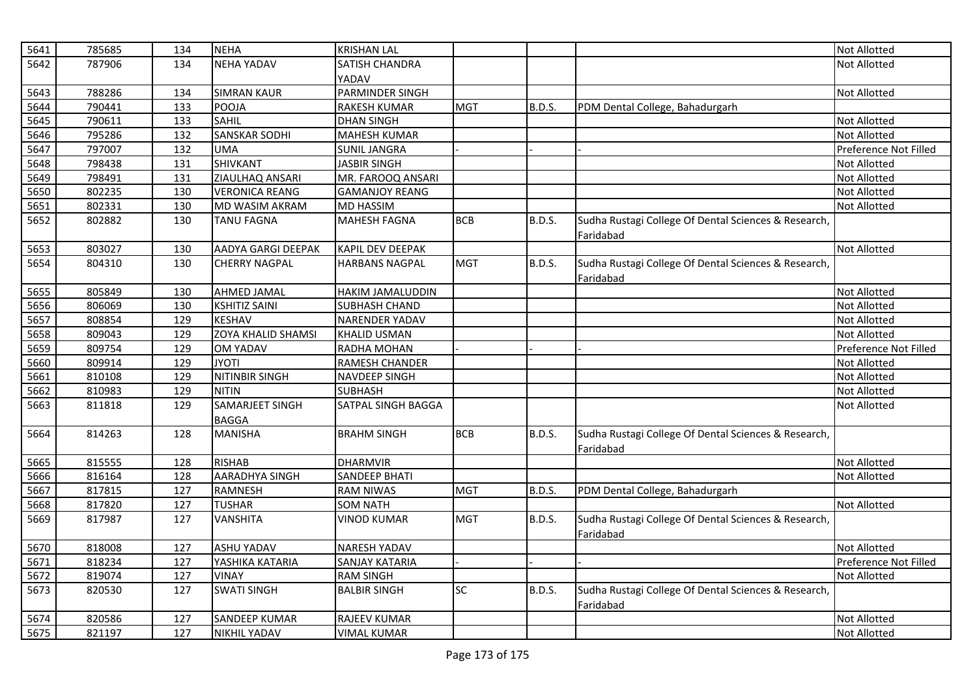| 5641 | 785685 | 134 | <b>NEHA</b>               | <b>KRISHAN LAL</b>    |            |               |                                                      | Not Allotted          |
|------|--------|-----|---------------------------|-----------------------|------------|---------------|------------------------------------------------------|-----------------------|
| 5642 | 787906 | 134 | <b>NEHA YADAV</b>         | SATISH CHANDRA        |            |               |                                                      | <b>Not Allotted</b>   |
|      |        |     |                           | YADAV                 |            |               |                                                      |                       |
| 5643 | 788286 | 134 | <b>SIMRAN KAUR</b>        | PARMINDER SINGH       |            |               |                                                      | Not Allotted          |
| 5644 | 790441 | 133 | POOJA                     | RAKESH KUMAR          | <b>MGT</b> | B.D.S.        | PDM Dental College, Bahadurgarh                      |                       |
| 5645 | 790611 | 133 | <b>SAHIL</b>              | <b>DHAN SINGH</b>     |            |               |                                                      | Not Allotted          |
| 5646 | 795286 | 132 | <b>SANSKAR SODHI</b>      | <b>MAHESH KUMAR</b>   |            |               |                                                      | <b>Not Allotted</b>   |
| 5647 | 797007 | 132 | <b>UMA</b>                | <b>SUNIL JANGRA</b>   |            |               |                                                      | Preference Not Filled |
| 5648 | 798438 | 131 | <b>SHIVKANT</b>           | <b>JASBIR SINGH</b>   |            |               |                                                      | Not Allotted          |
| 5649 | 798491 | 131 | ZIAULHAQ ANSARI           | MR. FAROOQ ANSARI     |            |               |                                                      | Not Allotted          |
| 5650 | 802235 | 130 | <b>VERONICA REANG</b>     | <b>GAMANJOY REANG</b> |            |               |                                                      | Not Allotted          |
| 5651 | 802331 | 130 | MD WASIM AKRAM            | <b>MD HASSIM</b>      |            |               |                                                      | Not Allotted          |
| 5652 | 802882 | 130 | <b>TANU FAGNA</b>         | MAHESH FAGNA          | <b>BCB</b> | <b>B.D.S.</b> | Sudha Rustagi College Of Dental Sciences & Research, |                       |
|      |        |     |                           |                       |            |               | Faridabad                                            |                       |
| 5653 | 803027 | 130 | AADYA GARGI DEEPAK        | KAPIL DEV DEEPAK      |            |               |                                                      | <b>Not Allotted</b>   |
| 5654 | 804310 | 130 | <b>CHERRY NAGPAL</b>      | <b>HARBANS NAGPAL</b> | <b>MGT</b> | <b>B.D.S.</b> | Sudha Rustagi College Of Dental Sciences & Research, |                       |
|      |        |     |                           |                       |            |               | Faridabad                                            |                       |
| 5655 | 805849 | 130 | <b>AHMED JAMAL</b>        | HAKIM JAMALUDDIN      |            |               |                                                      | Not Allotted          |
| 5656 | 806069 | 130 | <b>KSHITIZ SAINI</b>      | <b>SUBHASH CHAND</b>  |            |               |                                                      | Not Allotted          |
| 5657 | 808854 | 129 | <b>KESHAV</b>             | <b>NARENDER YADAV</b> |            |               |                                                      | <b>Not Allotted</b>   |
| 5658 | 809043 | 129 | <b>ZOYA KHALID SHAMSI</b> | <b>KHALID USMAN</b>   |            |               |                                                      | Not Allotted          |
| 5659 | 809754 | 129 | <b>OM YADAV</b>           | RADHA MOHAN           |            |               |                                                      | Preference Not Filled |
| 5660 | 809914 | 129 | <b>JYOTI</b>              | RAMESH CHANDER        |            |               |                                                      | Not Allotted          |
| 5661 | 810108 | 129 | NITINBIR SINGH            | <b>NAVDEEP SINGH</b>  |            |               |                                                      | <b>Not Allotted</b>   |
| 5662 | 810983 | 129 | <b>NITIN</b>              | <b>SUBHASH</b>        |            |               |                                                      | Not Allotted          |
| 5663 | 811818 | 129 | SAMARJEET SINGH           | SATPAL SINGH BAGGA    |            |               |                                                      | <b>Not Allotted</b>   |
|      |        |     | <b>BAGGA</b>              |                       |            |               |                                                      |                       |
| 5664 | 814263 | 128 | <b>MANISHA</b>            | <b>BRAHM SINGH</b>    | <b>BCB</b> | B.D.S.        | Sudha Rustagi College Of Dental Sciences & Research, |                       |
|      |        |     |                           |                       |            |               | Faridabad                                            |                       |
| 5665 | 815555 | 128 | <b>RISHAB</b>             | <b>DHARMVIR</b>       |            |               |                                                      | Not Allotted          |
| 5666 | 816164 | 128 | <b>AARADHYA SINGH</b>     | <b>SANDEEP BHATI</b>  |            |               |                                                      | Not Allotted          |
| 5667 | 817815 | 127 | <b>RAMNESH</b>            | <b>RAM NIWAS</b>      | <b>MGT</b> | B.D.S.        | PDM Dental College, Bahadurgarh                      |                       |
| 5668 | 817820 | 127 | <b>TUSHAR</b>             | <b>SOM NATH</b>       |            |               |                                                      | Not Allotted          |
| 5669 | 817987 | 127 | <b>VANSHITA</b>           | <b>VINOD KUMAR</b>    | <b>MGT</b> | <b>B.D.S.</b> | Sudha Rustagi College Of Dental Sciences & Research, |                       |
|      |        |     |                           |                       |            |               | Faridabad                                            |                       |
| 5670 | 818008 | 127 | <b>ASHU YADAV</b>         | NARESH YADAV          |            |               |                                                      | <b>Not Allotted</b>   |
| 5671 | 818234 | 127 | YASHIKA KATARIA           | <b>SANJAY KATARIA</b> |            |               |                                                      | Preference Not Filled |
| 5672 | 819074 | 127 | <b>VINAY</b>              | <b>RAM SINGH</b>      |            |               |                                                      | Not Allotted          |
| 5673 | 820530 | 127 | <b>SWATI SINGH</b>        | <b>BALBIR SINGH</b>   | <b>SC</b>  | <b>B.D.S.</b> | Sudha Rustagi College Of Dental Sciences & Research, |                       |
|      |        |     |                           |                       |            |               | Faridabad                                            |                       |
| 5674 | 820586 | 127 | <b>SANDEEP KUMAR</b>      | <b>RAJEEV KUMAR</b>   |            |               |                                                      | <b>Not Allotted</b>   |
| 5675 | 821197 | 127 | <b>NIKHIL YADAV</b>       | <b>VIMAL KUMAR</b>    |            |               |                                                      | <b>Not Allotted</b>   |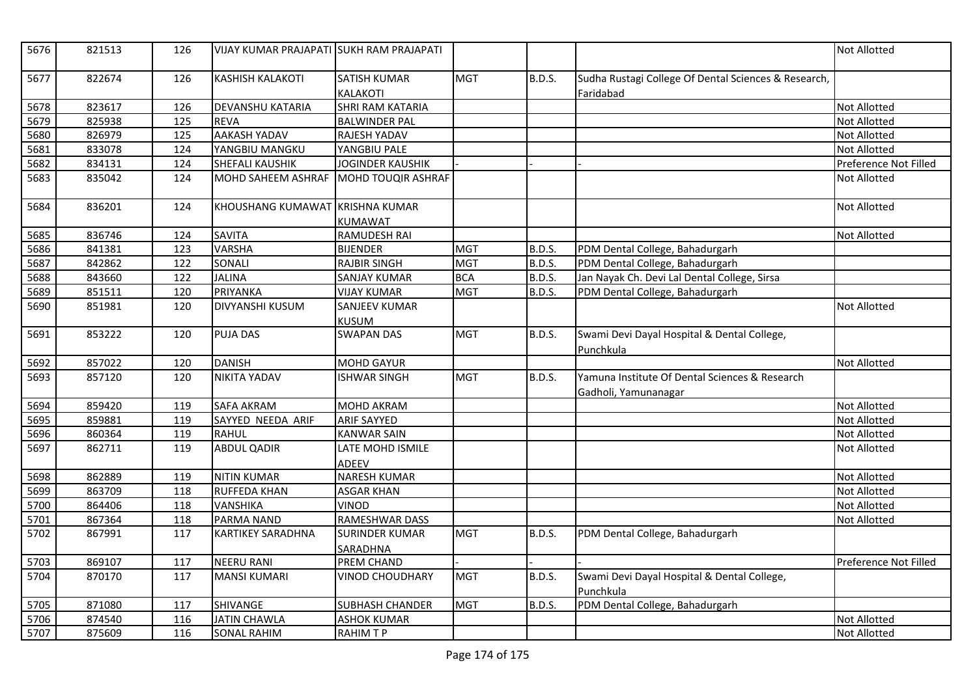| 5676 | 821513 | 126 | VIJAY KUMAR PRAJAPATI SUKH RAM PRAJAPATI |                                          |            |               |                                                                        | <b>Not Allotted</b>   |
|------|--------|-----|------------------------------------------|------------------------------------------|------------|---------------|------------------------------------------------------------------------|-----------------------|
| 5677 | 822674 | 126 | <b>KASHISH KALAKOTI</b>                  | <b>SATISH KUMAR</b><br><b>KALAKOTI</b>   | <b>MGT</b> | <b>B.D.S.</b> | Sudha Rustagi College Of Dental Sciences & Research,<br>Faridabad      |                       |
| 5678 | 823617 | 126 | DEVANSHU KATARIA                         | <b>SHRI RAM KATARIA</b>                  |            |               |                                                                        | <b>Not Allotted</b>   |
| 5679 | 825938 | 125 | <b>REVA</b>                              | <b>BALWINDER PAL</b>                     |            |               |                                                                        | Not Allotted          |
| 5680 | 826979 | 125 | <b>AAKASH YADAV</b>                      | RAJESH YADAV                             |            |               |                                                                        | <b>Not Allotted</b>   |
| 5681 | 833078 | 124 | YANGBIU MANGKU                           | YANGBIU PALE                             |            |               |                                                                        | <b>Not Allotted</b>   |
| 5682 | 834131 | 124 | <b>SHEFALI KAUSHIK</b>                   | JOGINDER KAUSHIK                         |            |               |                                                                        | Preference Not Filled |
| 5683 | 835042 | 124 | MOHD SAHEEM ASHRAF                       | MOHD TOUQIR ASHRAF                       |            |               |                                                                        | Not Allotted          |
| 5684 | 836201 | 124 | KHOUSHANG KUMAWAT                        | <b>KRISHNA KUMAR</b><br><b>KUMAWAT</b>   |            |               |                                                                        | <b>Not Allotted</b>   |
| 5685 | 836746 | 124 | <b>SAVITA</b>                            | <b>RAMUDESH RAI</b>                      |            |               |                                                                        | Not Allotted          |
| 5686 | 841381 | 123 | <b>VARSHA</b>                            | <b>BIJENDER</b>                          | <b>MGT</b> | <b>B.D.S.</b> | PDM Dental College, Bahadurgarh                                        |                       |
| 5687 | 842862 | 122 | SONALI                                   | <b>RAJBIR SINGH</b>                      | <b>MGT</b> | B.D.S.        | PDM Dental College, Bahadurgarh                                        |                       |
| 5688 | 843660 | 122 | <b>JALINA</b>                            | <b>SANJAY KUMAR</b>                      | <b>BCA</b> | B.D.S.        | Jan Nayak Ch. Devi Lal Dental College, Sirsa                           |                       |
| 5689 | 851511 | 120 | PRIYANKA                                 | <b>VIJAY KUMAR</b>                       | <b>MGT</b> | B.D.S.        | PDM Dental College, Bahadurgarh                                        |                       |
| 5690 | 851981 | 120 | <b>DIVYANSHI KUSUM</b>                   | <b>SANJEEV KUMAR</b><br><b>KUSUM</b>     |            |               |                                                                        | <b>Not Allotted</b>   |
| 5691 | 853222 | 120 | <b>PUJA DAS</b>                          | <b>SWAPAN DAS</b>                        | <b>MGT</b> | <b>B.D.S.</b> | Swami Devi Dayal Hospital & Dental College,<br>Punchkula               |                       |
| 5692 | 857022 | 120 | <b>DANISH</b>                            | <b>MOHD GAYUR</b>                        |            |               |                                                                        | <b>Not Allotted</b>   |
| 5693 | 857120 | 120 | <b>NIKITA YADAV</b>                      | <b>ISHWAR SINGH</b>                      | <b>MGT</b> | <b>B.D.S.</b> | Yamuna Institute Of Dental Sciences & Research<br>Gadholi, Yamunanagar |                       |
| 5694 | 859420 | 119 | <b>SAFA AKRAM</b>                        | <b>MOHD AKRAM</b>                        |            |               |                                                                        | Not Allotted          |
| 5695 | 859881 | 119 | SAYYED NEEDA ARIF                        | <b>ARIF SAYYED</b>                       |            |               |                                                                        | <b>Not Allotted</b>   |
| 5696 | 860364 | 119 | <b>RAHUL</b>                             | <b>KANWAR SAIN</b>                       |            |               |                                                                        | <b>Not Allotted</b>   |
| 5697 | 862711 | 119 | <b>ABDUL QADIR</b>                       | LATE MOHD ISMILE<br>ADEEV                |            |               |                                                                        | <b>Not Allotted</b>   |
| 5698 | 862889 | 119 | <b>NITIN KUMAR</b>                       | <b>NARESH KUMAR</b>                      |            |               |                                                                        | <b>Not Allotted</b>   |
| 5699 | 863709 | 118 | <b>RUFFEDA KHAN</b>                      | <b>ASGAR KHAN</b>                        |            |               |                                                                        | Not Allotted          |
| 5700 | 864406 | 118 | <b>VANSHIKA</b>                          | VINOD                                    |            |               |                                                                        | <b>Not Allotted</b>   |
| 5701 | 867364 | 118 | PARMA NAND                               | RAMESHWAR DASS                           |            |               |                                                                        | <b>Not Allotted</b>   |
| 5702 | 867991 | 117 | <b>KARTIKEY SARADHNA</b>                 | <b>SURINDER KUMAR</b><br><b>SARADHNA</b> | <b>MGT</b> | <b>B.D.S.</b> | PDM Dental College, Bahadurgarh                                        |                       |
| 5703 | 869107 | 117 | <b>NEERU RANI</b>                        | PREM CHAND                               |            |               |                                                                        | Preference Not Filled |
| 5704 | 870170 | 117 | <b>MANSI KUMARI</b>                      | <b>VINOD CHOUDHARY</b>                   | <b>MGT</b> | <b>B.D.S.</b> | Swami Devi Dayal Hospital & Dental College,<br>Punchkula               |                       |
| 5705 | 871080 | 117 | SHIVANGE                                 | <b>SUBHASH CHANDER</b>                   | <b>MGT</b> | <b>B.D.S.</b> | PDM Dental College, Bahadurgarh                                        |                       |
| 5706 | 874540 | 116 | <b>JATIN CHAWLA</b>                      | <b>ASHOK KUMAR</b>                       |            |               |                                                                        | Not Allotted          |
| 5707 | 875609 | 116 | <b>SONAL RAHIM</b>                       | <b>RAHIMTP</b>                           |            |               |                                                                        | <b>Not Allotted</b>   |